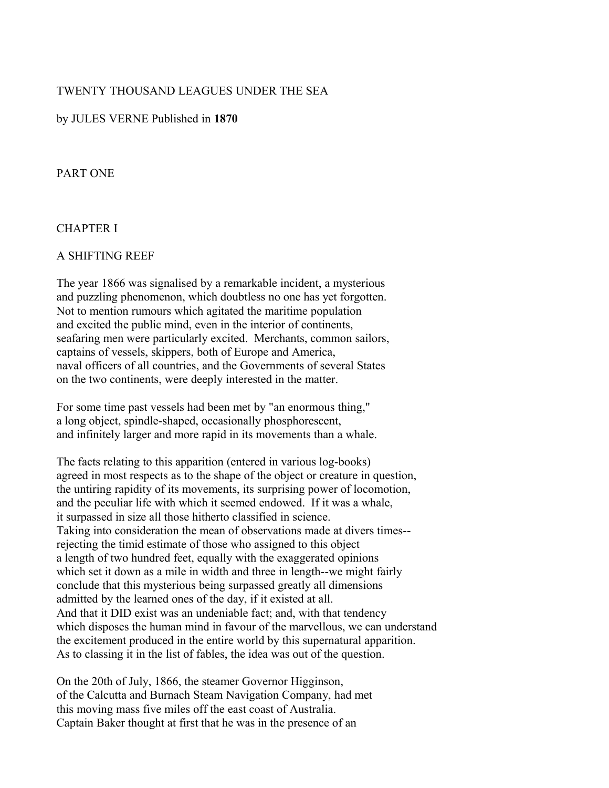### TWENTY THOUSAND LEAGUES UNDER THE SEA

#### by JULES VERNE Published in **1870**

#### PART ONE

#### CHAPTER I

#### A SHIFTING REEF

The year 1866 was signalised by a remarkable incident, a mysterious and puzzling phenomenon, which doubtless no one has yet forgotten. Not to mention rumours which agitated the maritime population and excited the public mind, even in the interior of continents, seafaring men were particularly excited. Merchants, common sailors, captains of vessels, skippers, both of Europe and America, naval officers of all countries, and the Governments of several States on the two continents, were deeply interested in the matter.

For some time past vessels had been met by "an enormous thing," a long object, spindle-shaped, occasionally phosphorescent, and infinitely larger and more rapid in its movements than a whale.

The facts relating to this apparition (entered in various log-books) agreed in most respects as to the shape of the object or creature in question, the untiring rapidity of its movements, its surprising power of locomotion, and the peculiar life with which it seemed endowed. If it was a whale, it surpassed in size all those hitherto classified in science. Taking into consideration the mean of observations made at divers times- rejecting the timid estimate of those who assigned to this object a length of two hundred feet, equally with the exaggerated opinions which set it down as a mile in width and three in length--we might fairly conclude that this mysterious being surpassed greatly all dimensions admitted by the learned ones of the day, if it existed at all. And that it DID exist was an undeniable fact; and, with that tendency which disposes the human mind in favour of the marvellous, we can understand the excitement produced in the entire world by this supernatural apparition. As to classing it in the list of fables, the idea was out of the question.

On the 20th of July, 1866, the steamer Governor Higginson, of the Calcutta and Burnach Steam Navigation Company, had met this moving mass five miles off the east coast of Australia. Captain Baker thought at first that he was in the presence of an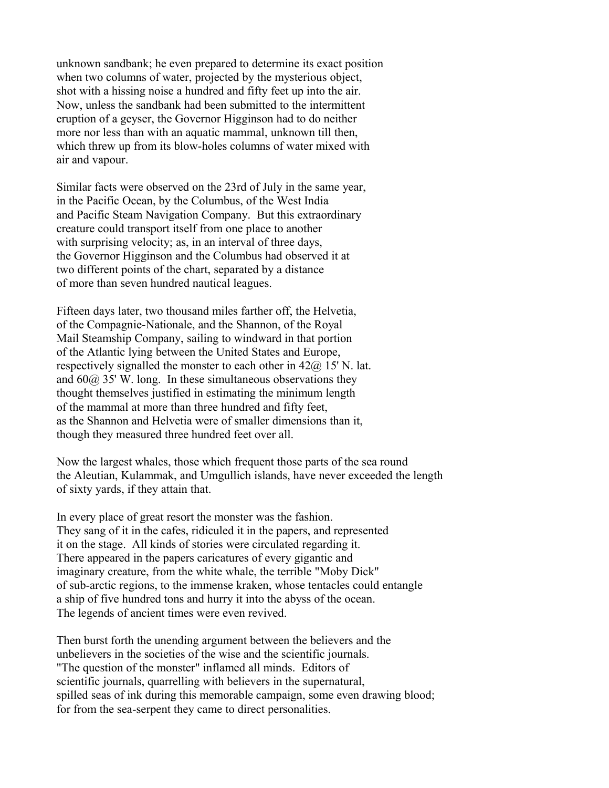unknown sandbank; he even prepared to determine its exact position when two columns of water, projected by the mysterious object, shot with a hissing noise a hundred and fifty feet up into the air. Now, unless the sandbank had been submitted to the intermittent eruption of a geyser, the Governor Higginson had to do neither more nor less than with an aquatic mammal, unknown till then, which threw up from its blow-holes columns of water mixed with air and vapour.

Similar facts were observed on the 23rd of July in the same year, in the Pacific Ocean, by the Columbus, of the West India and Pacific Steam Navigation Company. But this extraordinary creature could transport itself from one place to another with surprising velocity; as, in an interval of three days, the Governor Higginson and the Columbus had observed it at two different points of the chart, separated by a distance of more than seven hundred nautical leagues.

Fifteen days later, two thousand miles farther off, the Helvetia, of the Compagnie-Nationale, and the Shannon, of the Royal Mail Steamship Company, sailing to windward in that portion of the Atlantic lying between the United States and Europe, respectively signalled the monster to each other in  $42\omega$  15' N. lat. and  $60\omega$  35' W. long. In these simultaneous observations they thought themselves justified in estimating the minimum length of the mammal at more than three hundred and fifty feet, as the Shannon and Helvetia were of smaller dimensions than it, though they measured three hundred feet over all.

Now the largest whales, those which frequent those parts of the sea round the Aleutian, Kulammak, and Umgullich islands, have never exceeded the length of sixty yards, if they attain that.

In every place of great resort the monster was the fashion. They sang of it in the cafes, ridiculed it in the papers, and represented it on the stage. All kinds of stories were circulated regarding it. There appeared in the papers caricatures of every gigantic and imaginary creature, from the white whale, the terrible "Moby Dick" of sub-arctic regions, to the immense kraken, whose tentacles could entangle a ship of five hundred tons and hurry it into the abyss of the ocean. The legends of ancient times were even revived.

Then burst forth the unending argument between the believers and the unbelievers in the societies of the wise and the scientific journals. "The question of the monster" inflamed all minds. Editors of scientific journals, quarrelling with believers in the supernatural, spilled seas of ink during this memorable campaign, some even drawing blood; for from the sea-serpent they came to direct personalities.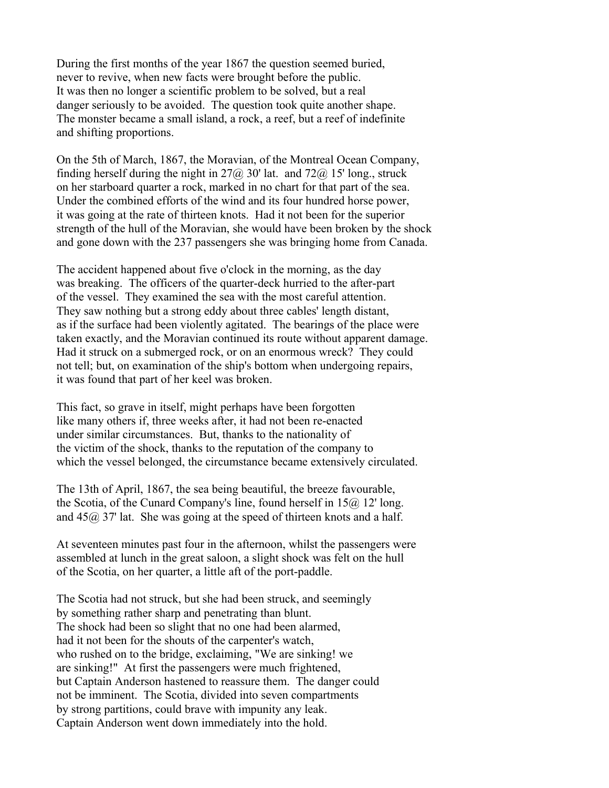During the first months of the year 1867 the question seemed buried, never to revive, when new facts were brought before the public. It was then no longer a scientific problem to be solved, but a real danger seriously to be avoided. The question took quite another shape. The monster became a small island, a rock, a reef, but a reef of indefinite and shifting proportions.

On the 5th of March, 1867, the Moravian, of the Montreal Ocean Company, finding herself during the night in  $27\omega$  30' lat. and  $72\omega$  15' long., struck on her starboard quarter a rock, marked in no chart for that part of the sea. Under the combined efforts of the wind and its four hundred horse power, it was going at the rate of thirteen knots. Had it not been for the superior strength of the hull of the Moravian, she would have been broken by the shock and gone down with the 237 passengers she was bringing home from Canada.

The accident happened about five o'clock in the morning, as the day was breaking. The officers of the quarter-deck hurried to the after-part of the vessel. They examined the sea with the most careful attention. They saw nothing but a strong eddy about three cables' length distant, as if the surface had been violently agitated. The bearings of the place were taken exactly, and the Moravian continued its route without apparent damage. Had it struck on a submerged rock, or on an enormous wreck? They could not tell; but, on examination of the ship's bottom when undergoing repairs, it was found that part of her keel was broken.

This fact, so grave in itself, might perhaps have been forgotten like many others if, three weeks after, it had not been re-enacted under similar circumstances. But, thanks to the nationality of the victim of the shock, thanks to the reputation of the company to which the vessel belonged, the circumstance became extensively circulated.

The 13th of April, 1867, the sea being beautiful, the breeze favourable, the Scotia, of the Cunard Company's line, found herself in 15@ 12' long. and  $45\omega$  37' lat. She was going at the speed of thirteen knots and a half.

At seventeen minutes past four in the afternoon, whilst the passengers were assembled at lunch in the great saloon, a slight shock was felt on the hull of the Scotia, on her quarter, a little aft of the port-paddle.

The Scotia had not struck, but she had been struck, and seemingly by something rather sharp and penetrating than blunt. The shock had been so slight that no one had been alarmed, had it not been for the shouts of the carpenter's watch, who rushed on to the bridge, exclaiming, "We are sinking! we are sinking!" At first the passengers were much frightened, but Captain Anderson hastened to reassure them. The danger could not be imminent. The Scotia, divided into seven compartments by strong partitions, could brave with impunity any leak. Captain Anderson went down immediately into the hold.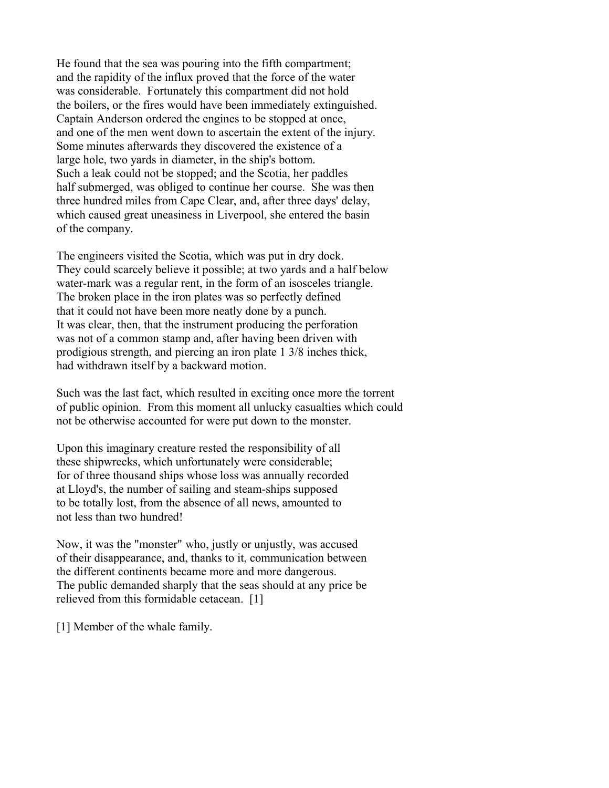He found that the sea was pouring into the fifth compartment; and the rapidity of the influx proved that the force of the water was considerable. Fortunately this compartment did not hold the boilers, or the fires would have been immediately extinguished. Captain Anderson ordered the engines to be stopped at once, and one of the men went down to ascertain the extent of the injury. Some minutes afterwards they discovered the existence of a large hole, two yards in diameter, in the ship's bottom. Such a leak could not be stopped; and the Scotia, her paddles half submerged, was obliged to continue her course. She was then three hundred miles from Cape Clear, and, after three days' delay, which caused great uneasiness in Liverpool, she entered the basin of the company.

The engineers visited the Scotia, which was put in dry dock. They could scarcely believe it possible; at two yards and a half below water-mark was a regular rent, in the form of an isosceles triangle. The broken place in the iron plates was so perfectly defined that it could not have been more neatly done by a punch. It was clear, then, that the instrument producing the perforation was not of a common stamp and, after having been driven with prodigious strength, and piercing an iron plate 1 3/8 inches thick, had withdrawn itself by a backward motion.

Such was the last fact, which resulted in exciting once more the torrent of public opinion. From this moment all unlucky casualties which could not be otherwise accounted for were put down to the monster.

Upon this imaginary creature rested the responsibility of all these shipwrecks, which unfortunately were considerable; for of three thousand ships whose loss was annually recorded at Lloyd's, the number of sailing and steam-ships supposed to be totally lost, from the absence of all news, amounted to not less than two hundred!

Now, it was the "monster" who, justly or unjustly, was accused of their disappearance, and, thanks to it, communication between the different continents became more and more dangerous. The public demanded sharply that the seas should at any price be relieved from this formidable cetacean. [1]

[1] Member of the whale family.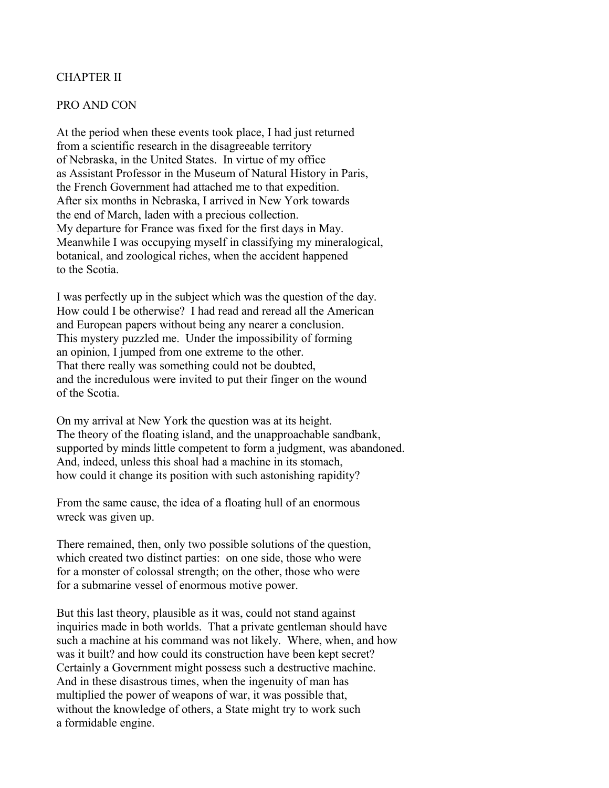## CHAPTER II

#### PRO AND CON

At the period when these events took place, I had just returned from a scientific research in the disagreeable territory of Nebraska, in the United States. In virtue of my office as Assistant Professor in the Museum of Natural History in Paris, the French Government had attached me to that expedition. After six months in Nebraska, I arrived in New York towards the end of March, laden with a precious collection. My departure for France was fixed for the first days in May. Meanwhile I was occupying myself in classifying my mineralogical, botanical, and zoological riches, when the accident happened to the Scotia.

I was perfectly up in the subject which was the question of the day. How could I be otherwise? I had read and reread all the American and European papers without being any nearer a conclusion. This mystery puzzled me. Under the impossibility of forming an opinion, I jumped from one extreme to the other. That there really was something could not be doubted, and the incredulous were invited to put their finger on the wound of the Scotia.

On my arrival at New York the question was at its height. The theory of the floating island, and the unapproachable sandbank, supported by minds little competent to form a judgment, was abandoned. And, indeed, unless this shoal had a machine in its stomach, how could it change its position with such astonishing rapidity?

From the same cause, the idea of a floating hull of an enormous wreck was given up.

There remained, then, only two possible solutions of the question, which created two distinct parties: on one side, those who were for a monster of colossal strength; on the other, those who were for a submarine vessel of enormous motive power.

But this last theory, plausible as it was, could not stand against inquiries made in both worlds. That a private gentleman should have such a machine at his command was not likely. Where, when, and how was it built? and how could its construction have been kept secret? Certainly a Government might possess such a destructive machine. And in these disastrous times, when the ingenuity of man has multiplied the power of weapons of war, it was possible that, without the knowledge of others, a State might try to work such a formidable engine.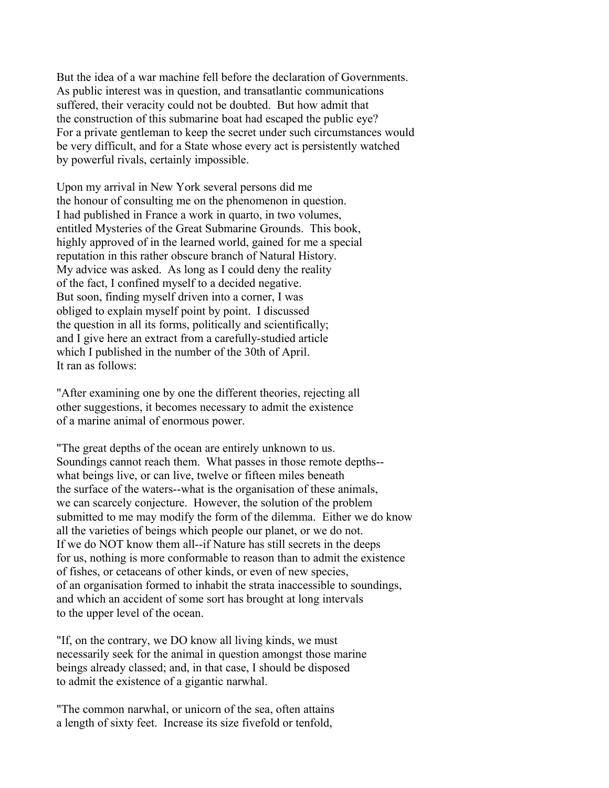But the idea of a war machine fell before the declaration of Governments. As public interest was in question, and transatlantic communications suffered, their veracity could not be doubted. But how admit that the construction of this submarine boat had escaped the public eye? For a private gentleman to keep the secret under such circumstances would be very difficult, and for a State whose every act is persistently watched by powerful rivals, certainly impossible.

Upon my arrival in New York several persons did me the honour of consulting me on the phenomenon in question. I had published in France a work in quarto, in two volumes, entitled Mysteries of the Great Submarine Grounds. This book, highly approved of in the learned world, gained for me a special reputation in this rather obscure branch of Natural History. My advice was asked. As long as I could deny the reality of the fact, I confined myself to a decided negative. But soon, finding myself driven into a corner, I was obliged to explain myself point by point. I discussed the question in all its forms, politically and scientifically; and I give here an extract from a carefully-studied article which I published in the number of the 30th of April. It ran as follows:

"After examining one by one the different theories, rejecting all other suggestions, it becomes necessary to admit the existence of a marine animal of enormous power.

"The great depths of the ocean are entirely unknown to us. Soundings cannot reach them. What passes in those remote depths- what beings live, or can live, twelve or fifteen miles beneath the surface of the waters--what is the organisation of these animals, we can scarcely conjecture. However, the solution of the problem submitted to me may modify the form of the dilemma. Either we do know all the varieties of beings which people our planet, or we do not. If we do NOT know them all--if Nature has still secrets in the deeps for us, nothing is more conformable to reason than to admit the existence of fishes, or cetaceans of other kinds, or even of new species, of an organisation formed to inhabit the strata inaccessible to soundings, and which an accident of some sort has brought at long intervals to the upper level of the ocean.

"If, on the contrary, we DO know all living kinds, we must necessarily seek for the animal in question amongst those marine beings already classed; and, in that case, I should be disposed to admit the existence of a gigantic narwhal.

"The common narwhal, or unicorn of the sea, often attains a length of sixty feet. Increase its size fivefold or tenfold,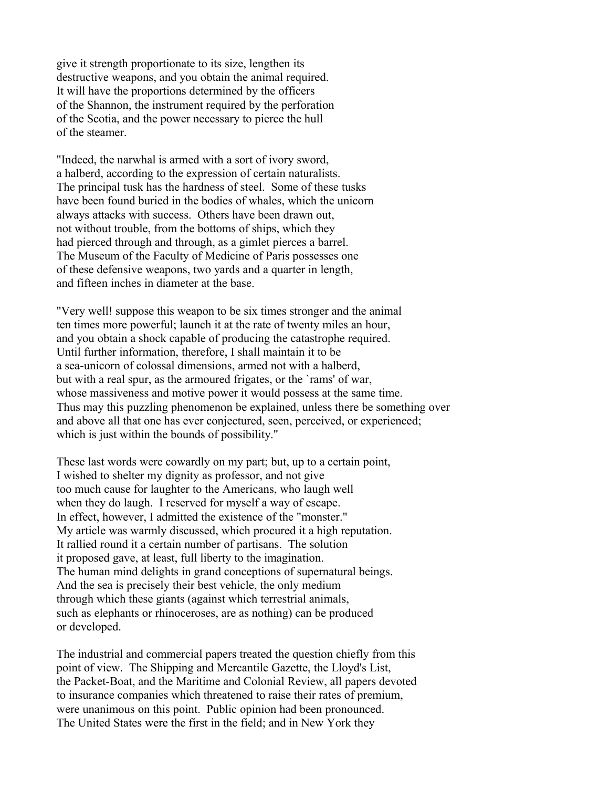give it strength proportionate to its size, lengthen its destructive weapons, and you obtain the animal required. It will have the proportions determined by the officers of the Shannon, the instrument required by the perforation of the Scotia, and the power necessary to pierce the hull of the steamer.

"Indeed, the narwhal is armed with a sort of ivory sword, a halberd, according to the expression of certain naturalists. The principal tusk has the hardness of steel. Some of these tusks have been found buried in the bodies of whales, which the unicorn always attacks with success. Others have been drawn out, not without trouble, from the bottoms of ships, which they had pierced through and through, as a gimlet pierces a barrel. The Museum of the Faculty of Medicine of Paris possesses one of these defensive weapons, two yards and a quarter in length, and fifteen inches in diameter at the base.

"Very well! suppose this weapon to be six times stronger and the animal ten times more powerful; launch it at the rate of twenty miles an hour, and you obtain a shock capable of producing the catastrophe required. Until further information, therefore, I shall maintain it to be a sea-unicorn of colossal dimensions, armed not with a halberd, but with a real spur, as the armoured frigates, or the `rams' of war, whose massiveness and motive power it would possess at the same time. Thus may this puzzling phenomenon be explained, unless there be something over and above all that one has ever conjectured, seen, perceived, or experienced; which is just within the bounds of possibility."

These last words were cowardly on my part; but, up to a certain point, I wished to shelter my dignity as professor, and not give too much cause for laughter to the Americans, who laugh well when they do laugh. I reserved for myself a way of escape. In effect, however, I admitted the existence of the "monster." My article was warmly discussed, which procured it a high reputation. It rallied round it a certain number of partisans. The solution it proposed gave, at least, full liberty to the imagination. The human mind delights in grand conceptions of supernatural beings. And the sea is precisely their best vehicle, the only medium through which these giants (against which terrestrial animals, such as elephants or rhinoceroses, are as nothing) can be produced or developed.

The industrial and commercial papers treated the question chiefly from this point of view. The Shipping and Mercantile Gazette, the Lloyd's List, the Packet-Boat, and the Maritime and Colonial Review, all papers devoted to insurance companies which threatened to raise their rates of premium, were unanimous on this point. Public opinion had been pronounced. The United States were the first in the field; and in New York they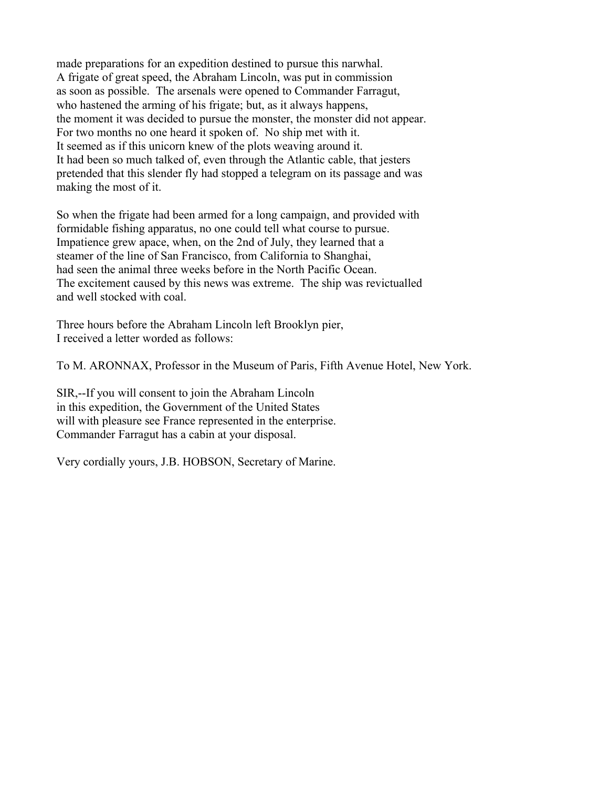made preparations for an expedition destined to pursue this narwhal. A frigate of great speed, the Abraham Lincoln, was put in commission as soon as possible. The arsenals were opened to Commander Farragut, who hastened the arming of his frigate; but, as it always happens, the moment it was decided to pursue the monster, the monster did not appear. For two months no one heard it spoken of. No ship met with it. It seemed as if this unicorn knew of the plots weaving around it. It had been so much talked of, even through the Atlantic cable, that jesters pretended that this slender fly had stopped a telegram on its passage and was making the most of it.

So when the frigate had been armed for a long campaign, and provided with formidable fishing apparatus, no one could tell what course to pursue. Impatience grew apace, when, on the 2nd of July, they learned that a steamer of the line of San Francisco, from California to Shanghai, had seen the animal three weeks before in the North Pacific Ocean. The excitement caused by this news was extreme. The ship was revictualled and well stocked with coal.

Three hours before the Abraham Lincoln left Brooklyn pier, I received a letter worded as follows:

To M. ARONNAX, Professor in the Museum of Paris, Fifth Avenue Hotel, New York.

SIR,--If you will consent to join the Abraham Lincoln in this expedition, the Government of the United States will with pleasure see France represented in the enterprise. Commander Farragut has a cabin at your disposal.

Very cordially yours, J.B. HOBSON, Secretary of Marine.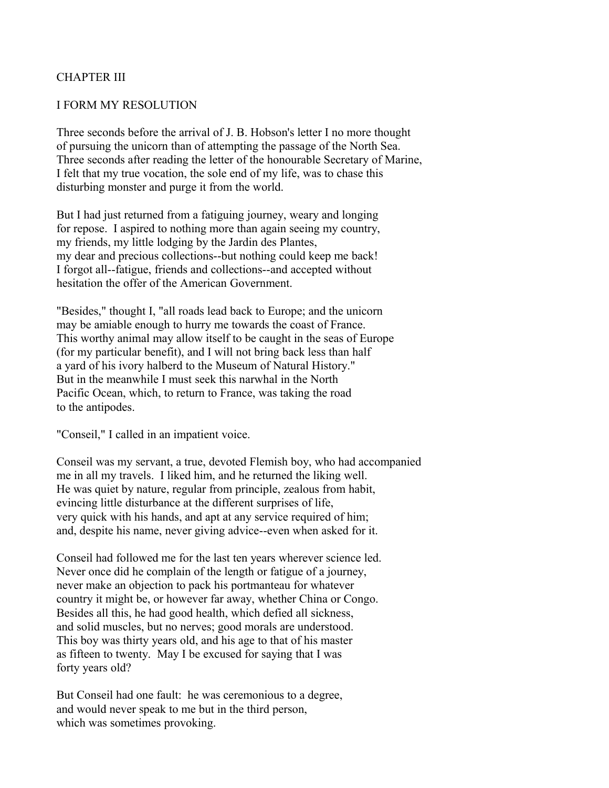## CHAPTER III

### I FORM MY RESOLUTION

Three seconds before the arrival of J. B. Hobson's letter I no more thought of pursuing the unicorn than of attempting the passage of the North Sea. Three seconds after reading the letter of the honourable Secretary of Marine, I felt that my true vocation, the sole end of my life, was to chase this disturbing monster and purge it from the world.

But I had just returned from a fatiguing journey, weary and longing for repose. I aspired to nothing more than again seeing my country, my friends, my little lodging by the Jardin des Plantes, my dear and precious collections--but nothing could keep me back! I forgot all--fatigue, friends and collections--and accepted without hesitation the offer of the American Government.

"Besides," thought I, "all roads lead back to Europe; and the unicorn may be amiable enough to hurry me towards the coast of France. This worthy animal may allow itself to be caught in the seas of Europe (for my particular benefit), and I will not bring back less than half a yard of his ivory halberd to the Museum of Natural History." But in the meanwhile I must seek this narwhal in the North Pacific Ocean, which, to return to France, was taking the road to the antipodes.

"Conseil," I called in an impatient voice.

Conseil was my servant, a true, devoted Flemish boy, who had accompanied me in all my travels. I liked him, and he returned the liking well. He was quiet by nature, regular from principle, zealous from habit, evincing little disturbance at the different surprises of life, very quick with his hands, and apt at any service required of him; and, despite his name, never giving advice--even when asked for it.

Conseil had followed me for the last ten years wherever science led. Never once did he complain of the length or fatigue of a journey, never make an objection to pack his portmanteau for whatever country it might be, or however far away, whether China or Congo. Besides all this, he had good health, which defied all sickness, and solid muscles, but no nerves; good morals are understood. This boy was thirty years old, and his age to that of his master as fifteen to twenty. May I be excused for saying that I was forty years old?

But Conseil had one fault: he was ceremonious to a degree, and would never speak to me but in the third person, which was sometimes provoking.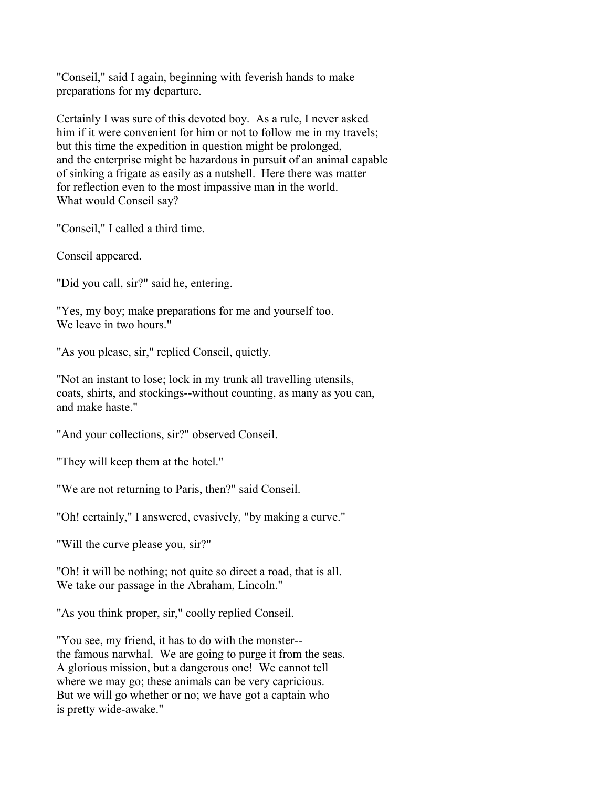"Conseil," said I again, beginning with feverish hands to make preparations for my departure.

Certainly I was sure of this devoted boy. As a rule, I never asked him if it were convenient for him or not to follow me in my travels; but this time the expedition in question might be prolonged, and the enterprise might be hazardous in pursuit of an animal capable of sinking a frigate as easily as a nutshell. Here there was matter for reflection even to the most impassive man in the world. What would Conseil say?

"Conseil," I called a third time.

Conseil appeared.

"Did you call, sir?" said he, entering.

"Yes, my boy; make preparations for me and yourself too. We leave in two hours."

"As you please, sir," replied Conseil, quietly.

"Not an instant to lose; lock in my trunk all travelling utensils, coats, shirts, and stockings--without counting, as many as you can, and make haste."

"And your collections, sir?" observed Conseil.

"They will keep them at the hotel."

"We are not returning to Paris, then?" said Conseil.

"Oh! certainly," I answered, evasively, "by making a curve."

"Will the curve please you, sir?"

"Oh! it will be nothing; not quite so direct a road, that is all. We take our passage in the Abraham, Lincoln."

"As you think proper, sir," coolly replied Conseil.

"You see, my friend, it has to do with the monster- the famous narwhal. We are going to purge it from the seas. A glorious mission, but a dangerous one! We cannot tell where we may go; these animals can be very capricious. But we will go whether or no; we have got a captain who is pretty wide-awake."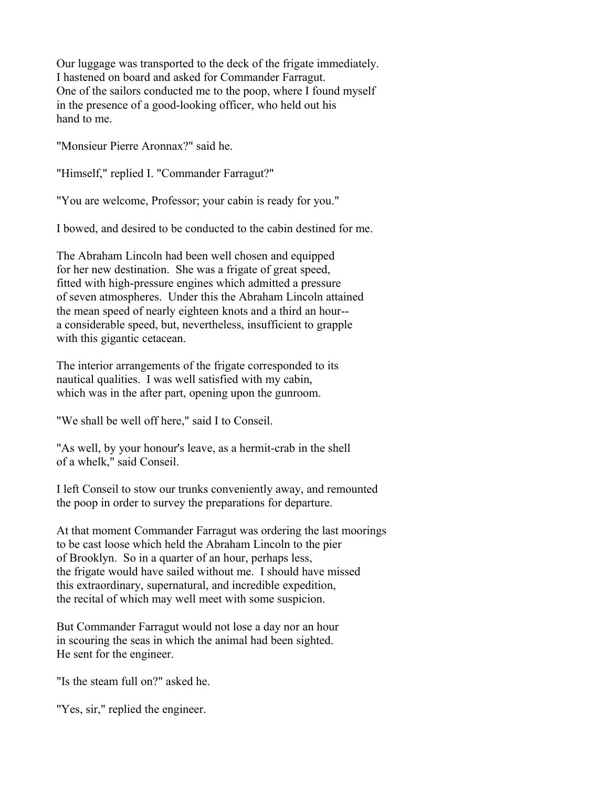Our luggage was transported to the deck of the frigate immediately. I hastened on board and asked for Commander Farragut. One of the sailors conducted me to the poop, where I found myself in the presence of a good-looking officer, who held out his hand to me.

"Monsieur Pierre Aronnax?" said he.

"Himself," replied I. "Commander Farragut?"

"You are welcome, Professor; your cabin is ready for you."

I bowed, and desired to be conducted to the cabin destined for me.

The Abraham Lincoln had been well chosen and equipped for her new destination. She was a frigate of great speed, fitted with high-pressure engines which admitted a pressure of seven atmospheres. Under this the Abraham Lincoln attained the mean speed of nearly eighteen knots and a third an hour- a considerable speed, but, nevertheless, insufficient to grapple with this gigantic cetacean.

The interior arrangements of the frigate corresponded to its nautical qualities. I was well satisfied with my cabin, which was in the after part, opening upon the gunroom.

"We shall be well off here," said I to Conseil.

"As well, by your honour's leave, as a hermit-crab in the shell of a whelk," said Conseil.

I left Conseil to stow our trunks conveniently away, and remounted the poop in order to survey the preparations for departure.

At that moment Commander Farragut was ordering the last moorings to be cast loose which held the Abraham Lincoln to the pier of Brooklyn. So in a quarter of an hour, perhaps less, the frigate would have sailed without me. I should have missed this extraordinary, supernatural, and incredible expedition, the recital of which may well meet with some suspicion.

But Commander Farragut would not lose a day nor an hour in scouring the seas in which the animal had been sighted. He sent for the engineer.

"Is the steam full on?" asked he.

"Yes, sir," replied the engineer.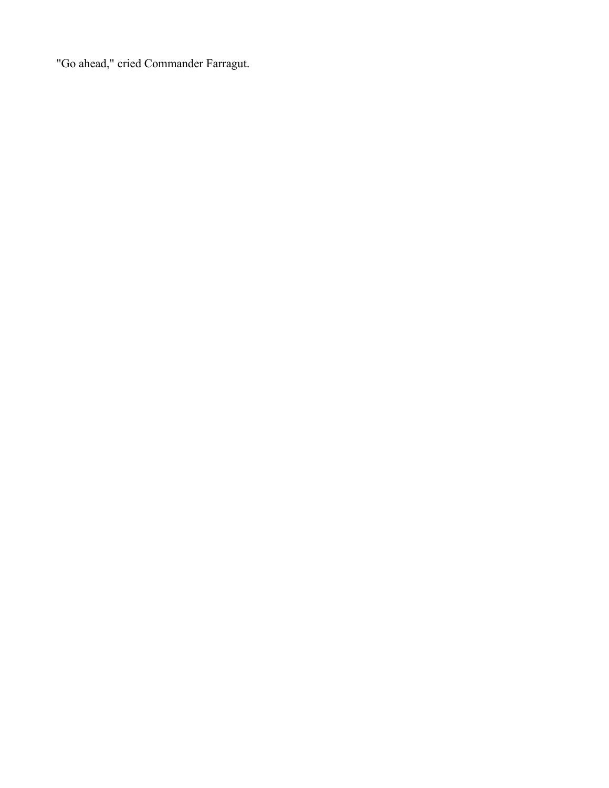"Go ahead," cried Commander Farragut.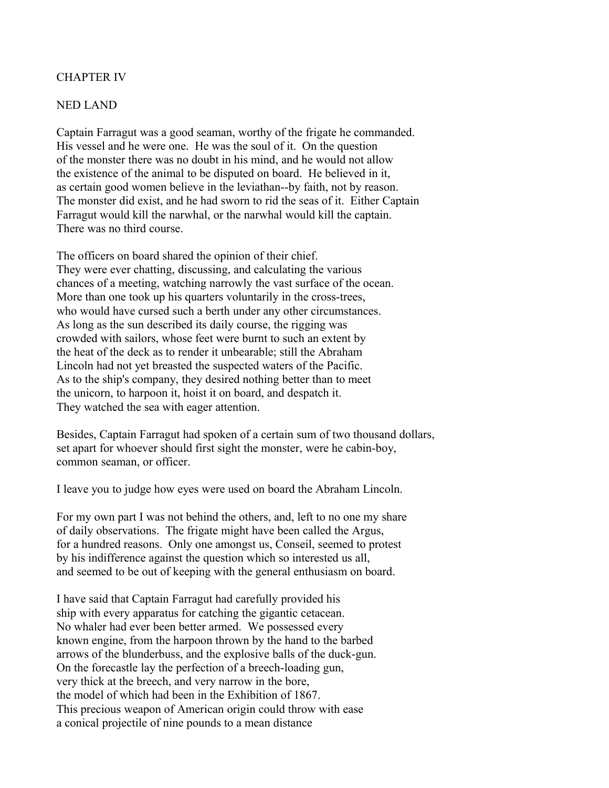### CHAPTER IV

#### NED LAND

Captain Farragut was a good seaman, worthy of the frigate he commanded. His vessel and he were one. He was the soul of it. On the question of the monster there was no doubt in his mind, and he would not allow the existence of the animal to be disputed on board. He believed in it, as certain good women believe in the leviathan--by faith, not by reason. The monster did exist, and he had sworn to rid the seas of it. Either Captain Farragut would kill the narwhal, or the narwhal would kill the captain. There was no third course.

The officers on board shared the opinion of their chief. They were ever chatting, discussing, and calculating the various chances of a meeting, watching narrowly the vast surface of the ocean. More than one took up his quarters voluntarily in the cross-trees, who would have cursed such a berth under any other circumstances. As long as the sun described its daily course, the rigging was crowded with sailors, whose feet were burnt to such an extent by the heat of the deck as to render it unbearable; still the Abraham Lincoln had not yet breasted the suspected waters of the Pacific. As to the ship's company, they desired nothing better than to meet the unicorn, to harpoon it, hoist it on board, and despatch it. They watched the sea with eager attention.

Besides, Captain Farragut had spoken of a certain sum of two thousand dollars, set apart for whoever should first sight the monster, were he cabin-boy, common seaman, or officer.

I leave you to judge how eyes were used on board the Abraham Lincoln.

For my own part I was not behind the others, and, left to no one my share of daily observations. The frigate might have been called the Argus, for a hundred reasons. Only one amongst us, Conseil, seemed to protest by his indifference against the question which so interested us all, and seemed to be out of keeping with the general enthusiasm on board.

I have said that Captain Farragut had carefully provided his ship with every apparatus for catching the gigantic cetacean. No whaler had ever been better armed. We possessed every known engine, from the harpoon thrown by the hand to the barbed arrows of the blunderbuss, and the explosive balls of the duck-gun. On the forecastle lay the perfection of a breech-loading gun, very thick at the breech, and very narrow in the bore, the model of which had been in the Exhibition of 1867. This precious weapon of American origin could throw with ease a conical projectile of nine pounds to a mean distance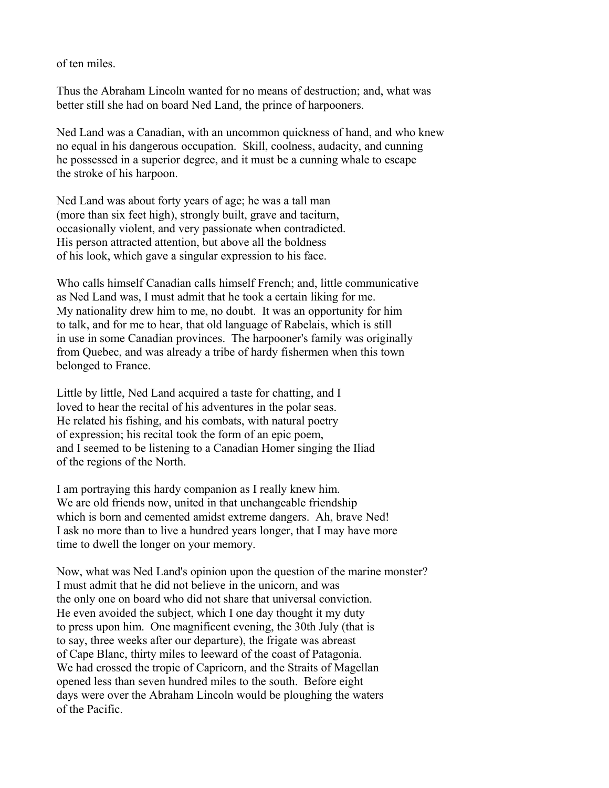of ten miles.

Thus the Abraham Lincoln wanted for no means of destruction; and, what was better still she had on board Ned Land, the prince of harpooners.

Ned Land was a Canadian, with an uncommon quickness of hand, and who knew no equal in his dangerous occupation. Skill, coolness, audacity, and cunning he possessed in a superior degree, and it must be a cunning whale to escape the stroke of his harpoon.

Ned Land was about forty years of age; he was a tall man (more than six feet high), strongly built, grave and taciturn, occasionally violent, and very passionate when contradicted. His person attracted attention, but above all the boldness of his look, which gave a singular expression to his face.

Who calls himself Canadian calls himself French; and, little communicative as Ned Land was, I must admit that he took a certain liking for me. My nationality drew him to me, no doubt. It was an opportunity for him to talk, and for me to hear, that old language of Rabelais, which is still in use in some Canadian provinces. The harpooner's family was originally from Quebec, and was already a tribe of hardy fishermen when this town belonged to France.

Little by little, Ned Land acquired a taste for chatting, and I loved to hear the recital of his adventures in the polar seas. He related his fishing, and his combats, with natural poetry of expression; his recital took the form of an epic poem, and I seemed to be listening to a Canadian Homer singing the Iliad of the regions of the North.

I am portraying this hardy companion as I really knew him. We are old friends now, united in that unchangeable friendship which is born and cemented amidst extreme dangers. Ah, brave Ned! I ask no more than to live a hundred years longer, that I may have more time to dwell the longer on your memory.

Now, what was Ned Land's opinion upon the question of the marine monster? I must admit that he did not believe in the unicorn, and was the only one on board who did not share that universal conviction. He even avoided the subject, which I one day thought it my duty to press upon him. One magnificent evening, the 30th July (that is to say, three weeks after our departure), the frigate was abreast of Cape Blanc, thirty miles to leeward of the coast of Patagonia. We had crossed the tropic of Capricorn, and the Straits of Magellan opened less than seven hundred miles to the south. Before eight days were over the Abraham Lincoln would be ploughing the waters of the Pacific.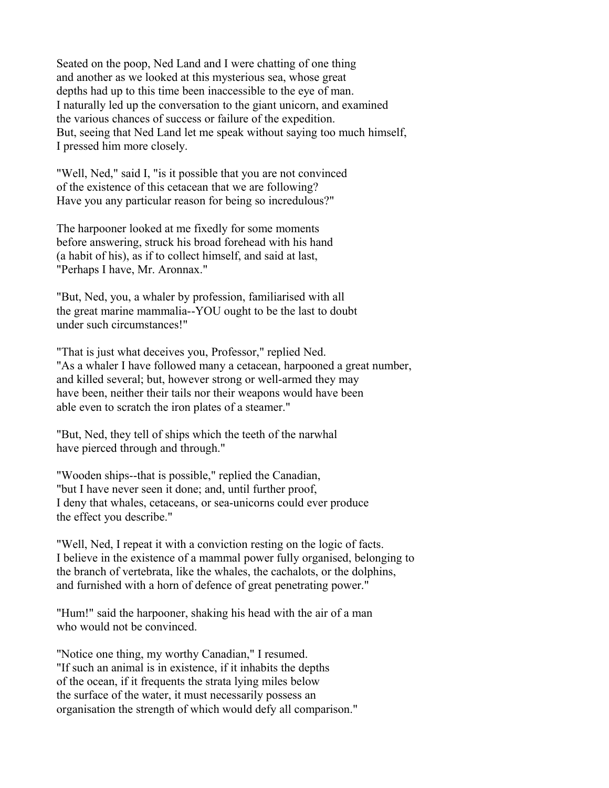Seated on the poop, Ned Land and I were chatting of one thing and another as we looked at this mysterious sea, whose great depths had up to this time been inaccessible to the eye of man. I naturally led up the conversation to the giant unicorn, and examined the various chances of success or failure of the expedition. But, seeing that Ned Land let me speak without saying too much himself, I pressed him more closely.

"Well, Ned," said I, "is it possible that you are not convinced of the existence of this cetacean that we are following? Have you any particular reason for being so incredulous?"

The harpooner looked at me fixedly for some moments before answering, struck his broad forehead with his hand (a habit of his), as if to collect himself, and said at last, "Perhaps I have, Mr. Aronnax."

"But, Ned, you, a whaler by profession, familiarised with all the great marine mammalia--YOU ought to be the last to doubt under such circumstances!"

"That is just what deceives you, Professor," replied Ned. "As a whaler I have followed many a cetacean, harpooned a great number, and killed several; but, however strong or well-armed they may have been, neither their tails nor their weapons would have been able even to scratch the iron plates of a steamer."

"But, Ned, they tell of ships which the teeth of the narwhal have pierced through and through."

"Wooden ships--that is possible," replied the Canadian, "but I have never seen it done; and, until further proof, I deny that whales, cetaceans, or sea-unicorns could ever produce the effect you describe."

"Well, Ned, I repeat it with a conviction resting on the logic of facts. I believe in the existence of a mammal power fully organised, belonging to the branch of vertebrata, like the whales, the cachalots, or the dolphins, and furnished with a horn of defence of great penetrating power."

"Hum!" said the harpooner, shaking his head with the air of a man who would not be convinced.

"Notice one thing, my worthy Canadian," I resumed. "If such an animal is in existence, if it inhabits the depths of the ocean, if it frequents the strata lying miles below the surface of the water, it must necessarily possess an organisation the strength of which would defy all comparison."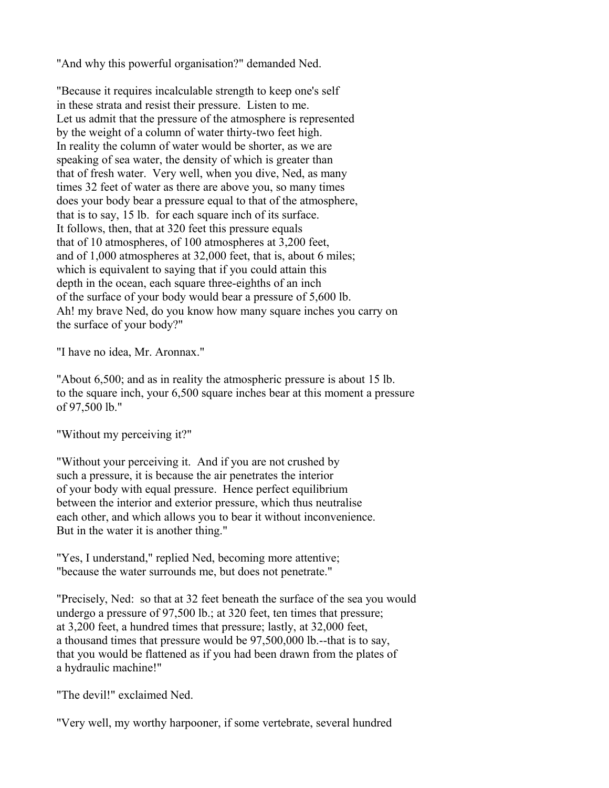"And why this powerful organisation?" demanded Ned.

"Because it requires incalculable strength to keep one's self in these strata and resist their pressure. Listen to me. Let us admit that the pressure of the atmosphere is represented by the weight of a column of water thirty-two feet high. In reality the column of water would be shorter, as we are speaking of sea water, the density of which is greater than that of fresh water. Very well, when you dive, Ned, as many times 32 feet of water as there are above you, so many times does your body bear a pressure equal to that of the atmosphere, that is to say, 15 lb. for each square inch of its surface. It follows, then, that at 320 feet this pressure equals that of 10 atmospheres, of 100 atmospheres at 3,200 feet, and of 1,000 atmospheres at 32,000 feet, that is, about 6 miles; which is equivalent to saying that if you could attain this depth in the ocean, each square three-eighths of an inch of the surface of your body would bear a pressure of 5,600 lb. Ah! my brave Ned, do you know how many square inches you carry on the surface of your body?"

"I have no idea, Mr. Aronnax."

"About 6,500; and as in reality the atmospheric pressure is about 15 lb. to the square inch, your 6,500 square inches bear at this moment a pressure of 97,500 lb."

"Without my perceiving it?"

"Without your perceiving it. And if you are not crushed by such a pressure, it is because the air penetrates the interior of your body with equal pressure. Hence perfect equilibrium between the interior and exterior pressure, which thus neutralise each other, and which allows you to bear it without inconvenience. But in the water it is another thing."

"Yes, I understand," replied Ned, becoming more attentive; "because the water surrounds me, but does not penetrate."

"Precisely, Ned: so that at 32 feet beneath the surface of the sea you would undergo a pressure of 97,500 lb.; at 320 feet, ten times that pressure; at 3,200 feet, a hundred times that pressure; lastly, at 32,000 feet, a thousand times that pressure would be 97,500,000 lb.--that is to say, that you would be flattened as if you had been drawn from the plates of a hydraulic machine!"

"The devil!" exclaimed Ned.

"Very well, my worthy harpooner, if some vertebrate, several hundred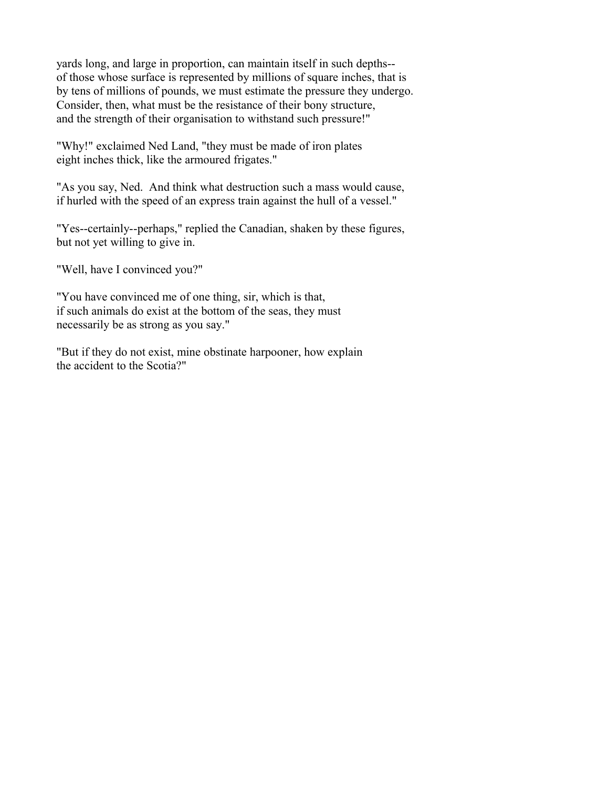yards long, and large in proportion, can maintain itself in such depths- of those whose surface is represented by millions of square inches, that is by tens of millions of pounds, we must estimate the pressure they undergo. Consider, then, what must be the resistance of their bony structure, and the strength of their organisation to withstand such pressure!"

"Why!" exclaimed Ned Land, "they must be made of iron plates eight inches thick, like the armoured frigates."

"As you say, Ned. And think what destruction such a mass would cause, if hurled with the speed of an express train against the hull of a vessel."

"Yes--certainly--perhaps," replied the Canadian, shaken by these figures, but not yet willing to give in.

"Well, have I convinced you?"

"You have convinced me of one thing, sir, which is that, if such animals do exist at the bottom of the seas, they must necessarily be as strong as you say."

"But if they do not exist, mine obstinate harpooner, how explain the accident to the Scotia?"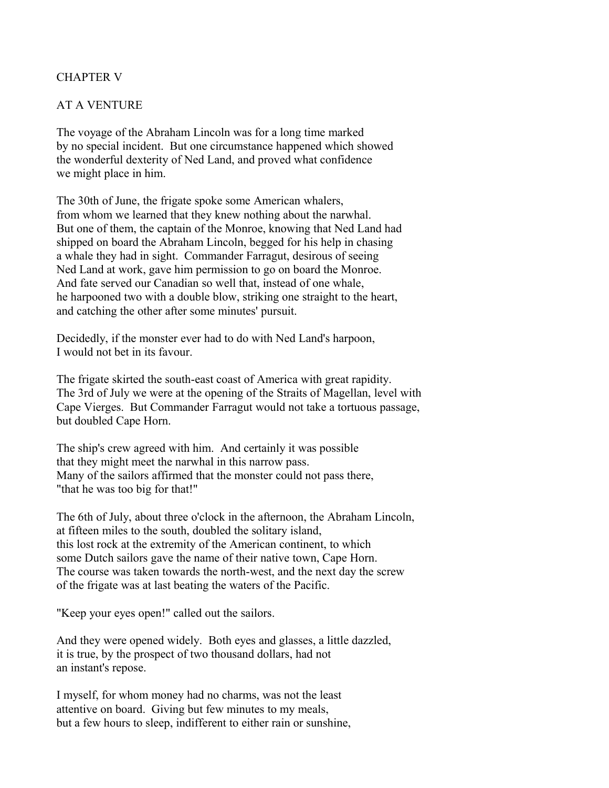# CHAPTER V

## AT A VENTURE

The voyage of the Abraham Lincoln was for a long time marked by no special incident. But one circumstance happened which showed the wonderful dexterity of Ned Land, and proved what confidence we might place in him.

The 30th of June, the frigate spoke some American whalers, from whom we learned that they knew nothing about the narwhal. But one of them, the captain of the Monroe, knowing that Ned Land had shipped on board the Abraham Lincoln, begged for his help in chasing a whale they had in sight. Commander Farragut, desirous of seeing Ned Land at work, gave him permission to go on board the Monroe. And fate served our Canadian so well that, instead of one whale, he harpooned two with a double blow, striking one straight to the heart, and catching the other after some minutes' pursuit.

Decidedly, if the monster ever had to do with Ned Land's harpoon, I would not bet in its favour.

The frigate skirted the south-east coast of America with great rapidity. The 3rd of July we were at the opening of the Straits of Magellan, level with Cape Vierges. But Commander Farragut would not take a tortuous passage, but doubled Cape Horn.

The ship's crew agreed with him. And certainly it was possible that they might meet the narwhal in this narrow pass. Many of the sailors affirmed that the monster could not pass there, "that he was too big for that!"

The 6th of July, about three o'clock in the afternoon, the Abraham Lincoln, at fifteen miles to the south, doubled the solitary island, this lost rock at the extremity of the American continent, to which some Dutch sailors gave the name of their native town, Cape Horn. The course was taken towards the north-west, and the next day the screw of the frigate was at last beating the waters of the Pacific.

"Keep your eyes open!" called out the sailors.

And they were opened widely. Both eyes and glasses, a little dazzled, it is true, by the prospect of two thousand dollars, had not an instant's repose.

I myself, for whom money had no charms, was not the least attentive on board. Giving but few minutes to my meals, but a few hours to sleep, indifferent to either rain or sunshine,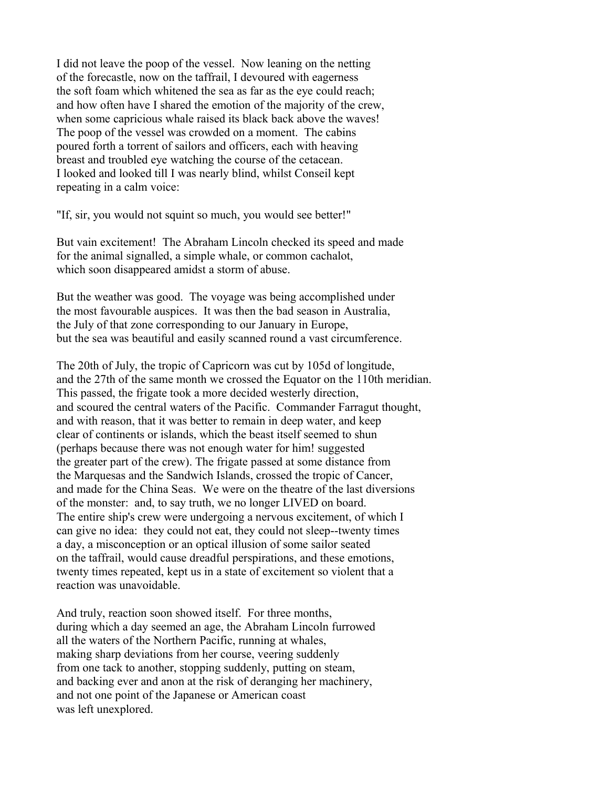I did not leave the poop of the vessel. Now leaning on the netting of the forecastle, now on the taffrail, I devoured with eagerness the soft foam which whitened the sea as far as the eye could reach; and how often have I shared the emotion of the majority of the crew, when some capricious whale raised its black back above the waves! The poop of the vessel was crowded on a moment. The cabins poured forth a torrent of sailors and officers, each with heaving breast and troubled eye watching the course of the cetacean. I looked and looked till I was nearly blind, whilst Conseil kept repeating in a calm voice:

"If, sir, you would not squint so much, you would see better!"

But vain excitement! The Abraham Lincoln checked its speed and made for the animal signalled, a simple whale, or common cachalot, which soon disappeared amidst a storm of abuse.

But the weather was good. The voyage was being accomplished under the most favourable auspices. It was then the bad season in Australia, the July of that zone corresponding to our January in Europe, but the sea was beautiful and easily scanned round a vast circumference.

The 20th of July, the tropic of Capricorn was cut by 105d of longitude, and the 27th of the same month we crossed the Equator on the 110th meridian. This passed, the frigate took a more decided westerly direction, and scoured the central waters of the Pacific. Commander Farragut thought, and with reason, that it was better to remain in deep water, and keep clear of continents or islands, which the beast itself seemed to shun (perhaps because there was not enough water for him! suggested the greater part of the crew). The frigate passed at some distance from the Marquesas and the Sandwich Islands, crossed the tropic of Cancer, and made for the China Seas. We were on the theatre of the last diversions of the monster: and, to say truth, we no longer LIVED on board. The entire ship's crew were undergoing a nervous excitement, of which I can give no idea: they could not eat, they could not sleep--twenty times a day, a misconception or an optical illusion of some sailor seated on the taffrail, would cause dreadful perspirations, and these emotions, twenty times repeated, kept us in a state of excitement so violent that a reaction was unavoidable.

And truly, reaction soon showed itself. For three months, during which a day seemed an age, the Abraham Lincoln furrowed all the waters of the Northern Pacific, running at whales, making sharp deviations from her course, veering suddenly from one tack to another, stopping suddenly, putting on steam, and backing ever and anon at the risk of deranging her machinery, and not one point of the Japanese or American coast was left unexplored.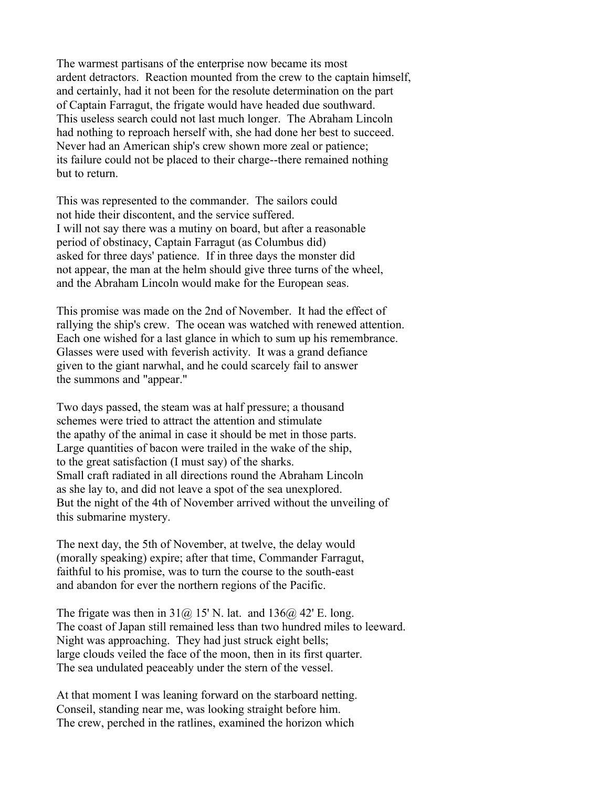The warmest partisans of the enterprise now became its most ardent detractors. Reaction mounted from the crew to the captain himself, and certainly, had it not been for the resolute determination on the part of Captain Farragut, the frigate would have headed due southward. This useless search could not last much longer. The Abraham Lincoln had nothing to reproach herself with, she had done her best to succeed. Never had an American ship's crew shown more zeal or patience; its failure could not be placed to their charge--there remained nothing but to return.

This was represented to the commander. The sailors could not hide their discontent, and the service suffered. I will not say there was a mutiny on board, but after a reasonable period of obstinacy, Captain Farragut (as Columbus did) asked for three days' patience. If in three days the monster did not appear, the man at the helm should give three turns of the wheel, and the Abraham Lincoln would make for the European seas.

This promise was made on the 2nd of November. It had the effect of rallying the ship's crew. The ocean was watched with renewed attention. Each one wished for a last glance in which to sum up his remembrance. Glasses were used with feverish activity. It was a grand defiance given to the giant narwhal, and he could scarcely fail to answer the summons and "appear."

Two days passed, the steam was at half pressure; a thousand schemes were tried to attract the attention and stimulate the apathy of the animal in case it should be met in those parts. Large quantities of bacon were trailed in the wake of the ship, to the great satisfaction (I must say) of the sharks. Small craft radiated in all directions round the Abraham Lincoln as she lay to, and did not leave a spot of the sea unexplored. But the night of the 4th of November arrived without the unveiling of this submarine mystery.

The next day, the 5th of November, at twelve, the delay would (morally speaking) expire; after that time, Commander Farragut, faithful to his promise, was to turn the course to the south-east and abandon for ever the northern regions of the Pacific.

The frigate was then in  $31\omega$ , 15' N. lat. and  $136\omega$ , 42' E. long. The coast of Japan still remained less than two hundred miles to leeward. Night was approaching. They had just struck eight bells; large clouds veiled the face of the moon, then in its first quarter. The sea undulated peaceably under the stern of the vessel.

At that moment I was leaning forward on the starboard netting. Conseil, standing near me, was looking straight before him. The crew, perched in the ratlines, examined the horizon which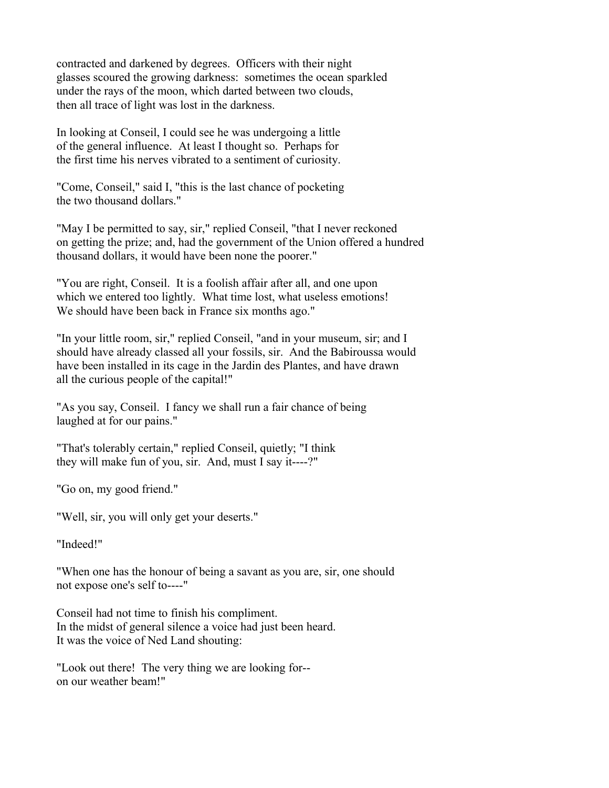contracted and darkened by degrees. Officers with their night glasses scoured the growing darkness: sometimes the ocean sparkled under the rays of the moon, which darted between two clouds, then all trace of light was lost in the darkness.

In looking at Conseil, I could see he was undergoing a little of the general influence. At least I thought so. Perhaps for the first time his nerves vibrated to a sentiment of curiosity.

"Come, Conseil," said I, "this is the last chance of pocketing the two thousand dollars."

"May I be permitted to say, sir," replied Conseil, "that I never reckoned on getting the prize; and, had the government of the Union offered a hundred thousand dollars, it would have been none the poorer."

"You are right, Conseil. It is a foolish affair after all, and one upon which we entered too lightly. What time lost, what useless emotions! We should have been back in France six months ago."

"In your little room, sir," replied Conseil, "and in your museum, sir; and I should have already classed all your fossils, sir. And the Babiroussa would have been installed in its cage in the Jardin des Plantes, and have drawn all the curious people of the capital!"

"As you say, Conseil. I fancy we shall run a fair chance of being laughed at for our pains."

"That's tolerably certain," replied Conseil, quietly; "I think they will make fun of you, sir. And, must I say it----?"

"Go on, my good friend."

"Well, sir, you will only get your deserts."

"Indeed!"

"When one has the honour of being a savant as you are, sir, one should not expose one's self to----"

Conseil had not time to finish his compliment. In the midst of general silence a voice had just been heard. It was the voice of Ned Land shouting:

"Look out there! The very thing we are looking for- on our weather beam!"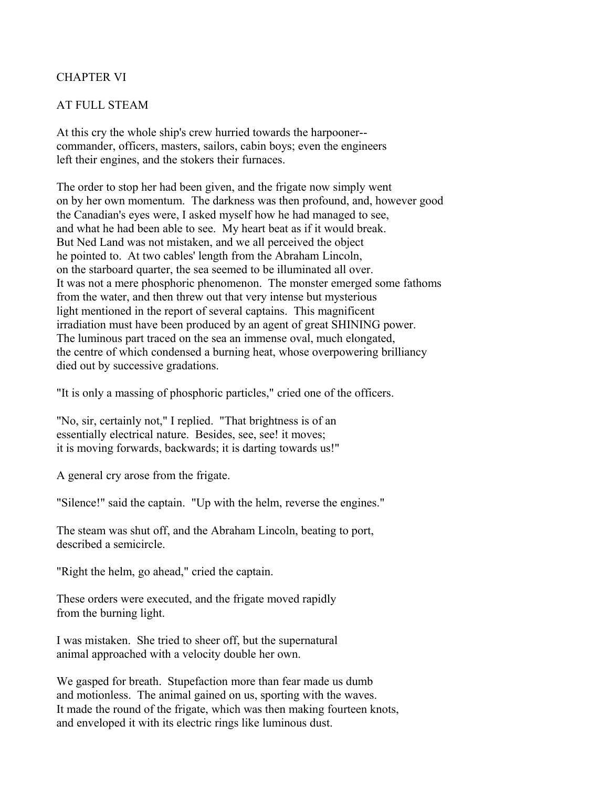# CHAPTER VI

## AT FULL STEAM

At this cry the whole ship's crew hurried towards the harpooner- commander, officers, masters, sailors, cabin boys; even the engineers left their engines, and the stokers their furnaces.

The order to stop her had been given, and the frigate now simply went on by her own momentum. The darkness was then profound, and, however good the Canadian's eyes were, I asked myself how he had managed to see, and what he had been able to see. My heart beat as if it would break. But Ned Land was not mistaken, and we all perceived the object he pointed to. At two cables' length from the Abraham Lincoln, on the starboard quarter, the sea seemed to be illuminated all over. It was not a mere phosphoric phenomenon. The monster emerged some fathoms from the water, and then threw out that very intense but mysterious light mentioned in the report of several captains. This magnificent irradiation must have been produced by an agent of great SHINING power. The luminous part traced on the sea an immense oval, much elongated, the centre of which condensed a burning heat, whose overpowering brilliancy died out by successive gradations.

"It is only a massing of phosphoric particles," cried one of the officers.

"No, sir, certainly not," I replied. "That brightness is of an essentially electrical nature. Besides, see, see! it moves; it is moving forwards, backwards; it is darting towards us!"

A general cry arose from the frigate.

"Silence!" said the captain. "Up with the helm, reverse the engines."

The steam was shut off, and the Abraham Lincoln, beating to port, described a semicircle.

"Right the helm, go ahead," cried the captain.

These orders were executed, and the frigate moved rapidly from the burning light.

I was mistaken. She tried to sheer off, but the supernatural animal approached with a velocity double her own.

We gasped for breath. Stupefaction more than fear made us dumb and motionless. The animal gained on us, sporting with the waves. It made the round of the frigate, which was then making fourteen knots, and enveloped it with its electric rings like luminous dust.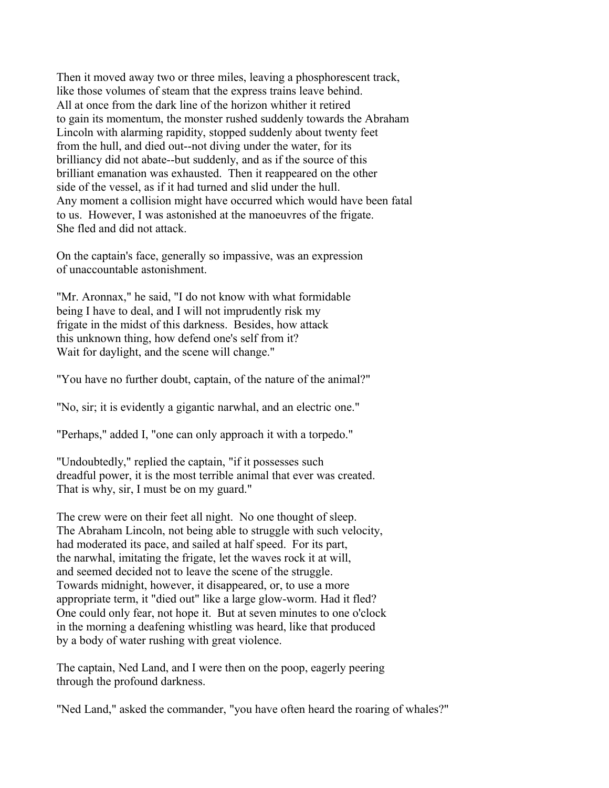Then it moved away two or three miles, leaving a phosphorescent track, like those volumes of steam that the express trains leave behind. All at once from the dark line of the horizon whither it retired to gain its momentum, the monster rushed suddenly towards the Abraham Lincoln with alarming rapidity, stopped suddenly about twenty feet from the hull, and died out--not diving under the water, for its brilliancy did not abate--but suddenly, and as if the source of this brilliant emanation was exhausted. Then it reappeared on the other side of the vessel, as if it had turned and slid under the hull. Any moment a collision might have occurred which would have been fatal to us. However, I was astonished at the manoeuvres of the frigate. She fled and did not attack.

On the captain's face, generally so impassive, was an expression of unaccountable astonishment.

"Mr. Aronnax," he said, "I do not know with what formidable being I have to deal, and I will not imprudently risk my frigate in the midst of this darkness. Besides, how attack this unknown thing, how defend one's self from it? Wait for daylight, and the scene will change."

"You have no further doubt, captain, of the nature of the animal?"

"No, sir; it is evidently a gigantic narwhal, and an electric one."

"Perhaps," added I, "one can only approach it with a torpedo."

"Undoubtedly," replied the captain, "if it possesses such dreadful power, it is the most terrible animal that ever was created. That is why, sir, I must be on my guard."

The crew were on their feet all night. No one thought of sleep. The Abraham Lincoln, not being able to struggle with such velocity, had moderated its pace, and sailed at half speed. For its part, the narwhal, imitating the frigate, let the waves rock it at will, and seemed decided not to leave the scene of the struggle. Towards midnight, however, it disappeared, or, to use a more appropriate term, it "died out" like a large glow-worm. Had it fled? One could only fear, not hope it. But at seven minutes to one o'clock in the morning a deafening whistling was heard, like that produced by a body of water rushing with great violence.

The captain, Ned Land, and I were then on the poop, eagerly peering through the profound darkness.

"Ned Land," asked the commander, "you have often heard the roaring of whales?"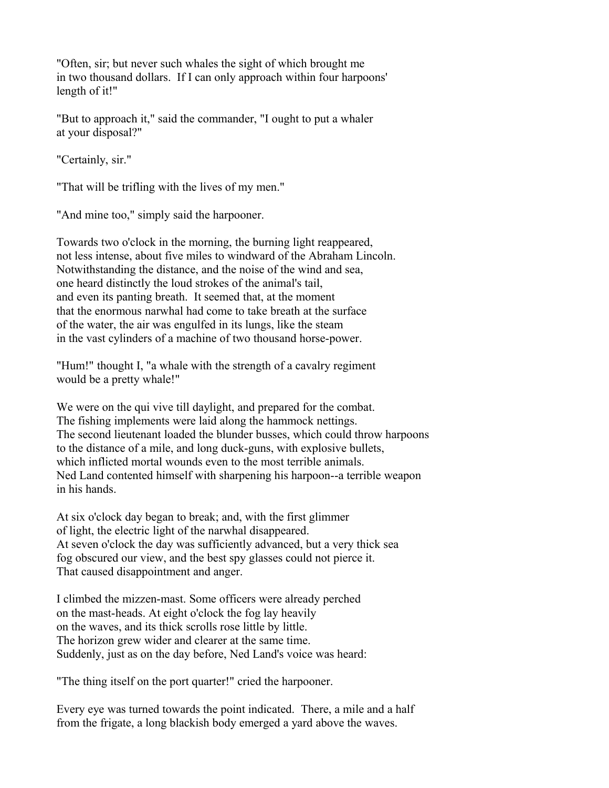"Often, sir; but never such whales the sight of which brought me in two thousand dollars. If I can only approach within four harpoons' length of it!"

"But to approach it," said the commander, "I ought to put a whaler at your disposal?"

"Certainly, sir."

"That will be trifling with the lives of my men."

"And mine too," simply said the harpooner.

Towards two o'clock in the morning, the burning light reappeared, not less intense, about five miles to windward of the Abraham Lincoln. Notwithstanding the distance, and the noise of the wind and sea, one heard distinctly the loud strokes of the animal's tail, and even its panting breath. It seemed that, at the moment that the enormous narwhal had come to take breath at the surface of the water, the air was engulfed in its lungs, like the steam in the vast cylinders of a machine of two thousand horse-power.

"Hum!" thought I, "a whale with the strength of a cavalry regiment would be a pretty whale!"

We were on the qui vive till daylight, and prepared for the combat. The fishing implements were laid along the hammock nettings. The second lieutenant loaded the blunder busses, which could throw harpoons to the distance of a mile, and long duck-guns, with explosive bullets, which inflicted mortal wounds even to the most terrible animals. Ned Land contented himself with sharpening his harpoon--a terrible weapon in his hands.

At six o'clock day began to break; and, with the first glimmer of light, the electric light of the narwhal disappeared. At seven o'clock the day was sufficiently advanced, but a very thick sea fog obscured our view, and the best spy glasses could not pierce it. That caused disappointment and anger.

I climbed the mizzen-mast. Some officers were already perched on the mast-heads. At eight o'clock the fog lay heavily on the waves, and its thick scrolls rose little by little. The horizon grew wider and clearer at the same time. Suddenly, just as on the day before, Ned Land's voice was heard:

"The thing itself on the port quarter!" cried the harpooner.

Every eye was turned towards the point indicated. There, a mile and a half from the frigate, a long blackish body emerged a yard above the waves.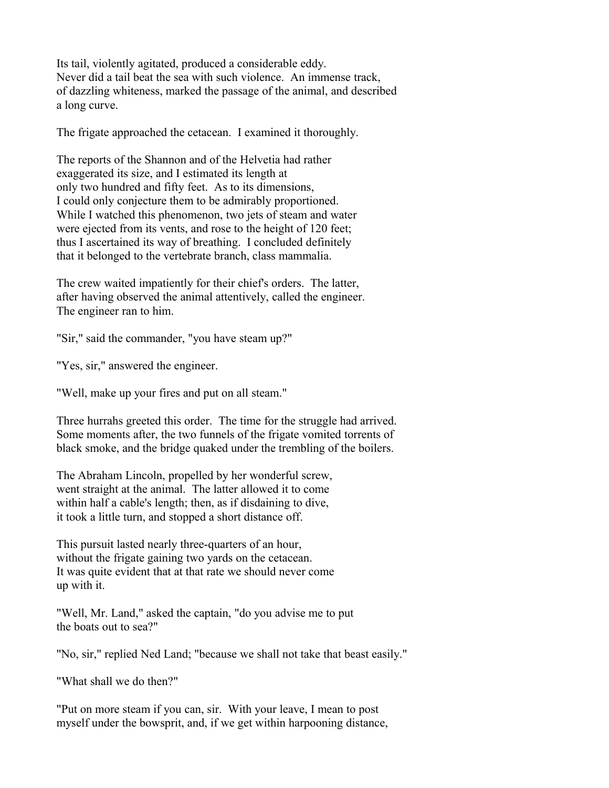Its tail, violently agitated, produced a considerable eddy. Never did a tail beat the sea with such violence. An immense track, of dazzling whiteness, marked the passage of the animal, and described a long curve.

The frigate approached the cetacean. I examined it thoroughly.

The reports of the Shannon and of the Helvetia had rather exaggerated its size, and I estimated its length at only two hundred and fifty feet. As to its dimensions, I could only conjecture them to be admirably proportioned. While I watched this phenomenon, two jets of steam and water were ejected from its vents, and rose to the height of 120 feet; thus I ascertained its way of breathing. I concluded definitely that it belonged to the vertebrate branch, class mammalia.

The crew waited impatiently for their chief's orders. The latter, after having observed the animal attentively, called the engineer. The engineer ran to him.

"Sir," said the commander, "you have steam up?"

"Yes, sir," answered the engineer.

"Well, make up your fires and put on all steam."

Three hurrahs greeted this order. The time for the struggle had arrived. Some moments after, the two funnels of the frigate vomited torrents of black smoke, and the bridge quaked under the trembling of the boilers.

The Abraham Lincoln, propelled by her wonderful screw, went straight at the animal. The latter allowed it to come within half a cable's length; then, as if disdaining to dive, it took a little turn, and stopped a short distance off.

This pursuit lasted nearly three-quarters of an hour, without the frigate gaining two yards on the cetacean. It was quite evident that at that rate we should never come up with it.

"Well, Mr. Land," asked the captain, "do you advise me to put the boats out to sea?"

"No, sir," replied Ned Land; "because we shall not take that beast easily."

"What shall we do then?"

"Put on more steam if you can, sir. With your leave, I mean to post myself under the bowsprit, and, if we get within harpooning distance,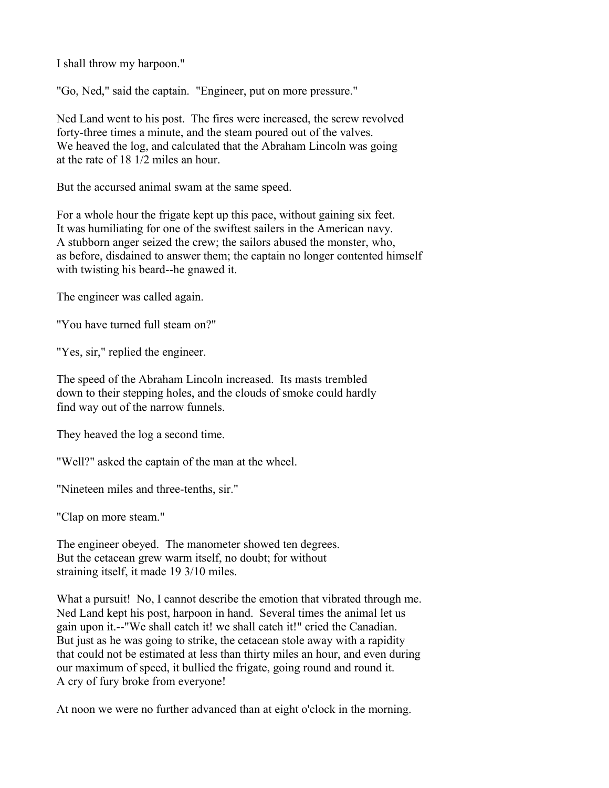I shall throw my harpoon."

"Go, Ned," said the captain. "Engineer, put on more pressure."

Ned Land went to his post. The fires were increased, the screw revolved forty-three times a minute, and the steam poured out of the valves. We heaved the log, and calculated that the Abraham Lincoln was going at the rate of 18 1/2 miles an hour.

But the accursed animal swam at the same speed.

For a whole hour the frigate kept up this pace, without gaining six feet. It was humiliating for one of the swiftest sailers in the American navy. A stubborn anger seized the crew; the sailors abused the monster, who, as before, disdained to answer them; the captain no longer contented himself with twisting his beard--he gnawed it.

The engineer was called again.

"You have turned full steam on?"

"Yes, sir," replied the engineer.

The speed of the Abraham Lincoln increased. Its masts trembled down to their stepping holes, and the clouds of smoke could hardly find way out of the narrow funnels.

They heaved the log a second time.

"Well?" asked the captain of the man at the wheel.

"Nineteen miles and three-tenths, sir."

"Clap on more steam."

The engineer obeyed. The manometer showed ten degrees. But the cetacean grew warm itself, no doubt; for without straining itself, it made 19 3/10 miles.

What a pursuit! No, I cannot describe the emotion that vibrated through me. Ned Land kept his post, harpoon in hand. Several times the animal let us gain upon it.--"We shall catch it! we shall catch it!" cried the Canadian. But just as he was going to strike, the cetacean stole away with a rapidity that could not be estimated at less than thirty miles an hour, and even during our maximum of speed, it bullied the frigate, going round and round it. A cry of fury broke from everyone!

At noon we were no further advanced than at eight o'clock in the morning.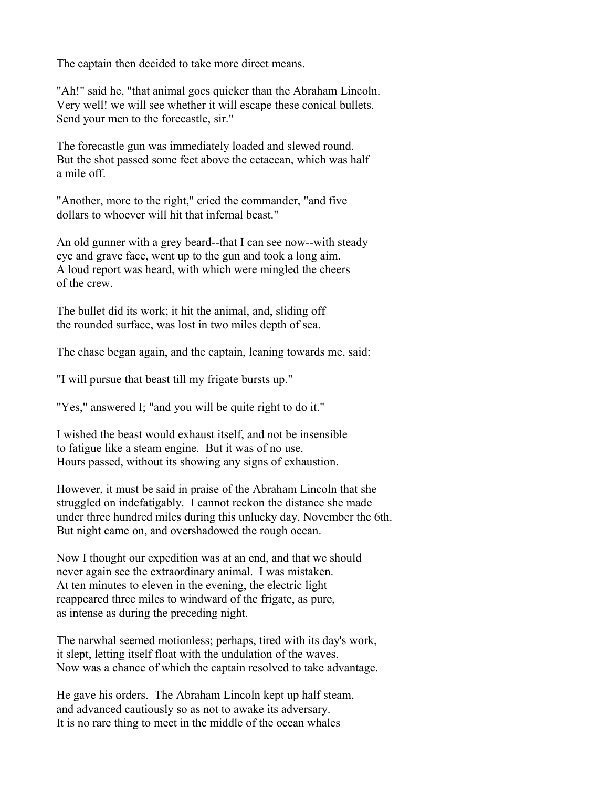The captain then decided to take more direct means.

"Ah!" said he, "that animal goes quicker than the Abraham Lincoln. Very well! we will see whether it will escape these conical bullets. Send your men to the forecastle, sir."

The forecastle gun was immediately loaded and slewed round. But the shot passed some feet above the cetacean, which was half a mile off.

"Another, more to the right," cried the commander, "and five dollars to whoever will hit that infernal beast."

An old gunner with a grey beard--that I can see now--with steady eye and grave face, went up to the gun and took a long aim. A loud report was heard, with which were mingled the cheers of the crew.

The bullet did its work; it hit the animal, and, sliding off the rounded surface, was lost in two miles depth of sea.

The chase began again, and the captain, leaning towards me, said:

"I will pursue that beast till my frigate bursts up."

"Yes," answered I; "and you will be quite right to do it."

I wished the beast would exhaust itself, and not be insensible to fatigue like a steam engine. But it was of no use. Hours passed, without its showing any signs of exhaustion.

However, it must be said in praise of the Abraham Lincoln that she struggled on indefatigably. I cannot reckon the distance she made under three hundred miles during this unlucky day, November the 6th. But night came on, and overshadowed the rough ocean.

Now I thought our expedition was at an end, and that we should never again see the extraordinary animal. I was mistaken. At ten minutes to eleven in the evening, the electric light reappeared three miles to windward of the frigate, as pure, as intense as during the preceding night.

The narwhal seemed motionless; perhaps, tired with its day's work, it slept, letting itself float with the undulation of the waves. Now was a chance of which the captain resolved to take advantage.

He gave his orders. The Abraham Lincoln kept up half steam, and advanced cautiously so as not to awake its adversary. It is no rare thing to meet in the middle of the ocean whales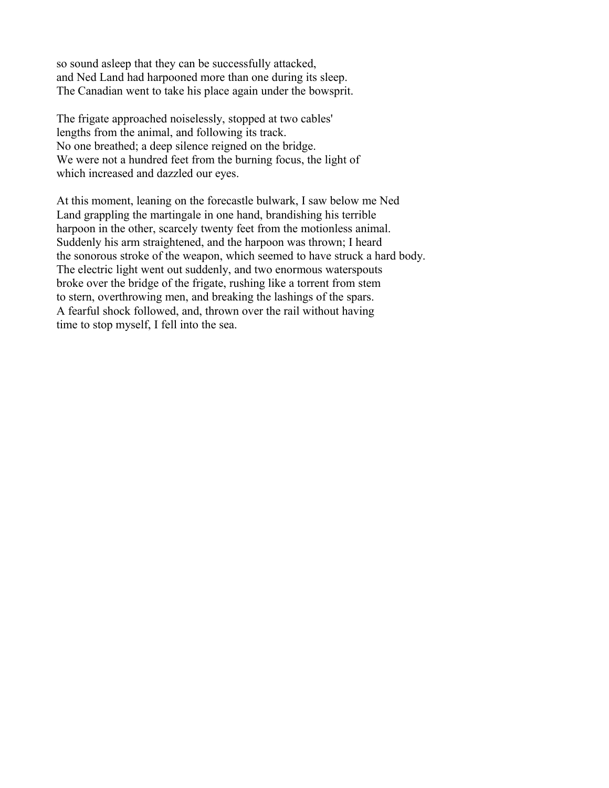so sound asleep that they can be successfully attacked, and Ned Land had harpooned more than one during its sleep. The Canadian went to take his place again under the bowsprit.

The frigate approached noiselessly, stopped at two cables' lengths from the animal, and following its track. No one breathed; a deep silence reigned on the bridge. We were not a hundred feet from the burning focus, the light of which increased and dazzled our eyes.

At this moment, leaning on the forecastle bulwark, I saw below me Ned Land grappling the martingale in one hand, brandishing his terrible harpoon in the other, scarcely twenty feet from the motionless animal. Suddenly his arm straightened, and the harpoon was thrown; I heard the sonorous stroke of the weapon, which seemed to have struck a hard body. The electric light went out suddenly, and two enormous waterspouts broke over the bridge of the frigate, rushing like a torrent from stem to stern, overthrowing men, and breaking the lashings of the spars. A fearful shock followed, and, thrown over the rail without having time to stop myself, I fell into the sea.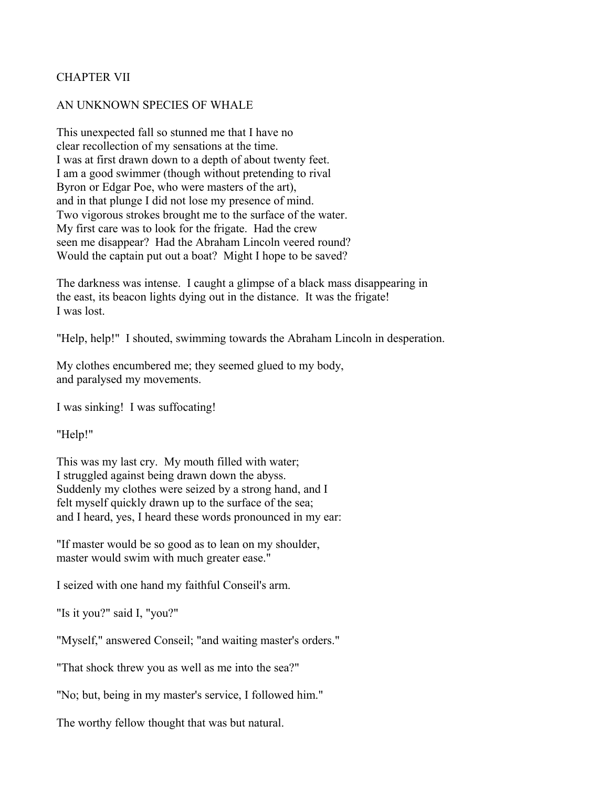# CHAPTER VII

### AN UNKNOWN SPECIES OF WHALE

This unexpected fall so stunned me that I have no clear recollection of my sensations at the time. I was at first drawn down to a depth of about twenty feet. I am a good swimmer (though without pretending to rival Byron or Edgar Poe, who were masters of the art), and in that plunge I did not lose my presence of mind. Two vigorous strokes brought me to the surface of the water. My first care was to look for the frigate. Had the crew seen me disappear? Had the Abraham Lincoln veered round? Would the captain put out a boat? Might I hope to be saved?

The darkness was intense. I caught a glimpse of a black mass disappearing in the east, its beacon lights dying out in the distance. It was the frigate! I was lost.

"Help, help!" I shouted, swimming towards the Abraham Lincoln in desperation.

My clothes encumbered me; they seemed glued to my body, and paralysed my movements.

I was sinking! I was suffocating!

"Help!"

This was my last cry. My mouth filled with water; I struggled against being drawn down the abyss. Suddenly my clothes were seized by a strong hand, and I felt myself quickly drawn up to the surface of the sea; and I heard, yes, I heard these words pronounced in my ear:

"If master would be so good as to lean on my shoulder, master would swim with much greater ease."

I seized with one hand my faithful Conseil's arm.

"Is it you?" said I, "you?"

"Myself," answered Conseil; "and waiting master's orders."

"That shock threw you as well as me into the sea?"

"No; but, being in my master's service, I followed him."

The worthy fellow thought that was but natural.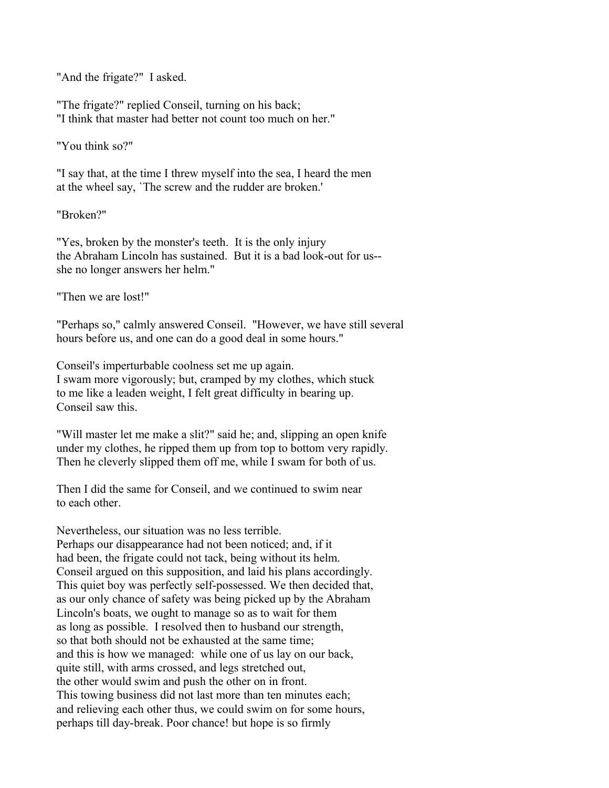"And the frigate?" I asked.

"The frigate?" replied Conseil, turning on his back; "I think that master had better not count too much on her."

"You think so?"

"I say that, at the time I threw myself into the sea, I heard the men at the wheel say, `The screw and the rudder are broken.'

"Broken?"

"Yes, broken by the monster's teeth. It is the only injury the Abraham Lincoln has sustained. But it is a bad look-out for us- she no longer answers her helm."

"Then we are lost!"

"Perhaps so," calmly answered Conseil. "However, we have still several hours before us, and one can do a good deal in some hours."

Conseil's imperturbable coolness set me up again. I swam more vigorously; but, cramped by my clothes, which stuck to me like a leaden weight, I felt great difficulty in bearing up. Conseil saw this.

"Will master let me make a slit?" said he; and, slipping an open knife under my clothes, he ripped them up from top to bottom very rapidly. Then he cleverly slipped them off me, while I swam for both of us.

Then I did the same for Conseil, and we continued to swim near to each other.

Nevertheless, our situation was no less terrible. Perhaps our disappearance had not been noticed; and, if it had been, the frigate could not tack, being without its helm. Conseil argued on this supposition, and laid his plans accordingly. This quiet boy was perfectly self-possessed. We then decided that, as our only chance of safety was being picked up by the Abraham Lincoln's boats, we ought to manage so as to wait for them as long as possible. I resolved then to husband our strength, so that both should not be exhausted at the same time; and this is how we managed: while one of us lay on our back, quite still, with arms crossed, and legs stretched out, the other would swim and push the other on in front. This towing business did not last more than ten minutes each; and relieving each other thus, we could swim on for some hours, perhaps till day-break. Poor chance! but hope is so firmly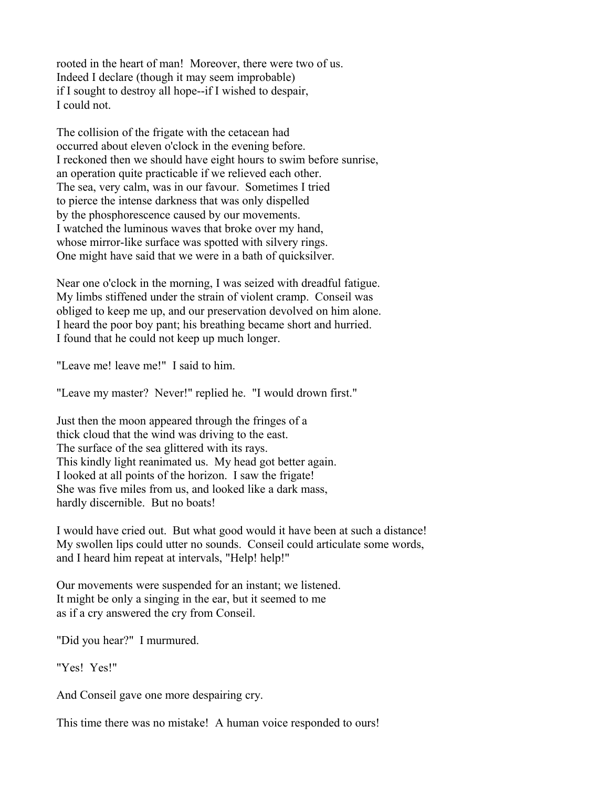rooted in the heart of man! Moreover, there were two of us. Indeed I declare (though it may seem improbable) if I sought to destroy all hope--if I wished to despair, I could not.

The collision of the frigate with the cetacean had occurred about eleven o'clock in the evening before. I reckoned then we should have eight hours to swim before sunrise, an operation quite practicable if we relieved each other. The sea, very calm, was in our favour. Sometimes I tried to pierce the intense darkness that was only dispelled by the phosphorescence caused by our movements. I watched the luminous waves that broke over my hand, whose mirror-like surface was spotted with silvery rings. One might have said that we were in a bath of quicksilver.

Near one o'clock in the morning, I was seized with dreadful fatigue. My limbs stiffened under the strain of violent cramp. Conseil was obliged to keep me up, and our preservation devolved on him alone. I heard the poor boy pant; his breathing became short and hurried. I found that he could not keep up much longer.

"Leave me! leave me!" I said to him.

"Leave my master? Never!" replied he. "I would drown first."

Just then the moon appeared through the fringes of a thick cloud that the wind was driving to the east. The surface of the sea glittered with its rays. This kindly light reanimated us. My head got better again. I looked at all points of the horizon. I saw the frigate! She was five miles from us, and looked like a dark mass, hardly discernible. But no boats!

I would have cried out. But what good would it have been at such a distance! My swollen lips could utter no sounds. Conseil could articulate some words, and I heard him repeat at intervals, "Help! help!"

Our movements were suspended for an instant; we listened. It might be only a singing in the ear, but it seemed to me as if a cry answered the cry from Conseil.

"Did you hear?" I murmured.

"Yes! Yes!"

And Conseil gave one more despairing cry.

This time there was no mistake! A human voice responded to ours!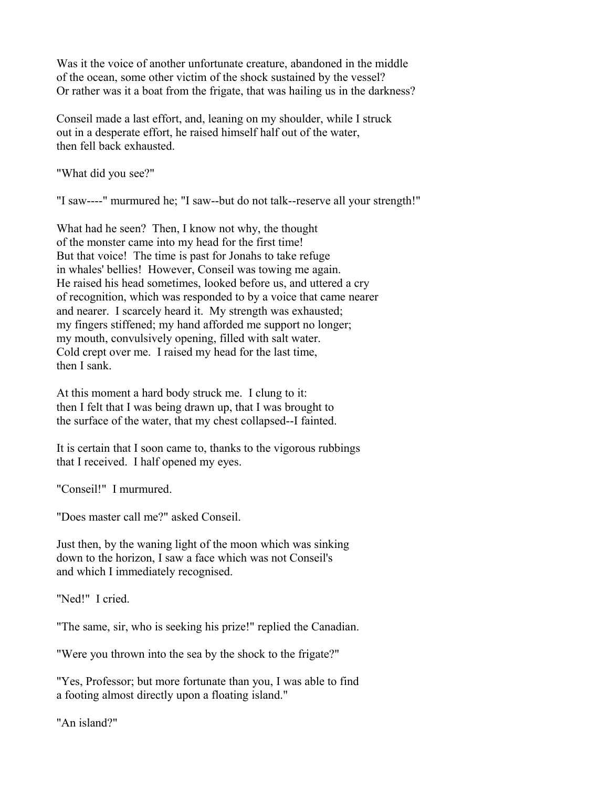Was it the voice of another unfortunate creature, abandoned in the middle of the ocean, some other victim of the shock sustained by the vessel? Or rather was it a boat from the frigate, that was hailing us in the darkness?

Conseil made a last effort, and, leaning on my shoulder, while I struck out in a desperate effort, he raised himself half out of the water, then fell back exhausted.

"What did you see?"

"I saw----" murmured he; "I saw--but do not talk--reserve all your strength!"

What had he seen? Then, I know not why, the thought of the monster came into my head for the first time! But that voice! The time is past for Jonahs to take refuge in whales' bellies! However, Conseil was towing me again. He raised his head sometimes, looked before us, and uttered a cry of recognition, which was responded to by a voice that came nearer and nearer. I scarcely heard it. My strength was exhausted; my fingers stiffened; my hand afforded me support no longer; my mouth, convulsively opening, filled with salt water. Cold crept over me. I raised my head for the last time, then I sank.

At this moment a hard body struck me. I clung to it: then I felt that I was being drawn up, that I was brought to the surface of the water, that my chest collapsed--I fainted.

It is certain that I soon came to, thanks to the vigorous rubbings that I received. I half opened my eyes.

"Conseil!" I murmured.

"Does master call me?" asked Conseil.

Just then, by the waning light of the moon which was sinking down to the horizon, I saw a face which was not Conseil's and which I immediately recognised.

"Ned!" I cried.

"The same, sir, who is seeking his prize!" replied the Canadian.

"Were you thrown into the sea by the shock to the frigate?"

"Yes, Professor; but more fortunate than you, I was able to find a footing almost directly upon a floating island."

"An island?"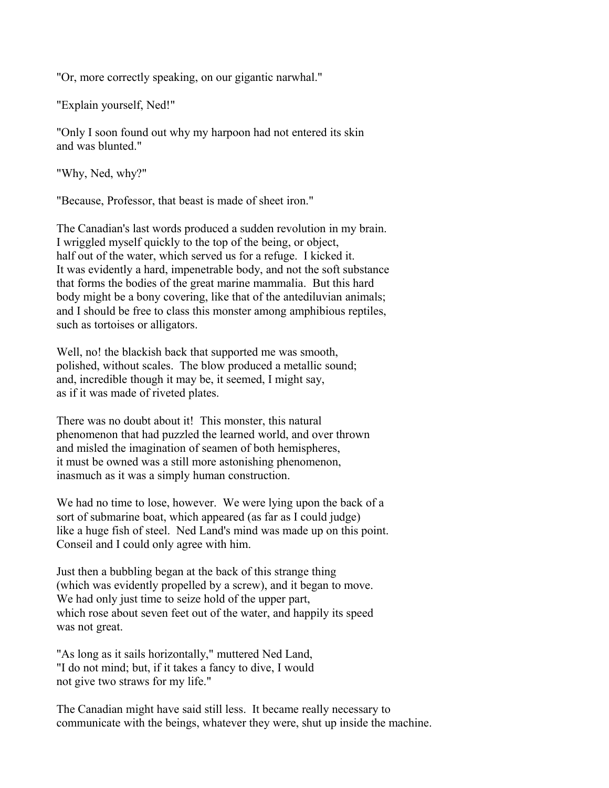"Or, more correctly speaking, on our gigantic narwhal."

"Explain yourself, Ned!"

"Only I soon found out why my harpoon had not entered its skin and was blunted."

"Why, Ned, why?"

"Because, Professor, that beast is made of sheet iron."

The Canadian's last words produced a sudden revolution in my brain. I wriggled myself quickly to the top of the being, or object, half out of the water, which served us for a refuge. I kicked it. It was evidently a hard, impenetrable body, and not the soft substance that forms the bodies of the great marine mammalia. But this hard body might be a bony covering, like that of the antediluvian animals; and I should be free to class this monster among amphibious reptiles, such as tortoises or alligators.

Well, no! the blackish back that supported me was smooth, polished, without scales. The blow produced a metallic sound; and, incredible though it may be, it seemed, I might say, as if it was made of riveted plates.

There was no doubt about it! This monster, this natural phenomenon that had puzzled the learned world, and over thrown and misled the imagination of seamen of both hemispheres, it must be owned was a still more astonishing phenomenon, inasmuch as it was a simply human construction.

We had no time to lose, however. We were lying upon the back of a sort of submarine boat, which appeared (as far as I could judge) like a huge fish of steel. Ned Land's mind was made up on this point. Conseil and I could only agree with him.

Just then a bubbling began at the back of this strange thing (which was evidently propelled by a screw), and it began to move. We had only just time to seize hold of the upper part, which rose about seven feet out of the water, and happily its speed was not great.

"As long as it sails horizontally," muttered Ned Land, "I do not mind; but, if it takes a fancy to dive, I would not give two straws for my life."

The Canadian might have said still less. It became really necessary to communicate with the beings, whatever they were, shut up inside the machine.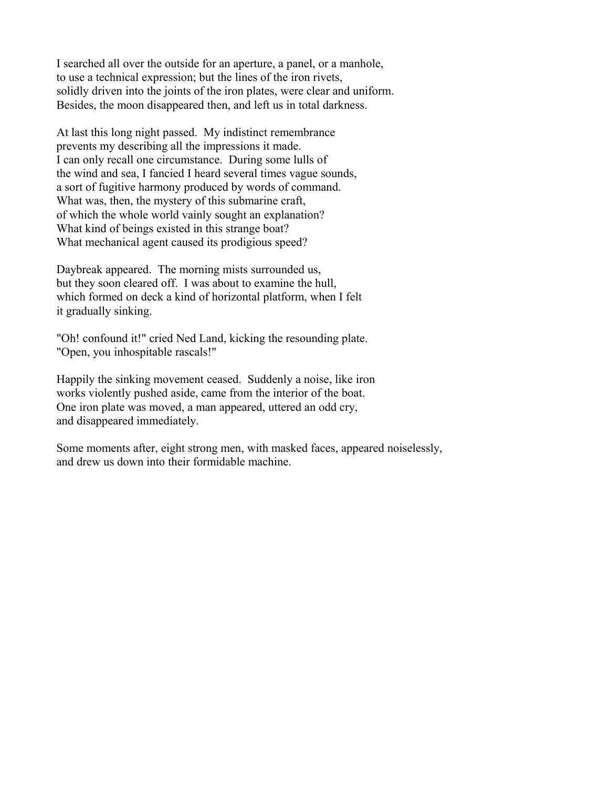I searched all over the outside for an aperture, a panel, or a manhole, to use a technical expression; but the lines of the iron rivets, solidly driven into the joints of the iron plates, were clear and uniform. Besides, the moon disappeared then, and left us in total darkness.

At last this long night passed. My indistinct remembrance prevents my describing all the impressions it made. I can only recall one circumstance. During some lulls of the wind and sea, I fancied I heard several times vague sounds, a sort of fugitive harmony produced by words of command. What was, then, the mystery of this submarine craft, of which the whole world vainly sought an explanation? What kind of beings existed in this strange boat? What mechanical agent caused its prodigious speed?

Daybreak appeared. The morning mists surrounded us, but they soon cleared off. I was about to examine the hull, which formed on deck a kind of horizontal platform, when I felt it gradually sinking.

"Oh! confound it!" cried Ned Land, kicking the resounding plate. "Open, you inhospitable rascals!"

Happily the sinking movement ceased. Suddenly a noise, like iron works violently pushed aside, came from the interior of the boat. One iron plate was moved, a man appeared, uttered an odd cry, and disappeared immediately.

Some moments after, eight strong men, with masked faces, appeared noiselessly, and drew us down into their formidable machine.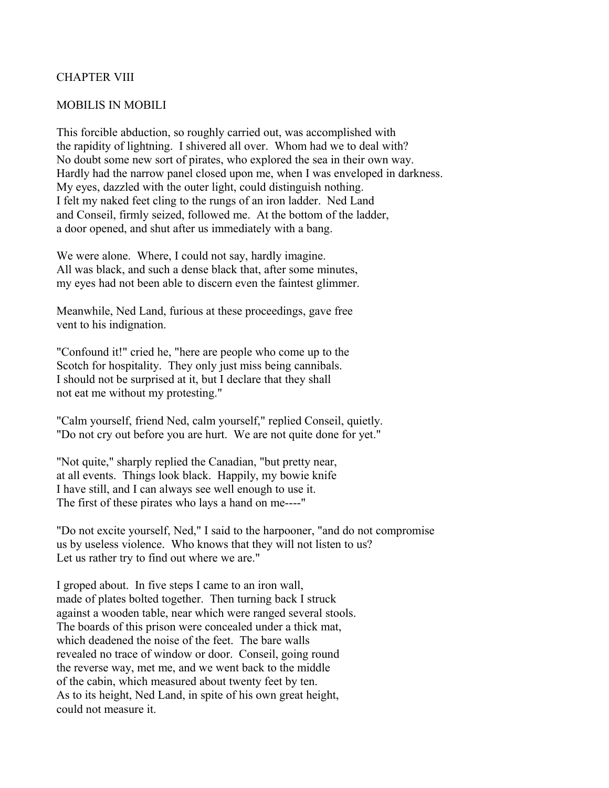### CHAPTER VIII

#### MOBILIS IN MOBILI

This forcible abduction, so roughly carried out, was accomplished with the rapidity of lightning. I shivered all over. Whom had we to deal with? No doubt some new sort of pirates, who explored the sea in their own way. Hardly had the narrow panel closed upon me, when I was enveloped in darkness. My eyes, dazzled with the outer light, could distinguish nothing. I felt my naked feet cling to the rungs of an iron ladder. Ned Land and Conseil, firmly seized, followed me. At the bottom of the ladder, a door opened, and shut after us immediately with a bang.

We were alone. Where, I could not say, hardly imagine. All was black, and such a dense black that, after some minutes, my eyes had not been able to discern even the faintest glimmer.

Meanwhile, Ned Land, furious at these proceedings, gave free vent to his indignation.

"Confound it!" cried he, "here are people who come up to the Scotch for hospitality. They only just miss being cannibals. I should not be surprised at it, but I declare that they shall not eat me without my protesting."

"Calm yourself, friend Ned, calm yourself," replied Conseil, quietly. "Do not cry out before you are hurt. We are not quite done for yet."

"Not quite," sharply replied the Canadian, "but pretty near, at all events. Things look black. Happily, my bowie knife I have still, and I can always see well enough to use it. The first of these pirates who lays a hand on me----"

"Do not excite yourself, Ned," I said to the harpooner, "and do not compromise us by useless violence. Who knows that they will not listen to us? Let us rather try to find out where we are."

I groped about. In five steps I came to an iron wall, made of plates bolted together. Then turning back I struck against a wooden table, near which were ranged several stools. The boards of this prison were concealed under a thick mat, which deadened the noise of the feet. The bare walls revealed no trace of window or door. Conseil, going round the reverse way, met me, and we went back to the middle of the cabin, which measured about twenty feet by ten. As to its height, Ned Land, in spite of his own great height, could not measure it.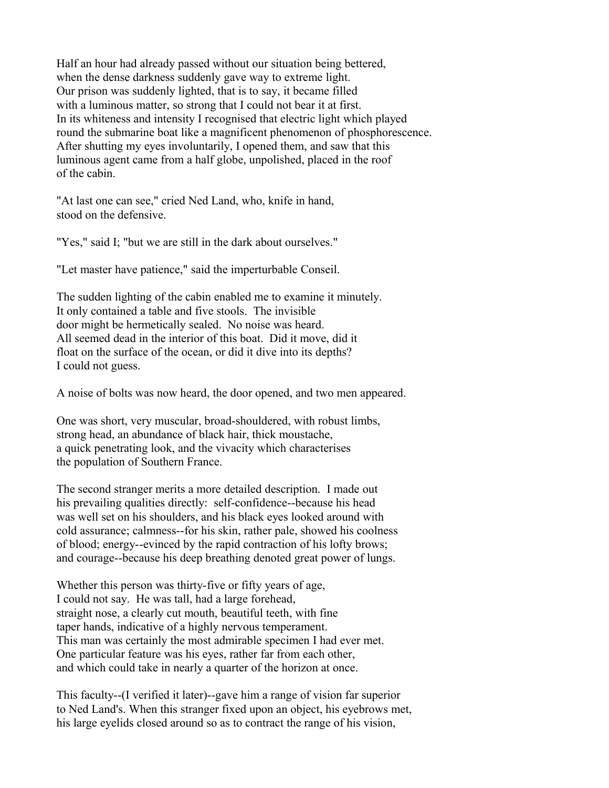Half an hour had already passed without our situation being bettered, when the dense darkness suddenly gave way to extreme light. Our prison was suddenly lighted, that is to say, it became filled with a luminous matter, so strong that I could not bear it at first. In its whiteness and intensity I recognised that electric light which played round the submarine boat like a magnificent phenomenon of phosphorescence. After shutting my eyes involuntarily, I opened them, and saw that this luminous agent came from a half globe, unpolished, placed in the roof of the cabin.

"At last one can see," cried Ned Land, who, knife in hand, stood on the defensive.

"Yes," said I; "but we are still in the dark about ourselves."

"Let master have patience," said the imperturbable Conseil.

The sudden lighting of the cabin enabled me to examine it minutely. It only contained a table and five stools. The invisible door might be hermetically sealed. No noise was heard. All seemed dead in the interior of this boat. Did it move, did it float on the surface of the ocean, or did it dive into its depths? I could not guess.

A noise of bolts was now heard, the door opened, and two men appeared.

One was short, very muscular, broad-shouldered, with robust limbs, strong head, an abundance of black hair, thick moustache, a quick penetrating look, and the vivacity which characterises the population of Southern France.

The second stranger merits a more detailed description. I made out his prevailing qualities directly: self-confidence--because his head was well set on his shoulders, and his black eyes looked around with cold assurance; calmness--for his skin, rather pale, showed his coolness of blood; energy--evinced by the rapid contraction of his lofty brows; and courage--because his deep breathing denoted great power of lungs.

Whether this person was thirty-five or fifty years of age, I could not say. He was tall, had a large forehead, straight nose, a clearly cut mouth, beautiful teeth, with fine taper hands, indicative of a highly nervous temperament. This man was certainly the most admirable specimen I had ever met. One particular feature was his eyes, rather far from each other, and which could take in nearly a quarter of the horizon at once.

This faculty--(I verified it later)--gave him a range of vision far superior to Ned Land's. When this stranger fixed upon an object, his eyebrows met, his large eyelids closed around so as to contract the range of his vision,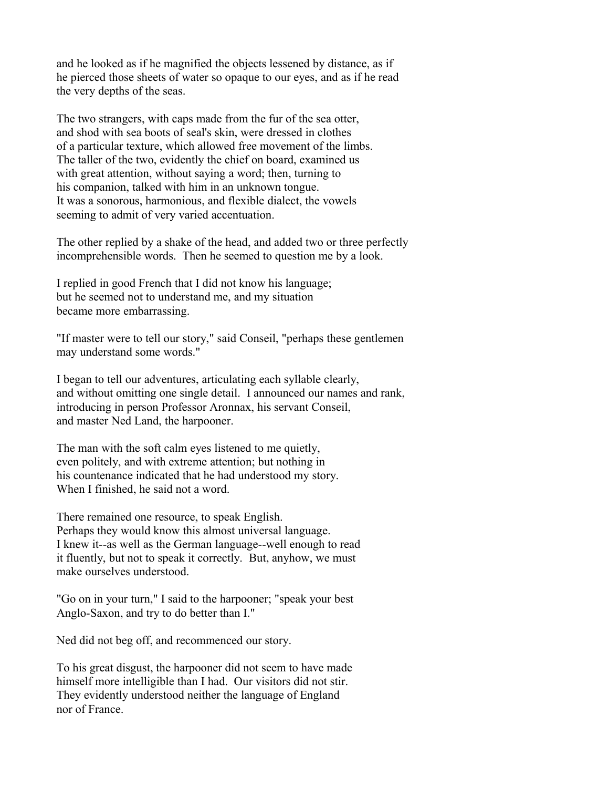and he looked as if he magnified the objects lessened by distance, as if he pierced those sheets of water so opaque to our eyes, and as if he read the very depths of the seas.

The two strangers, with caps made from the fur of the sea otter, and shod with sea boots of seal's skin, were dressed in clothes of a particular texture, which allowed free movement of the limbs. The taller of the two, evidently the chief on board, examined us with great attention, without saying a word; then, turning to his companion, talked with him in an unknown tongue. It was a sonorous, harmonious, and flexible dialect, the vowels seeming to admit of very varied accentuation.

The other replied by a shake of the head, and added two or three perfectly incomprehensible words. Then he seemed to question me by a look.

I replied in good French that I did not know his language; but he seemed not to understand me, and my situation became more embarrassing.

"If master were to tell our story," said Conseil, "perhaps these gentlemen may understand some words."

I began to tell our adventures, articulating each syllable clearly, and without omitting one single detail. I announced our names and rank, introducing in person Professor Aronnax, his servant Conseil, and master Ned Land, the harpooner.

The man with the soft calm eyes listened to me quietly, even politely, and with extreme attention; but nothing in his countenance indicated that he had understood my story. When I finished, he said not a word.

There remained one resource, to speak English. Perhaps they would know this almost universal language. I knew it--as well as the German language--well enough to read it fluently, but not to speak it correctly. But, anyhow, we must make ourselves understood.

"Go on in your turn," I said to the harpooner; "speak your best Anglo-Saxon, and try to do better than I."

Ned did not beg off, and recommenced our story.

To his great disgust, the harpooner did not seem to have made himself more intelligible than I had. Our visitors did not stir. They evidently understood neither the language of England nor of France.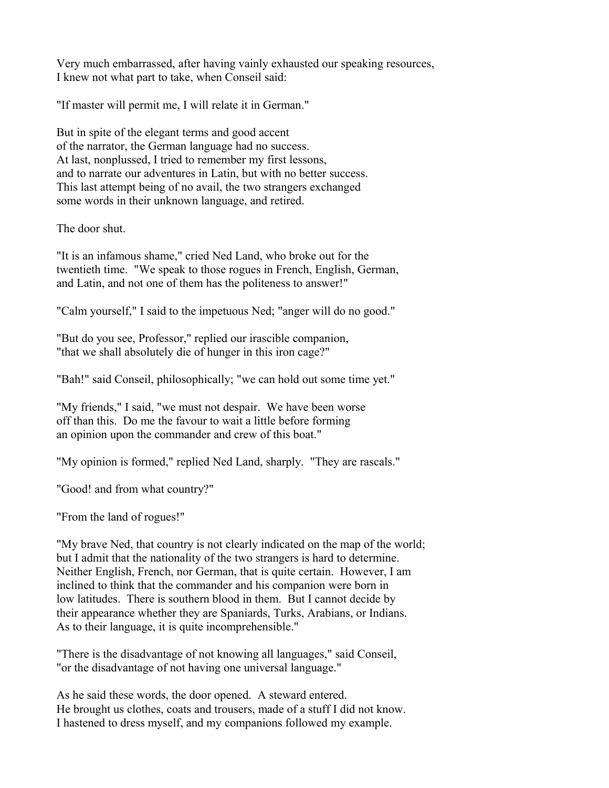Very much embarrassed, after having vainly exhausted our speaking resources, I knew not what part to take, when Conseil said:

"If master will permit me, I will relate it in German."

But in spite of the elegant terms and good accent of the narrator, the German language had no success. At last, nonplussed, I tried to remember my first lessons, and to narrate our adventures in Latin, but with no better success. This last attempt being of no avail, the two strangers exchanged some words in their unknown language, and retired.

The door shut.

"It is an infamous shame," cried Ned Land, who broke out for the twentieth time. "We speak to those rogues in French, English, German, and Latin, and not one of them has the politeness to answer!"

"Calm yourself," I said to the impetuous Ned; "anger will do no good."

"But do you see, Professor," replied our irascible companion, "that we shall absolutely die of hunger in this iron cage?"

"Bah!" said Conseil, philosophically; "we can hold out some time yet."

"My friends," I said, "we must not despair. We have been worse off than this. Do me the favour to wait a little before forming an opinion upon the commander and crew of this boat."

"My opinion is formed," replied Ned Land, sharply. "They are rascals."

"Good! and from what country?"

"From the land of rogues!"

"My brave Ned, that country is not clearly indicated on the map of the world; but I admit that the nationality of the two strangers is hard to determine. Neither English, French, nor German, that is quite certain. However, I am inclined to think that the commander and his companion were born in low latitudes. There is southern blood in them. But I cannot decide by their appearance whether they are Spaniards, Turks, Arabians, or Indians. As to their language, it is quite incomprehensible."

"There is the disadvantage of not knowing all languages," said Conseil, "or the disadvantage of not having one universal language."

As he said these words, the door opened. A steward entered. He brought us clothes, coats and trousers, made of a stuff I did not know. I hastened to dress myself, and my companions followed my example.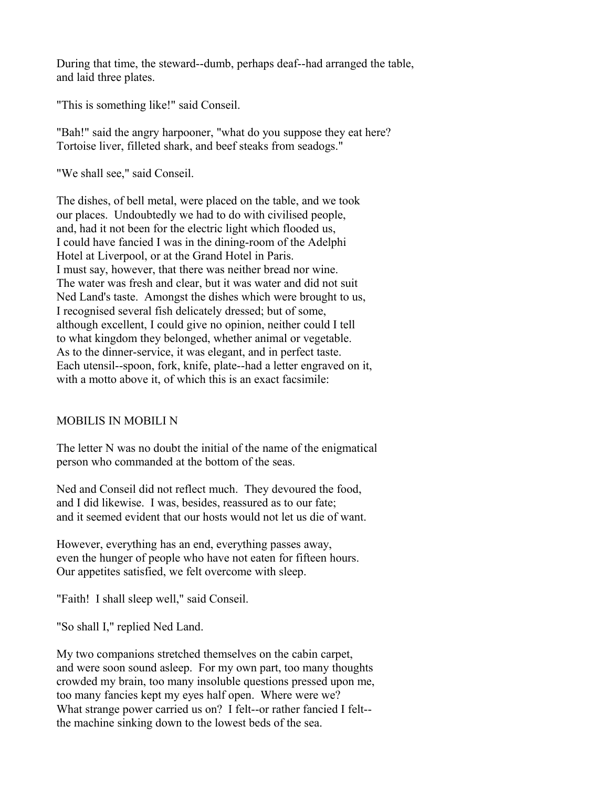During that time, the steward--dumb, perhaps deaf--had arranged the table, and laid three plates.

"This is something like!" said Conseil.

"Bah!" said the angry harpooner, "what do you suppose they eat here? Tortoise liver, filleted shark, and beef steaks from seadogs."

"We shall see," said Conseil.

The dishes, of bell metal, were placed on the table, and we took our places. Undoubtedly we had to do with civilised people, and, had it not been for the electric light which flooded us, I could have fancied I was in the dining-room of the Adelphi Hotel at Liverpool, or at the Grand Hotel in Paris. I must say, however, that there was neither bread nor wine. The water was fresh and clear, but it was water and did not suit Ned Land's taste. Amongst the dishes which were brought to us, I recognised several fish delicately dressed; but of some, although excellent, I could give no opinion, neither could I tell to what kingdom they belonged, whether animal or vegetable. As to the dinner-service, it was elegant, and in perfect taste. Each utensil--spoon, fork, knife, plate--had a letter engraved on it, with a motto above it, of which this is an exact facsimile:

## MOBILIS IN MOBILI N

The letter N was no doubt the initial of the name of the enigmatical person who commanded at the bottom of the seas.

Ned and Conseil did not reflect much. They devoured the food, and I did likewise. I was, besides, reassured as to our fate; and it seemed evident that our hosts would not let us die of want.

However, everything has an end, everything passes away, even the hunger of people who have not eaten for fifteen hours. Our appetites satisfied, we felt overcome with sleep.

"Faith! I shall sleep well," said Conseil.

"So shall I," replied Ned Land.

My two companions stretched themselves on the cabin carpet, and were soon sound asleep. For my own part, too many thoughts crowded my brain, too many insoluble questions pressed upon me, too many fancies kept my eyes half open. Where were we? What strange power carried us on? I felt--or rather fancied I felt- the machine sinking down to the lowest beds of the sea.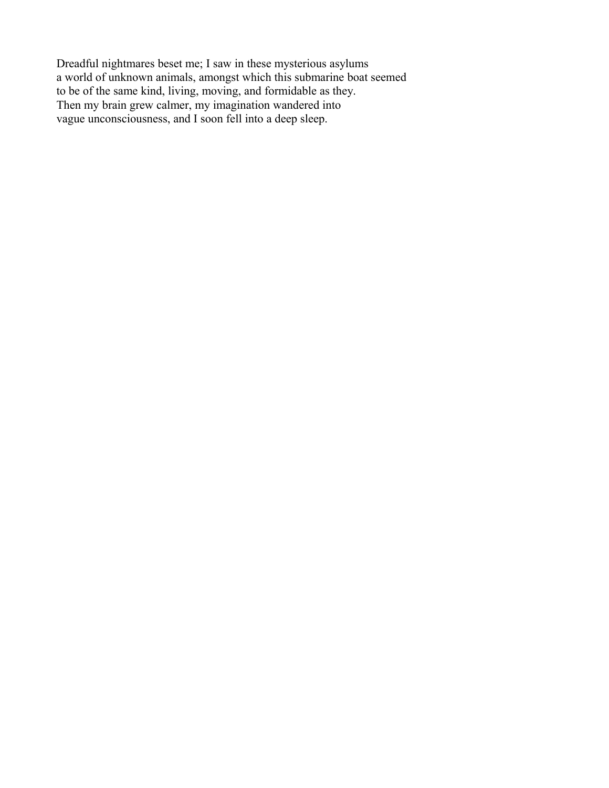Dreadful nightmares beset me; I saw in these mysterious asylums a world of unknown animals, amongst which this submarine boat seemed to be of the same kind, living, moving, and formidable as they. Then my brain grew calmer, my imagination wandered into vague unconsciousness, and I soon fell into a deep sleep.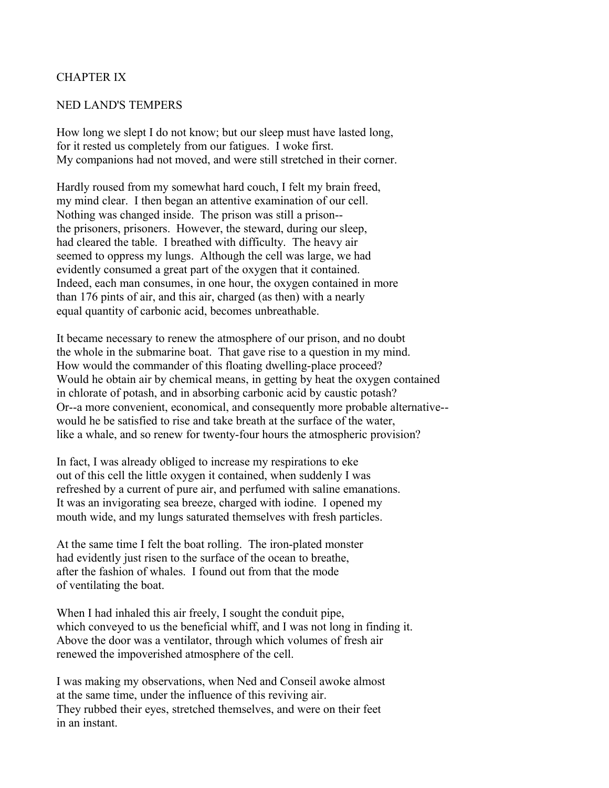## CHAPTER IX

### NED LAND'S TEMPERS

How long we slept I do not know; but our sleep must have lasted long, for it rested us completely from our fatigues. I woke first. My companions had not moved, and were still stretched in their corner.

Hardly roused from my somewhat hard couch, I felt my brain freed, my mind clear. I then began an attentive examination of our cell. Nothing was changed inside. The prison was still a prison- the prisoners, prisoners. However, the steward, during our sleep, had cleared the table. I breathed with difficulty. The heavy air seemed to oppress my lungs. Although the cell was large, we had evidently consumed a great part of the oxygen that it contained. Indeed, each man consumes, in one hour, the oxygen contained in more than 176 pints of air, and this air, charged (as then) with a nearly equal quantity of carbonic acid, becomes unbreathable.

It became necessary to renew the atmosphere of our prison, and no doubt the whole in the submarine boat. That gave rise to a question in my mind. How would the commander of this floating dwelling-place proceed? Would he obtain air by chemical means, in getting by heat the oxygen contained in chlorate of potash, and in absorbing carbonic acid by caustic potash? Or--a more convenient, economical, and consequently more probable alternative- would he be satisfied to rise and take breath at the surface of the water, like a whale, and so renew for twenty-four hours the atmospheric provision?

In fact, I was already obliged to increase my respirations to eke out of this cell the little oxygen it contained, when suddenly I was refreshed by a current of pure air, and perfumed with saline emanations. It was an invigorating sea breeze, charged with iodine. I opened my mouth wide, and my lungs saturated themselves with fresh particles.

At the same time I felt the boat rolling. The iron-plated monster had evidently just risen to the surface of the ocean to breathe, after the fashion of whales. I found out from that the mode of ventilating the boat.

When I had inhaled this air freely, I sought the conduit pipe, which conveyed to us the beneficial whiff, and I was not long in finding it. Above the door was a ventilator, through which volumes of fresh air renewed the impoverished atmosphere of the cell.

I was making my observations, when Ned and Conseil awoke almost at the same time, under the influence of this reviving air. They rubbed their eyes, stretched themselves, and were on their feet in an instant.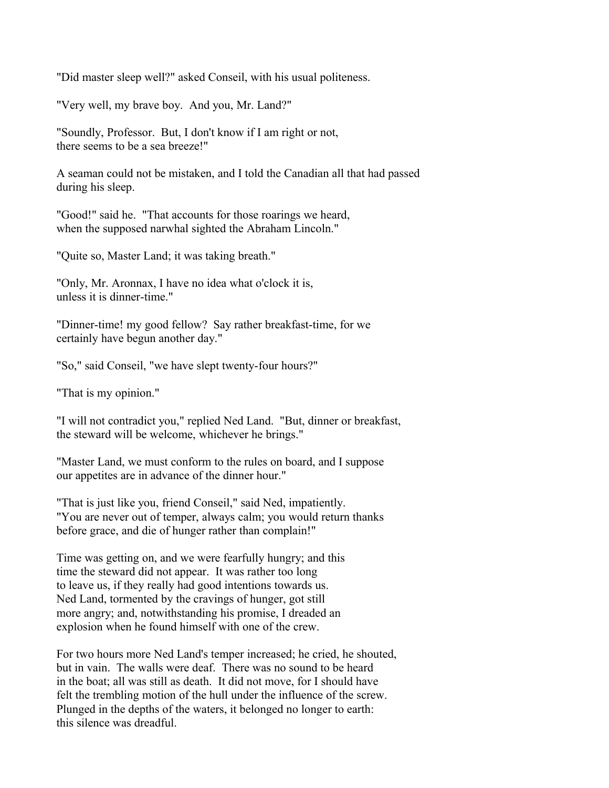"Did master sleep well?" asked Conseil, with his usual politeness.

"Very well, my brave boy. And you, Mr. Land?"

"Soundly, Professor. But, I don't know if I am right or not, there seems to be a sea breeze!"

A seaman could not be mistaken, and I told the Canadian all that had passed during his sleep.

"Good!" said he. "That accounts for those roarings we heard, when the supposed narwhal sighted the Abraham Lincoln."

"Quite so, Master Land; it was taking breath."

"Only, Mr. Aronnax, I have no idea what o'clock it is, unless it is dinner-time."

"Dinner-time! my good fellow? Say rather breakfast-time, for we certainly have begun another day."

"So," said Conseil, "we have slept twenty-four hours?"

"That is my opinion."

"I will not contradict you," replied Ned Land. "But, dinner or breakfast, the steward will be welcome, whichever he brings."

"Master Land, we must conform to the rules on board, and I suppose our appetites are in advance of the dinner hour."

"That is just like you, friend Conseil," said Ned, impatiently. "You are never out of temper, always calm; you would return thanks before grace, and die of hunger rather than complain!"

Time was getting on, and we were fearfully hungry; and this time the steward did not appear. It was rather too long to leave us, if they really had good intentions towards us. Ned Land, tormented by the cravings of hunger, got still more angry; and, notwithstanding his promise, I dreaded an explosion when he found himself with one of the crew.

For two hours more Ned Land's temper increased; he cried, he shouted, but in vain. The walls were deaf. There was no sound to be heard in the boat; all was still as death. It did not move, for I should have felt the trembling motion of the hull under the influence of the screw. Plunged in the depths of the waters, it belonged no longer to earth: this silence was dreadful.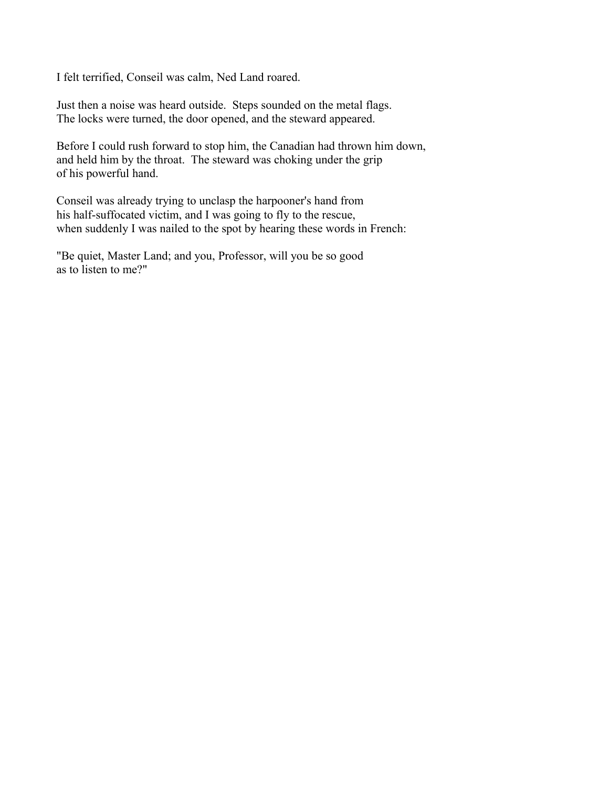I felt terrified, Conseil was calm, Ned Land roared.

Just then a noise was heard outside. Steps sounded on the metal flags. The locks were turned, the door opened, and the steward appeared.

Before I could rush forward to stop him, the Canadian had thrown him down, and held him by the throat. The steward was choking under the grip of his powerful hand.

Conseil was already trying to unclasp the harpooner's hand from his half-suffocated victim, and I was going to fly to the rescue, when suddenly I was nailed to the spot by hearing these words in French:

"Be quiet, Master Land; and you, Professor, will you be so good as to listen to me?"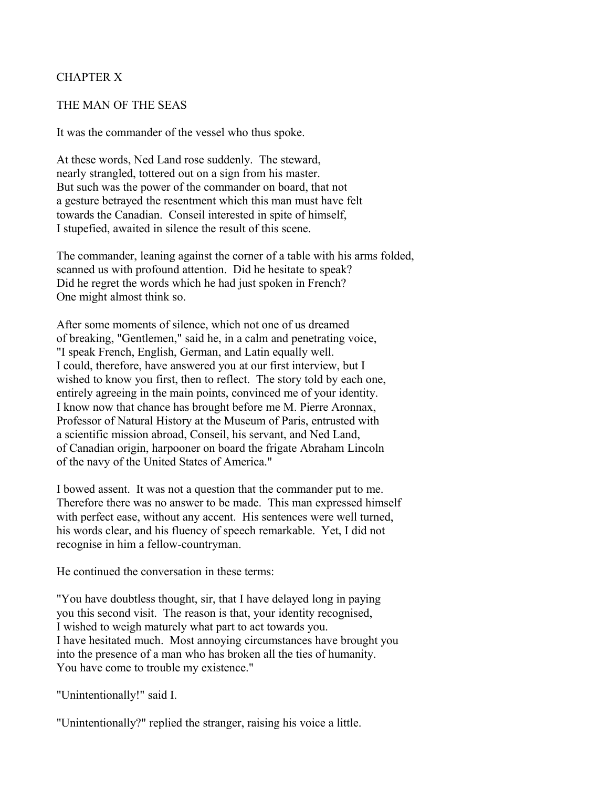# CHAPTER X

### THE MAN OF THE SEAS

It was the commander of the vessel who thus spoke.

At these words, Ned Land rose suddenly. The steward, nearly strangled, tottered out on a sign from his master. But such was the power of the commander on board, that not a gesture betrayed the resentment which this man must have felt towards the Canadian. Conseil interested in spite of himself, I stupefied, awaited in silence the result of this scene.

The commander, leaning against the corner of a table with his arms folded, scanned us with profound attention. Did he hesitate to speak? Did he regret the words which he had just spoken in French? One might almost think so.

After some moments of silence, which not one of us dreamed of breaking, "Gentlemen," said he, in a calm and penetrating voice, "I speak French, English, German, and Latin equally well. I could, therefore, have answered you at our first interview, but I wished to know you first, then to reflect. The story told by each one, entirely agreeing in the main points, convinced me of your identity. I know now that chance has brought before me M. Pierre Aronnax, Professor of Natural History at the Museum of Paris, entrusted with a scientific mission abroad, Conseil, his servant, and Ned Land, of Canadian origin, harpooner on board the frigate Abraham Lincoln of the navy of the United States of America."

I bowed assent. It was not a question that the commander put to me. Therefore there was no answer to be made. This man expressed himself with perfect ease, without any accent. His sentences were well turned, his words clear, and his fluency of speech remarkable. Yet, I did not recognise in him a fellow-countryman.

He continued the conversation in these terms:

"You have doubtless thought, sir, that I have delayed long in paying you this second visit. The reason is that, your identity recognised, I wished to weigh maturely what part to act towards you. I have hesitated much. Most annoying circumstances have brought you into the presence of a man who has broken all the ties of humanity. You have come to trouble my existence."

"Unintentionally!" said I.

"Unintentionally?" replied the stranger, raising his voice a little.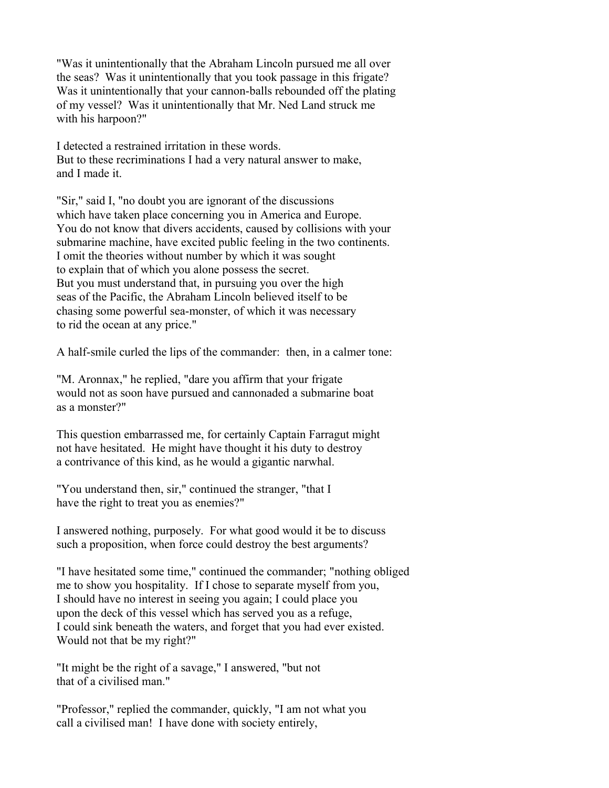"Was it unintentionally that the Abraham Lincoln pursued me all over the seas? Was it unintentionally that you took passage in this frigate? Was it unintentionally that your cannon-balls rebounded off the plating of my vessel? Was it unintentionally that Mr. Ned Land struck me with his harpoon?"

I detected a restrained irritation in these words. But to these recriminations I had a very natural answer to make, and I made it.

"Sir," said I, "no doubt you are ignorant of the discussions which have taken place concerning you in America and Europe. You do not know that divers accidents, caused by collisions with your submarine machine, have excited public feeling in the two continents. I omit the theories without number by which it was sought to explain that of which you alone possess the secret. But you must understand that, in pursuing you over the high seas of the Pacific, the Abraham Lincoln believed itself to be chasing some powerful sea-monster, of which it was necessary to rid the ocean at any price."

A half-smile curled the lips of the commander: then, in a calmer tone:

"M. Aronnax," he replied, "dare you affirm that your frigate would not as soon have pursued and cannonaded a submarine boat as a monster?"

This question embarrassed me, for certainly Captain Farragut might not have hesitated. He might have thought it his duty to destroy a contrivance of this kind, as he would a gigantic narwhal.

"You understand then, sir," continued the stranger, "that I have the right to treat you as enemies?"

I answered nothing, purposely. For what good would it be to discuss such a proposition, when force could destroy the best arguments?

"I have hesitated some time," continued the commander; "nothing obliged me to show you hospitality. If I chose to separate myself from you, I should have no interest in seeing you again; I could place you upon the deck of this vessel which has served you as a refuge, I could sink beneath the waters, and forget that you had ever existed. Would not that be my right?"

"It might be the right of a savage," I answered, "but not that of a civilised man."

"Professor," replied the commander, quickly, "I am not what you call a civilised man! I have done with society entirely,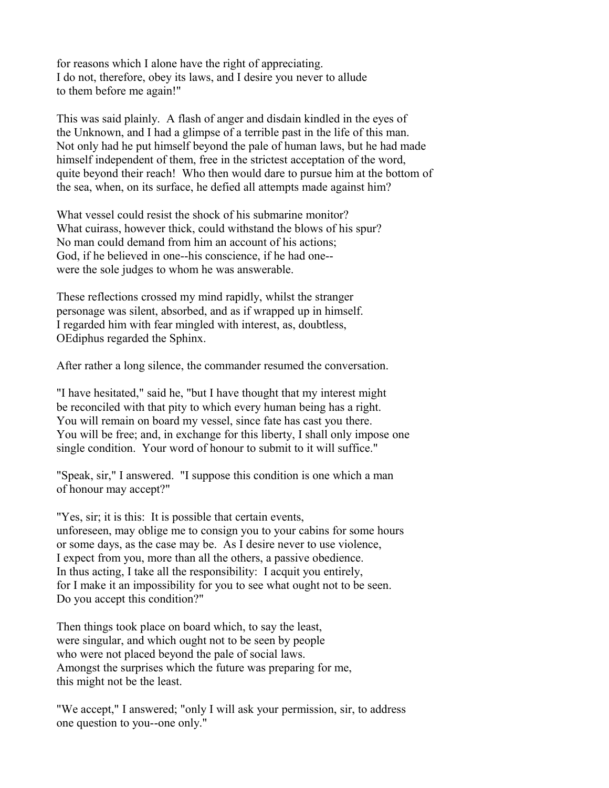for reasons which I alone have the right of appreciating. I do not, therefore, obey its laws, and I desire you never to allude to them before me again!"

This was said plainly. A flash of anger and disdain kindled in the eyes of the Unknown, and I had a glimpse of a terrible past in the life of this man. Not only had he put himself beyond the pale of human laws, but he had made himself independent of them, free in the strictest acceptation of the word, quite beyond their reach! Who then would dare to pursue him at the bottom of the sea, when, on its surface, he defied all attempts made against him?

What vessel could resist the shock of his submarine monitor? What cuirass, however thick, could withstand the blows of his spur? No man could demand from him an account of his actions; God, if he believed in one--his conscience, if he had one- were the sole judges to whom he was answerable.

These reflections crossed my mind rapidly, whilst the stranger personage was silent, absorbed, and as if wrapped up in himself. I regarded him with fear mingled with interest, as, doubtless, OEdiphus regarded the Sphinx.

After rather a long silence, the commander resumed the conversation.

"I have hesitated," said he, "but I have thought that my interest might be reconciled with that pity to which every human being has a right. You will remain on board my vessel, since fate has cast you there. You will be free; and, in exchange for this liberty, I shall only impose one single condition. Your word of honour to submit to it will suffice."

"Speak, sir," I answered. "I suppose this condition is one which a man of honour may accept?"

"Yes, sir; it is this: It is possible that certain events, unforeseen, may oblige me to consign you to your cabins for some hours or some days, as the case may be. As I desire never to use violence, I expect from you, more than all the others, a passive obedience. In thus acting, I take all the responsibility: I acquit you entirely, for I make it an impossibility for you to see what ought not to be seen. Do you accept this condition?"

Then things took place on board which, to say the least, were singular, and which ought not to be seen by people who were not placed beyond the pale of social laws. Amongst the surprises which the future was preparing for me, this might not be the least.

"We accept," I answered; "only I will ask your permission, sir, to address one question to you--one only."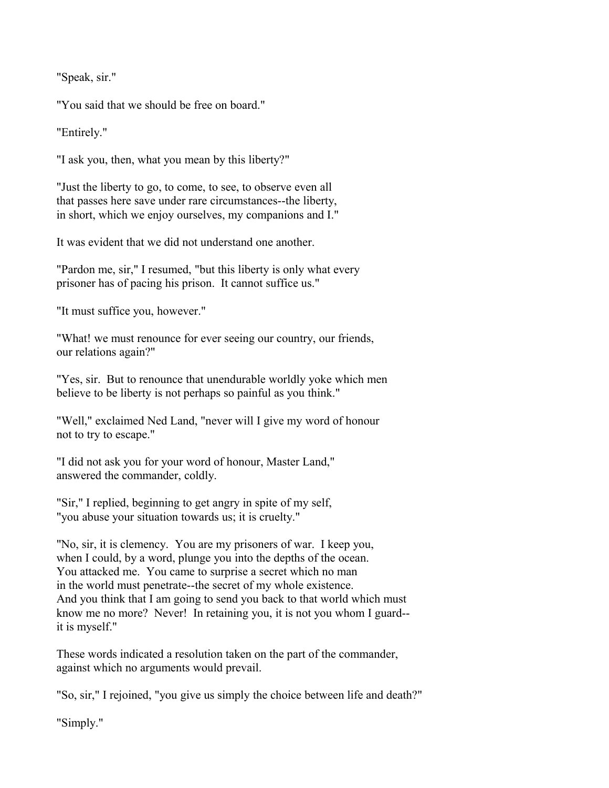"Speak, sir."

"You said that we should be free on board."

"Entirely."

"I ask you, then, what you mean by this liberty?"

"Just the liberty to go, to come, to see, to observe even all that passes here save under rare circumstances--the liberty, in short, which we enjoy ourselves, my companions and I."

It was evident that we did not understand one another.

"Pardon me, sir," I resumed, "but this liberty is only what every prisoner has of pacing his prison. It cannot suffice us."

"It must suffice you, however."

"What! we must renounce for ever seeing our country, our friends, our relations again?"

"Yes, sir. But to renounce that unendurable worldly yoke which men believe to be liberty is not perhaps so painful as you think."

"Well," exclaimed Ned Land, "never will I give my word of honour not to try to escape."

"I did not ask you for your word of honour, Master Land," answered the commander, coldly.

"Sir," I replied, beginning to get angry in spite of my self, "you abuse your situation towards us; it is cruelty."

"No, sir, it is clemency. You are my prisoners of war. I keep you, when I could, by a word, plunge you into the depths of the ocean. You attacked me. You came to surprise a secret which no man in the world must penetrate--the secret of my whole existence. And you think that I am going to send you back to that world which must know me no more? Never! In retaining you, it is not you whom I guard- it is myself."

These words indicated a resolution taken on the part of the commander, against which no arguments would prevail.

"So, sir," I rejoined, "you give us simply the choice between life and death?"

"Simply."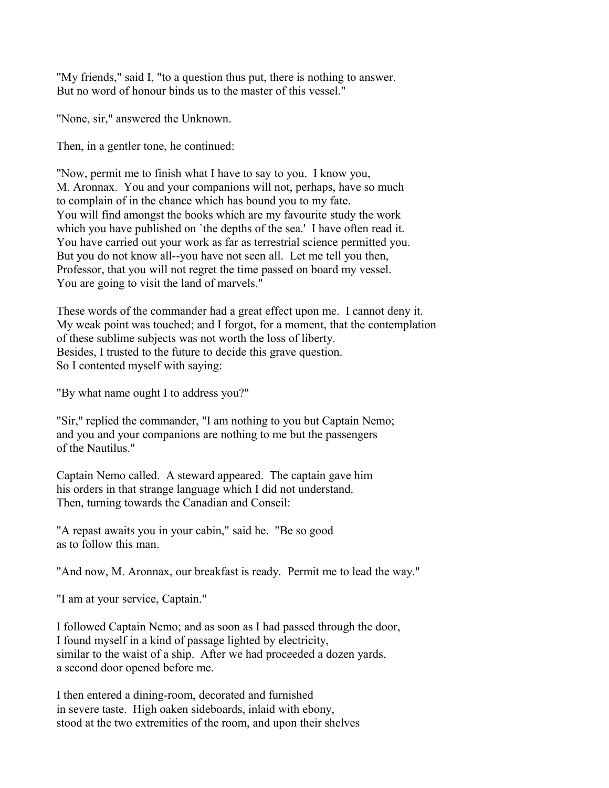"My friends," said I, "to a question thus put, there is nothing to answer. But no word of honour binds us to the master of this vessel."

"None, sir," answered the Unknown.

Then, in a gentler tone, he continued:

"Now, permit me to finish what I have to say to you. I know you, M. Aronnax. You and your companions will not, perhaps, have so much to complain of in the chance which has bound you to my fate. You will find amongst the books which are my favourite study the work which you have published on 'the depths of the sea.' I have often read it. You have carried out your work as far as terrestrial science permitted you. But you do not know all--you have not seen all. Let me tell you then, Professor, that you will not regret the time passed on board my vessel. You are going to visit the land of marvels."

These words of the commander had a great effect upon me. I cannot deny it. My weak point was touched; and I forgot, for a moment, that the contemplation of these sublime subjects was not worth the loss of liberty. Besides, I trusted to the future to decide this grave question. So I contented myself with saying:

"By what name ought I to address you?"

"Sir," replied the commander, "I am nothing to you but Captain Nemo; and you and your companions are nothing to me but the passengers of the Nautilus."

Captain Nemo called. A steward appeared. The captain gave him his orders in that strange language which I did not understand. Then, turning towards the Canadian and Conseil:

"A repast awaits you in your cabin," said he. "Be so good as to follow this man.

"And now, M. Aronnax, our breakfast is ready. Permit me to lead the way."

"I am at your service, Captain."

I followed Captain Nemo; and as soon as I had passed through the door, I found myself in a kind of passage lighted by electricity, similar to the waist of a ship. After we had proceeded a dozen yards, a second door opened before me.

I then entered a dining-room, decorated and furnished in severe taste. High oaken sideboards, inlaid with ebony, stood at the two extremities of the room, and upon their shelves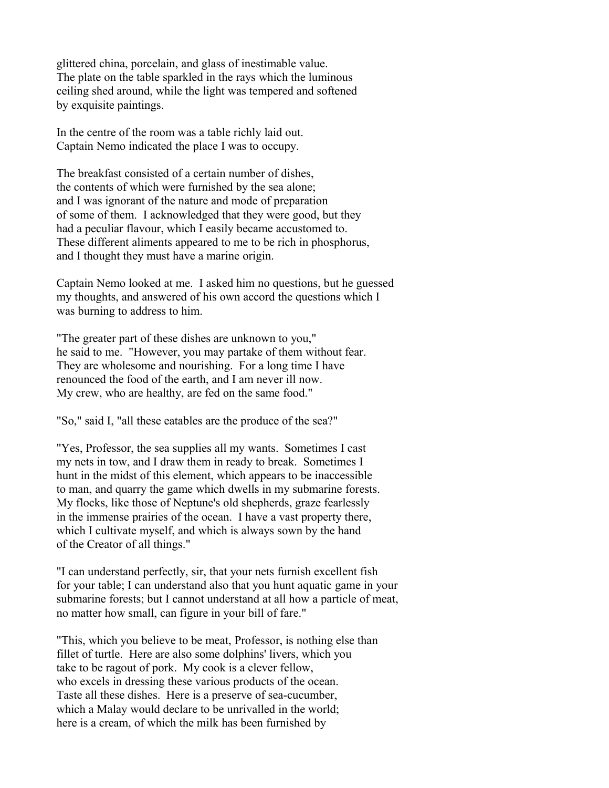glittered china, porcelain, and glass of inestimable value. The plate on the table sparkled in the rays which the luminous ceiling shed around, while the light was tempered and softened by exquisite paintings.

In the centre of the room was a table richly laid out. Captain Nemo indicated the place I was to occupy.

The breakfast consisted of a certain number of dishes, the contents of which were furnished by the sea alone; and I was ignorant of the nature and mode of preparation of some of them. I acknowledged that they were good, but they had a peculiar flavour, which I easily became accustomed to. These different aliments appeared to me to be rich in phosphorus, and I thought they must have a marine origin.

Captain Nemo looked at me. I asked him no questions, but he guessed my thoughts, and answered of his own accord the questions which I was burning to address to him.

"The greater part of these dishes are unknown to you," he said to me. "However, you may partake of them without fear. They are wholesome and nourishing. For a long time I have renounced the food of the earth, and I am never ill now. My crew, who are healthy, are fed on the same food."

"So," said I, "all these eatables are the produce of the sea?"

"Yes, Professor, the sea supplies all my wants. Sometimes I cast my nets in tow, and I draw them in ready to break. Sometimes I hunt in the midst of this element, which appears to be inaccessible to man, and quarry the game which dwells in my submarine forests. My flocks, like those of Neptune's old shepherds, graze fearlessly in the immense prairies of the ocean. I have a vast property there, which I cultivate myself, and which is always sown by the hand of the Creator of all things."

"I can understand perfectly, sir, that your nets furnish excellent fish for your table; I can understand also that you hunt aquatic game in your submarine forests; but I cannot understand at all how a particle of meat, no matter how small, can figure in your bill of fare."

"This, which you believe to be meat, Professor, is nothing else than fillet of turtle. Here are also some dolphins' livers, which you take to be ragout of pork. My cook is a clever fellow, who excels in dressing these various products of the ocean. Taste all these dishes. Here is a preserve of sea-cucumber, which a Malay would declare to be unrivalled in the world; here is a cream, of which the milk has been furnished by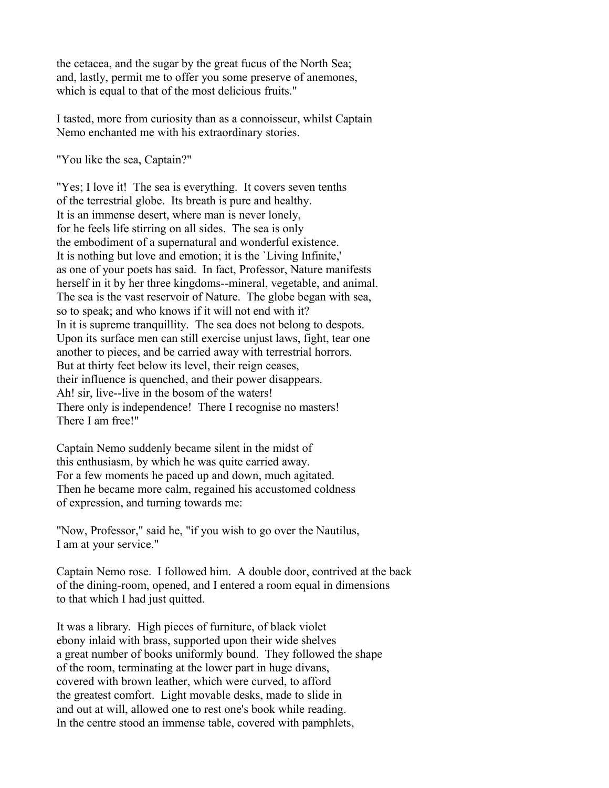the cetacea, and the sugar by the great fucus of the North Sea; and, lastly, permit me to offer you some preserve of anemones, which is equal to that of the most delicious fruits."

I tasted, more from curiosity than as a connoisseur, whilst Captain Nemo enchanted me with his extraordinary stories.

"You like the sea, Captain?"

"Yes; I love it! The sea is everything. It covers seven tenths of the terrestrial globe. Its breath is pure and healthy. It is an immense desert, where man is never lonely, for he feels life stirring on all sides. The sea is only the embodiment of a supernatural and wonderful existence. It is nothing but love and emotion; it is the `Living Infinite,' as one of your poets has said. In fact, Professor, Nature manifests herself in it by her three kingdoms--mineral, vegetable, and animal. The sea is the vast reservoir of Nature. The globe began with sea, so to speak; and who knows if it will not end with it? In it is supreme tranquillity. The sea does not belong to despots. Upon its surface men can still exercise unjust laws, fight, tear one another to pieces, and be carried away with terrestrial horrors. But at thirty feet below its level, their reign ceases, their influence is quenched, and their power disappears. Ah! sir, live--live in the bosom of the waters! There only is independence! There I recognise no masters! There I am free!"

Captain Nemo suddenly became silent in the midst of this enthusiasm, by which he was quite carried away. For a few moments he paced up and down, much agitated. Then he became more calm, regained his accustomed coldness of expression, and turning towards me:

"Now, Professor," said he, "if you wish to go over the Nautilus, I am at your service."

Captain Nemo rose. I followed him. A double door, contrived at the back of the dining-room, opened, and I entered a room equal in dimensions to that which I had just quitted.

It was a library. High pieces of furniture, of black violet ebony inlaid with brass, supported upon their wide shelves a great number of books uniformly bound. They followed the shape of the room, terminating at the lower part in huge divans, covered with brown leather, which were curved, to afford the greatest comfort. Light movable desks, made to slide in and out at will, allowed one to rest one's book while reading. In the centre stood an immense table, covered with pamphlets,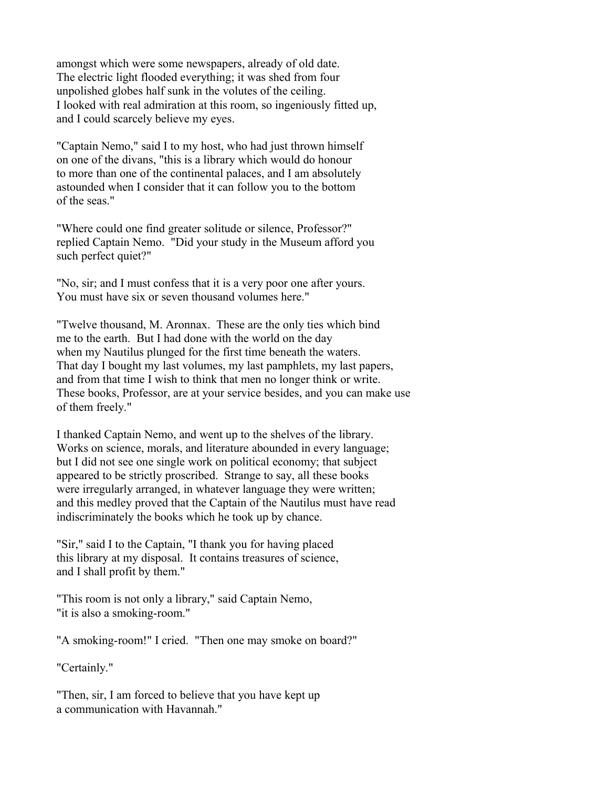amongst which were some newspapers, already of old date. The electric light flooded everything; it was shed from four unpolished globes half sunk in the volutes of the ceiling. I looked with real admiration at this room, so ingeniously fitted up, and I could scarcely believe my eyes.

"Captain Nemo," said I to my host, who had just thrown himself on one of the divans, "this is a library which would do honour to more than one of the continental palaces, and I am absolutely astounded when I consider that it can follow you to the bottom of the seas."

"Where could one find greater solitude or silence, Professor?" replied Captain Nemo. "Did your study in the Museum afford you such perfect quiet?"

"No, sir; and I must confess that it is a very poor one after yours. You must have six or seven thousand volumes here."

"Twelve thousand, M. Aronnax. These are the only ties which bind me to the earth. But I had done with the world on the day when my Nautilus plunged for the first time beneath the waters. That day I bought my last volumes, my last pamphlets, my last papers, and from that time I wish to think that men no longer think or write. These books, Professor, are at your service besides, and you can make use of them freely."

I thanked Captain Nemo, and went up to the shelves of the library. Works on science, morals, and literature abounded in every language; but I did not see one single work on political economy; that subject appeared to be strictly proscribed. Strange to say, all these books were irregularly arranged, in whatever language they were written; and this medley proved that the Captain of the Nautilus must have read indiscriminately the books which he took up by chance.

"Sir," said I to the Captain, "I thank you for having placed this library at my disposal. It contains treasures of science, and I shall profit by them."

"This room is not only a library," said Captain Nemo, "it is also a smoking-room."

"A smoking-room!" I cried. "Then one may smoke on board?"

"Certainly."

"Then, sir, I am forced to believe that you have kept up a communication with Havannah."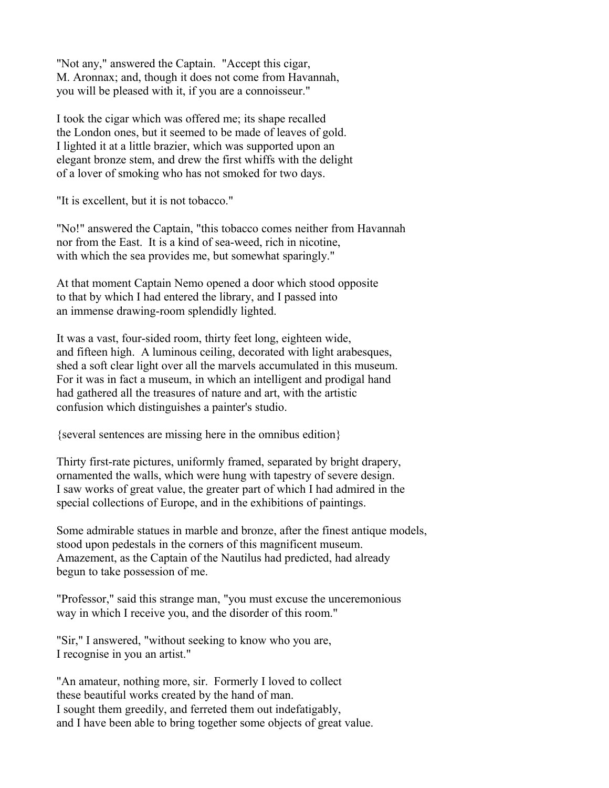"Not any," answered the Captain. "Accept this cigar, M. Aronnax; and, though it does not come from Havannah, you will be pleased with it, if you are a connoisseur."

I took the cigar which was offered me; its shape recalled the London ones, but it seemed to be made of leaves of gold. I lighted it at a little brazier, which was supported upon an elegant bronze stem, and drew the first whiffs with the delight of a lover of smoking who has not smoked for two days.

"It is excellent, but it is not tobacco."

"No!" answered the Captain, "this tobacco comes neither from Havannah nor from the East. It is a kind of sea-weed, rich in nicotine, with which the sea provides me, but somewhat sparingly."

At that moment Captain Nemo opened a door which stood opposite to that by which I had entered the library, and I passed into an immense drawing-room splendidly lighted.

It was a vast, four-sided room, thirty feet long, eighteen wide, and fifteen high. A luminous ceiling, decorated with light arabesques, shed a soft clear light over all the marvels accumulated in this museum. For it was in fact a museum, in which an intelligent and prodigal hand had gathered all the treasures of nature and art, with the artistic confusion which distinguishes a painter's studio.

{several sentences are missing here in the omnibus edition}

Thirty first-rate pictures, uniformly framed, separated by bright drapery, ornamented the walls, which were hung with tapestry of severe design. I saw works of great value, the greater part of which I had admired in the special collections of Europe, and in the exhibitions of paintings.

Some admirable statues in marble and bronze, after the finest antique models, stood upon pedestals in the corners of this magnificent museum. Amazement, as the Captain of the Nautilus had predicted, had already begun to take possession of me.

"Professor," said this strange man, "you must excuse the unceremonious way in which I receive you, and the disorder of this room."

"Sir," I answered, "without seeking to know who you are, I recognise in you an artist."

"An amateur, nothing more, sir. Formerly I loved to collect these beautiful works created by the hand of man. I sought them greedily, and ferreted them out indefatigably, and I have been able to bring together some objects of great value.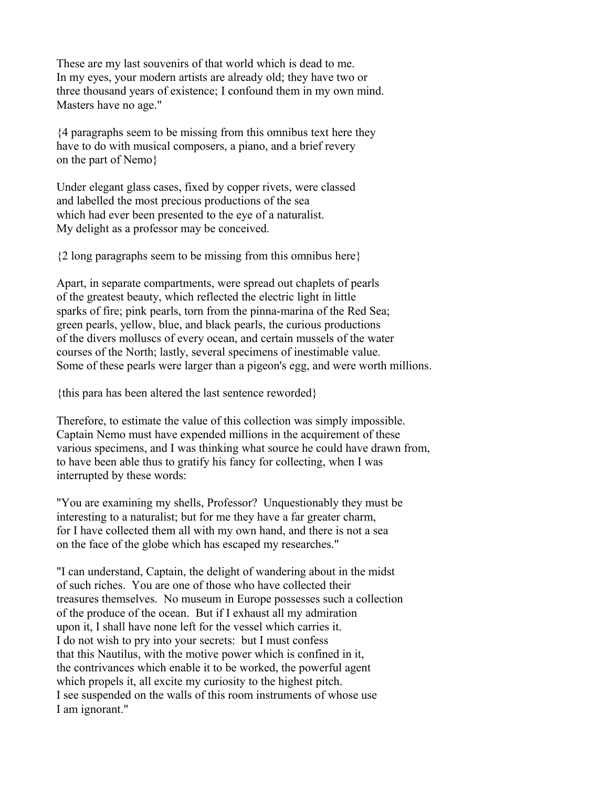These are my last souvenirs of that world which is dead to me. In my eyes, your modern artists are already old; they have two or three thousand years of existence; I confound them in my own mind. Masters have no age."

{4 paragraphs seem to be missing from this omnibus text here they have to do with musical composers, a piano, and a brief revery on the part of Nemo}

Under elegant glass cases, fixed by copper rivets, were classed and labelled the most precious productions of the sea which had ever been presented to the eye of a naturalist. My delight as a professor may be conceived.

{2 long paragraphs seem to be missing from this omnibus here}

Apart, in separate compartments, were spread out chaplets of pearls of the greatest beauty, which reflected the electric light in little sparks of fire; pink pearls, torn from the pinna-marina of the Red Sea; green pearls, yellow, blue, and black pearls, the curious productions of the divers molluscs of every ocean, and certain mussels of the water courses of the North; lastly, several specimens of inestimable value. Some of these pearls were larger than a pigeon's egg, and were worth millions.

{this para has been altered the last sentence reworded}

Therefore, to estimate the value of this collection was simply impossible. Captain Nemo must have expended millions in the acquirement of these various specimens, and I was thinking what source he could have drawn from, to have been able thus to gratify his fancy for collecting, when I was interrupted by these words:

"You are examining my shells, Professor? Unquestionably they must be interesting to a naturalist; but for me they have a far greater charm, for I have collected them all with my own hand, and there is not a sea on the face of the globe which has escaped my researches."

"I can understand, Captain, the delight of wandering about in the midst of such riches. You are one of those who have collected their treasures themselves. No museum in Europe possesses such a collection of the produce of the ocean. But if I exhaust all my admiration upon it, I shall have none left for the vessel which carries it. I do not wish to pry into your secrets: but I must confess that this Nautilus, with the motive power which is confined in it, the contrivances which enable it to be worked, the powerful agent which propels it, all excite my curiosity to the highest pitch. I see suspended on the walls of this room instruments of whose use I am ignorant."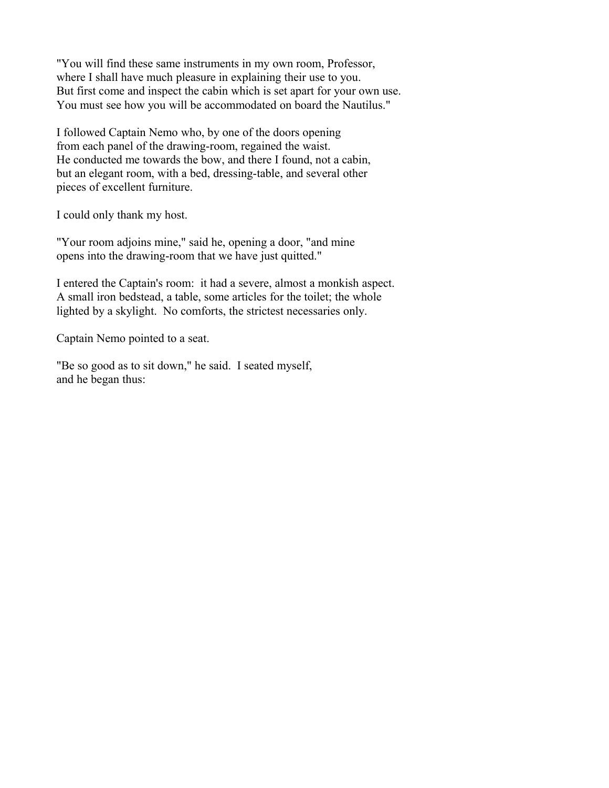"You will find these same instruments in my own room, Professor, where I shall have much pleasure in explaining their use to you. But first come and inspect the cabin which is set apart for your own use. You must see how you will be accommodated on board the Nautilus."

I followed Captain Nemo who, by one of the doors opening from each panel of the drawing-room, regained the waist. He conducted me towards the bow, and there I found, not a cabin, but an elegant room, with a bed, dressing-table, and several other pieces of excellent furniture.

I could only thank my host.

"Your room adjoins mine," said he, opening a door, "and mine opens into the drawing-room that we have just quitted."

I entered the Captain's room: it had a severe, almost a monkish aspect. A small iron bedstead, a table, some articles for the toilet; the whole lighted by a skylight. No comforts, the strictest necessaries only.

Captain Nemo pointed to a seat.

"Be so good as to sit down," he said. I seated myself, and he began thus: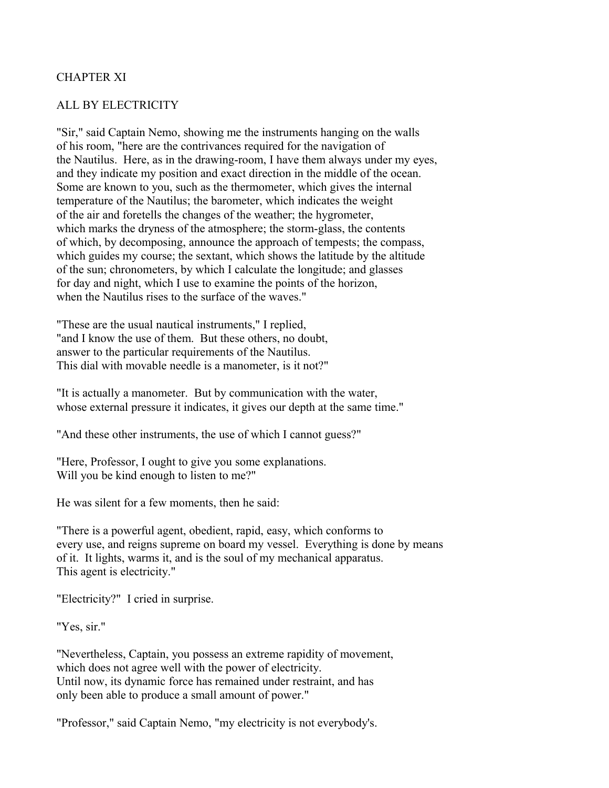## CHAPTER XI

### ALL BY ELECTRICITY

"Sir," said Captain Nemo, showing me the instruments hanging on the walls of his room, "here are the contrivances required for the navigation of the Nautilus. Here, as in the drawing-room, I have them always under my eyes, and they indicate my position and exact direction in the middle of the ocean. Some are known to you, such as the thermometer, which gives the internal temperature of the Nautilus; the barometer, which indicates the weight of the air and foretells the changes of the weather; the hygrometer, which marks the dryness of the atmosphere; the storm-glass, the contents of which, by decomposing, announce the approach of tempests; the compass, which guides my course; the sextant, which shows the latitude by the altitude of the sun; chronometers, by which I calculate the longitude; and glasses for day and night, which I use to examine the points of the horizon, when the Nautilus rises to the surface of the waves."

"These are the usual nautical instruments," I replied, "and I know the use of them. But these others, no doubt, answer to the particular requirements of the Nautilus. This dial with movable needle is a manometer, is it not?"

"It is actually a manometer. But by communication with the water, whose external pressure it indicates, it gives our depth at the same time."

"And these other instruments, the use of which I cannot guess?"

"Here, Professor, I ought to give you some explanations. Will you be kind enough to listen to me?"

He was silent for a few moments, then he said:

"There is a powerful agent, obedient, rapid, easy, which conforms to every use, and reigns supreme on board my vessel. Everything is done by means of it. It lights, warms it, and is the soul of my mechanical apparatus. This agent is electricity."

"Electricity?" I cried in surprise.

"Yes, sir."

"Nevertheless, Captain, you possess an extreme rapidity of movement, which does not agree well with the power of electricity. Until now, its dynamic force has remained under restraint, and has only been able to produce a small amount of power."

"Professor," said Captain Nemo, "my electricity is not everybody's.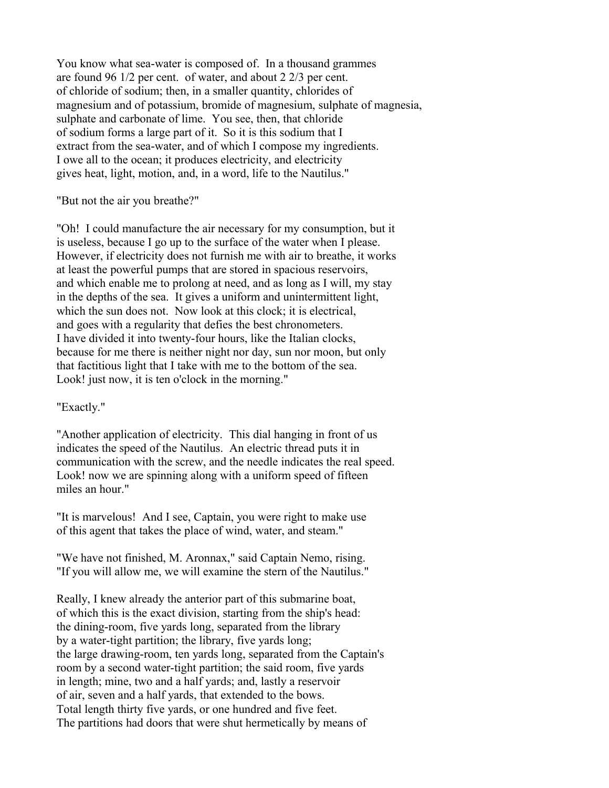You know what sea-water is composed of. In a thousand grammes are found 96 1/2 per cent. of water, and about 2 2/3 per cent. of chloride of sodium; then, in a smaller quantity, chlorides of magnesium and of potassium, bromide of magnesium, sulphate of magnesia, sulphate and carbonate of lime. You see, then, that chloride of sodium forms a large part of it. So it is this sodium that I extract from the sea-water, and of which I compose my ingredients. I owe all to the ocean; it produces electricity, and electricity gives heat, light, motion, and, in a word, life to the Nautilus."

"But not the air you breathe?"

"Oh! I could manufacture the air necessary for my consumption, but it is useless, because I go up to the surface of the water when I please. However, if electricity does not furnish me with air to breathe, it works at least the powerful pumps that are stored in spacious reservoirs, and which enable me to prolong at need, and as long as I will, my stay in the depths of the sea. It gives a uniform and unintermittent light, which the sun does not. Now look at this clock; it is electrical, and goes with a regularity that defies the best chronometers. I have divided it into twenty-four hours, like the Italian clocks, because for me there is neither night nor day, sun nor moon, but only that factitious light that I take with me to the bottom of the sea. Look! just now, it is ten o'clock in the morning."

### "Exactly."

"Another application of electricity. This dial hanging in front of us indicates the speed of the Nautilus. An electric thread puts it in communication with the screw, and the needle indicates the real speed. Look! now we are spinning along with a uniform speed of fifteen miles an hour."

"It is marvelous! And I see, Captain, you were right to make use of this agent that takes the place of wind, water, and steam."

"We have not finished, M. Aronnax," said Captain Nemo, rising. "If you will allow me, we will examine the stern of the Nautilus."

Really, I knew already the anterior part of this submarine boat, of which this is the exact division, starting from the ship's head: the dining-room, five yards long, separated from the library by a water-tight partition; the library, five yards long; the large drawing-room, ten yards long, separated from the Captain's room by a second water-tight partition; the said room, five yards in length; mine, two and a half yards; and, lastly a reservoir of air, seven and a half yards, that extended to the bows. Total length thirty five yards, or one hundred and five feet. The partitions had doors that were shut hermetically by means of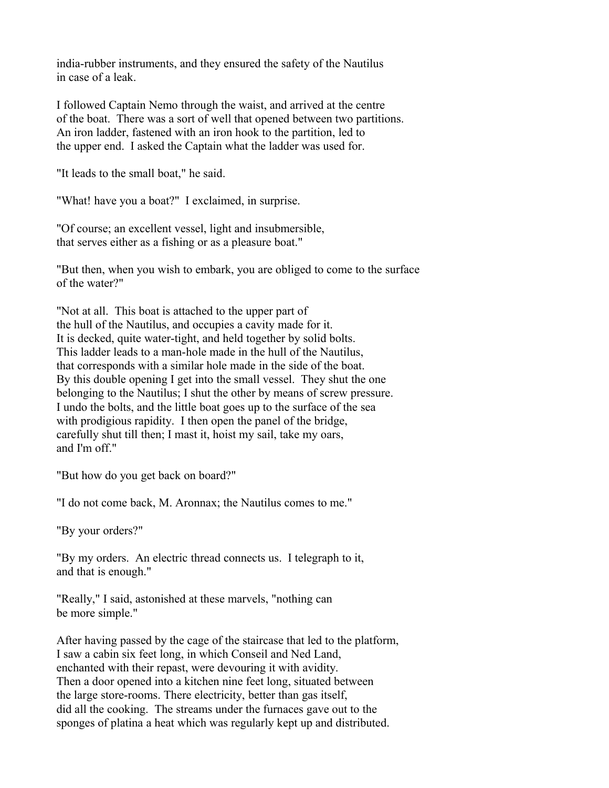india-rubber instruments, and they ensured the safety of the Nautilus in case of a leak.

I followed Captain Nemo through the waist, and arrived at the centre of the boat. There was a sort of well that opened between two partitions. An iron ladder, fastened with an iron hook to the partition, led to the upper end. I asked the Captain what the ladder was used for.

"It leads to the small boat," he said.

"What! have you a boat?" I exclaimed, in surprise.

"Of course; an excellent vessel, light and insubmersible, that serves either as a fishing or as a pleasure boat."

"But then, when you wish to embark, you are obliged to come to the surface of the water?"

"Not at all. This boat is attached to the upper part of the hull of the Nautilus, and occupies a cavity made for it. It is decked, quite water-tight, and held together by solid bolts. This ladder leads to a man-hole made in the hull of the Nautilus, that corresponds with a similar hole made in the side of the boat. By this double opening I get into the small vessel. They shut the one belonging to the Nautilus; I shut the other by means of screw pressure. I undo the bolts, and the little boat goes up to the surface of the sea with prodigious rapidity. I then open the panel of the bridge, carefully shut till then; I mast it, hoist my sail, take my oars, and I'm off."

"But how do you get back on board?"

"I do not come back, M. Aronnax; the Nautilus comes to me."

"By your orders?"

"By my orders. An electric thread connects us. I telegraph to it, and that is enough."

"Really," I said, astonished at these marvels, "nothing can be more simple."

After having passed by the cage of the staircase that led to the platform, I saw a cabin six feet long, in which Conseil and Ned Land, enchanted with their repast, were devouring it with avidity. Then a door opened into a kitchen nine feet long, situated between the large store-rooms. There electricity, better than gas itself, did all the cooking. The streams under the furnaces gave out to the sponges of platina a heat which was regularly kept up and distributed.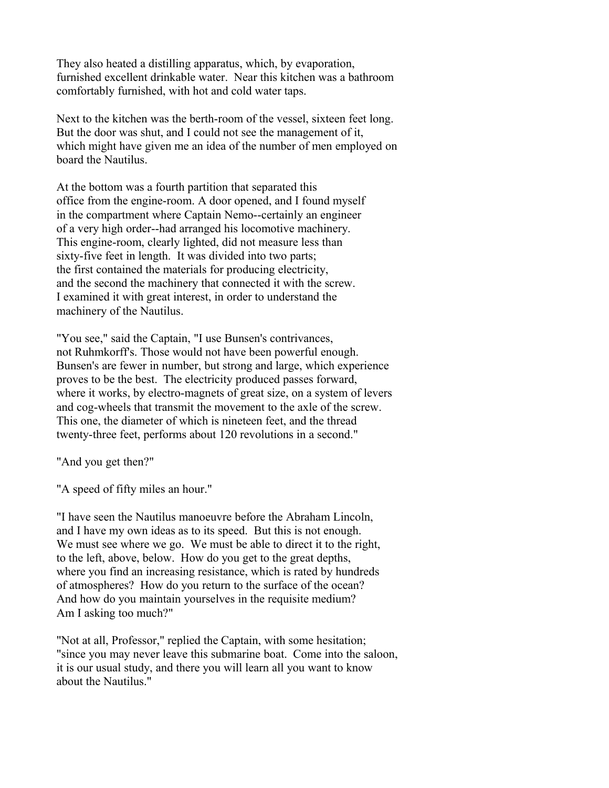They also heated a distilling apparatus, which, by evaporation, furnished excellent drinkable water. Near this kitchen was a bathroom comfortably furnished, with hot and cold water taps.

Next to the kitchen was the berth-room of the vessel, sixteen feet long. But the door was shut, and I could not see the management of it, which might have given me an idea of the number of men employed on board the Nautilus.

At the bottom was a fourth partition that separated this office from the engine-room. A door opened, and I found myself in the compartment where Captain Nemo--certainly an engineer of a very high order--had arranged his locomotive machinery. This engine-room, clearly lighted, did not measure less than sixty-five feet in length. It was divided into two parts; the first contained the materials for producing electricity, and the second the machinery that connected it with the screw. I examined it with great interest, in order to understand the machinery of the Nautilus.

"You see," said the Captain, "I use Bunsen's contrivances, not Ruhmkorff's. Those would not have been powerful enough. Bunsen's are fewer in number, but strong and large, which experience proves to be the best. The electricity produced passes forward, where it works, by electro-magnets of great size, on a system of levers and cog-wheels that transmit the movement to the axle of the screw. This one, the diameter of which is nineteen feet, and the thread twenty-three feet, performs about 120 revolutions in a second."

"And you get then?"

"A speed of fifty miles an hour."

"I have seen the Nautilus manoeuvre before the Abraham Lincoln, and I have my own ideas as to its speed. But this is not enough. We must see where we go. We must be able to direct it to the right, to the left, above, below. How do you get to the great depths, where you find an increasing resistance, which is rated by hundreds of atmospheres? How do you return to the surface of the ocean? And how do you maintain yourselves in the requisite medium? Am I asking too much?"

"Not at all, Professor," replied the Captain, with some hesitation; "since you may never leave this submarine boat. Come into the saloon, it is our usual study, and there you will learn all you want to know about the Nautilus."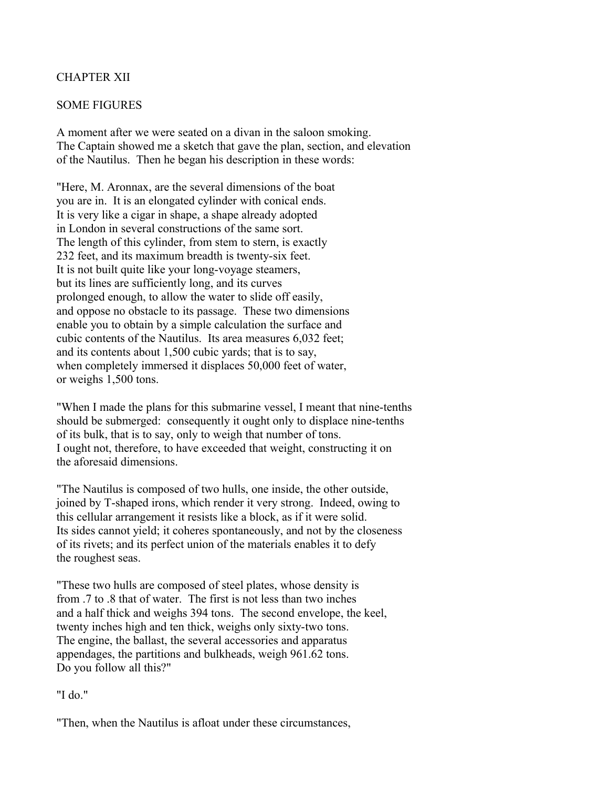## CHAPTER XII

### SOME FIGURES

A moment after we were seated on a divan in the saloon smoking. The Captain showed me a sketch that gave the plan, section, and elevation of the Nautilus. Then he began his description in these words:

"Here, M. Aronnax, are the several dimensions of the boat you are in. It is an elongated cylinder with conical ends. It is very like a cigar in shape, a shape already adopted in London in several constructions of the same sort. The length of this cylinder, from stem to stern, is exactly 232 feet, and its maximum breadth is twenty-six feet. It is not built quite like your long-voyage steamers, but its lines are sufficiently long, and its curves prolonged enough, to allow the water to slide off easily, and oppose no obstacle to its passage. These two dimensions enable you to obtain by a simple calculation the surface and cubic contents of the Nautilus. Its area measures 6,032 feet; and its contents about 1,500 cubic yards; that is to say, when completely immersed it displaces 50,000 feet of water, or weighs 1,500 tons.

"When I made the plans for this submarine vessel, I meant that nine-tenths should be submerged: consequently it ought only to displace nine-tenths of its bulk, that is to say, only to weigh that number of tons. I ought not, therefore, to have exceeded that weight, constructing it on the aforesaid dimensions.

"The Nautilus is composed of two hulls, one inside, the other outside, joined by T-shaped irons, which render it very strong. Indeed, owing to this cellular arrangement it resists like a block, as if it were solid. Its sides cannot yield; it coheres spontaneously, and not by the closeness of its rivets; and its perfect union of the materials enables it to defy the roughest seas.

"These two hulls are composed of steel plates, whose density is from .7 to .8 that of water. The first is not less than two inches and a half thick and weighs 394 tons. The second envelope, the keel, twenty inches high and ten thick, weighs only sixty-two tons. The engine, the ballast, the several accessories and apparatus appendages, the partitions and bulkheads, weigh 961.62 tons. Do you follow all this?"

### "I do."

"Then, when the Nautilus is afloat under these circumstances,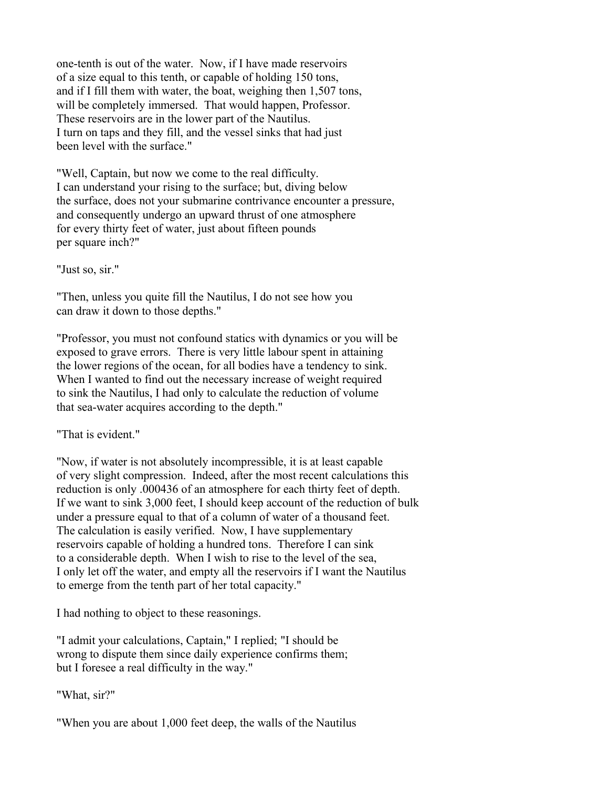one-tenth is out of the water. Now, if I have made reservoirs of a size equal to this tenth, or capable of holding 150 tons, and if I fill them with water, the boat, weighing then 1,507 tons, will be completely immersed. That would happen, Professor. These reservoirs are in the lower part of the Nautilus. I turn on taps and they fill, and the vessel sinks that had just been level with the surface."

"Well, Captain, but now we come to the real difficulty. I can understand your rising to the surface; but, diving below the surface, does not your submarine contrivance encounter a pressure, and consequently undergo an upward thrust of one atmosphere for every thirty feet of water, just about fifteen pounds per square inch?"

"Just so, sir."

"Then, unless you quite fill the Nautilus, I do not see how you can draw it down to those depths."

"Professor, you must not confound statics with dynamics or you will be exposed to grave errors. There is very little labour spent in attaining the lower regions of the ocean, for all bodies have a tendency to sink. When I wanted to find out the necessary increase of weight required to sink the Nautilus, I had only to calculate the reduction of volume that sea-water acquires according to the depth."

"That is evident."

"Now, if water is not absolutely incompressible, it is at least capable of very slight compression. Indeed, after the most recent calculations this reduction is only .000436 of an atmosphere for each thirty feet of depth. If we want to sink 3,000 feet, I should keep account of the reduction of bulk under a pressure equal to that of a column of water of a thousand feet. The calculation is easily verified. Now, I have supplementary reservoirs capable of holding a hundred tons. Therefore I can sink to a considerable depth. When I wish to rise to the level of the sea, I only let off the water, and empty all the reservoirs if I want the Nautilus to emerge from the tenth part of her total capacity."

I had nothing to object to these reasonings.

"I admit your calculations, Captain," I replied; "I should be wrong to dispute them since daily experience confirms them; but I foresee a real difficulty in the way."

"What, sir?"

"When you are about 1,000 feet deep, the walls of the Nautilus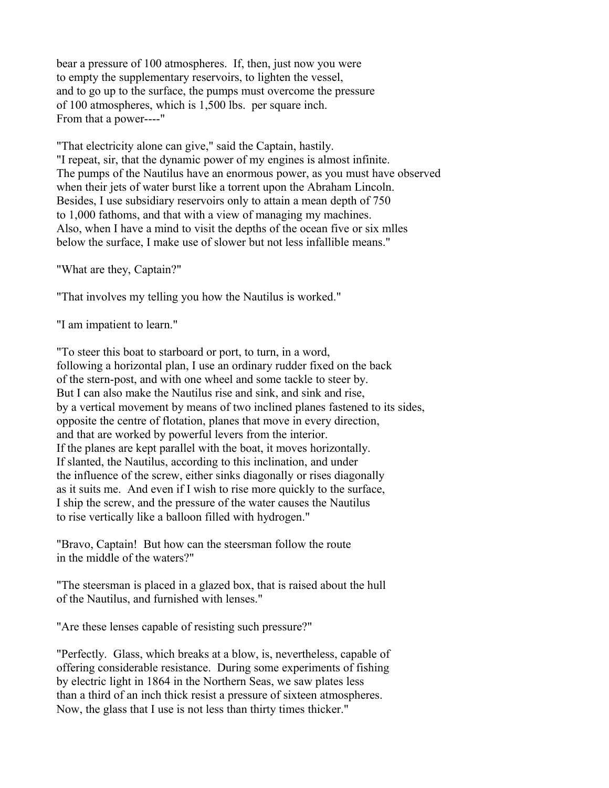bear a pressure of 100 atmospheres. If, then, just now you were to empty the supplementary reservoirs, to lighten the vessel, and to go up to the surface, the pumps must overcome the pressure of 100 atmospheres, which is 1,500 lbs. per square inch. From that a power----"

"That electricity alone can give," said the Captain, hastily. "I repeat, sir, that the dynamic power of my engines is almost infinite. The pumps of the Nautilus have an enormous power, as you must have observed when their jets of water burst like a torrent upon the Abraham Lincoln. Besides, I use subsidiary reservoirs only to attain a mean depth of 750 to 1,000 fathoms, and that with a view of managing my machines. Also, when I have a mind to visit the depths of the ocean five or six mlles below the surface, I make use of slower but not less infallible means."

"What are they, Captain?"

"That involves my telling you how the Nautilus is worked."

"I am impatient to learn."

"To steer this boat to starboard or port, to turn, in a word, following a horizontal plan, I use an ordinary rudder fixed on the back of the stern-post, and with one wheel and some tackle to steer by. But I can also make the Nautilus rise and sink, and sink and rise, by a vertical movement by means of two inclined planes fastened to its sides, opposite the centre of flotation, planes that move in every direction, and that are worked by powerful levers from the interior. If the planes are kept parallel with the boat, it moves horizontally. If slanted, the Nautilus, according to this inclination, and under the influence of the screw, either sinks diagonally or rises diagonally as it suits me. And even if I wish to rise more quickly to the surface, I ship the screw, and the pressure of the water causes the Nautilus to rise vertically like a balloon filled with hydrogen."

"Bravo, Captain! But how can the steersman follow the route in the middle of the waters?"

"The steersman is placed in a glazed box, that is raised about the hull of the Nautilus, and furnished with lenses."

"Are these lenses capable of resisting such pressure?"

"Perfectly. Glass, which breaks at a blow, is, nevertheless, capable of offering considerable resistance. During some experiments of fishing by electric light in 1864 in the Northern Seas, we saw plates less than a third of an inch thick resist a pressure of sixteen atmospheres. Now, the glass that I use is not less than thirty times thicker."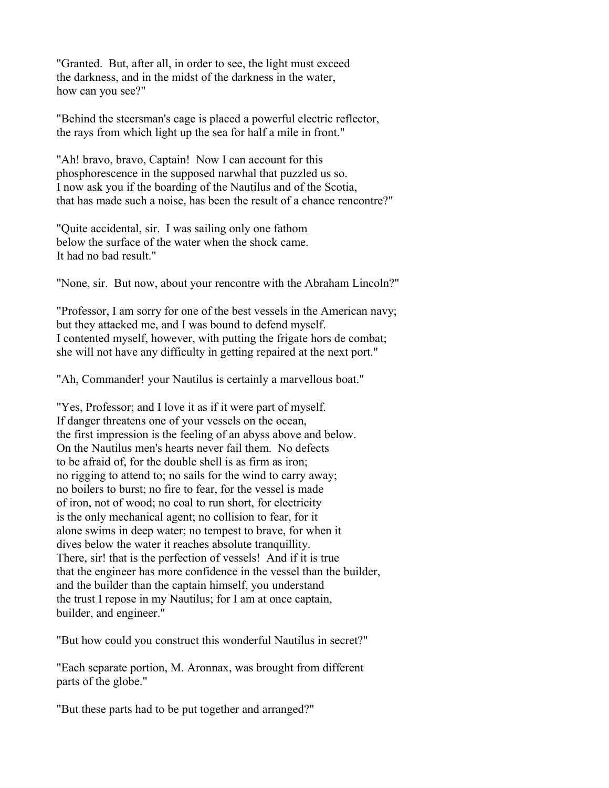"Granted. But, after all, in order to see, the light must exceed the darkness, and in the midst of the darkness in the water, how can you see?"

"Behind the steersman's cage is placed a powerful electric reflector, the rays from which light up the sea for half a mile in front."

"Ah! bravo, bravo, Captain! Now I can account for this phosphorescence in the supposed narwhal that puzzled us so. I now ask you if the boarding of the Nautilus and of the Scotia, that has made such a noise, has been the result of a chance rencontre?"

"Quite accidental, sir. I was sailing only one fathom below the surface of the water when the shock came. It had no bad result."

"None, sir. But now, about your rencontre with the Abraham Lincoln?"

"Professor, I am sorry for one of the best vessels in the American navy; but they attacked me, and I was bound to defend myself. I contented myself, however, with putting the frigate hors de combat; she will not have any difficulty in getting repaired at the next port."

"Ah, Commander! your Nautilus is certainly a marvellous boat."

"Yes, Professor; and I love it as if it were part of myself. If danger threatens one of your vessels on the ocean, the first impression is the feeling of an abyss above and below. On the Nautilus men's hearts never fail them. No defects to be afraid of, for the double shell is as firm as iron; no rigging to attend to; no sails for the wind to carry away; no boilers to burst; no fire to fear, for the vessel is made of iron, not of wood; no coal to run short, for electricity is the only mechanical agent; no collision to fear, for it alone swims in deep water; no tempest to brave, for when it dives below the water it reaches absolute tranquillity. There, sir! that is the perfection of vessels! And if it is true that the engineer has more confidence in the vessel than the builder, and the builder than the captain himself, you understand the trust I repose in my Nautilus; for I am at once captain, builder, and engineer."

"But how could you construct this wonderful Nautilus in secret?"

"Each separate portion, M. Aronnax, was brought from different parts of the globe."

"But these parts had to be put together and arranged?"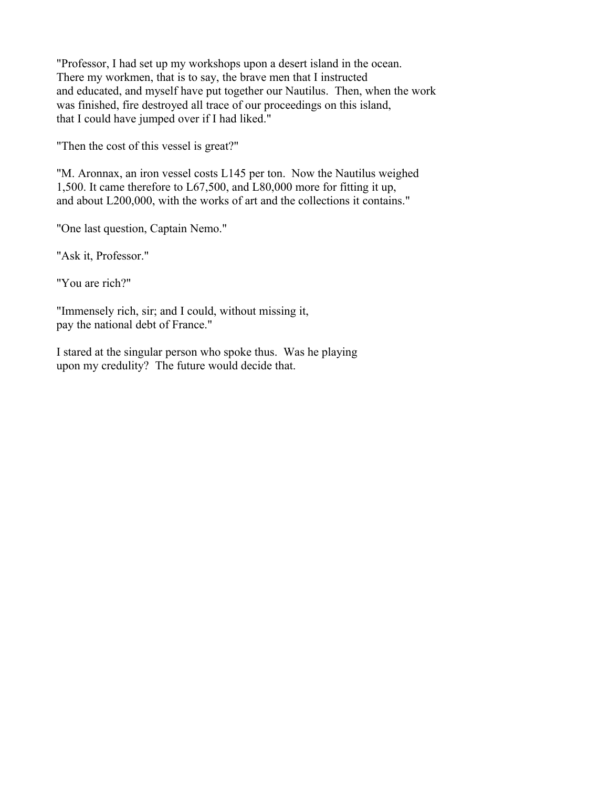"Professor, I had set up my workshops upon a desert island in the ocean. There my workmen, that is to say, the brave men that I instructed and educated, and myself have put together our Nautilus. Then, when the work was finished, fire destroyed all trace of our proceedings on this island, that I could have jumped over if I had liked."

"Then the cost of this vessel is great?"

"M. Aronnax, an iron vessel costs L145 per ton. Now the Nautilus weighed 1,500. It came therefore to L67,500, and L80,000 more for fitting it up, and about L200,000, with the works of art and the collections it contains."

"One last question, Captain Nemo."

"Ask it, Professor."

"You are rich?"

"Immensely rich, sir; and I could, without missing it, pay the national debt of France."

I stared at the singular person who spoke thus. Was he playing upon my credulity? The future would decide that.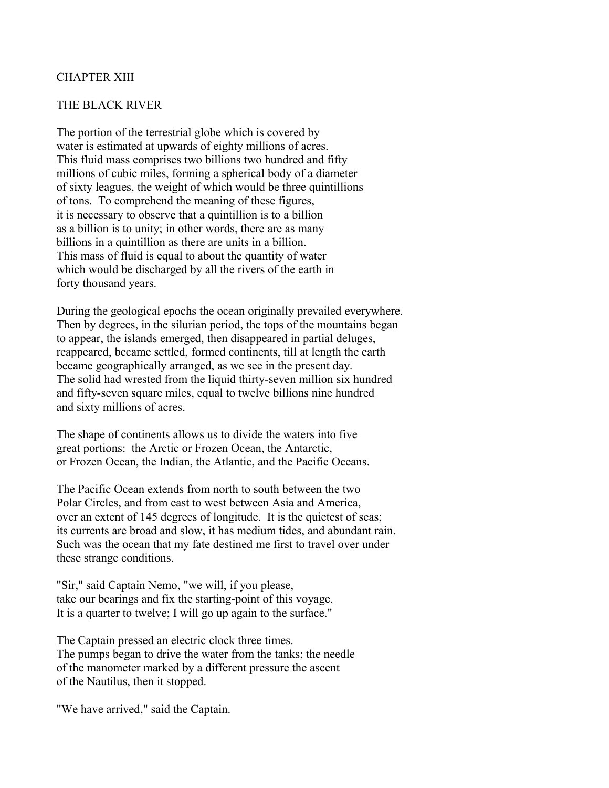### CHAPTER XIII

### THE BLACK RIVER

The portion of the terrestrial globe which is covered by water is estimated at upwards of eighty millions of acres. This fluid mass comprises two billions two hundred and fifty millions of cubic miles, forming a spherical body of a diameter of sixty leagues, the weight of which would be three quintillions of tons. To comprehend the meaning of these figures, it is necessary to observe that a quintillion is to a billion as a billion is to unity; in other words, there are as many billions in a quintillion as there are units in a billion. This mass of fluid is equal to about the quantity of water which would be discharged by all the rivers of the earth in forty thousand years.

During the geological epochs the ocean originally prevailed everywhere. Then by degrees, in the silurian period, the tops of the mountains began to appear, the islands emerged, then disappeared in partial deluges, reappeared, became settled, formed continents, till at length the earth became geographically arranged, as we see in the present day. The solid had wrested from the liquid thirty-seven million six hundred and fifty-seven square miles, equal to twelve billions nine hundred and sixty millions of acres.

The shape of continents allows us to divide the waters into five great portions: the Arctic or Frozen Ocean, the Antarctic, or Frozen Ocean, the Indian, the Atlantic, and the Pacific Oceans.

The Pacific Ocean extends from north to south between the two Polar Circles, and from east to west between Asia and America, over an extent of 145 degrees of longitude. It is the quietest of seas; its currents are broad and slow, it has medium tides, and abundant rain. Such was the ocean that my fate destined me first to travel over under these strange conditions.

"Sir," said Captain Nemo, "we will, if you please, take our bearings and fix the starting-point of this voyage. It is a quarter to twelve; I will go up again to the surface."

The Captain pressed an electric clock three times. The pumps began to drive the water from the tanks; the needle of the manometer marked by a different pressure the ascent of the Nautilus, then it stopped.

"We have arrived," said the Captain.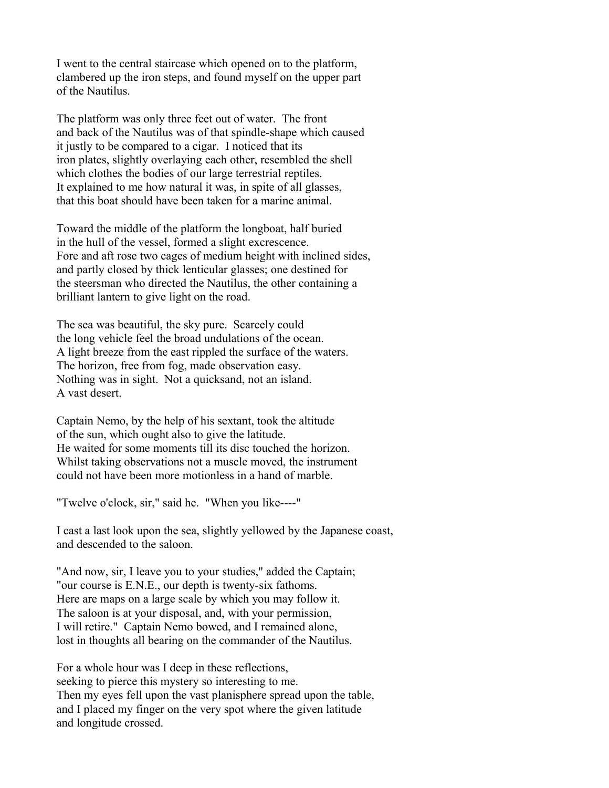I went to the central staircase which opened on to the platform, clambered up the iron steps, and found myself on the upper part of the Nautilus.

The platform was only three feet out of water. The front and back of the Nautilus was of that spindle-shape which caused it justly to be compared to a cigar. I noticed that its iron plates, slightly overlaying each other, resembled the shell which clothes the bodies of our large terrestrial reptiles. It explained to me how natural it was, in spite of all glasses, that this boat should have been taken for a marine animal.

Toward the middle of the platform the longboat, half buried in the hull of the vessel, formed a slight excrescence. Fore and aft rose two cages of medium height with inclined sides, and partly closed by thick lenticular glasses; one destined for the steersman who directed the Nautilus, the other containing a brilliant lantern to give light on the road.

The sea was beautiful, the sky pure. Scarcely could the long vehicle feel the broad undulations of the ocean. A light breeze from the east rippled the surface of the waters. The horizon, free from fog, made observation easy. Nothing was in sight. Not a quicksand, not an island. A vast desert.

Captain Nemo, by the help of his sextant, took the altitude of the sun, which ought also to give the latitude. He waited for some moments till its disc touched the horizon. Whilst taking observations not a muscle moved, the instrument could not have been more motionless in a hand of marble.

"Twelve o'clock, sir," said he. "When you like----"

I cast a last look upon the sea, slightly yellowed by the Japanese coast, and descended to the saloon.

"And now, sir, I leave you to your studies," added the Captain; "our course is E.N.E., our depth is twenty-six fathoms. Here are maps on a large scale by which you may follow it. The saloon is at your disposal, and, with your permission, I will retire." Captain Nemo bowed, and I remained alone, lost in thoughts all bearing on the commander of the Nautilus.

For a whole hour was I deep in these reflections, seeking to pierce this mystery so interesting to me. Then my eyes fell upon the vast planisphere spread upon the table, and I placed my finger on the very spot where the given latitude and longitude crossed.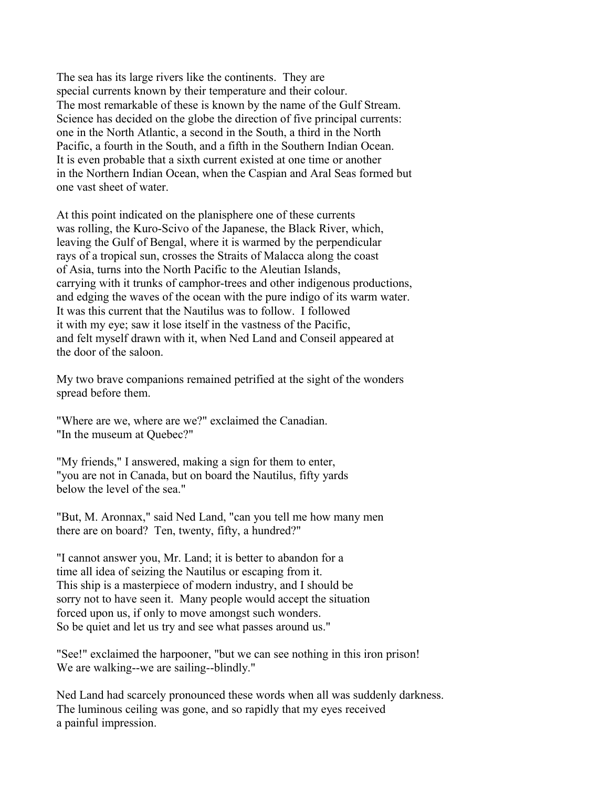The sea has its large rivers like the continents. They are special currents known by their temperature and their colour. The most remarkable of these is known by the name of the Gulf Stream. Science has decided on the globe the direction of five principal currents: one in the North Atlantic, a second in the South, a third in the North Pacific, a fourth in the South, and a fifth in the Southern Indian Ocean. It is even probable that a sixth current existed at one time or another in the Northern Indian Ocean, when the Caspian and Aral Seas formed but one vast sheet of water.

At this point indicated on the planisphere one of these currents was rolling, the Kuro-Scivo of the Japanese, the Black River, which, leaving the Gulf of Bengal, where it is warmed by the perpendicular rays of a tropical sun, crosses the Straits of Malacca along the coast of Asia, turns into the North Pacific to the Aleutian Islands, carrying with it trunks of camphor-trees and other indigenous productions, and edging the waves of the ocean with the pure indigo of its warm water. It was this current that the Nautilus was to follow. I followed it with my eye; saw it lose itself in the vastness of the Pacific, and felt myself drawn with it, when Ned Land and Conseil appeared at the door of the saloon.

My two brave companions remained petrified at the sight of the wonders spread before them.

"Where are we, where are we?" exclaimed the Canadian. "In the museum at Quebec?"

"My friends," I answered, making a sign for them to enter, "you are not in Canada, but on board the Nautilus, fifty yards below the level of the sea."

"But, M. Aronnax," said Ned Land, "can you tell me how many men there are on board? Ten, twenty, fifty, a hundred?"

"I cannot answer you, Mr. Land; it is better to abandon for a time all idea of seizing the Nautilus or escaping from it. This ship is a masterpiece of modern industry, and I should be sorry not to have seen it. Many people would accept the situation forced upon us, if only to move amongst such wonders. So be quiet and let us try and see what passes around us."

"See!" exclaimed the harpooner, "but we can see nothing in this iron prison! We are walking--we are sailing--blindly."

Ned Land had scarcely pronounced these words when all was suddenly darkness. The luminous ceiling was gone, and so rapidly that my eyes received a painful impression.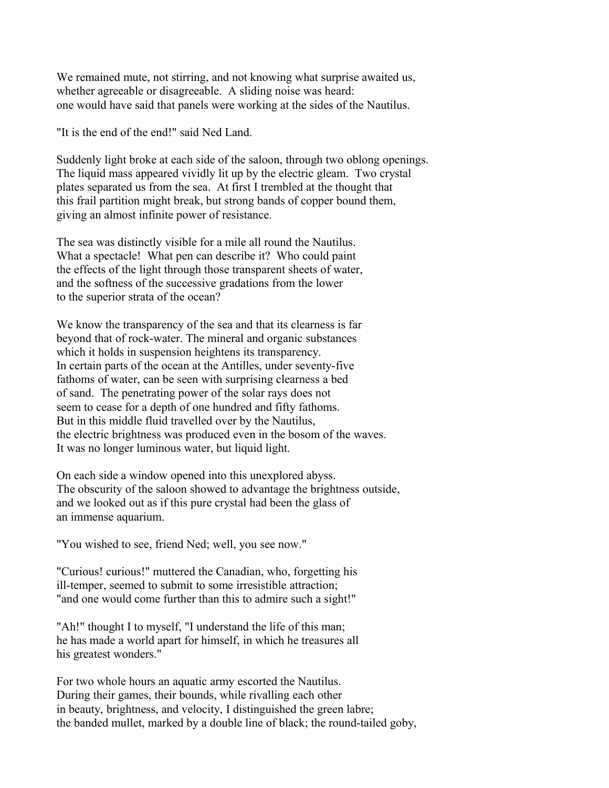We remained mute, not stirring, and not knowing what surprise awaited us, whether agreeable or disagreeable. A sliding noise was heard: one would have said that panels were working at the sides of the Nautilus.

"It is the end of the end!" said Ned Land.

Suddenly light broke at each side of the saloon, through two oblong openings. The liquid mass appeared vividly lit up by the electric gleam. Two crystal plates separated us from the sea. At first I trembled at the thought that this frail partition might break, but strong bands of copper bound them, giving an almost infinite power of resistance.

The sea was distinctly visible for a mile all round the Nautilus. What a spectacle! What pen can describe it? Who could paint the effects of the light through those transparent sheets of water, and the softness of the successive gradations from the lower to the superior strata of the ocean?

We know the transparency of the sea and that its clearness is far beyond that of rock-water. The mineral and organic substances which it holds in suspension heightens its transparency. In certain parts of the ocean at the Antilles, under seventy-five fathoms of water, can be seen with surprising clearness a bed of sand. The penetrating power of the solar rays does not seem to cease for a depth of one hundred and fifty fathoms. But in this middle fluid travelled over by the Nautilus, the electric brightness was produced even in the bosom of the waves. It was no longer luminous water, but liquid light.

On each side a window opened into this unexplored abyss. The obscurity of the saloon showed to advantage the brightness outside, and we looked out as if this pure crystal had been the glass of an immense aquarium.

"You wished to see, friend Ned; well, you see now."

"Curious! curious!" muttered the Canadian, who, forgetting his ill-temper, seemed to submit to some irresistible attraction; "and one would come further than this to admire such a sight!"

"Ah!" thought I to myself, "I understand the life of this man; he has made a world apart for himself, in which he treasures all his greatest wonders."

For two whole hours an aquatic army escorted the Nautilus. During their games, their bounds, while rivalling each other in beauty, brightness, and velocity, I distinguished the green labre; the banded mullet, marked by a double line of black; the round-tailed goby,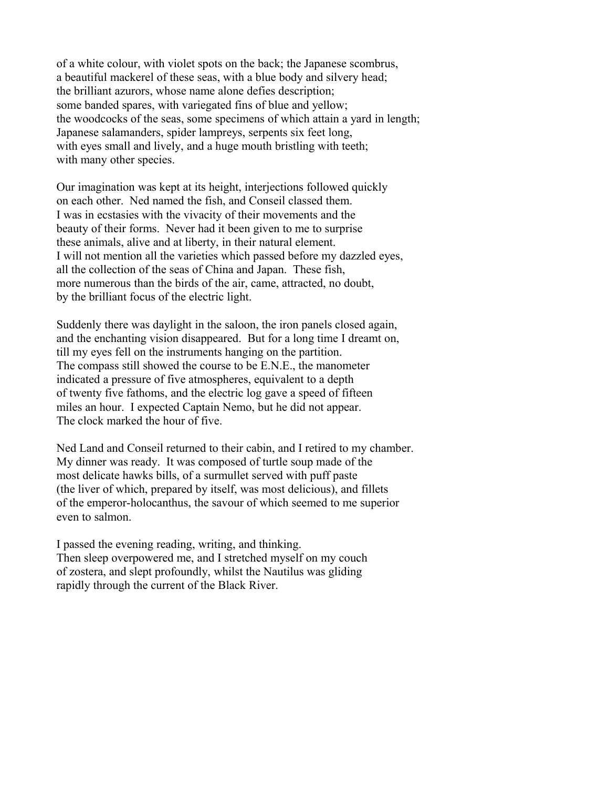of a white colour, with violet spots on the back; the Japanese scombrus, a beautiful mackerel of these seas, with a blue body and silvery head; the brilliant azurors, whose name alone defies description; some banded spares, with variegated fins of blue and yellow; the woodcocks of the seas, some specimens of which attain a yard in length; Japanese salamanders, spider lampreys, serpents six feet long, with eyes small and lively, and a huge mouth bristling with teeth; with many other species.

Our imagination was kept at its height, interjections followed quickly on each other. Ned named the fish, and Conseil classed them. I was in ecstasies with the vivacity of their movements and the beauty of their forms. Never had it been given to me to surprise these animals, alive and at liberty, in their natural element. I will not mention all the varieties which passed before my dazzled eyes, all the collection of the seas of China and Japan. These fish, more numerous than the birds of the air, came, attracted, no doubt, by the brilliant focus of the electric light.

Suddenly there was daylight in the saloon, the iron panels closed again, and the enchanting vision disappeared. But for a long time I dreamt on, till my eyes fell on the instruments hanging on the partition. The compass still showed the course to be E.N.E., the manometer indicated a pressure of five atmospheres, equivalent to a depth of twenty five fathoms, and the electric log gave a speed of fifteen miles an hour. I expected Captain Nemo, but he did not appear. The clock marked the hour of five.

Ned Land and Conseil returned to their cabin, and I retired to my chamber. My dinner was ready. It was composed of turtle soup made of the most delicate hawks bills, of a surmullet served with puff paste (the liver of which, prepared by itself, was most delicious), and fillets of the emperor-holocanthus, the savour of which seemed to me superior even to salmon.

I passed the evening reading, writing, and thinking. Then sleep overpowered me, and I stretched myself on my couch of zostera, and slept profoundly, whilst the Nautilus was gliding rapidly through the current of the Black River.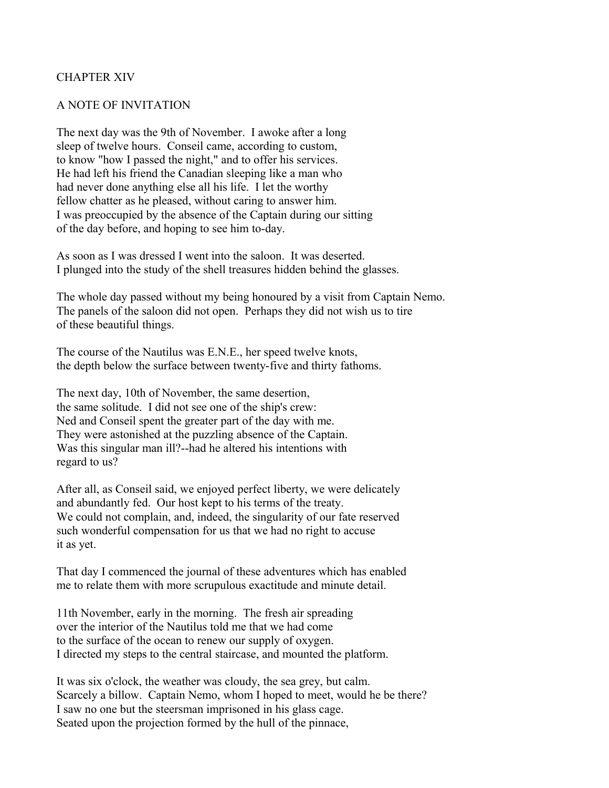### CHAPTER XIV

#### A NOTE OF INVITATION

The next day was the 9th of November. I awoke after a long sleep of twelve hours. Conseil came, according to custom, to know "how I passed the night," and to offer his services. He had left his friend the Canadian sleeping like a man who had never done anything else all his life. I let the worthy fellow chatter as he pleased, without caring to answer him. I was preoccupied by the absence of the Captain during our sitting of the day before, and hoping to see him to-day.

As soon as I was dressed I went into the saloon. It was deserted. I plunged into the study of the shell treasures hidden behind the glasses.

The whole day passed without my being honoured by a visit from Captain Nemo. The panels of the saloon did not open. Perhaps they did not wish us to tire of these beautiful things.

The course of the Nautilus was E.N.E., her speed twelve knots, the depth below the surface between twenty-five and thirty fathoms.

The next day, 10th of November, the same desertion, the same solitude. I did not see one of the ship's crew: Ned and Conseil spent the greater part of the day with me. They were astonished at the puzzling absence of the Captain. Was this singular man ill?--had he altered his intentions with regard to us?

After all, as Conseil said, we enjoyed perfect liberty, we were delicately and abundantly fed. Our host kept to his terms of the treaty. We could not complain, and, indeed, the singularity of our fate reserved such wonderful compensation for us that we had no right to accuse it as yet.

That day I commenced the journal of these adventures which has enabled me to relate them with more scrupulous exactitude and minute detail.

11th November, early in the morning. The fresh air spreading over the interior of the Nautilus told me that we had come to the surface of the ocean to renew our supply of oxygen. I directed my steps to the central staircase, and mounted the platform.

It was six o'clock, the weather was cloudy, the sea grey, but calm. Scarcely a billow. Captain Nemo, whom I hoped to meet, would he be there? I saw no one but the steersman imprisoned in his glass cage. Seated upon the projection formed by the hull of the pinnace,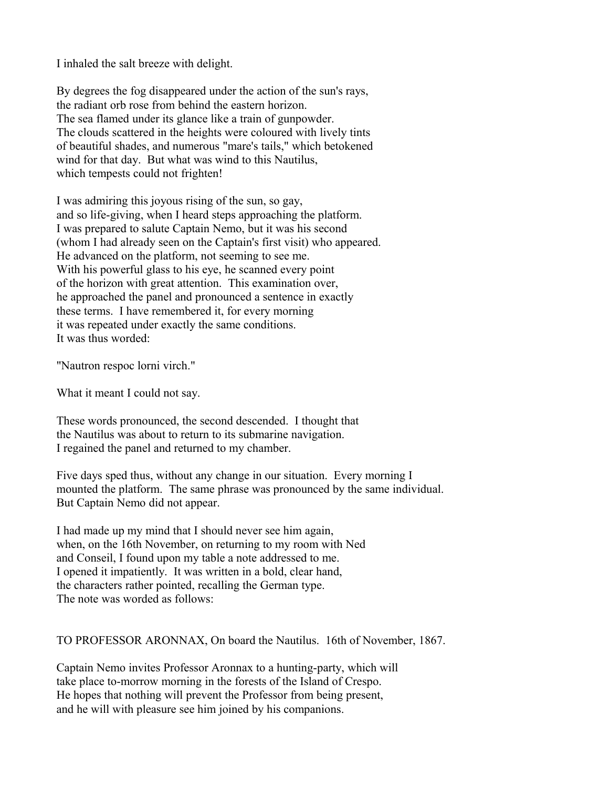I inhaled the salt breeze with delight.

By degrees the fog disappeared under the action of the sun's rays, the radiant orb rose from behind the eastern horizon. The sea flamed under its glance like a train of gunpowder. The clouds scattered in the heights were coloured with lively tints of beautiful shades, and numerous "mare's tails," which betokened wind for that day. But what was wind to this Nautilus, which tempests could not frighten!

I was admiring this joyous rising of the sun, so gay, and so life-giving, when I heard steps approaching the platform. I was prepared to salute Captain Nemo, but it was his second (whom I had already seen on the Captain's first visit) who appeared. He advanced on the platform, not seeming to see me. With his powerful glass to his eye, he scanned every point of the horizon with great attention. This examination over, he approached the panel and pronounced a sentence in exactly these terms. I have remembered it, for every morning it was repeated under exactly the same conditions. It was thus worded:

"Nautron respoc lorni virch."

What it meant I could not say.

These words pronounced, the second descended. I thought that the Nautilus was about to return to its submarine navigation. I regained the panel and returned to my chamber.

Five days sped thus, without any change in our situation. Every morning I mounted the platform. The same phrase was pronounced by the same individual. But Captain Nemo did not appear.

I had made up my mind that I should never see him again, when, on the 16th November, on returning to my room with Ned and Conseil, I found upon my table a note addressed to me. I opened it impatiently. It was written in a bold, clear hand, the characters rather pointed, recalling the German type. The note was worded as follows:

TO PROFESSOR ARONNAX, On board the Nautilus. 16th of November, 1867.

Captain Nemo invites Professor Aronnax to a hunting-party, which will take place to-morrow morning in the forests of the Island of Crespo. He hopes that nothing will prevent the Professor from being present, and he will with pleasure see him joined by his companions.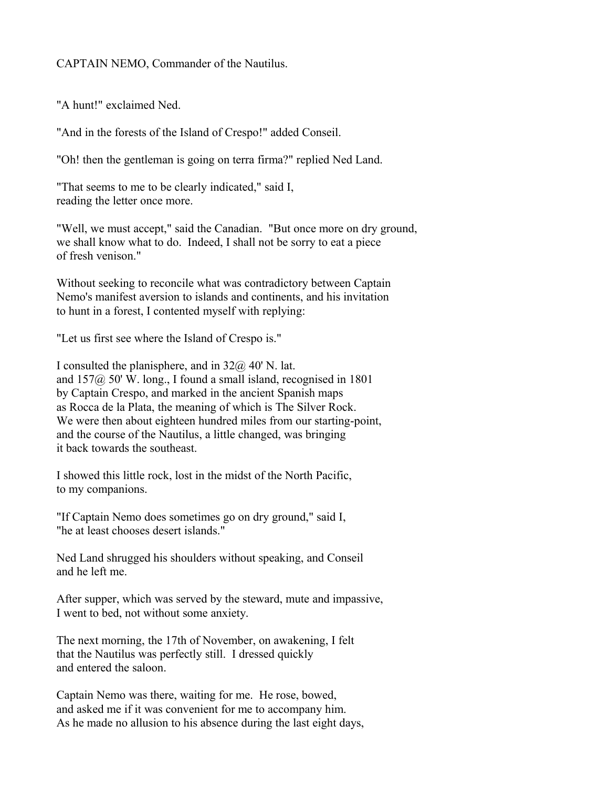CAPTAIN NEMO, Commander of the Nautilus.

"A hunt!" exclaimed Ned.

"And in the forests of the Island of Crespo!" added Conseil.

"Oh! then the gentleman is going on terra firma?" replied Ned Land.

"That seems to me to be clearly indicated," said I, reading the letter once more.

"Well, we must accept," said the Canadian. "But once more on dry ground, we shall know what to do. Indeed, I shall not be sorry to eat a piece of fresh venison."

Without seeking to reconcile what was contradictory between Captain Nemo's manifest aversion to islands and continents, and his invitation to hunt in a forest, I contented myself with replying:

"Let us first see where the Island of Crespo is."

I consulted the planisphere, and in  $32\omega/40$  N. lat. and 157@ 50' W. long., I found a small island, recognised in 1801 by Captain Crespo, and marked in the ancient Spanish maps as Rocca de la Plata, the meaning of which is The Silver Rock. We were then about eighteen hundred miles from our starting-point, and the course of the Nautilus, a little changed, was bringing it back towards the southeast.

I showed this little rock, lost in the midst of the North Pacific, to my companions.

"If Captain Nemo does sometimes go on dry ground," said I, "he at least chooses desert islands."

Ned Land shrugged his shoulders without speaking, and Conseil and he left me.

After supper, which was served by the steward, mute and impassive, I went to bed, not without some anxiety.

The next morning, the 17th of November, on awakening, I felt that the Nautilus was perfectly still. I dressed quickly and entered the saloon.

Captain Nemo was there, waiting for me. He rose, bowed, and asked me if it was convenient for me to accompany him. As he made no allusion to his absence during the last eight days,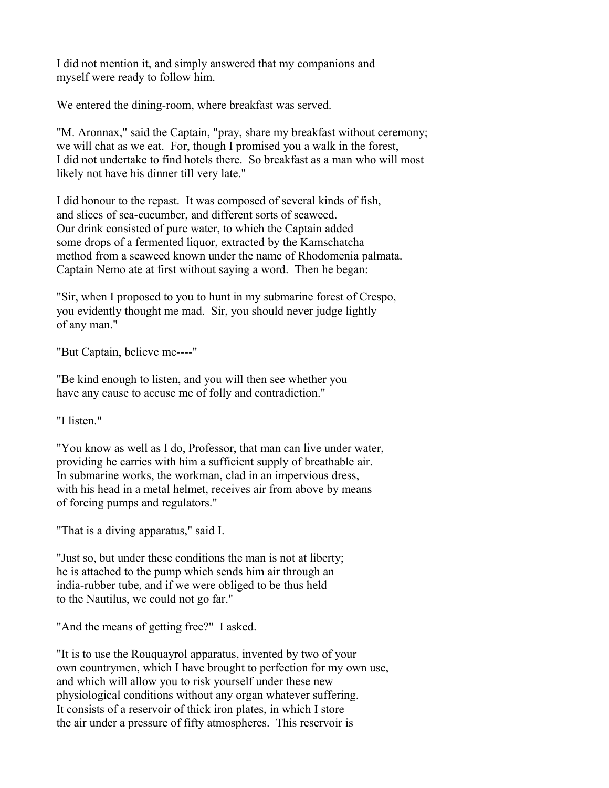I did not mention it, and simply answered that my companions and myself were ready to follow him.

We entered the dining-room, where breakfast was served.

"M. Aronnax," said the Captain, "pray, share my breakfast without ceremony; we will chat as we eat. For, though I promised you a walk in the forest, I did not undertake to find hotels there. So breakfast as a man who will most likely not have his dinner till very late."

I did honour to the repast. It was composed of several kinds of fish, and slices of sea-cucumber, and different sorts of seaweed. Our drink consisted of pure water, to which the Captain added some drops of a fermented liquor, extracted by the Kamschatcha method from a seaweed known under the name of Rhodomenia palmata. Captain Nemo ate at first without saying a word. Then he began:

"Sir, when I proposed to you to hunt in my submarine forest of Crespo, you evidently thought me mad. Sir, you should never judge lightly of any man."

"But Captain, believe me----"

"Be kind enough to listen, and you will then see whether you have any cause to accuse me of folly and contradiction."

"I listen"

"You know as well as I do, Professor, that man can live under water, providing he carries with him a sufficient supply of breathable air. In submarine works, the workman, clad in an impervious dress, with his head in a metal helmet, receives air from above by means of forcing pumps and regulators."

"That is a diving apparatus," said I.

"Just so, but under these conditions the man is not at liberty; he is attached to the pump which sends him air through an india-rubber tube, and if we were obliged to be thus held to the Nautilus, we could not go far."

"And the means of getting free?" I asked.

"It is to use the Rouquayrol apparatus, invented by two of your own countrymen, which I have brought to perfection for my own use, and which will allow you to risk yourself under these new physiological conditions without any organ whatever suffering. It consists of a reservoir of thick iron plates, in which I store the air under a pressure of fifty atmospheres. This reservoir is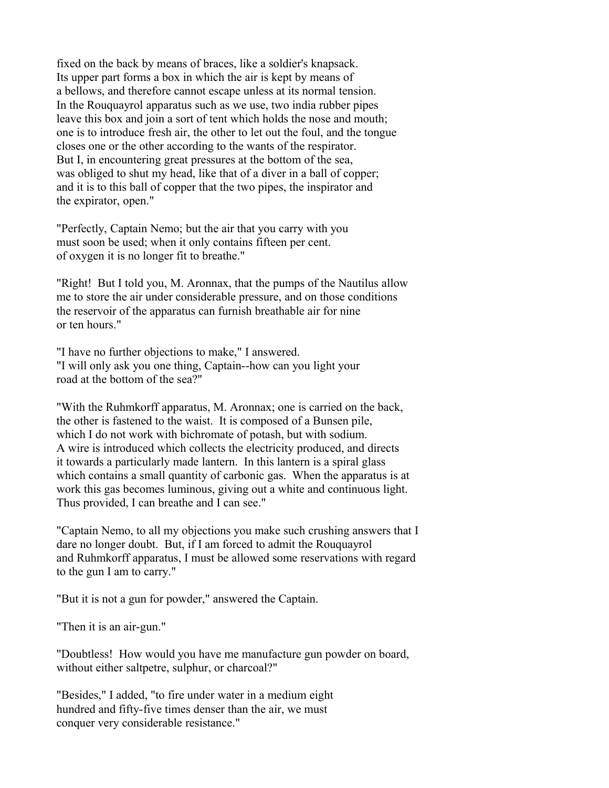fixed on the back by means of braces, like a soldier's knapsack. Its upper part forms a box in which the air is kept by means of a bellows, and therefore cannot escape unless at its normal tension. In the Rouquayrol apparatus such as we use, two india rubber pipes leave this box and join a sort of tent which holds the nose and mouth; one is to introduce fresh air, the other to let out the foul, and the tongue closes one or the other according to the wants of the respirator. But I, in encountering great pressures at the bottom of the sea, was obliged to shut my head, like that of a diver in a ball of copper; and it is to this ball of copper that the two pipes, the inspirator and the expirator, open."

"Perfectly, Captain Nemo; but the air that you carry with you must soon be used; when it only contains fifteen per cent. of oxygen it is no longer fit to breathe."

"Right! But I told you, M. Aronnax, that the pumps of the Nautilus allow me to store the air under considerable pressure, and on those conditions the reservoir of the apparatus can furnish breathable air for nine or ten hours."

"I have no further objections to make," I answered. "I will only ask you one thing, Captain--how can you light your road at the bottom of the sea?"

"With the Ruhmkorff apparatus, M. Aronnax; one is carried on the back, the other is fastened to the waist. It is composed of a Bunsen pile, which I do not work with bichromate of potash, but with sodium. A wire is introduced which collects the electricity produced, and directs it towards a particularly made lantern. In this lantern is a spiral glass which contains a small quantity of carbonic gas. When the apparatus is at work this gas becomes luminous, giving out a white and continuous light. Thus provided, I can breathe and I can see."

"Captain Nemo, to all my objections you make such crushing answers that I dare no longer doubt. But, if I am forced to admit the Rouquayrol and Ruhmkorff apparatus, I must be allowed some reservations with regard to the gun I am to carry."

"But it is not a gun for powder," answered the Captain.

"Then it is an air-gun."

"Doubtless! How would you have me manufacture gun powder on board, without either saltpetre, sulphur, or charcoal?"

"Besides," I added, "to fire under water in a medium eight hundred and fifty-five times denser than the air, we must conquer very considerable resistance."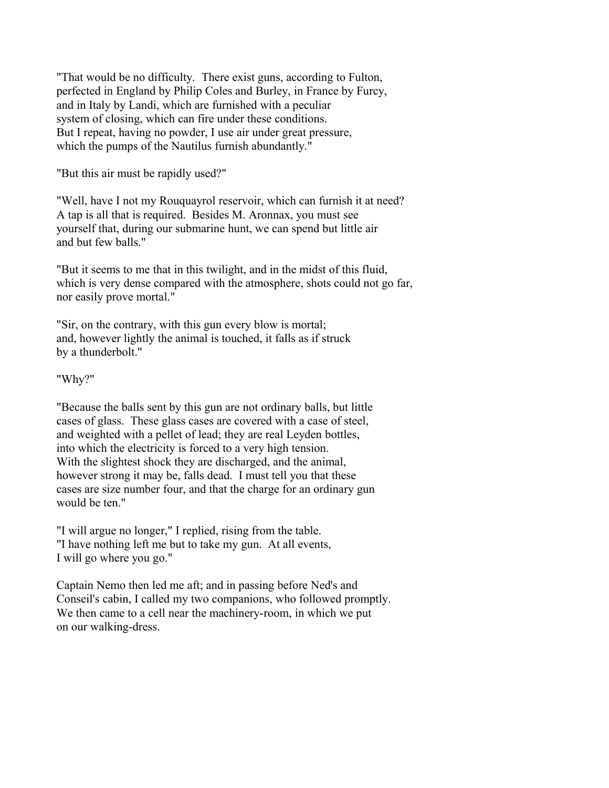"That would be no difficulty. There exist guns, according to Fulton, perfected in England by Philip Coles and Burley, in France by Furcy, and in Italy by Landi, which are furnished with a peculiar system of closing, which can fire under these conditions. But I repeat, having no powder, I use air under great pressure, which the pumps of the Nautilus furnish abundantly."

"But this air must be rapidly used?"

"Well, have I not my Rouquayrol reservoir, which can furnish it at need? A tap is all that is required. Besides M. Aronnax, you must see yourself that, during our submarine hunt, we can spend but little air and but few balls."

"But it seems to me that in this twilight, and in the midst of this fluid, which is very dense compared with the atmosphere, shots could not go far, nor easily prove mortal."

"Sir, on the contrary, with this gun every blow is mortal; and, however lightly the animal is touched, it falls as if struck by a thunderbolt."

"Why?"

"Because the balls sent by this gun are not ordinary balls, but little cases of glass. These glass cases are covered with a case of steel, and weighted with a pellet of lead; they are real Leyden bottles, into which the electricity is forced to a very high tension. With the slightest shock they are discharged, and the animal, however strong it may be, falls dead. I must tell you that these cases are size number four, and that the charge for an ordinary gun would be ten."

"I will argue no longer," I replied, rising from the table. "I have nothing left me but to take my gun. At all events, I will go where you go."

Captain Nemo then led me aft; and in passing before Ned's and Conseil's cabin, I called my two companions, who followed promptly. We then came to a cell near the machinery-room, in which we put on our walking-dress.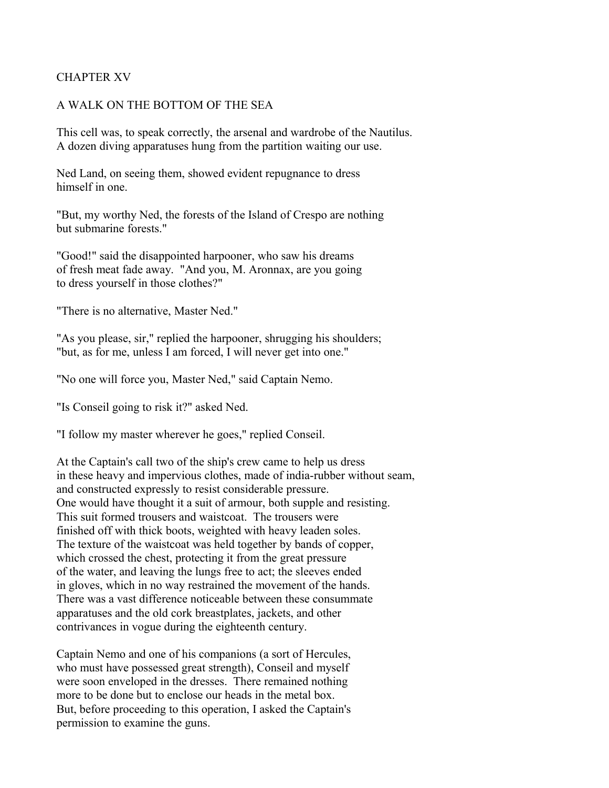## CHAPTER XV

#### A WALK ON THE BOTTOM OF THE SEA

This cell was, to speak correctly, the arsenal and wardrobe of the Nautilus. A dozen diving apparatuses hung from the partition waiting our use.

Ned Land, on seeing them, showed evident repugnance to dress himself in one.

"But, my worthy Ned, the forests of the Island of Crespo are nothing but submarine forests."

"Good!" said the disappointed harpooner, who saw his dreams of fresh meat fade away. "And you, M. Aronnax, are you going to dress yourself in those clothes?"

"There is no alternative, Master Ned."

"As you please, sir," replied the harpooner, shrugging his shoulders; "but, as for me, unless I am forced, I will never get into one."

"No one will force you, Master Ned," said Captain Nemo.

"Is Conseil going to risk it?" asked Ned.

"I follow my master wherever he goes," replied Conseil.

At the Captain's call two of the ship's crew came to help us dress in these heavy and impervious clothes, made of india-rubber without seam, and constructed expressly to resist considerable pressure. One would have thought it a suit of armour, both supple and resisting. This suit formed trousers and waistcoat. The trousers were finished off with thick boots, weighted with heavy leaden soles. The texture of the waistcoat was held together by bands of copper, which crossed the chest, protecting it from the great pressure of the water, and leaving the lungs free to act; the sleeves ended in gloves, which in no way restrained the movement of the hands. There was a vast difference noticeable between these consummate apparatuses and the old cork breastplates, jackets, and other contrivances in vogue during the eighteenth century.

Captain Nemo and one of his companions (a sort of Hercules, who must have possessed great strength), Conseil and myself were soon enveloped in the dresses. There remained nothing more to be done but to enclose our heads in the metal box. But, before proceeding to this operation, I asked the Captain's permission to examine the guns.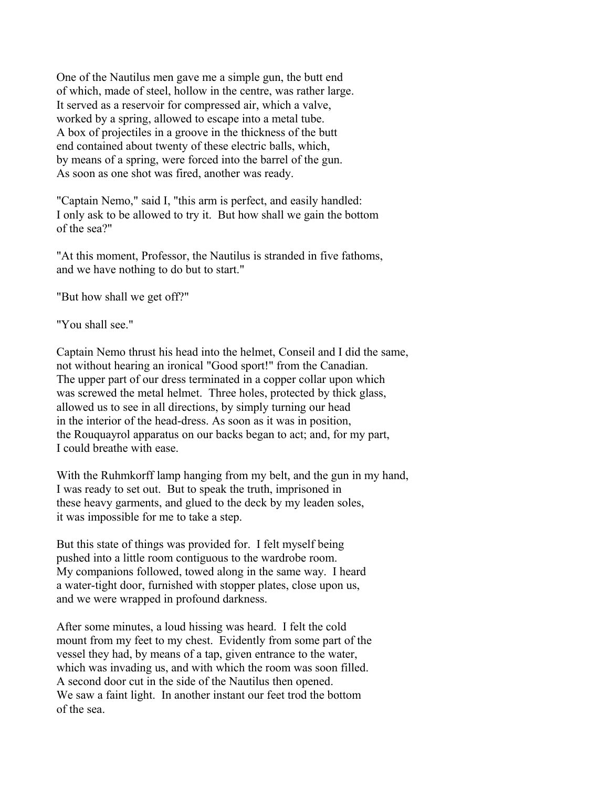One of the Nautilus men gave me a simple gun, the butt end of which, made of steel, hollow in the centre, was rather large. It served as a reservoir for compressed air, which a valve, worked by a spring, allowed to escape into a metal tube. A box of projectiles in a groove in the thickness of the butt end contained about twenty of these electric balls, which, by means of a spring, were forced into the barrel of the gun. As soon as one shot was fired, another was ready.

"Captain Nemo," said I, "this arm is perfect, and easily handled: I only ask to be allowed to try it. But how shall we gain the bottom of the sea?"

"At this moment, Professor, the Nautilus is stranded in five fathoms, and we have nothing to do but to start."

"But how shall we get off?"

"You shall see."

Captain Nemo thrust his head into the helmet, Conseil and I did the same, not without hearing an ironical "Good sport!" from the Canadian. The upper part of our dress terminated in a copper collar upon which was screwed the metal helmet. Three holes, protected by thick glass, allowed us to see in all directions, by simply turning our head in the interior of the head-dress. As soon as it was in position, the Rouquayrol apparatus on our backs began to act; and, for my part, I could breathe with ease.

With the Ruhmkorff lamp hanging from my belt, and the gun in my hand, I was ready to set out. But to speak the truth, imprisoned in these heavy garments, and glued to the deck by my leaden soles, it was impossible for me to take a step.

But this state of things was provided for. I felt myself being pushed into a little room contiguous to the wardrobe room. My companions followed, towed along in the same way. I heard a water-tight door, furnished with stopper plates, close upon us, and we were wrapped in profound darkness.

After some minutes, a loud hissing was heard. I felt the cold mount from my feet to my chest. Evidently from some part of the vessel they had, by means of a tap, given entrance to the water, which was invading us, and with which the room was soon filled. A second door cut in the side of the Nautilus then opened. We saw a faint light. In another instant our feet trod the bottom of the sea.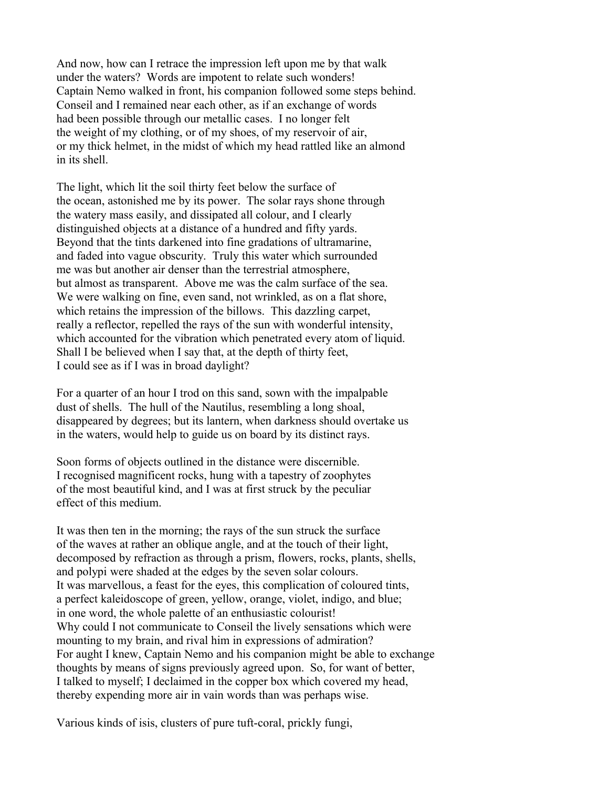And now, how can I retrace the impression left upon me by that walk under the waters? Words are impotent to relate such wonders! Captain Nemo walked in front, his companion followed some steps behind. Conseil and I remained near each other, as if an exchange of words had been possible through our metallic cases. I no longer felt the weight of my clothing, or of my shoes, of my reservoir of air, or my thick helmet, in the midst of which my head rattled like an almond in its shell.

The light, which lit the soil thirty feet below the surface of the ocean, astonished me by its power. The solar rays shone through the watery mass easily, and dissipated all colour, and I clearly distinguished objects at a distance of a hundred and fifty yards. Beyond that the tints darkened into fine gradations of ultramarine, and faded into vague obscurity. Truly this water which surrounded me was but another air denser than the terrestrial atmosphere, but almost as transparent. Above me was the calm surface of the sea. We were walking on fine, even sand, not wrinkled, as on a flat shore, which retains the impression of the billows. This dazzling carpet, really a reflector, repelled the rays of the sun with wonderful intensity, which accounted for the vibration which penetrated every atom of liquid. Shall I be believed when I say that, at the depth of thirty feet, I could see as if I was in broad daylight?

For a quarter of an hour I trod on this sand, sown with the impalpable dust of shells. The hull of the Nautilus, resembling a long shoal, disappeared by degrees; but its lantern, when darkness should overtake us in the waters, would help to guide us on board by its distinct rays.

Soon forms of objects outlined in the distance were discernible. I recognised magnificent rocks, hung with a tapestry of zoophytes of the most beautiful kind, and I was at first struck by the peculiar effect of this medium.

It was then ten in the morning; the rays of the sun struck the surface of the waves at rather an oblique angle, and at the touch of their light, decomposed by refraction as through a prism, flowers, rocks, plants, shells, and polypi were shaded at the edges by the seven solar colours. It was marvellous, a feast for the eyes, this complication of coloured tints, a perfect kaleidoscope of green, yellow, orange, violet, indigo, and blue; in one word, the whole palette of an enthusiastic colourist! Why could I not communicate to Conseil the lively sensations which were mounting to my brain, and rival him in expressions of admiration? For aught I knew, Captain Nemo and his companion might be able to exchange thoughts by means of signs previously agreed upon. So, for want of better, I talked to myself; I declaimed in the copper box which covered my head, thereby expending more air in vain words than was perhaps wise.

Various kinds of isis, clusters of pure tuft-coral, prickly fungi,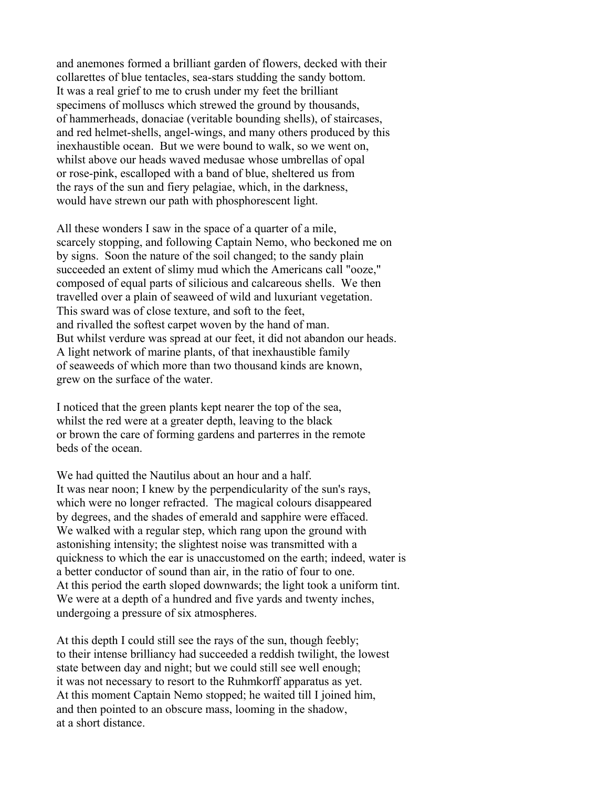and anemones formed a brilliant garden of flowers, decked with their collarettes of blue tentacles, sea-stars studding the sandy bottom. It was a real grief to me to crush under my feet the brilliant specimens of molluscs which strewed the ground by thousands, of hammerheads, donaciae (veritable bounding shells), of staircases, and red helmet-shells, angel-wings, and many others produced by this inexhaustible ocean. But we were bound to walk, so we went on, whilst above our heads waved medusae whose umbrellas of opal or rose-pink, escalloped with a band of blue, sheltered us from the rays of the sun and fiery pelagiae, which, in the darkness, would have strewn our path with phosphorescent light.

All these wonders I saw in the space of a quarter of a mile, scarcely stopping, and following Captain Nemo, who beckoned me on by signs. Soon the nature of the soil changed; to the sandy plain succeeded an extent of slimy mud which the Americans call "ooze," composed of equal parts of silicious and calcareous shells. We then travelled over a plain of seaweed of wild and luxuriant vegetation. This sward was of close texture, and soft to the feet, and rivalled the softest carpet woven by the hand of man. But whilst verdure was spread at our feet, it did not abandon our heads. A light network of marine plants, of that inexhaustible family of seaweeds of which more than two thousand kinds are known, grew on the surface of the water.

I noticed that the green plants kept nearer the top of the sea, whilst the red were at a greater depth, leaving to the black or brown the care of forming gardens and parterres in the remote beds of the ocean.

We had quitted the Nautilus about an hour and a half. It was near noon; I knew by the perpendicularity of the sun's rays, which were no longer refracted. The magical colours disappeared by degrees, and the shades of emerald and sapphire were effaced. We walked with a regular step, which rang upon the ground with astonishing intensity; the slightest noise was transmitted with a quickness to which the ear is unaccustomed on the earth; indeed, water is a better conductor of sound than air, in the ratio of four to one. At this period the earth sloped downwards; the light took a uniform tint. We were at a depth of a hundred and five yards and twenty inches, undergoing a pressure of six atmospheres.

At this depth I could still see the rays of the sun, though feebly; to their intense brilliancy had succeeded a reddish twilight, the lowest state between day and night; but we could still see well enough; it was not necessary to resort to the Ruhmkorff apparatus as yet. At this moment Captain Nemo stopped; he waited till I joined him, and then pointed to an obscure mass, looming in the shadow, at a short distance.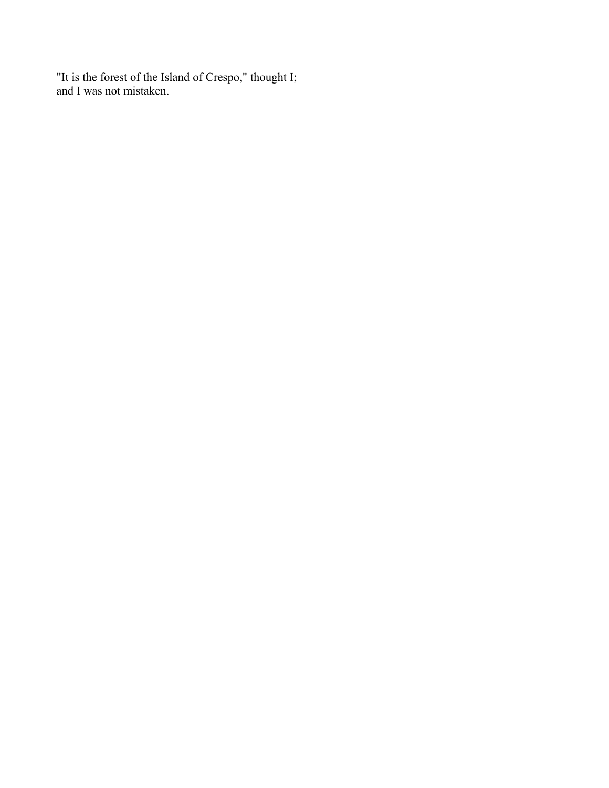"It is the forest of the Island of Crespo," thought I; and I was not mistaken.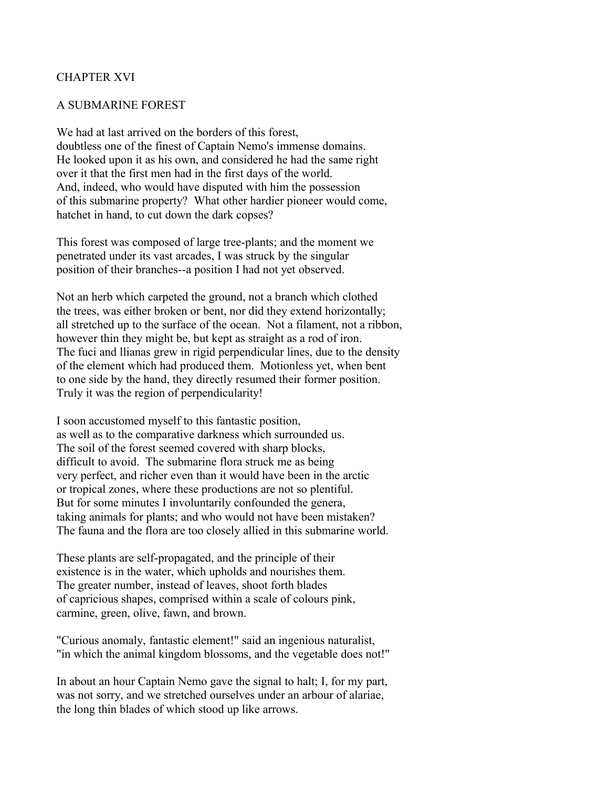## CHAPTER XVI

#### A SUBMARINE FOREST

We had at last arrived on the borders of this forest, doubtless one of the finest of Captain Nemo's immense domains. He looked upon it as his own, and considered he had the same right over it that the first men had in the first days of the world. And, indeed, who would have disputed with him the possession of this submarine property? What other hardier pioneer would come, hatchet in hand, to cut down the dark copses?

This forest was composed of large tree-plants; and the moment we penetrated under its vast arcades, I was struck by the singular position of their branches--a position I had not yet observed.

Not an herb which carpeted the ground, not a branch which clothed the trees, was either broken or bent, nor did they extend horizontally; all stretched up to the surface of the ocean. Not a filament, not a ribbon, however thin they might be, but kept as straight as a rod of iron. The fuci and llianas grew in rigid perpendicular lines, due to the density of the element which had produced them. Motionless yet, when bent to one side by the hand, they directly resumed their former position. Truly it was the region of perpendicularity!

I soon accustomed myself to this fantastic position, as well as to the comparative darkness which surrounded us. The soil of the forest seemed covered with sharp blocks, difficult to avoid. The submarine flora struck me as being very perfect, and richer even than it would have been in the arctic or tropical zones, where these productions are not so plentiful. But for some minutes I involuntarily confounded the genera, taking animals for plants; and who would not have been mistaken? The fauna and the flora are too closely allied in this submarine world.

These plants are self-propagated, and the principle of their existence is in the water, which upholds and nourishes them. The greater number, instead of leaves, shoot forth blades of capricious shapes, comprised within a scale of colours pink, carmine, green, olive, fawn, and brown.

"Curious anomaly, fantastic element!" said an ingenious naturalist, "in which the animal kingdom blossoms, and the vegetable does not!"

In about an hour Captain Nemo gave the signal to halt; I, for my part, was not sorry, and we stretched ourselves under an arbour of alariae, the long thin blades of which stood up like arrows.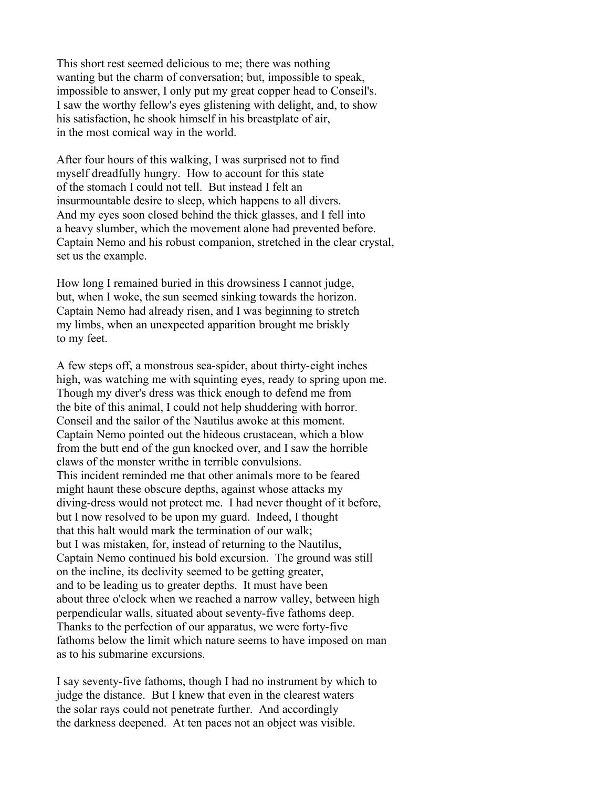This short rest seemed delicious to me; there was nothing wanting but the charm of conversation; but, impossible to speak, impossible to answer, I only put my great copper head to Conseil's. I saw the worthy fellow's eyes glistening with delight, and, to show his satisfaction, he shook himself in his breastplate of air, in the most comical way in the world.

After four hours of this walking, I was surprised not to find myself dreadfully hungry. How to account for this state of the stomach I could not tell. But instead I felt an insurmountable desire to sleep, which happens to all divers. And my eyes soon closed behind the thick glasses, and I fell into a heavy slumber, which the movement alone had prevented before. Captain Nemo and his robust companion, stretched in the clear crystal, set us the example.

How long I remained buried in this drowsiness I cannot judge, but, when I woke, the sun seemed sinking towards the horizon. Captain Nemo had already risen, and I was beginning to stretch my limbs, when an unexpected apparition brought me briskly to my feet.

A few steps off, a monstrous sea-spider, about thirty-eight inches high, was watching me with squinting eyes, ready to spring upon me. Though my diver's dress was thick enough to defend me from the bite of this animal, I could not help shuddering with horror. Conseil and the sailor of the Nautilus awoke at this moment. Captain Nemo pointed out the hideous crustacean, which a blow from the butt end of the gun knocked over, and I saw the horrible claws of the monster writhe in terrible convulsions. This incident reminded me that other animals more to be feared might haunt these obscure depths, against whose attacks my diving-dress would not protect me. I had never thought of it before, but I now resolved to be upon my guard. Indeed, I thought that this halt would mark the termination of our walk; but I was mistaken, for, instead of returning to the Nautilus, Captain Nemo continued his bold excursion. The ground was still on the incline, its declivity seemed to be getting greater, and to be leading us to greater depths. It must have been about three o'clock when we reached a narrow valley, between high perpendicular walls, situated about seventy-five fathoms deep. Thanks to the perfection of our apparatus, we were forty-five fathoms below the limit which nature seems to have imposed on man as to his submarine excursions.

I say seventy-five fathoms, though I had no instrument by which to judge the distance. But I knew that even in the clearest waters the solar rays could not penetrate further. And accordingly the darkness deepened. At ten paces not an object was visible.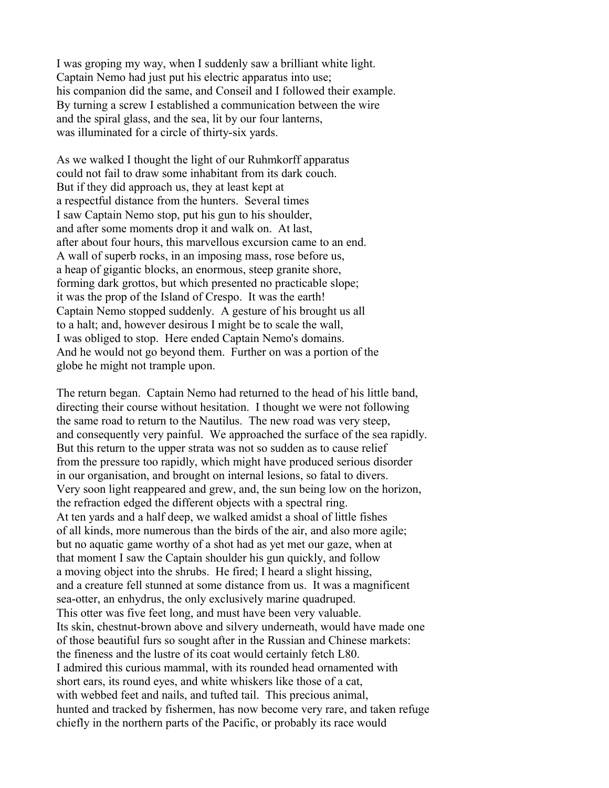I was groping my way, when I suddenly saw a brilliant white light. Captain Nemo had just put his electric apparatus into use; his companion did the same, and Conseil and I followed their example. By turning a screw I established a communication between the wire and the spiral glass, and the sea, lit by our four lanterns, was illuminated for a circle of thirty-six yards.

As we walked I thought the light of our Ruhmkorff apparatus could not fail to draw some inhabitant from its dark couch. But if they did approach us, they at least kept at a respectful distance from the hunters. Several times I saw Captain Nemo stop, put his gun to his shoulder, and after some moments drop it and walk on. At last, after about four hours, this marvellous excursion came to an end. A wall of superb rocks, in an imposing mass, rose before us, a heap of gigantic blocks, an enormous, steep granite shore, forming dark grottos, but which presented no practicable slope; it was the prop of the Island of Crespo. It was the earth! Captain Nemo stopped suddenly. A gesture of his brought us all to a halt; and, however desirous I might be to scale the wall, I was obliged to stop. Here ended Captain Nemo's domains. And he would not go beyond them. Further on was a portion of the globe he might not trample upon.

The return began. Captain Nemo had returned to the head of his little band, directing their course without hesitation. I thought we were not following the same road to return to the Nautilus. The new road was very steep, and consequently very painful. We approached the surface of the sea rapidly. But this return to the upper strata was not so sudden as to cause relief from the pressure too rapidly, which might have produced serious disorder in our organisation, and brought on internal lesions, so fatal to divers. Very soon light reappeared and grew, and, the sun being low on the horizon, the refraction edged the different objects with a spectral ring. At ten yards and a half deep, we walked amidst a shoal of little fishes of all kinds, more numerous than the birds of the air, and also more agile; but no aquatic game worthy of a shot had as yet met our gaze, when at that moment I saw the Captain shoulder his gun quickly, and follow a moving object into the shrubs. He fired; I heard a slight hissing, and a creature fell stunned at some distance from us. It was a magnificent sea-otter, an enhydrus, the only exclusively marine quadruped. This otter was five feet long, and must have been very valuable. Its skin, chestnut-brown above and silvery underneath, would have made one of those beautiful furs so sought after in the Russian and Chinese markets: the fineness and the lustre of its coat would certainly fetch L80. I admired this curious mammal, with its rounded head ornamented with short ears, its round eyes, and white whiskers like those of a cat, with webbed feet and nails, and tufted tail. This precious animal, hunted and tracked by fishermen, has now become very rare, and taken refuge chiefly in the northern parts of the Pacific, or probably its race would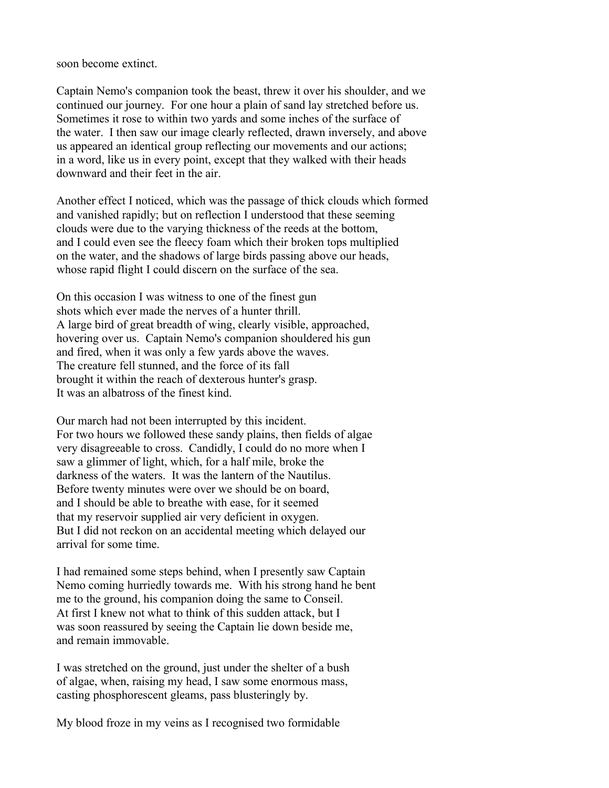soon become extinct.

Captain Nemo's companion took the beast, threw it over his shoulder, and we continued our journey. For one hour a plain of sand lay stretched before us. Sometimes it rose to within two yards and some inches of the surface of the water. I then saw our image clearly reflected, drawn inversely, and above us appeared an identical group reflecting our movements and our actions; in a word, like us in every point, except that they walked with their heads downward and their feet in the air.

Another effect I noticed, which was the passage of thick clouds which formed and vanished rapidly; but on reflection I understood that these seeming clouds were due to the varying thickness of the reeds at the bottom, and I could even see the fleecy foam which their broken tops multiplied on the water, and the shadows of large birds passing above our heads, whose rapid flight I could discern on the surface of the sea.

On this occasion I was witness to one of the finest gun shots which ever made the nerves of a hunter thrill. A large bird of great breadth of wing, clearly visible, approached, hovering over us. Captain Nemo's companion shouldered his gun and fired, when it was only a few yards above the waves. The creature fell stunned, and the force of its fall brought it within the reach of dexterous hunter's grasp. It was an albatross of the finest kind.

Our march had not been interrupted by this incident. For two hours we followed these sandy plains, then fields of algae very disagreeable to cross. Candidly, I could do no more when I saw a glimmer of light, which, for a half mile, broke the darkness of the waters. It was the lantern of the Nautilus. Before twenty minutes were over we should be on board, and I should be able to breathe with ease, for it seemed that my reservoir supplied air very deficient in oxygen. But I did not reckon on an accidental meeting which delayed our arrival for some time.

I had remained some steps behind, when I presently saw Captain Nemo coming hurriedly towards me. With his strong hand he bent me to the ground, his companion doing the same to Conseil. At first I knew not what to think of this sudden attack, but I was soon reassured by seeing the Captain lie down beside me, and remain immovable.

I was stretched on the ground, just under the shelter of a bush of algae, when, raising my head, I saw some enormous mass, casting phosphorescent gleams, pass blusteringly by.

My blood froze in my veins as I recognised two formidable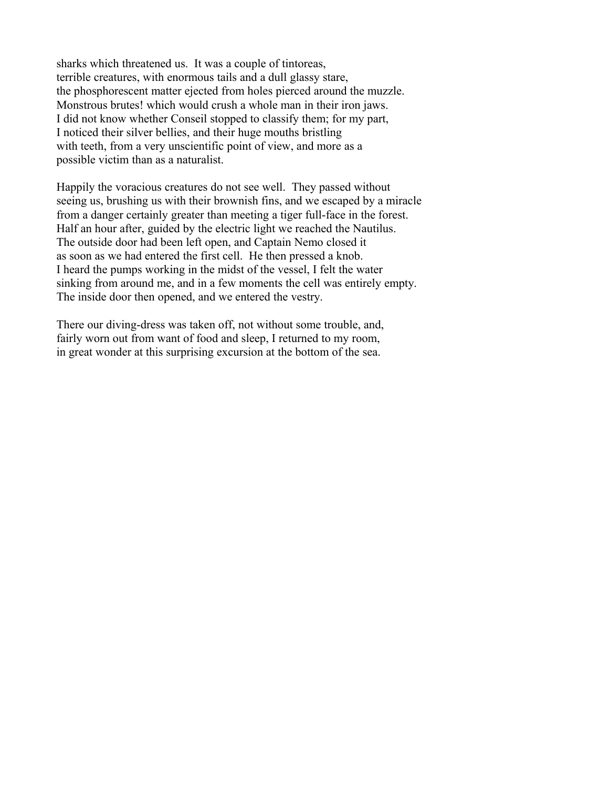sharks which threatened us. It was a couple of tintoreas, terrible creatures, with enormous tails and a dull glassy stare, the phosphorescent matter ejected from holes pierced around the muzzle. Monstrous brutes! which would crush a whole man in their iron jaws. I did not know whether Conseil stopped to classify them; for my part, I noticed their silver bellies, and their huge mouths bristling with teeth, from a very unscientific point of view, and more as a possible victim than as a naturalist.

Happily the voracious creatures do not see well. They passed without seeing us, brushing us with their brownish fins, and we escaped by a miracle from a danger certainly greater than meeting a tiger full-face in the forest. Half an hour after, guided by the electric light we reached the Nautilus. The outside door had been left open, and Captain Nemo closed it as soon as we had entered the first cell. He then pressed a knob. I heard the pumps working in the midst of the vessel, I felt the water sinking from around me, and in a few moments the cell was entirely empty. The inside door then opened, and we entered the vestry.

There our diving-dress was taken off, not without some trouble, and, fairly worn out from want of food and sleep, I returned to my room, in great wonder at this surprising excursion at the bottom of the sea.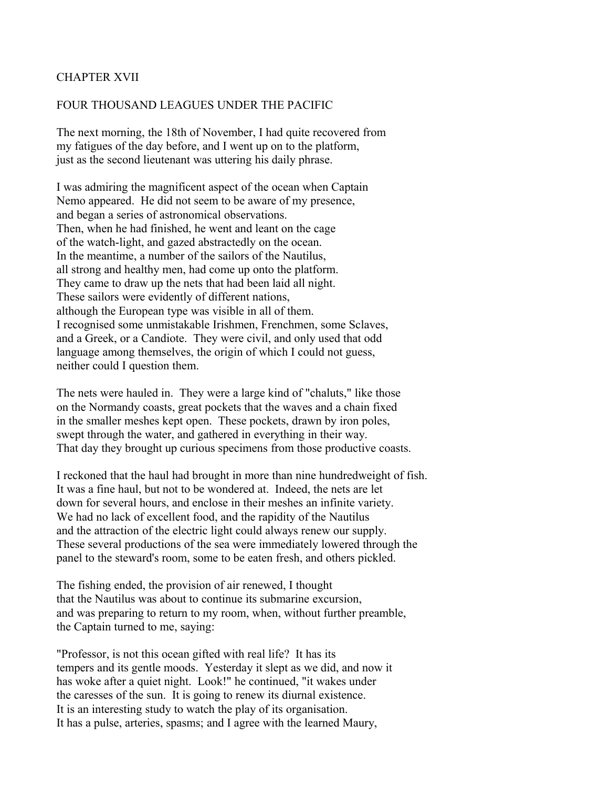## CHAPTER XVII

#### FOUR THOUSAND LEAGUES UNDER THE PACIFIC

The next morning, the 18th of November, I had quite recovered from my fatigues of the day before, and I went up on to the platform, just as the second lieutenant was uttering his daily phrase.

I was admiring the magnificent aspect of the ocean when Captain Nemo appeared. He did not seem to be aware of my presence, and began a series of astronomical observations. Then, when he had finished, he went and leant on the cage of the watch-light, and gazed abstractedly on the ocean. In the meantime, a number of the sailors of the Nautilus, all strong and healthy men, had come up onto the platform. They came to draw up the nets that had been laid all night. These sailors were evidently of different nations, although the European type was visible in all of them. I recognised some unmistakable Irishmen, Frenchmen, some Sclaves, and a Greek, or a Candiote. They were civil, and only used that odd language among themselves, the origin of which I could not guess, neither could I question them.

The nets were hauled in. They were a large kind of "chaluts," like those on the Normandy coasts, great pockets that the waves and a chain fixed in the smaller meshes kept open. These pockets, drawn by iron poles, swept through the water, and gathered in everything in their way. That day they brought up curious specimens from those productive coasts.

I reckoned that the haul had brought in more than nine hundredweight of fish. It was a fine haul, but not to be wondered at. Indeed, the nets are let down for several hours, and enclose in their meshes an infinite variety. We had no lack of excellent food, and the rapidity of the Nautilus and the attraction of the electric light could always renew our supply. These several productions of the sea were immediately lowered through the panel to the steward's room, some to be eaten fresh, and others pickled.

The fishing ended, the provision of air renewed, I thought that the Nautilus was about to continue its submarine excursion, and was preparing to return to my room, when, without further preamble, the Captain turned to me, saying:

"Professor, is not this ocean gifted with real life? It has its tempers and its gentle moods. Yesterday it slept as we did, and now it has woke after a quiet night. Look!" he continued, "it wakes under the caresses of the sun. It is going to renew its diurnal existence. It is an interesting study to watch the play of its organisation. It has a pulse, arteries, spasms; and I agree with the learned Maury,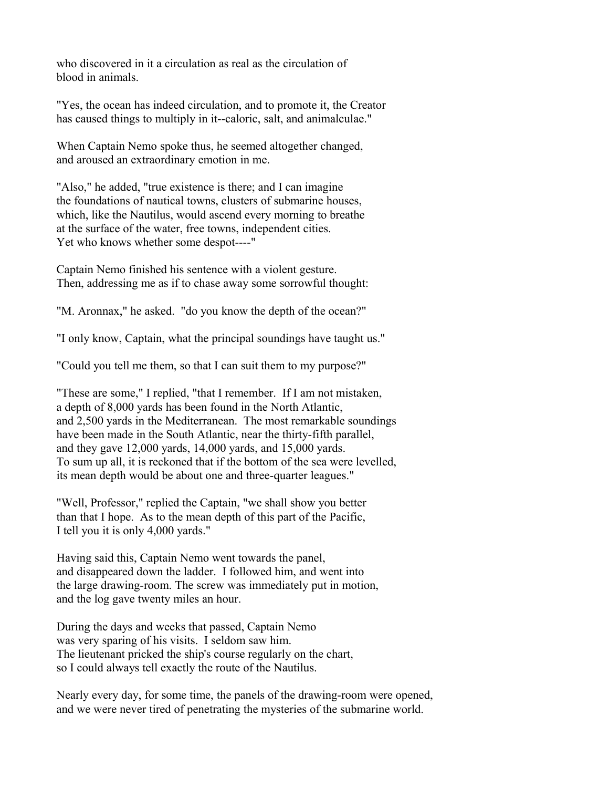who discovered in it a circulation as real as the circulation of blood in animals.

"Yes, the ocean has indeed circulation, and to promote it, the Creator has caused things to multiply in it--caloric, salt, and animalculae."

When Captain Nemo spoke thus, he seemed altogether changed, and aroused an extraordinary emotion in me.

"Also," he added, "true existence is there; and I can imagine the foundations of nautical towns, clusters of submarine houses, which, like the Nautilus, would ascend every morning to breathe at the surface of the water, free towns, independent cities. Yet who knows whether some despot----"

Captain Nemo finished his sentence with a violent gesture. Then, addressing me as if to chase away some sorrowful thought:

"M. Aronnax," he asked. "do you know the depth of the ocean?"

"I only know, Captain, what the principal soundings have taught us."

"Could you tell me them, so that I can suit them to my purpose?"

"These are some," I replied, "that I remember. If I am not mistaken, a depth of 8,000 yards has been found in the North Atlantic, and 2,500 yards in the Mediterranean. The most remarkable soundings have been made in the South Atlantic, near the thirty-fifth parallel, and they gave 12,000 yards, 14,000 yards, and 15,000 yards. To sum up all, it is reckoned that if the bottom of the sea were levelled, its mean depth would be about one and three-quarter leagues."

"Well, Professor," replied the Captain, "we shall show you better than that I hope. As to the mean depth of this part of the Pacific, I tell you it is only 4,000 yards."

Having said this, Captain Nemo went towards the panel, and disappeared down the ladder. I followed him, and went into the large drawing-room. The screw was immediately put in motion, and the log gave twenty miles an hour.

During the days and weeks that passed, Captain Nemo was very sparing of his visits. I seldom saw him. The lieutenant pricked the ship's course regularly on the chart, so I could always tell exactly the route of the Nautilus.

Nearly every day, for some time, the panels of the drawing-room were opened, and we were never tired of penetrating the mysteries of the submarine world.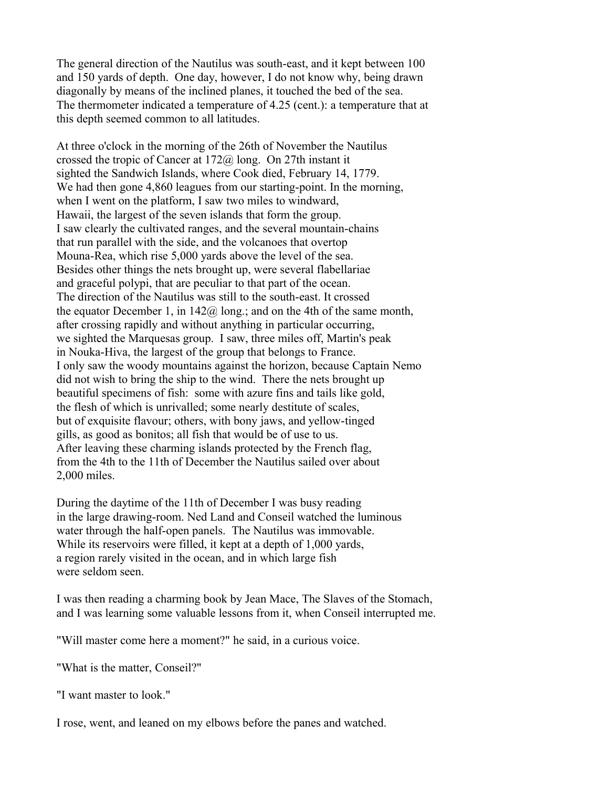The general direction of the Nautilus was south-east, and it kept between 100 and 150 yards of depth. One day, however, I do not know why, being drawn diagonally by means of the inclined planes, it touched the bed of the sea. The thermometer indicated a temperature of 4.25 (cent.): a temperature that at this depth seemed common to all latitudes.

At three o'clock in the morning of the 26th of November the Nautilus crossed the tropic of Cancer at 172@ long. On 27th instant it sighted the Sandwich Islands, where Cook died, February 14, 1779. We had then gone 4,860 leagues from our starting-point. In the morning, when I went on the platform, I saw two miles to windward, Hawaii, the largest of the seven islands that form the group. I saw clearly the cultivated ranges, and the several mountain-chains that run parallel with the side, and the volcanoes that overtop Mouna-Rea, which rise 5,000 yards above the level of the sea. Besides other things the nets brought up, were several flabellariae and graceful polypi, that are peculiar to that part of the ocean. The direction of the Nautilus was still to the south-east. It crossed the equator December 1, in  $142\omega$  long, and on the 4th of the same month, after crossing rapidly and without anything in particular occurring, we sighted the Marquesas group. I saw, three miles off, Martin's peak in Nouka-Hiva, the largest of the group that belongs to France. I only saw the woody mountains against the horizon, because Captain Nemo did not wish to bring the ship to the wind. There the nets brought up beautiful specimens of fish: some with azure fins and tails like gold, the flesh of which is unrivalled; some nearly destitute of scales, but of exquisite flavour; others, with bony jaws, and yellow-tinged gills, as good as bonitos; all fish that would be of use to us. After leaving these charming islands protected by the French flag, from the 4th to the 11th of December the Nautilus sailed over about 2,000 miles.

During the daytime of the 11th of December I was busy reading in the large drawing-room. Ned Land and Conseil watched the luminous water through the half-open panels. The Nautilus was immovable. While its reservoirs were filled, it kept at a depth of 1,000 yards, a region rarely visited in the ocean, and in which large fish were seldom seen.

I was then reading a charming book by Jean Mace, The Slaves of the Stomach, and I was learning some valuable lessons from it, when Conseil interrupted me.

"Will master come here a moment?" he said, in a curious voice.

"What is the matter, Conseil?"

"I want master to look."

I rose, went, and leaned on my elbows before the panes and watched.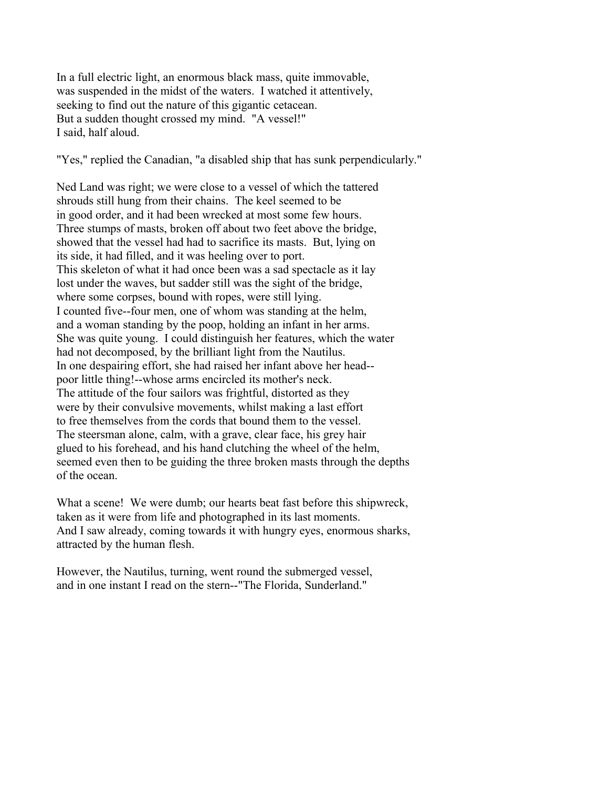In a full electric light, an enormous black mass, quite immovable, was suspended in the midst of the waters. I watched it attentively, seeking to find out the nature of this gigantic cetacean. But a sudden thought crossed my mind. "A vessel!" I said, half aloud.

"Yes," replied the Canadian, "a disabled ship that has sunk perpendicularly."

Ned Land was right; we were close to a vessel of which the tattered shrouds still hung from their chains. The keel seemed to be in good order, and it had been wrecked at most some few hours. Three stumps of masts, broken off about two feet above the bridge, showed that the vessel had had to sacrifice its masts. But, lying on its side, it had filled, and it was heeling over to port. This skeleton of what it had once been was a sad spectacle as it lay lost under the waves, but sadder still was the sight of the bridge, where some corpses, bound with ropes, were still lying. I counted five--four men, one of whom was standing at the helm, and a woman standing by the poop, holding an infant in her arms. She was quite young. I could distinguish her features, which the water had not decomposed, by the brilliant light from the Nautilus. In one despairing effort, she had raised her infant above her head- poor little thing!--whose arms encircled its mother's neck. The attitude of the four sailors was frightful, distorted as they were by their convulsive movements, whilst making a last effort to free themselves from the cords that bound them to the vessel. The steersman alone, calm, with a grave, clear face, his grey hair glued to his forehead, and his hand clutching the wheel of the helm, seemed even then to be guiding the three broken masts through the depths of the ocean.

What a scene! We were dumb; our hearts beat fast before this shipwreck, taken as it were from life and photographed in its last moments. And I saw already, coming towards it with hungry eyes, enormous sharks, attracted by the human flesh.

However, the Nautilus, turning, went round the submerged vessel, and in one instant I read on the stern--"The Florida, Sunderland."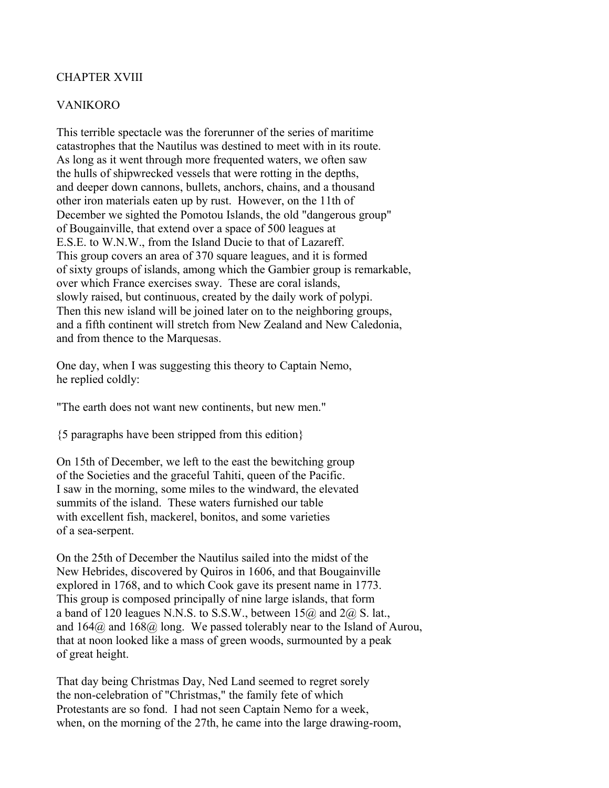## CHAPTER XVIII

#### VANIKORO

This terrible spectacle was the forerunner of the series of maritime catastrophes that the Nautilus was destined to meet with in its route. As long as it went through more frequented waters, we often saw the hulls of shipwrecked vessels that were rotting in the depths, and deeper down cannons, bullets, anchors, chains, and a thousand other iron materials eaten up by rust. However, on the 11th of December we sighted the Pomotou Islands, the old "dangerous group" of Bougainville, that extend over a space of 500 leagues at E.S.E. to W.N.W., from the Island Ducie to that of Lazareff. This group covers an area of 370 square leagues, and it is formed of sixty groups of islands, among which the Gambier group is remarkable, over which France exercises sway. These are coral islands, slowly raised, but continuous, created by the daily work of polypi. Then this new island will be joined later on to the neighboring groups, and a fifth continent will stretch from New Zealand and New Caledonia, and from thence to the Marquesas.

One day, when I was suggesting this theory to Captain Nemo, he replied coldly:

"The earth does not want new continents, but new men."

{5 paragraphs have been stripped from this edition}

On 15th of December, we left to the east the bewitching group of the Societies and the graceful Tahiti, queen of the Pacific. I saw in the morning, some miles to the windward, the elevated summits of the island. These waters furnished our table with excellent fish, mackerel, bonitos, and some varieties of a sea-serpent.

On the 25th of December the Nautilus sailed into the midst of the New Hebrides, discovered by Quiros in 1606, and that Bougainville explored in 1768, and to which Cook gave its present name in 1773. This group is composed principally of nine large islands, that form a band of 120 leagues N.N.S. to S.S.W., between  $15\omega$  and  $2\omega$  S. lat., and 164@ and 168@ long. We passed tolerably near to the Island of Aurou, that at noon looked like a mass of green woods, surmounted by a peak of great height.

That day being Christmas Day, Ned Land seemed to regret sorely the non-celebration of "Christmas," the family fete of which Protestants are so fond. I had not seen Captain Nemo for a week, when, on the morning of the 27th, he came into the large drawing-room,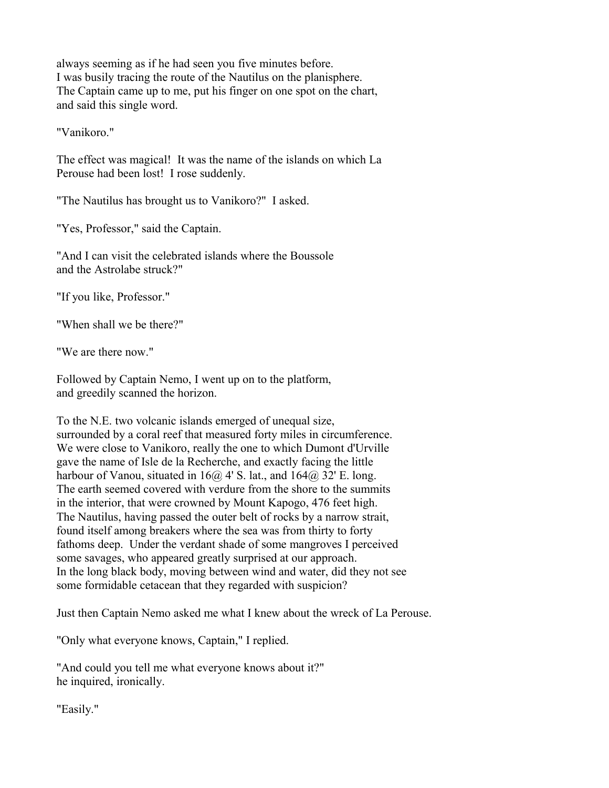always seeming as if he had seen you five minutes before. I was busily tracing the route of the Nautilus on the planisphere. The Captain came up to me, put his finger on one spot on the chart, and said this single word.

"Vanikoro."

The effect was magical! It was the name of the islands on which La Perouse had been lost! I rose suddenly.

"The Nautilus has brought us to Vanikoro?" I asked.

"Yes, Professor," said the Captain.

"And I can visit the celebrated islands where the Boussole and the Astrolabe struck?"

"If you like, Professor."

"When shall we be there?"

"We are there now"

Followed by Captain Nemo, I went up on to the platform, and greedily scanned the horizon.

To the N.E. two volcanic islands emerged of unequal size, surrounded by a coral reef that measured forty miles in circumference. We were close to Vanikoro, really the one to which Dumont d'Urville gave the name of Isle de la Recherche, and exactly facing the little harbour of Vanou, situated in  $16@4'$  S. lat., and  $164@32'$  E. long. The earth seemed covered with verdure from the shore to the summits in the interior, that were crowned by Mount Kapogo, 476 feet high. The Nautilus, having passed the outer belt of rocks by a narrow strait, found itself among breakers where the sea was from thirty to forty fathoms deep. Under the verdant shade of some mangroves I perceived some savages, who appeared greatly surprised at our approach. In the long black body, moving between wind and water, did they not see some formidable cetacean that they regarded with suspicion?

Just then Captain Nemo asked me what I knew about the wreck of La Perouse.

"Only what everyone knows, Captain," I replied.

"And could you tell me what everyone knows about it?" he inquired, ironically.

"Easily."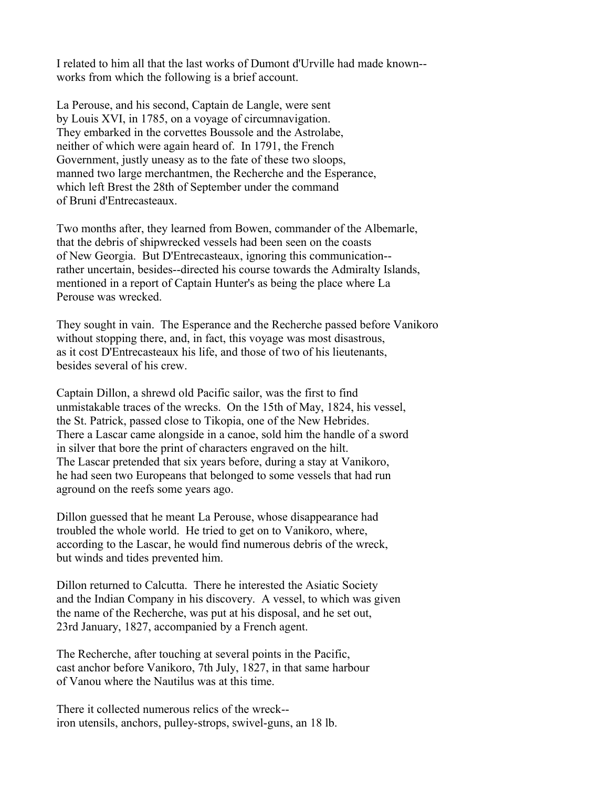I related to him all that the last works of Dumont d'Urville had made known- works from which the following is a brief account.

La Perouse, and his second, Captain de Langle, were sent by Louis XVI, in 1785, on a voyage of circumnavigation. They embarked in the corvettes Boussole and the Astrolabe, neither of which were again heard of. In 1791, the French Government, justly uneasy as to the fate of these two sloops, manned two large merchantmen, the Recherche and the Esperance, which left Brest the 28th of September under the command of Bruni d'Entrecasteaux.

Two months after, they learned from Bowen, commander of the Albemarle, that the debris of shipwrecked vessels had been seen on the coasts of New Georgia. But D'Entrecasteaux, ignoring this communication- rather uncertain, besides--directed his course towards the Admiralty Islands, mentioned in a report of Captain Hunter's as being the place where La Perouse was wrecked.

They sought in vain. The Esperance and the Recherche passed before Vanikoro without stopping there, and, in fact, this voyage was most disastrous, as it cost D'Entrecasteaux his life, and those of two of his lieutenants, besides several of his crew.

Captain Dillon, a shrewd old Pacific sailor, was the first to find unmistakable traces of the wrecks. On the 15th of May, 1824, his vessel, the St. Patrick, passed close to Tikopia, one of the New Hebrides. There a Lascar came alongside in a canoe, sold him the handle of a sword in silver that bore the print of characters engraved on the hilt. The Lascar pretended that six years before, during a stay at Vanikoro, he had seen two Europeans that belonged to some vessels that had run aground on the reefs some years ago.

Dillon guessed that he meant La Perouse, whose disappearance had troubled the whole world. He tried to get on to Vanikoro, where, according to the Lascar, he would find numerous debris of the wreck, but winds and tides prevented him.

Dillon returned to Calcutta. There he interested the Asiatic Society and the Indian Company in his discovery. A vessel, to which was given the name of the Recherche, was put at his disposal, and he set out, 23rd January, 1827, accompanied by a French agent.

The Recherche, after touching at several points in the Pacific, cast anchor before Vanikoro, 7th July, 1827, in that same harbour of Vanou where the Nautilus was at this time.

There it collected numerous relics of the wreck- iron utensils, anchors, pulley-strops, swivel-guns, an 18 lb.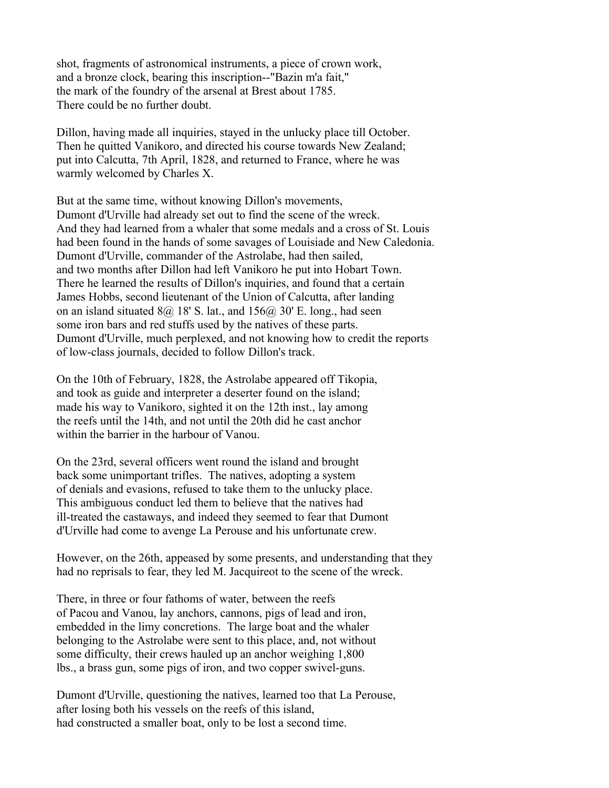shot, fragments of astronomical instruments, a piece of crown work, and a bronze clock, bearing this inscription--"Bazin m'a fait," the mark of the foundry of the arsenal at Brest about 1785. There could be no further doubt.

Dillon, having made all inquiries, stayed in the unlucky place till October. Then he quitted Vanikoro, and directed his course towards New Zealand; put into Calcutta, 7th April, 1828, and returned to France, where he was warmly welcomed by Charles X.

But at the same time, without knowing Dillon's movements, Dumont d'Urville had already set out to find the scene of the wreck. And they had learned from a whaler that some medals and a cross of St. Louis had been found in the hands of some savages of Louisiade and New Caledonia. Dumont d'Urville, commander of the Astrolabe, had then sailed, and two months after Dillon had left Vanikoro he put into Hobart Town. There he learned the results of Dillon's inquiries, and found that a certain James Hobbs, second lieutenant of the Union of Calcutta, after landing on an island situated  $8\omega$ , 18' S. lat., and  $156\omega$ , 30' E. long., had seen some iron bars and red stuffs used by the natives of these parts. Dumont d'Urville, much perplexed, and not knowing how to credit the reports of low-class journals, decided to follow Dillon's track.

On the 10th of February, 1828, the Astrolabe appeared off Tikopia, and took as guide and interpreter a deserter found on the island; made his way to Vanikoro, sighted it on the 12th inst., lay among the reefs until the 14th, and not until the 20th did he cast anchor within the barrier in the harbour of Vanou.

On the 23rd, several officers went round the island and brought back some unimportant trifles. The natives, adopting a system of denials and evasions, refused to take them to the unlucky place. This ambiguous conduct led them to believe that the natives had ill-treated the castaways, and indeed they seemed to fear that Dumont d'Urville had come to avenge La Perouse and his unfortunate crew.

However, on the 26th, appeased by some presents, and understanding that they had no reprisals to fear, they led M. Jacquireot to the scene of the wreck.

There, in three or four fathoms of water, between the reefs of Pacou and Vanou, lay anchors, cannons, pigs of lead and iron, embedded in the limy concretions. The large boat and the whaler belonging to the Astrolabe were sent to this place, and, not without some difficulty, their crews hauled up an anchor weighing 1,800 lbs., a brass gun, some pigs of iron, and two copper swivel-guns.

Dumont d'Urville, questioning the natives, learned too that La Perouse, after losing both his vessels on the reefs of this island, had constructed a smaller boat, only to be lost a second time.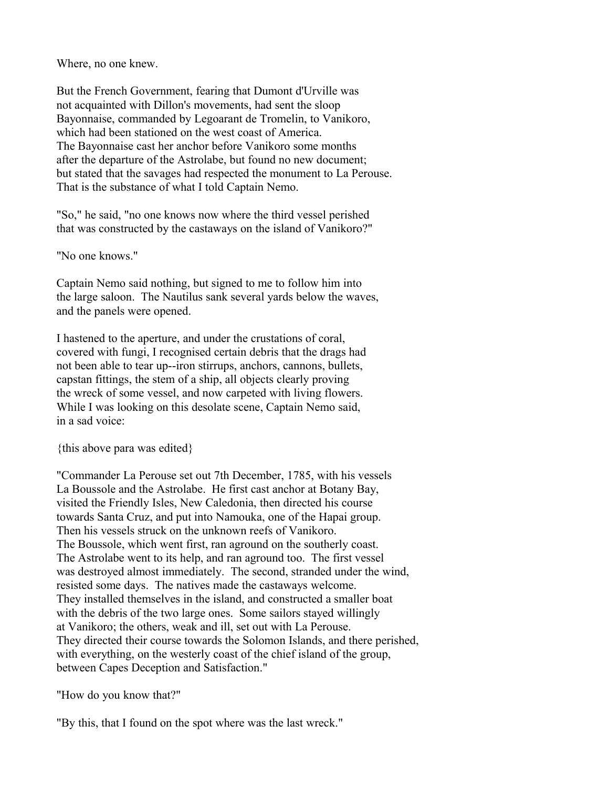Where, no one knew.

But the French Government, fearing that Dumont d'Urville was not acquainted with Dillon's movements, had sent the sloop Bayonnaise, commanded by Legoarant de Tromelin, to Vanikoro, which had been stationed on the west coast of America. The Bayonnaise cast her anchor before Vanikoro some months after the departure of the Astrolabe, but found no new document; but stated that the savages had respected the monument to La Perouse. That is the substance of what I told Captain Nemo.

"So," he said, "no one knows now where the third vessel perished that was constructed by the castaways on the island of Vanikoro?"

"No one knows."

Captain Nemo said nothing, but signed to me to follow him into the large saloon. The Nautilus sank several yards below the waves, and the panels were opened.

I hastened to the aperture, and under the crustations of coral, covered with fungi, I recognised certain debris that the drags had not been able to tear up--iron stirrups, anchors, cannons, bullets, capstan fittings, the stem of a ship, all objects clearly proving the wreck of some vessel, and now carpeted with living flowers. While I was looking on this desolate scene, Captain Nemo said, in a sad voice:

{this above para was edited}

"Commander La Perouse set out 7th December, 1785, with his vessels La Boussole and the Astrolabe. He first cast anchor at Botany Bay, visited the Friendly Isles, New Caledonia, then directed his course towards Santa Cruz, and put into Namouka, one of the Hapai group. Then his vessels struck on the unknown reefs of Vanikoro. The Boussole, which went first, ran aground on the southerly coast. The Astrolabe went to its help, and ran aground too. The first vessel was destroyed almost immediately. The second, stranded under the wind, resisted some days. The natives made the castaways welcome. They installed themselves in the island, and constructed a smaller boat with the debris of the two large ones. Some sailors stayed willingly at Vanikoro; the others, weak and ill, set out with La Perouse. They directed their course towards the Solomon Islands, and there perished, with everything, on the westerly coast of the chief island of the group, between Capes Deception and Satisfaction."

"How do you know that?"

"By this, that I found on the spot where was the last wreck."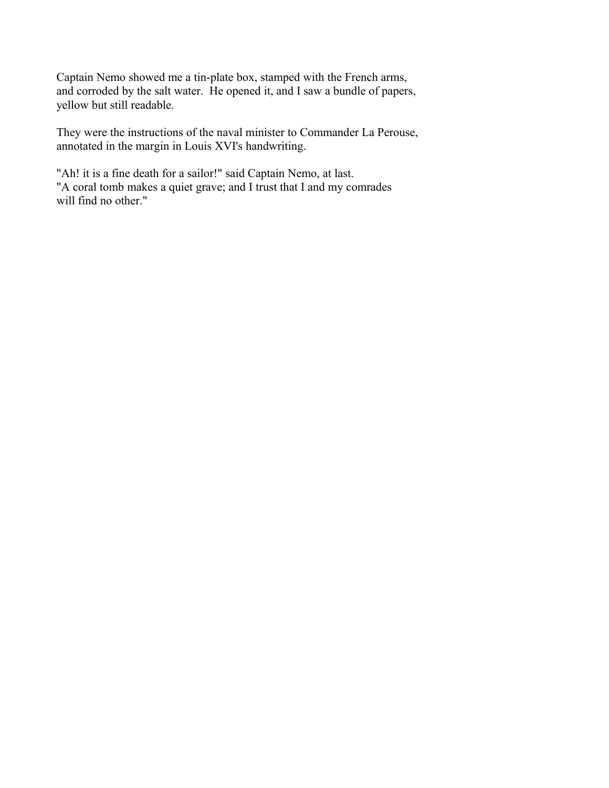Captain Nemo showed me a tin-plate box, stamped with the French arms, and corroded by the salt water. He opened it, and I saw a bundle of papers, yellow but still readable.

They were the instructions of the naval minister to Commander La Perouse, annotated in the margin in Louis XVI's handwriting.

"Ah! it is a fine death for a sailor!" said Captain Nemo, at last. "A coral tomb makes a quiet grave; and I trust that I and my comrades will find no other."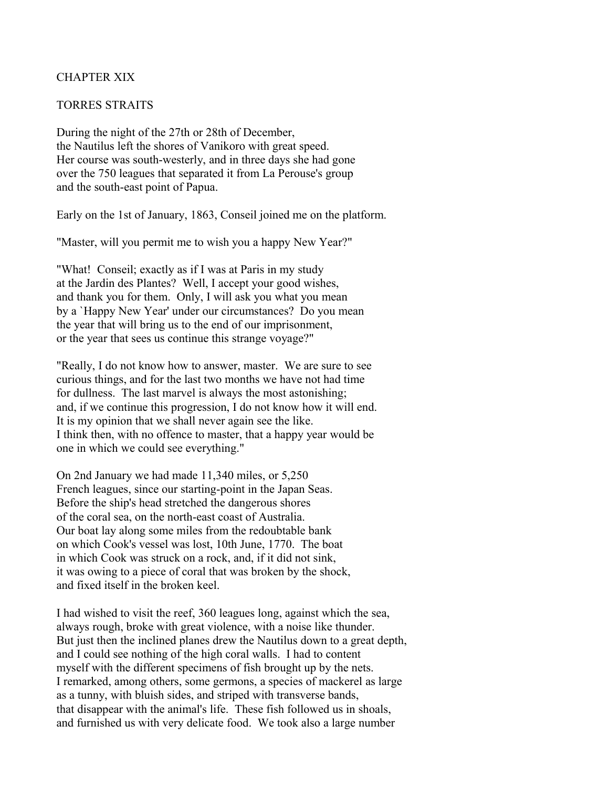## CHAPTER XIX

#### TORRES STRAITS

During the night of the 27th or 28th of December, the Nautilus left the shores of Vanikoro with great speed. Her course was south-westerly, and in three days she had gone over the 750 leagues that separated it from La Perouse's group and the south-east point of Papua.

Early on the 1st of January, 1863, Conseil joined me on the platform.

"Master, will you permit me to wish you a happy New Year?"

"What! Conseil; exactly as if I was at Paris in my study at the Jardin des Plantes? Well, I accept your good wishes, and thank you for them. Only, I will ask you what you mean by a `Happy New Year' under our circumstances? Do you mean the year that will bring us to the end of our imprisonment, or the year that sees us continue this strange voyage?"

"Really, I do not know how to answer, master. We are sure to see curious things, and for the last two months we have not had time for dullness. The last marvel is always the most astonishing; and, if we continue this progression, I do not know how it will end. It is my opinion that we shall never again see the like. I think then, with no offence to master, that a happy year would be one in which we could see everything."

On 2nd January we had made 11,340 miles, or 5,250 French leagues, since our starting-point in the Japan Seas. Before the ship's head stretched the dangerous shores of the coral sea, on the north-east coast of Australia. Our boat lay along some miles from the redoubtable bank on which Cook's vessel was lost, 10th June, 1770. The boat in which Cook was struck on a rock, and, if it did not sink, it was owing to a piece of coral that was broken by the shock, and fixed itself in the broken keel.

I had wished to visit the reef, 360 leagues long, against which the sea, always rough, broke with great violence, with a noise like thunder. But just then the inclined planes drew the Nautilus down to a great depth, and I could see nothing of the high coral walls. I had to content myself with the different specimens of fish brought up by the nets. I remarked, among others, some germons, a species of mackerel as large as a tunny, with bluish sides, and striped with transverse bands, that disappear with the animal's life. These fish followed us in shoals, and furnished us with very delicate food. We took also a large number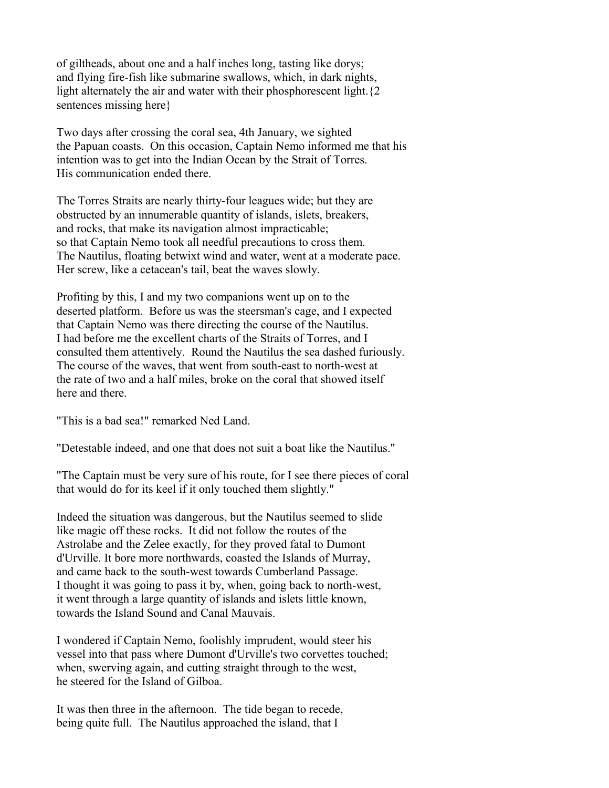of giltheads, about one and a half inches long, tasting like dorys; and flying fire-fish like submarine swallows, which, in dark nights, light alternately the air and water with their phosphorescent light. {2} sentences missing here}

Two days after crossing the coral sea, 4th January, we sighted the Papuan coasts. On this occasion, Captain Nemo informed me that his intention was to get into the Indian Ocean by the Strait of Torres. His communication ended there.

The Torres Straits are nearly thirty-four leagues wide; but they are obstructed by an innumerable quantity of islands, islets, breakers, and rocks, that make its navigation almost impracticable; so that Captain Nemo took all needful precautions to cross them. The Nautilus, floating betwixt wind and water, went at a moderate pace. Her screw, like a cetacean's tail, beat the waves slowly.

Profiting by this, I and my two companions went up on to the deserted platform. Before us was the steersman's cage, and I expected that Captain Nemo was there directing the course of the Nautilus. I had before me the excellent charts of the Straits of Torres, and I consulted them attentively. Round the Nautilus the sea dashed furiously. The course of the waves, that went from south-east to north-west at the rate of two and a half miles, broke on the coral that showed itself here and there.

"This is a bad sea!" remarked Ned Land.

"Detestable indeed, and one that does not suit a boat like the Nautilus."

"The Captain must be very sure of his route, for I see there pieces of coral that would do for its keel if it only touched them slightly."

Indeed the situation was dangerous, but the Nautilus seemed to slide like magic off these rocks. It did not follow the routes of the Astrolabe and the Zelee exactly, for they proved fatal to Dumont d'Urville. It bore more northwards, coasted the Islands of Murray, and came back to the south-west towards Cumberland Passage. I thought it was going to pass it by, when, going back to north-west, it went through a large quantity of islands and islets little known, towards the Island Sound and Canal Mauvais.

I wondered if Captain Nemo, foolishly imprudent, would steer his vessel into that pass where Dumont d'Urville's two corvettes touched; when, swerving again, and cutting straight through to the west, he steered for the Island of Gilboa.

It was then three in the afternoon. The tide began to recede, being quite full. The Nautilus approached the island, that I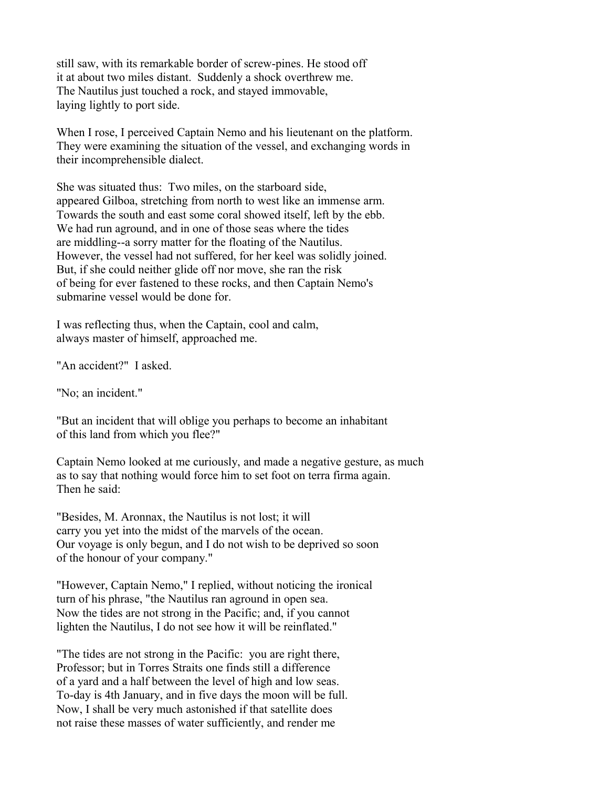still saw, with its remarkable border of screw-pines. He stood off it at about two miles distant. Suddenly a shock overthrew me. The Nautilus just touched a rock, and stayed immovable, laying lightly to port side.

When I rose, I perceived Captain Nemo and his lieutenant on the platform. They were examining the situation of the vessel, and exchanging words in their incomprehensible dialect.

She was situated thus: Two miles, on the starboard side, appeared Gilboa, stretching from north to west like an immense arm. Towards the south and east some coral showed itself, left by the ebb. We had run aground, and in one of those seas where the tides are middling--a sorry matter for the floating of the Nautilus. However, the vessel had not suffered, for her keel was solidly joined. But, if she could neither glide off nor move, she ran the risk of being for ever fastened to these rocks, and then Captain Nemo's submarine vessel would be done for.

I was reflecting thus, when the Captain, cool and calm, always master of himself, approached me.

"An accident?" I asked.

"No; an incident."

"But an incident that will oblige you perhaps to become an inhabitant of this land from which you flee?"

Captain Nemo looked at me curiously, and made a negative gesture, as much as to say that nothing would force him to set foot on terra firma again. Then he said:

"Besides, M. Aronnax, the Nautilus is not lost; it will carry you yet into the midst of the marvels of the ocean. Our voyage is only begun, and I do not wish to be deprived so soon of the honour of your company."

"However, Captain Nemo," I replied, without noticing the ironical turn of his phrase, "the Nautilus ran aground in open sea. Now the tides are not strong in the Pacific; and, if you cannot lighten the Nautilus, I do not see how it will be reinflated."

"The tides are not strong in the Pacific: you are right there, Professor; but in Torres Straits one finds still a difference of a yard and a half between the level of high and low seas. To-day is 4th January, and in five days the moon will be full. Now, I shall be very much astonished if that satellite does not raise these masses of water sufficiently, and render me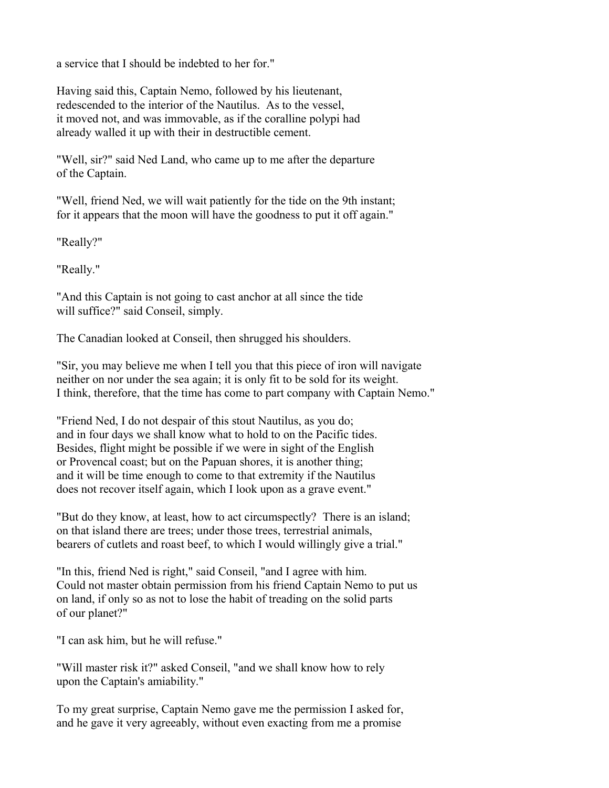a service that I should be indebted to her for."

Having said this, Captain Nemo, followed by his lieutenant, redescended to the interior of the Nautilus. As to the vessel, it moved not, and was immovable, as if the coralline polypi had already walled it up with their in destructible cement.

"Well, sir?" said Ned Land, who came up to me after the departure of the Captain.

"Well, friend Ned, we will wait patiently for the tide on the 9th instant; for it appears that the moon will have the goodness to put it off again."

"Really?"

"Really."

"And this Captain is not going to cast anchor at all since the tide will suffice?" said Conseil, simply.

The Canadian looked at Conseil, then shrugged his shoulders.

"Sir, you may believe me when I tell you that this piece of iron will navigate neither on nor under the sea again; it is only fit to be sold for its weight. I think, therefore, that the time has come to part company with Captain Nemo."

"Friend Ned, I do not despair of this stout Nautilus, as you do; and in four days we shall know what to hold to on the Pacific tides. Besides, flight might be possible if we were in sight of the English or Provencal coast; but on the Papuan shores, it is another thing; and it will be time enough to come to that extremity if the Nautilus does not recover itself again, which I look upon as a grave event."

"But do they know, at least, how to act circumspectly? There is an island; on that island there are trees; under those trees, terrestrial animals, bearers of cutlets and roast beef, to which I would willingly give a trial."

"In this, friend Ned is right," said Conseil, "and I agree with him. Could not master obtain permission from his friend Captain Nemo to put us on land, if only so as not to lose the habit of treading on the solid parts of our planet?"

"I can ask him, but he will refuse."

"Will master risk it?" asked Conseil, "and we shall know how to rely upon the Captain's amiability."

To my great surprise, Captain Nemo gave me the permission I asked for, and he gave it very agreeably, without even exacting from me a promise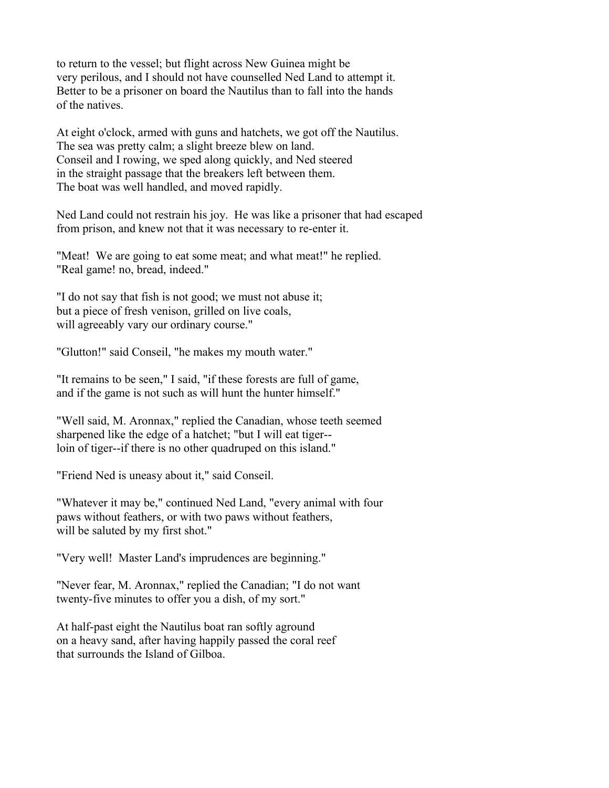to return to the vessel; but flight across New Guinea might be very perilous, and I should not have counselled Ned Land to attempt it. Better to be a prisoner on board the Nautilus than to fall into the hands of the natives.

At eight o'clock, armed with guns and hatchets, we got off the Nautilus. The sea was pretty calm; a slight breeze blew on land. Conseil and I rowing, we sped along quickly, and Ned steered in the straight passage that the breakers left between them. The boat was well handled, and moved rapidly.

Ned Land could not restrain his joy. He was like a prisoner that had escaped from prison, and knew not that it was necessary to re-enter it.

"Meat! We are going to eat some meat; and what meat!" he replied. "Real game! no, bread, indeed."

"I do not say that fish is not good; we must not abuse it; but a piece of fresh venison, grilled on live coals, will agreeably vary our ordinary course."

"Glutton!" said Conseil, "he makes my mouth water."

"It remains to be seen," I said, "if these forests are full of game, and if the game is not such as will hunt the hunter himself."

"Well said, M. Aronnax," replied the Canadian, whose teeth seemed sharpened like the edge of a hatchet; "but I will eat tiger- loin of tiger--if there is no other quadruped on this island."

"Friend Ned is uneasy about it," said Conseil.

"Whatever it may be," continued Ned Land, "every animal with four paws without feathers, or with two paws without feathers, will be saluted by my first shot."

"Very well! Master Land's imprudences are beginning."

"Never fear, M. Aronnax," replied the Canadian; "I do not want twenty-five minutes to offer you a dish, of my sort."

At half-past eight the Nautilus boat ran softly aground on a heavy sand, after having happily passed the coral reef that surrounds the Island of Gilboa.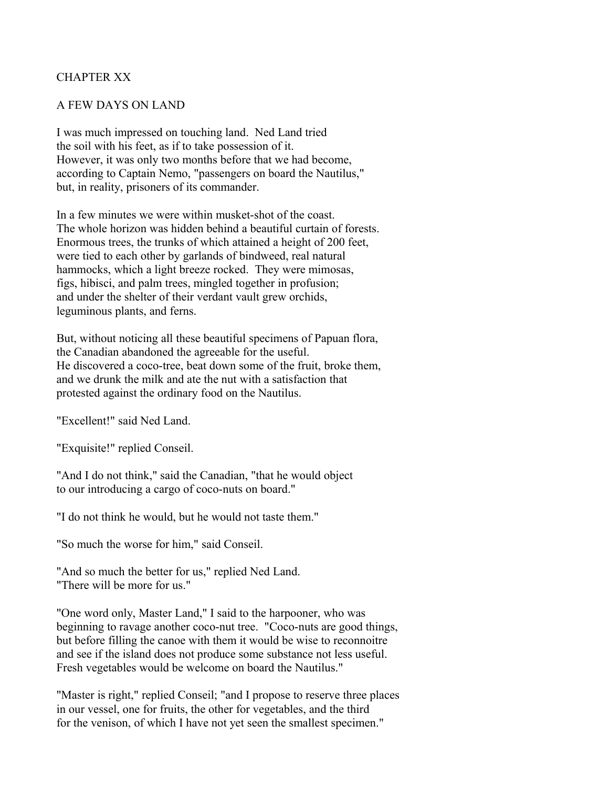# CHAPTER XX

## A FEW DAYS ON LAND

I was much impressed on touching land. Ned Land tried the soil with his feet, as if to take possession of it. However, it was only two months before that we had become, according to Captain Nemo, "passengers on board the Nautilus," but, in reality, prisoners of its commander.

In a few minutes we were within musket-shot of the coast. The whole horizon was hidden behind a beautiful curtain of forests. Enormous trees, the trunks of which attained a height of 200 feet, were tied to each other by garlands of bindweed, real natural hammocks, which a light breeze rocked. They were mimosas, figs, hibisci, and palm trees, mingled together in profusion; and under the shelter of their verdant vault grew orchids, leguminous plants, and ferns.

But, without noticing all these beautiful specimens of Papuan flora, the Canadian abandoned the agreeable for the useful. He discovered a coco-tree, beat down some of the fruit, broke them, and we drunk the milk and ate the nut with a satisfaction that protested against the ordinary food on the Nautilus.

"Excellent!" said Ned Land.

"Exquisite!" replied Conseil.

"And I do not think," said the Canadian, "that he would object to our introducing a cargo of coco-nuts on board."

"I do not think he would, but he would not taste them."

"So much the worse for him," said Conseil.

"And so much the better for us," replied Ned Land. "There will be more for us."

"One word only, Master Land," I said to the harpooner, who was beginning to ravage another coco-nut tree. "Coco-nuts are good things, but before filling the canoe with them it would be wise to reconnoitre and see if the island does not produce some substance not less useful. Fresh vegetables would be welcome on board the Nautilus."

"Master is right," replied Conseil; "and I propose to reserve three places in our vessel, one for fruits, the other for vegetables, and the third for the venison, of which I have not yet seen the smallest specimen."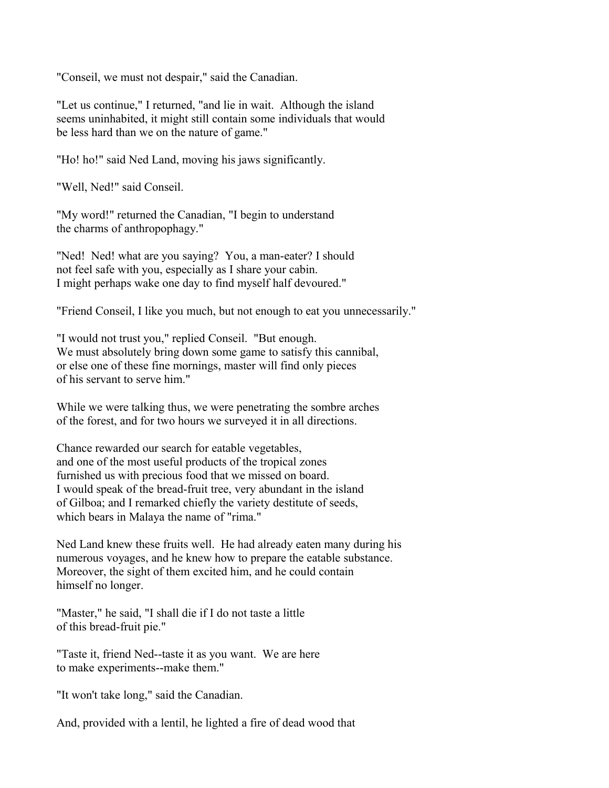"Conseil, we must not despair," said the Canadian.

"Let us continue," I returned, "and lie in wait. Although the island seems uninhabited, it might still contain some individuals that would be less hard than we on the nature of game."

"Ho! ho!" said Ned Land, moving his jaws significantly.

"Well, Ned!" said Conseil.

"My word!" returned the Canadian, "I begin to understand the charms of anthropophagy."

"Ned! Ned! what are you saying? You, a man-eater? I should not feel safe with you, especially as I share your cabin. I might perhaps wake one day to find myself half devoured."

"Friend Conseil, I like you much, but not enough to eat you unnecessarily."

"I would not trust you," replied Conseil. "But enough. We must absolutely bring down some game to satisfy this cannibal, or else one of these fine mornings, master will find only pieces of his servant to serve him."

While we were talking thus, we were penetrating the sombre arches of the forest, and for two hours we surveyed it in all directions.

Chance rewarded our search for eatable vegetables, and one of the most useful products of the tropical zones furnished us with precious food that we missed on board. I would speak of the bread-fruit tree, very abundant in the island of Gilboa; and I remarked chiefly the variety destitute of seeds, which bears in Malaya the name of "rima."

Ned Land knew these fruits well. He had already eaten many during his numerous voyages, and he knew how to prepare the eatable substance. Moreover, the sight of them excited him, and he could contain himself no longer.

"Master," he said, "I shall die if I do not taste a little of this bread-fruit pie."

"Taste it, friend Ned--taste it as you want. We are here to make experiments--make them."

"It won't take long," said the Canadian.

And, provided with a lentil, he lighted a fire of dead wood that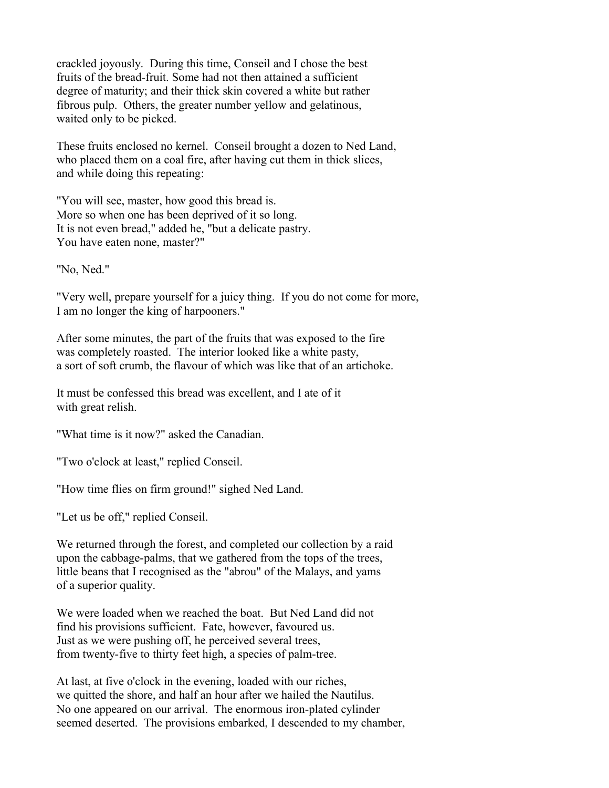crackled joyously. During this time, Conseil and I chose the best fruits of the bread-fruit. Some had not then attained a sufficient degree of maturity; and their thick skin covered a white but rather fibrous pulp. Others, the greater number yellow and gelatinous, waited only to be picked.

These fruits enclosed no kernel. Conseil brought a dozen to Ned Land, who placed them on a coal fire, after having cut them in thick slices, and while doing this repeating:

"You will see, master, how good this bread is. More so when one has been deprived of it so long. It is not even bread," added he, "but a delicate pastry. You have eaten none, master?"

"No, Ned."

"Very well, prepare yourself for a juicy thing. If you do not come for more, I am no longer the king of harpooners."

After some minutes, the part of the fruits that was exposed to the fire was completely roasted. The interior looked like a white pasty, a sort of soft crumb, the flavour of which was like that of an artichoke.

It must be confessed this bread was excellent, and I ate of it with great relish.

"What time is it now?" asked the Canadian.

"Two o'clock at least," replied Conseil.

"How time flies on firm ground!" sighed Ned Land.

"Let us be off," replied Conseil.

We returned through the forest, and completed our collection by a raid upon the cabbage-palms, that we gathered from the tops of the trees, little beans that I recognised as the "abrou" of the Malays, and yams of a superior quality.

We were loaded when we reached the boat. But Ned Land did not find his provisions sufficient. Fate, however, favoured us. Just as we were pushing off, he perceived several trees, from twenty-five to thirty feet high, a species of palm-tree.

At last, at five o'clock in the evening, loaded with our riches, we quitted the shore, and half an hour after we hailed the Nautilus. No one appeared on our arrival. The enormous iron-plated cylinder seemed deserted. The provisions embarked, I descended to my chamber,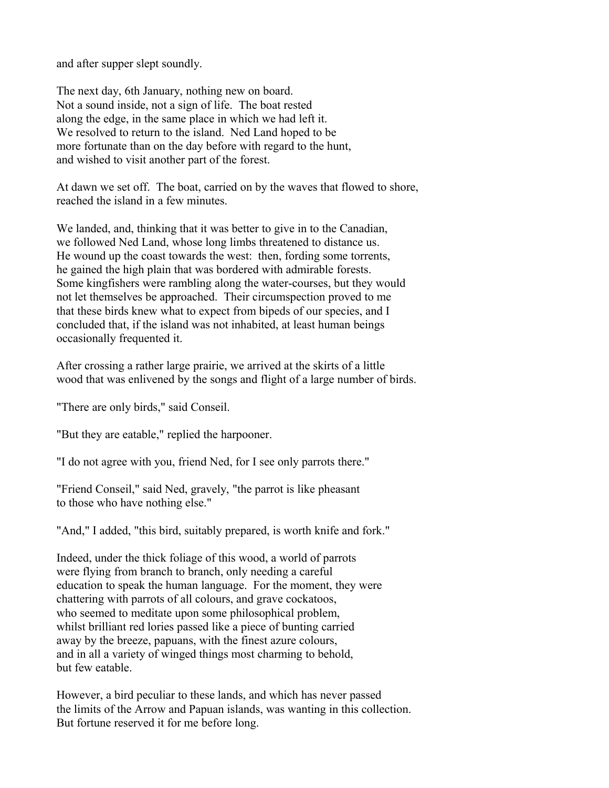and after supper slept soundly.

The next day, 6th January, nothing new on board. Not a sound inside, not a sign of life. The boat rested along the edge, in the same place in which we had left it. We resolved to return to the island. Ned Land hoped to be more fortunate than on the day before with regard to the hunt, and wished to visit another part of the forest.

At dawn we set off. The boat, carried on by the waves that flowed to shore, reached the island in a few minutes.

We landed, and, thinking that it was better to give in to the Canadian, we followed Ned Land, whose long limbs threatened to distance us. He wound up the coast towards the west: then, fording some torrents, he gained the high plain that was bordered with admirable forests. Some kingfishers were rambling along the water-courses, but they would not let themselves be approached. Their circumspection proved to me that these birds knew what to expect from bipeds of our species, and I concluded that, if the island was not inhabited, at least human beings occasionally frequented it.

After crossing a rather large prairie, we arrived at the skirts of a little wood that was enlivened by the songs and flight of a large number of birds.

"There are only birds," said Conseil.

"But they are eatable," replied the harpooner.

"I do not agree with you, friend Ned, for I see only parrots there."

"Friend Conseil," said Ned, gravely, "the parrot is like pheasant to those who have nothing else."

"And," I added, "this bird, suitably prepared, is worth knife and fork."

Indeed, under the thick foliage of this wood, a world of parrots were flying from branch to branch, only needing a careful education to speak the human language. For the moment, they were chattering with parrots of all colours, and grave cockatoos, who seemed to meditate upon some philosophical problem, whilst brilliant red lories passed like a piece of bunting carried away by the breeze, papuans, with the finest azure colours, and in all a variety of winged things most charming to behold, but few eatable.

However, a bird peculiar to these lands, and which has never passed the limits of the Arrow and Papuan islands, was wanting in this collection. But fortune reserved it for me before long.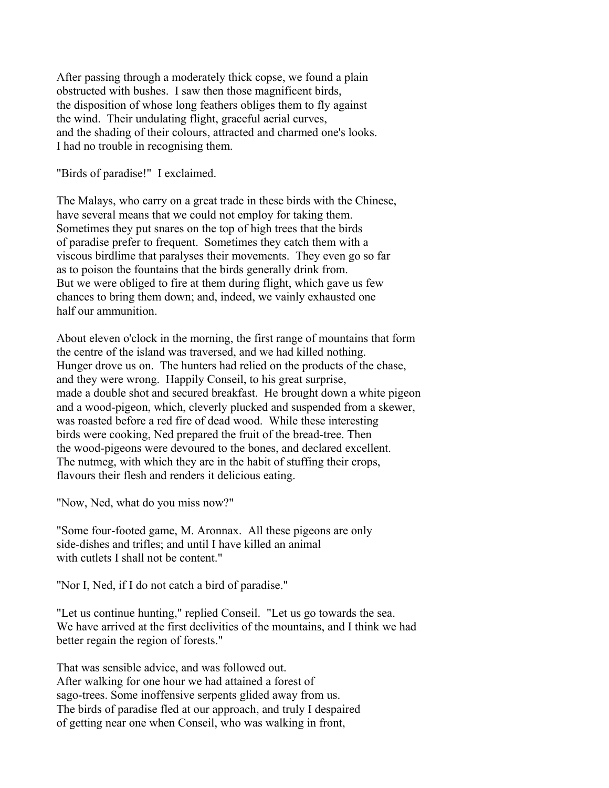After passing through a moderately thick copse, we found a plain obstructed with bushes. I saw then those magnificent birds, the disposition of whose long feathers obliges them to fly against the wind. Their undulating flight, graceful aerial curves, and the shading of their colours, attracted and charmed one's looks. I had no trouble in recognising them.

"Birds of paradise!" I exclaimed.

The Malays, who carry on a great trade in these birds with the Chinese, have several means that we could not employ for taking them. Sometimes they put snares on the top of high trees that the birds of paradise prefer to frequent. Sometimes they catch them with a viscous birdlime that paralyses their movements. They even go so far as to poison the fountains that the birds generally drink from. But we were obliged to fire at them during flight, which gave us few chances to bring them down; and, indeed, we vainly exhausted one half our ammunition.

About eleven o'clock in the morning, the first range of mountains that form the centre of the island was traversed, and we had killed nothing. Hunger drove us on. The hunters had relied on the products of the chase, and they were wrong. Happily Conseil, to his great surprise, made a double shot and secured breakfast. He brought down a white pigeon and a wood-pigeon, which, cleverly plucked and suspended from a skewer, was roasted before a red fire of dead wood. While these interesting birds were cooking, Ned prepared the fruit of the bread-tree. Then the wood-pigeons were devoured to the bones, and declared excellent. The nutmeg, with which they are in the habit of stuffing their crops, flavours their flesh and renders it delicious eating.

"Now, Ned, what do you miss now?"

"Some four-footed game, M. Aronnax. All these pigeons are only side-dishes and trifles; and until I have killed an animal with cutlets I shall not be content."

"Nor I, Ned, if I do not catch a bird of paradise."

"Let us continue hunting," replied Conseil. "Let us go towards the sea. We have arrived at the first declivities of the mountains, and I think we had better regain the region of forests."

That was sensible advice, and was followed out. After walking for one hour we had attained a forest of sago-trees. Some inoffensive serpents glided away from us. The birds of paradise fled at our approach, and truly I despaired of getting near one when Conseil, who was walking in front,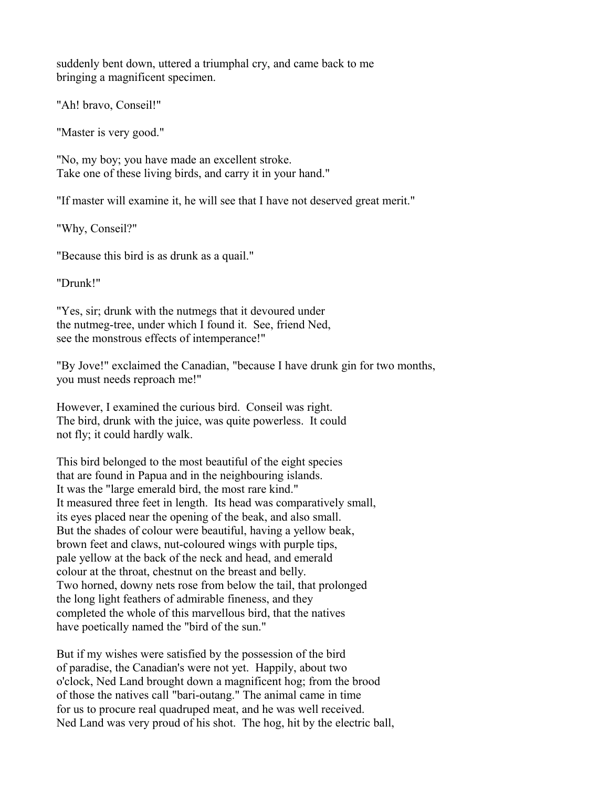suddenly bent down, uttered a triumphal cry, and came back to me bringing a magnificent specimen.

"Ah! bravo, Conseil!"

"Master is very good."

"No, my boy; you have made an excellent stroke. Take one of these living birds, and carry it in your hand."

"If master will examine it, he will see that I have not deserved great merit."

"Why, Conseil?"

"Because this bird is as drunk as a quail."

"Drunk!"

"Yes, sir; drunk with the nutmegs that it devoured under the nutmeg-tree, under which I found it. See, friend Ned, see the monstrous effects of intemperance!"

"By Jove!" exclaimed the Canadian, "because I have drunk gin for two months, you must needs reproach me!"

However, I examined the curious bird. Conseil was right. The bird, drunk with the juice, was quite powerless. It could not fly; it could hardly walk.

This bird belonged to the most beautiful of the eight species that are found in Papua and in the neighbouring islands. It was the "large emerald bird, the most rare kind." It measured three feet in length. Its head was comparatively small, its eyes placed near the opening of the beak, and also small. But the shades of colour were beautiful, having a yellow beak, brown feet and claws, nut-coloured wings with purple tips, pale yellow at the back of the neck and head, and emerald colour at the throat, chestnut on the breast and belly. Two horned, downy nets rose from below the tail, that prolonged the long light feathers of admirable fineness, and they completed the whole of this marvellous bird, that the natives have poetically named the "bird of the sun."

But if my wishes were satisfied by the possession of the bird of paradise, the Canadian's were not yet. Happily, about two o'clock, Ned Land brought down a magnificent hog; from the brood of those the natives call "bari-outang." The animal came in time for us to procure real quadruped meat, and he was well received. Ned Land was very proud of his shot. The hog, hit by the electric ball,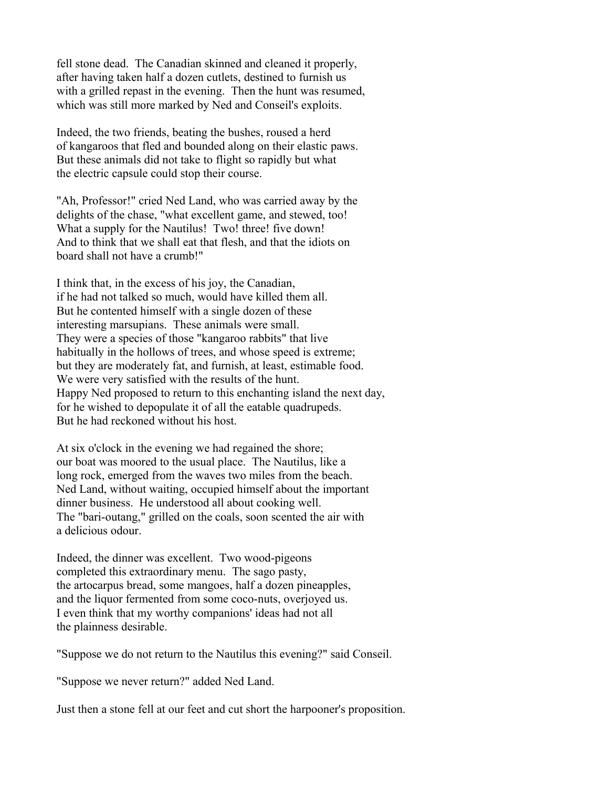fell stone dead. The Canadian skinned and cleaned it properly, after having taken half a dozen cutlets, destined to furnish us with a grilled repast in the evening. Then the hunt was resumed, which was still more marked by Ned and Conseil's exploits.

Indeed, the two friends, beating the bushes, roused a herd of kangaroos that fled and bounded along on their elastic paws. But these animals did not take to flight so rapidly but what the electric capsule could stop their course.

"Ah, Professor!" cried Ned Land, who was carried away by the delights of the chase, "what excellent game, and stewed, too! What a supply for the Nautilus! Two! three! five down! And to think that we shall eat that flesh, and that the idiots on board shall not have a crumb!"

I think that, in the excess of his joy, the Canadian, if he had not talked so much, would have killed them all. But he contented himself with a single dozen of these interesting marsupians. These animals were small. They were a species of those "kangaroo rabbits" that live habitually in the hollows of trees, and whose speed is extreme; but they are moderately fat, and furnish, at least, estimable food. We were very satisfied with the results of the hunt. Happy Ned proposed to return to this enchanting island the next day, for he wished to depopulate it of all the eatable quadrupeds. But he had reckoned without his host.

At six o'clock in the evening we had regained the shore; our boat was moored to the usual place. The Nautilus, like a long rock, emerged from the waves two miles from the beach. Ned Land, without waiting, occupied himself about the important dinner business. He understood all about cooking well. The "bari-outang," grilled on the coals, soon scented the air with a delicious odour.

Indeed, the dinner was excellent. Two wood-pigeons completed this extraordinary menu. The sago pasty, the artocarpus bread, some mangoes, half a dozen pineapples, and the liquor fermented from some coco-nuts, overjoyed us. I even think that my worthy companions' ideas had not all the plainness desirable.

"Suppose we do not return to the Nautilus this evening?" said Conseil.

"Suppose we never return?" added Ned Land.

Just then a stone fell at our feet and cut short the harpooner's proposition.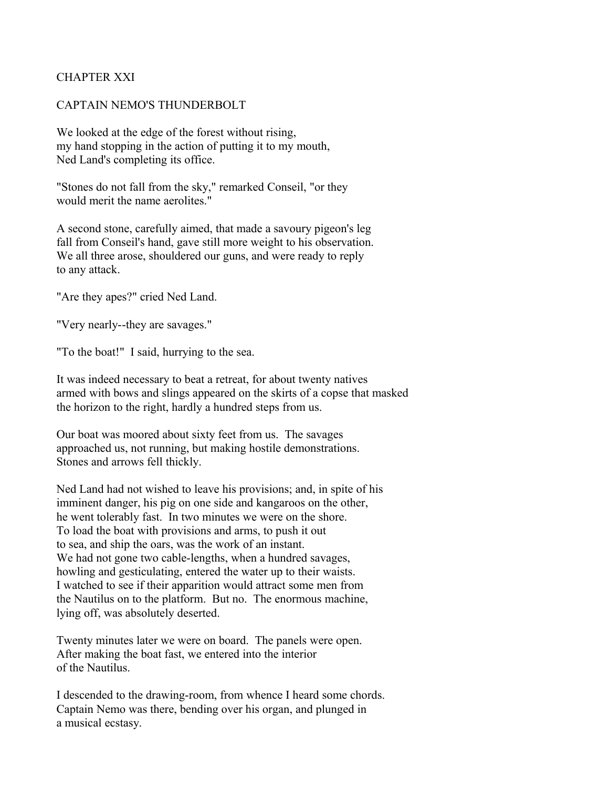## CHAPTER XXI

#### CAPTAIN NEMO'S THUNDERBOLT

We looked at the edge of the forest without rising, my hand stopping in the action of putting it to my mouth, Ned Land's completing its office.

"Stones do not fall from the sky," remarked Conseil, "or they would merit the name aerolites."

A second stone, carefully aimed, that made a savoury pigeon's leg fall from Conseil's hand, gave still more weight to his observation. We all three arose, shouldered our guns, and were ready to reply to any attack.

"Are they apes?" cried Ned Land.

"Very nearly--they are savages."

"To the boat!" I said, hurrying to the sea.

It was indeed necessary to beat a retreat, for about twenty natives armed with bows and slings appeared on the skirts of a copse that masked the horizon to the right, hardly a hundred steps from us.

Our boat was moored about sixty feet from us. The savages approached us, not running, but making hostile demonstrations. Stones and arrows fell thickly.

Ned Land had not wished to leave his provisions; and, in spite of his imminent danger, his pig on one side and kangaroos on the other, he went tolerably fast. In two minutes we were on the shore. To load the boat with provisions and arms, to push it out to sea, and ship the oars, was the work of an instant. We had not gone two cable-lengths, when a hundred savages, howling and gesticulating, entered the water up to their waists. I watched to see if their apparition would attract some men from the Nautilus on to the platform. But no. The enormous machine, lying off, was absolutely deserted.

Twenty minutes later we were on board. The panels were open. After making the boat fast, we entered into the interior of the Nautilus.

I descended to the drawing-room, from whence I heard some chords. Captain Nemo was there, bending over his organ, and plunged in a musical ecstasy.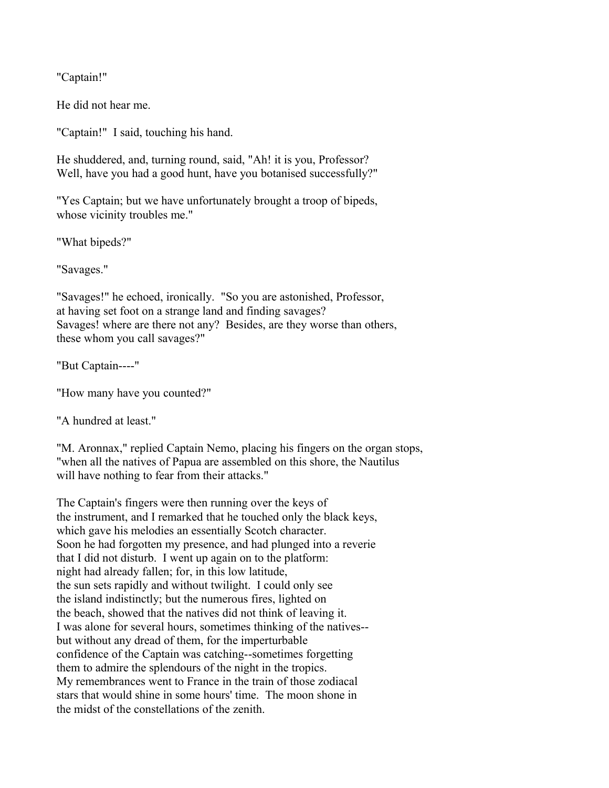"Captain!"

He did not hear me.

"Captain!" I said, touching his hand.

He shuddered, and, turning round, said, "Ah! it is you, Professor? Well, have you had a good hunt, have you botanised successfully?"

"Yes Captain; but we have unfortunately brought a troop of bipeds, whose vicinity troubles me."

"What bipeds?"

"Savages."

"Savages!" he echoed, ironically. "So you are astonished, Professor, at having set foot on a strange land and finding savages? Savages! where are there not any? Besides, are they worse than others, these whom you call savages?"

"But Captain----"

"How many have you counted?"

"A hundred at least."

"M. Aronnax," replied Captain Nemo, placing his fingers on the organ stops, "when all the natives of Papua are assembled on this shore, the Nautilus will have nothing to fear from their attacks."

The Captain's fingers were then running over the keys of the instrument, and I remarked that he touched only the black keys, which gave his melodies an essentially Scotch character. Soon he had forgotten my presence, and had plunged into a reverie that I did not disturb. I went up again on to the platform: night had already fallen; for, in this low latitude, the sun sets rapidly and without twilight. I could only see the island indistinctly; but the numerous fires, lighted on the beach, showed that the natives did not think of leaving it. I was alone for several hours, sometimes thinking of the natives- but without any dread of them, for the imperturbable confidence of the Captain was catching--sometimes forgetting them to admire the splendours of the night in the tropics. My remembrances went to France in the train of those zodiacal stars that would shine in some hours' time. The moon shone in the midst of the constellations of the zenith.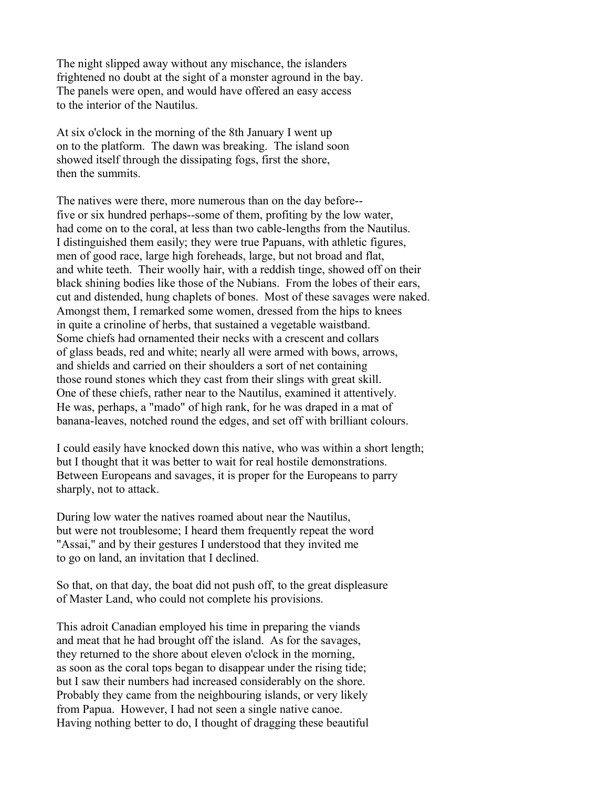The night slipped away without any mischance, the islanders frightened no doubt at the sight of a monster aground in the bay. The panels were open, and would have offered an easy access to the interior of the Nautilus.

At six o'clock in the morning of the 8th January I went up on to the platform. The dawn was breaking. The island soon showed itself through the dissipating fogs, first the shore, then the summits.

The natives were there, more numerous than on the day before- five or six hundred perhaps--some of them, profiting by the low water, had come on to the coral, at less than two cable-lengths from the Nautilus. I distinguished them easily; they were true Papuans, with athletic figures, men of good race, large high foreheads, large, but not broad and flat, and white teeth. Their woolly hair, with a reddish tinge, showed off on their black shining bodies like those of the Nubians. From the lobes of their ears, cut and distended, hung chaplets of bones. Most of these savages were naked. Amongst them, I remarked some women, dressed from the hips to knees in quite a crinoline of herbs, that sustained a vegetable waistband. Some chiefs had ornamented their necks with a crescent and collars of glass beads, red and white; nearly all were armed with bows, arrows, and shields and carried on their shoulders a sort of net containing those round stones which they cast from their slings with great skill. One of these chiefs, rather near to the Nautilus, examined it attentively. He was, perhaps, a "mado" of high rank, for he was draped in a mat of banana-leaves, notched round the edges, and set off with brilliant colours.

I could easily have knocked down this native, who was within a short length; but I thought that it was better to wait for real hostile demonstrations. Between Europeans and savages, it is proper for the Europeans to parry sharply, not to attack.

During low water the natives roamed about near the Nautilus, but were not troublesome; I heard them frequently repeat the word "Assai," and by their gestures I understood that they invited me to go on land, an invitation that I declined.

So that, on that day, the boat did not push off, to the great displeasure of Master Land, who could not complete his provisions.

This adroit Canadian employed his time in preparing the viands and meat that he had brought off the island. As for the savages, they returned to the shore about eleven o'clock in the morning, as soon as the coral tops began to disappear under the rising tide; but I saw their numbers had increased considerably on the shore. Probably they came from the neighbouring islands, or very likely from Papua. However, I had not seen a single native canoe. Having nothing better to do, I thought of dragging these beautiful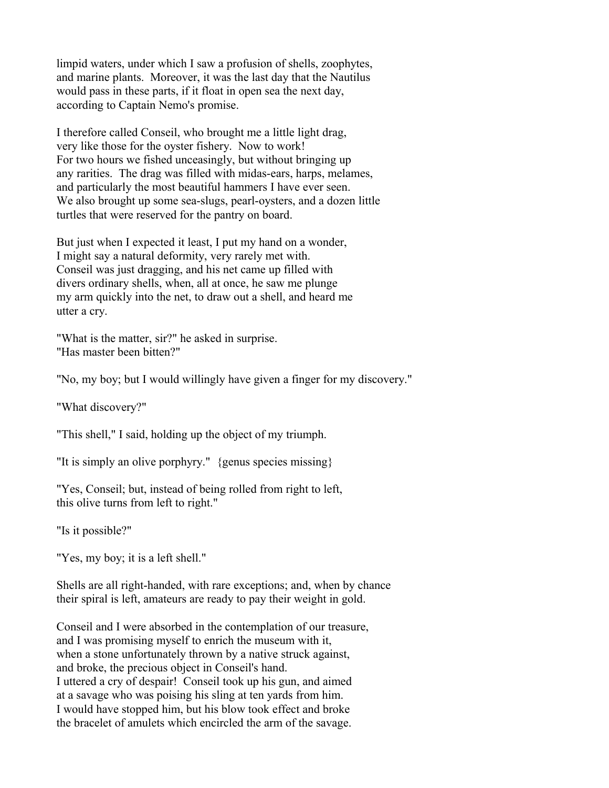limpid waters, under which I saw a profusion of shells, zoophytes, and marine plants. Moreover, it was the last day that the Nautilus would pass in these parts, if it float in open sea the next day, according to Captain Nemo's promise.

I therefore called Conseil, who brought me a little light drag, very like those for the oyster fishery. Now to work! For two hours we fished unceasingly, but without bringing up any rarities. The drag was filled with midas-ears, harps, melames, and particularly the most beautiful hammers I have ever seen. We also brought up some sea-slugs, pearl-oysters, and a dozen little turtles that were reserved for the pantry on board.

But just when I expected it least, I put my hand on a wonder, I might say a natural deformity, very rarely met with. Conseil was just dragging, and his net came up filled with divers ordinary shells, when, all at once, he saw me plunge my arm quickly into the net, to draw out a shell, and heard me utter a cry.

"What is the matter, sir?" he asked in surprise. "Has master been bitten?"

"No, my boy; but I would willingly have given a finger for my discovery."

"What discovery?"

"This shell," I said, holding up the object of my triumph.

"It is simply an olive porphyry." {genus species missing}

"Yes, Conseil; but, instead of being rolled from right to left, this olive turns from left to right."

"Is it possible?"

"Yes, my boy; it is a left shell."

Shells are all right-handed, with rare exceptions; and, when by chance their spiral is left, amateurs are ready to pay their weight in gold.

Conseil and I were absorbed in the contemplation of our treasure, and I was promising myself to enrich the museum with it, when a stone unfortunately thrown by a native struck against, and broke, the precious object in Conseil's hand. I uttered a cry of despair! Conseil took up his gun, and aimed at a savage who was poising his sling at ten yards from him. I would have stopped him, but his blow took effect and broke the bracelet of amulets which encircled the arm of the savage.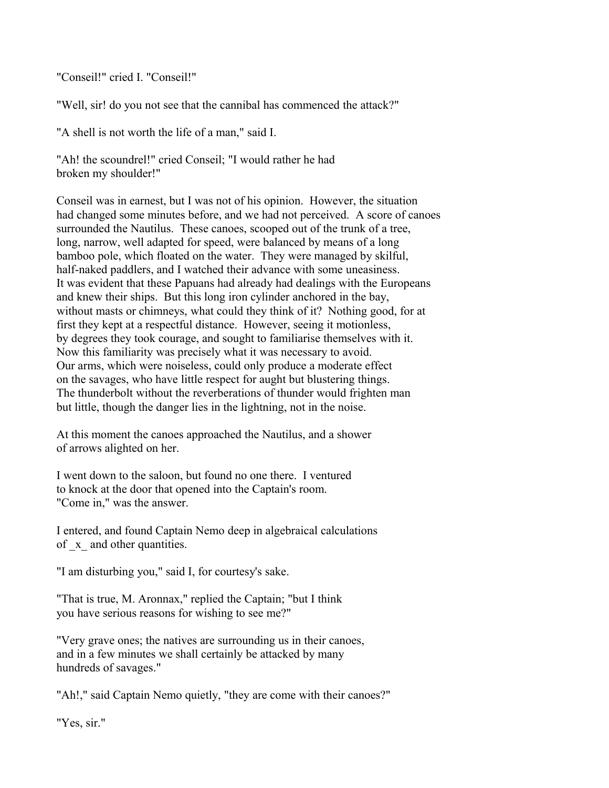"Conseil!" cried I. "Conseil!"

"Well, sir! do you not see that the cannibal has commenced the attack?"

"A shell is not worth the life of a man," said I.

"Ah! the scoundrel!" cried Conseil; "I would rather he had broken my shoulder!"

Conseil was in earnest, but I was not of his opinion. However, the situation had changed some minutes before, and we had not perceived. A score of canoes surrounded the Nautilus. These canoes, scooped out of the trunk of a tree, long, narrow, well adapted for speed, were balanced by means of a long bamboo pole, which floated on the water. They were managed by skilful, half-naked paddlers, and I watched their advance with some uneasiness. It was evident that these Papuans had already had dealings with the Europeans and knew their ships. But this long iron cylinder anchored in the bay, without masts or chimneys, what could they think of it? Nothing good, for at first they kept at a respectful distance. However, seeing it motionless, by degrees they took courage, and sought to familiarise themselves with it. Now this familiarity was precisely what it was necessary to avoid. Our arms, which were noiseless, could only produce a moderate effect on the savages, who have little respect for aught but blustering things. The thunderbolt without the reverberations of thunder would frighten man but little, though the danger lies in the lightning, not in the noise.

At this moment the canoes approached the Nautilus, and a shower of arrows alighted on her.

I went down to the saloon, but found no one there. I ventured to knock at the door that opened into the Captain's room. "Come in," was the answer.

I entered, and found Captain Nemo deep in algebraical calculations of \_x\_ and other quantities.

"I am disturbing you," said I, for courtesy's sake.

"That is true, M. Aronnax," replied the Captain; "but I think you have serious reasons for wishing to see me?"

"Very grave ones; the natives are surrounding us in their canoes, and in a few minutes we shall certainly be attacked by many hundreds of savages."

"Ah!," said Captain Nemo quietly, "they are come with their canoes?"

"Yes, sir."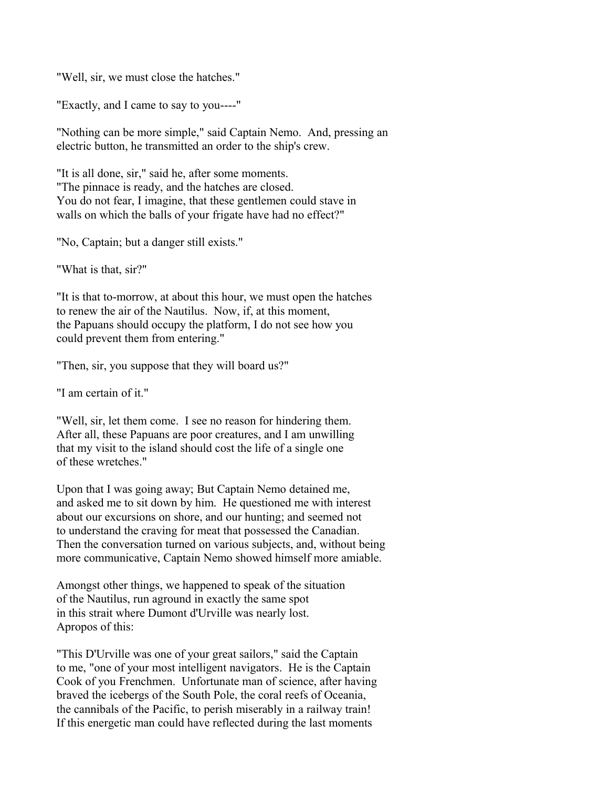"Well, sir, we must close the hatches."

"Exactly, and I came to say to you----"

"Nothing can be more simple," said Captain Nemo. And, pressing an electric button, he transmitted an order to the ship's crew.

"It is all done, sir," said he, after some moments. "The pinnace is ready, and the hatches are closed. You do not fear, I imagine, that these gentlemen could stave in walls on which the balls of your frigate have had no effect?"

"No, Captain; but a danger still exists."

"What is that, sir?"

"It is that to-morrow, at about this hour, we must open the hatches to renew the air of the Nautilus. Now, if, at this moment, the Papuans should occupy the platform, I do not see how you could prevent them from entering."

"Then, sir, you suppose that they will board us?"

"I am certain of it."

"Well, sir, let them come. I see no reason for hindering them. After all, these Papuans are poor creatures, and I am unwilling that my visit to the island should cost the life of a single one of these wretches."

Upon that I was going away; But Captain Nemo detained me, and asked me to sit down by him. He questioned me with interest about our excursions on shore, and our hunting; and seemed not to understand the craving for meat that possessed the Canadian. Then the conversation turned on various subjects, and, without being more communicative, Captain Nemo showed himself more amiable.

Amongst other things, we happened to speak of the situation of the Nautilus, run aground in exactly the same spot in this strait where Dumont d'Urville was nearly lost. Apropos of this:

"This D'Urville was one of your great sailors," said the Captain to me, "one of your most intelligent navigators. He is the Captain Cook of you Frenchmen. Unfortunate man of science, after having braved the icebergs of the South Pole, the coral reefs of Oceania, the cannibals of the Pacific, to perish miserably in a railway train! If this energetic man could have reflected during the last moments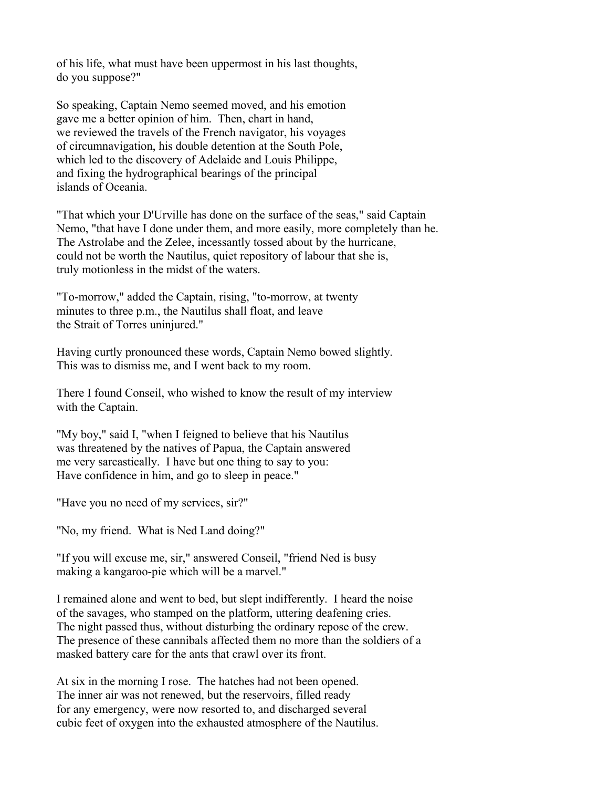of his life, what must have been uppermost in his last thoughts, do you suppose?"

So speaking, Captain Nemo seemed moved, and his emotion gave me a better opinion of him. Then, chart in hand, we reviewed the travels of the French navigator, his voyages of circumnavigation, his double detention at the South Pole, which led to the discovery of Adelaide and Louis Philippe, and fixing the hydrographical bearings of the principal islands of Oceania.

"That which your D'Urville has done on the surface of the seas," said Captain Nemo, "that have I done under them, and more easily, more completely than he. The Astrolabe and the Zelee, incessantly tossed about by the hurricane, could not be worth the Nautilus, quiet repository of labour that she is, truly motionless in the midst of the waters.

"To-morrow," added the Captain, rising, "to-morrow, at twenty minutes to three p.m., the Nautilus shall float, and leave the Strait of Torres uninjured."

Having curtly pronounced these words, Captain Nemo bowed slightly. This was to dismiss me, and I went back to my room.

There I found Conseil, who wished to know the result of my interview with the Captain.

"My boy," said I, "when I feigned to believe that his Nautilus was threatened by the natives of Papua, the Captain answered me very sarcastically. I have but one thing to say to you: Have confidence in him, and go to sleep in peace."

"Have you no need of my services, sir?"

"No, my friend. What is Ned Land doing?"

"If you will excuse me, sir," answered Conseil, "friend Ned is busy making a kangaroo-pie which will be a marvel."

I remained alone and went to bed, but slept indifferently. I heard the noise of the savages, who stamped on the platform, uttering deafening cries. The night passed thus, without disturbing the ordinary repose of the crew. The presence of these cannibals affected them no more than the soldiers of a masked battery care for the ants that crawl over its front.

At six in the morning I rose. The hatches had not been opened. The inner air was not renewed, but the reservoirs, filled ready for any emergency, were now resorted to, and discharged several cubic feet of oxygen into the exhausted atmosphere of the Nautilus.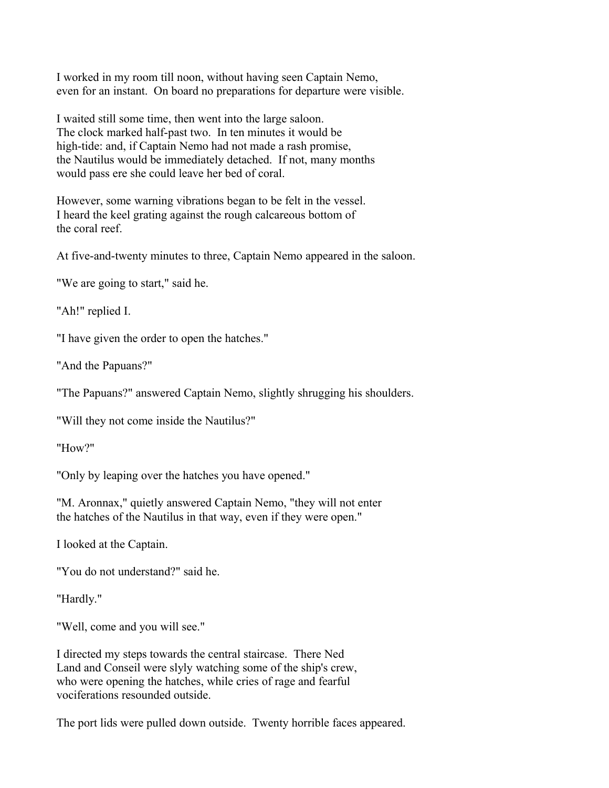I worked in my room till noon, without having seen Captain Nemo, even for an instant. On board no preparations for departure were visible.

I waited still some time, then went into the large saloon. The clock marked half-past two. In ten minutes it would be high-tide: and, if Captain Nemo had not made a rash promise, the Nautilus would be immediately detached. If not, many months would pass ere she could leave her bed of coral.

However, some warning vibrations began to be felt in the vessel. I heard the keel grating against the rough calcareous bottom of the coral reef.

At five-and-twenty minutes to three, Captain Nemo appeared in the saloon.

"We are going to start," said he.

"Ah!" replied I.

"I have given the order to open the hatches."

"And the Papuans?"

"The Papuans?" answered Captain Nemo, slightly shrugging his shoulders.

"Will they not come inside the Nautilus?"

"How?"

"Only by leaping over the hatches you have opened."

"M. Aronnax," quietly answered Captain Nemo, "they will not enter the hatches of the Nautilus in that way, even if they were open."

I looked at the Captain.

"You do not understand?" said he.

"Hardly."

"Well, come and you will see."

I directed my steps towards the central staircase. There Ned Land and Conseil were slyly watching some of the ship's crew, who were opening the hatches, while cries of rage and fearful vociferations resounded outside.

The port lids were pulled down outside. Twenty horrible faces appeared.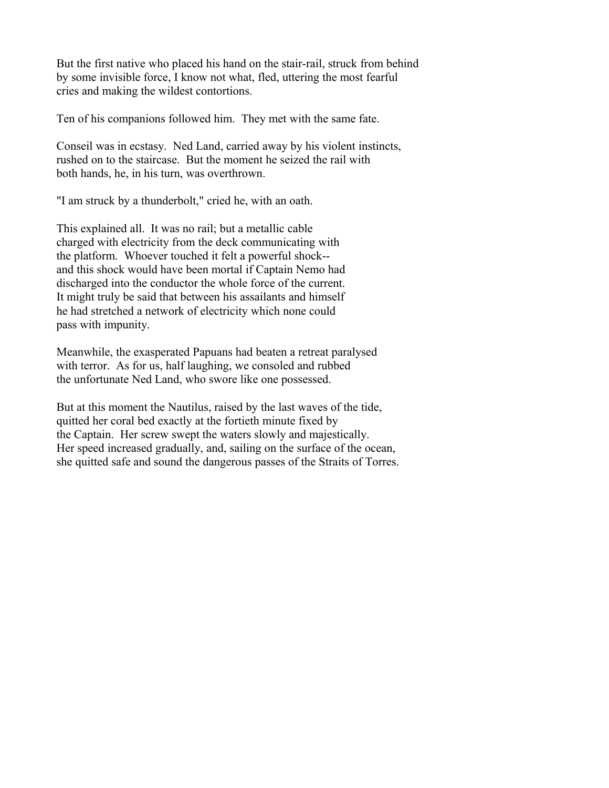But the first native who placed his hand on the stair-rail, struck from behind by some invisible force, I know not what, fled, uttering the most fearful cries and making the wildest contortions.

Ten of his companions followed him. They met with the same fate.

Conseil was in ecstasy. Ned Land, carried away by his violent instincts, rushed on to the staircase. But the moment he seized the rail with both hands, he, in his turn, was overthrown.

"I am struck by a thunderbolt," cried he, with an oath.

This explained all. It was no rail; but a metallic cable charged with electricity from the deck communicating with the platform. Whoever touched it felt a powerful shock- and this shock would have been mortal if Captain Nemo had discharged into the conductor the whole force of the current. It might truly be said that between his assailants and himself he had stretched a network of electricity which none could pass with impunity.

Meanwhile, the exasperated Papuans had beaten a retreat paralysed with terror. As for us, half laughing, we consoled and rubbed the unfortunate Ned Land, who swore like one possessed.

But at this moment the Nautilus, raised by the last waves of the tide, quitted her coral bed exactly at the fortieth minute fixed by the Captain. Her screw swept the waters slowly and majestically. Her speed increased gradually, and, sailing on the surface of the ocean, she quitted safe and sound the dangerous passes of the Straits of Torres.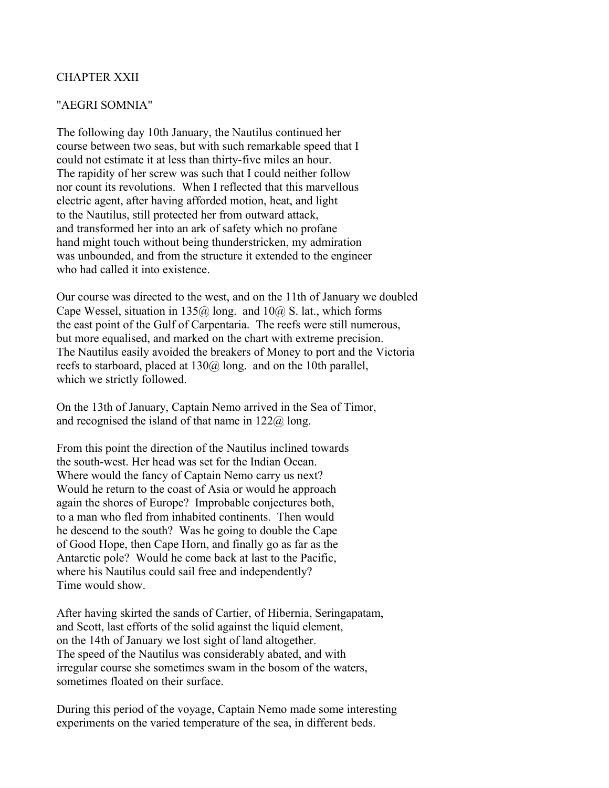### CHAPTER XXII

#### "AEGRI SOMNIA"

The following day 10th January, the Nautilus continued her course between two seas, but with such remarkable speed that I could not estimate it at less than thirty-five miles an hour. The rapidity of her screw was such that I could neither follow nor count its revolutions. When I reflected that this marvellous electric agent, after having afforded motion, heat, and light to the Nautilus, still protected her from outward attack, and transformed her into an ark of safety which no profane hand might touch without being thunderstricken, my admiration was unbounded, and from the structure it extended to the engineer who had called it into existence.

Our course was directed to the west, and on the 11th of January we doubled Cape Wessel, situation in 135 $@$  long. and 10 $@$  S. lat., which forms the east point of the Gulf of Carpentaria. The reefs were still numerous, but more equalised, and marked on the chart with extreme precision. The Nautilus easily avoided the breakers of Money to port and the Victoria reefs to starboard, placed at 130@ long. and on the 10th parallel, which we strictly followed.

On the 13th of January, Captain Nemo arrived in the Sea of Timor, and recognised the island of that name in  $122\omega$  long.

From this point the direction of the Nautilus inclined towards the south-west. Her head was set for the Indian Ocean. Where would the fancy of Captain Nemo carry us next? Would he return to the coast of Asia or would he approach again the shores of Europe? Improbable conjectures both, to a man who fled from inhabited continents. Then would he descend to the south? Was he going to double the Cape of Good Hope, then Cape Horn, and finally go as far as the Antarctic pole? Would he come back at last to the Pacific, where his Nautilus could sail free and independently? Time would show.

After having skirted the sands of Cartier, of Hibernia, Seringapatam, and Scott, last efforts of the solid against the liquid element, on the 14th of January we lost sight of land altogether. The speed of the Nautilus was considerably abated, and with irregular course she sometimes swam in the bosom of the waters, sometimes floated on their surface.

During this period of the voyage, Captain Nemo made some interesting experiments on the varied temperature of the sea, in different beds.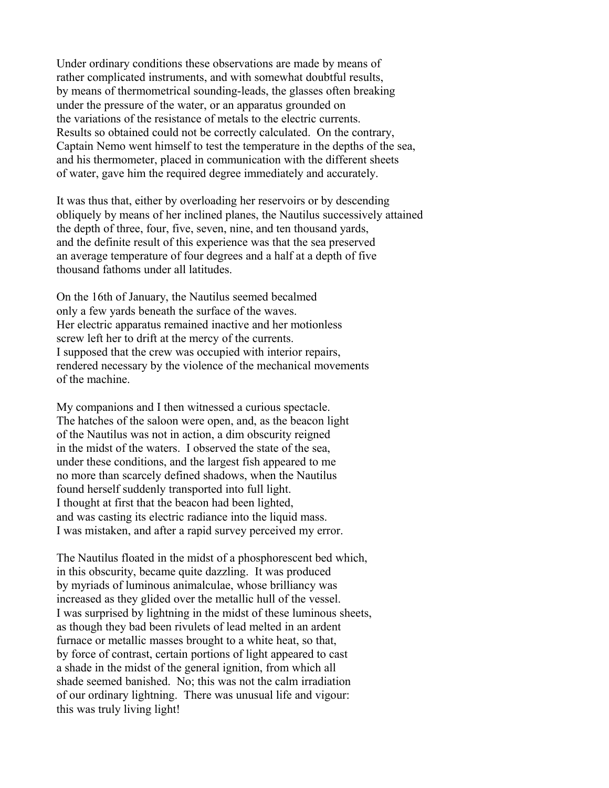Under ordinary conditions these observations are made by means of rather complicated instruments, and with somewhat doubtful results, by means of thermometrical sounding-leads, the glasses often breaking under the pressure of the water, or an apparatus grounded on the variations of the resistance of metals to the electric currents. Results so obtained could not be correctly calculated. On the contrary, Captain Nemo went himself to test the temperature in the depths of the sea, and his thermometer, placed in communication with the different sheets of water, gave him the required degree immediately and accurately.

It was thus that, either by overloading her reservoirs or by descending obliquely by means of her inclined planes, the Nautilus successively attained the depth of three, four, five, seven, nine, and ten thousand yards, and the definite result of this experience was that the sea preserved an average temperature of four degrees and a half at a depth of five thousand fathoms under all latitudes.

On the 16th of January, the Nautilus seemed becalmed only a few yards beneath the surface of the waves. Her electric apparatus remained inactive and her motionless screw left her to drift at the mercy of the currents. I supposed that the crew was occupied with interior repairs, rendered necessary by the violence of the mechanical movements of the machine.

My companions and I then witnessed a curious spectacle. The hatches of the saloon were open, and, as the beacon light of the Nautilus was not in action, a dim obscurity reigned in the midst of the waters. I observed the state of the sea, under these conditions, and the largest fish appeared to me no more than scarcely defined shadows, when the Nautilus found herself suddenly transported into full light. I thought at first that the beacon had been lighted, and was casting its electric radiance into the liquid mass. I was mistaken, and after a rapid survey perceived my error.

The Nautilus floated in the midst of a phosphorescent bed which, in this obscurity, became quite dazzling. It was produced by myriads of luminous animalculae, whose brilliancy was increased as they glided over the metallic hull of the vessel. I was surprised by lightning in the midst of these luminous sheets, as though they bad been rivulets of lead melted in an ardent furnace or metallic masses brought to a white heat, so that, by force of contrast, certain portions of light appeared to cast a shade in the midst of the general ignition, from which all shade seemed banished. No; this was not the calm irradiation of our ordinary lightning. There was unusual life and vigour: this was truly living light!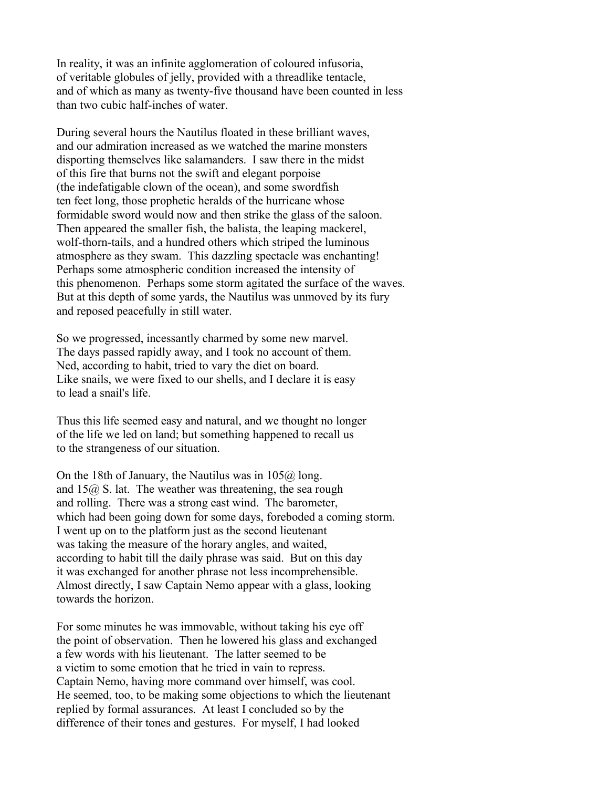In reality, it was an infinite agglomeration of coloured infusoria, of veritable globules of jelly, provided with a threadlike tentacle, and of which as many as twenty-five thousand have been counted in less than two cubic half-inches of water.

During several hours the Nautilus floated in these brilliant waves, and our admiration increased as we watched the marine monsters disporting themselves like salamanders. I saw there in the midst of this fire that burns not the swift and elegant porpoise (the indefatigable clown of the ocean), and some swordfish ten feet long, those prophetic heralds of the hurricane whose formidable sword would now and then strike the glass of the saloon. Then appeared the smaller fish, the balista, the leaping mackerel, wolf-thorn-tails, and a hundred others which striped the luminous atmosphere as they swam. This dazzling spectacle was enchanting! Perhaps some atmospheric condition increased the intensity of this phenomenon. Perhaps some storm agitated the surface of the waves. But at this depth of some yards, the Nautilus was unmoved by its fury and reposed peacefully in still water.

So we progressed, incessantly charmed by some new marvel. The days passed rapidly away, and I took no account of them. Ned, according to habit, tried to vary the diet on board. Like snails, we were fixed to our shells, and I declare it is easy to lead a snail's life.

Thus this life seemed easy and natural, and we thought no longer of the life we led on land; but something happened to recall us to the strangeness of our situation.

On the 18th of January, the Nautilus was in  $105\omega$  long. and  $15\omega$ , S. lat. The weather was threatening, the sea rough and rolling. There was a strong east wind. The barometer, which had been going down for some days, foreboded a coming storm. I went up on to the platform just as the second lieutenant was taking the measure of the horary angles, and waited, according to habit till the daily phrase was said. But on this day it was exchanged for another phrase not less incomprehensible. Almost directly, I saw Captain Nemo appear with a glass, looking towards the horizon.

For some minutes he was immovable, without taking his eye off the point of observation. Then he lowered his glass and exchanged a few words with his lieutenant. The latter seemed to be a victim to some emotion that he tried in vain to repress. Captain Nemo, having more command over himself, was cool. He seemed, too, to be making some objections to which the lieutenant replied by formal assurances. At least I concluded so by the difference of their tones and gestures. For myself, I had looked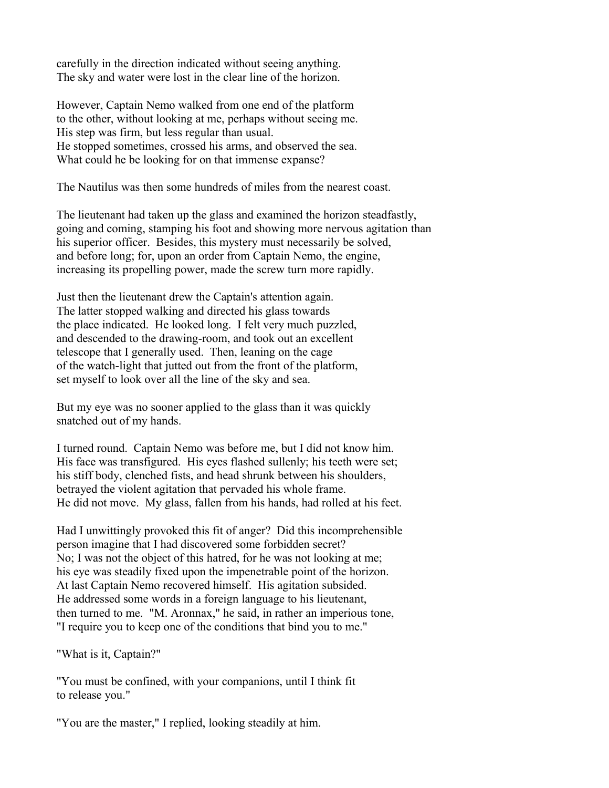carefully in the direction indicated without seeing anything. The sky and water were lost in the clear line of the horizon.

However, Captain Nemo walked from one end of the platform to the other, without looking at me, perhaps without seeing me. His step was firm, but less regular than usual. He stopped sometimes, crossed his arms, and observed the sea. What could he be looking for on that immense expanse?

The Nautilus was then some hundreds of miles from the nearest coast.

The lieutenant had taken up the glass and examined the horizon steadfastly, going and coming, stamping his foot and showing more nervous agitation than his superior officer. Besides, this mystery must necessarily be solved, and before long; for, upon an order from Captain Nemo, the engine, increasing its propelling power, made the screw turn more rapidly.

Just then the lieutenant drew the Captain's attention again. The latter stopped walking and directed his glass towards the place indicated. He looked long. I felt very much puzzled, and descended to the drawing-room, and took out an excellent telescope that I generally used. Then, leaning on the cage of the watch-light that jutted out from the front of the platform, set myself to look over all the line of the sky and sea.

But my eye was no sooner applied to the glass than it was quickly snatched out of my hands.

I turned round. Captain Nemo was before me, but I did not know him. His face was transfigured. His eyes flashed sullenly; his teeth were set; his stiff body, clenched fists, and head shrunk between his shoulders, betrayed the violent agitation that pervaded his whole frame. He did not move. My glass, fallen from his hands, had rolled at his feet.

Had I unwittingly provoked this fit of anger? Did this incomprehensible person imagine that I had discovered some forbidden secret? No; I was not the object of this hatred, for he was not looking at me; his eye was steadily fixed upon the impenetrable point of the horizon. At last Captain Nemo recovered himself. His agitation subsided. He addressed some words in a foreign language to his lieutenant, then turned to me. "M. Aronnax," he said, in rather an imperious tone, "I require you to keep one of the conditions that bind you to me."

"What is it, Captain?"

"You must be confined, with your companions, until I think fit to release you."

"You are the master," I replied, looking steadily at him.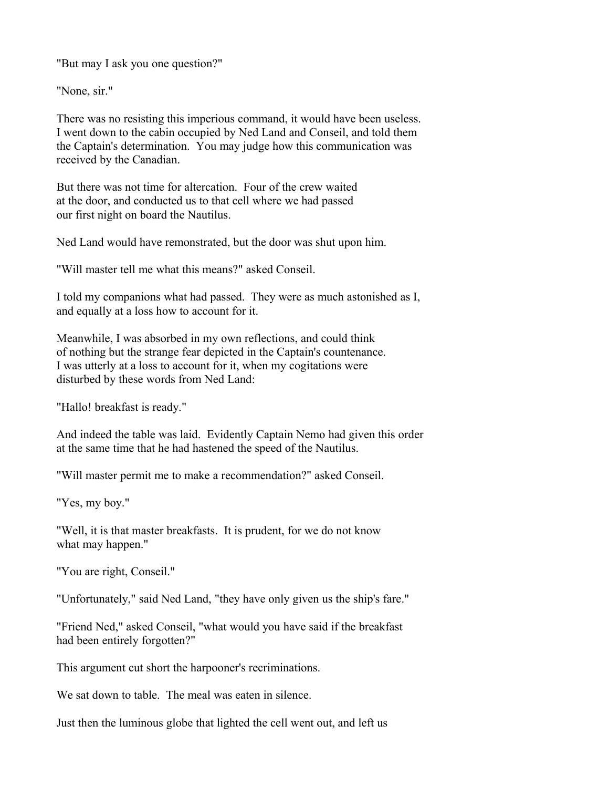"But may I ask you one question?"

"None, sir."

There was no resisting this imperious command, it would have been useless. I went down to the cabin occupied by Ned Land and Conseil, and told them the Captain's determination. You may judge how this communication was received by the Canadian.

But there was not time for altercation. Four of the crew waited at the door, and conducted us to that cell where we had passed our first night on board the Nautilus.

Ned Land would have remonstrated, but the door was shut upon him.

"Will master tell me what this means?" asked Conseil.

I told my companions what had passed. They were as much astonished as I, and equally at a loss how to account for it.

Meanwhile, I was absorbed in my own reflections, and could think of nothing but the strange fear depicted in the Captain's countenance. I was utterly at a loss to account for it, when my cogitations were disturbed by these words from Ned Land:

"Hallo! breakfast is ready."

And indeed the table was laid. Evidently Captain Nemo had given this order at the same time that he had hastened the speed of the Nautilus.

"Will master permit me to make a recommendation?" asked Conseil.

"Yes, my boy."

"Well, it is that master breakfasts. It is prudent, for we do not know what may happen."

"You are right, Conseil."

"Unfortunately," said Ned Land, "they have only given us the ship's fare."

"Friend Ned," asked Conseil, "what would you have said if the breakfast had been entirely forgotten?"

This argument cut short the harpooner's recriminations.

We sat down to table. The meal was eaten in silence.

Just then the luminous globe that lighted the cell went out, and left us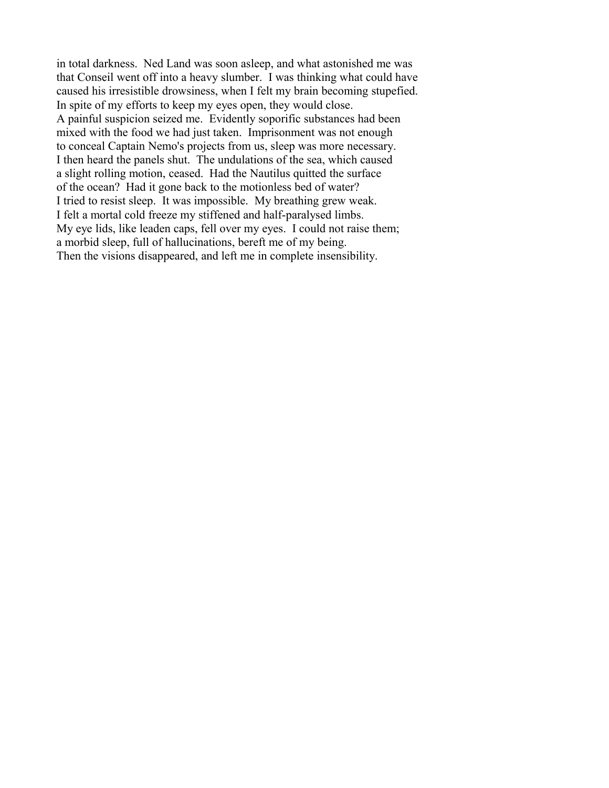in total darkness. Ned Land was soon asleep, and what astonished me was that Conseil went off into a heavy slumber. I was thinking what could have caused his irresistible drowsiness, when I felt my brain becoming stupefied. In spite of my efforts to keep my eyes open, they would close. A painful suspicion seized me. Evidently soporific substances had been mixed with the food we had just taken. Imprisonment was not enough to conceal Captain Nemo's projects from us, sleep was more necessary. I then heard the panels shut. The undulations of the sea, which caused a slight rolling motion, ceased. Had the Nautilus quitted the surface of the ocean? Had it gone back to the motionless bed of water? I tried to resist sleep. It was impossible. My breathing grew weak. I felt a mortal cold freeze my stiffened and half-paralysed limbs. My eye lids, like leaden caps, fell over my eyes. I could not raise them; a morbid sleep, full of hallucinations, bereft me of my being. Then the visions disappeared, and left me in complete insensibility.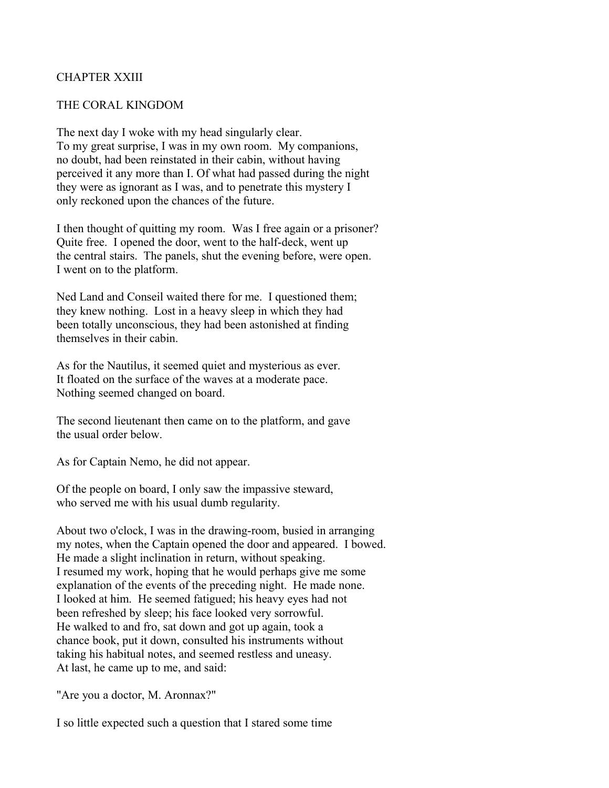## CHAPTER XXIII

#### THE CORAL KINGDOM

The next day I woke with my head singularly clear. To my great surprise, I was in my own room. My companions, no doubt, had been reinstated in their cabin, without having perceived it any more than I. Of what had passed during the night they were as ignorant as I was, and to penetrate this mystery I only reckoned upon the chances of the future.

I then thought of quitting my room. Was I free again or a prisoner? Quite free. I opened the door, went to the half-deck, went up the central stairs. The panels, shut the evening before, were open. I went on to the platform.

Ned Land and Conseil waited there for me. I questioned them; they knew nothing. Lost in a heavy sleep in which they had been totally unconscious, they had been astonished at finding themselves in their cabin.

As for the Nautilus, it seemed quiet and mysterious as ever. It floated on the surface of the waves at a moderate pace. Nothing seemed changed on board.

The second lieutenant then came on to the platform, and gave the usual order below.

As for Captain Nemo, he did not appear.

Of the people on board, I only saw the impassive steward, who served me with his usual dumb regularity.

About two o'clock, I was in the drawing-room, busied in arranging my notes, when the Captain opened the door and appeared. I bowed. He made a slight inclination in return, without speaking. I resumed my work, hoping that he would perhaps give me some explanation of the events of the preceding night. He made none. I looked at him. He seemed fatigued; his heavy eyes had not been refreshed by sleep; his face looked very sorrowful. He walked to and fro, sat down and got up again, took a chance book, put it down, consulted his instruments without taking his habitual notes, and seemed restless and uneasy. At last, he came up to me, and said:

"Are you a doctor, M. Aronnax?"

I so little expected such a question that I stared some time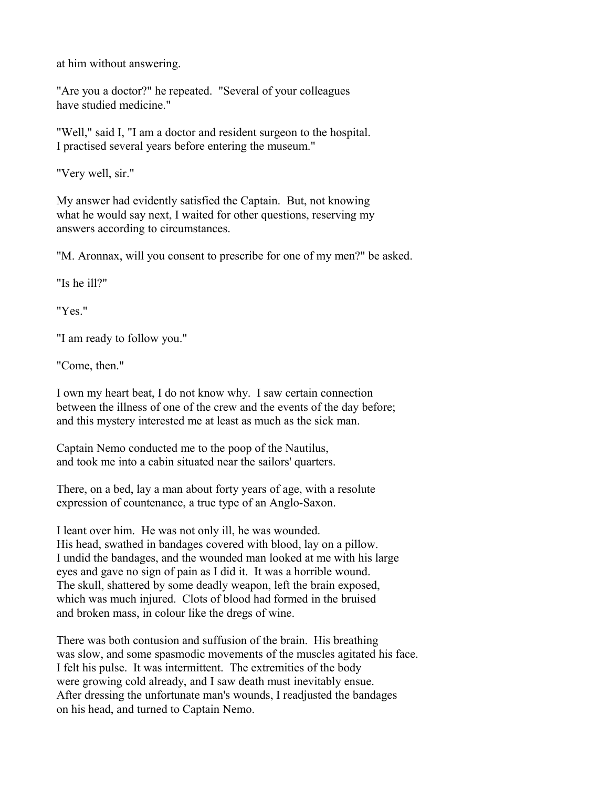at him without answering.

"Are you a doctor?" he repeated. "Several of your colleagues have studied medicine."

"Well," said I, "I am a doctor and resident surgeon to the hospital. I practised several years before entering the museum."

"Very well, sir."

My answer had evidently satisfied the Captain. But, not knowing what he would say next, I waited for other questions, reserving my answers according to circumstances.

"M. Aronnax, will you consent to prescribe for one of my men?" be asked.

"Is he ill?"

"Yes."

"I am ready to follow you."

"Come, then."

I own my heart beat, I do not know why. I saw certain connection between the illness of one of the crew and the events of the day before; and this mystery interested me at least as much as the sick man.

Captain Nemo conducted me to the poop of the Nautilus, and took me into a cabin situated near the sailors' quarters.

There, on a bed, lay a man about forty years of age, with a resolute expression of countenance, a true type of an Anglo-Saxon.

I leant over him. He was not only ill, he was wounded. His head, swathed in bandages covered with blood, lay on a pillow. I undid the bandages, and the wounded man looked at me with his large eyes and gave no sign of pain as I did it. It was a horrible wound. The skull, shattered by some deadly weapon, left the brain exposed, which was much injured. Clots of blood had formed in the bruised and broken mass, in colour like the dregs of wine.

There was both contusion and suffusion of the brain. His breathing was slow, and some spasmodic movements of the muscles agitated his face. I felt his pulse. It was intermittent. The extremities of the body were growing cold already, and I saw death must inevitably ensue. After dressing the unfortunate man's wounds, I readjusted the bandages on his head, and turned to Captain Nemo.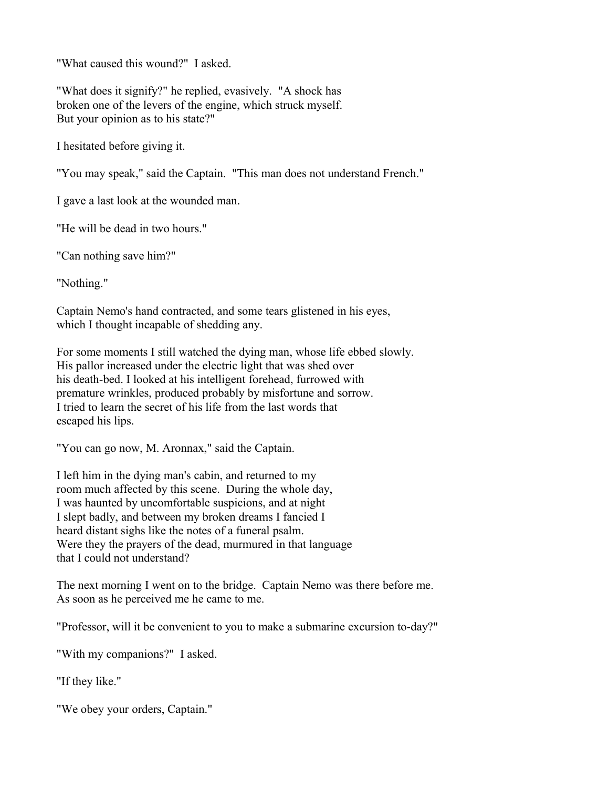"What caused this wound?" I asked.

"What does it signify?" he replied, evasively. "A shock has broken one of the levers of the engine, which struck myself. But your opinion as to his state?"

I hesitated before giving it.

"You may speak," said the Captain. "This man does not understand French."

I gave a last look at the wounded man.

"He will be dead in two hours."

"Can nothing save him?"

"Nothing."

Captain Nemo's hand contracted, and some tears glistened in his eyes, which I thought incapable of shedding any.

For some moments I still watched the dying man, whose life ebbed slowly. His pallor increased under the electric light that was shed over his death-bed. I looked at his intelligent forehead, furrowed with premature wrinkles, produced probably by misfortune and sorrow. I tried to learn the secret of his life from the last words that escaped his lips.

"You can go now, M. Aronnax," said the Captain.

I left him in the dying man's cabin, and returned to my room much affected by this scene. During the whole day, I was haunted by uncomfortable suspicions, and at night I slept badly, and between my broken dreams I fancied I heard distant sighs like the notes of a funeral psalm. Were they the prayers of the dead, murmured in that language that I could not understand?

The next morning I went on to the bridge. Captain Nemo was there before me. As soon as he perceived me he came to me.

"Professor, will it be convenient to you to make a submarine excursion to-day?"

"With my companions?" I asked.

"If they like."

"We obey your orders, Captain."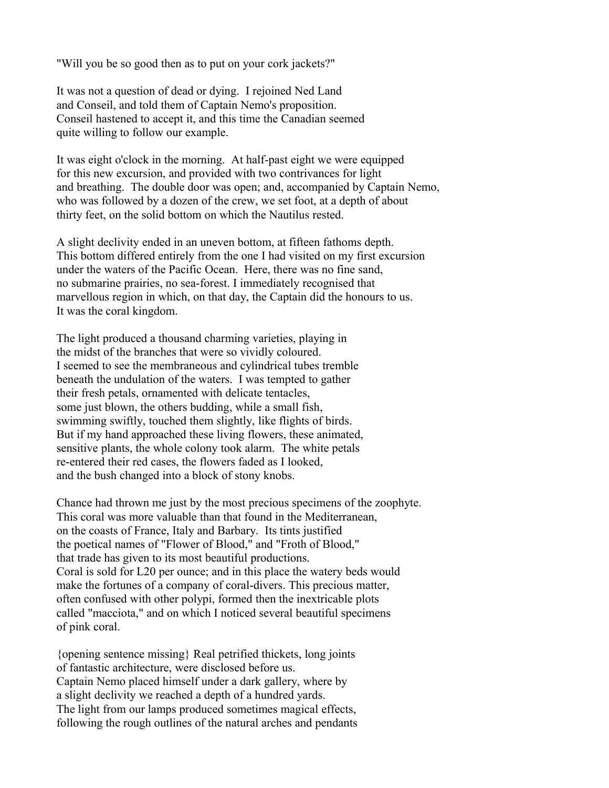"Will you be so good then as to put on your cork jackets?"

It was not a question of dead or dying. I rejoined Ned Land and Conseil, and told them of Captain Nemo's proposition. Conseil hastened to accept it, and this time the Canadian seemed quite willing to follow our example.

It was eight o'clock in the morning. At half-past eight we were equipped for this new excursion, and provided with two contrivances for light and breathing. The double door was open; and, accompanied by Captain Nemo, who was followed by a dozen of the crew, we set foot, at a depth of about thirty feet, on the solid bottom on which the Nautilus rested.

A slight declivity ended in an uneven bottom, at fifteen fathoms depth. This bottom differed entirely from the one I had visited on my first excursion under the waters of the Pacific Ocean. Here, there was no fine sand, no submarine prairies, no sea-forest. I immediately recognised that marvellous region in which, on that day, the Captain did the honours to us. It was the coral kingdom.

The light produced a thousand charming varieties, playing in the midst of the branches that were so vividly coloured. I seemed to see the membraneous and cylindrical tubes tremble beneath the undulation of the waters. I was tempted to gather their fresh petals, ornamented with delicate tentacles, some just blown, the others budding, while a small fish, swimming swiftly, touched them slightly, like flights of birds. But if my hand approached these living flowers, these animated, sensitive plants, the whole colony took alarm. The white petals re-entered their red cases, the flowers faded as I looked, and the bush changed into a block of stony knobs.

Chance had thrown me just by the most precious specimens of the zoophyte. This coral was more valuable than that found in the Mediterranean, on the coasts of France, Italy and Barbary. Its tints justified the poetical names of "Flower of Blood," and "Froth of Blood," that trade has given to its most beautiful productions. Coral is sold for L20 per ounce; and in this place the watery beds would make the fortunes of a company of coral-divers. This precious matter, often confused with other polypi, formed then the inextricable plots called "macciota," and on which I noticed several beautiful specimens of pink coral.

{opening sentence missing} Real petrified thickets, long joints of fantastic architecture, were disclosed before us. Captain Nemo placed himself under a dark gallery, where by a slight declivity we reached a depth of a hundred yards. The light from our lamps produced sometimes magical effects, following the rough outlines of the natural arches and pendants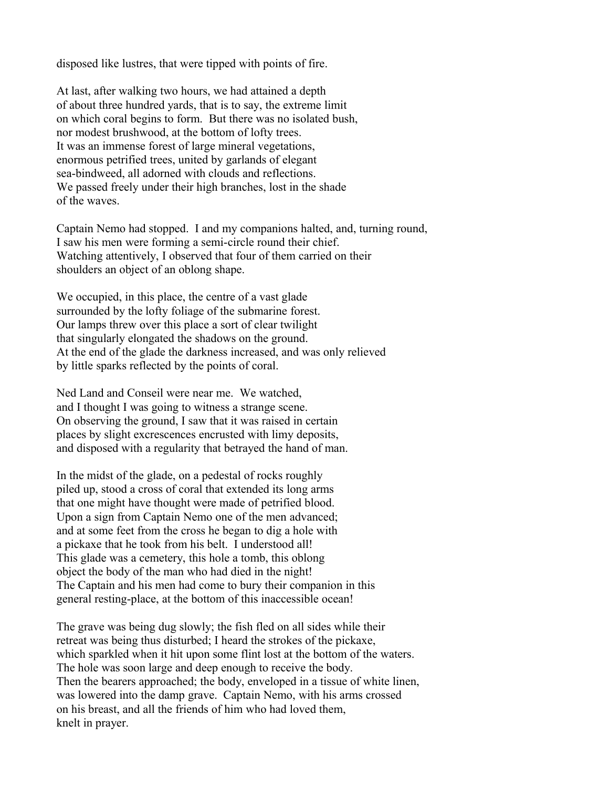disposed like lustres, that were tipped with points of fire.

At last, after walking two hours, we had attained a depth of about three hundred yards, that is to say, the extreme limit on which coral begins to form. But there was no isolated bush, nor modest brushwood, at the bottom of lofty trees. It was an immense forest of large mineral vegetations, enormous petrified trees, united by garlands of elegant sea-bindweed, all adorned with clouds and reflections. We passed freely under their high branches, lost in the shade of the waves.

Captain Nemo had stopped. I and my companions halted, and, turning round, I saw his men were forming a semi-circle round their chief. Watching attentively, I observed that four of them carried on their shoulders an object of an oblong shape.

We occupied, in this place, the centre of a vast glade surrounded by the lofty foliage of the submarine forest. Our lamps threw over this place a sort of clear twilight that singularly elongated the shadows on the ground. At the end of the glade the darkness increased, and was only relieved by little sparks reflected by the points of coral.

Ned Land and Conseil were near me. We watched, and I thought I was going to witness a strange scene. On observing the ground, I saw that it was raised in certain places by slight excrescences encrusted with limy deposits, and disposed with a regularity that betrayed the hand of man.

In the midst of the glade, on a pedestal of rocks roughly piled up, stood a cross of coral that extended its long arms that one might have thought were made of petrified blood. Upon a sign from Captain Nemo one of the men advanced; and at some feet from the cross he began to dig a hole with a pickaxe that he took from his belt. I understood all! This glade was a cemetery, this hole a tomb, this oblong object the body of the man who had died in the night! The Captain and his men had come to bury their companion in this general resting-place, at the bottom of this inaccessible ocean!

The grave was being dug slowly; the fish fled on all sides while their retreat was being thus disturbed; I heard the strokes of the pickaxe, which sparkled when it hit upon some flint lost at the bottom of the waters. The hole was soon large and deep enough to receive the body. Then the bearers approached; the body, enveloped in a tissue of white linen, was lowered into the damp grave. Captain Nemo, with his arms crossed on his breast, and all the friends of him who had loved them, knelt in prayer.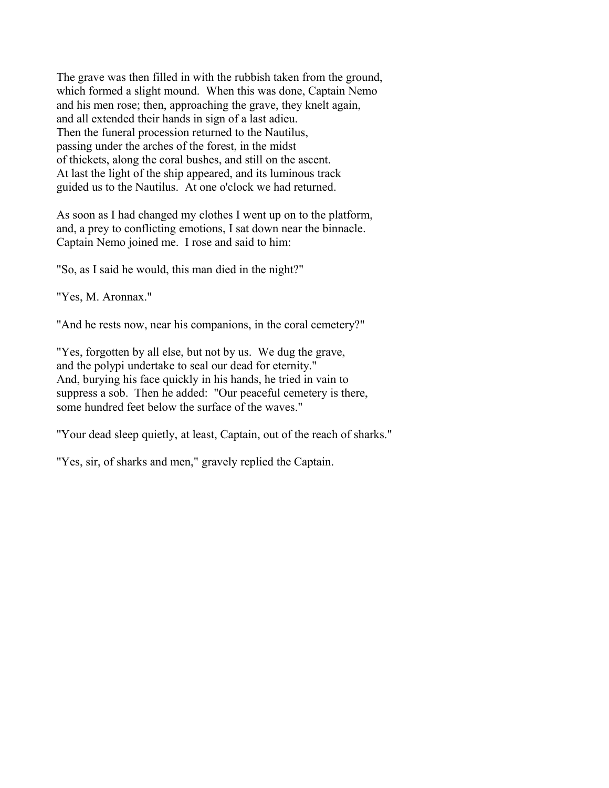The grave was then filled in with the rubbish taken from the ground, which formed a slight mound. When this was done, Captain Nemo and his men rose; then, approaching the grave, they knelt again, and all extended their hands in sign of a last adieu. Then the funeral procession returned to the Nautilus, passing under the arches of the forest, in the midst of thickets, along the coral bushes, and still on the ascent. At last the light of the ship appeared, and its luminous track guided us to the Nautilus. At one o'clock we had returned.

As soon as I had changed my clothes I went up on to the platform, and, a prey to conflicting emotions, I sat down near the binnacle. Captain Nemo joined me. I rose and said to him:

"So, as I said he would, this man died in the night?"

"Yes, M. Aronnax."

"And he rests now, near his companions, in the coral cemetery?"

"Yes, forgotten by all else, but not by us. We dug the grave, and the polypi undertake to seal our dead for eternity." And, burying his face quickly in his hands, he tried in vain to suppress a sob. Then he added: "Our peaceful cemetery is there, some hundred feet below the surface of the waves."

"Your dead sleep quietly, at least, Captain, out of the reach of sharks."

"Yes, sir, of sharks and men," gravely replied the Captain.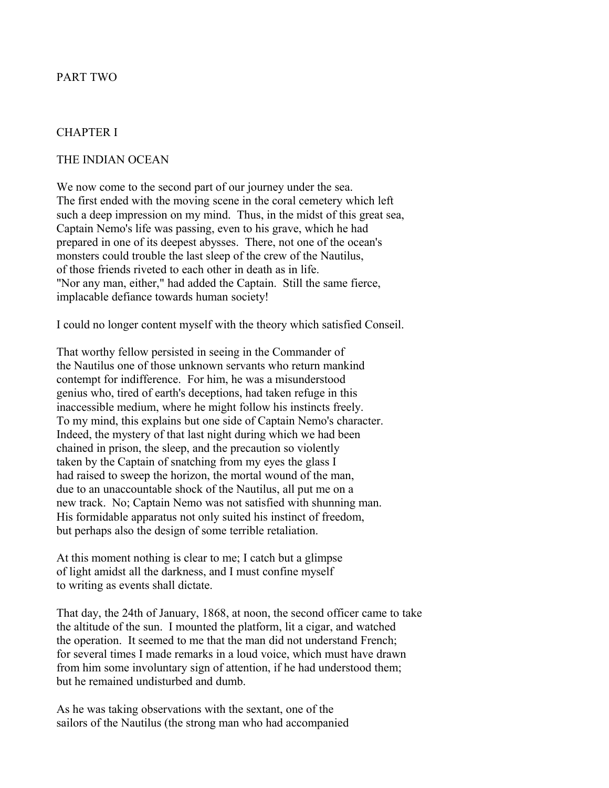# PART TWO

### CHAPTER I

#### THE INDIAN OCEAN

We now come to the second part of our journey under the sea. The first ended with the moving scene in the coral cemetery which left such a deep impression on my mind. Thus, in the midst of this great sea, Captain Nemo's life was passing, even to his grave, which he had prepared in one of its deepest abysses. There, not one of the ocean's monsters could trouble the last sleep of the crew of the Nautilus, of those friends riveted to each other in death as in life. "Nor any man, either," had added the Captain. Still the same fierce, implacable defiance towards human society!

I could no longer content myself with the theory which satisfied Conseil.

That worthy fellow persisted in seeing in the Commander of the Nautilus one of those unknown servants who return mankind contempt for indifference. For him, he was a misunderstood genius who, tired of earth's deceptions, had taken refuge in this inaccessible medium, where he might follow his instincts freely. To my mind, this explains but one side of Captain Nemo's character. Indeed, the mystery of that last night during which we had been chained in prison, the sleep, and the precaution so violently taken by the Captain of snatching from my eyes the glass I had raised to sweep the horizon, the mortal wound of the man, due to an unaccountable shock of the Nautilus, all put me on a new track. No; Captain Nemo was not satisfied with shunning man. His formidable apparatus not only suited his instinct of freedom, but perhaps also the design of some terrible retaliation.

At this moment nothing is clear to me; I catch but a glimpse of light amidst all the darkness, and I must confine myself to writing as events shall dictate.

That day, the 24th of January, 1868, at noon, the second officer came to take the altitude of the sun. I mounted the platform, lit a cigar, and watched the operation. It seemed to me that the man did not understand French; for several times I made remarks in a loud voice, which must have drawn from him some involuntary sign of attention, if he had understood them; but he remained undisturbed and dumb.

As he was taking observations with the sextant, one of the sailors of the Nautilus (the strong man who had accompanied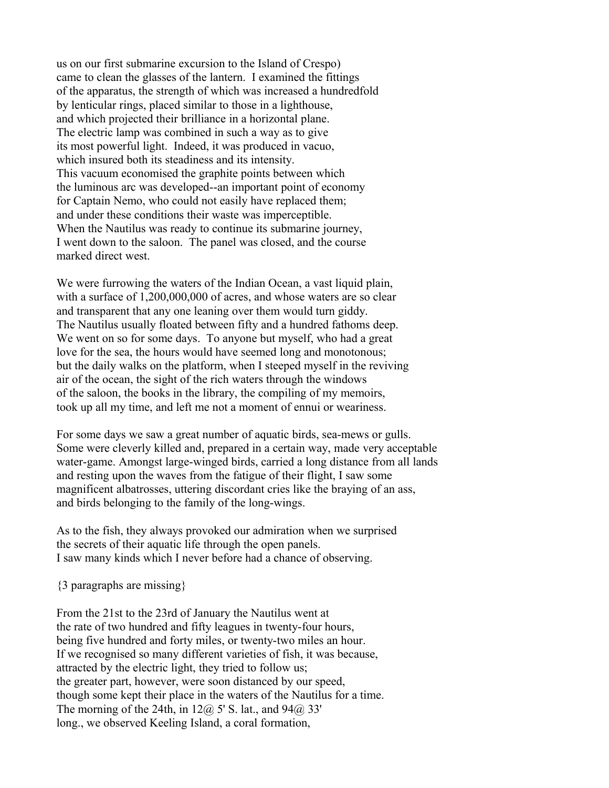us on our first submarine excursion to the Island of Crespo) came to clean the glasses of the lantern. I examined the fittings of the apparatus, the strength of which was increased a hundredfold by lenticular rings, placed similar to those in a lighthouse, and which projected their brilliance in a horizontal plane. The electric lamp was combined in such a way as to give its most powerful light. Indeed, it was produced in vacuo, which insured both its steadiness and its intensity. This vacuum economised the graphite points between which the luminous arc was developed--an important point of economy for Captain Nemo, who could not easily have replaced them; and under these conditions their waste was imperceptible. When the Nautilus was ready to continue its submarine journey, I went down to the saloon. The panel was closed, and the course marked direct west.

We were furrowing the waters of the Indian Ocean, a vast liquid plain, with a surface of 1,200,000,000 of acres, and whose waters are so clear and transparent that any one leaning over them would turn giddy. The Nautilus usually floated between fifty and a hundred fathoms deep. We went on so for some days. To anyone but myself, who had a great love for the sea, the hours would have seemed long and monotonous; but the daily walks on the platform, when I steeped myself in the reviving air of the ocean, the sight of the rich waters through the windows of the saloon, the books in the library, the compiling of my memoirs, took up all my time, and left me not a moment of ennui or weariness.

For some days we saw a great number of aquatic birds, sea-mews or gulls. Some were cleverly killed and, prepared in a certain way, made very acceptable water-game. Amongst large-winged birds, carried a long distance from all lands and resting upon the waves from the fatigue of their flight, I saw some magnificent albatrosses, uttering discordant cries like the braying of an ass, and birds belonging to the family of the long-wings.

As to the fish, they always provoked our admiration when we surprised the secrets of their aquatic life through the open panels. I saw many kinds which I never before had a chance of observing.

{3 paragraphs are missing}

From the 21st to the 23rd of January the Nautilus went at the rate of two hundred and fifty leagues in twenty-four hours, being five hundred and forty miles, or twenty-two miles an hour. If we recognised so many different varieties of fish, it was because, attracted by the electric light, they tried to follow us; the greater part, however, were soon distanced by our speed, though some kept their place in the waters of the Nautilus for a time. The morning of the 24th, in  $12\omega$  5' S. lat., and  $94\omega$  33' long., we observed Keeling Island, a coral formation,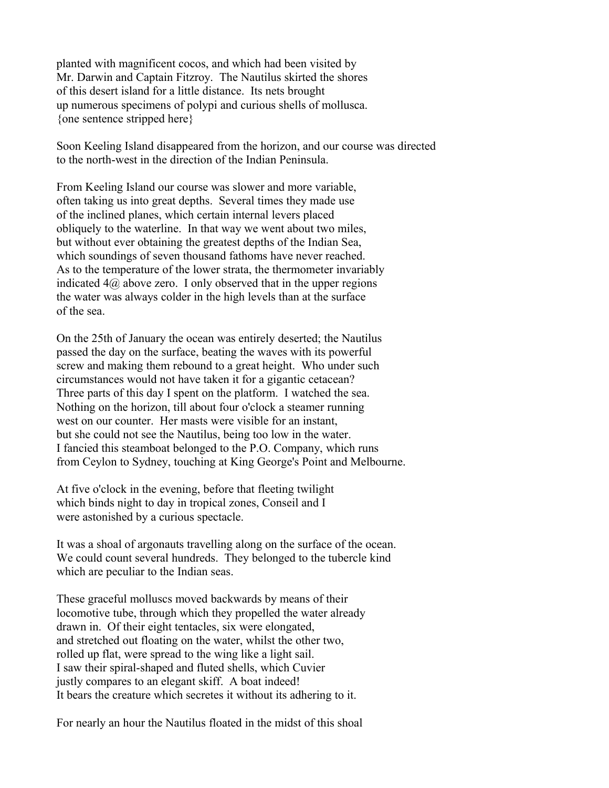planted with magnificent cocos, and which had been visited by Mr. Darwin and Captain Fitzroy. The Nautilus skirted the shores of this desert island for a little distance. Its nets brought up numerous specimens of polypi and curious shells of mollusca. {one sentence stripped here}

Soon Keeling Island disappeared from the horizon, and our course was directed to the north-west in the direction of the Indian Peninsula.

From Keeling Island our course was slower and more variable, often taking us into great depths. Several times they made use of the inclined planes, which certain internal levers placed obliquely to the waterline. In that way we went about two miles, but without ever obtaining the greatest depths of the Indian Sea, which soundings of seven thousand fathoms have never reached. As to the temperature of the lower strata, the thermometer invariably indicated  $4\omega$  above zero. I only observed that in the upper regions the water was always colder in the high levels than at the surface of the sea.

On the 25th of January the ocean was entirely deserted; the Nautilus passed the day on the surface, beating the waves with its powerful screw and making them rebound to a great height. Who under such circumstances would not have taken it for a gigantic cetacean? Three parts of this day I spent on the platform. I watched the sea. Nothing on the horizon, till about four o'clock a steamer running west on our counter. Her masts were visible for an instant, but she could not see the Nautilus, being too low in the water. I fancied this steamboat belonged to the P.O. Company, which runs from Ceylon to Sydney, touching at King George's Point and Melbourne.

At five o'clock in the evening, before that fleeting twilight which binds night to day in tropical zones, Conseil and I were astonished by a curious spectacle.

It was a shoal of argonauts travelling along on the surface of the ocean. We could count several hundreds. They belonged to the tubercle kind which are peculiar to the Indian seas.

These graceful molluscs moved backwards by means of their locomotive tube, through which they propelled the water already drawn in. Of their eight tentacles, six were elongated, and stretched out floating on the water, whilst the other two, rolled up flat, were spread to the wing like a light sail. I saw their spiral-shaped and fluted shells, which Cuvier justly compares to an elegant skiff. A boat indeed! It bears the creature which secretes it without its adhering to it.

For nearly an hour the Nautilus floated in the midst of this shoal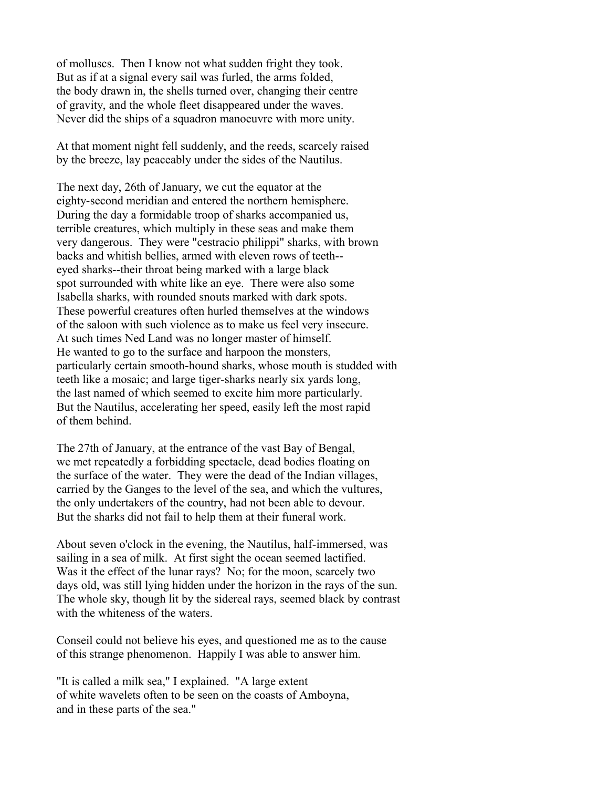of molluscs. Then I know not what sudden fright they took. But as if at a signal every sail was furled, the arms folded, the body drawn in, the shells turned over, changing their centre of gravity, and the whole fleet disappeared under the waves. Never did the ships of a squadron manoeuvre with more unity.

At that moment night fell suddenly, and the reeds, scarcely raised by the breeze, lay peaceably under the sides of the Nautilus.

The next day, 26th of January, we cut the equator at the eighty-second meridian and entered the northern hemisphere. During the day a formidable troop of sharks accompanied us, terrible creatures, which multiply in these seas and make them very dangerous. They were "cestracio philippi" sharks, with brown backs and whitish bellies, armed with eleven rows of teeth- eyed sharks--their throat being marked with a large black spot surrounded with white like an eye. There were also some Isabella sharks, with rounded snouts marked with dark spots. These powerful creatures often hurled themselves at the windows of the saloon with such violence as to make us feel very insecure. At such times Ned Land was no longer master of himself. He wanted to go to the surface and harpoon the monsters, particularly certain smooth-hound sharks, whose mouth is studded with teeth like a mosaic; and large tiger-sharks nearly six yards long, the last named of which seemed to excite him more particularly. But the Nautilus, accelerating her speed, easily left the most rapid of them behind.

The 27th of January, at the entrance of the vast Bay of Bengal, we met repeatedly a forbidding spectacle, dead bodies floating on the surface of the water. They were the dead of the Indian villages, carried by the Ganges to the level of the sea, and which the vultures, the only undertakers of the country, had not been able to devour. But the sharks did not fail to help them at their funeral work.

About seven o'clock in the evening, the Nautilus, half-immersed, was sailing in a sea of milk. At first sight the ocean seemed lactified. Was it the effect of the lunar rays? No; for the moon, scarcely two days old, was still lying hidden under the horizon in the rays of the sun. The whole sky, though lit by the sidereal rays, seemed black by contrast with the whiteness of the waters.

Conseil could not believe his eyes, and questioned me as to the cause of this strange phenomenon. Happily I was able to answer him.

"It is called a milk sea," I explained. "A large extent of white wavelets often to be seen on the coasts of Amboyna, and in these parts of the sea."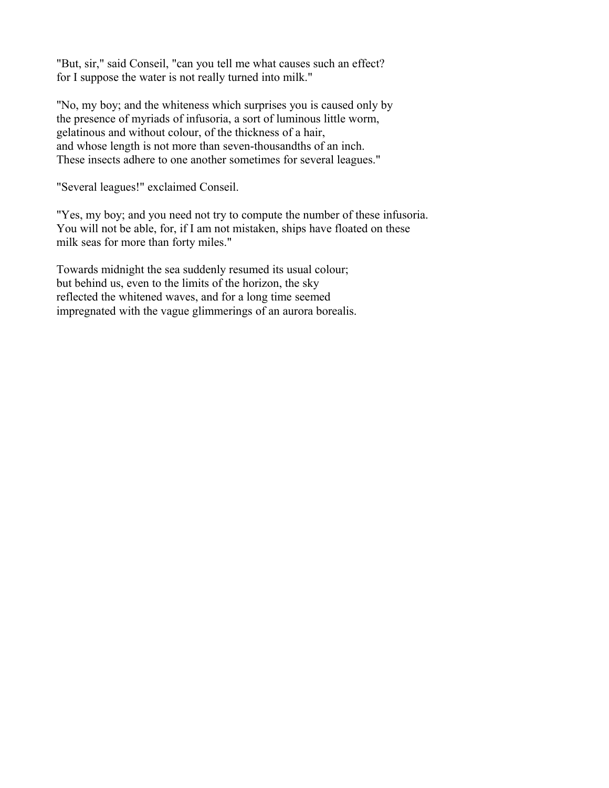"But, sir," said Conseil, "can you tell me what causes such an effect? for I suppose the water is not really turned into milk."

"No, my boy; and the whiteness which surprises you is caused only by the presence of myriads of infusoria, a sort of luminous little worm, gelatinous and without colour, of the thickness of a hair, and whose length is not more than seven-thousandths of an inch. These insects adhere to one another sometimes for several leagues."

"Several leagues!" exclaimed Conseil.

"Yes, my boy; and you need not try to compute the number of these infusoria. You will not be able, for, if I am not mistaken, ships have floated on these milk seas for more than forty miles."

Towards midnight the sea suddenly resumed its usual colour; but behind us, even to the limits of the horizon, the sky reflected the whitened waves, and for a long time seemed impregnated with the vague glimmerings of an aurora borealis.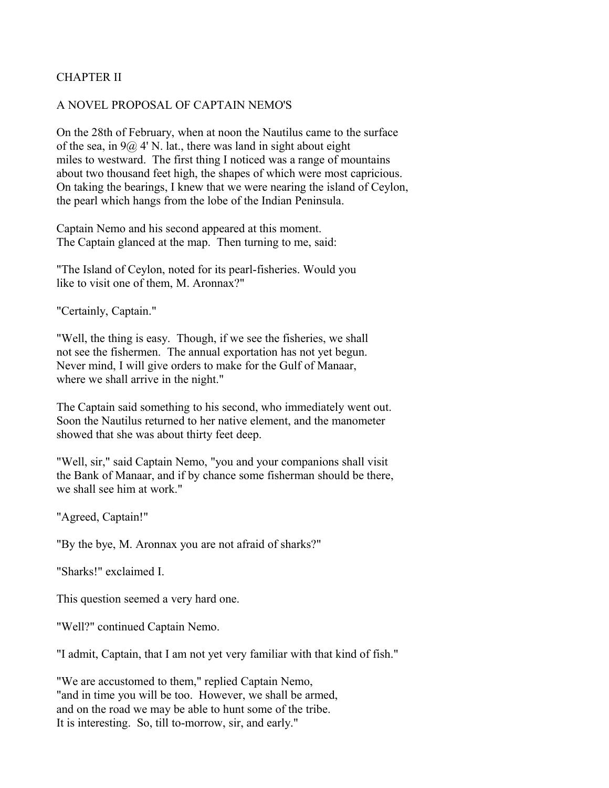# CHAPTER II

### A NOVEL PROPOSAL OF CAPTAIN NEMO'S

On the 28th of February, when at noon the Nautilus came to the surface of the sea, in  $9\omega$  4' N. lat., there was land in sight about eight miles to westward. The first thing I noticed was a range of mountains about two thousand feet high, the shapes of which were most capricious. On taking the bearings, I knew that we were nearing the island of Ceylon, the pearl which hangs from the lobe of the Indian Peninsula.

Captain Nemo and his second appeared at this moment. The Captain glanced at the map. Then turning to me, said:

"The Island of Ceylon, noted for its pearl-fisheries. Would you like to visit one of them, M. Aronnax?"

"Certainly, Captain."

"Well, the thing is easy. Though, if we see the fisheries, we shall not see the fishermen. The annual exportation has not yet begun. Never mind, I will give orders to make for the Gulf of Manaar, where we shall arrive in the night."

The Captain said something to his second, who immediately went out. Soon the Nautilus returned to her native element, and the manometer showed that she was about thirty feet deep.

"Well, sir," said Captain Nemo, "you and your companions shall visit the Bank of Manaar, and if by chance some fisherman should be there, we shall see him at work."

"Agreed, Captain!"

"By the bye, M. Aronnax you are not afraid of sharks?"

"Sharks!" exclaimed I.

This question seemed a very hard one.

"Well?" continued Captain Nemo.

"I admit, Captain, that I am not yet very familiar with that kind of fish."

"We are accustomed to them," replied Captain Nemo, "and in time you will be too. However, we shall be armed, and on the road we may be able to hunt some of the tribe. It is interesting. So, till to-morrow, sir, and early."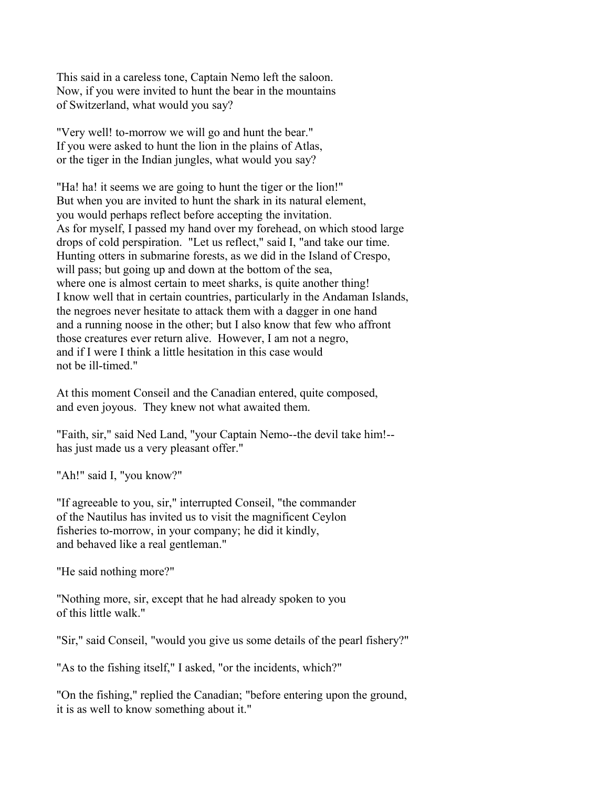This said in a careless tone, Captain Nemo left the saloon. Now, if you were invited to hunt the bear in the mountains of Switzerland, what would you say?

"Very well! to-morrow we will go and hunt the bear." If you were asked to hunt the lion in the plains of Atlas, or the tiger in the Indian jungles, what would you say?

"Ha! ha! it seems we are going to hunt the tiger or the lion!" But when you are invited to hunt the shark in its natural element, you would perhaps reflect before accepting the invitation. As for myself, I passed my hand over my forehead, on which stood large drops of cold perspiration. "Let us reflect," said I, "and take our time. Hunting otters in submarine forests, as we did in the Island of Crespo, will pass; but going up and down at the bottom of the sea. where one is almost certain to meet sharks, is quite another thing! I know well that in certain countries, particularly in the Andaman Islands, the negroes never hesitate to attack them with a dagger in one hand and a running noose in the other; but I also know that few who affront those creatures ever return alive. However, I am not a negro, and if I were I think a little hesitation in this case would not be ill-timed."

At this moment Conseil and the Canadian entered, quite composed, and even joyous. They knew not what awaited them.

"Faith, sir," said Ned Land, "your Captain Nemo--the devil take him!- has just made us a very pleasant offer."

"Ah!" said I, "you know?"

"If agreeable to you, sir," interrupted Conseil, "the commander of the Nautilus has invited us to visit the magnificent Ceylon fisheries to-morrow, in your company; he did it kindly, and behaved like a real gentleman."

"He said nothing more?"

"Nothing more, sir, except that he had already spoken to you of this little walk."

"Sir," said Conseil, "would you give us some details of the pearl fishery?"

"As to the fishing itself," I asked, "or the incidents, which?"

"On the fishing," replied the Canadian; "before entering upon the ground, it is as well to know something about it."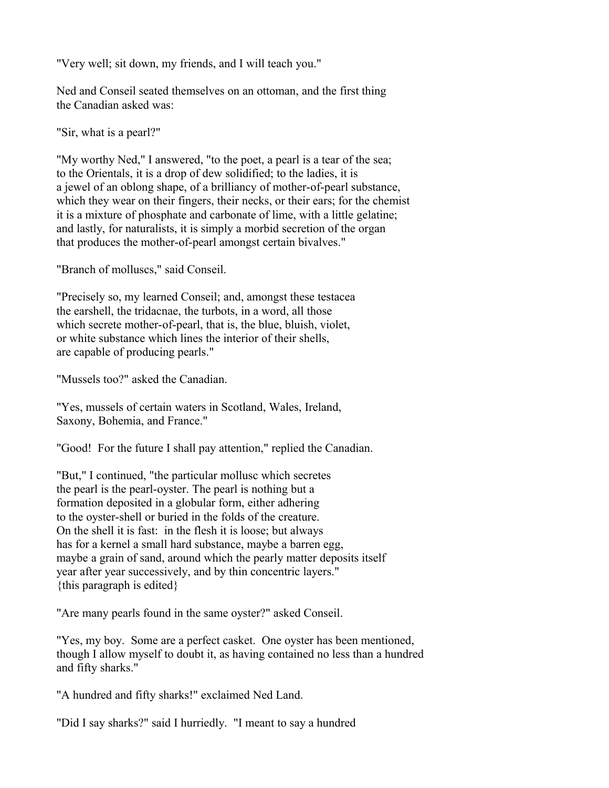"Very well; sit down, my friends, and I will teach you."

Ned and Conseil seated themselves on an ottoman, and the first thing the Canadian asked was:

"Sir, what is a pearl?"

"My worthy Ned," I answered, "to the poet, a pearl is a tear of the sea; to the Orientals, it is a drop of dew solidified; to the ladies, it is a jewel of an oblong shape, of a brilliancy of mother-of-pearl substance, which they wear on their fingers, their necks, or their ears; for the chemist it is a mixture of phosphate and carbonate of lime, with a little gelatine; and lastly, for naturalists, it is simply a morbid secretion of the organ that produces the mother-of-pearl amongst certain bivalves."

"Branch of molluscs," said Conseil.

"Precisely so, my learned Conseil; and, amongst these testacea the earshell, the tridacnae, the turbots, in a word, all those which secrete mother-of-pearl, that is, the blue, bluish, violet, or white substance which lines the interior of their shells, are capable of producing pearls."

"Mussels too?" asked the Canadian.

"Yes, mussels of certain waters in Scotland, Wales, Ireland, Saxony, Bohemia, and France."

"Good! For the future I shall pay attention," replied the Canadian.

"But," I continued, "the particular mollusc which secretes the pearl is the pearl-oyster. The pearl is nothing but a formation deposited in a globular form, either adhering to the oyster-shell or buried in the folds of the creature. On the shell it is fast: in the flesh it is loose; but always has for a kernel a small hard substance, maybe a barren egg, maybe a grain of sand, around which the pearly matter deposits itself year after year successively, and by thin concentric layers." {this paragraph is edited}

"Are many pearls found in the same oyster?" asked Conseil.

"Yes, my boy. Some are a perfect casket. One oyster has been mentioned, though I allow myself to doubt it, as having contained no less than a hundred and fifty sharks."

"A hundred and fifty sharks!" exclaimed Ned Land.

"Did I say sharks?" said I hurriedly. "I meant to say a hundred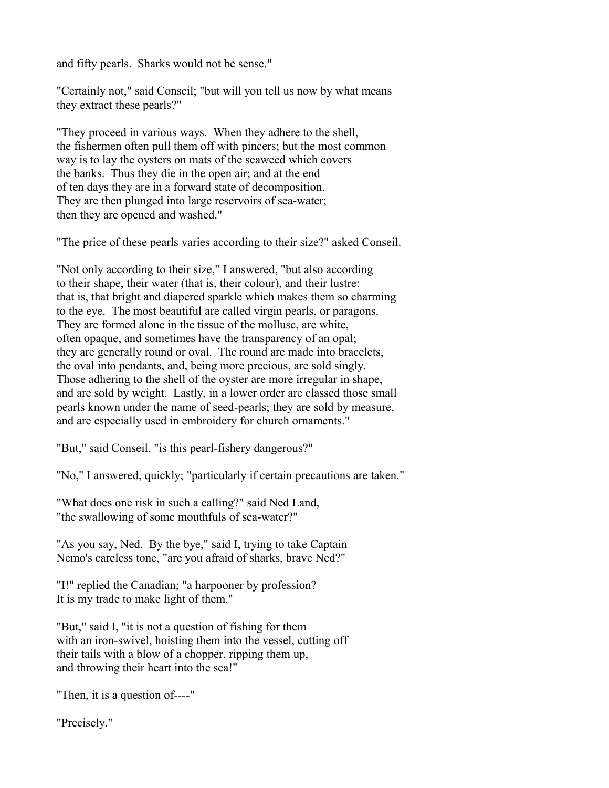and fifty pearls. Sharks would not be sense."

"Certainly not," said Conseil; "but will you tell us now by what means they extract these pearls?"

"They proceed in various ways. When they adhere to the shell, the fishermen often pull them off with pincers; but the most common way is to lay the oysters on mats of the seaweed which covers the banks. Thus they die in the open air; and at the end of ten days they are in a forward state of decomposition. They are then plunged into large reservoirs of sea-water; then they are opened and washed."

"The price of these pearls varies according to their size?" asked Conseil.

"Not only according to their size," I answered, "but also according to their shape, their water (that is, their colour), and their lustre: that is, that bright and diapered sparkle which makes them so charming to the eye. The most beautiful are called virgin pearls, or paragons. They are formed alone in the tissue of the mollusc, are white, often opaque, and sometimes have the transparency of an opal; they are generally round or oval. The round are made into bracelets, the oval into pendants, and, being more precious, are sold singly. Those adhering to the shell of the oyster are more irregular in shape, and are sold by weight. Lastly, in a lower order are classed those small pearls known under the name of seed-pearls; they are sold by measure, and are especially used in embroidery for church ornaments."

"But," said Conseil, "is this pearl-fishery dangerous?"

"No," I answered, quickly; "particularly if certain precautions are taken."

"What does one risk in such a calling?" said Ned Land, "the swallowing of some mouthfuls of sea-water?"

"As you say, Ned. By the bye," said I, trying to take Captain Nemo's careless tone, "are you afraid of sharks, brave Ned?"

"I!" replied the Canadian; "a harpooner by profession? It is my trade to make light of them."

"But," said I, "it is not a question of fishing for them with an iron-swivel, hoisting them into the vessel, cutting off their tails with a blow of a chopper, ripping them up, and throwing their heart into the sea!"

"Then, it is a question of----"

"Precisely."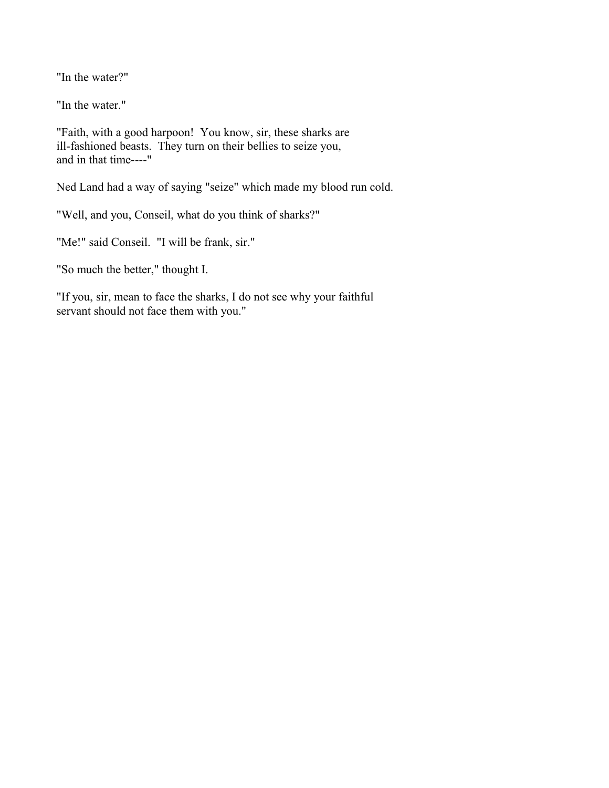"In the water?"

"In the water."

"Faith, with a good harpoon! You know, sir, these sharks are ill-fashioned beasts. They turn on their bellies to seize you, and in that time----"

Ned Land had a way of saying "seize" which made my blood run cold.

"Well, and you, Conseil, what do you think of sharks?"

"Me!" said Conseil. "I will be frank, sir."

"So much the better," thought I.

"If you, sir, mean to face the sharks, I do not see why your faithful servant should not face them with you."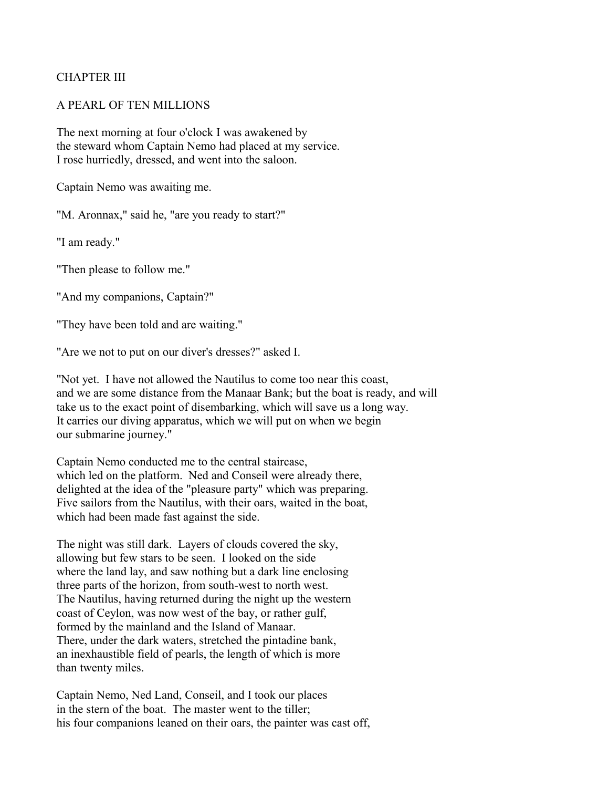## CHAPTER III

#### A PEARL OF TEN MILLIONS

The next morning at four o'clock I was awakened by the steward whom Captain Nemo had placed at my service. I rose hurriedly, dressed, and went into the saloon.

Captain Nemo was awaiting me.

"M. Aronnax," said he, "are you ready to start?"

"I am ready."

"Then please to follow me."

"And my companions, Captain?"

"They have been told and are waiting."

"Are we not to put on our diver's dresses?" asked I.

"Not yet. I have not allowed the Nautilus to come too near this coast, and we are some distance from the Manaar Bank; but the boat is ready, and will take us to the exact point of disembarking, which will save us a long way. It carries our diving apparatus, which we will put on when we begin our submarine journey."

Captain Nemo conducted me to the central staircase, which led on the platform. Ned and Conseil were already there, delighted at the idea of the "pleasure party" which was preparing. Five sailors from the Nautilus, with their oars, waited in the boat, which had been made fast against the side.

The night was still dark. Layers of clouds covered the sky, allowing but few stars to be seen. I looked on the side where the land lay, and saw nothing but a dark line enclosing three parts of the horizon, from south-west to north west. The Nautilus, having returned during the night up the western coast of Ceylon, was now west of the bay, or rather gulf, formed by the mainland and the Island of Manaar. There, under the dark waters, stretched the pintadine bank, an inexhaustible field of pearls, the length of which is more than twenty miles.

Captain Nemo, Ned Land, Conseil, and I took our places in the stern of the boat. The master went to the tiller; his four companions leaned on their oars, the painter was cast off,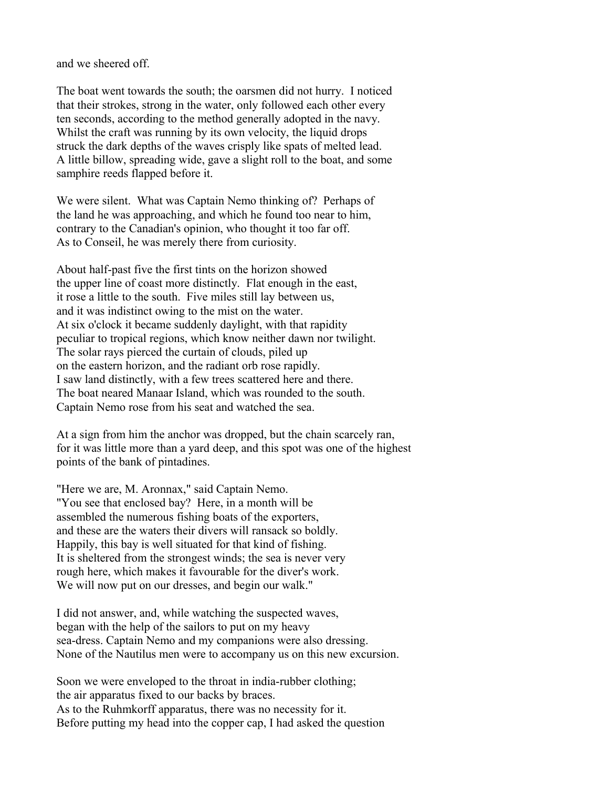and we sheered off.

The boat went towards the south; the oarsmen did not hurry. I noticed that their strokes, strong in the water, only followed each other every ten seconds, according to the method generally adopted in the navy. Whilst the craft was running by its own velocity, the liquid drops struck the dark depths of the waves crisply like spats of melted lead. A little billow, spreading wide, gave a slight roll to the boat, and some samphire reeds flapped before it.

We were silent. What was Captain Nemo thinking of? Perhaps of the land he was approaching, and which he found too near to him, contrary to the Canadian's opinion, who thought it too far off. As to Conseil, he was merely there from curiosity.

About half-past five the first tints on the horizon showed the upper line of coast more distinctly. Flat enough in the east, it rose a little to the south. Five miles still lay between us, and it was indistinct owing to the mist on the water. At six o'clock it became suddenly daylight, with that rapidity peculiar to tropical regions, which know neither dawn nor twilight. The solar rays pierced the curtain of clouds, piled up on the eastern horizon, and the radiant orb rose rapidly. I saw land distinctly, with a few trees scattered here and there. The boat neared Manaar Island, which was rounded to the south. Captain Nemo rose from his seat and watched the sea.

At a sign from him the anchor was dropped, but the chain scarcely ran, for it was little more than a yard deep, and this spot was one of the highest points of the bank of pintadines.

"Here we are, M. Aronnax," said Captain Nemo. "You see that enclosed bay? Here, in a month will be assembled the numerous fishing boats of the exporters, and these are the waters their divers will ransack so boldly. Happily, this bay is well situated for that kind of fishing. It is sheltered from the strongest winds; the sea is never very rough here, which makes it favourable for the diver's work. We will now put on our dresses, and begin our walk."

I did not answer, and, while watching the suspected waves, began with the help of the sailors to put on my heavy sea-dress. Captain Nemo and my companions were also dressing. None of the Nautilus men were to accompany us on this new excursion.

Soon we were enveloped to the throat in india-rubber clothing; the air apparatus fixed to our backs by braces. As to the Ruhmkorff apparatus, there was no necessity for it. Before putting my head into the copper cap, I had asked the question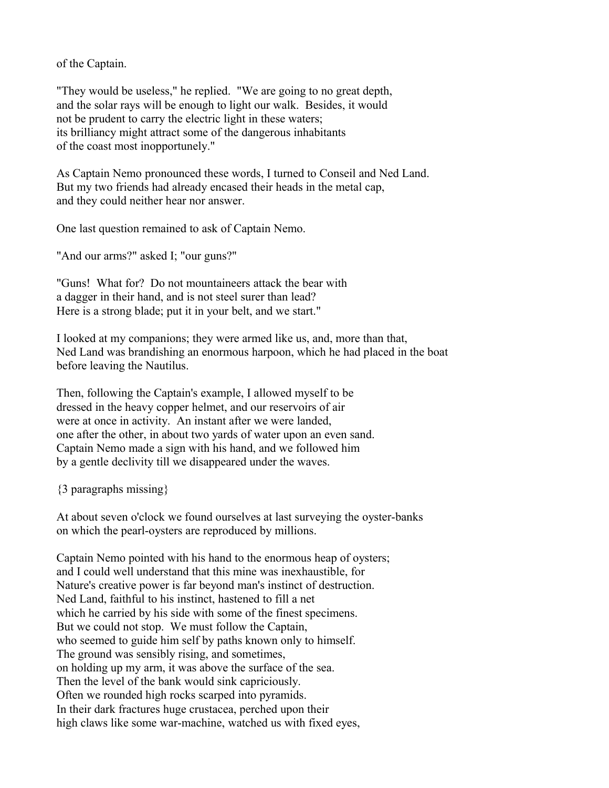of the Captain.

"They would be useless," he replied. "We are going to no great depth, and the solar rays will be enough to light our walk. Besides, it would not be prudent to carry the electric light in these waters; its brilliancy might attract some of the dangerous inhabitants of the coast most inopportunely."

As Captain Nemo pronounced these words, I turned to Conseil and Ned Land. But my two friends had already encased their heads in the metal cap, and they could neither hear nor answer.

One last question remained to ask of Captain Nemo.

"And our arms?" asked I; "our guns?"

"Guns! What for? Do not mountaineers attack the bear with a dagger in their hand, and is not steel surer than lead? Here is a strong blade; put it in your belt, and we start."

I looked at my companions; they were armed like us, and, more than that, Ned Land was brandishing an enormous harpoon, which he had placed in the boat before leaving the Nautilus.

Then, following the Captain's example, I allowed myself to be dressed in the heavy copper helmet, and our reservoirs of air were at once in activity. An instant after we were landed, one after the other, in about two yards of water upon an even sand. Captain Nemo made a sign with his hand, and we followed him by a gentle declivity till we disappeared under the waves.

{3 paragraphs missing}

At about seven o'clock we found ourselves at last surveying the oyster-banks on which the pearl-oysters are reproduced by millions.

Captain Nemo pointed with his hand to the enormous heap of oysters; and I could well understand that this mine was inexhaustible, for Nature's creative power is far beyond man's instinct of destruction. Ned Land, faithful to his instinct, hastened to fill a net which he carried by his side with some of the finest specimens. But we could not stop. We must follow the Captain, who seemed to guide him self by paths known only to himself. The ground was sensibly rising, and sometimes, on holding up my arm, it was above the surface of the sea. Then the level of the bank would sink capriciously. Often we rounded high rocks scarped into pyramids. In their dark fractures huge crustacea, perched upon their high claws like some war-machine, watched us with fixed eyes,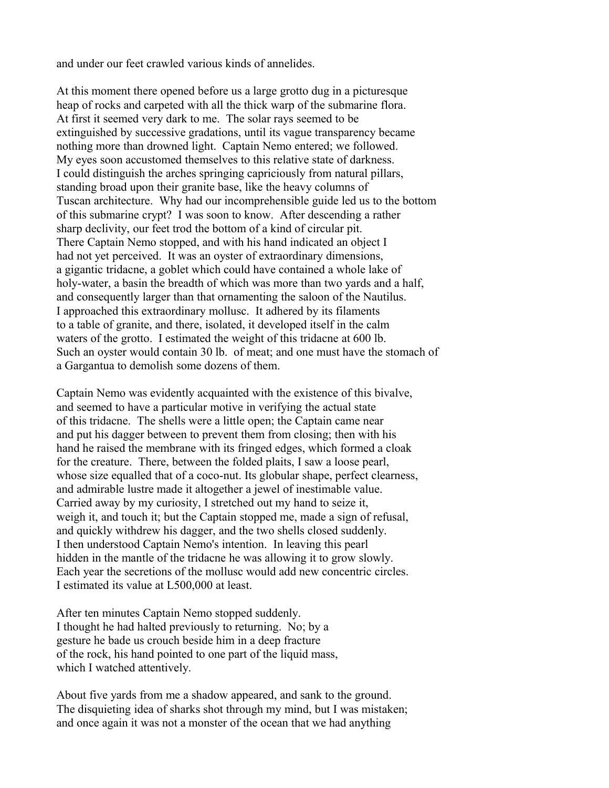and under our feet crawled various kinds of annelides.

At this moment there opened before us a large grotto dug in a picturesque heap of rocks and carpeted with all the thick warp of the submarine flora. At first it seemed very dark to me. The solar rays seemed to be extinguished by successive gradations, until its vague transparency became nothing more than drowned light. Captain Nemo entered; we followed. My eyes soon accustomed themselves to this relative state of darkness. I could distinguish the arches springing capriciously from natural pillars, standing broad upon their granite base, like the heavy columns of Tuscan architecture. Why had our incomprehensible guide led us to the bottom of this submarine crypt? I was soon to know. After descending a rather sharp declivity, our feet trod the bottom of a kind of circular pit. There Captain Nemo stopped, and with his hand indicated an object I had not yet perceived. It was an oyster of extraordinary dimensions, a gigantic tridacne, a goblet which could have contained a whole lake of holy-water, a basin the breadth of which was more than two yards and a half, and consequently larger than that ornamenting the saloon of the Nautilus. I approached this extraordinary mollusc. It adhered by its filaments to a table of granite, and there, isolated, it developed itself in the calm waters of the grotto. I estimated the weight of this tridacne at 600 lb. Such an oyster would contain 30 lb. of meat; and one must have the stomach of a Gargantua to demolish some dozens of them.

Captain Nemo was evidently acquainted with the existence of this bivalve, and seemed to have a particular motive in verifying the actual state of this tridacne. The shells were a little open; the Captain came near and put his dagger between to prevent them from closing; then with his hand he raised the membrane with its fringed edges, which formed a cloak for the creature. There, between the folded plaits, I saw a loose pearl, whose size equalled that of a coco-nut. Its globular shape, perfect clearness, and admirable lustre made it altogether a jewel of inestimable value. Carried away by my curiosity, I stretched out my hand to seize it, weigh it, and touch it; but the Captain stopped me, made a sign of refusal, and quickly withdrew his dagger, and the two shells closed suddenly. I then understood Captain Nemo's intention. In leaving this pearl hidden in the mantle of the tridacne he was allowing it to grow slowly. Each year the secretions of the mollusc would add new concentric circles. I estimated its value at L500,000 at least.

After ten minutes Captain Nemo stopped suddenly. I thought he had halted previously to returning. No; by a gesture he bade us crouch beside him in a deep fracture of the rock, his hand pointed to one part of the liquid mass, which I watched attentively.

About five yards from me a shadow appeared, and sank to the ground. The disquieting idea of sharks shot through my mind, but I was mistaken; and once again it was not a monster of the ocean that we had anything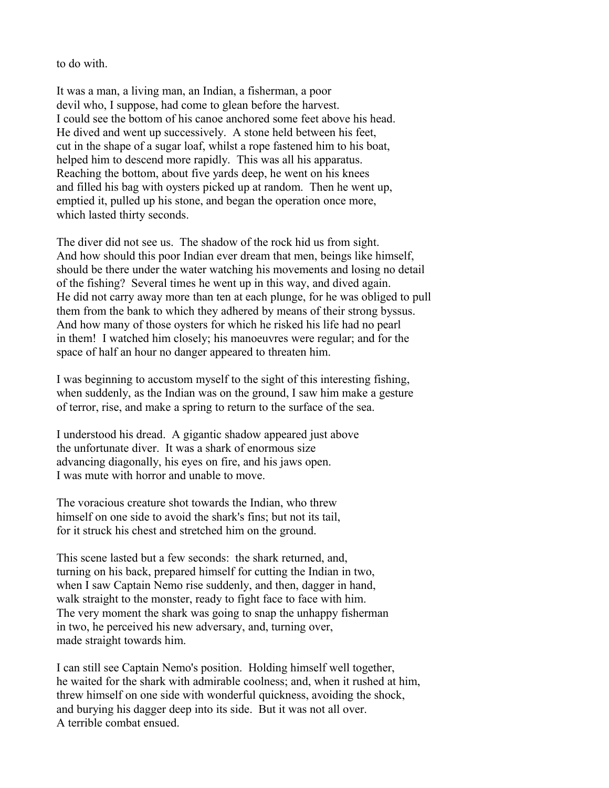to do with.

It was a man, a living man, an Indian, a fisherman, a poor devil who, I suppose, had come to glean before the harvest. I could see the bottom of his canoe anchored some feet above his head. He dived and went up successively. A stone held between his feet, cut in the shape of a sugar loaf, whilst a rope fastened him to his boat, helped him to descend more rapidly. This was all his apparatus. Reaching the bottom, about five yards deep, he went on his knees and filled his bag with oysters picked up at random. Then he went up, emptied it, pulled up his stone, and began the operation once more, which lasted thirty seconds.

The diver did not see us. The shadow of the rock hid us from sight. And how should this poor Indian ever dream that men, beings like himself, should be there under the water watching his movements and losing no detail of the fishing? Several times he went up in this way, and dived again. He did not carry away more than ten at each plunge, for he was obliged to pull them from the bank to which they adhered by means of their strong byssus. And how many of those oysters for which he risked his life had no pearl in them! I watched him closely; his manoeuvres were regular; and for the space of half an hour no danger appeared to threaten him.

I was beginning to accustom myself to the sight of this interesting fishing, when suddenly, as the Indian was on the ground, I saw him make a gesture of terror, rise, and make a spring to return to the surface of the sea.

I understood his dread. A gigantic shadow appeared just above the unfortunate diver. It was a shark of enormous size advancing diagonally, his eyes on fire, and his jaws open. I was mute with horror and unable to move.

The voracious creature shot towards the Indian, who threw himself on one side to avoid the shark's fins; but not its tail, for it struck his chest and stretched him on the ground.

This scene lasted but a few seconds: the shark returned, and, turning on his back, prepared himself for cutting the Indian in two, when I saw Captain Nemo rise suddenly, and then, dagger in hand, walk straight to the monster, ready to fight face to face with him. The very moment the shark was going to snap the unhappy fisherman in two, he perceived his new adversary, and, turning over, made straight towards him.

I can still see Captain Nemo's position. Holding himself well together, he waited for the shark with admirable coolness; and, when it rushed at him, threw himself on one side with wonderful quickness, avoiding the shock, and burying his dagger deep into its side. But it was not all over. A terrible combat ensued.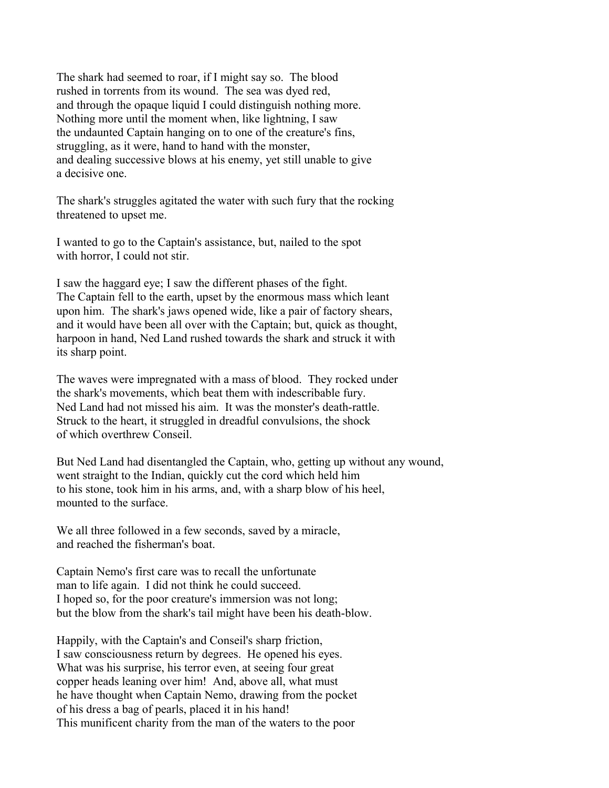The shark had seemed to roar, if I might say so. The blood rushed in torrents from its wound. The sea was dyed red, and through the opaque liquid I could distinguish nothing more. Nothing more until the moment when, like lightning, I saw the undaunted Captain hanging on to one of the creature's fins, struggling, as it were, hand to hand with the monster, and dealing successive blows at his enemy, yet still unable to give a decisive one.

The shark's struggles agitated the water with such fury that the rocking threatened to upset me.

I wanted to go to the Captain's assistance, but, nailed to the spot with horror, I could not stir.

I saw the haggard eye; I saw the different phases of the fight. The Captain fell to the earth, upset by the enormous mass which leant upon him. The shark's jaws opened wide, like a pair of factory shears, and it would have been all over with the Captain; but, quick as thought, harpoon in hand, Ned Land rushed towards the shark and struck it with its sharp point.

The waves were impregnated with a mass of blood. They rocked under the shark's movements, which beat them with indescribable fury. Ned Land had not missed his aim. It was the monster's death-rattle. Struck to the heart, it struggled in dreadful convulsions, the shock of which overthrew Conseil.

But Ned Land had disentangled the Captain, who, getting up without any wound, went straight to the Indian, quickly cut the cord which held him to his stone, took him in his arms, and, with a sharp blow of his heel, mounted to the surface.

We all three followed in a few seconds, saved by a miracle, and reached the fisherman's boat.

Captain Nemo's first care was to recall the unfortunate man to life again. I did not think he could succeed. I hoped so, for the poor creature's immersion was not long; but the blow from the shark's tail might have been his death-blow.

Happily, with the Captain's and Conseil's sharp friction, I saw consciousness return by degrees. He opened his eyes. What was his surprise, his terror even, at seeing four great copper heads leaning over him! And, above all, what must he have thought when Captain Nemo, drawing from the pocket of his dress a bag of pearls, placed it in his hand! This munificent charity from the man of the waters to the poor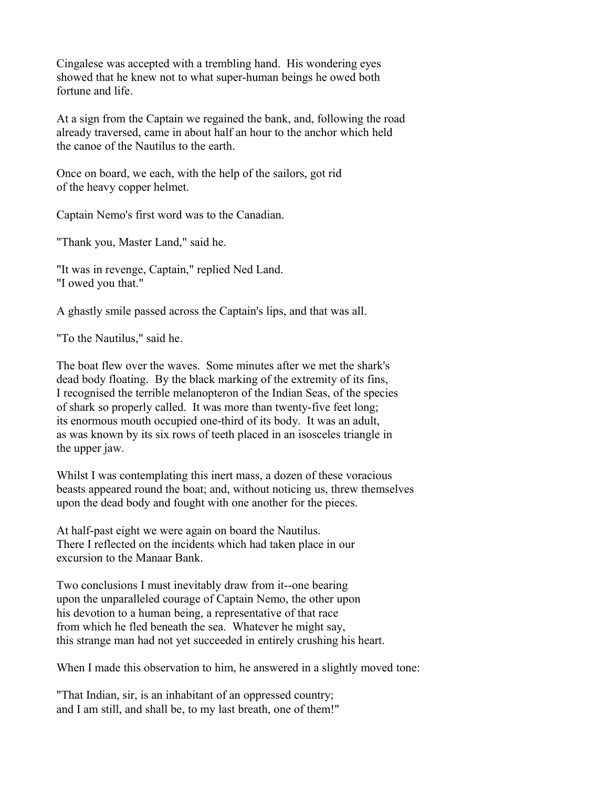Cingalese was accepted with a trembling hand. His wondering eyes showed that he knew not to what super-human beings he owed both fortune and life.

At a sign from the Captain we regained the bank, and, following the road already traversed, came in about half an hour to the anchor which held the canoe of the Nautilus to the earth.

Once on board, we each, with the help of the sailors, got rid of the heavy copper helmet.

Captain Nemo's first word was to the Canadian.

"Thank you, Master Land," said he.

"It was in revenge, Captain," replied Ned Land. "I owed you that."

A ghastly smile passed across the Captain's lips, and that was all.

"To the Nautilus," said he.

The boat flew over the waves. Some minutes after we met the shark's dead body floating. By the black marking of the extremity of its fins, I recognised the terrible melanopteron of the Indian Seas, of the species of shark so properly called. It was more than twenty-five feet long; its enormous mouth occupied one-third of its body. It was an adult, as was known by its six rows of teeth placed in an isosceles triangle in the upper jaw.

Whilst I was contemplating this inert mass, a dozen of these voracious beasts appeared round the boat; and, without noticing us, threw themselves upon the dead body and fought with one another for the pieces.

At half-past eight we were again on board the Nautilus. There I reflected on the incidents which had taken place in our excursion to the Manaar Bank.

Two conclusions I must inevitably draw from it--one bearing upon the unparalleled courage of Captain Nemo, the other upon his devotion to a human being, a representative of that race from which he fled beneath the sea. Whatever he might say, this strange man had not yet succeeded in entirely crushing his heart.

When I made this observation to him, he answered in a slightly moved tone:

"That Indian, sir, is an inhabitant of an oppressed country; and I am still, and shall be, to my last breath, one of them!"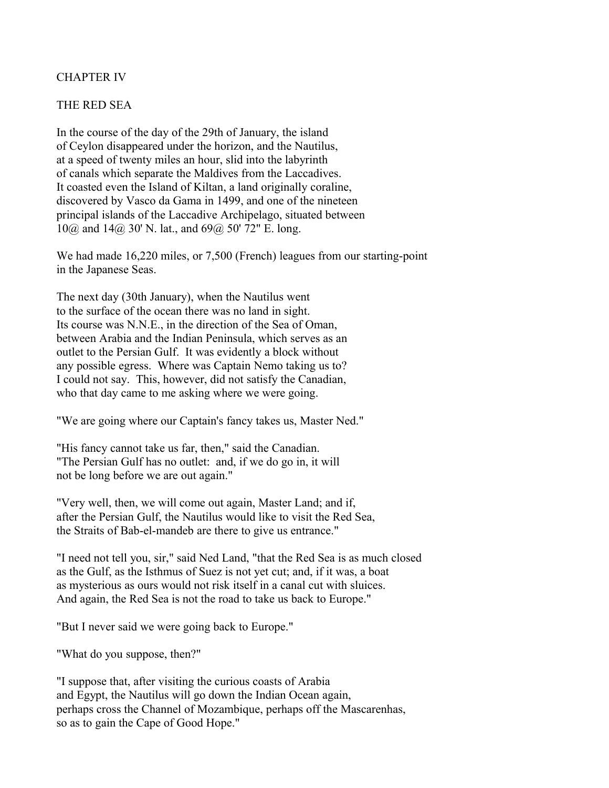## CHAPTER IV

#### THE RED SEA

In the course of the day of the 29th of January, the island of Ceylon disappeared under the horizon, and the Nautilus, at a speed of twenty miles an hour, slid into the labyrinth of canals which separate the Maldives from the Laccadives. It coasted even the Island of Kiltan, a land originally coraline, discovered by Vasco da Gama in 1499, and one of the nineteen principal islands of the Laccadive Archipelago, situated between 10@ and 14@ 30' N. lat., and 69@ 50' 72" E. long.

We had made 16,220 miles, or 7,500 (French) leagues from our starting-point in the Japanese Seas.

The next day (30th January), when the Nautilus went to the surface of the ocean there was no land in sight. Its course was N.N.E., in the direction of the Sea of Oman, between Arabia and the Indian Peninsula, which serves as an outlet to the Persian Gulf. It was evidently a block without any possible egress. Where was Captain Nemo taking us to? I could not say. This, however, did not satisfy the Canadian, who that day came to me asking where we were going.

"We are going where our Captain's fancy takes us, Master Ned."

"His fancy cannot take us far, then," said the Canadian. "The Persian Gulf has no outlet: and, if we do go in, it will not be long before we are out again."

"Very well, then, we will come out again, Master Land; and if, after the Persian Gulf, the Nautilus would like to visit the Red Sea, the Straits of Bab-el-mandeb are there to give us entrance."

"I need not tell you, sir," said Ned Land, "that the Red Sea is as much closed as the Gulf, as the Isthmus of Suez is not yet cut; and, if it was, a boat as mysterious as ours would not risk itself in a canal cut with sluices. And again, the Red Sea is not the road to take us back to Europe."

"But I never said we were going back to Europe."

"What do you suppose, then?"

"I suppose that, after visiting the curious coasts of Arabia and Egypt, the Nautilus will go down the Indian Ocean again, perhaps cross the Channel of Mozambique, perhaps off the Mascarenhas, so as to gain the Cape of Good Hope."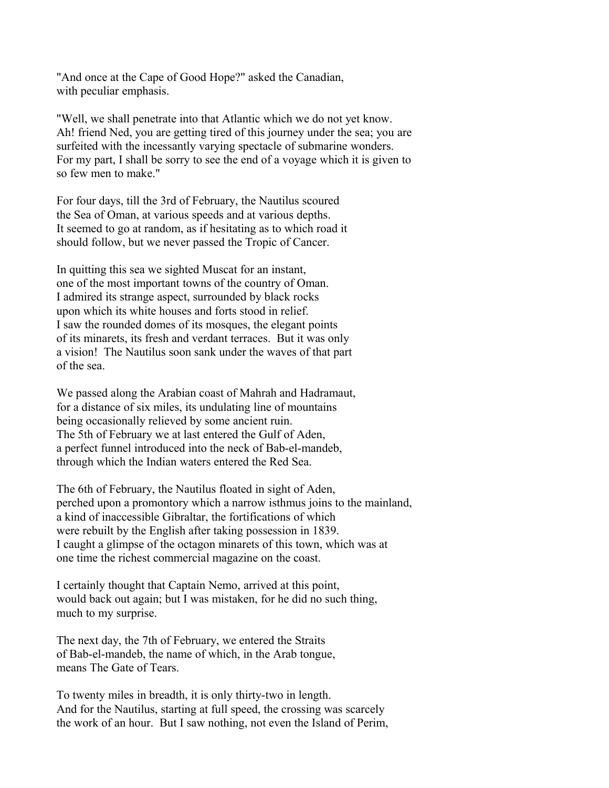"And once at the Cape of Good Hope?" asked the Canadian, with peculiar emphasis.

"Well, we shall penetrate into that Atlantic which we do not yet know. Ah! friend Ned, you are getting tired of this journey under the sea; you are surfeited with the incessantly varying spectacle of submarine wonders. For my part, I shall be sorry to see the end of a voyage which it is given to so few men to make."

For four days, till the 3rd of February, the Nautilus scoured the Sea of Oman, at various speeds and at various depths. It seemed to go at random, as if hesitating as to which road it should follow, but we never passed the Tropic of Cancer.

In quitting this sea we sighted Muscat for an instant, one of the most important towns of the country of Oman. I admired its strange aspect, surrounded by black rocks upon which its white houses and forts stood in relief. I saw the rounded domes of its mosques, the elegant points of its minarets, its fresh and verdant terraces. But it was only a vision! The Nautilus soon sank under the waves of that part of the sea.

We passed along the Arabian coast of Mahrah and Hadramaut, for a distance of six miles, its undulating line of mountains being occasionally relieved by some ancient ruin. The 5th of February we at last entered the Gulf of Aden, a perfect funnel introduced into the neck of Bab-el-mandeb, through which the Indian waters entered the Red Sea.

The 6th of February, the Nautilus floated in sight of Aden, perched upon a promontory which a narrow isthmus joins to the mainland, a kind of inaccessible Gibraltar, the fortifications of which were rebuilt by the English after taking possession in 1839. I caught a glimpse of the octagon minarets of this town, which was at one time the richest commercial magazine on the coast.

I certainly thought that Captain Nemo, arrived at this point, would back out again; but I was mistaken, for he did no such thing, much to my surprise.

The next day, the 7th of February, we entered the Straits of Bab-el-mandeb, the name of which, in the Arab tongue, means The Gate of Tears.

To twenty miles in breadth, it is only thirty-two in length. And for the Nautilus, starting at full speed, the crossing was scarcely the work of an hour. But I saw nothing, not even the Island of Perim,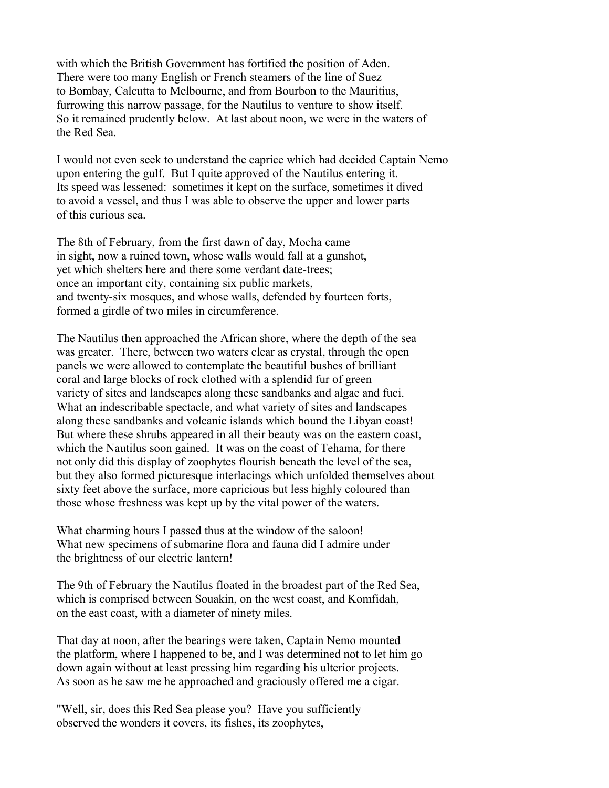with which the British Government has fortified the position of Aden. There were too many English or French steamers of the line of Suez to Bombay, Calcutta to Melbourne, and from Bourbon to the Mauritius, furrowing this narrow passage, for the Nautilus to venture to show itself. So it remained prudently below. At last about noon, we were in the waters of the Red Sea.

I would not even seek to understand the caprice which had decided Captain Nemo upon entering the gulf. But I quite approved of the Nautilus entering it. Its speed was lessened: sometimes it kept on the surface, sometimes it dived to avoid a vessel, and thus I was able to observe the upper and lower parts of this curious sea.

The 8th of February, from the first dawn of day, Mocha came in sight, now a ruined town, whose walls would fall at a gunshot, yet which shelters here and there some verdant date-trees; once an important city, containing six public markets, and twenty-six mosques, and whose walls, defended by fourteen forts, formed a girdle of two miles in circumference.

The Nautilus then approached the African shore, where the depth of the sea was greater. There, between two waters clear as crystal, through the open panels we were allowed to contemplate the beautiful bushes of brilliant coral and large blocks of rock clothed with a splendid fur of green variety of sites and landscapes along these sandbanks and algae and fuci. What an indescribable spectacle, and what variety of sites and landscapes along these sandbanks and volcanic islands which bound the Libyan coast! But where these shrubs appeared in all their beauty was on the eastern coast, which the Nautilus soon gained. It was on the coast of Tehama, for there not only did this display of zoophytes flourish beneath the level of the sea, but they also formed picturesque interlacings which unfolded themselves about sixty feet above the surface, more capricious but less highly coloured than those whose freshness was kept up by the vital power of the waters.

What charming hours I passed thus at the window of the saloon! What new specimens of submarine flora and fauna did I admire under the brightness of our electric lantern!

The 9th of February the Nautilus floated in the broadest part of the Red Sea, which is comprised between Souakin, on the west coast, and Komfidah, on the east coast, with a diameter of ninety miles.

That day at noon, after the bearings were taken, Captain Nemo mounted the platform, where I happened to be, and I was determined not to let him go down again without at least pressing him regarding his ulterior projects. As soon as he saw me he approached and graciously offered me a cigar.

"Well, sir, does this Red Sea please you? Have you sufficiently observed the wonders it covers, its fishes, its zoophytes,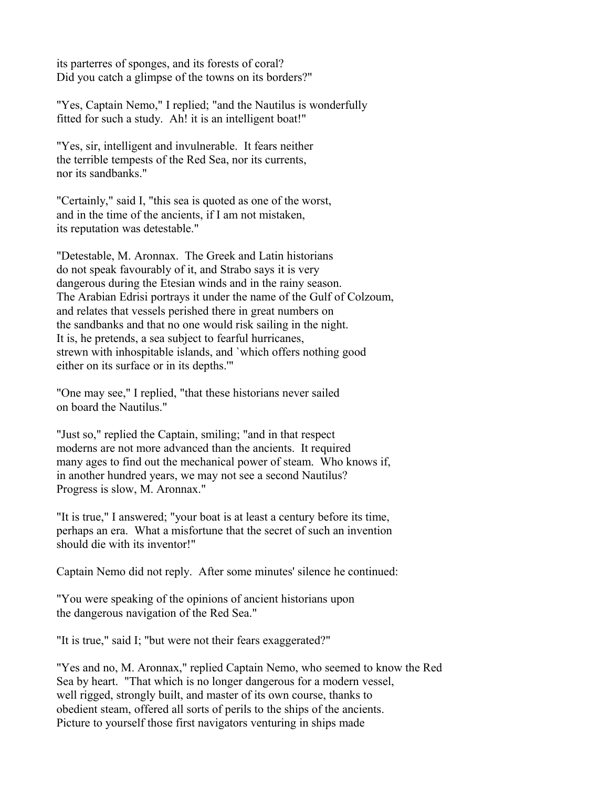its parterres of sponges, and its forests of coral? Did you catch a glimpse of the towns on its borders?"

"Yes, Captain Nemo," I replied; "and the Nautilus is wonderfully fitted for such a study. Ah! it is an intelligent boat!"

"Yes, sir, intelligent and invulnerable. It fears neither the terrible tempests of the Red Sea, nor its currents, nor its sandbanks."

"Certainly," said I, "this sea is quoted as one of the worst, and in the time of the ancients, if I am not mistaken, its reputation was detestable."

"Detestable, M. Aronnax. The Greek and Latin historians do not speak favourably of it, and Strabo says it is very dangerous during the Etesian winds and in the rainy season. The Arabian Edrisi portrays it under the name of the Gulf of Colzoum, and relates that vessels perished there in great numbers on the sandbanks and that no one would risk sailing in the night. It is, he pretends, a sea subject to fearful hurricanes, strewn with inhospitable islands, and `which offers nothing good either on its surface or in its depths.'"

"One may see," I replied, "that these historians never sailed on board the Nautilus."

"Just so," replied the Captain, smiling; "and in that respect moderns are not more advanced than the ancients. It required many ages to find out the mechanical power of steam. Who knows if, in another hundred years, we may not see a second Nautilus? Progress is slow, M. Aronnax."

"It is true," I answered; "your boat is at least a century before its time, perhaps an era. What a misfortune that the secret of such an invention should die with its inventor!"

Captain Nemo did not reply. After some minutes' silence he continued:

"You were speaking of the opinions of ancient historians upon the dangerous navigation of the Red Sea."

"It is true," said I; "but were not their fears exaggerated?"

"Yes and no, M. Aronnax," replied Captain Nemo, who seemed to know the Red Sea by heart. "That which is no longer dangerous for a modern vessel, well rigged, strongly built, and master of its own course, thanks to obedient steam, offered all sorts of perils to the ships of the ancients. Picture to yourself those first navigators venturing in ships made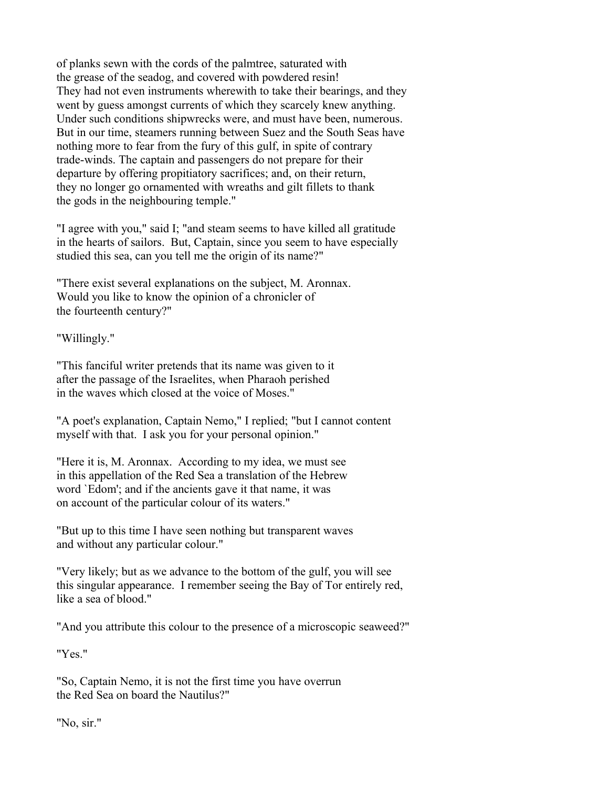of planks sewn with the cords of the palmtree, saturated with the grease of the seadog, and covered with powdered resin! They had not even instruments wherewith to take their bearings, and they went by guess amongst currents of which they scarcely knew anything. Under such conditions shipwrecks were, and must have been, numerous. But in our time, steamers running between Suez and the South Seas have nothing more to fear from the fury of this gulf, in spite of contrary trade-winds. The captain and passengers do not prepare for their departure by offering propitiatory sacrifices; and, on their return, they no longer go ornamented with wreaths and gilt fillets to thank the gods in the neighbouring temple."

"I agree with you," said I; "and steam seems to have killed all gratitude in the hearts of sailors. But, Captain, since you seem to have especially studied this sea, can you tell me the origin of its name?"

"There exist several explanations on the subject, M. Aronnax. Would you like to know the opinion of a chronicler of the fourteenth century?"

"Willingly."

"This fanciful writer pretends that its name was given to it after the passage of the Israelites, when Pharaoh perished in the waves which closed at the voice of Moses."

"A poet's explanation, Captain Nemo," I replied; "but I cannot content myself with that. I ask you for your personal opinion."

"Here it is, M. Aronnax. According to my idea, we must see in this appellation of the Red Sea a translation of the Hebrew word `Edom'; and if the ancients gave it that name, it was on account of the particular colour of its waters."

"But up to this time I have seen nothing but transparent waves and without any particular colour."

"Very likely; but as we advance to the bottom of the gulf, you will see this singular appearance. I remember seeing the Bay of Tor entirely red, like a sea of blood."

"And you attribute this colour to the presence of a microscopic seaweed?"

"Yes."

"So, Captain Nemo, it is not the first time you have overrun the Red Sea on board the Nautilus?"

"No, sir."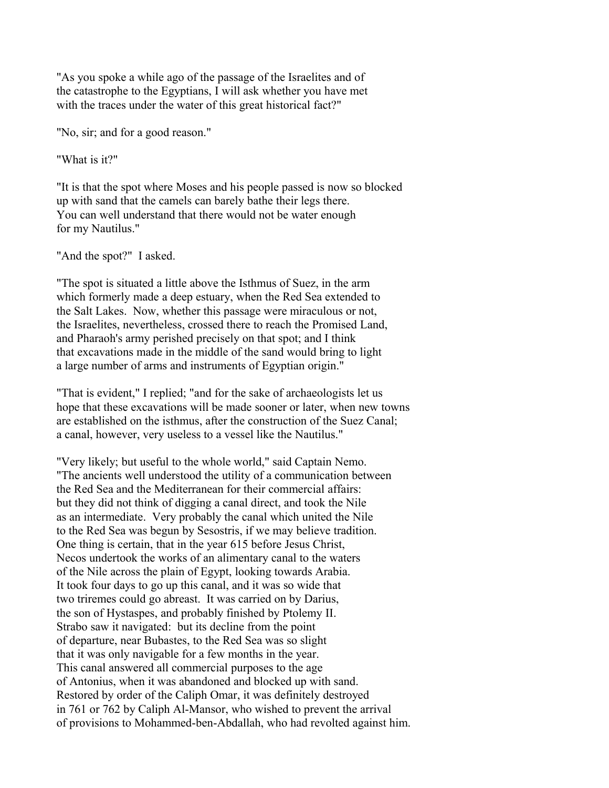"As you spoke a while ago of the passage of the Israelites and of the catastrophe to the Egyptians, I will ask whether you have met with the traces under the water of this great historical fact?"

"No, sir; and for a good reason."

"What is it?"

"It is that the spot where Moses and his people passed is now so blocked up with sand that the camels can barely bathe their legs there. You can well understand that there would not be water enough for my Nautilus."

"And the spot?" I asked.

"The spot is situated a little above the Isthmus of Suez, in the arm which formerly made a deep estuary, when the Red Sea extended to the Salt Lakes. Now, whether this passage were miraculous or not, the Israelites, nevertheless, crossed there to reach the Promised Land, and Pharaoh's army perished precisely on that spot; and I think that excavations made in the middle of the sand would bring to light a large number of arms and instruments of Egyptian origin."

"That is evident," I replied; "and for the sake of archaeologists let us hope that these excavations will be made sooner or later, when new towns are established on the isthmus, after the construction of the Suez Canal; a canal, however, very useless to a vessel like the Nautilus."

"Very likely; but useful to the whole world," said Captain Nemo. "The ancients well understood the utility of a communication between the Red Sea and the Mediterranean for their commercial affairs: but they did not think of digging a canal direct, and took the Nile as an intermediate. Very probably the canal which united the Nile to the Red Sea was begun by Sesostris, if we may believe tradition. One thing is certain, that in the year 615 before Jesus Christ, Necos undertook the works of an alimentary canal to the waters of the Nile across the plain of Egypt, looking towards Arabia. It took four days to go up this canal, and it was so wide that two triremes could go abreast. It was carried on by Darius, the son of Hystaspes, and probably finished by Ptolemy II. Strabo saw it navigated: but its decline from the point of departure, near Bubastes, to the Red Sea was so slight that it was only navigable for a few months in the year. This canal answered all commercial purposes to the age of Antonius, when it was abandoned and blocked up with sand. Restored by order of the Caliph Omar, it was definitely destroyed in 761 or 762 by Caliph Al-Mansor, who wished to prevent the arrival of provisions to Mohammed-ben-Abdallah, who had revolted against him.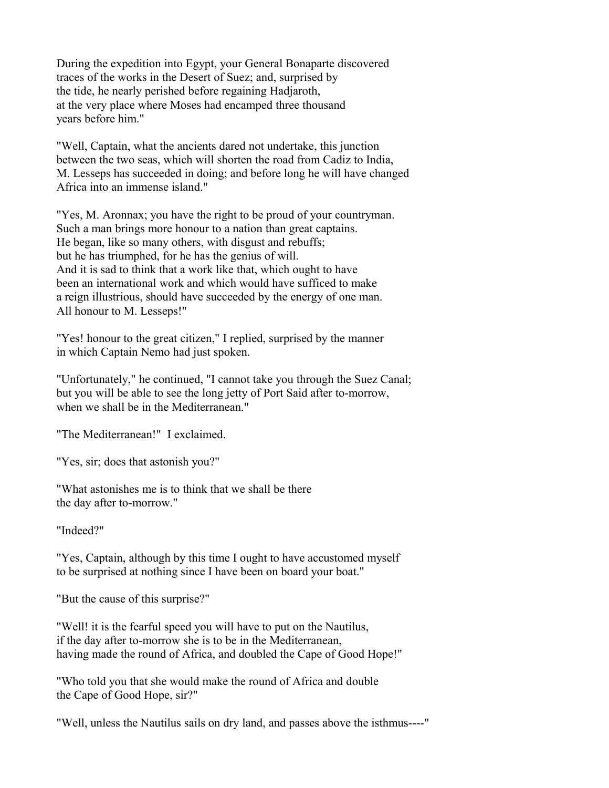During the expedition into Egypt, your General Bonaparte discovered traces of the works in the Desert of Suez; and, surprised by the tide, he nearly perished before regaining Hadjaroth, at the very place where Moses had encamped three thousand years before him."

"Well, Captain, what the ancients dared not undertake, this junction between the two seas, which will shorten the road from Cadiz to India, M. Lesseps has succeeded in doing; and before long he will have changed Africa into an immense island."

"Yes, M. Aronnax; you have the right to be proud of your countryman. Such a man brings more honour to a nation than great captains. He began, like so many others, with disgust and rebuffs; but he has triumphed, for he has the genius of will. And it is sad to think that a work like that, which ought to have been an international work and which would have sufficed to make a reign illustrious, should have succeeded by the energy of one man. All honour to M. Lesseps!"

"Yes! honour to the great citizen," I replied, surprised by the manner in which Captain Nemo had just spoken.

"Unfortunately," he continued, "I cannot take you through the Suez Canal; but you will be able to see the long jetty of Port Said after to-morrow, when we shall be in the Mediterranean."

"The Mediterranean!" I exclaimed.

"Yes, sir; does that astonish you?"

"What astonishes me is to think that we shall be there the day after to-morrow."

"Indeed?"

"Yes, Captain, although by this time I ought to have accustomed myself to be surprised at nothing since I have been on board your boat."

"But the cause of this surprise?"

"Well! it is the fearful speed you will have to put on the Nautilus, if the day after to-morrow she is to be in the Mediterranean, having made the round of Africa, and doubled the Cape of Good Hope!"

"Who told you that she would make the round of Africa and double the Cape of Good Hope, sir?"

"Well, unless the Nautilus sails on dry land, and passes above the isthmus----"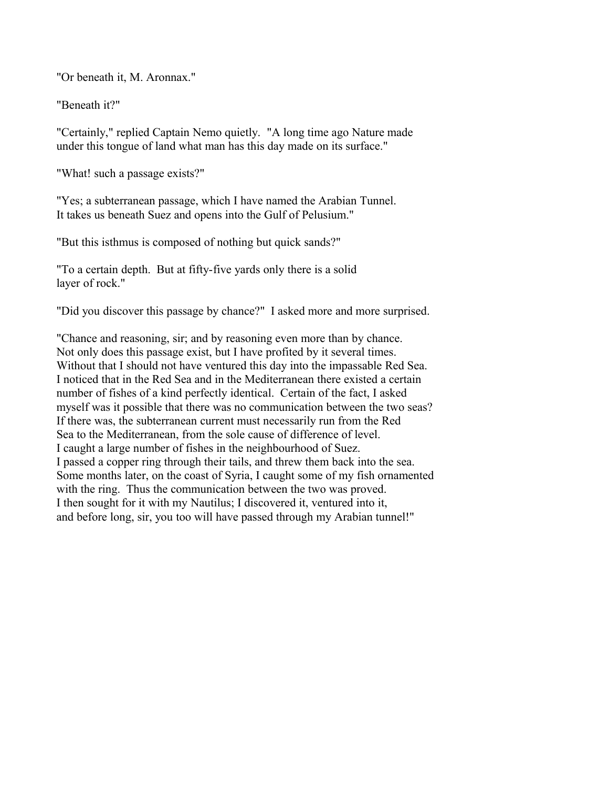"Or beneath it, M. Aronnax."

"Beneath it?"

"Certainly," replied Captain Nemo quietly. "A long time ago Nature made under this tongue of land what man has this day made on its surface."

"What! such a passage exists?"

"Yes; a subterranean passage, which I have named the Arabian Tunnel. It takes us beneath Suez and opens into the Gulf of Pelusium."

"But this isthmus is composed of nothing but quick sands?"

"To a certain depth. But at fifty-five yards only there is a solid layer of rock."

"Did you discover this passage by chance?" I asked more and more surprised.

"Chance and reasoning, sir; and by reasoning even more than by chance. Not only does this passage exist, but I have profited by it several times. Without that I should not have ventured this day into the impassable Red Sea. I noticed that in the Red Sea and in the Mediterranean there existed a certain number of fishes of a kind perfectly identical. Certain of the fact, I asked myself was it possible that there was no communication between the two seas? If there was, the subterranean current must necessarily run from the Red Sea to the Mediterranean, from the sole cause of difference of level. I caught a large number of fishes in the neighbourhood of Suez. I passed a copper ring through their tails, and threw them back into the sea. Some months later, on the coast of Syria, I caught some of my fish ornamented with the ring. Thus the communication between the two was proved. I then sought for it with my Nautilus; I discovered it, ventured into it, and before long, sir, you too will have passed through my Arabian tunnel!"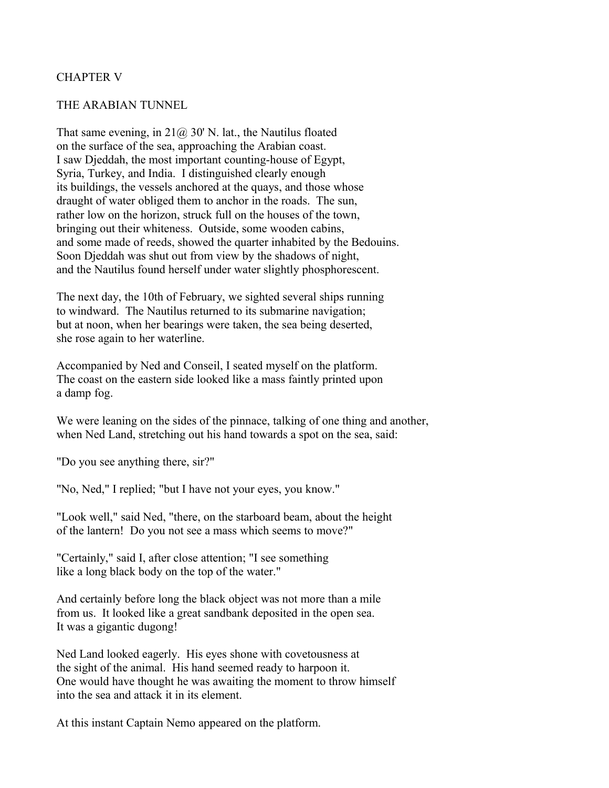### CHAPTER V

#### THE ARABIAN TUNNEL

That same evening, in  $21\omega$ , 30' N. lat., the Nautilus floated on the surface of the sea, approaching the Arabian coast. I saw Djeddah, the most important counting-house of Egypt, Syria, Turkey, and India. I distinguished clearly enough its buildings, the vessels anchored at the quays, and those whose draught of water obliged them to anchor in the roads. The sun, rather low on the horizon, struck full on the houses of the town, bringing out their whiteness. Outside, some wooden cabins, and some made of reeds, showed the quarter inhabited by the Bedouins. Soon Djeddah was shut out from view by the shadows of night, and the Nautilus found herself under water slightly phosphorescent.

The next day, the 10th of February, we sighted several ships running to windward. The Nautilus returned to its submarine navigation; but at noon, when her bearings were taken, the sea being deserted, she rose again to her waterline.

Accompanied by Ned and Conseil, I seated myself on the platform. The coast on the eastern side looked like a mass faintly printed upon a damp fog.

We were leaning on the sides of the pinnace, talking of one thing and another, when Ned Land, stretching out his hand towards a spot on the sea, said:

"Do you see anything there, sir?"

"No, Ned," I replied; "but I have not your eyes, you know."

"Look well," said Ned, "there, on the starboard beam, about the height of the lantern! Do you not see a mass which seems to move?"

"Certainly," said I, after close attention; "I see something like a long black body on the top of the water."

And certainly before long the black object was not more than a mile from us. It looked like a great sandbank deposited in the open sea. It was a gigantic dugong!

Ned Land looked eagerly. His eyes shone with covetousness at the sight of the animal. His hand seemed ready to harpoon it. One would have thought he was awaiting the moment to throw himself into the sea and attack it in its element.

At this instant Captain Nemo appeared on the platform.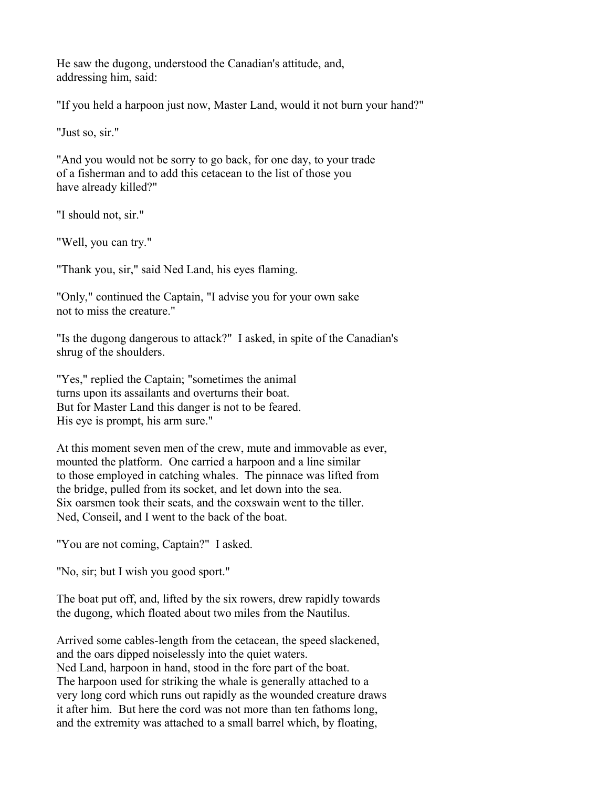He saw the dugong, understood the Canadian's attitude, and, addressing him, said:

"If you held a harpoon just now, Master Land, would it not burn your hand?"

"Just so, sir."

"And you would not be sorry to go back, for one day, to your trade of a fisherman and to add this cetacean to the list of those you have already killed?"

"I should not, sir."

"Well, you can try."

"Thank you, sir," said Ned Land, his eyes flaming.

"Only," continued the Captain, "I advise you for your own sake not to miss the creature."

"Is the dugong dangerous to attack?" I asked, in spite of the Canadian's shrug of the shoulders.

"Yes," replied the Captain; "sometimes the animal turns upon its assailants and overturns their boat. But for Master Land this danger is not to be feared. His eye is prompt, his arm sure."

At this moment seven men of the crew, mute and immovable as ever, mounted the platform. One carried a harpoon and a line similar to those employed in catching whales. The pinnace was lifted from the bridge, pulled from its socket, and let down into the sea. Six oarsmen took their seats, and the coxswain went to the tiller. Ned, Conseil, and I went to the back of the boat.

"You are not coming, Captain?" I asked.

"No, sir; but I wish you good sport."

The boat put off, and, lifted by the six rowers, drew rapidly towards the dugong, which floated about two miles from the Nautilus.

Arrived some cables-length from the cetacean, the speed slackened, and the oars dipped noiselessly into the quiet waters. Ned Land, harpoon in hand, stood in the fore part of the boat. The harpoon used for striking the whale is generally attached to a very long cord which runs out rapidly as the wounded creature draws it after him. But here the cord was not more than ten fathoms long, and the extremity was attached to a small barrel which, by floating,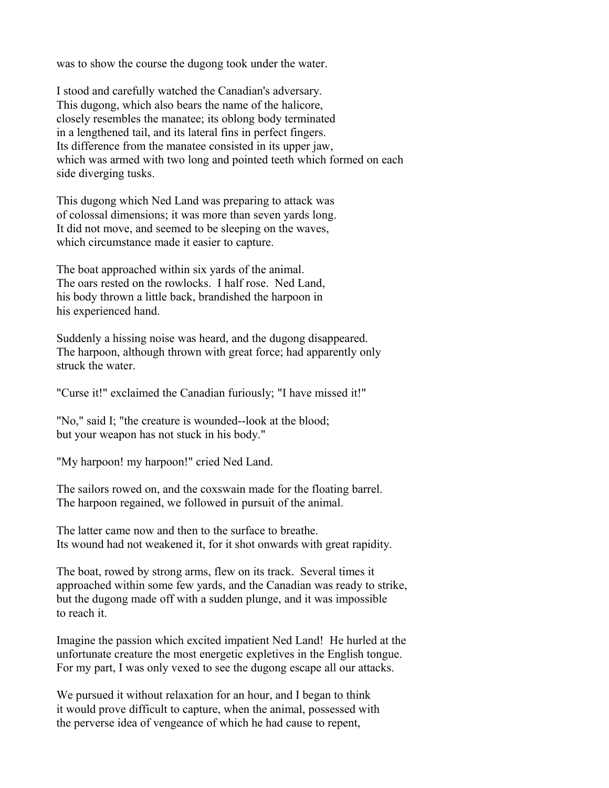was to show the course the dugong took under the water.

I stood and carefully watched the Canadian's adversary. This dugong, which also bears the name of the halicore, closely resembles the manatee; its oblong body terminated in a lengthened tail, and its lateral fins in perfect fingers. Its difference from the manatee consisted in its upper jaw, which was armed with two long and pointed teeth which formed on each side diverging tusks.

This dugong which Ned Land was preparing to attack was of colossal dimensions; it was more than seven yards long. It did not move, and seemed to be sleeping on the waves, which circumstance made it easier to capture.

The boat approached within six yards of the animal. The oars rested on the rowlocks. I half rose. Ned Land, his body thrown a little back, brandished the harpoon in his experienced hand.

Suddenly a hissing noise was heard, and the dugong disappeared. The harpoon, although thrown with great force; had apparently only struck the water.

"Curse it!" exclaimed the Canadian furiously; "I have missed it!"

"No," said I; "the creature is wounded--look at the blood; but your weapon has not stuck in his body."

"My harpoon! my harpoon!" cried Ned Land.

The sailors rowed on, and the coxswain made for the floating barrel. The harpoon regained, we followed in pursuit of the animal.

The latter came now and then to the surface to breathe. Its wound had not weakened it, for it shot onwards with great rapidity.

The boat, rowed by strong arms, flew on its track. Several times it approached within some few yards, and the Canadian was ready to strike, but the dugong made off with a sudden plunge, and it was impossible to reach it.

Imagine the passion which excited impatient Ned Land! He hurled at the unfortunate creature the most energetic expletives in the English tongue. For my part, I was only vexed to see the dugong escape all our attacks.

We pursued it without relaxation for an hour, and I began to think it would prove difficult to capture, when the animal, possessed with the perverse idea of vengeance of which he had cause to repent,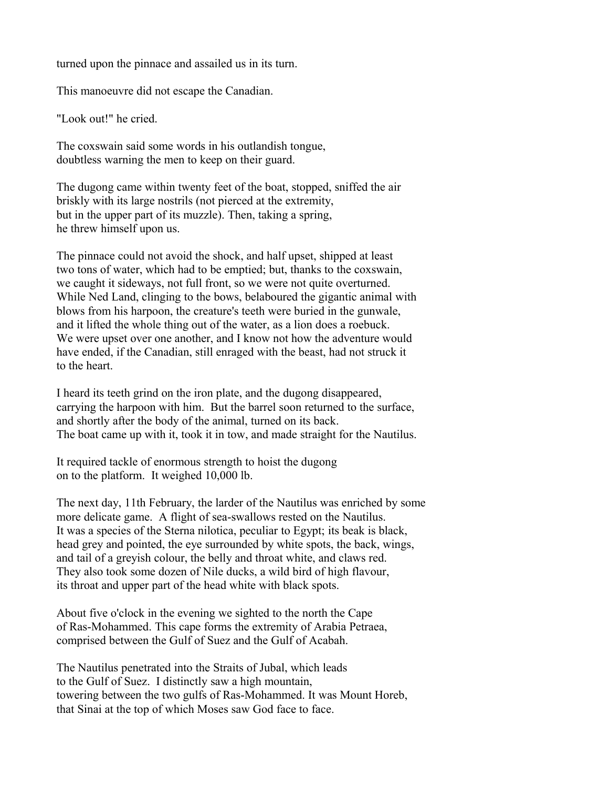turned upon the pinnace and assailed us in its turn.

This manoeuvre did not escape the Canadian.

"Look out!" he cried.

The coxswain said some words in his outlandish tongue, doubtless warning the men to keep on their guard.

The dugong came within twenty feet of the boat, stopped, sniffed the air briskly with its large nostrils (not pierced at the extremity, but in the upper part of its muzzle). Then, taking a spring, he threw himself upon us.

The pinnace could not avoid the shock, and half upset, shipped at least two tons of water, which had to be emptied; but, thanks to the coxswain, we caught it sideways, not full front, so we were not quite overturned. While Ned Land, clinging to the bows, belaboured the gigantic animal with blows from his harpoon, the creature's teeth were buried in the gunwale, and it lifted the whole thing out of the water, as a lion does a roebuck. We were upset over one another, and I know not how the adventure would have ended, if the Canadian, still enraged with the beast, had not struck it to the heart.

I heard its teeth grind on the iron plate, and the dugong disappeared, carrying the harpoon with him. But the barrel soon returned to the surface, and shortly after the body of the animal, turned on its back. The boat came up with it, took it in tow, and made straight for the Nautilus.

It required tackle of enormous strength to hoist the dugong on to the platform. It weighed 10,000 lb.

The next day, 11th February, the larder of the Nautilus was enriched by some more delicate game. A flight of sea-swallows rested on the Nautilus. It was a species of the Sterna nilotica, peculiar to Egypt; its beak is black, head grey and pointed, the eye surrounded by white spots, the back, wings, and tail of a greyish colour, the belly and throat white, and claws red. They also took some dozen of Nile ducks, a wild bird of high flavour, its throat and upper part of the head white with black spots.

About five o'clock in the evening we sighted to the north the Cape of Ras-Mohammed. This cape forms the extremity of Arabia Petraea, comprised between the Gulf of Suez and the Gulf of Acabah.

The Nautilus penetrated into the Straits of Jubal, which leads to the Gulf of Suez. I distinctly saw a high mountain, towering between the two gulfs of Ras-Mohammed. It was Mount Horeb, that Sinai at the top of which Moses saw God face to face.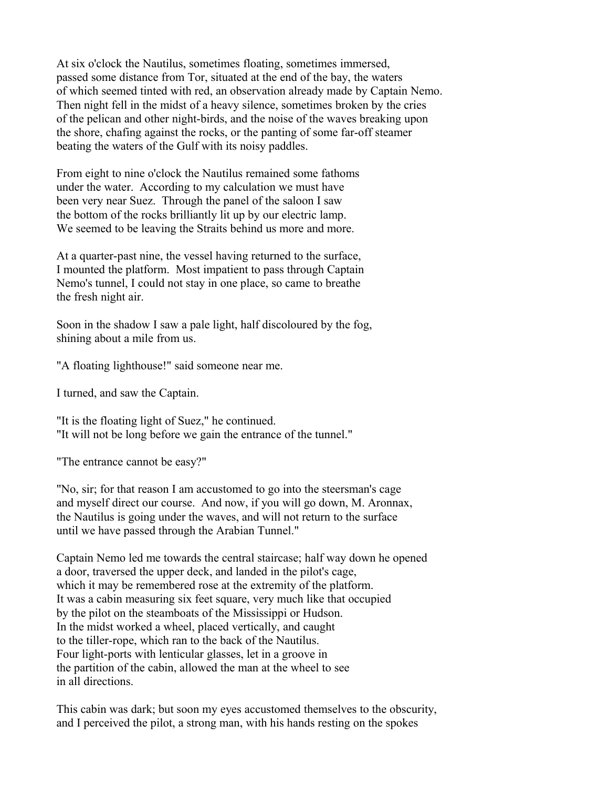At six o'clock the Nautilus, sometimes floating, sometimes immersed, passed some distance from Tor, situated at the end of the bay, the waters of which seemed tinted with red, an observation already made by Captain Nemo. Then night fell in the midst of a heavy silence, sometimes broken by the cries of the pelican and other night-birds, and the noise of the waves breaking upon the shore, chafing against the rocks, or the panting of some far-off steamer beating the waters of the Gulf with its noisy paddles.

From eight to nine o'clock the Nautilus remained some fathoms under the water. According to my calculation we must have been very near Suez. Through the panel of the saloon I saw the bottom of the rocks brilliantly lit up by our electric lamp. We seemed to be leaving the Straits behind us more and more.

At a quarter-past nine, the vessel having returned to the surface, I mounted the platform. Most impatient to pass through Captain Nemo's tunnel, I could not stay in one place, so came to breathe the fresh night air.

Soon in the shadow I saw a pale light, half discoloured by the fog, shining about a mile from us.

"A floating lighthouse!" said someone near me.

I turned, and saw the Captain.

"It is the floating light of Suez," he continued. "It will not be long before we gain the entrance of the tunnel."

"The entrance cannot be easy?"

"No, sir; for that reason I am accustomed to go into the steersman's cage and myself direct our course. And now, if you will go down, M. Aronnax, the Nautilus is going under the waves, and will not return to the surface until we have passed through the Arabian Tunnel."

Captain Nemo led me towards the central staircase; half way down he opened a door, traversed the upper deck, and landed in the pilot's cage, which it may be remembered rose at the extremity of the platform. It was a cabin measuring six feet square, very much like that occupied by the pilot on the steamboats of the Mississippi or Hudson. In the midst worked a wheel, placed vertically, and caught to the tiller-rope, which ran to the back of the Nautilus. Four light-ports with lenticular glasses, let in a groove in the partition of the cabin, allowed the man at the wheel to see in all directions.

This cabin was dark; but soon my eyes accustomed themselves to the obscurity, and I perceived the pilot, a strong man, with his hands resting on the spokes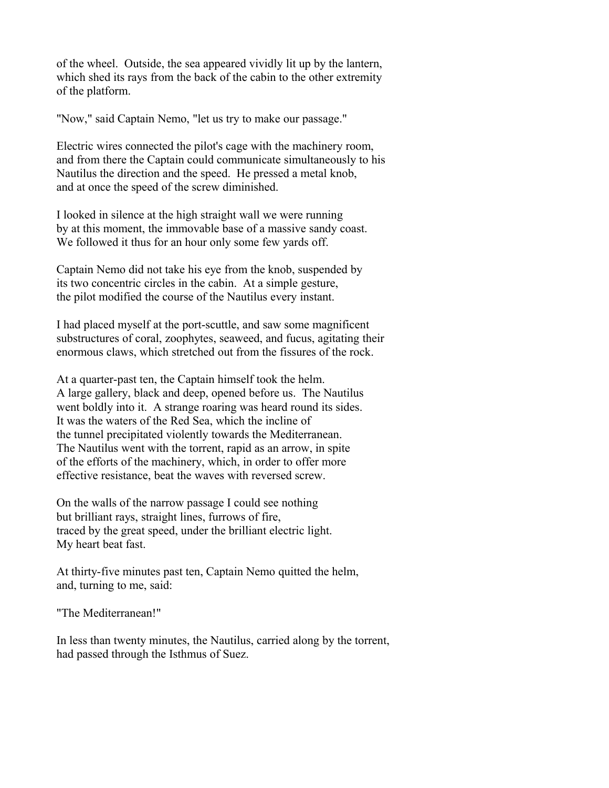of the wheel. Outside, the sea appeared vividly lit up by the lantern, which shed its rays from the back of the cabin to the other extremity of the platform.

"Now," said Captain Nemo, "let us try to make our passage."

Electric wires connected the pilot's cage with the machinery room, and from there the Captain could communicate simultaneously to his Nautilus the direction and the speed. He pressed a metal knob, and at once the speed of the screw diminished.

I looked in silence at the high straight wall we were running by at this moment, the immovable base of a massive sandy coast. We followed it thus for an hour only some few yards off.

Captain Nemo did not take his eye from the knob, suspended by its two concentric circles in the cabin. At a simple gesture, the pilot modified the course of the Nautilus every instant.

I had placed myself at the port-scuttle, and saw some magnificent substructures of coral, zoophytes, seaweed, and fucus, agitating their enormous claws, which stretched out from the fissures of the rock.

At a quarter-past ten, the Captain himself took the helm. A large gallery, black and deep, opened before us. The Nautilus went boldly into it. A strange roaring was heard round its sides. It was the waters of the Red Sea, which the incline of the tunnel precipitated violently towards the Mediterranean. The Nautilus went with the torrent, rapid as an arrow, in spite of the efforts of the machinery, which, in order to offer more effective resistance, beat the waves with reversed screw.

On the walls of the narrow passage I could see nothing but brilliant rays, straight lines, furrows of fire, traced by the great speed, under the brilliant electric light. My heart beat fast.

At thirty-five minutes past ten, Captain Nemo quitted the helm, and, turning to me, said:

"The Mediterranean!"

In less than twenty minutes, the Nautilus, carried along by the torrent, had passed through the Isthmus of Suez.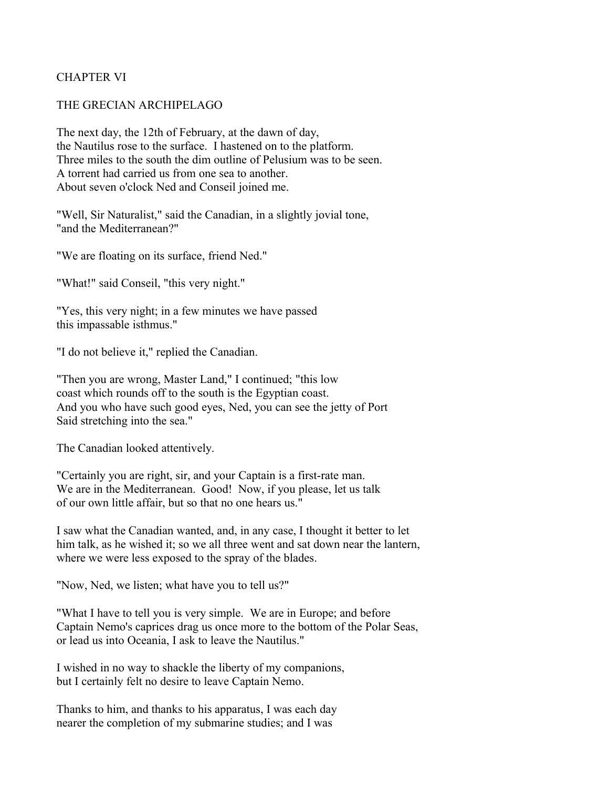# CHAPTER VI

#### THE GRECIAN ARCHIPELAGO

The next day, the 12th of February, at the dawn of day, the Nautilus rose to the surface. I hastened on to the platform. Three miles to the south the dim outline of Pelusium was to be seen. A torrent had carried us from one sea to another. About seven o'clock Ned and Conseil joined me.

"Well, Sir Naturalist," said the Canadian, in a slightly jovial tone, "and the Mediterranean?"

"We are floating on its surface, friend Ned."

"What!" said Conseil, "this very night."

"Yes, this very night; in a few minutes we have passed this impassable isthmus."

"I do not believe it," replied the Canadian.

"Then you are wrong, Master Land," I continued; "this low coast which rounds off to the south is the Egyptian coast. And you who have such good eyes, Ned, you can see the jetty of Port Said stretching into the sea."

The Canadian looked attentively.

"Certainly you are right, sir, and your Captain is a first-rate man. We are in the Mediterranean. Good! Now, if you please, let us talk of our own little affair, but so that no one hears us."

I saw what the Canadian wanted, and, in any case, I thought it better to let him talk, as he wished it; so we all three went and sat down near the lantern, where we were less exposed to the spray of the blades.

"Now, Ned, we listen; what have you to tell us?"

"What I have to tell you is very simple. We are in Europe; and before Captain Nemo's caprices drag us once more to the bottom of the Polar Seas, or lead us into Oceania, I ask to leave the Nautilus."

I wished in no way to shackle the liberty of my companions, but I certainly felt no desire to leave Captain Nemo.

Thanks to him, and thanks to his apparatus, I was each day nearer the completion of my submarine studies; and I was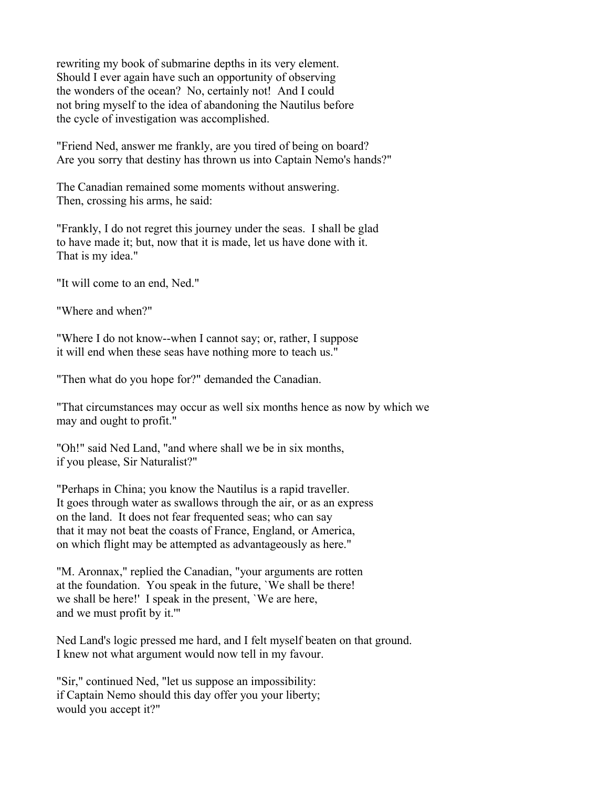rewriting my book of submarine depths in its very element. Should I ever again have such an opportunity of observing the wonders of the ocean? No, certainly not! And I could not bring myself to the idea of abandoning the Nautilus before the cycle of investigation was accomplished.

"Friend Ned, answer me frankly, are you tired of being on board? Are you sorry that destiny has thrown us into Captain Nemo's hands?"

The Canadian remained some moments without answering. Then, crossing his arms, he said:

"Frankly, I do not regret this journey under the seas. I shall be glad to have made it; but, now that it is made, let us have done with it. That is my idea."

"It will come to an end, Ned."

"Where and when?"

"Where I do not know--when I cannot say; or, rather, I suppose it will end when these seas have nothing more to teach us."

"Then what do you hope for?" demanded the Canadian.

"That circumstances may occur as well six months hence as now by which we may and ought to profit."

"Oh!" said Ned Land, "and where shall we be in six months, if you please, Sir Naturalist?"

"Perhaps in China; you know the Nautilus is a rapid traveller. It goes through water as swallows through the air, or as an express on the land. It does not fear frequented seas; who can say that it may not beat the coasts of France, England, or America, on which flight may be attempted as advantageously as here."

"M. Aronnax," replied the Canadian, "your arguments are rotten at the foundation. You speak in the future, `We shall be there! we shall be here!' I speak in the present, `We are here, and we must profit by it.'"

Ned Land's logic pressed me hard, and I felt myself beaten on that ground. I knew not what argument would now tell in my favour.

"Sir," continued Ned, "let us suppose an impossibility: if Captain Nemo should this day offer you your liberty; would you accept it?"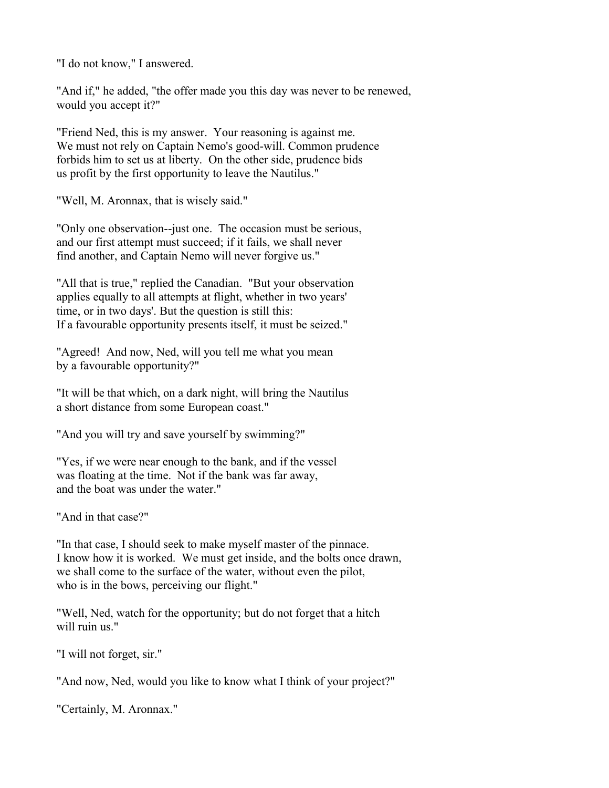"I do not know," I answered.

"And if," he added, "the offer made you this day was never to be renewed, would you accept it?"

"Friend Ned, this is my answer. Your reasoning is against me. We must not rely on Captain Nemo's good-will. Common prudence forbids him to set us at liberty. On the other side, prudence bids us profit by the first opportunity to leave the Nautilus."

"Well, M. Aronnax, that is wisely said."

"Only one observation--just one. The occasion must be serious, and our first attempt must succeed; if it fails, we shall never find another, and Captain Nemo will never forgive us."

"All that is true," replied the Canadian. "But your observation applies equally to all attempts at flight, whether in two years' time, or in two days'. But the question is still this: If a favourable opportunity presents itself, it must be seized."

"Agreed! And now, Ned, will you tell me what you mean by a favourable opportunity?"

"It will be that which, on a dark night, will bring the Nautilus a short distance from some European coast."

"And you will try and save yourself by swimming?"

"Yes, if we were near enough to the bank, and if the vessel was floating at the time. Not if the bank was far away, and the boat was under the water."

"And in that case?"

"In that case, I should seek to make myself master of the pinnace. I know how it is worked. We must get inside, and the bolts once drawn, we shall come to the surface of the water, without even the pilot, who is in the bows, perceiving our flight."

"Well, Ned, watch for the opportunity; but do not forget that a hitch will ruin us."

"I will not forget, sir."

"And now, Ned, would you like to know what I think of your project?"

"Certainly, M. Aronnax."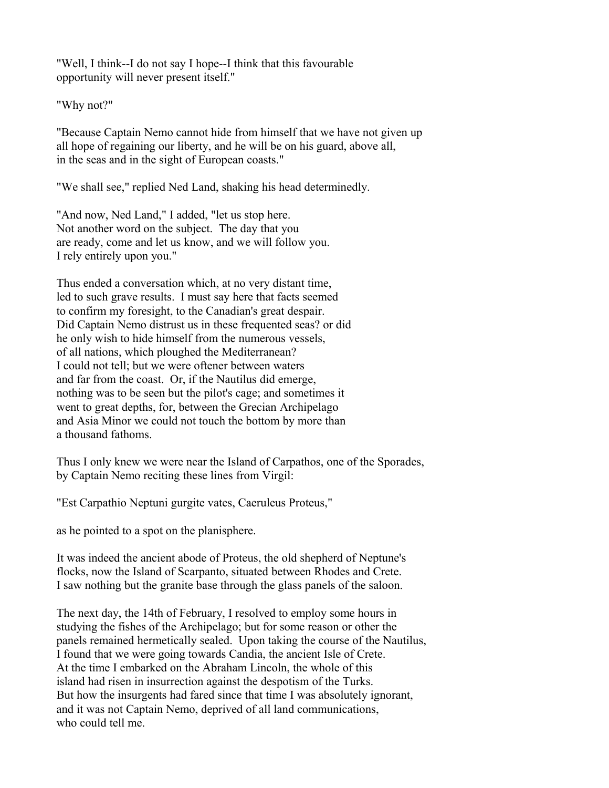"Well, I think--I do not say I hope--I think that this favourable opportunity will never present itself."

"Why not?"

"Because Captain Nemo cannot hide from himself that we have not given up all hope of regaining our liberty, and he will be on his guard, above all, in the seas and in the sight of European coasts."

"We shall see," replied Ned Land, shaking his head determinedly.

"And now, Ned Land," I added, "let us stop here. Not another word on the subject. The day that you are ready, come and let us know, and we will follow you. I rely entirely upon you."

Thus ended a conversation which, at no very distant time, led to such grave results. I must say here that facts seemed to confirm my foresight, to the Canadian's great despair. Did Captain Nemo distrust us in these frequented seas? or did he only wish to hide himself from the numerous vessels, of all nations, which ploughed the Mediterranean? I could not tell; but we were oftener between waters and far from the coast. Or, if the Nautilus did emerge, nothing was to be seen but the pilot's cage; and sometimes it went to great depths, for, between the Grecian Archipelago and Asia Minor we could not touch the bottom by more than a thousand fathoms.

Thus I only knew we were near the Island of Carpathos, one of the Sporades, by Captain Nemo reciting these lines from Virgil:

"Est Carpathio Neptuni gurgite vates, Caeruleus Proteus,"

as he pointed to a spot on the planisphere.

It was indeed the ancient abode of Proteus, the old shepherd of Neptune's flocks, now the Island of Scarpanto, situated between Rhodes and Crete. I saw nothing but the granite base through the glass panels of the saloon.

The next day, the 14th of February, I resolved to employ some hours in studying the fishes of the Archipelago; but for some reason or other the panels remained hermetically sealed. Upon taking the course of the Nautilus, I found that we were going towards Candia, the ancient Isle of Crete. At the time I embarked on the Abraham Lincoln, the whole of this island had risen in insurrection against the despotism of the Turks. But how the insurgents had fared since that time I was absolutely ignorant, and it was not Captain Nemo, deprived of all land communications, who could tell me.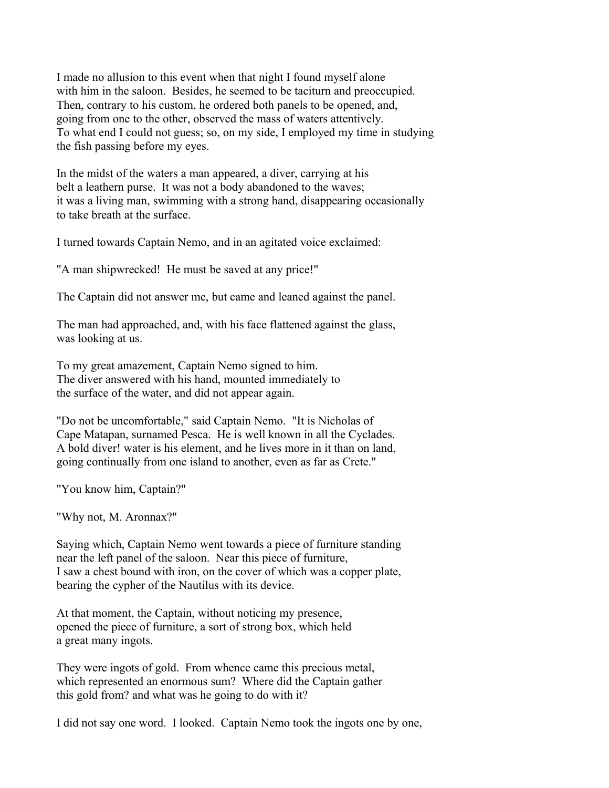I made no allusion to this event when that night I found myself alone with him in the saloon. Besides, he seemed to be taciturn and preoccupied. Then, contrary to his custom, he ordered both panels to be opened, and, going from one to the other, observed the mass of waters attentively. To what end I could not guess; so, on my side, I employed my time in studying the fish passing before my eyes.

In the midst of the waters a man appeared, a diver, carrying at his belt a leathern purse. It was not a body abandoned to the waves; it was a living man, swimming with a strong hand, disappearing occasionally to take breath at the surface.

I turned towards Captain Nemo, and in an agitated voice exclaimed:

"A man shipwrecked! He must be saved at any price!"

The Captain did not answer me, but came and leaned against the panel.

The man had approached, and, with his face flattened against the glass, was looking at us.

To my great amazement, Captain Nemo signed to him. The diver answered with his hand, mounted immediately to the surface of the water, and did not appear again.

"Do not be uncomfortable," said Captain Nemo. "It is Nicholas of Cape Matapan, surnamed Pesca. He is well known in all the Cyclades. A bold diver! water is his element, and he lives more in it than on land, going continually from one island to another, even as far as Crete."

"You know him, Captain?"

"Why not, M. Aronnax?"

Saying which, Captain Nemo went towards a piece of furniture standing near the left panel of the saloon. Near this piece of furniture, I saw a chest bound with iron, on the cover of which was a copper plate, bearing the cypher of the Nautilus with its device.

At that moment, the Captain, without noticing my presence, opened the piece of furniture, a sort of strong box, which held a great many ingots.

They were ingots of gold. From whence came this precious metal, which represented an enormous sum? Where did the Captain gather this gold from? and what was he going to do with it?

I did not say one word. I looked. Captain Nemo took the ingots one by one,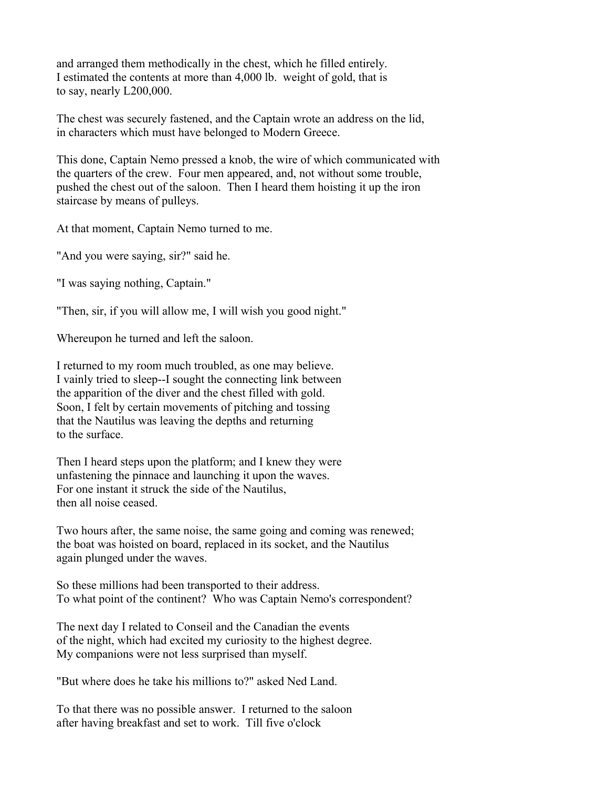and arranged them methodically in the chest, which he filled entirely. I estimated the contents at more than 4,000 lb. weight of gold, that is to say, nearly L200,000.

The chest was securely fastened, and the Captain wrote an address on the lid, in characters which must have belonged to Modern Greece.

This done, Captain Nemo pressed a knob, the wire of which communicated with the quarters of the crew. Four men appeared, and, not without some trouble, pushed the chest out of the saloon. Then I heard them hoisting it up the iron staircase by means of pulleys.

At that moment, Captain Nemo turned to me.

"And you were saying, sir?" said he.

"I was saying nothing, Captain."

"Then, sir, if you will allow me, I will wish you good night."

Whereupon he turned and left the saloon.

I returned to my room much troubled, as one may believe. I vainly tried to sleep--I sought the connecting link between the apparition of the diver and the chest filled with gold. Soon, I felt by certain movements of pitching and tossing that the Nautilus was leaving the depths and returning to the surface.

Then I heard steps upon the platform; and I knew they were unfastening the pinnace and launching it upon the waves. For one instant it struck the side of the Nautilus, then all noise ceased.

Two hours after, the same noise, the same going and coming was renewed; the boat was hoisted on board, replaced in its socket, and the Nautilus again plunged under the waves.

So these millions had been transported to their address. To what point of the continent? Who was Captain Nemo's correspondent?

The next day I related to Conseil and the Canadian the events of the night, which had excited my curiosity to the highest degree. My companions were not less surprised than myself.

"But where does he take his millions to?" asked Ned Land.

To that there was no possible answer. I returned to the saloon after having breakfast and set to work. Till five o'clock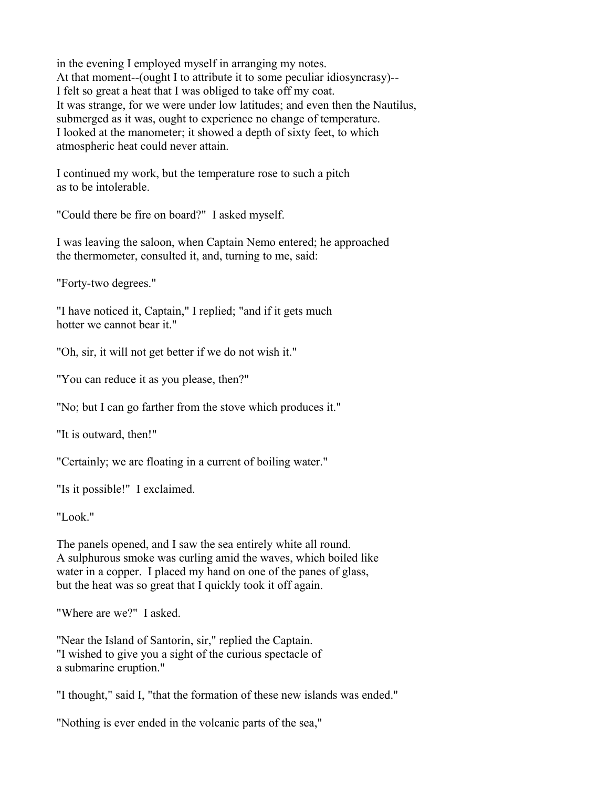in the evening I employed myself in arranging my notes. At that moment--(ought I to attribute it to some peculiar idiosyncrasy)-- I felt so great a heat that I was obliged to take off my coat. It was strange, for we were under low latitudes; and even then the Nautilus, submerged as it was, ought to experience no change of temperature. I looked at the manometer; it showed a depth of sixty feet, to which atmospheric heat could never attain.

I continued my work, but the temperature rose to such a pitch as to be intolerable.

"Could there be fire on board?" I asked myself.

I was leaving the saloon, when Captain Nemo entered; he approached the thermometer, consulted it, and, turning to me, said:

"Forty-two degrees."

"I have noticed it, Captain," I replied; "and if it gets much hotter we cannot bear it."

"Oh, sir, it will not get better if we do not wish it."

"You can reduce it as you please, then?"

"No; but I can go farther from the stove which produces it."

"It is outward, then!"

"Certainly; we are floating in a current of boiling water."

"Is it possible!" I exclaimed.

"Look."

The panels opened, and I saw the sea entirely white all round. A sulphurous smoke was curling amid the waves, which boiled like water in a copper. I placed my hand on one of the panes of glass, but the heat was so great that I quickly took it off again.

"Where are we?" I asked.

"Near the Island of Santorin, sir," replied the Captain. "I wished to give you a sight of the curious spectacle of a submarine eruption."

"I thought," said I, "that the formation of these new islands was ended."

"Nothing is ever ended in the volcanic parts of the sea,"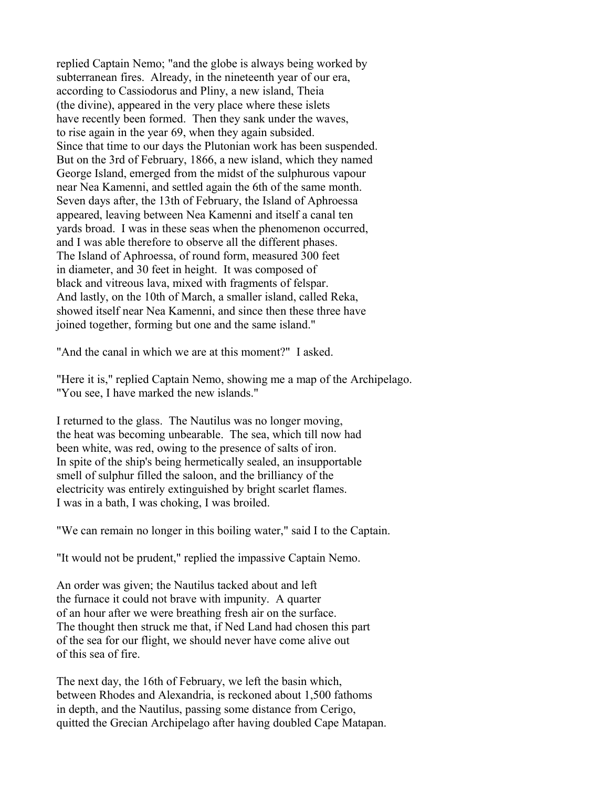replied Captain Nemo; "and the globe is always being worked by subterranean fires. Already, in the nineteenth year of our era, according to Cassiodorus and Pliny, a new island, Theia (the divine), appeared in the very place where these islets have recently been formed. Then they sank under the waves, to rise again in the year 69, when they again subsided. Since that time to our days the Plutonian work has been suspended. But on the 3rd of February, 1866, a new island, which they named George Island, emerged from the midst of the sulphurous vapour near Nea Kamenni, and settled again the 6th of the same month. Seven days after, the 13th of February, the Island of Aphroessa appeared, leaving between Nea Kamenni and itself a canal ten yards broad. I was in these seas when the phenomenon occurred, and I was able therefore to observe all the different phases. The Island of Aphroessa, of round form, measured 300 feet in diameter, and 30 feet in height. It was composed of black and vitreous lava, mixed with fragments of felspar. And lastly, on the 10th of March, a smaller island, called Reka, showed itself near Nea Kamenni, and since then these three have joined together, forming but one and the same island."

"And the canal in which we are at this moment?" I asked.

"Here it is," replied Captain Nemo, showing me a map of the Archipelago. "You see, I have marked the new islands."

I returned to the glass. The Nautilus was no longer moving, the heat was becoming unbearable. The sea, which till now had been white, was red, owing to the presence of salts of iron. In spite of the ship's being hermetically sealed, an insupportable smell of sulphur filled the saloon, and the brilliancy of the electricity was entirely extinguished by bright scarlet flames. I was in a bath, I was choking, I was broiled.

"We can remain no longer in this boiling water," said I to the Captain.

"It would not be prudent," replied the impassive Captain Nemo.

An order was given; the Nautilus tacked about and left the furnace it could not brave with impunity. A quarter of an hour after we were breathing fresh air on the surface. The thought then struck me that, if Ned Land had chosen this part of the sea for our flight, we should never have come alive out of this sea of fire.

The next day, the 16th of February, we left the basin which, between Rhodes and Alexandria, is reckoned about 1,500 fathoms in depth, and the Nautilus, passing some distance from Cerigo, quitted the Grecian Archipelago after having doubled Cape Matapan.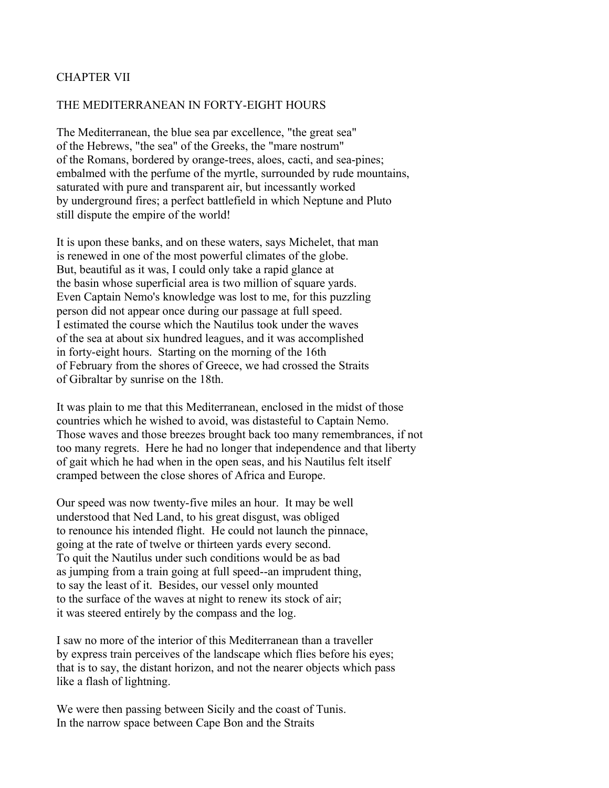# CHAPTER VII

#### THE MEDITERRANEAN IN FORTY-EIGHT HOURS

The Mediterranean, the blue sea par excellence, "the great sea" of the Hebrews, "the sea" of the Greeks, the "mare nostrum" of the Romans, bordered by orange-trees, aloes, cacti, and sea-pines; embalmed with the perfume of the myrtle, surrounded by rude mountains, saturated with pure and transparent air, but incessantly worked by underground fires; a perfect battlefield in which Neptune and Pluto still dispute the empire of the world!

It is upon these banks, and on these waters, says Michelet, that man is renewed in one of the most powerful climates of the globe. But, beautiful as it was, I could only take a rapid glance at the basin whose superficial area is two million of square yards. Even Captain Nemo's knowledge was lost to me, for this puzzling person did not appear once during our passage at full speed. I estimated the course which the Nautilus took under the waves of the sea at about six hundred leagues, and it was accomplished in forty-eight hours. Starting on the morning of the 16th of February from the shores of Greece, we had crossed the Straits of Gibraltar by sunrise on the 18th.

It was plain to me that this Mediterranean, enclosed in the midst of those countries which he wished to avoid, was distasteful to Captain Nemo. Those waves and those breezes brought back too many remembrances, if not too many regrets. Here he had no longer that independence and that liberty of gait which he had when in the open seas, and his Nautilus felt itself cramped between the close shores of Africa and Europe.

Our speed was now twenty-five miles an hour. It may be well understood that Ned Land, to his great disgust, was obliged to renounce his intended flight. He could not launch the pinnace, going at the rate of twelve or thirteen yards every second. To quit the Nautilus under such conditions would be as bad as jumping from a train going at full speed--an imprudent thing, to say the least of it. Besides, our vessel only mounted to the surface of the waves at night to renew its stock of air; it was steered entirely by the compass and the log.

I saw no more of the interior of this Mediterranean than a traveller by express train perceives of the landscape which flies before his eyes; that is to say, the distant horizon, and not the nearer objects which pass like a flash of lightning.

We were then passing between Sicily and the coast of Tunis. In the narrow space between Cape Bon and the Straits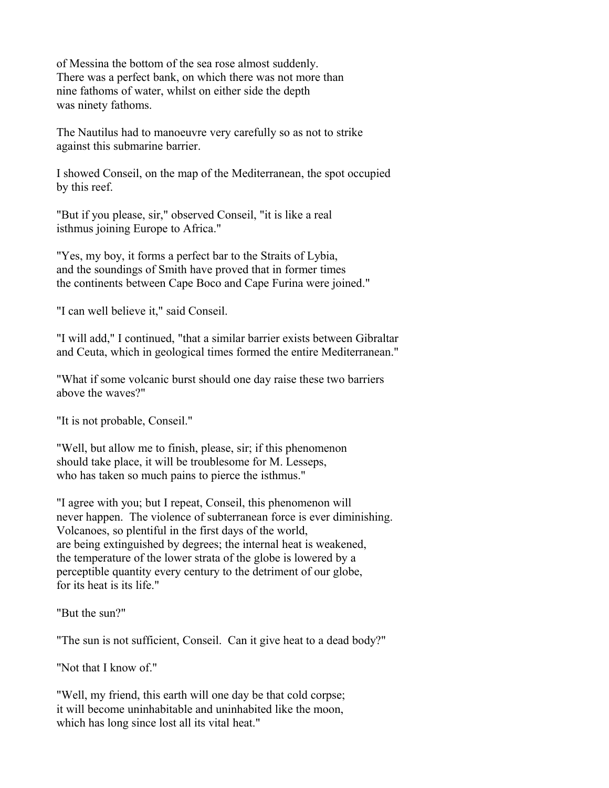of Messina the bottom of the sea rose almost suddenly. There was a perfect bank, on which there was not more than nine fathoms of water, whilst on either side the depth was ninety fathoms.

The Nautilus had to manoeuvre very carefully so as not to strike against this submarine barrier.

I showed Conseil, on the map of the Mediterranean, the spot occupied by this reef.

"But if you please, sir," observed Conseil, "it is like a real isthmus joining Europe to Africa."

"Yes, my boy, it forms a perfect bar to the Straits of Lybia, and the soundings of Smith have proved that in former times the continents between Cape Boco and Cape Furina were joined."

"I can well believe it," said Conseil.

"I will add," I continued, "that a similar barrier exists between Gibraltar and Ceuta, which in geological times formed the entire Mediterranean."

"What if some volcanic burst should one day raise these two barriers above the waves?"

"It is not probable, Conseil."

"Well, but allow me to finish, please, sir; if this phenomenon should take place, it will be troublesome for M. Lesseps, who has taken so much pains to pierce the isthmus."

"I agree with you; but I repeat, Conseil, this phenomenon will never happen. The violence of subterranean force is ever diminishing. Volcanoes, so plentiful in the first days of the world, are being extinguished by degrees; the internal heat is weakened, the temperature of the lower strata of the globe is lowered by a perceptible quantity every century to the detriment of our globe, for its heat is its life."

"But the sun?"

"The sun is not sufficient, Conseil. Can it give heat to a dead body?"

"Not that I know of"

"Well, my friend, this earth will one day be that cold corpse; it will become uninhabitable and uninhabited like the moon, which has long since lost all its vital heat."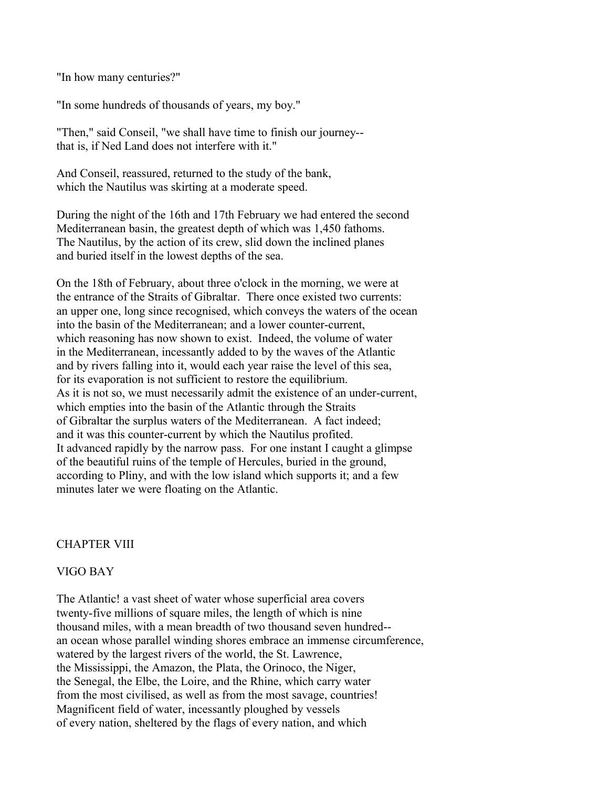"In how many centuries?"

"In some hundreds of thousands of years, my boy."

"Then," said Conseil, "we shall have time to finish our journey- that is, if Ned Land does not interfere with it."

And Conseil, reassured, returned to the study of the bank, which the Nautilus was skirting at a moderate speed.

During the night of the 16th and 17th February we had entered the second Mediterranean basin, the greatest depth of which was 1,450 fathoms. The Nautilus, by the action of its crew, slid down the inclined planes and buried itself in the lowest depths of the sea.

On the 18th of February, about three o'clock in the morning, we were at the entrance of the Straits of Gibraltar. There once existed two currents: an upper one, long since recognised, which conveys the waters of the ocean into the basin of the Mediterranean; and a lower counter-current, which reasoning has now shown to exist. Indeed, the volume of water in the Mediterranean, incessantly added to by the waves of the Atlantic and by rivers falling into it, would each year raise the level of this sea, for its evaporation is not sufficient to restore the equilibrium. As it is not so, we must necessarily admit the existence of an under-current, which empties into the basin of the Atlantic through the Straits of Gibraltar the surplus waters of the Mediterranean. A fact indeed; and it was this counter-current by which the Nautilus profited. It advanced rapidly by the narrow pass. For one instant I caught a glimpse of the beautiful ruins of the temple of Hercules, buried in the ground, according to Pliny, and with the low island which supports it; and a few minutes later we were floating on the Atlantic.

# CHAPTER VIII

#### VIGO BAY

The Atlantic! a vast sheet of water whose superficial area covers twenty-five millions of square miles, the length of which is nine thousand miles, with a mean breadth of two thousand seven hundred- an ocean whose parallel winding shores embrace an immense circumference, watered by the largest rivers of the world, the St. Lawrence, the Mississippi, the Amazon, the Plata, the Orinoco, the Niger, the Senegal, the Elbe, the Loire, and the Rhine, which carry water from the most civilised, as well as from the most savage, countries! Magnificent field of water, incessantly ploughed by vessels of every nation, sheltered by the flags of every nation, and which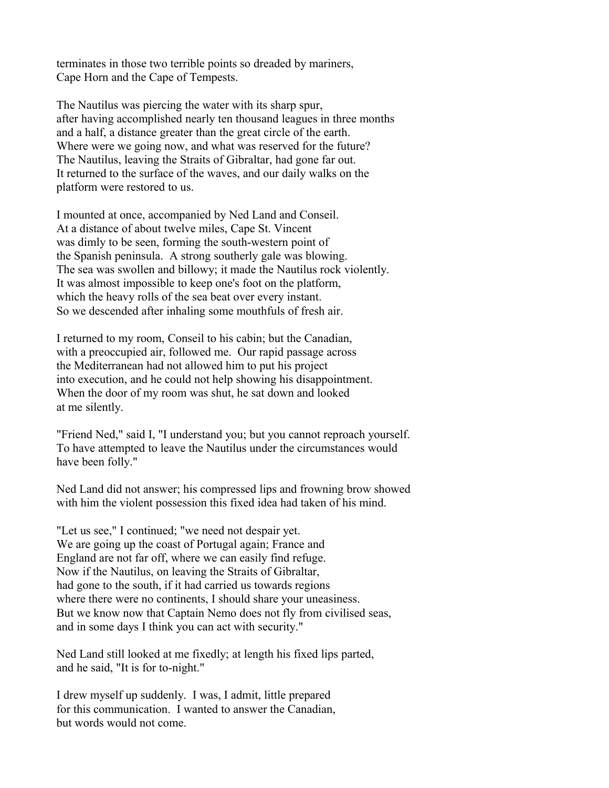terminates in those two terrible points so dreaded by mariners, Cape Horn and the Cape of Tempests.

The Nautilus was piercing the water with its sharp spur, after having accomplished nearly ten thousand leagues in three months and a half, a distance greater than the great circle of the earth. Where were we going now, and what was reserved for the future? The Nautilus, leaving the Straits of Gibraltar, had gone far out. It returned to the surface of the waves, and our daily walks on the platform were restored to us.

I mounted at once, accompanied by Ned Land and Conseil. At a distance of about twelve miles, Cape St. Vincent was dimly to be seen, forming the south-western point of the Spanish peninsula. A strong southerly gale was blowing. The sea was swollen and billowy; it made the Nautilus rock violently. It was almost impossible to keep one's foot on the platform, which the heavy rolls of the sea beat over every instant. So we descended after inhaling some mouthfuls of fresh air.

I returned to my room, Conseil to his cabin; but the Canadian, with a preoccupied air, followed me. Our rapid passage across the Mediterranean had not allowed him to put his project into execution, and he could not help showing his disappointment. When the door of my room was shut, he sat down and looked at me silently.

"Friend Ned," said I, "I understand you; but you cannot reproach yourself. To have attempted to leave the Nautilus under the circumstances would have been folly."

Ned Land did not answer; his compressed lips and frowning brow showed with him the violent possession this fixed idea had taken of his mind.

"Let us see," I continued; "we need not despair yet. We are going up the coast of Portugal again; France and England are not far off, where we can easily find refuge. Now if the Nautilus, on leaving the Straits of Gibraltar, had gone to the south, if it had carried us towards regions where there were no continents, I should share your uneasiness. But we know now that Captain Nemo does not fly from civilised seas, and in some days I think you can act with security."

Ned Land still looked at me fixedly; at length his fixed lips parted, and he said, "It is for to-night."

I drew myself up suddenly. I was, I admit, little prepared for this communication. I wanted to answer the Canadian, but words would not come.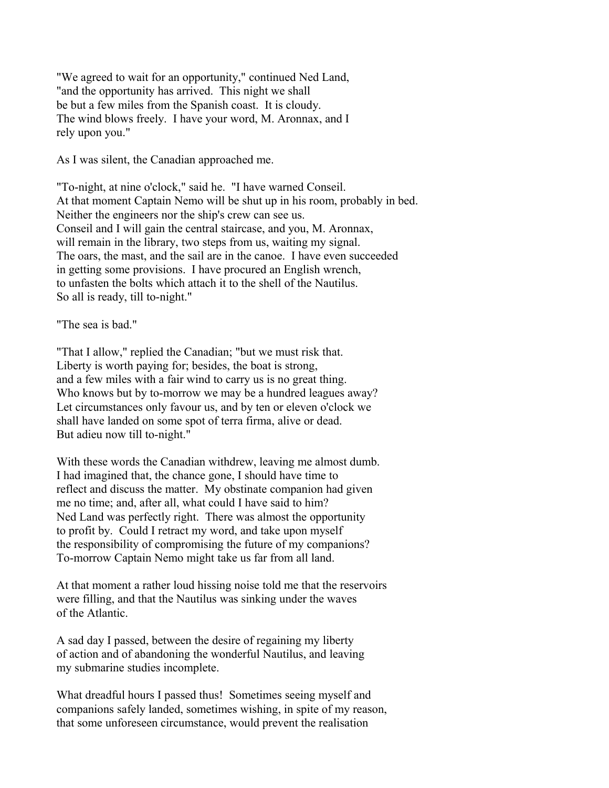"We agreed to wait for an opportunity," continued Ned Land, "and the opportunity has arrived. This night we shall be but a few miles from the Spanish coast. It is cloudy. The wind blows freely. I have your word, M. Aronnax, and I rely upon you."

As I was silent, the Canadian approached me.

"To-night, at nine o'clock," said he. "I have warned Conseil. At that moment Captain Nemo will be shut up in his room, probably in bed. Neither the engineers nor the ship's crew can see us. Conseil and I will gain the central staircase, and you, M. Aronnax, will remain in the library, two steps from us, waiting my signal. The oars, the mast, and the sail are in the canoe. I have even succeeded in getting some provisions. I have procured an English wrench, to unfasten the bolts which attach it to the shell of the Nautilus. So all is ready, till to-night."

"The sea is bad."

"That I allow," replied the Canadian; "but we must risk that. Liberty is worth paying for; besides, the boat is strong, and a few miles with a fair wind to carry us is no great thing. Who knows but by to-morrow we may be a hundred leagues away? Let circumstances only favour us, and by ten or eleven o'clock we shall have landed on some spot of terra firma, alive or dead. But adieu now till to-night."

With these words the Canadian withdrew, leaving me almost dumb. I had imagined that, the chance gone, I should have time to reflect and discuss the matter. My obstinate companion had given me no time; and, after all, what could I have said to him? Ned Land was perfectly right. There was almost the opportunity to profit by. Could I retract my word, and take upon myself the responsibility of compromising the future of my companions? To-morrow Captain Nemo might take us far from all land.

At that moment a rather loud hissing noise told me that the reservoirs were filling, and that the Nautilus was sinking under the waves of the Atlantic.

A sad day I passed, between the desire of regaining my liberty of action and of abandoning the wonderful Nautilus, and leaving my submarine studies incomplete.

What dreadful hours I passed thus! Sometimes seeing myself and companions safely landed, sometimes wishing, in spite of my reason, that some unforeseen circumstance, would prevent the realisation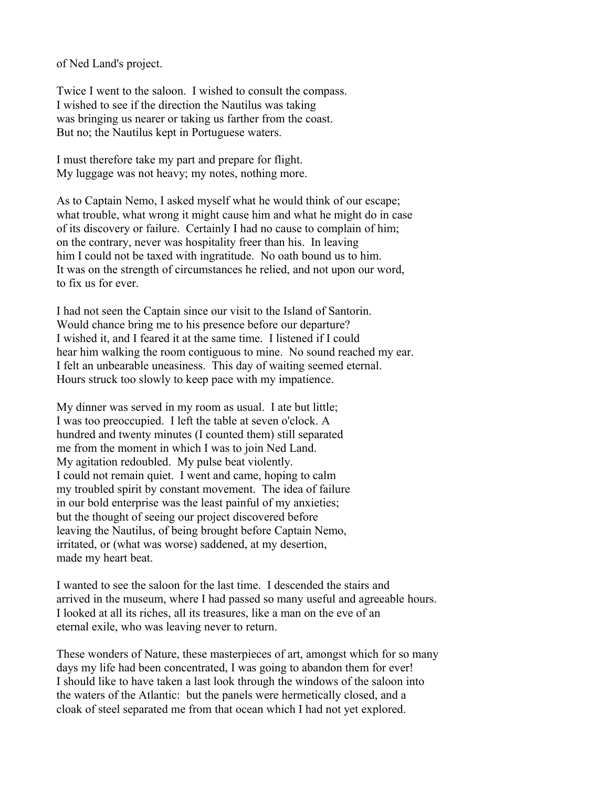of Ned Land's project.

Twice I went to the saloon. I wished to consult the compass. I wished to see if the direction the Nautilus was taking was bringing us nearer or taking us farther from the coast. But no; the Nautilus kept in Portuguese waters.

I must therefore take my part and prepare for flight. My luggage was not heavy; my notes, nothing more.

As to Captain Nemo, I asked myself what he would think of our escape; what trouble, what wrong it might cause him and what he might do in case of its discovery or failure. Certainly I had no cause to complain of him; on the contrary, never was hospitality freer than his. In leaving him I could not be taxed with ingratitude. No oath bound us to him. It was on the strength of circumstances he relied, and not upon our word, to fix us for ever.

I had not seen the Captain since our visit to the Island of Santorin. Would chance bring me to his presence before our departure? I wished it, and I feared it at the same time. I listened if I could hear him walking the room contiguous to mine. No sound reached my ear. I felt an unbearable uneasiness. This day of waiting seemed eternal. Hours struck too slowly to keep pace with my impatience.

My dinner was served in my room as usual. I ate but little; I was too preoccupied. I left the table at seven o'clock. A hundred and twenty minutes (I counted them) still separated me from the moment in which I was to join Ned Land. My agitation redoubled. My pulse beat violently. I could not remain quiet. I went and came, hoping to calm my troubled spirit by constant movement. The idea of failure in our bold enterprise was the least painful of my anxieties; but the thought of seeing our project discovered before leaving the Nautilus, of being brought before Captain Nemo, irritated, or (what was worse) saddened, at my desertion, made my heart beat.

I wanted to see the saloon for the last time. I descended the stairs and arrived in the museum, where I had passed so many useful and agreeable hours. I looked at all its riches, all its treasures, like a man on the eve of an eternal exile, who was leaving never to return.

These wonders of Nature, these masterpieces of art, amongst which for so many days my life had been concentrated, I was going to abandon them for ever! I should like to have taken a last look through the windows of the saloon into the waters of the Atlantic: but the panels were hermetically closed, and a cloak of steel separated me from that ocean which I had not yet explored.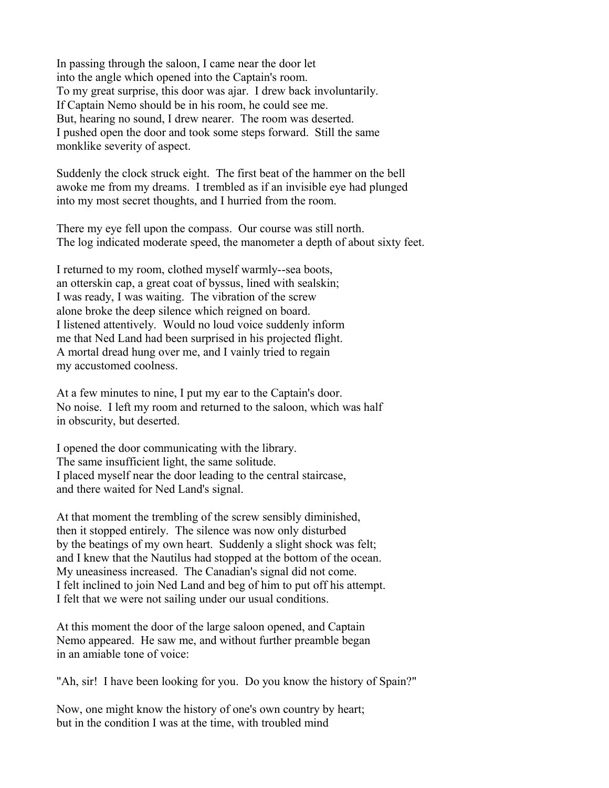In passing through the saloon, I came near the door let into the angle which opened into the Captain's room. To my great surprise, this door was ajar. I drew back involuntarily. If Captain Nemo should be in his room, he could see me. But, hearing no sound, I drew nearer. The room was deserted. I pushed open the door and took some steps forward. Still the same monklike severity of aspect.

Suddenly the clock struck eight. The first beat of the hammer on the bell awoke me from my dreams. I trembled as if an invisible eye had plunged into my most secret thoughts, and I hurried from the room.

There my eye fell upon the compass. Our course was still north. The log indicated moderate speed, the manometer a depth of about sixty feet.

I returned to my room, clothed myself warmly--sea boots, an otterskin cap, a great coat of byssus, lined with sealskin; I was ready, I was waiting. The vibration of the screw alone broke the deep silence which reigned on board. I listened attentively. Would no loud voice suddenly inform me that Ned Land had been surprised in his projected flight. A mortal dread hung over me, and I vainly tried to regain my accustomed coolness.

At a few minutes to nine, I put my ear to the Captain's door. No noise. I left my room and returned to the saloon, which was half in obscurity, but deserted.

I opened the door communicating with the library. The same insufficient light, the same solitude. I placed myself near the door leading to the central staircase, and there waited for Ned Land's signal.

At that moment the trembling of the screw sensibly diminished, then it stopped entirely. The silence was now only disturbed by the beatings of my own heart. Suddenly a slight shock was felt; and I knew that the Nautilus had stopped at the bottom of the ocean. My uneasiness increased. The Canadian's signal did not come. I felt inclined to join Ned Land and beg of him to put off his attempt. I felt that we were not sailing under our usual conditions.

At this moment the door of the large saloon opened, and Captain Nemo appeared. He saw me, and without further preamble began in an amiable tone of voice:

"Ah, sir! I have been looking for you. Do you know the history of Spain?"

Now, one might know the history of one's own country by heart; but in the condition I was at the time, with troubled mind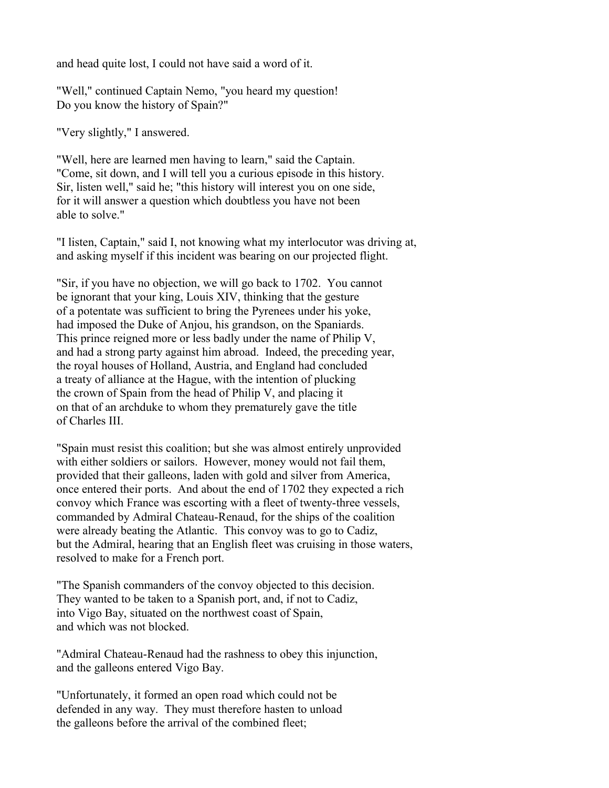and head quite lost, I could not have said a word of it.

"Well," continued Captain Nemo, "you heard my question! Do you know the history of Spain?"

"Very slightly," I answered.

"Well, here are learned men having to learn," said the Captain. "Come, sit down, and I will tell you a curious episode in this history. Sir, listen well," said he; "this history will interest you on one side, for it will answer a question which doubtless you have not been able to solve."

"I listen, Captain," said I, not knowing what my interlocutor was driving at, and asking myself if this incident was bearing on our projected flight.

"Sir, if you have no objection, we will go back to 1702. You cannot be ignorant that your king, Louis XIV, thinking that the gesture of a potentate was sufficient to bring the Pyrenees under his yoke, had imposed the Duke of Anjou, his grandson, on the Spaniards. This prince reigned more or less badly under the name of Philip V, and had a strong party against him abroad. Indeed, the preceding year, the royal houses of Holland, Austria, and England had concluded a treaty of alliance at the Hague, with the intention of plucking the crown of Spain from the head of Philip V, and placing it on that of an archduke to whom they prematurely gave the title of Charles III.

"Spain must resist this coalition; but she was almost entirely unprovided with either soldiers or sailors. However, money would not fail them, provided that their galleons, laden with gold and silver from America, once entered their ports. And about the end of 1702 they expected a rich convoy which France was escorting with a fleet of twenty-three vessels, commanded by Admiral Chateau-Renaud, for the ships of the coalition were already beating the Atlantic. This convoy was to go to Cadiz, but the Admiral, hearing that an English fleet was cruising in those waters, resolved to make for a French port.

"The Spanish commanders of the convoy objected to this decision. They wanted to be taken to a Spanish port, and, if not to Cadiz, into Vigo Bay, situated on the northwest coast of Spain, and which was not blocked.

"Admiral Chateau-Renaud had the rashness to obey this injunction, and the galleons entered Vigo Bay.

"Unfortunately, it formed an open road which could not be defended in any way. They must therefore hasten to unload the galleons before the arrival of the combined fleet;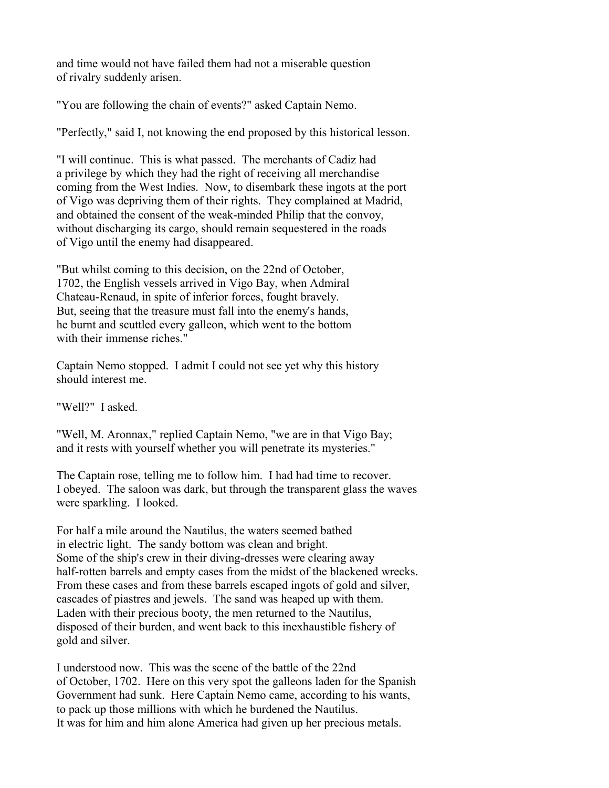and time would not have failed them had not a miserable question of rivalry suddenly arisen.

"You are following the chain of events?" asked Captain Nemo.

"Perfectly," said I, not knowing the end proposed by this historical lesson.

"I will continue. This is what passed. The merchants of Cadiz had a privilege by which they had the right of receiving all merchandise coming from the West Indies. Now, to disembark these ingots at the port of Vigo was depriving them of their rights. They complained at Madrid, and obtained the consent of the weak-minded Philip that the convoy, without discharging its cargo, should remain sequestered in the roads of Vigo until the enemy had disappeared.

"But whilst coming to this decision, on the 22nd of October, 1702, the English vessels arrived in Vigo Bay, when Admiral Chateau-Renaud, in spite of inferior forces, fought bravely. But, seeing that the treasure must fall into the enemy's hands, he burnt and scuttled every galleon, which went to the bottom with their immense riches."

Captain Nemo stopped. I admit I could not see yet why this history should interest me.

"Well?" I asked.

"Well, M. Aronnax," replied Captain Nemo, "we are in that Vigo Bay; and it rests with yourself whether you will penetrate its mysteries."

The Captain rose, telling me to follow him. I had had time to recover. I obeyed. The saloon was dark, but through the transparent glass the waves were sparkling. I looked.

For half a mile around the Nautilus, the waters seemed bathed in electric light. The sandy bottom was clean and bright. Some of the ship's crew in their diving-dresses were clearing away half-rotten barrels and empty cases from the midst of the blackened wrecks. From these cases and from these barrels escaped ingots of gold and silver, cascades of piastres and jewels. The sand was heaped up with them. Laden with their precious booty, the men returned to the Nautilus, disposed of their burden, and went back to this inexhaustible fishery of gold and silver.

I understood now. This was the scene of the battle of the 22nd of October, 1702. Here on this very spot the galleons laden for the Spanish Government had sunk. Here Captain Nemo came, according to his wants, to pack up those millions with which he burdened the Nautilus. It was for him and him alone America had given up her precious metals.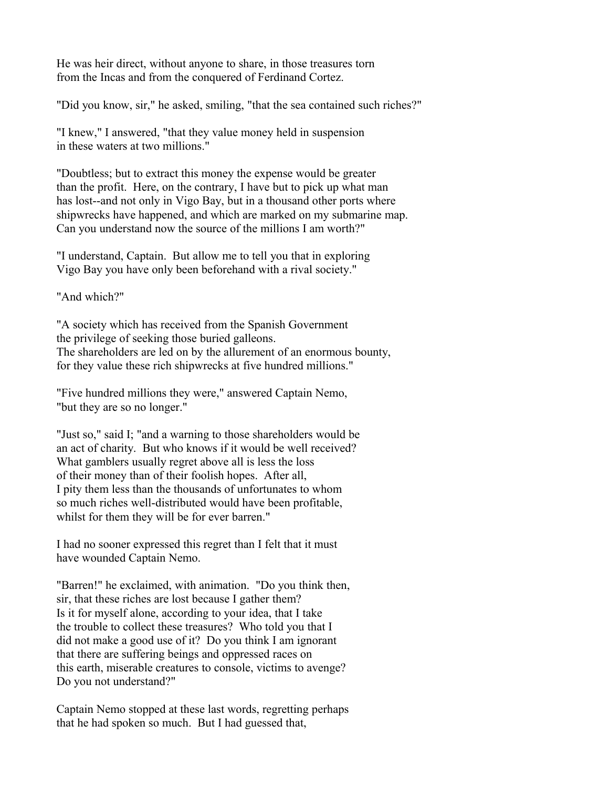He was heir direct, without anyone to share, in those treasures torn from the Incas and from the conquered of Ferdinand Cortez.

"Did you know, sir," he asked, smiling, "that the sea contained such riches?"

"I knew," I answered, "that they value money held in suspension in these waters at two millions."

"Doubtless; but to extract this money the expense would be greater than the profit. Here, on the contrary, I have but to pick up what man has lost--and not only in Vigo Bay, but in a thousand other ports where shipwrecks have happened, and which are marked on my submarine map. Can you understand now the source of the millions I am worth?"

"I understand, Captain. But allow me to tell you that in exploring Vigo Bay you have only been beforehand with a rival society."

"And which?"

"A society which has received from the Spanish Government the privilege of seeking those buried galleons. The shareholders are led on by the allurement of an enormous bounty, for they value these rich shipwrecks at five hundred millions."

"Five hundred millions they were," answered Captain Nemo, "but they are so no longer."

"Just so," said I; "and a warning to those shareholders would be an act of charity. But who knows if it would be well received? What gamblers usually regret above all is less the loss of their money than of their foolish hopes. After all, I pity them less than the thousands of unfortunates to whom so much riches well-distributed would have been profitable, whilst for them they will be for ever barren."

I had no sooner expressed this regret than I felt that it must have wounded Captain Nemo.

"Barren!" he exclaimed, with animation. "Do you think then, sir, that these riches are lost because I gather them? Is it for myself alone, according to your idea, that I take the trouble to collect these treasures? Who told you that I did not make a good use of it? Do you think I am ignorant that there are suffering beings and oppressed races on this earth, miserable creatures to console, victims to avenge? Do you not understand?"

Captain Nemo stopped at these last words, regretting perhaps that he had spoken so much. But I had guessed that,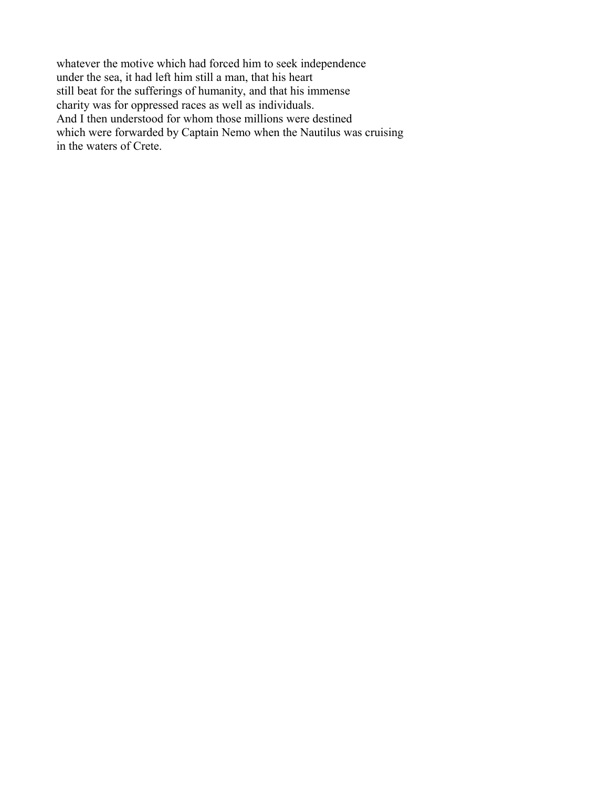whatever the motive which had forced him to seek independence under the sea, it had left him still a man, that his heart still beat for the sufferings of humanity, and that his immense charity was for oppressed races as well as individuals. And I then understood for whom those millions were destined which were forwarded by Captain Nemo when the Nautilus was cruising in the waters of Crete.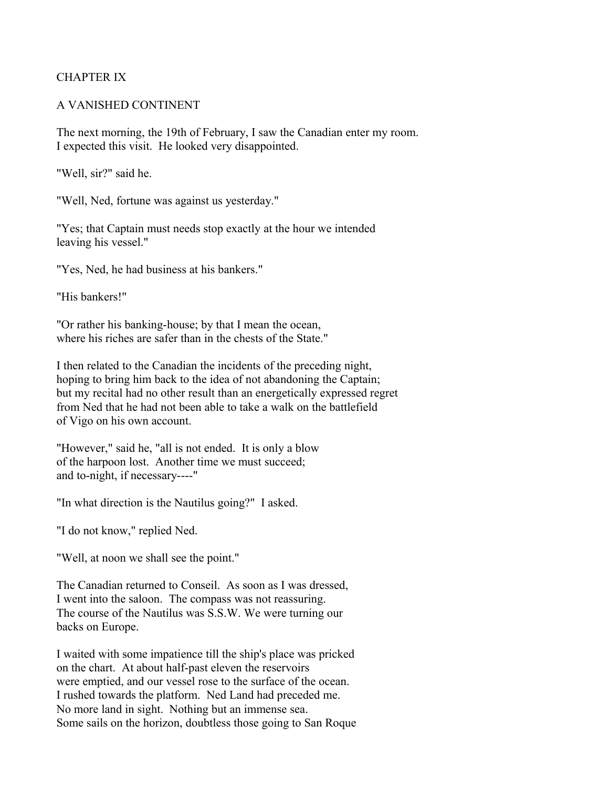# CHAPTER IX

#### A VANISHED CONTINENT

The next morning, the 19th of February, I saw the Canadian enter my room. I expected this visit. He looked very disappointed.

"Well, sir?" said he.

"Well, Ned, fortune was against us yesterday."

"Yes; that Captain must needs stop exactly at the hour we intended leaving his vessel."

"Yes, Ned, he had business at his bankers."

"His bankers!"

"Or rather his banking-house; by that I mean the ocean, where his riches are safer than in the chests of the State."

I then related to the Canadian the incidents of the preceding night, hoping to bring him back to the idea of not abandoning the Captain; but my recital had no other result than an energetically expressed regret from Ned that he had not been able to take a walk on the battlefield of Vigo on his own account.

"However," said he, "all is not ended. It is only a blow of the harpoon lost. Another time we must succeed; and to-night, if necessary----"

"In what direction is the Nautilus going?" I asked.

"I do not know," replied Ned.

"Well, at noon we shall see the point."

The Canadian returned to Conseil. As soon as I was dressed, I went into the saloon. The compass was not reassuring. The course of the Nautilus was S.S.W. We were turning our backs on Europe.

I waited with some impatience till the ship's place was pricked on the chart. At about half-past eleven the reservoirs were emptied, and our vessel rose to the surface of the ocean. I rushed towards the platform. Ned Land had preceded me. No more land in sight. Nothing but an immense sea. Some sails on the horizon, doubtless those going to San Roque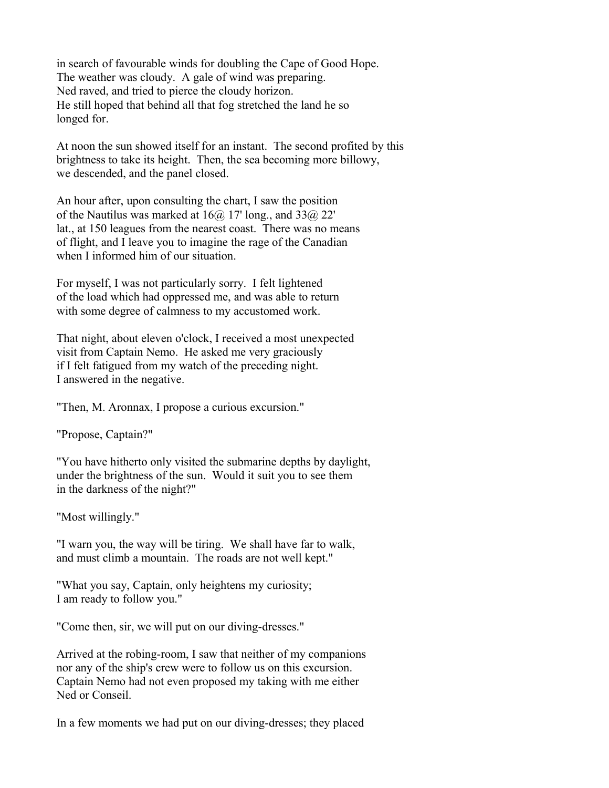in search of favourable winds for doubling the Cape of Good Hope. The weather was cloudy. A gale of wind was preparing. Ned raved, and tried to pierce the cloudy horizon. He still hoped that behind all that fog stretched the land he so longed for.

At noon the sun showed itself for an instant. The second profited by this brightness to take its height. Then, the sea becoming more billowy, we descended, and the panel closed.

An hour after, upon consulting the chart, I saw the position of the Nautilus was marked at  $16\omega$  17' long., and  $33\omega$  22' lat., at 150 leagues from the nearest coast. There was no means of flight, and I leave you to imagine the rage of the Canadian when I informed him of our situation.

For myself, I was not particularly sorry. I felt lightened of the load which had oppressed me, and was able to return with some degree of calmness to my accustomed work.

That night, about eleven o'clock, I received a most unexpected visit from Captain Nemo. He asked me very graciously if I felt fatigued from my watch of the preceding night. I answered in the negative.

"Then, M. Aronnax, I propose a curious excursion."

"Propose, Captain?"

"You have hitherto only visited the submarine depths by daylight, under the brightness of the sun. Would it suit you to see them in the darkness of the night?"

"Most willingly."

"I warn you, the way will be tiring. We shall have far to walk, and must climb a mountain. The roads are not well kept."

"What you say, Captain, only heightens my curiosity; I am ready to follow you."

"Come then, sir, we will put on our diving-dresses."

Arrived at the robing-room, I saw that neither of my companions nor any of the ship's crew were to follow us on this excursion. Captain Nemo had not even proposed my taking with me either Ned or Conseil.

In a few moments we had put on our diving-dresses; they placed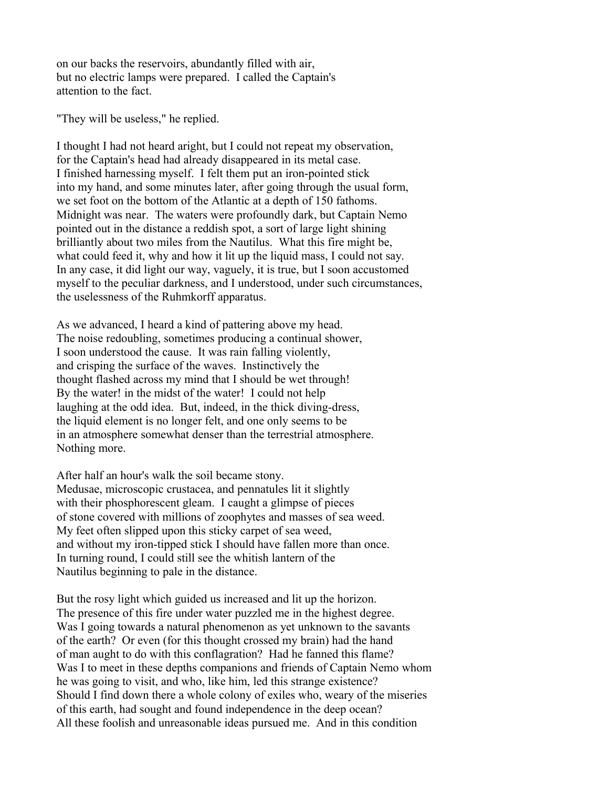on our backs the reservoirs, abundantly filled with air, but no electric lamps were prepared. I called the Captain's attention to the fact.

"They will be useless," he replied.

I thought I had not heard aright, but I could not repeat my observation, for the Captain's head had already disappeared in its metal case. I finished harnessing myself. I felt them put an iron-pointed stick into my hand, and some minutes later, after going through the usual form, we set foot on the bottom of the Atlantic at a depth of 150 fathoms. Midnight was near. The waters were profoundly dark, but Captain Nemo pointed out in the distance a reddish spot, a sort of large light shining brilliantly about two miles from the Nautilus. What this fire might be, what could feed it, why and how it lit up the liquid mass, I could not say. In any case, it did light our way, vaguely, it is true, but I soon accustomed myself to the peculiar darkness, and I understood, under such circumstances, the uselessness of the Ruhmkorff apparatus.

As we advanced, I heard a kind of pattering above my head. The noise redoubling, sometimes producing a continual shower, I soon understood the cause. It was rain falling violently, and crisping the surface of the waves. Instinctively the thought flashed across my mind that I should be wet through! By the water! in the midst of the water! I could not help laughing at the odd idea. But, indeed, in the thick diving-dress, the liquid element is no longer felt, and one only seems to be in an atmosphere somewhat denser than the terrestrial atmosphere. Nothing more.

After half an hour's walk the soil became stony. Medusae, microscopic crustacea, and pennatules lit it slightly with their phosphorescent gleam. I caught a glimpse of pieces of stone covered with millions of zoophytes and masses of sea weed. My feet often slipped upon this sticky carpet of sea weed, and without my iron-tipped stick I should have fallen more than once. In turning round, I could still see the whitish lantern of the Nautilus beginning to pale in the distance.

But the rosy light which guided us increased and lit up the horizon. The presence of this fire under water puzzled me in the highest degree. Was I going towards a natural phenomenon as yet unknown to the savants of the earth? Or even (for this thought crossed my brain) had the hand of man aught to do with this conflagration? Had he fanned this flame? Was I to meet in these depths companions and friends of Captain Nemo whom he was going to visit, and who, like him, led this strange existence? Should I find down there a whole colony of exiles who, weary of the miseries of this earth, had sought and found independence in the deep ocean? All these foolish and unreasonable ideas pursued me. And in this condition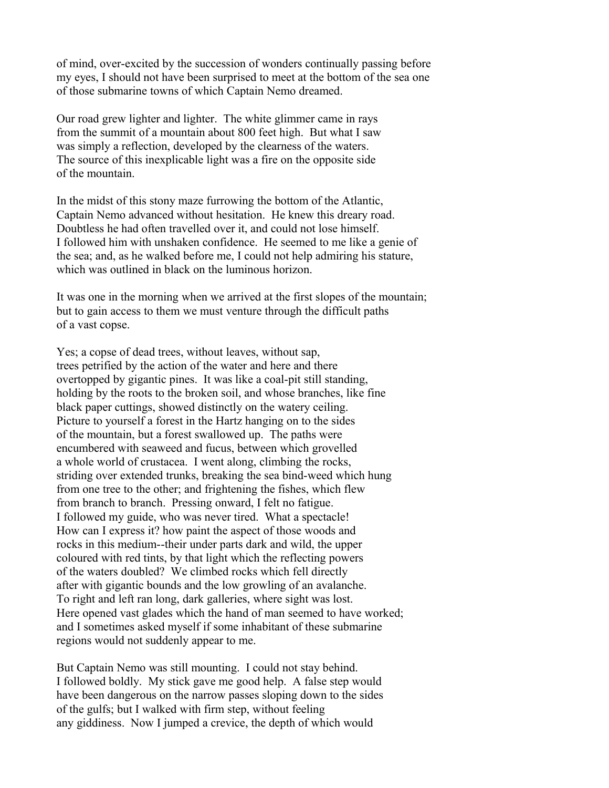of mind, over-excited by the succession of wonders continually passing before my eyes, I should not have been surprised to meet at the bottom of the sea one of those submarine towns of which Captain Nemo dreamed.

Our road grew lighter and lighter. The white glimmer came in rays from the summit of a mountain about 800 feet high. But what I saw was simply a reflection, developed by the clearness of the waters. The source of this inexplicable light was a fire on the opposite side of the mountain.

In the midst of this stony maze furrowing the bottom of the Atlantic, Captain Nemo advanced without hesitation. He knew this dreary road. Doubtless he had often travelled over it, and could not lose himself. I followed him with unshaken confidence. He seemed to me like a genie of the sea; and, as he walked before me, I could not help admiring his stature, which was outlined in black on the luminous horizon.

It was one in the morning when we arrived at the first slopes of the mountain; but to gain access to them we must venture through the difficult paths of a vast copse.

Yes; a copse of dead trees, without leaves, without sap, trees petrified by the action of the water and here and there overtopped by gigantic pines. It was like a coal-pit still standing, holding by the roots to the broken soil, and whose branches, like fine black paper cuttings, showed distinctly on the watery ceiling. Picture to yourself a forest in the Hartz hanging on to the sides of the mountain, but a forest swallowed up. The paths were encumbered with seaweed and fucus, between which grovelled a whole world of crustacea. I went along, climbing the rocks, striding over extended trunks, breaking the sea bind-weed which hung from one tree to the other; and frightening the fishes, which flew from branch to branch. Pressing onward, I felt no fatigue. I followed my guide, who was never tired. What a spectacle! How can I express it? how paint the aspect of those woods and rocks in this medium--their under parts dark and wild, the upper coloured with red tints, by that light which the reflecting powers of the waters doubled? We climbed rocks which fell directly after with gigantic bounds and the low growling of an avalanche. To right and left ran long, dark galleries, where sight was lost. Here opened vast glades which the hand of man seemed to have worked; and I sometimes asked myself if some inhabitant of these submarine regions would not suddenly appear to me.

But Captain Nemo was still mounting. I could not stay behind. I followed boldly. My stick gave me good help. A false step would have been dangerous on the narrow passes sloping down to the sides of the gulfs; but I walked with firm step, without feeling any giddiness. Now I jumped a crevice, the depth of which would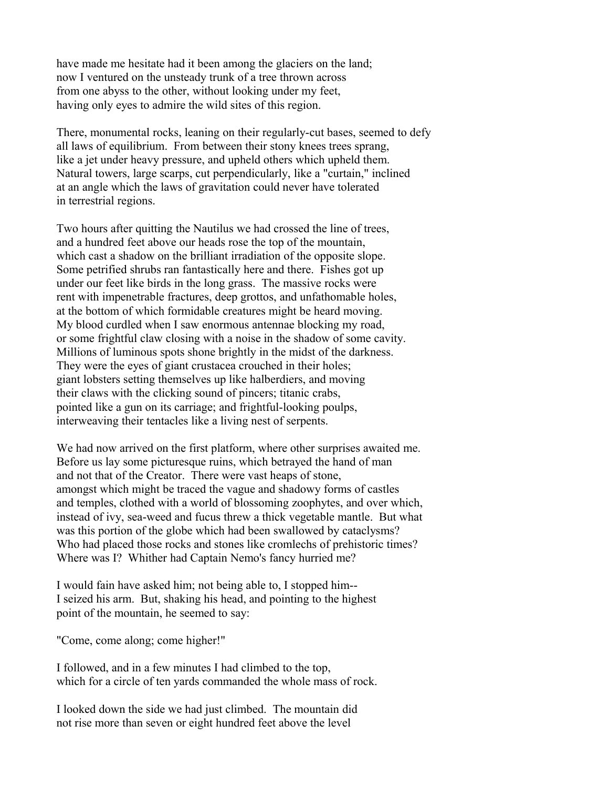have made me hesitate had it been among the glaciers on the land; now I ventured on the unsteady trunk of a tree thrown across from one abyss to the other, without looking under my feet, having only eyes to admire the wild sites of this region.

There, monumental rocks, leaning on their regularly-cut bases, seemed to defy all laws of equilibrium. From between their stony knees trees sprang, like a jet under heavy pressure, and upheld others which upheld them. Natural towers, large scarps, cut perpendicularly, like a "curtain," inclined at an angle which the laws of gravitation could never have tolerated in terrestrial regions.

Two hours after quitting the Nautilus we had crossed the line of trees, and a hundred feet above our heads rose the top of the mountain, which cast a shadow on the brilliant irradiation of the opposite slope. Some petrified shrubs ran fantastically here and there. Fishes got up under our feet like birds in the long grass. The massive rocks were rent with impenetrable fractures, deep grottos, and unfathomable holes, at the bottom of which formidable creatures might be heard moving. My blood curdled when I saw enormous antennae blocking my road, or some frightful claw closing with a noise in the shadow of some cavity. Millions of luminous spots shone brightly in the midst of the darkness. They were the eyes of giant crustacea crouched in their holes; giant lobsters setting themselves up like halberdiers, and moving their claws with the clicking sound of pincers; titanic crabs, pointed like a gun on its carriage; and frightful-looking poulps, interweaving their tentacles like a living nest of serpents.

We had now arrived on the first platform, where other surprises awaited me. Before us lay some picturesque ruins, which betrayed the hand of man and not that of the Creator. There were vast heaps of stone, amongst which might be traced the vague and shadowy forms of castles and temples, clothed with a world of blossoming zoophytes, and over which, instead of ivy, sea-weed and fucus threw a thick vegetable mantle. But what was this portion of the globe which had been swallowed by cataclysms? Who had placed those rocks and stones like cromlechs of prehistoric times? Where was I? Whither had Captain Nemo's fancy hurried me?

I would fain have asked him; not being able to, I stopped him-- I seized his arm. But, shaking his head, and pointing to the highest point of the mountain, he seemed to say:

"Come, come along; come higher!"

I followed, and in a few minutes I had climbed to the top, which for a circle of ten yards commanded the whole mass of rock.

I looked down the side we had just climbed. The mountain did not rise more than seven or eight hundred feet above the level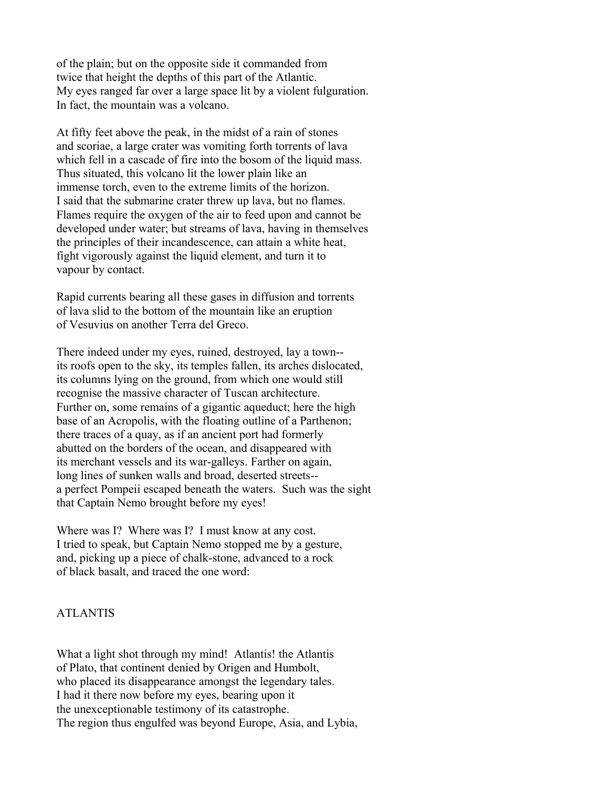of the plain; but on the opposite side it commanded from twice that height the depths of this part of the Atlantic. My eyes ranged far over a large space lit by a violent fulguration. In fact, the mountain was a volcano.

At fifty feet above the peak, in the midst of a rain of stones and scoriae, a large crater was vomiting forth torrents of lava which fell in a cascade of fire into the bosom of the liquid mass. Thus situated, this volcano lit the lower plain like an immense torch, even to the extreme limits of the horizon. I said that the submarine crater threw up lava, but no flames. Flames require the oxygen of the air to feed upon and cannot be developed under water; but streams of lava, having in themselves the principles of their incandescence, can attain a white heat, fight vigorously against the liquid element, and turn it to vapour by contact.

Rapid currents bearing all these gases in diffusion and torrents of lava slid to the bottom of the mountain like an eruption of Vesuvius on another Terra del Greco.

There indeed under my eyes, ruined, destroyed, lay a town- its roofs open to the sky, its temples fallen, its arches dislocated, its columns lying on the ground, from which one would still recognise the massive character of Tuscan architecture. Further on, some remains of a gigantic aqueduct; here the high base of an Acropolis, with the floating outline of a Parthenon; there traces of a quay, as if an ancient port had formerly abutted on the borders of the ocean, and disappeared with its merchant vessels and its war-galleys. Farther on again, long lines of sunken walls and broad, deserted streets- a perfect Pompeii escaped beneath the waters. Such was the sight that Captain Nemo brought before my eyes!

Where was I? Where was I? I must know at any cost. I tried to speak, but Captain Nemo stopped me by a gesture, and, picking up a piece of chalk-stone, advanced to a rock of black basalt, and traced the one word:

## ATLANTIS

What a light shot through my mind! Atlantis! the Atlantis of Plato, that continent denied by Origen and Humbolt, who placed its disappearance amongst the legendary tales. I had it there now before my eyes, bearing upon it the unexceptionable testimony of its catastrophe. The region thus engulfed was beyond Europe, Asia, and Lybia,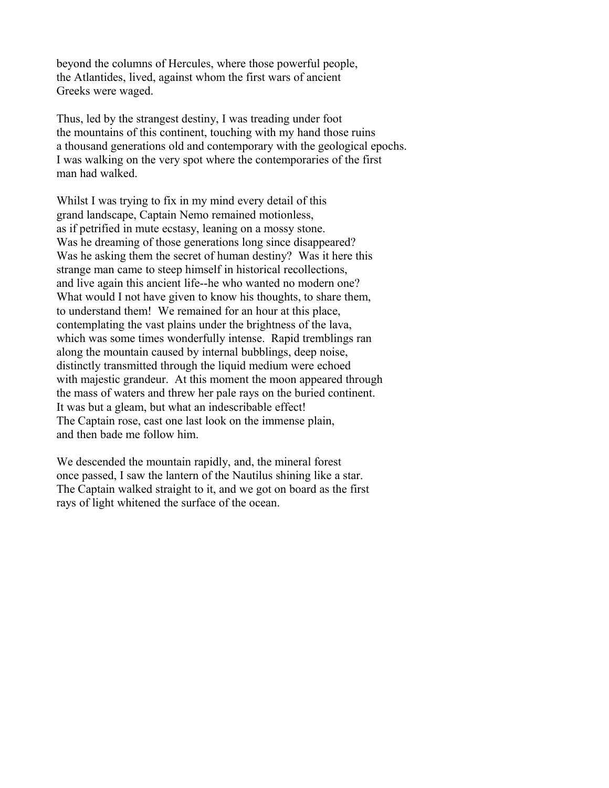beyond the columns of Hercules, where those powerful people, the Atlantides, lived, against whom the first wars of ancient Greeks were waged.

Thus, led by the strangest destiny, I was treading under foot the mountains of this continent, touching with my hand those ruins a thousand generations old and contemporary with the geological epochs. I was walking on the very spot where the contemporaries of the first man had walked.

Whilst I was trying to fix in my mind every detail of this grand landscape, Captain Nemo remained motionless, as if petrified in mute ecstasy, leaning on a mossy stone. Was he dreaming of those generations long since disappeared? Was he asking them the secret of human destiny? Was it here this strange man came to steep himself in historical recollections, and live again this ancient life--he who wanted no modern one? What would I not have given to know his thoughts, to share them, to understand them! We remained for an hour at this place, contemplating the vast plains under the brightness of the lava, which was some times wonderfully intense. Rapid tremblings ran along the mountain caused by internal bubblings, deep noise, distinctly transmitted through the liquid medium were echoed with majestic grandeur. At this moment the moon appeared through the mass of waters and threw her pale rays on the buried continent. It was but a gleam, but what an indescribable effect! The Captain rose, cast one last look on the immense plain, and then bade me follow him.

We descended the mountain rapidly, and, the mineral forest once passed, I saw the lantern of the Nautilus shining like a star. The Captain walked straight to it, and we got on board as the first rays of light whitened the surface of the ocean.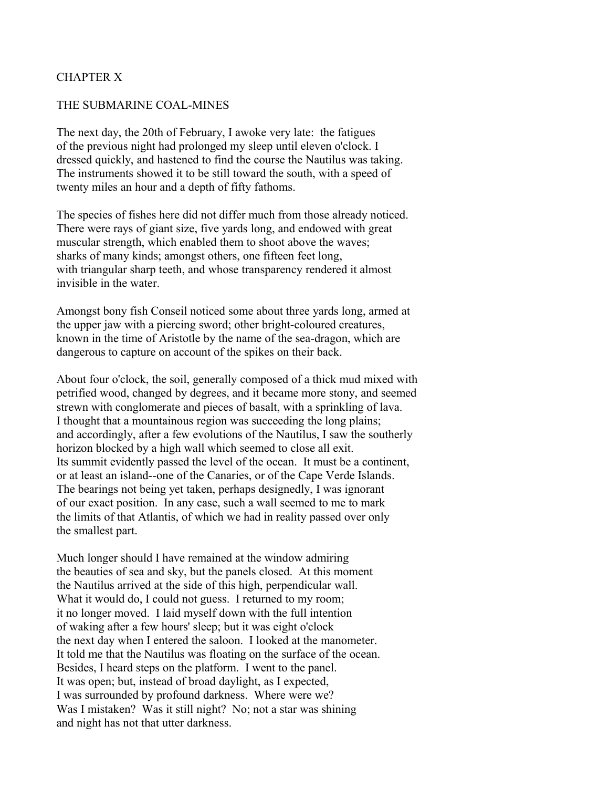## CHAPTER X

#### THE SUBMARINE COAL-MINES

The next day, the 20th of February, I awoke very late: the fatigues of the previous night had prolonged my sleep until eleven o'clock. I dressed quickly, and hastened to find the course the Nautilus was taking. The instruments showed it to be still toward the south, with a speed of twenty miles an hour and a depth of fifty fathoms.

The species of fishes here did not differ much from those already noticed. There were rays of giant size, five yards long, and endowed with great muscular strength, which enabled them to shoot above the waves; sharks of many kinds; amongst others, one fifteen feet long, with triangular sharp teeth, and whose transparency rendered it almost invisible in the water.

Amongst bony fish Conseil noticed some about three yards long, armed at the upper jaw with a piercing sword; other bright-coloured creatures, known in the time of Aristotle by the name of the sea-dragon, which are dangerous to capture on account of the spikes on their back.

About four o'clock, the soil, generally composed of a thick mud mixed with petrified wood, changed by degrees, and it became more stony, and seemed strewn with conglomerate and pieces of basalt, with a sprinkling of lava. I thought that a mountainous region was succeeding the long plains; and accordingly, after a few evolutions of the Nautilus, I saw the southerly horizon blocked by a high wall which seemed to close all exit. Its summit evidently passed the level of the ocean. It must be a continent, or at least an island--one of the Canaries, or of the Cape Verde Islands. The bearings not being yet taken, perhaps designedly, I was ignorant of our exact position. In any case, such a wall seemed to me to mark the limits of that Atlantis, of which we had in reality passed over only the smallest part.

Much longer should I have remained at the window admiring the beauties of sea and sky, but the panels closed. At this moment the Nautilus arrived at the side of this high, perpendicular wall. What it would do, I could not guess. I returned to my room; it no longer moved. I laid myself down with the full intention of waking after a few hours' sleep; but it was eight o'clock the next day when I entered the saloon. I looked at the manometer. It told me that the Nautilus was floating on the surface of the ocean. Besides, I heard steps on the platform. I went to the panel. It was open; but, instead of broad daylight, as I expected, I was surrounded by profound darkness. Where were we? Was I mistaken? Was it still night? No; not a star was shining and night has not that utter darkness.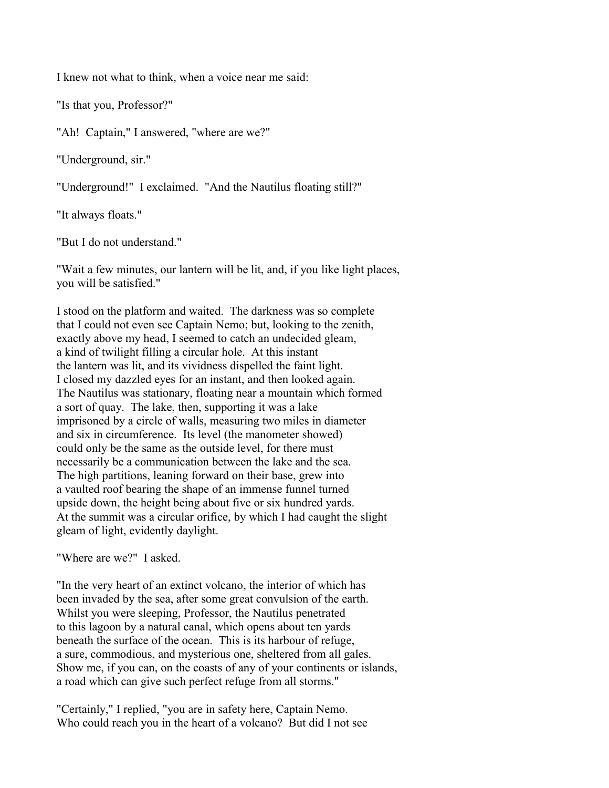I knew not what to think, when a voice near me said:

"Is that you, Professor?"

"Ah! Captain," I answered, "where are we?"

"Underground, sir."

"Underground!" I exclaimed. "And the Nautilus floating still?"

"It always floats."

"But I do not understand."

"Wait a few minutes, our lantern will be lit, and, if you like light places, you will be satisfied."

I stood on the platform and waited. The darkness was so complete that I could not even see Captain Nemo; but, looking to the zenith, exactly above my head, I seemed to catch an undecided gleam, a kind of twilight filling a circular hole. At this instant the lantern was lit, and its vividness dispelled the faint light. I closed my dazzled eyes for an instant, and then looked again. The Nautilus was stationary, floating near a mountain which formed a sort of quay. The lake, then, supporting it was a lake imprisoned by a circle of walls, measuring two miles in diameter and six in circumference. Its level (the manometer showed) could only be the same as the outside level, for there must necessarily be a communication between the lake and the sea. The high partitions, leaning forward on their base, grew into a vaulted roof bearing the shape of an immense funnel turned upside down, the height being about five or six hundred yards. At the summit was a circular orifice, by which I had caught the slight gleam of light, evidently daylight.

"Where are we?" I asked.

"In the very heart of an extinct volcano, the interior of which has been invaded by the sea, after some great convulsion of the earth. Whilst you were sleeping, Professor, the Nautilus penetrated to this lagoon by a natural canal, which opens about ten yards beneath the surface of the ocean. This is its harbour of refuge, a sure, commodious, and mysterious one, sheltered from all gales. Show me, if you can, on the coasts of any of your continents or islands, a road which can give such perfect refuge from all storms."

"Certainly," I replied, "you are in safety here, Captain Nemo. Who could reach you in the heart of a volcano? But did I not see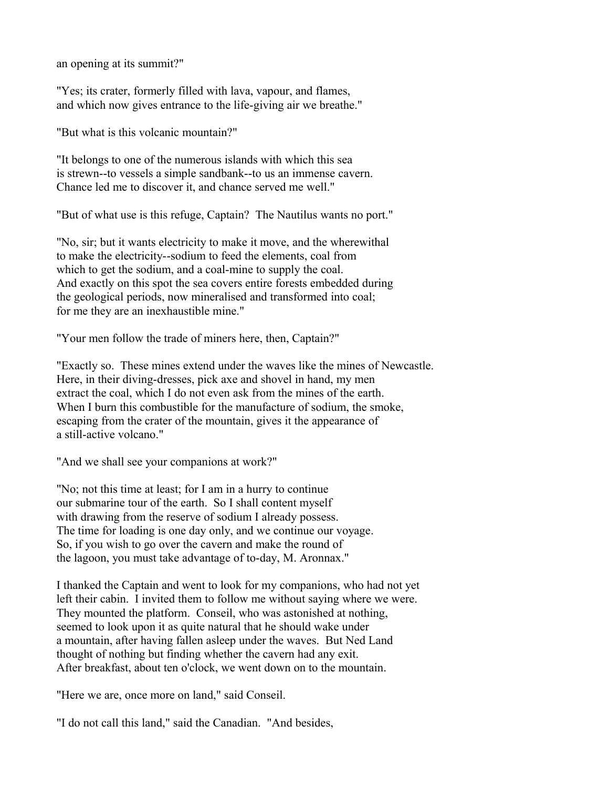an opening at its summit?"

"Yes; its crater, formerly filled with lava, vapour, and flames, and which now gives entrance to the life-giving air we breathe."

"But what is this volcanic mountain?"

"It belongs to one of the numerous islands with which this sea is strewn--to vessels a simple sandbank--to us an immense cavern. Chance led me to discover it, and chance served me well."

"But of what use is this refuge, Captain? The Nautilus wants no port."

"No, sir; but it wants electricity to make it move, and the wherewithal to make the electricity--sodium to feed the elements, coal from which to get the sodium, and a coal-mine to supply the coal. And exactly on this spot the sea covers entire forests embedded during the geological periods, now mineralised and transformed into coal; for me they are an inexhaustible mine."

"Your men follow the trade of miners here, then, Captain?"

"Exactly so. These mines extend under the waves like the mines of Newcastle. Here, in their diving-dresses, pick axe and shovel in hand, my men extract the coal, which I do not even ask from the mines of the earth. When I burn this combustible for the manufacture of sodium, the smoke, escaping from the crater of the mountain, gives it the appearance of a still-active volcano."

"And we shall see your companions at work?"

"No; not this time at least; for I am in a hurry to continue our submarine tour of the earth. So I shall content myself with drawing from the reserve of sodium I already possess. The time for loading is one day only, and we continue our voyage. So, if you wish to go over the cavern and make the round of the lagoon, you must take advantage of to-day, M. Aronnax."

I thanked the Captain and went to look for my companions, who had not yet left their cabin. I invited them to follow me without saying where we were. They mounted the platform. Conseil, who was astonished at nothing, seemed to look upon it as quite natural that he should wake under a mountain, after having fallen asleep under the waves. But Ned Land thought of nothing but finding whether the cavern had any exit. After breakfast, about ten o'clock, we went down on to the mountain.

"Here we are, once more on land," said Conseil.

"I do not call this land," said the Canadian. "And besides,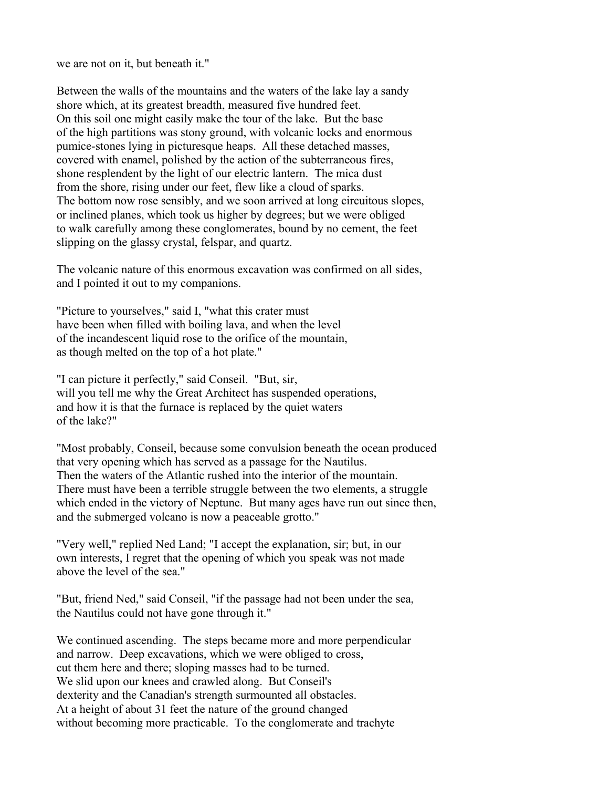we are not on it, but beneath it."

Between the walls of the mountains and the waters of the lake lay a sandy shore which, at its greatest breadth, measured five hundred feet. On this soil one might easily make the tour of the lake. But the base of the high partitions was stony ground, with volcanic locks and enormous pumice-stones lying in picturesque heaps. All these detached masses, covered with enamel, polished by the action of the subterraneous fires, shone resplendent by the light of our electric lantern. The mica dust from the shore, rising under our feet, flew like a cloud of sparks. The bottom now rose sensibly, and we soon arrived at long circuitous slopes, or inclined planes, which took us higher by degrees; but we were obliged to walk carefully among these conglomerates, bound by no cement, the feet slipping on the glassy crystal, felspar, and quartz.

The volcanic nature of this enormous excavation was confirmed on all sides, and I pointed it out to my companions.

"Picture to yourselves," said I, "what this crater must have been when filled with boiling lava, and when the level of the incandescent liquid rose to the orifice of the mountain, as though melted on the top of a hot plate."

"I can picture it perfectly," said Conseil. "But, sir, will you tell me why the Great Architect has suspended operations, and how it is that the furnace is replaced by the quiet waters of the lake?"

"Most probably, Conseil, because some convulsion beneath the ocean produced that very opening which has served as a passage for the Nautilus. Then the waters of the Atlantic rushed into the interior of the mountain. There must have been a terrible struggle between the two elements, a struggle which ended in the victory of Neptune. But many ages have run out since then, and the submerged volcano is now a peaceable grotto."

"Very well," replied Ned Land; "I accept the explanation, sir; but, in our own interests, I regret that the opening of which you speak was not made above the level of the sea."

"But, friend Ned," said Conseil, "if the passage had not been under the sea, the Nautilus could not have gone through it."

We continued ascending. The steps became more and more perpendicular and narrow. Deep excavations, which we were obliged to cross, cut them here and there; sloping masses had to be turned. We slid upon our knees and crawled along. But Conseil's dexterity and the Canadian's strength surmounted all obstacles. At a height of about 31 feet the nature of the ground changed without becoming more practicable. To the conglomerate and trachyte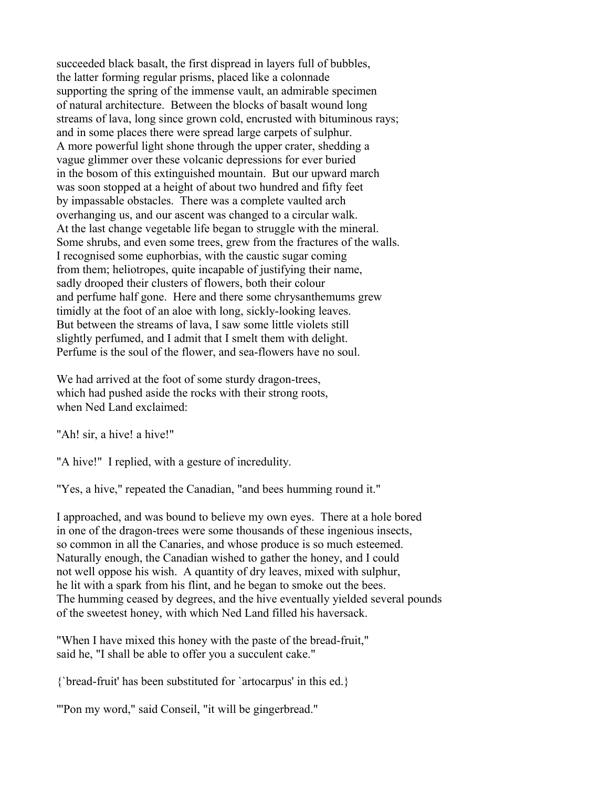succeeded black basalt, the first dispread in layers full of bubbles, the latter forming regular prisms, placed like a colonnade supporting the spring of the immense vault, an admirable specimen of natural architecture. Between the blocks of basalt wound long streams of lava, long since grown cold, encrusted with bituminous rays; and in some places there were spread large carpets of sulphur. A more powerful light shone through the upper crater, shedding a vague glimmer over these volcanic depressions for ever buried in the bosom of this extinguished mountain. But our upward march was soon stopped at a height of about two hundred and fifty feet by impassable obstacles. There was a complete vaulted arch overhanging us, and our ascent was changed to a circular walk. At the last change vegetable life began to struggle with the mineral. Some shrubs, and even some trees, grew from the fractures of the walls. I recognised some euphorbias, with the caustic sugar coming from them; heliotropes, quite incapable of justifying their name, sadly drooped their clusters of flowers, both their colour and perfume half gone. Here and there some chrysanthemums grew timidly at the foot of an aloe with long, sickly-looking leaves. But between the streams of lava, I saw some little violets still slightly perfumed, and I admit that I smelt them with delight. Perfume is the soul of the flower, and sea-flowers have no soul.

We had arrived at the foot of some sturdy dragon-trees, which had pushed aside the rocks with their strong roots, when Ned Land exclaimed:

"Ah! sir, a hive! a hive!"

"A hive!" I replied, with a gesture of incredulity.

"Yes, a hive," repeated the Canadian, "and bees humming round it."

I approached, and was bound to believe my own eyes. There at a hole bored in one of the dragon-trees were some thousands of these ingenious insects, so common in all the Canaries, and whose produce is so much esteemed. Naturally enough, the Canadian wished to gather the honey, and I could not well oppose his wish. A quantity of dry leaves, mixed with sulphur, he lit with a spark from his flint, and he began to smoke out the bees. The humming ceased by degrees, and the hive eventually yielded several pounds of the sweetest honey, with which Ned Land filled his haversack.

"When I have mixed this honey with the paste of the bread-fruit," said he, "I shall be able to offer you a succulent cake."

{`bread-fruit' has been substituted for `artocarpus' in this ed.}

"'Pon my word," said Conseil, "it will be gingerbread."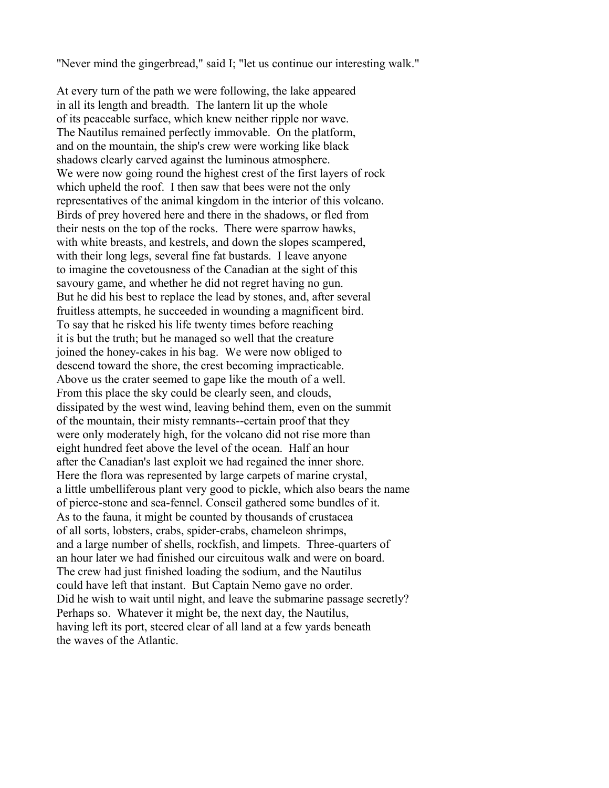"Never mind the gingerbread," said I; "let us continue our interesting walk."

At every turn of the path we were following, the lake appeared in all its length and breadth. The lantern lit up the whole of its peaceable surface, which knew neither ripple nor wave. The Nautilus remained perfectly immovable. On the platform, and on the mountain, the ship's crew were working like black shadows clearly carved against the luminous atmosphere. We were now going round the highest crest of the first layers of rock which upheld the roof. I then saw that bees were not the only representatives of the animal kingdom in the interior of this volcano. Birds of prey hovered here and there in the shadows, or fled from their nests on the top of the rocks. There were sparrow hawks, with white breasts, and kestrels, and down the slopes scampered, with their long legs, several fine fat bustards. I leave anyone to imagine the covetousness of the Canadian at the sight of this savoury game, and whether he did not regret having no gun. But he did his best to replace the lead by stones, and, after several fruitless attempts, he succeeded in wounding a magnificent bird. To say that he risked his life twenty times before reaching it is but the truth; but he managed so well that the creature joined the honey-cakes in his bag. We were now obliged to descend toward the shore, the crest becoming impracticable. Above us the crater seemed to gape like the mouth of a well. From this place the sky could be clearly seen, and clouds, dissipated by the west wind, leaving behind them, even on the summit of the mountain, their misty remnants--certain proof that they were only moderately high, for the volcano did not rise more than eight hundred feet above the level of the ocean. Half an hour after the Canadian's last exploit we had regained the inner shore. Here the flora was represented by large carpets of marine crystal, a little umbelliferous plant very good to pickle, which also bears the name of pierce-stone and sea-fennel. Conseil gathered some bundles of it. As to the fauna, it might be counted by thousands of crustacea of all sorts, lobsters, crabs, spider-crabs, chameleon shrimps, and a large number of shells, rockfish, and limpets. Three-quarters of an hour later we had finished our circuitous walk and were on board. The crew had just finished loading the sodium, and the Nautilus could have left that instant. But Captain Nemo gave no order. Did he wish to wait until night, and leave the submarine passage secretly? Perhaps so. Whatever it might be, the next day, the Nautilus, having left its port, steered clear of all land at a few yards beneath the waves of the Atlantic.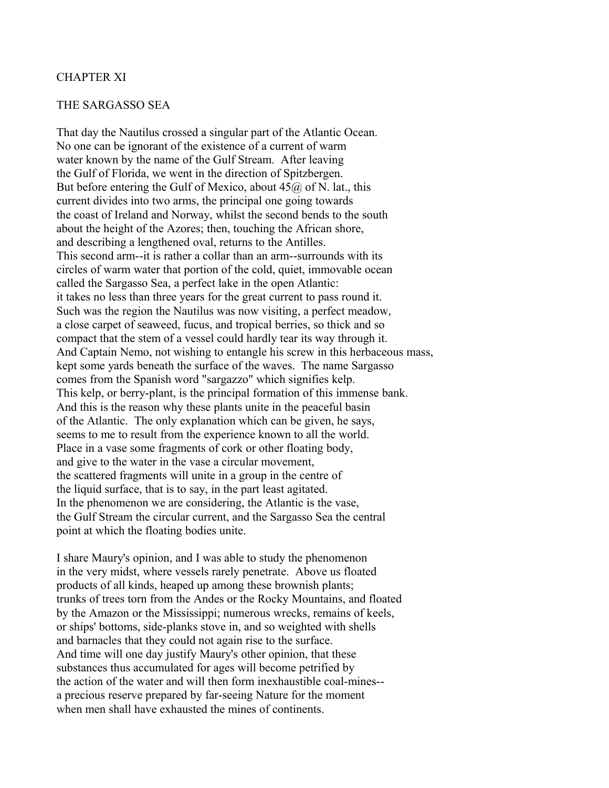### CHAPTER XI

#### THE SARGASSO SEA

That day the Nautilus crossed a singular part of the Atlantic Ocean. No one can be ignorant of the existence of a current of warm water known by the name of the Gulf Stream. After leaving the Gulf of Florida, we went in the direction of Spitzbergen. But before entering the Gulf of Mexico, about  $45\omega$  of N. lat., this current divides into two arms, the principal one going towards the coast of Ireland and Norway, whilst the second bends to the south about the height of the Azores; then, touching the African shore, and describing a lengthened oval, returns to the Antilles. This second arm--it is rather a collar than an arm--surrounds with its circles of warm water that portion of the cold, quiet, immovable ocean called the Sargasso Sea, a perfect lake in the open Atlantic: it takes no less than three years for the great current to pass round it. Such was the region the Nautilus was now visiting, a perfect meadow, a close carpet of seaweed, fucus, and tropical berries, so thick and so compact that the stem of a vessel could hardly tear its way through it. And Captain Nemo, not wishing to entangle his screw in this herbaceous mass, kept some yards beneath the surface of the waves. The name Sargasso comes from the Spanish word "sargazzo" which signifies kelp. This kelp, or berry-plant, is the principal formation of this immense bank. And this is the reason why these plants unite in the peaceful basin of the Atlantic. The only explanation which can be given, he says, seems to me to result from the experience known to all the world. Place in a vase some fragments of cork or other floating body, and give to the water in the vase a circular movement, the scattered fragments will unite in a group in the centre of the liquid surface, that is to say, in the part least agitated. In the phenomenon we are considering, the Atlantic is the vase, the Gulf Stream the circular current, and the Sargasso Sea the central point at which the floating bodies unite.

I share Maury's opinion, and I was able to study the phenomenon in the very midst, where vessels rarely penetrate. Above us floated products of all kinds, heaped up among these brownish plants; trunks of trees torn from the Andes or the Rocky Mountains, and floated by the Amazon or the Mississippi; numerous wrecks, remains of keels, or ships' bottoms, side-planks stove in, and so weighted with shells and barnacles that they could not again rise to the surface. And time will one day justify Maury's other opinion, that these substances thus accumulated for ages will become petrified by the action of the water and will then form inexhaustible coal-mines- a precious reserve prepared by far-seeing Nature for the moment when men shall have exhausted the mines of continents.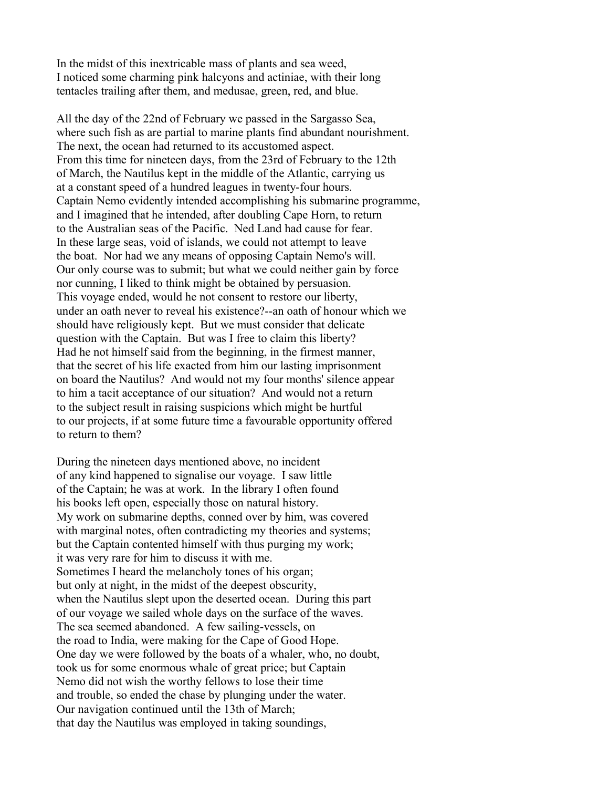In the midst of this inextricable mass of plants and sea weed, I noticed some charming pink halcyons and actiniae, with their long tentacles trailing after them, and medusae, green, red, and blue.

All the day of the 22nd of February we passed in the Sargasso Sea, where such fish as are partial to marine plants find abundant nourishment. The next, the ocean had returned to its accustomed aspect. From this time for nineteen days, from the 23rd of February to the 12th of March, the Nautilus kept in the middle of the Atlantic, carrying us at a constant speed of a hundred leagues in twenty-four hours. Captain Nemo evidently intended accomplishing his submarine programme, and I imagined that he intended, after doubling Cape Horn, to return to the Australian seas of the Pacific. Ned Land had cause for fear. In these large seas, void of islands, we could not attempt to leave the boat. Nor had we any means of opposing Captain Nemo's will. Our only course was to submit; but what we could neither gain by force nor cunning, I liked to think might be obtained by persuasion. This voyage ended, would he not consent to restore our liberty, under an oath never to reveal his existence?--an oath of honour which we should have religiously kept. But we must consider that delicate question with the Captain. But was I free to claim this liberty? Had he not himself said from the beginning, in the firmest manner, that the secret of his life exacted from him our lasting imprisonment on board the Nautilus? And would not my four months' silence appear to him a tacit acceptance of our situation? And would not a return to the subject result in raising suspicions which might be hurtful to our projects, if at some future time a favourable opportunity offered to return to them?

During the nineteen days mentioned above, no incident of any kind happened to signalise our voyage. I saw little of the Captain; he was at work. In the library I often found his books left open, especially those on natural history. My work on submarine depths, conned over by him, was covered with marginal notes, often contradicting my theories and systems; but the Captain contented himself with thus purging my work; it was very rare for him to discuss it with me. Sometimes I heard the melancholy tones of his organ; but only at night, in the midst of the deepest obscurity, when the Nautilus slept upon the deserted ocean. During this part of our voyage we sailed whole days on the surface of the waves. The sea seemed abandoned. A few sailing-vessels, on the road to India, were making for the Cape of Good Hope. One day we were followed by the boats of a whaler, who, no doubt, took us for some enormous whale of great price; but Captain Nemo did not wish the worthy fellows to lose their time and trouble, so ended the chase by plunging under the water. Our navigation continued until the 13th of March; that day the Nautilus was employed in taking soundings,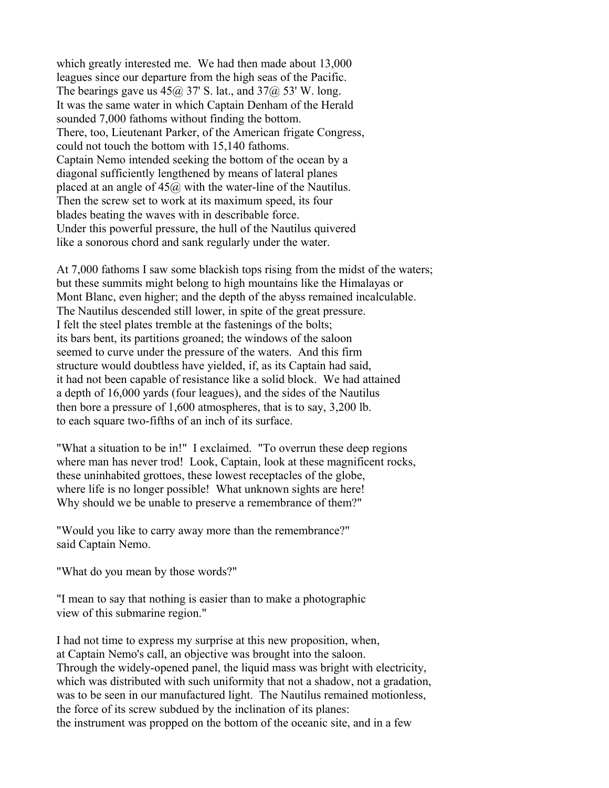which greatly interested me. We had then made about 13,000 leagues since our departure from the high seas of the Pacific. The bearings gave us  $45\omega$  37' S. lat., and  $37\omega$  53' W. long. It was the same water in which Captain Denham of the Herald sounded 7,000 fathoms without finding the bottom. There, too, Lieutenant Parker, of the American frigate Congress, could not touch the bottom with 15,140 fathoms. Captain Nemo intended seeking the bottom of the ocean by a diagonal sufficiently lengthened by means of lateral planes placed at an angle of  $45\omega$  with the water-line of the Nautilus. Then the screw set to work at its maximum speed, its four blades beating the waves with in describable force. Under this powerful pressure, the hull of the Nautilus quivered like a sonorous chord and sank regularly under the water.

At 7,000 fathoms I saw some blackish tops rising from the midst of the waters; but these summits might belong to high mountains like the Himalayas or Mont Blanc, even higher; and the depth of the abyss remained incalculable. The Nautilus descended still lower, in spite of the great pressure. I felt the steel plates tremble at the fastenings of the bolts; its bars bent, its partitions groaned; the windows of the saloon seemed to curve under the pressure of the waters. And this firm structure would doubtless have yielded, if, as its Captain had said, it had not been capable of resistance like a solid block. We had attained a depth of 16,000 yards (four leagues), and the sides of the Nautilus then bore a pressure of 1,600 atmospheres, that is to say, 3,200 lb. to each square two-fifths of an inch of its surface.

"What a situation to be in!" I exclaimed. "To overrun these deep regions where man has never trod! Look, Captain, look at these magnificent rocks, these uninhabited grottoes, these lowest receptacles of the globe, where life is no longer possible! What unknown sights are here! Why should we be unable to preserve a remembrance of them?"

"Would you like to carry away more than the remembrance?" said Captain Nemo.

"What do you mean by those words?"

"I mean to say that nothing is easier than to make a photographic view of this submarine region."

I had not time to express my surprise at this new proposition, when, at Captain Nemo's call, an objective was brought into the saloon. Through the widely-opened panel, the liquid mass was bright with electricity, which was distributed with such uniformity that not a shadow, not a gradation, was to be seen in our manufactured light. The Nautilus remained motionless, the force of its screw subdued by the inclination of its planes: the instrument was propped on the bottom of the oceanic site, and in a few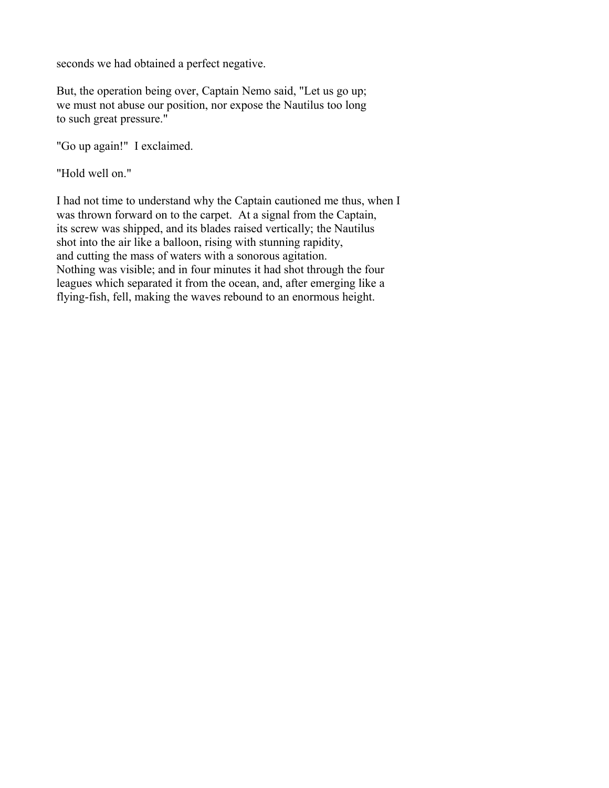seconds we had obtained a perfect negative.

But, the operation being over, Captain Nemo said, "Let us go up; we must not abuse our position, nor expose the Nautilus too long to such great pressure."

"Go up again!" I exclaimed.

"Hold well on."

I had not time to understand why the Captain cautioned me thus, when I was thrown forward on to the carpet. At a signal from the Captain, its screw was shipped, and its blades raised vertically; the Nautilus shot into the air like a balloon, rising with stunning rapidity, and cutting the mass of waters with a sonorous agitation. Nothing was visible; and in four minutes it had shot through the four leagues which separated it from the ocean, and, after emerging like a flying-fish, fell, making the waves rebound to an enormous height.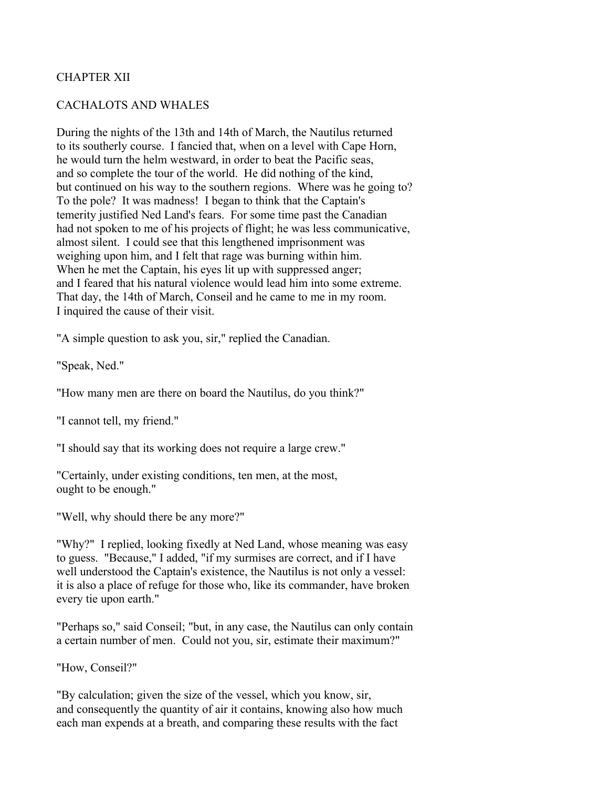# CHAPTER XII

#### CACHALOTS AND WHALES

During the nights of the 13th and 14th of March, the Nautilus returned to its southerly course. I fancied that, when on a level with Cape Horn, he would turn the helm westward, in order to beat the Pacific seas, and so complete the tour of the world. He did nothing of the kind, but continued on his way to the southern regions. Where was he going to? To the pole? It was madness! I began to think that the Captain's temerity justified Ned Land's fears. For some time past the Canadian had not spoken to me of his projects of flight; he was less communicative, almost silent. I could see that this lengthened imprisonment was weighing upon him, and I felt that rage was burning within him. When he met the Captain, his eyes lit up with suppressed anger; and I feared that his natural violence would lead him into some extreme. That day, the 14th of March, Conseil and he came to me in my room. I inquired the cause of their visit.

"A simple question to ask you, sir," replied the Canadian.

"Speak, Ned."

"How many men are there on board the Nautilus, do you think?"

"I cannot tell, my friend."

"I should say that its working does not require a large crew."

"Certainly, under existing conditions, ten men, at the most, ought to be enough."

"Well, why should there be any more?"

"Why?" I replied, looking fixedly at Ned Land, whose meaning was easy to guess. "Because," I added, "if my surmises are correct, and if I have well understood the Captain's existence, the Nautilus is not only a vessel: it is also a place of refuge for those who, like its commander, have broken every tie upon earth."

"Perhaps so," said Conseil; "but, in any case, the Nautilus can only contain a certain number of men. Could not you, sir, estimate their maximum?"

"How, Conseil?"

"By calculation; given the size of the vessel, which you know, sir, and consequently the quantity of air it contains, knowing also how much each man expends at a breath, and comparing these results with the fact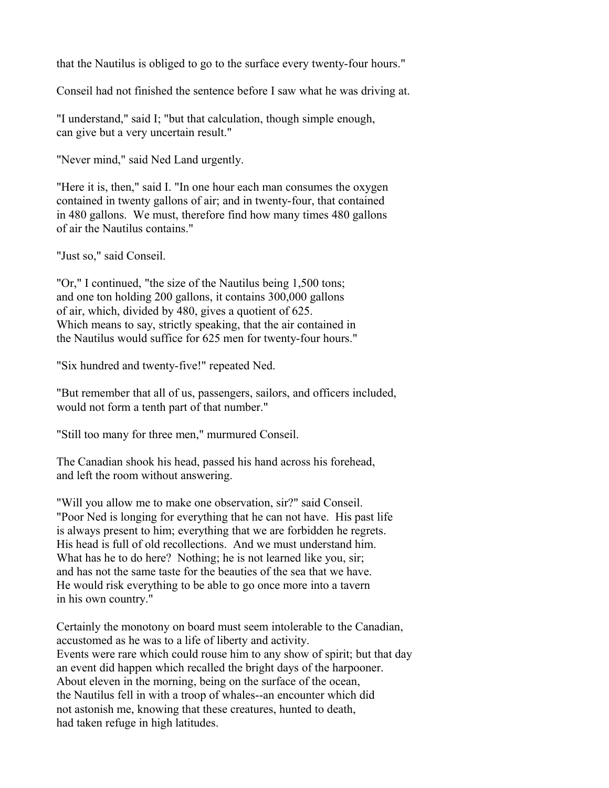that the Nautilus is obliged to go to the surface every twenty-four hours."

Conseil had not finished the sentence before I saw what he was driving at.

"I understand," said I; "but that calculation, though simple enough, can give but a very uncertain result."

"Never mind," said Ned Land urgently.

"Here it is, then," said I. "In one hour each man consumes the oxygen contained in twenty gallons of air; and in twenty-four, that contained in 480 gallons. We must, therefore find how many times 480 gallons of air the Nautilus contains."

"Just so," said Conseil.

"Or," I continued, "the size of the Nautilus being 1,500 tons; and one ton holding 200 gallons, it contains 300,000 gallons of air, which, divided by 480, gives a quotient of 625. Which means to say, strictly speaking, that the air contained in the Nautilus would suffice for 625 men for twenty-four hours."

"Six hundred and twenty-five!" repeated Ned.

"But remember that all of us, passengers, sailors, and officers included, would not form a tenth part of that number."

"Still too many for three men," murmured Conseil.

The Canadian shook his head, passed his hand across his forehead, and left the room without answering.

"Will you allow me to make one observation, sir?" said Conseil. "Poor Ned is longing for everything that he can not have. His past life is always present to him; everything that we are forbidden he regrets. His head is full of old recollections. And we must understand him. What has he to do here? Nothing; he is not learned like you, sir; and has not the same taste for the beauties of the sea that we have. He would risk everything to be able to go once more into a tavern in his own country."

Certainly the monotony on board must seem intolerable to the Canadian, accustomed as he was to a life of liberty and activity. Events were rare which could rouse him to any show of spirit; but that day an event did happen which recalled the bright days of the harpooner. About eleven in the morning, being on the surface of the ocean, the Nautilus fell in with a troop of whales--an encounter which did not astonish me, knowing that these creatures, hunted to death, had taken refuge in high latitudes.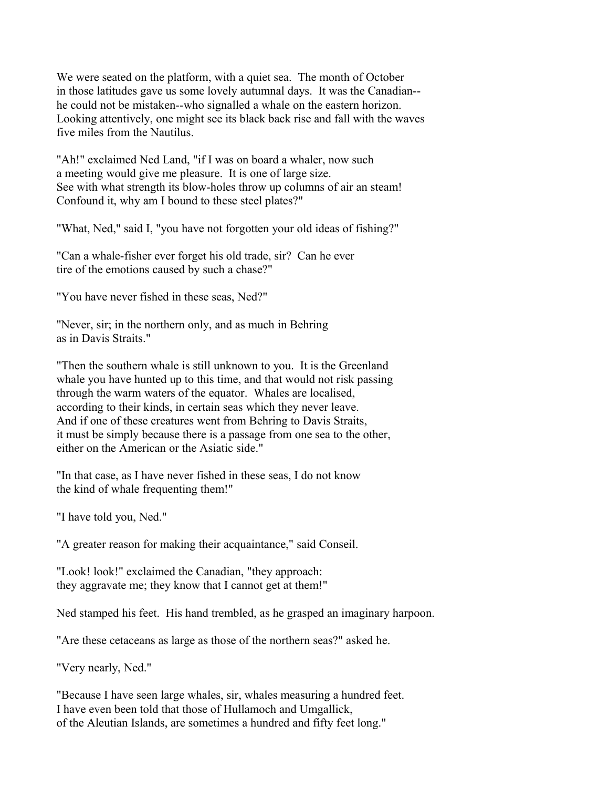We were seated on the platform, with a quiet sea. The month of October in those latitudes gave us some lovely autumnal days. It was the Canadian- he could not be mistaken--who signalled a whale on the eastern horizon. Looking attentively, one might see its black back rise and fall with the waves five miles from the Nautilus.

"Ah!" exclaimed Ned Land, "if I was on board a whaler, now such a meeting would give me pleasure. It is one of large size. See with what strength its blow-holes throw up columns of air an steam! Confound it, why am I bound to these steel plates?"

"What, Ned," said I, "you have not forgotten your old ideas of fishing?"

"Can a whale-fisher ever forget his old trade, sir? Can he ever tire of the emotions caused by such a chase?"

"You have never fished in these seas, Ned?"

"Never, sir; in the northern only, and as much in Behring as in Davis Straits."

"Then the southern whale is still unknown to you. It is the Greenland whale you have hunted up to this time, and that would not risk passing through the warm waters of the equator. Whales are localised, according to their kinds, in certain seas which they never leave. And if one of these creatures went from Behring to Davis Straits, it must be simply because there is a passage from one sea to the other, either on the American or the Asiatic side."

"In that case, as I have never fished in these seas, I do not know the kind of whale frequenting them!"

"I have told you, Ned."

"A greater reason for making their acquaintance," said Conseil.

"Look! look!" exclaimed the Canadian, "they approach: they aggravate me; they know that I cannot get at them!"

Ned stamped his feet. His hand trembled, as he grasped an imaginary harpoon.

"Are these cetaceans as large as those of the northern seas?" asked he.

"Very nearly, Ned."

"Because I have seen large whales, sir, whales measuring a hundred feet. I have even been told that those of Hullamoch and Umgallick, of the Aleutian Islands, are sometimes a hundred and fifty feet long."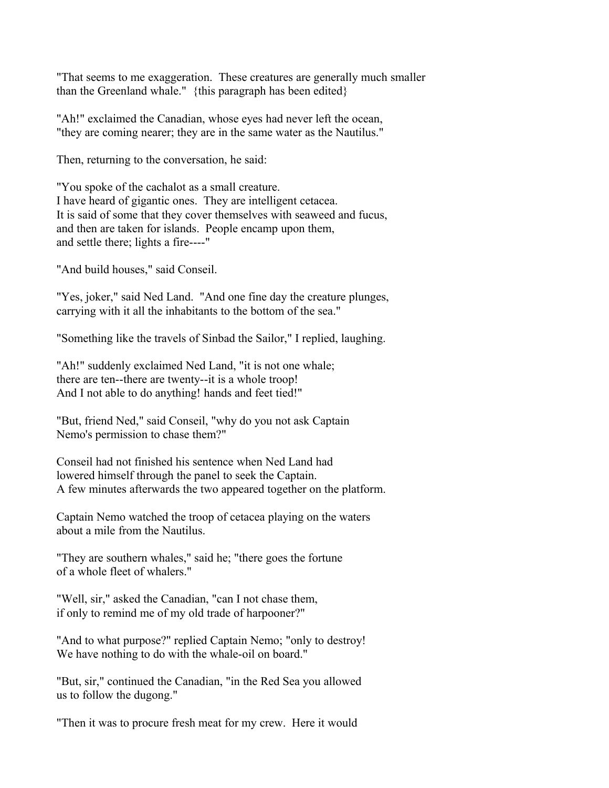"That seems to me exaggeration. These creatures are generally much smaller than the Greenland whale." {this paragraph has been edited}

"Ah!" exclaimed the Canadian, whose eyes had never left the ocean, "they are coming nearer; they are in the same water as the Nautilus."

Then, returning to the conversation, he said:

"You spoke of the cachalot as a small creature. I have heard of gigantic ones. They are intelligent cetacea. It is said of some that they cover themselves with seaweed and fucus, and then are taken for islands. People encamp upon them, and settle there; lights a fire----"

"And build houses," said Conseil.

"Yes, joker," said Ned Land. "And one fine day the creature plunges, carrying with it all the inhabitants to the bottom of the sea."

"Something like the travels of Sinbad the Sailor," I replied, laughing.

"Ah!" suddenly exclaimed Ned Land, "it is not one whale; there are ten--there are twenty--it is a whole troop! And I not able to do anything! hands and feet tied!"

"But, friend Ned," said Conseil, "why do you not ask Captain Nemo's permission to chase them?"

Conseil had not finished his sentence when Ned Land had lowered himself through the panel to seek the Captain. A few minutes afterwards the two appeared together on the platform.

Captain Nemo watched the troop of cetacea playing on the waters about a mile from the Nautilus.

"They are southern whales," said he; "there goes the fortune of a whole fleet of whalers."

"Well, sir," asked the Canadian, "can I not chase them, if only to remind me of my old trade of harpooner?"

"And to what purpose?" replied Captain Nemo; "only to destroy! We have nothing to do with the whale-oil on board."

"But, sir," continued the Canadian, "in the Red Sea you allowed us to follow the dugong."

"Then it was to procure fresh meat for my crew. Here it would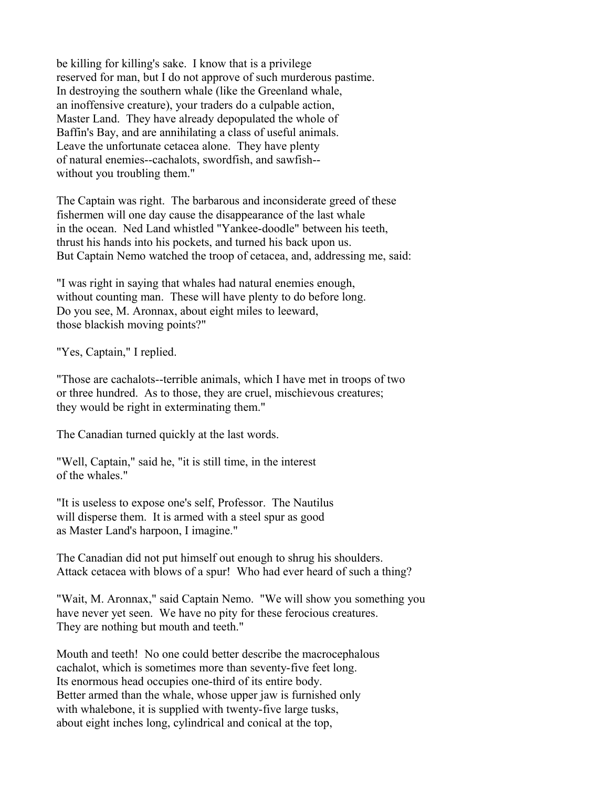be killing for killing's sake. I know that is a privilege reserved for man, but I do not approve of such murderous pastime. In destroying the southern whale (like the Greenland whale, an inoffensive creature), your traders do a culpable action, Master Land. They have already depopulated the whole of Baffin's Bay, and are annihilating a class of useful animals. Leave the unfortunate cetacea alone. They have plenty of natural enemies--cachalots, swordfish, and sawfish- without you troubling them."

The Captain was right. The barbarous and inconsiderate greed of these fishermen will one day cause the disappearance of the last whale in the ocean. Ned Land whistled "Yankee-doodle" between his teeth, thrust his hands into his pockets, and turned his back upon us. But Captain Nemo watched the troop of cetacea, and, addressing me, said:

"I was right in saying that whales had natural enemies enough, without counting man. These will have plenty to do before long. Do you see, M. Aronnax, about eight miles to leeward, those blackish moving points?"

"Yes, Captain," I replied.

"Those are cachalots--terrible animals, which I have met in troops of two or three hundred. As to those, they are cruel, mischievous creatures; they would be right in exterminating them."

The Canadian turned quickly at the last words.

"Well, Captain," said he, "it is still time, in the interest of the whales."

"It is useless to expose one's self, Professor. The Nautilus will disperse them. It is armed with a steel spur as good as Master Land's harpoon, I imagine."

The Canadian did not put himself out enough to shrug his shoulders. Attack cetacea with blows of a spur! Who had ever heard of such a thing?

"Wait, M. Aronnax," said Captain Nemo. "We will show you something you have never yet seen. We have no pity for these ferocious creatures. They are nothing but mouth and teeth."

Mouth and teeth! No one could better describe the macrocephalous cachalot, which is sometimes more than seventy-five feet long. Its enormous head occupies one-third of its entire body. Better armed than the whale, whose upper jaw is furnished only with whalebone, it is supplied with twenty-five large tusks, about eight inches long, cylindrical and conical at the top,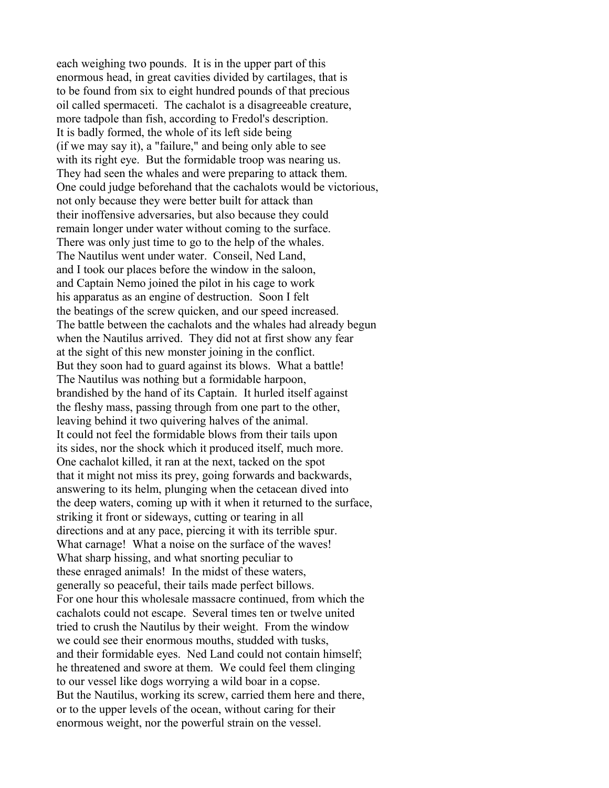each weighing two pounds. It is in the upper part of this enormous head, in great cavities divided by cartilages, that is to be found from six to eight hundred pounds of that precious oil called spermaceti. The cachalot is a disagreeable creature, more tadpole than fish, according to Fredol's description. It is badly formed, the whole of its left side being (if we may say it), a "failure," and being only able to see with its right eye. But the formidable troop was nearing us. They had seen the whales and were preparing to attack them. One could judge beforehand that the cachalots would be victorious, not only because they were better built for attack than their inoffensive adversaries, but also because they could remain longer under water without coming to the surface. There was only just time to go to the help of the whales. The Nautilus went under water. Conseil, Ned Land, and I took our places before the window in the saloon, and Captain Nemo joined the pilot in his cage to work his apparatus as an engine of destruction. Soon I felt the beatings of the screw quicken, and our speed increased. The battle between the cachalots and the whales had already begun when the Nautilus arrived. They did not at first show any fear at the sight of this new monster joining in the conflict. But they soon had to guard against its blows. What a battle! The Nautilus was nothing but a formidable harpoon, brandished by the hand of its Captain. It hurled itself against the fleshy mass, passing through from one part to the other, leaving behind it two quivering halves of the animal. It could not feel the formidable blows from their tails upon its sides, nor the shock which it produced itself, much more. One cachalot killed, it ran at the next, tacked on the spot that it might not miss its prey, going forwards and backwards, answering to its helm, plunging when the cetacean dived into the deep waters, coming up with it when it returned to the surface, striking it front or sideways, cutting or tearing in all directions and at any pace, piercing it with its terrible spur. What carnage! What a noise on the surface of the waves! What sharp hissing, and what snorting peculiar to these enraged animals! In the midst of these waters, generally so peaceful, their tails made perfect billows. For one hour this wholesale massacre continued, from which the cachalots could not escape. Several times ten or twelve united tried to crush the Nautilus by their weight. From the window we could see their enormous mouths, studded with tusks, and their formidable eyes. Ned Land could not contain himself; he threatened and swore at them. We could feel them clinging to our vessel like dogs worrying a wild boar in a copse. But the Nautilus, working its screw, carried them here and there, or to the upper levels of the ocean, without caring for their enormous weight, nor the powerful strain on the vessel.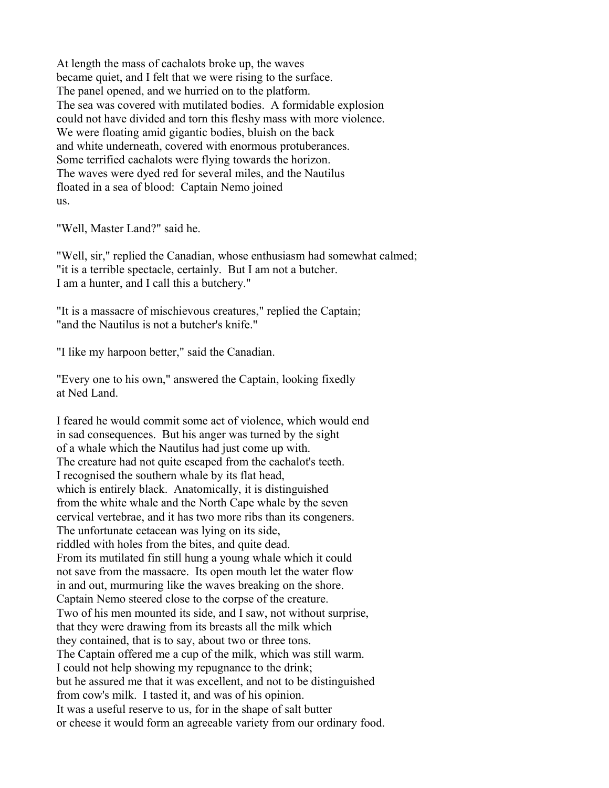At length the mass of cachalots broke up, the waves became quiet, and I felt that we were rising to the surface. The panel opened, and we hurried on to the platform. The sea was covered with mutilated bodies. A formidable explosion could not have divided and torn this fleshy mass with more violence. We were floating amid gigantic bodies, bluish on the back and white underneath, covered with enormous protuberances. Some terrified cachalots were flying towards the horizon. The waves were dyed red for several miles, and the Nautilus floated in a sea of blood: Captain Nemo joined us.

"Well, Master Land?" said he.

"Well, sir," replied the Canadian, whose enthusiasm had somewhat calmed; "it is a terrible spectacle, certainly. But I am not a butcher. I am a hunter, and I call this a butchery."

"It is a massacre of mischievous creatures," replied the Captain; "and the Nautilus is not a butcher's knife."

"I like my harpoon better," said the Canadian.

"Every one to his own," answered the Captain, looking fixedly at Ned Land.

I feared he would commit some act of violence, which would end in sad consequences. But his anger was turned by the sight of a whale which the Nautilus had just come up with. The creature had not quite escaped from the cachalot's teeth. I recognised the southern whale by its flat head, which is entirely black. Anatomically, it is distinguished from the white whale and the North Cape whale by the seven cervical vertebrae, and it has two more ribs than its congeners. The unfortunate cetacean was lying on its side, riddled with holes from the bites, and quite dead. From its mutilated fin still hung a young whale which it could not save from the massacre. Its open mouth let the water flow in and out, murmuring like the waves breaking on the shore. Captain Nemo steered close to the corpse of the creature. Two of his men mounted its side, and I saw, not without surprise, that they were drawing from its breasts all the milk which they contained, that is to say, about two or three tons. The Captain offered me a cup of the milk, which was still warm. I could not help showing my repugnance to the drink; but he assured me that it was excellent, and not to be distinguished from cow's milk. I tasted it, and was of his opinion. It was a useful reserve to us, for in the shape of salt butter or cheese it would form an agreeable variety from our ordinary food.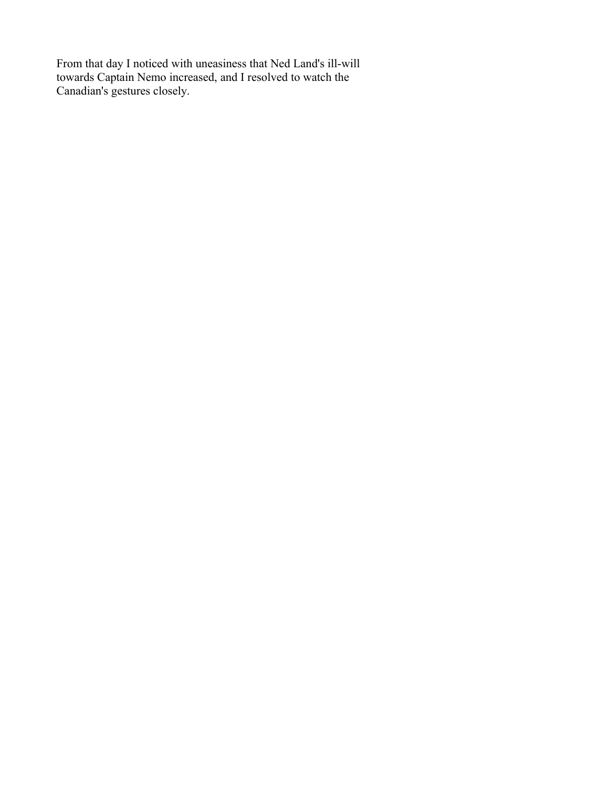From that day I noticed with uneasiness that Ned Land's ill-will towards Captain Nemo increased, and I resolved to watch the Canadian's gestures closely.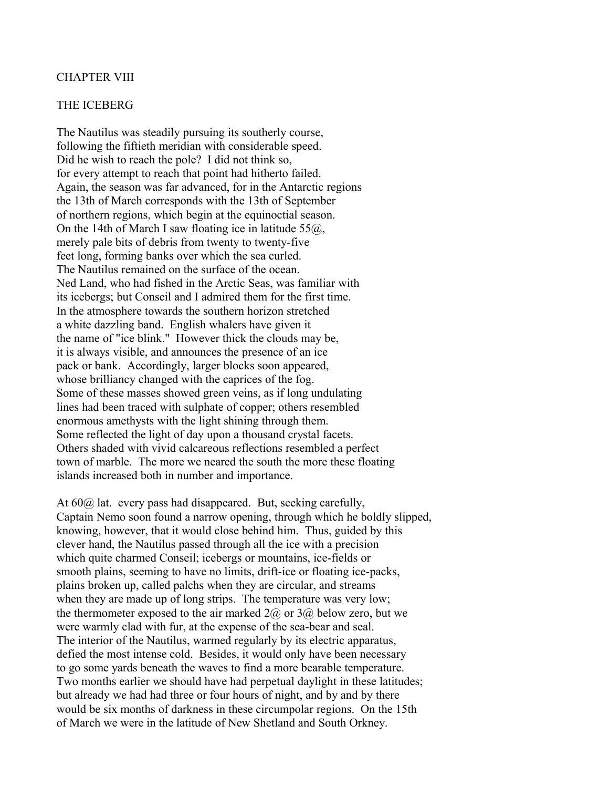### CHAPTER VIII

#### THE ICEBERG

The Nautilus was steadily pursuing its southerly course, following the fiftieth meridian with considerable speed. Did he wish to reach the pole? I did not think so, for every attempt to reach that point had hitherto failed. Again, the season was far advanced, for in the Antarctic regions the 13th of March corresponds with the 13th of September of northern regions, which begin at the equinoctial season. On the 14th of March I saw floating ice in latitude  $55\omega$ , merely pale bits of debris from twenty to twenty-five feet long, forming banks over which the sea curled. The Nautilus remained on the surface of the ocean. Ned Land, who had fished in the Arctic Seas, was familiar with its icebergs; but Conseil and I admired them for the first time. In the atmosphere towards the southern horizon stretched a white dazzling band. English whalers have given it the name of "ice blink." However thick the clouds may be, it is always visible, and announces the presence of an ice pack or bank. Accordingly, larger blocks soon appeared, whose brilliancy changed with the caprices of the fog. Some of these masses showed green veins, as if long undulating lines had been traced with sulphate of copper; others resembled enormous amethysts with the light shining through them. Some reflected the light of day upon a thousand crystal facets. Others shaded with vivid calcareous reflections resembled a perfect town of marble. The more we neared the south the more these floating islands increased both in number and importance.

At 60@ lat. every pass had disappeared. But, seeking carefully, Captain Nemo soon found a narrow opening, through which he boldly slipped, knowing, however, that it would close behind him. Thus, guided by this clever hand, the Nautilus passed through all the ice with a precision which quite charmed Conseil; icebergs or mountains, ice-fields or smooth plains, seeming to have no limits, drift-ice or floating ice-packs, plains broken up, called palchs when they are circular, and streams when they are made up of long strips. The temperature was very low; the thermometer exposed to the air marked  $2\omega$  or  $3\omega$  below zero, but we were warmly clad with fur, at the expense of the sea-bear and seal. The interior of the Nautilus, warmed regularly by its electric apparatus, defied the most intense cold. Besides, it would only have been necessary to go some yards beneath the waves to find a more bearable temperature. Two months earlier we should have had perpetual daylight in these latitudes; but already we had had three or four hours of night, and by and by there would be six months of darkness in these circumpolar regions. On the 15th of March we were in the latitude of New Shetland and South Orkney.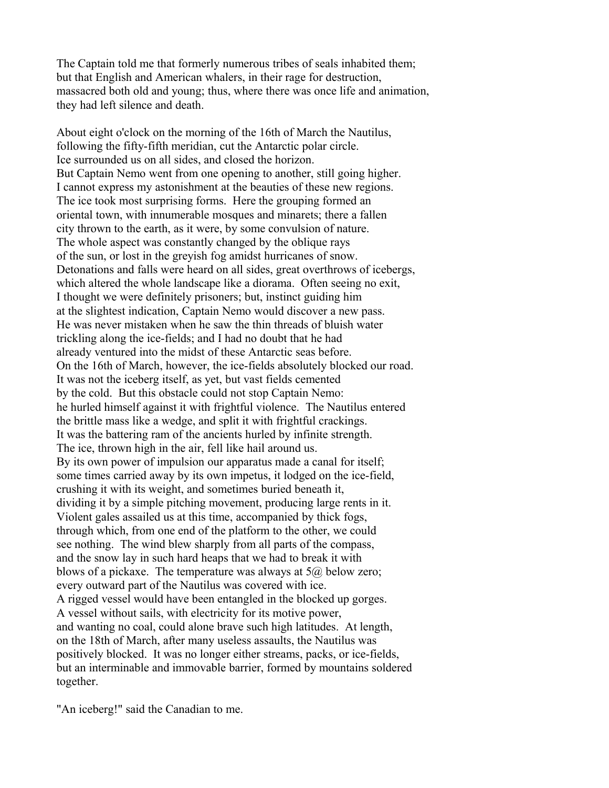The Captain told me that formerly numerous tribes of seals inhabited them; but that English and American whalers, in their rage for destruction, massacred both old and young; thus, where there was once life and animation, they had left silence and death.

About eight o'clock on the morning of the 16th of March the Nautilus, following the fifty-fifth meridian, cut the Antarctic polar circle. Ice surrounded us on all sides, and closed the horizon. But Captain Nemo went from one opening to another, still going higher. I cannot express my astonishment at the beauties of these new regions. The ice took most surprising forms. Here the grouping formed an oriental town, with innumerable mosques and minarets; there a fallen city thrown to the earth, as it were, by some convulsion of nature. The whole aspect was constantly changed by the oblique rays of the sun, or lost in the greyish fog amidst hurricanes of snow. Detonations and falls were heard on all sides, great overthrows of icebergs, which altered the whole landscape like a diorama. Often seeing no exit, I thought we were definitely prisoners; but, instinct guiding him at the slightest indication, Captain Nemo would discover a new pass. He was never mistaken when he saw the thin threads of bluish water trickling along the ice-fields; and I had no doubt that he had already ventured into the midst of these Antarctic seas before. On the 16th of March, however, the ice-fields absolutely blocked our road. It was not the iceberg itself, as yet, but vast fields cemented by the cold. But this obstacle could not stop Captain Nemo: he hurled himself against it with frightful violence. The Nautilus entered the brittle mass like a wedge, and split it with frightful crackings. It was the battering ram of the ancients hurled by infinite strength. The ice, thrown high in the air, fell like hail around us. By its own power of impulsion our apparatus made a canal for itself; some times carried away by its own impetus, it lodged on the ice-field, crushing it with its weight, and sometimes buried beneath it, dividing it by a simple pitching movement, producing large rents in it. Violent gales assailed us at this time, accompanied by thick fogs, through which, from one end of the platform to the other, we could see nothing. The wind blew sharply from all parts of the compass, and the snow lay in such hard heaps that we had to break it with blows of a pickaxe. The temperature was always at  $5\omega$  below zero; every outward part of the Nautilus was covered with ice. A rigged vessel would have been entangled in the blocked up gorges. A vessel without sails, with electricity for its motive power, and wanting no coal, could alone brave such high latitudes. At length, on the 18th of March, after many useless assaults, the Nautilus was positively blocked. It was no longer either streams, packs, or ice-fields, but an interminable and immovable barrier, formed by mountains soldered together.

"An iceberg!" said the Canadian to me.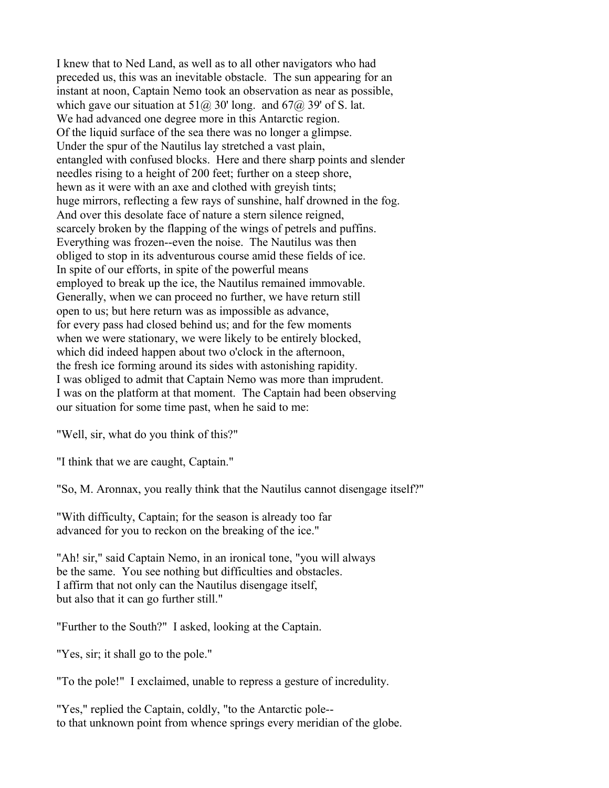I knew that to Ned Land, as well as to all other navigators who had preceded us, this was an inevitable obstacle. The sun appearing for an instant at noon, Captain Nemo took an observation as near as possible, which gave our situation at  $51\omega$ , 30' long. and  $67\omega$ , 39' of S. lat. We had advanced one degree more in this Antarctic region. Of the liquid surface of the sea there was no longer a glimpse. Under the spur of the Nautilus lay stretched a vast plain, entangled with confused blocks. Here and there sharp points and slender needles rising to a height of 200 feet; further on a steep shore, hewn as it were with an axe and clothed with greyish tints; huge mirrors, reflecting a few rays of sunshine, half drowned in the fog. And over this desolate face of nature a stern silence reigned, scarcely broken by the flapping of the wings of petrels and puffins. Everything was frozen--even the noise. The Nautilus was then obliged to stop in its adventurous course amid these fields of ice. In spite of our efforts, in spite of the powerful means employed to break up the ice, the Nautilus remained immovable. Generally, when we can proceed no further, we have return still open to us; but here return was as impossible as advance, for every pass had closed behind us; and for the few moments when we were stationary, we were likely to be entirely blocked, which did indeed happen about two o'clock in the afternoon, the fresh ice forming around its sides with astonishing rapidity. I was obliged to admit that Captain Nemo was more than imprudent. I was on the platform at that moment. The Captain had been observing our situation for some time past, when he said to me:

"Well, sir, what do you think of this?"

"I think that we are caught, Captain."

"So, M. Aronnax, you really think that the Nautilus cannot disengage itself?"

"With difficulty, Captain; for the season is already too far advanced for you to reckon on the breaking of the ice."

"Ah! sir," said Captain Nemo, in an ironical tone, "you will always be the same. You see nothing but difficulties and obstacles. I affirm that not only can the Nautilus disengage itself, but also that it can go further still."

"Further to the South?" I asked, looking at the Captain.

"Yes, sir; it shall go to the pole."

"To the pole!" I exclaimed, unable to repress a gesture of incredulity.

"Yes," replied the Captain, coldly, "to the Antarctic pole- to that unknown point from whence springs every meridian of the globe.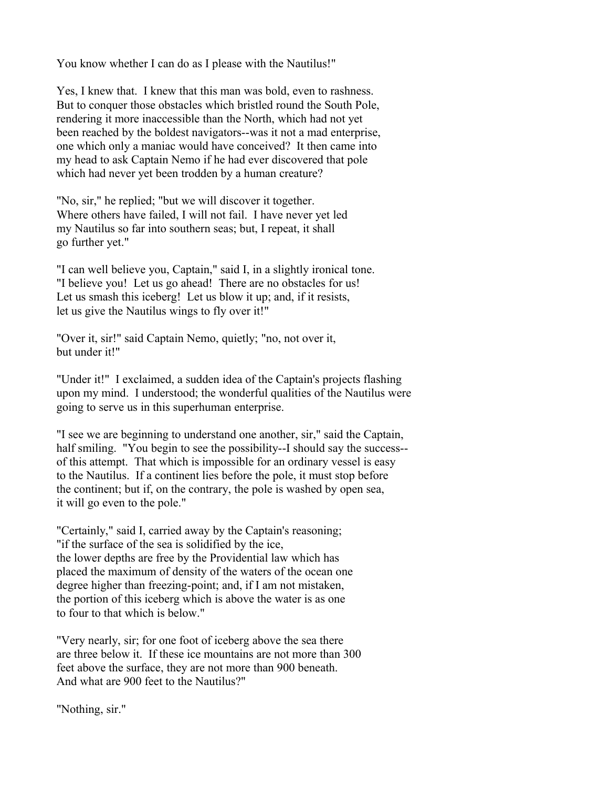You know whether I can do as I please with the Nautilus!"

Yes, I knew that. I knew that this man was bold, even to rashness. But to conquer those obstacles which bristled round the South Pole, rendering it more inaccessible than the North, which had not yet been reached by the boldest navigators--was it not a mad enterprise, one which only a maniac would have conceived? It then came into my head to ask Captain Nemo if he had ever discovered that pole which had never yet been trodden by a human creature?

"No, sir," he replied; "but we will discover it together. Where others have failed, I will not fail. I have never yet led my Nautilus so far into southern seas; but, I repeat, it shall go further yet."

"I can well believe you, Captain," said I, in a slightly ironical tone. "I believe you! Let us go ahead! There are no obstacles for us! Let us smash this iceberg! Let us blow it up; and, if it resists, let us give the Nautilus wings to fly over it!"

"Over it, sir!" said Captain Nemo, quietly; "no, not over it, but under it!"

"Under it!" I exclaimed, a sudden idea of the Captain's projects flashing upon my mind. I understood; the wonderful qualities of the Nautilus were going to serve us in this superhuman enterprise.

"I see we are beginning to understand one another, sir," said the Captain, half smiling. "You begin to see the possibility--I should say the success- of this attempt. That which is impossible for an ordinary vessel is easy to the Nautilus. If a continent lies before the pole, it must stop before the continent; but if, on the contrary, the pole is washed by open sea, it will go even to the pole."

"Certainly," said I, carried away by the Captain's reasoning; "if the surface of the sea is solidified by the ice, the lower depths are free by the Providential law which has placed the maximum of density of the waters of the ocean one degree higher than freezing-point; and, if I am not mistaken, the portion of this iceberg which is above the water is as one to four to that which is below."

"Very nearly, sir; for one foot of iceberg above the sea there are three below it. If these ice mountains are not more than 300 feet above the surface, they are not more than 900 beneath. And what are 900 feet to the Nautilus?"

"Nothing, sir."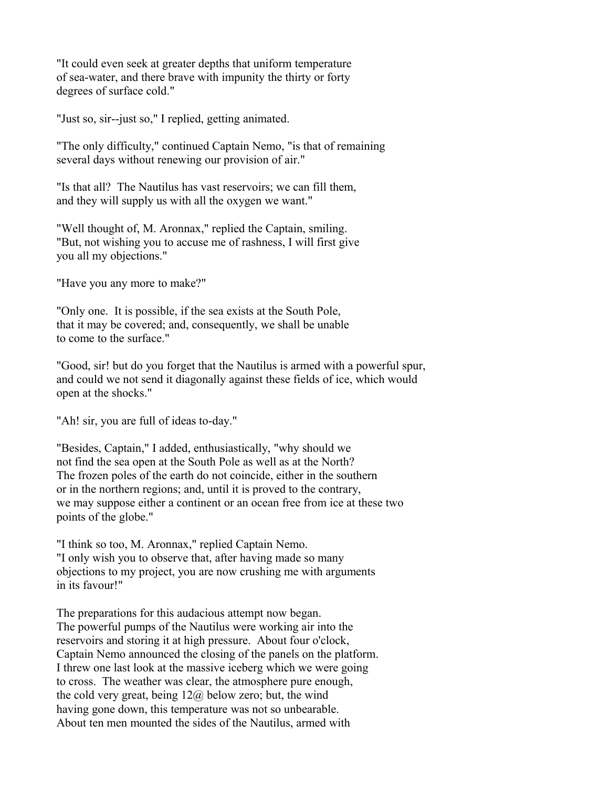"It could even seek at greater depths that uniform temperature of sea-water, and there brave with impunity the thirty or forty degrees of surface cold."

"Just so, sir--just so," I replied, getting animated.

"The only difficulty," continued Captain Nemo, "is that of remaining several days without renewing our provision of air."

"Is that all? The Nautilus has vast reservoirs; we can fill them, and they will supply us with all the oxygen we want."

"Well thought of, M. Aronnax," replied the Captain, smiling. "But, not wishing you to accuse me of rashness, I will first give you all my objections."

"Have you any more to make?"

"Only one. It is possible, if the sea exists at the South Pole, that it may be covered; and, consequently, we shall be unable to come to the surface."

"Good, sir! but do you forget that the Nautilus is armed with a powerful spur, and could we not send it diagonally against these fields of ice, which would open at the shocks."

"Ah! sir, you are full of ideas to-day."

"Besides, Captain," I added, enthusiastically, "why should we not find the sea open at the South Pole as well as at the North? The frozen poles of the earth do not coincide, either in the southern or in the northern regions; and, until it is proved to the contrary, we may suppose either a continent or an ocean free from ice at these two points of the globe."

"I think so too, M. Aronnax," replied Captain Nemo. "I only wish you to observe that, after having made so many objections to my project, you are now crushing me with arguments in its favour!"

The preparations for this audacious attempt now began. The powerful pumps of the Nautilus were working air into the reservoirs and storing it at high pressure. About four o'clock, Captain Nemo announced the closing of the panels on the platform. I threw one last look at the massive iceberg which we were going to cross. The weather was clear, the atmosphere pure enough, the cold very great, being  $12\omega$  below zero; but, the wind having gone down, this temperature was not so unbearable. About ten men mounted the sides of the Nautilus, armed with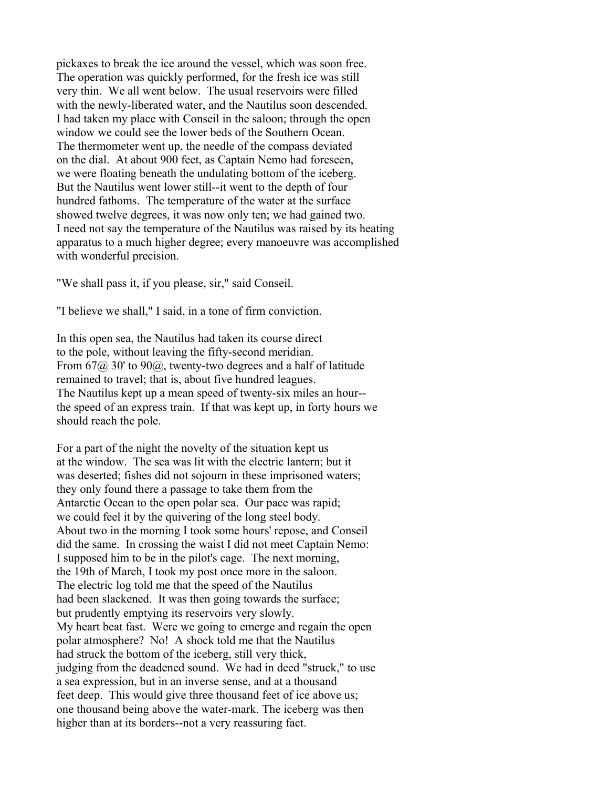pickaxes to break the ice around the vessel, which was soon free. The operation was quickly performed, for the fresh ice was still very thin. We all went below. The usual reservoirs were filled with the newly-liberated water, and the Nautilus soon descended. I had taken my place with Conseil in the saloon; through the open window we could see the lower beds of the Southern Ocean. The thermometer went up, the needle of the compass deviated on the dial. At about 900 feet, as Captain Nemo had foreseen, we were floating beneath the undulating bottom of the iceberg. But the Nautilus went lower still--it went to the depth of four hundred fathoms. The temperature of the water at the surface showed twelve degrees, it was now only ten; we had gained two. I need not say the temperature of the Nautilus was raised by its heating apparatus to a much higher degree; every manoeuvre was accomplished with wonderful precision.

"We shall pass it, if you please, sir," said Conseil.

"I believe we shall," I said, in a tone of firm conviction.

In this open sea, the Nautilus had taken its course direct to the pole, without leaving the fifty-second meridian. From  $67\omega$  30' to 90 $\omega$ , twenty-two degrees and a half of latitude remained to travel; that is, about five hundred leagues. The Nautilus kept up a mean speed of twenty-six miles an hour- the speed of an express train. If that was kept up, in forty hours we should reach the pole.

For a part of the night the novelty of the situation kept us at the window. The sea was lit with the electric lantern; but it was deserted; fishes did not sojourn in these imprisoned waters; they only found there a passage to take them from the Antarctic Ocean to the open polar sea. Our pace was rapid; we could feel it by the quivering of the long steel body. About two in the morning I took some hours' repose, and Conseil did the same. In crossing the waist I did not meet Captain Nemo: I supposed him to be in the pilot's cage. The next morning, the 19th of March, I took my post once more in the saloon. The electric log told me that the speed of the Nautilus had been slackened. It was then going towards the surface; but prudently emptying its reservoirs very slowly. My heart beat fast. Were we going to emerge and regain the open polar atmosphere? No! A shock told me that the Nautilus had struck the bottom of the iceberg, still very thick, judging from the deadened sound. We had in deed "struck," to use a sea expression, but in an inverse sense, and at a thousand feet deep. This would give three thousand feet of ice above us; one thousand being above the water-mark. The iceberg was then higher than at its borders--not a very reassuring fact.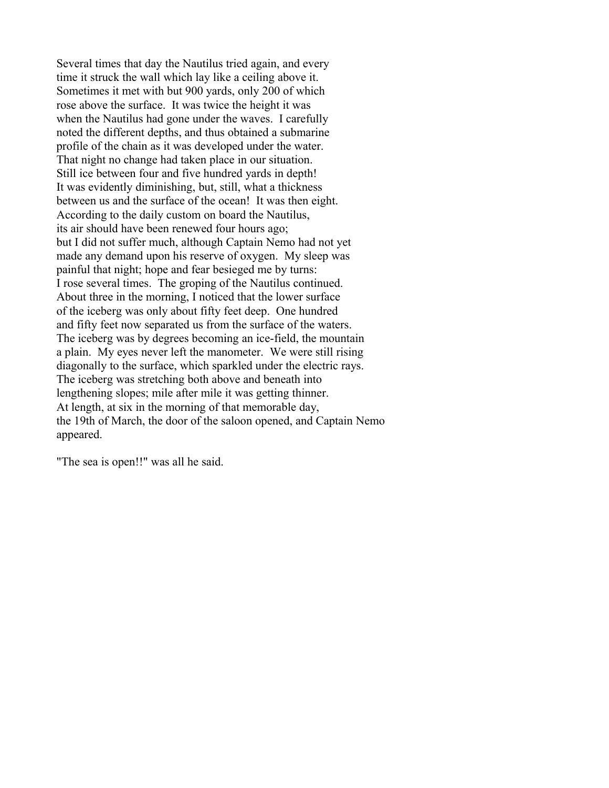Several times that day the Nautilus tried again, and every time it struck the wall which lay like a ceiling above it. Sometimes it met with but 900 yards, only 200 of which rose above the surface. It was twice the height it was when the Nautilus had gone under the waves. I carefully noted the different depths, and thus obtained a submarine profile of the chain as it was developed under the water. That night no change had taken place in our situation. Still ice between four and five hundred yards in depth! It was evidently diminishing, but, still, what a thickness between us and the surface of the ocean! It was then eight. According to the daily custom on board the Nautilus, its air should have been renewed four hours ago; but I did not suffer much, although Captain Nemo had not yet made any demand upon his reserve of oxygen. My sleep was painful that night; hope and fear besieged me by turns: I rose several times. The groping of the Nautilus continued. About three in the morning, I noticed that the lower surface of the iceberg was only about fifty feet deep. One hundred and fifty feet now separated us from the surface of the waters. The iceberg was by degrees becoming an ice-field, the mountain a plain. My eyes never left the manometer. We were still rising diagonally to the surface, which sparkled under the electric rays. The iceberg was stretching both above and beneath into lengthening slopes; mile after mile it was getting thinner. At length, at six in the morning of that memorable day, the 19th of March, the door of the saloon opened, and Captain Nemo appeared.

"The sea is open!!" was all he said.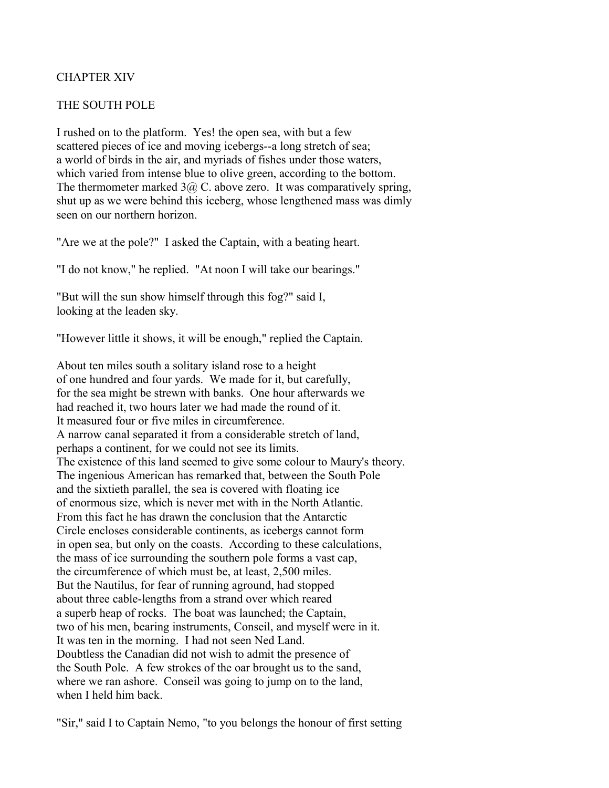# CHAPTER XIV

### THE SOUTH POLE

I rushed on to the platform. Yes! the open sea, with but a few scattered pieces of ice and moving icebergs--a long stretch of sea; a world of birds in the air, and myriads of fishes under those waters, which varied from intense blue to olive green, according to the bottom. The thermometer marked  $3\omega$  C. above zero. It was comparatively spring, shut up as we were behind this iceberg, whose lengthened mass was dimly seen on our northern horizon.

"Are we at the pole?" I asked the Captain, with a beating heart.

"I do not know," he replied. "At noon I will take our bearings."

"But will the sun show himself through this fog?" said I, looking at the leaden sky.

"However little it shows, it will be enough," replied the Captain.

About ten miles south a solitary island rose to a height of one hundred and four yards. We made for it, but carefully, for the sea might be strewn with banks. One hour afterwards we had reached it, two hours later we had made the round of it. It measured four or five miles in circumference. A narrow canal separated it from a considerable stretch of land, perhaps a continent, for we could not see its limits. The existence of this land seemed to give some colour to Maury's theory. The ingenious American has remarked that, between the South Pole and the sixtieth parallel, the sea is covered with floating ice of enormous size, which is never met with in the North Atlantic. From this fact he has drawn the conclusion that the Antarctic Circle encloses considerable continents, as icebergs cannot form in open sea, but only on the coasts. According to these calculations, the mass of ice surrounding the southern pole forms a vast cap, the circumference of which must be, at least, 2,500 miles. But the Nautilus, for fear of running aground, had stopped about three cable-lengths from a strand over which reared a superb heap of rocks. The boat was launched; the Captain, two of his men, bearing instruments, Conseil, and myself were in it. It was ten in the morning. I had not seen Ned Land. Doubtless the Canadian did not wish to admit the presence of the South Pole. A few strokes of the oar brought us to the sand, where we ran ashore. Conseil was going to jump on to the land, when I held him back.

"Sir," said I to Captain Nemo, "to you belongs the honour of first setting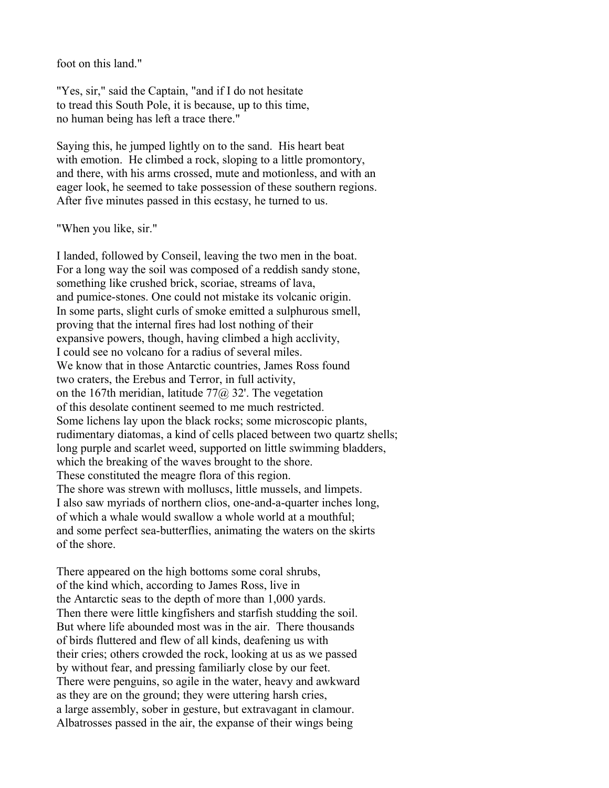foot on this land."

"Yes, sir," said the Captain, "and if I do not hesitate to tread this South Pole, it is because, up to this time, no human being has left a trace there."

Saying this, he jumped lightly on to the sand. His heart beat with emotion. He climbed a rock, sloping to a little promontory, and there, with his arms crossed, mute and motionless, and with an eager look, he seemed to take possession of these southern regions. After five minutes passed in this ecstasy, he turned to us.

#### "When you like, sir."

I landed, followed by Conseil, leaving the two men in the boat. For a long way the soil was composed of a reddish sandy stone, something like crushed brick, scoriae, streams of lava, and pumice-stones. One could not mistake its volcanic origin. In some parts, slight curls of smoke emitted a sulphurous smell, proving that the internal fires had lost nothing of their expansive powers, though, having climbed a high acclivity, I could see no volcano for a radius of several miles. We know that in those Antarctic countries. James Ross found two craters, the Erebus and Terror, in full activity, on the 167th meridian, latitude  $77\omega$ , 32'. The vegetation of this desolate continent seemed to me much restricted. Some lichens lay upon the black rocks; some microscopic plants, rudimentary diatomas, a kind of cells placed between two quartz shells; long purple and scarlet weed, supported on little swimming bladders, which the breaking of the waves brought to the shore. These constituted the meagre flora of this region. The shore was strewn with molluscs, little mussels, and limpets. I also saw myriads of northern clios, one-and-a-quarter inches long, of which a whale would swallow a whole world at a mouthful; and some perfect sea-butterflies, animating the waters on the skirts of the shore.

There appeared on the high bottoms some coral shrubs, of the kind which, according to James Ross, live in the Antarctic seas to the depth of more than 1,000 yards. Then there were little kingfishers and starfish studding the soil. But where life abounded most was in the air. There thousands of birds fluttered and flew of all kinds, deafening us with their cries; others crowded the rock, looking at us as we passed by without fear, and pressing familiarly close by our feet. There were penguins, so agile in the water, heavy and awkward as they are on the ground; they were uttering harsh cries, a large assembly, sober in gesture, but extravagant in clamour. Albatrosses passed in the air, the expanse of their wings being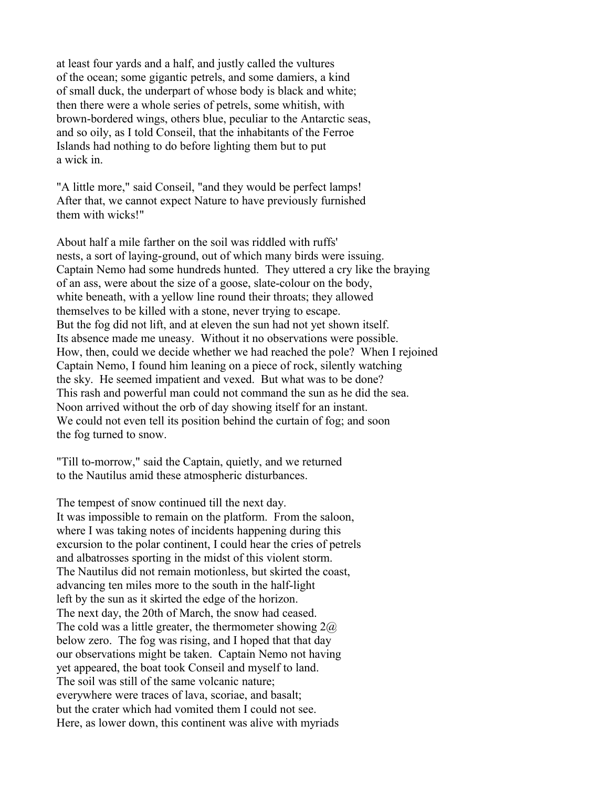at least four yards and a half, and justly called the vultures of the ocean; some gigantic petrels, and some damiers, a kind of small duck, the underpart of whose body is black and white; then there were a whole series of petrels, some whitish, with brown-bordered wings, others blue, peculiar to the Antarctic seas, and so oily, as I told Conseil, that the inhabitants of the Ferroe Islands had nothing to do before lighting them but to put a wick in.

"A little more," said Conseil, "and they would be perfect lamps! After that, we cannot expect Nature to have previously furnished them with wicks!"

About half a mile farther on the soil was riddled with ruffs' nests, a sort of laying-ground, out of which many birds were issuing. Captain Nemo had some hundreds hunted. They uttered a cry like the braying of an ass, were about the size of a goose, slate-colour on the body, white beneath, with a yellow line round their throats; they allowed themselves to be killed with a stone, never trying to escape. But the fog did not lift, and at eleven the sun had not yet shown itself. Its absence made me uneasy. Without it no observations were possible. How, then, could we decide whether we had reached the pole? When I rejoined Captain Nemo, I found him leaning on a piece of rock, silently watching the sky. He seemed impatient and vexed. But what was to be done? This rash and powerful man could not command the sun as he did the sea. Noon arrived without the orb of day showing itself for an instant. We could not even tell its position behind the curtain of fog; and soon the fog turned to snow.

"Till to-morrow," said the Captain, quietly, and we returned to the Nautilus amid these atmospheric disturbances.

The tempest of snow continued till the next day. It was impossible to remain on the platform. From the saloon, where I was taking notes of incidents happening during this excursion to the polar continent, I could hear the cries of petrels and albatrosses sporting in the midst of this violent storm. The Nautilus did not remain motionless, but skirted the coast, advancing ten miles more to the south in the half-light left by the sun as it skirted the edge of the horizon. The next day, the 20th of March, the snow had ceased. The cold was a little greater, the thermometer showing  $2\omega$ below zero. The fog was rising, and I hoped that that day our observations might be taken. Captain Nemo not having yet appeared, the boat took Conseil and myself to land. The soil was still of the same volcanic nature; everywhere were traces of lava, scoriae, and basalt; but the crater which had vomited them I could not see. Here, as lower down, this continent was alive with myriads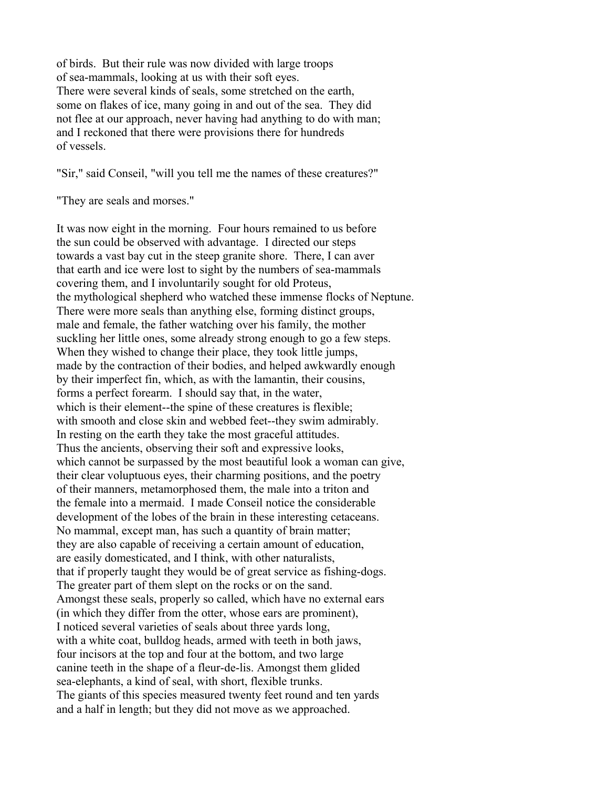of birds. But their rule was now divided with large troops of sea-mammals, looking at us with their soft eyes. There were several kinds of seals, some stretched on the earth, some on flakes of ice, many going in and out of the sea. They did not flee at our approach, never having had anything to do with man; and I reckoned that there were provisions there for hundreds of vessels.

"Sir," said Conseil, "will you tell me the names of these creatures?"

"They are seals and morses."

It was now eight in the morning. Four hours remained to us before the sun could be observed with advantage. I directed our steps towards a vast bay cut in the steep granite shore. There, I can aver that earth and ice were lost to sight by the numbers of sea-mammals covering them, and I involuntarily sought for old Proteus, the mythological shepherd who watched these immense flocks of Neptune. There were more seals than anything else, forming distinct groups, male and female, the father watching over his family, the mother suckling her little ones, some already strong enough to go a few steps. When they wished to change their place, they took little jumps, made by the contraction of their bodies, and helped awkwardly enough by their imperfect fin, which, as with the lamantin, their cousins, forms a perfect forearm. I should say that, in the water, which is their element--the spine of these creatures is flexible; with smooth and close skin and webbed feet--they swim admirably. In resting on the earth they take the most graceful attitudes. Thus the ancients, observing their soft and expressive looks, which cannot be surpassed by the most beautiful look a woman can give, their clear voluptuous eyes, their charming positions, and the poetry of their manners, metamorphosed them, the male into a triton and the female into a mermaid. I made Conseil notice the considerable development of the lobes of the brain in these interesting cetaceans. No mammal, except man, has such a quantity of brain matter; they are also capable of receiving a certain amount of education, are easily domesticated, and I think, with other naturalists, that if properly taught they would be of great service as fishing-dogs. The greater part of them slept on the rocks or on the sand. Amongst these seals, properly so called, which have no external ears (in which they differ from the otter, whose ears are prominent), I noticed several varieties of seals about three yards long, with a white coat, bulldog heads, armed with teeth in both jaws, four incisors at the top and four at the bottom, and two large canine teeth in the shape of a fleur-de-lis. Amongst them glided sea-elephants, a kind of seal, with short, flexible trunks. The giants of this species measured twenty feet round and ten yards and a half in length; but they did not move as we approached.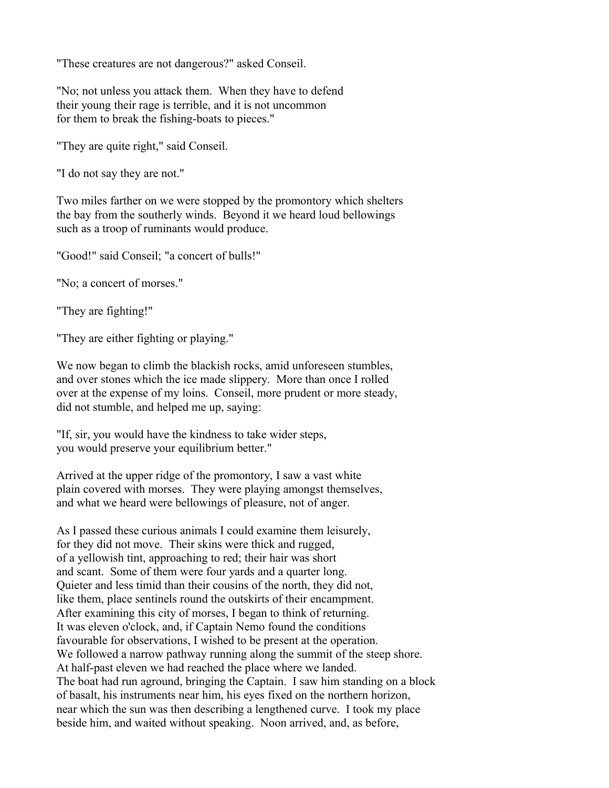"These creatures are not dangerous?" asked Conseil.

"No; not unless you attack them. When they have to defend their young their rage is terrible, and it is not uncommon for them to break the fishing-boats to pieces."

"They are quite right," said Conseil.

"I do not say they are not."

Two miles farther on we were stopped by the promontory which shelters the bay from the southerly winds. Beyond it we heard loud bellowings such as a troop of ruminants would produce.

"Good!" said Conseil; "a concert of bulls!"

"No; a concert of morses."

"They are fighting!"

"They are either fighting or playing."

We now began to climb the blackish rocks, amid unforeseen stumbles, and over stones which the ice made slippery. More than once I rolled over at the expense of my loins. Conseil, more prudent or more steady, did not stumble, and helped me up, saying:

"If, sir, you would have the kindness to take wider steps, you would preserve your equilibrium better."

Arrived at the upper ridge of the promontory, I saw a vast white plain covered with morses. They were playing amongst themselves, and what we heard were bellowings of pleasure, not of anger.

As I passed these curious animals I could examine them leisurely, for they did not move. Their skins were thick and rugged, of a yellowish tint, approaching to red; their hair was short and scant. Some of them were four yards and a quarter long. Quieter and less timid than their cousins of the north, they did not, like them, place sentinels round the outskirts of their encampment. After examining this city of morses, I began to think of returning. It was eleven o'clock, and, if Captain Nemo found the conditions favourable for observations, I wished to be present at the operation. We followed a narrow pathway running along the summit of the steep shore. At half-past eleven we had reached the place where we landed. The boat had run aground, bringing the Captain. I saw him standing on a block of basalt, his instruments near him, his eyes fixed on the northern horizon, near which the sun was then describing a lengthened curve. I took my place beside him, and waited without speaking. Noon arrived, and, as before,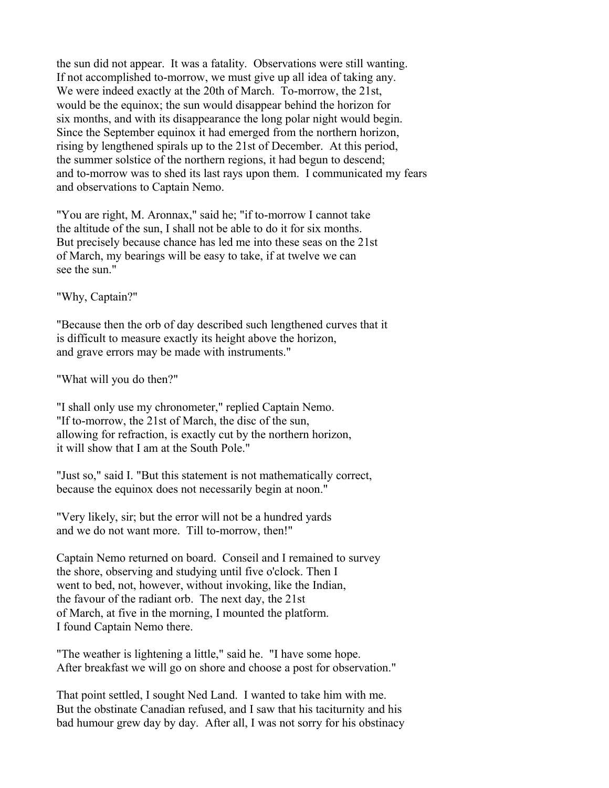the sun did not appear. It was a fatality. Observations were still wanting. If not accomplished to-morrow, we must give up all idea of taking any. We were indeed exactly at the 20th of March. To-morrow, the 21st, would be the equinox; the sun would disappear behind the horizon for six months, and with its disappearance the long polar night would begin. Since the September equinox it had emerged from the northern horizon, rising by lengthened spirals up to the 21st of December. At this period, the summer solstice of the northern regions, it had begun to descend; and to-morrow was to shed its last rays upon them. I communicated my fears and observations to Captain Nemo.

"You are right, M. Aronnax," said he; "if to-morrow I cannot take the altitude of the sun, I shall not be able to do it for six months. But precisely because chance has led me into these seas on the 21st of March, my bearings will be easy to take, if at twelve we can see the sun."

"Why, Captain?"

"Because then the orb of day described such lengthened curves that it is difficult to measure exactly its height above the horizon, and grave errors may be made with instruments."

"What will you do then?"

"I shall only use my chronometer," replied Captain Nemo. "If to-morrow, the 21st of March, the disc of the sun, allowing for refraction, is exactly cut by the northern horizon, it will show that I am at the South Pole."

"Just so," said I. "But this statement is not mathematically correct, because the equinox does not necessarily begin at noon."

"Very likely, sir; but the error will not be a hundred yards and we do not want more. Till to-morrow, then!"

Captain Nemo returned on board. Conseil and I remained to survey the shore, observing and studying until five o'clock. Then I went to bed, not, however, without invoking, like the Indian, the favour of the radiant orb. The next day, the 21st of March, at five in the morning, I mounted the platform. I found Captain Nemo there.

"The weather is lightening a little," said he. "I have some hope. After breakfast we will go on shore and choose a post for observation."

That point settled, I sought Ned Land. I wanted to take him with me. But the obstinate Canadian refused, and I saw that his taciturnity and his bad humour grew day by day. After all, I was not sorry for his obstinacy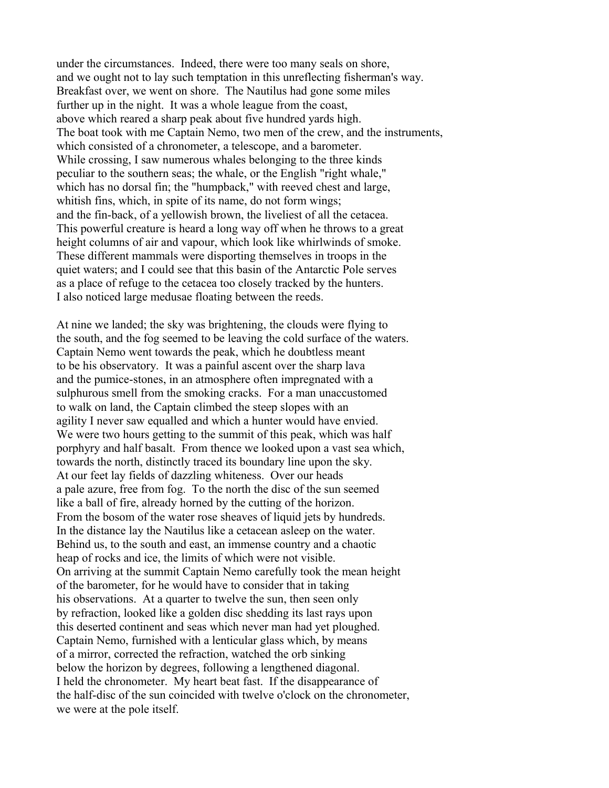under the circumstances. Indeed, there were too many seals on shore, and we ought not to lay such temptation in this unreflecting fisherman's way. Breakfast over, we went on shore. The Nautilus had gone some miles further up in the night. It was a whole league from the coast, above which reared a sharp peak about five hundred yards high. The boat took with me Captain Nemo, two men of the crew, and the instruments, which consisted of a chronometer, a telescope, and a barometer. While crossing, I saw numerous whales belonging to the three kinds peculiar to the southern seas; the whale, or the English "right whale," which has no dorsal fin; the "humpback," with reeved chest and large, whitish fins, which, in spite of its name, do not form wings; and the fin-back, of a yellowish brown, the liveliest of all the cetacea. This powerful creature is heard a long way off when he throws to a great height columns of air and vapour, which look like whirlwinds of smoke. These different mammals were disporting themselves in troops in the quiet waters; and I could see that this basin of the Antarctic Pole serves as a place of refuge to the cetacea too closely tracked by the hunters. I also noticed large medusae floating between the reeds.

At nine we landed; the sky was brightening, the clouds were flying to the south, and the fog seemed to be leaving the cold surface of the waters. Captain Nemo went towards the peak, which he doubtless meant to be his observatory. It was a painful ascent over the sharp lava and the pumice-stones, in an atmosphere often impregnated with a sulphurous smell from the smoking cracks. For a man unaccustomed to walk on land, the Captain climbed the steep slopes with an agility I never saw equalled and which a hunter would have envied. We were two hours getting to the summit of this peak, which was half porphyry and half basalt. From thence we looked upon a vast sea which, towards the north, distinctly traced its boundary line upon the sky. At our feet lay fields of dazzling whiteness. Over our heads a pale azure, free from fog. To the north the disc of the sun seemed like a ball of fire, already horned by the cutting of the horizon. From the bosom of the water rose sheaves of liquid jets by hundreds. In the distance lay the Nautilus like a cetacean asleep on the water. Behind us, to the south and east, an immense country and a chaotic heap of rocks and ice, the limits of which were not visible. On arriving at the summit Captain Nemo carefully took the mean height of the barometer, for he would have to consider that in taking his observations. At a quarter to twelve the sun, then seen only by refraction, looked like a golden disc shedding its last rays upon this deserted continent and seas which never man had yet ploughed. Captain Nemo, furnished with a lenticular glass which, by means of a mirror, corrected the refraction, watched the orb sinking below the horizon by degrees, following a lengthened diagonal. I held the chronometer. My heart beat fast. If the disappearance of the half-disc of the sun coincided with twelve o'clock on the chronometer, we were at the pole itself.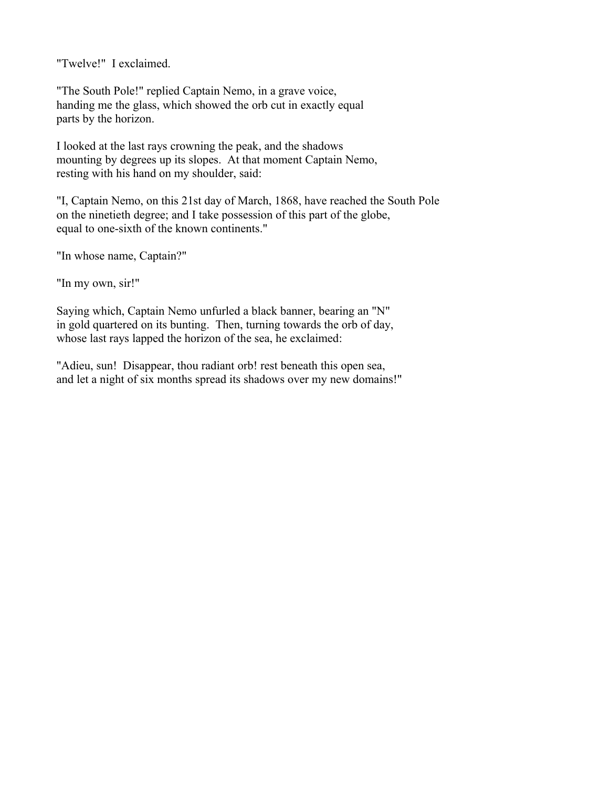"Twelve!" I exclaimed.

"The South Pole!" replied Captain Nemo, in a grave voice, handing me the glass, which showed the orb cut in exactly equal parts by the horizon.

I looked at the last rays crowning the peak, and the shadows mounting by degrees up its slopes. At that moment Captain Nemo, resting with his hand on my shoulder, said:

"I, Captain Nemo, on this 21st day of March, 1868, have reached the South Pole on the ninetieth degree; and I take possession of this part of the globe, equal to one-sixth of the known continents."

"In whose name, Captain?"

"In my own, sir!"

Saying which, Captain Nemo unfurled a black banner, bearing an "N" in gold quartered on its bunting. Then, turning towards the orb of day, whose last rays lapped the horizon of the sea, he exclaimed:

"Adieu, sun! Disappear, thou radiant orb! rest beneath this open sea, and let a night of six months spread its shadows over my new domains!"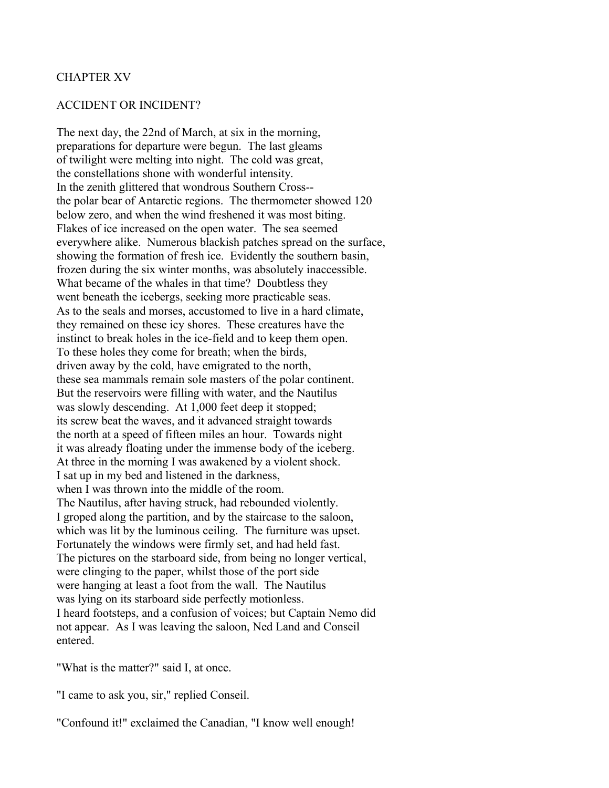#### CHAPTER XV

### ACCIDENT OR INCIDENT?

The next day, the 22nd of March, at six in the morning, preparations for departure were begun. The last gleams of twilight were melting into night. The cold was great, the constellations shone with wonderful intensity. In the zenith glittered that wondrous Southern Cross- the polar bear of Antarctic regions. The thermometer showed 120 below zero, and when the wind freshened it was most biting. Flakes of ice increased on the open water. The sea seemed everywhere alike. Numerous blackish patches spread on the surface, showing the formation of fresh ice. Evidently the southern basin, frozen during the six winter months, was absolutely inaccessible. What became of the whales in that time? Doubtless they went beneath the icebergs, seeking more practicable seas. As to the seals and morses, accustomed to live in a hard climate, they remained on these icy shores. These creatures have the instinct to break holes in the ice-field and to keep them open. To these holes they come for breath; when the birds, driven away by the cold, have emigrated to the north, these sea mammals remain sole masters of the polar continent. But the reservoirs were filling with water, and the Nautilus was slowly descending. At 1,000 feet deep it stopped; its screw beat the waves, and it advanced straight towards the north at a speed of fifteen miles an hour. Towards night it was already floating under the immense body of the iceberg. At three in the morning I was awakened by a violent shock. I sat up in my bed and listened in the darkness, when I was thrown into the middle of the room. The Nautilus, after having struck, had rebounded violently. I groped along the partition, and by the staircase to the saloon, which was lit by the luminous ceiling. The furniture was upset. Fortunately the windows were firmly set, and had held fast. The pictures on the starboard side, from being no longer vertical, were clinging to the paper, whilst those of the port side were hanging at least a foot from the wall. The Nautilus was lying on its starboard side perfectly motionless. I heard footsteps, and a confusion of voices; but Captain Nemo did not appear. As I was leaving the saloon, Ned Land and Conseil entered.

"What is the matter?" said I, at once.

"I came to ask you, sir," replied Conseil.

"Confound it!" exclaimed the Canadian, "I know well enough!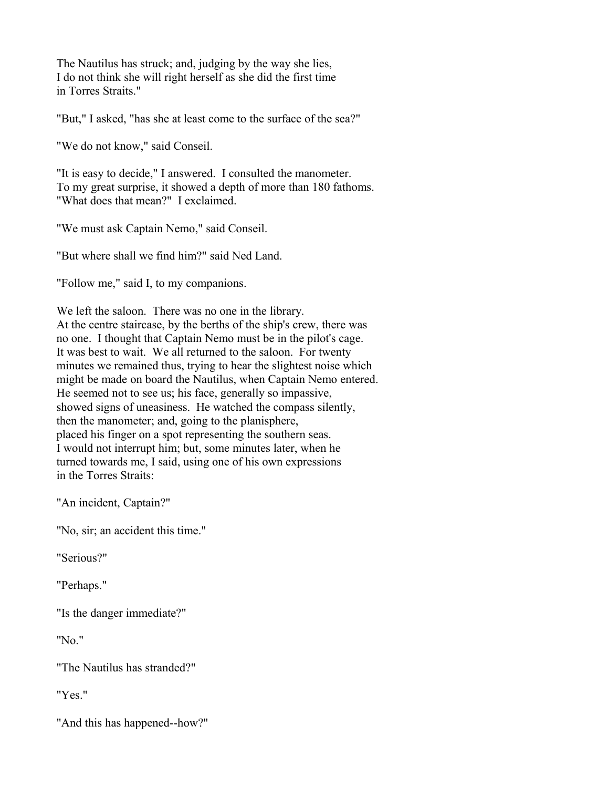The Nautilus has struck; and, judging by the way she lies, I do not think she will right herself as she did the first time in Torres Straits."

"But," I asked, "has she at least come to the surface of the sea?"

"We do not know," said Conseil.

"It is easy to decide," I answered. I consulted the manometer. To my great surprise, it showed a depth of more than 180 fathoms. "What does that mean?" I exclaimed.

"We must ask Captain Nemo," said Conseil.

"But where shall we find him?" said Ned Land.

"Follow me," said I, to my companions.

We left the saloon. There was no one in the library. At the centre staircase, by the berths of the ship's crew, there was no one. I thought that Captain Nemo must be in the pilot's cage. It was best to wait. We all returned to the saloon. For twenty minutes we remained thus, trying to hear the slightest noise which might be made on board the Nautilus, when Captain Nemo entered. He seemed not to see us; his face, generally so impassive, showed signs of uneasiness. He watched the compass silently, then the manometer; and, going to the planisphere, placed his finger on a spot representing the southern seas. I would not interrupt him; but, some minutes later, when he turned towards me, I said, using one of his own expressions in the Torres Straits:

"An incident, Captain?"

"No, sir; an accident this time."

"Serious?"

"Perhaps."

"Is the danger immediate?"

"No."

"The Nautilus has stranded?"

"Yes."

"And this has happened--how?"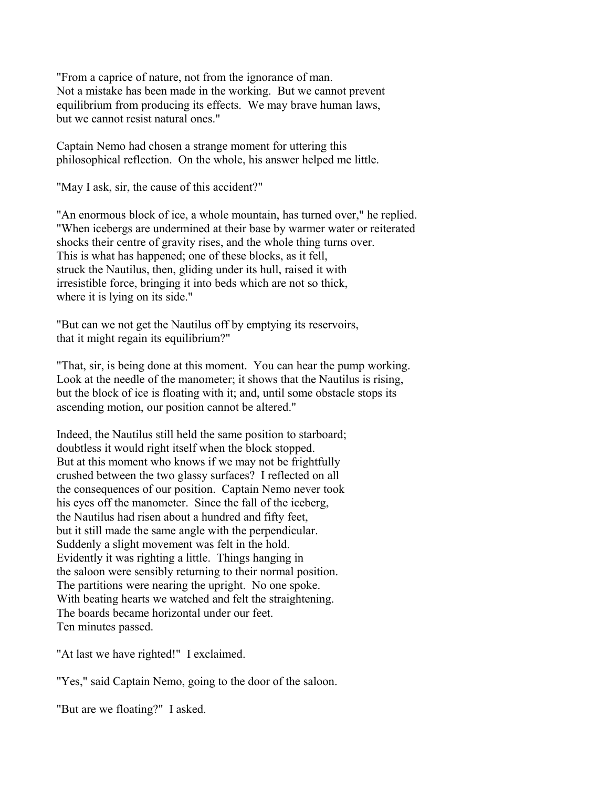"From a caprice of nature, not from the ignorance of man. Not a mistake has been made in the working. But we cannot prevent equilibrium from producing its effects. We may brave human laws, but we cannot resist natural ones."

Captain Nemo had chosen a strange moment for uttering this philosophical reflection. On the whole, his answer helped me little.

"May I ask, sir, the cause of this accident?"

"An enormous block of ice, a whole mountain, has turned over," he replied. "When icebergs are undermined at their base by warmer water or reiterated shocks their centre of gravity rises, and the whole thing turns over. This is what has happened; one of these blocks, as it fell, struck the Nautilus, then, gliding under its hull, raised it with irresistible force, bringing it into beds which are not so thick, where it is lying on its side."

"But can we not get the Nautilus off by emptying its reservoirs, that it might regain its equilibrium?"

"That, sir, is being done at this moment. You can hear the pump working. Look at the needle of the manometer; it shows that the Nautilus is rising, but the block of ice is floating with it; and, until some obstacle stops its ascending motion, our position cannot be altered."

Indeed, the Nautilus still held the same position to starboard; doubtless it would right itself when the block stopped. But at this moment who knows if we may not be frightfully crushed between the two glassy surfaces? I reflected on all the consequences of our position. Captain Nemo never took his eyes off the manometer. Since the fall of the iceberg, the Nautilus had risen about a hundred and fifty feet, but it still made the same angle with the perpendicular. Suddenly a slight movement was felt in the hold. Evidently it was righting a little. Things hanging in the saloon were sensibly returning to their normal position. The partitions were nearing the upright. No one spoke. With beating hearts we watched and felt the straightening. The boards became horizontal under our feet. Ten minutes passed.

"At last we have righted!" I exclaimed.

"Yes," said Captain Nemo, going to the door of the saloon.

"But are we floating?" I asked.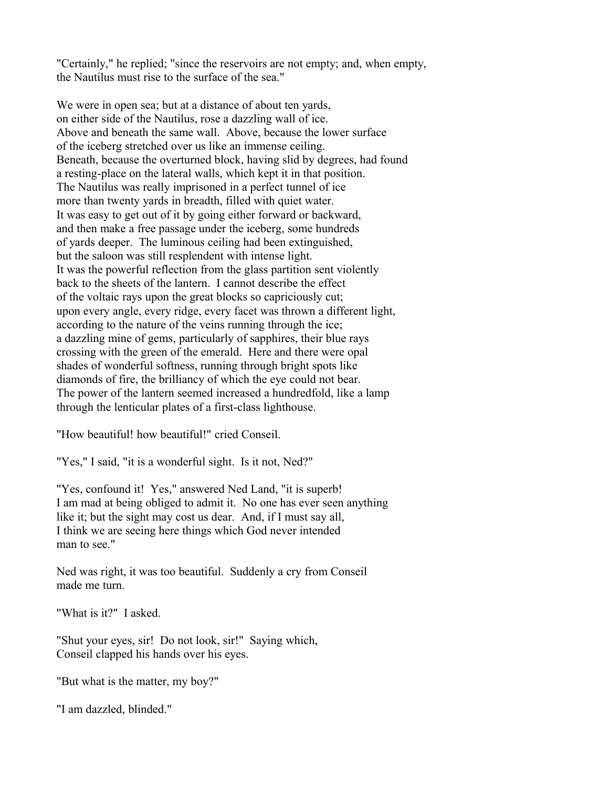"Certainly," he replied; "since the reservoirs are not empty; and, when empty, the Nautilus must rise to the surface of the sea."

We were in open sea; but at a distance of about ten yards, on either side of the Nautilus, rose a dazzling wall of ice. Above and beneath the same wall. Above, because the lower surface of the iceberg stretched over us like an immense ceiling. Beneath, because the overturned block, having slid by degrees, had found a resting-place on the lateral walls, which kept it in that position. The Nautilus was really imprisoned in a perfect tunnel of ice more than twenty yards in breadth, filled with quiet water. It was easy to get out of it by going either forward or backward, and then make a free passage under the iceberg, some hundreds of yards deeper. The luminous ceiling had been extinguished, but the saloon was still resplendent with intense light. It was the powerful reflection from the glass partition sent violently back to the sheets of the lantern. I cannot describe the effect of the voltaic rays upon the great blocks so capriciously cut; upon every angle, every ridge, every facet was thrown a different light, according to the nature of the veins running through the ice; a dazzling mine of gems, particularly of sapphires, their blue rays crossing with the green of the emerald. Here and there were opal shades of wonderful softness, running through bright spots like diamonds of fire, the brilliancy of which the eye could not bear. The power of the lantern seemed increased a hundredfold, like a lamp through the lenticular plates of a first-class lighthouse.

"How beautiful! how beautiful!" cried Conseil.

"Yes," I said, "it is a wonderful sight. Is it not, Ned?"

"Yes, confound it! Yes," answered Ned Land, "it is superb! I am mad at being obliged to admit it. No one has ever seen anything like it; but the sight may cost us dear. And, if I must say all, I think we are seeing here things which God never intended man to see."

Ned was right, it was too beautiful. Suddenly a cry from Conseil made me turn.

"What is it?" I asked.

"Shut your eyes, sir! Do not look, sir!" Saying which, Conseil clapped his hands over his eyes.

"But what is the matter, my boy?"

"I am dazzled, blinded."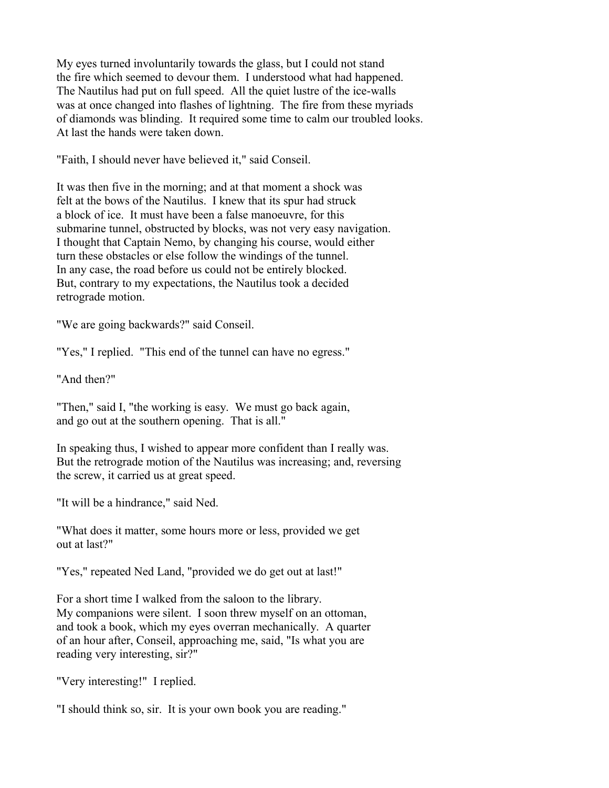My eyes turned involuntarily towards the glass, but I could not stand the fire which seemed to devour them. I understood what had happened. The Nautilus had put on full speed. All the quiet lustre of the ice-walls was at once changed into flashes of lightning. The fire from these myriads of diamonds was blinding. It required some time to calm our troubled looks. At last the hands were taken down.

"Faith, I should never have believed it," said Conseil.

It was then five in the morning; and at that moment a shock was felt at the bows of the Nautilus. I knew that its spur had struck a block of ice. It must have been a false manoeuvre, for this submarine tunnel, obstructed by blocks, was not very easy navigation. I thought that Captain Nemo, by changing his course, would either turn these obstacles or else follow the windings of the tunnel. In any case, the road before us could not be entirely blocked. But, contrary to my expectations, the Nautilus took a decided retrograde motion.

"We are going backwards?" said Conseil.

"Yes," I replied. "This end of the tunnel can have no egress."

"And then?"

"Then," said I, "the working is easy. We must go back again, and go out at the southern opening. That is all."

In speaking thus, I wished to appear more confident than I really was. But the retrograde motion of the Nautilus was increasing; and, reversing the screw, it carried us at great speed.

"It will be a hindrance," said Ned.

"What does it matter, some hours more or less, provided we get out at last?"

"Yes," repeated Ned Land, "provided we do get out at last!"

For a short time I walked from the saloon to the library. My companions were silent. I soon threw myself on an ottoman, and took a book, which my eyes overran mechanically. A quarter of an hour after, Conseil, approaching me, said, "Is what you are reading very interesting, sir?"

"Very interesting!" I replied.

"I should think so, sir. It is your own book you are reading."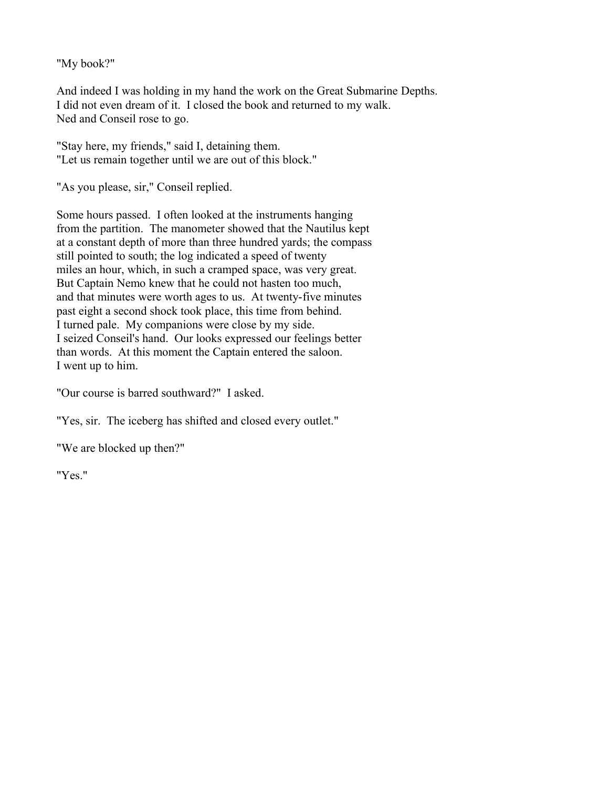"My book?"

And indeed I was holding in my hand the work on the Great Submarine Depths. I did not even dream of it. I closed the book and returned to my walk. Ned and Conseil rose to go.

"Stay here, my friends," said I, detaining them. "Let us remain together until we are out of this block."

"As you please, sir," Conseil replied.

Some hours passed. I often looked at the instruments hanging from the partition. The manometer showed that the Nautilus kept at a constant depth of more than three hundred yards; the compass still pointed to south; the log indicated a speed of twenty miles an hour, which, in such a cramped space, was very great. But Captain Nemo knew that he could not hasten too much, and that minutes were worth ages to us. At twenty-five minutes past eight a second shock took place, this time from behind. I turned pale. My companions were close by my side. I seized Conseil's hand. Our looks expressed our feelings better than words. At this moment the Captain entered the saloon. I went up to him.

"Our course is barred southward?" I asked.

"Yes, sir. The iceberg has shifted and closed every outlet."

"We are blocked up then?"

"Yes."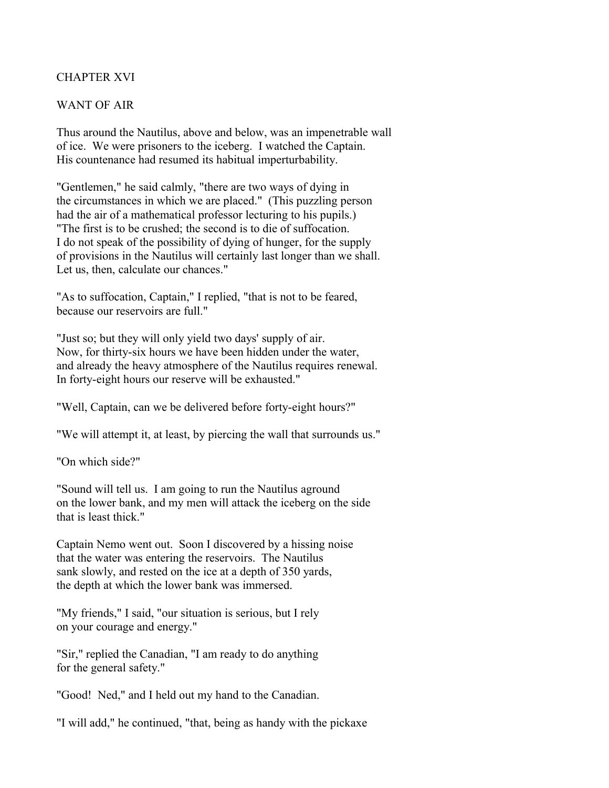# CHAPTER XVI

### WANT OF AIR

Thus around the Nautilus, above and below, was an impenetrable wall of ice. We were prisoners to the iceberg. I watched the Captain. His countenance had resumed its habitual imperturbability.

"Gentlemen," he said calmly, "there are two ways of dying in the circumstances in which we are placed." (This puzzling person had the air of a mathematical professor lecturing to his pupils.) "The first is to be crushed; the second is to die of suffocation. I do not speak of the possibility of dying of hunger, for the supply of provisions in the Nautilus will certainly last longer than we shall. Let us, then, calculate our chances."

"As to suffocation, Captain," I replied, "that is not to be feared, because our reservoirs are full."

"Just so; but they will only yield two days' supply of air. Now, for thirty-six hours we have been hidden under the water, and already the heavy atmosphere of the Nautilus requires renewal. In forty-eight hours our reserve will be exhausted."

"Well, Captain, can we be delivered before forty-eight hours?"

"We will attempt it, at least, by piercing the wall that surrounds us."

"On which side?"

"Sound will tell us. I am going to run the Nautilus aground on the lower bank, and my men will attack the iceberg on the side that is least thick."

Captain Nemo went out. Soon I discovered by a hissing noise that the water was entering the reservoirs. The Nautilus sank slowly, and rested on the ice at a depth of 350 yards, the depth at which the lower bank was immersed.

"My friends," I said, "our situation is serious, but I rely on your courage and energy."

"Sir," replied the Canadian, "I am ready to do anything for the general safety."

"Good! Ned," and I held out my hand to the Canadian.

"I will add," he continued, "that, being as handy with the pickaxe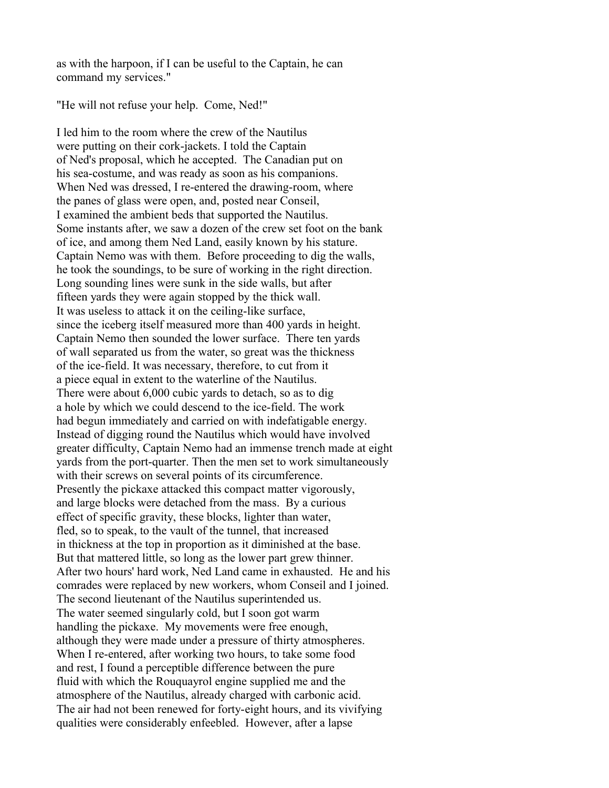as with the harpoon, if I can be useful to the Captain, he can command my services."

"He will not refuse your help. Come, Ned!"

I led him to the room where the crew of the Nautilus were putting on their cork-jackets. I told the Captain of Ned's proposal, which he accepted. The Canadian put on his sea-costume, and was ready as soon as his companions. When Ned was dressed, I re-entered the drawing-room, where the panes of glass were open, and, posted near Conseil, I examined the ambient beds that supported the Nautilus. Some instants after, we saw a dozen of the crew set foot on the bank of ice, and among them Ned Land, easily known by his stature. Captain Nemo was with them. Before proceeding to dig the walls, he took the soundings, to be sure of working in the right direction. Long sounding lines were sunk in the side walls, but after fifteen yards they were again stopped by the thick wall. It was useless to attack it on the ceiling-like surface, since the iceberg itself measured more than 400 yards in height. Captain Nemo then sounded the lower surface. There ten yards of wall separated us from the water, so great was the thickness of the ice-field. It was necessary, therefore, to cut from it a piece equal in extent to the waterline of the Nautilus. There were about 6,000 cubic yards to detach, so as to dig a hole by which we could descend to the ice-field. The work had begun immediately and carried on with indefatigable energy. Instead of digging round the Nautilus which would have involved greater difficulty, Captain Nemo had an immense trench made at eight yards from the port-quarter. Then the men set to work simultaneously with their screws on several points of its circumference. Presently the pickaxe attacked this compact matter vigorously, and large blocks were detached from the mass. By a curious effect of specific gravity, these blocks, lighter than water, fled, so to speak, to the vault of the tunnel, that increased in thickness at the top in proportion as it diminished at the base. But that mattered little, so long as the lower part grew thinner. After two hours' hard work, Ned Land came in exhausted. He and his comrades were replaced by new workers, whom Conseil and I joined. The second lieutenant of the Nautilus superintended us. The water seemed singularly cold, but I soon got warm handling the pickaxe. My movements were free enough, although they were made under a pressure of thirty atmospheres. When I re-entered, after working two hours, to take some food and rest, I found a perceptible difference between the pure fluid with which the Rouquayrol engine supplied me and the atmosphere of the Nautilus, already charged with carbonic acid. The air had not been renewed for forty-eight hours, and its vivifying qualities were considerably enfeebled. However, after a lapse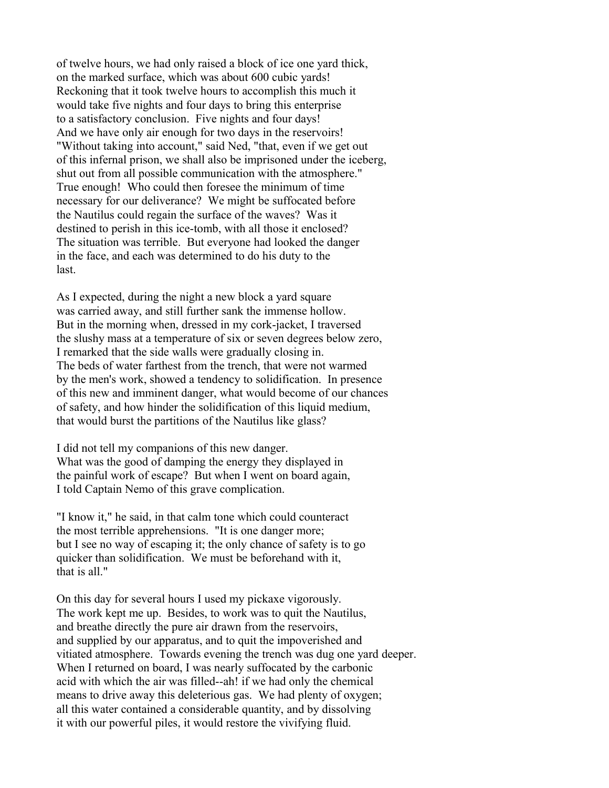of twelve hours, we had only raised a block of ice one yard thick, on the marked surface, which was about 600 cubic yards! Reckoning that it took twelve hours to accomplish this much it would take five nights and four days to bring this enterprise to a satisfactory conclusion. Five nights and four days! And we have only air enough for two days in the reservoirs! "Without taking into account," said Ned, "that, even if we get out of this infernal prison, we shall also be imprisoned under the iceberg, shut out from all possible communication with the atmosphere." True enough! Who could then foresee the minimum of time necessary for our deliverance? We might be suffocated before the Nautilus could regain the surface of the waves? Was it destined to perish in this ice-tomb, with all those it enclosed? The situation was terrible. But everyone had looked the danger in the face, and each was determined to do his duty to the last.

As I expected, during the night a new block a yard square was carried away, and still further sank the immense hollow. But in the morning when, dressed in my cork-jacket, I traversed the slushy mass at a temperature of six or seven degrees below zero, I remarked that the side walls were gradually closing in. The beds of water farthest from the trench, that were not warmed by the men's work, showed a tendency to solidification. In presence of this new and imminent danger, what would become of our chances of safety, and how hinder the solidification of this liquid medium, that would burst the partitions of the Nautilus like glass?

I did not tell my companions of this new danger. What was the good of damping the energy they displayed in the painful work of escape? But when I went on board again, I told Captain Nemo of this grave complication.

"I know it," he said, in that calm tone which could counteract the most terrible apprehensions. "It is one danger more; but I see no way of escaping it; the only chance of safety is to go quicker than solidification. We must be beforehand with it, that is all."

On this day for several hours I used my pickaxe vigorously. The work kept me up. Besides, to work was to quit the Nautilus, and breathe directly the pure air drawn from the reservoirs, and supplied by our apparatus, and to quit the impoverished and vitiated atmosphere. Towards evening the trench was dug one yard deeper. When I returned on board, I was nearly suffocated by the carbonic acid with which the air was filled--ah! if we had only the chemical means to drive away this deleterious gas. We had plenty of oxygen; all this water contained a considerable quantity, and by dissolving it with our powerful piles, it would restore the vivifying fluid.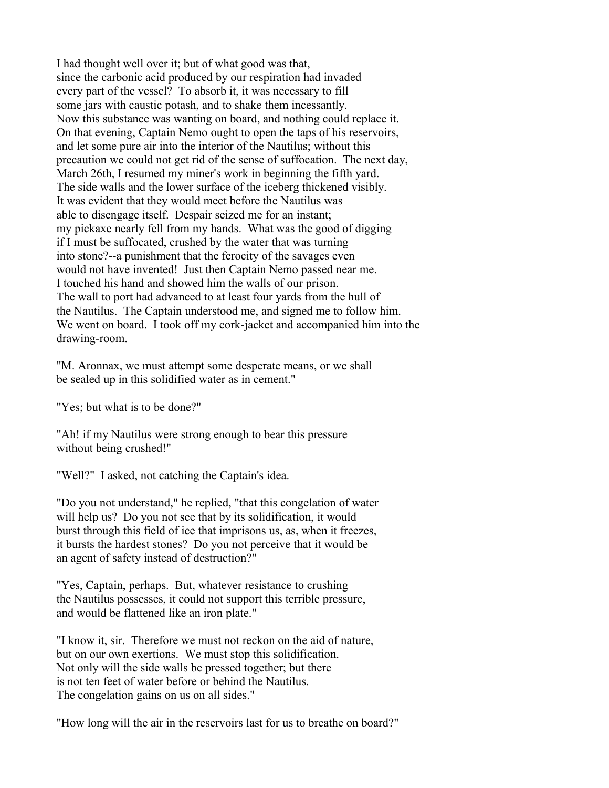I had thought well over it; but of what good was that, since the carbonic acid produced by our respiration had invaded every part of the vessel? To absorb it, it was necessary to fill some jars with caustic potash, and to shake them incessantly. Now this substance was wanting on board, and nothing could replace it. On that evening, Captain Nemo ought to open the taps of his reservoirs, and let some pure air into the interior of the Nautilus; without this precaution we could not get rid of the sense of suffocation. The next day, March 26th, I resumed my miner's work in beginning the fifth yard. The side walls and the lower surface of the iceberg thickened visibly. It was evident that they would meet before the Nautilus was able to disengage itself. Despair seized me for an instant; my pickaxe nearly fell from my hands. What was the good of digging if I must be suffocated, crushed by the water that was turning into stone?--a punishment that the ferocity of the savages even would not have invented! Just then Captain Nemo passed near me. I touched his hand and showed him the walls of our prison. The wall to port had advanced to at least four yards from the hull of the Nautilus. The Captain understood me, and signed me to follow him. We went on board. I took off my cork-jacket and accompanied him into the drawing-room.

"M. Aronnax, we must attempt some desperate means, or we shall be sealed up in this solidified water as in cement."

"Yes; but what is to be done?"

"Ah! if my Nautilus were strong enough to bear this pressure without being crushed!"

"Well?" I asked, not catching the Captain's idea.

"Do you not understand," he replied, "that this congelation of water will help us? Do you not see that by its solidification, it would burst through this field of ice that imprisons us, as, when it freezes, it bursts the hardest stones? Do you not perceive that it would be an agent of safety instead of destruction?"

"Yes, Captain, perhaps. But, whatever resistance to crushing the Nautilus possesses, it could not support this terrible pressure, and would be flattened like an iron plate."

"I know it, sir. Therefore we must not reckon on the aid of nature, but on our own exertions. We must stop this solidification. Not only will the side walls be pressed together; but there is not ten feet of water before or behind the Nautilus. The congelation gains on us on all sides."

"How long will the air in the reservoirs last for us to breathe on board?"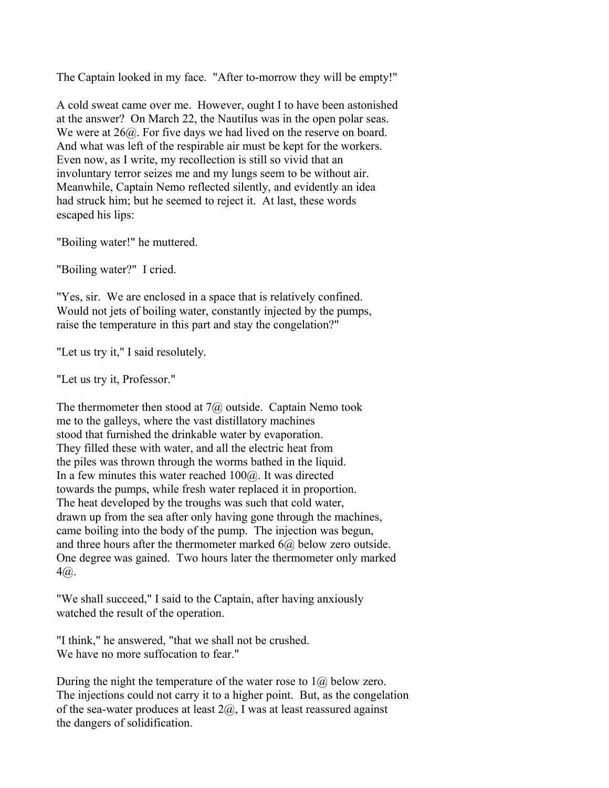The Captain looked in my face. "After to-morrow they will be empty!"

A cold sweat came over me. However, ought I to have been astonished at the answer? On March 22, the Nautilus was in the open polar seas. We were at  $26\omega$ . For five days we had lived on the reserve on board. And what was left of the respirable air must be kept for the workers. Even now, as I write, my recollection is still so vivid that an involuntary terror seizes me and my lungs seem to be without air. Meanwhile, Captain Nemo reflected silently, and evidently an idea had struck him; but he seemed to reject it. At last, these words escaped his lips:

"Boiling water!" he muttered.

"Boiling water?" I cried.

"Yes, sir. We are enclosed in a space that is relatively confined. Would not jets of boiling water, constantly injected by the pumps, raise the temperature in this part and stay the congelation?"

"Let us try it," I said resolutely.

"Let us try it, Professor."

The thermometer then stood at  $7\omega$  outside. Captain Nemo took me to the galleys, where the vast distillatory machines stood that furnished the drinkable water by evaporation. They filled these with water, and all the electric heat from the piles was thrown through the worms bathed in the liquid. In a few minutes this water reached  $100\omega$ . It was directed towards the pumps, while fresh water replaced it in proportion. The heat developed by the troughs was such that cold water, drawn up from the sea after only having gone through the machines, came boiling into the body of the pump. The injection was begun, and three hours after the thermometer marked  $6\omega$ , below zero outside. One degree was gained. Two hours later the thermometer only marked  $4\omega$ .

"We shall succeed," I said to the Captain, after having anxiously watched the result of the operation.

"I think," he answered, "that we shall not be crushed. We have no more suffocation to fear."

During the night the temperature of the water rose to  $1\omega$  below zero. The injections could not carry it to a higher point. But, as the congelation of the sea-water produces at least  $2(a)$ , I was at least reassured against the dangers of solidification.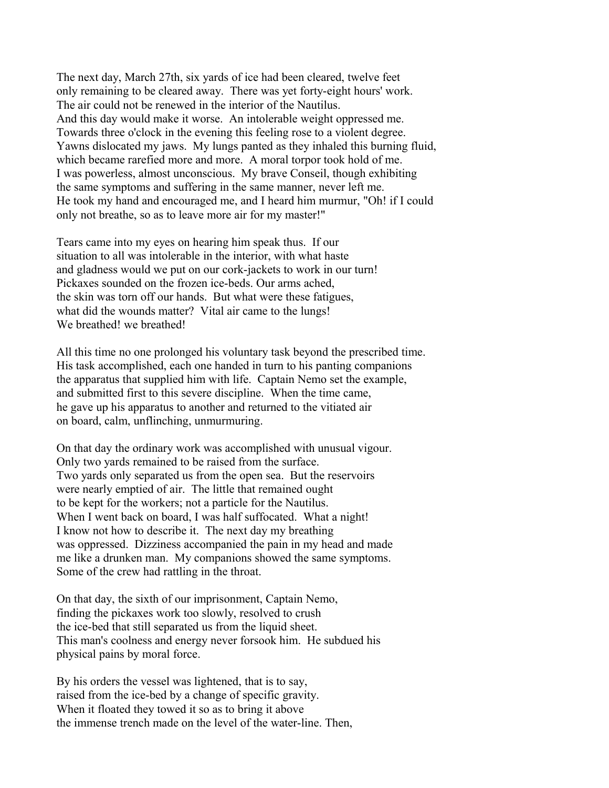The next day, March 27th, six yards of ice had been cleared, twelve feet only remaining to be cleared away. There was yet forty-eight hours' work. The air could not be renewed in the interior of the Nautilus. And this day would make it worse. An intolerable weight oppressed me. Towards three o'clock in the evening this feeling rose to a violent degree. Yawns dislocated my jaws. My lungs panted as they inhaled this burning fluid, which became rarefied more and more. A moral torpor took hold of me. I was powerless, almost unconscious. My brave Conseil, though exhibiting the same symptoms and suffering in the same manner, never left me. He took my hand and encouraged me, and I heard him murmur, "Oh! if I could only not breathe, so as to leave more air for my master!"

Tears came into my eyes on hearing him speak thus. If our situation to all was intolerable in the interior, with what haste and gladness would we put on our cork-jackets to work in our turn! Pickaxes sounded on the frozen ice-beds. Our arms ached, the skin was torn off our hands. But what were these fatigues, what did the wounds matter? Vital air came to the lungs! We breathed! we breathed!

All this time no one prolonged his voluntary task beyond the prescribed time. His task accomplished, each one handed in turn to his panting companions the apparatus that supplied him with life. Captain Nemo set the example, and submitted first to this severe discipline. When the time came, he gave up his apparatus to another and returned to the vitiated air on board, calm, unflinching, unmurmuring.

On that day the ordinary work was accomplished with unusual vigour. Only two yards remained to be raised from the surface. Two yards only separated us from the open sea. But the reservoirs were nearly emptied of air. The little that remained ought to be kept for the workers; not a particle for the Nautilus. When I went back on board, I was half suffocated. What a night! I know not how to describe it. The next day my breathing was oppressed. Dizziness accompanied the pain in my head and made me like a drunken man. My companions showed the same symptoms. Some of the crew had rattling in the throat.

On that day, the sixth of our imprisonment, Captain Nemo, finding the pickaxes work too slowly, resolved to crush the ice-bed that still separated us from the liquid sheet. This man's coolness and energy never forsook him. He subdued his physical pains by moral force.

By his orders the vessel was lightened, that is to say, raised from the ice-bed by a change of specific gravity. When it floated they towed it so as to bring it above the immense trench made on the level of the water-line. Then,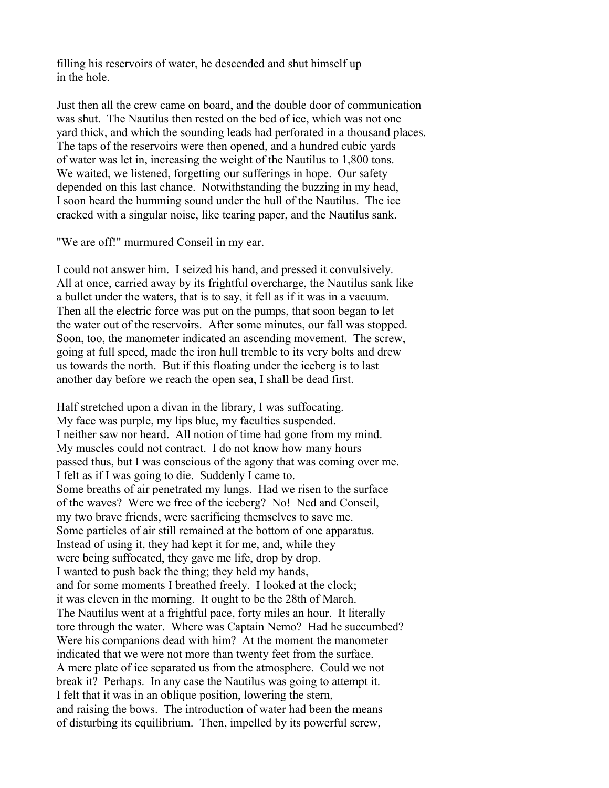filling his reservoirs of water, he descended and shut himself up in the hole.

Just then all the crew came on board, and the double door of communication was shut. The Nautilus then rested on the bed of ice, which was not one yard thick, and which the sounding leads had perforated in a thousand places. The taps of the reservoirs were then opened, and a hundred cubic yards of water was let in, increasing the weight of the Nautilus to 1,800 tons. We waited, we listened, forgetting our sufferings in hope. Our safety depended on this last chance. Notwithstanding the buzzing in my head, I soon heard the humming sound under the hull of the Nautilus. The ice cracked with a singular noise, like tearing paper, and the Nautilus sank.

"We are off!" murmured Conseil in my ear.

I could not answer him. I seized his hand, and pressed it convulsively. All at once, carried away by its frightful overcharge, the Nautilus sank like a bullet under the waters, that is to say, it fell as if it was in a vacuum. Then all the electric force was put on the pumps, that soon began to let the water out of the reservoirs. After some minutes, our fall was stopped. Soon, too, the manometer indicated an ascending movement. The screw, going at full speed, made the iron hull tremble to its very bolts and drew us towards the north. But if this floating under the iceberg is to last another day before we reach the open sea, I shall be dead first.

Half stretched upon a divan in the library, I was suffocating. My face was purple, my lips blue, my faculties suspended. I neither saw nor heard. All notion of time had gone from my mind. My muscles could not contract. I do not know how many hours passed thus, but I was conscious of the agony that was coming over me. I felt as if I was going to die. Suddenly I came to. Some breaths of air penetrated my lungs. Had we risen to the surface of the waves? Were we free of the iceberg? No! Ned and Conseil, my two brave friends, were sacrificing themselves to save me. Some particles of air still remained at the bottom of one apparatus. Instead of using it, they had kept it for me, and, while they were being suffocated, they gave me life, drop by drop. I wanted to push back the thing; they held my hands, and for some moments I breathed freely. I looked at the clock; it was eleven in the morning. It ought to be the 28th of March. The Nautilus went at a frightful pace, forty miles an hour. It literally tore through the water. Where was Captain Nemo? Had he succumbed? Were his companions dead with him? At the moment the manometer indicated that we were not more than twenty feet from the surface. A mere plate of ice separated us from the atmosphere. Could we not break it? Perhaps. In any case the Nautilus was going to attempt it. I felt that it was in an oblique position, lowering the stern, and raising the bows. The introduction of water had been the means of disturbing its equilibrium. Then, impelled by its powerful screw,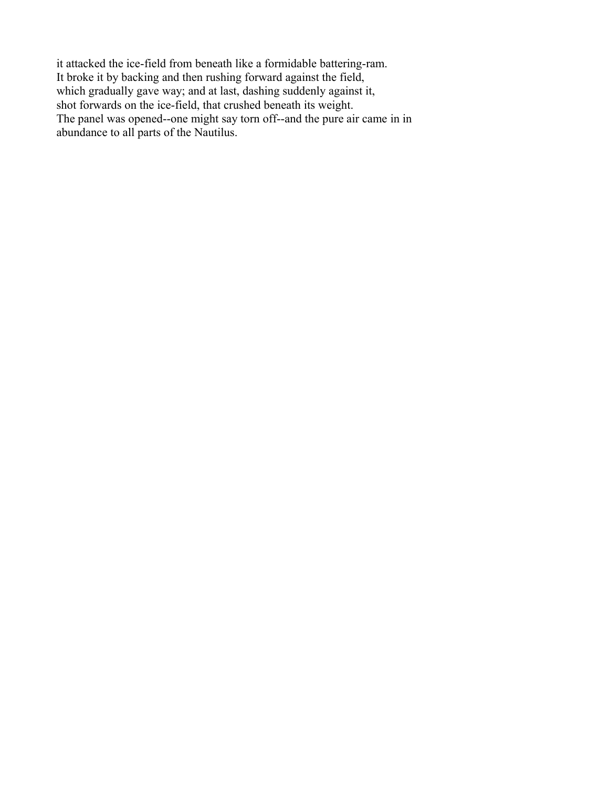it attacked the ice-field from beneath like a formidable battering-ram. It broke it by backing and then rushing forward against the field, which gradually gave way; and at last, dashing suddenly against it, shot forwards on the ice-field, that crushed beneath its weight. The panel was opened--one might say torn off--and the pure air came in in abundance to all parts of the Nautilus.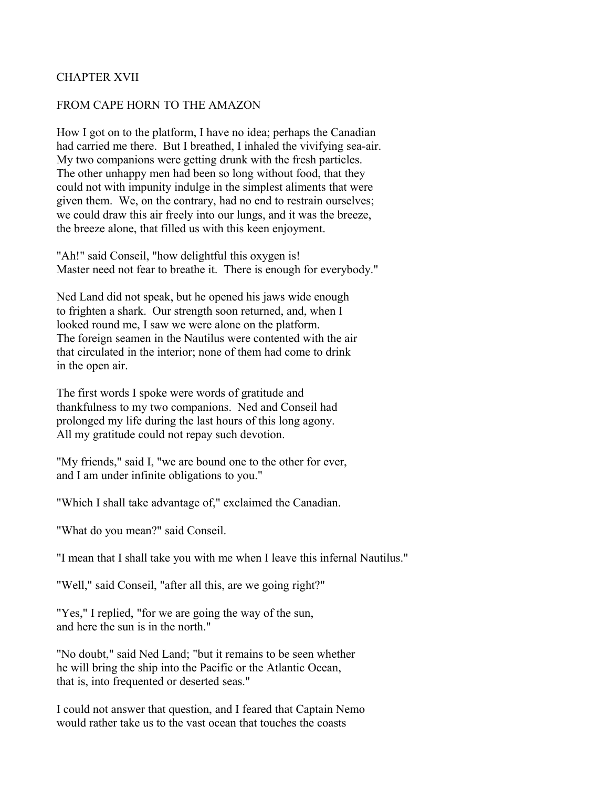# CHAPTER XVII

### FROM CAPE HORN TO THE AMAZON

How I got on to the platform, I have no idea; perhaps the Canadian had carried me there. But I breathed, I inhaled the vivifying sea-air. My two companions were getting drunk with the fresh particles. The other unhappy men had been so long without food, that they could not with impunity indulge in the simplest aliments that were given them. We, on the contrary, had no end to restrain ourselves; we could draw this air freely into our lungs, and it was the breeze, the breeze alone, that filled us with this keen enjoyment.

"Ah!" said Conseil, "how delightful this oxygen is! Master need not fear to breathe it. There is enough for everybody."

Ned Land did not speak, but he opened his jaws wide enough to frighten a shark. Our strength soon returned, and, when I looked round me, I saw we were alone on the platform. The foreign seamen in the Nautilus were contented with the air that circulated in the interior; none of them had come to drink in the open air.

The first words I spoke were words of gratitude and thankfulness to my two companions. Ned and Conseil had prolonged my life during the last hours of this long agony. All my gratitude could not repay such devotion.

"My friends," said I, "we are bound one to the other for ever, and I am under infinite obligations to you."

"Which I shall take advantage of," exclaimed the Canadian.

"What do you mean?" said Conseil.

"I mean that I shall take you with me when I leave this infernal Nautilus."

"Well," said Conseil, "after all this, are we going right?"

"Yes," I replied, "for we are going the way of the sun, and here the sun is in the north."

"No doubt," said Ned Land; "but it remains to be seen whether he will bring the ship into the Pacific or the Atlantic Ocean, that is, into frequented or deserted seas."

I could not answer that question, and I feared that Captain Nemo would rather take us to the vast ocean that touches the coasts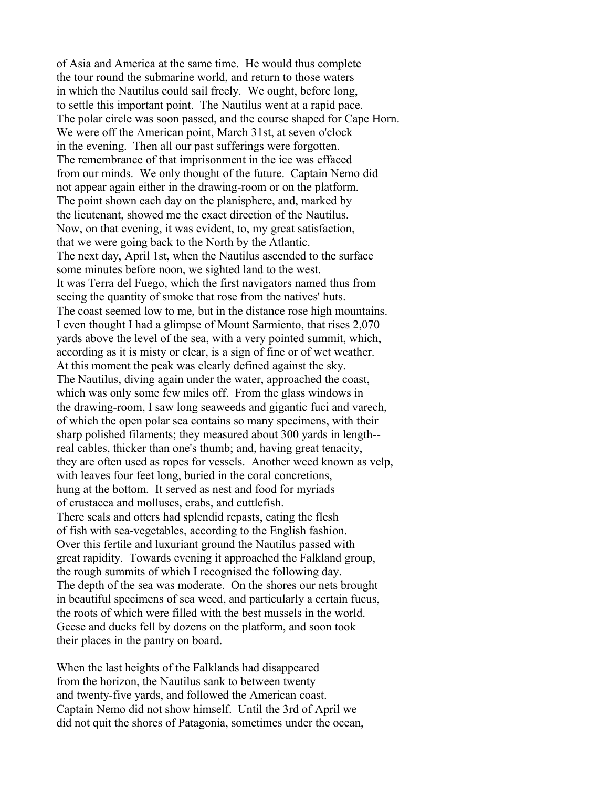of Asia and America at the same time. He would thus complete the tour round the submarine world, and return to those waters in which the Nautilus could sail freely. We ought, before long, to settle this important point. The Nautilus went at a rapid pace. The polar circle was soon passed, and the course shaped for Cape Horn. We were off the American point, March 31st, at seven o'clock in the evening. Then all our past sufferings were forgotten. The remembrance of that imprisonment in the ice was effaced from our minds. We only thought of the future. Captain Nemo did not appear again either in the drawing-room or on the platform. The point shown each day on the planisphere, and, marked by the lieutenant, showed me the exact direction of the Nautilus. Now, on that evening, it was evident, to, my great satisfaction, that we were going back to the North by the Atlantic. The next day, April 1st, when the Nautilus ascended to the surface some minutes before noon, we sighted land to the west. It was Terra del Fuego, which the first navigators named thus from seeing the quantity of smoke that rose from the natives' huts. The coast seemed low to me, but in the distance rose high mountains. I even thought I had a glimpse of Mount Sarmiento, that rises 2,070 yards above the level of the sea, with a very pointed summit, which, according as it is misty or clear, is a sign of fine or of wet weather. At this moment the peak was clearly defined against the sky. The Nautilus, diving again under the water, approached the coast, which was only some few miles off. From the glass windows in the drawing-room, I saw long seaweeds and gigantic fuci and varech, of which the open polar sea contains so many specimens, with their sharp polished filaments; they measured about 300 yards in length- real cables, thicker than one's thumb; and, having great tenacity, they are often used as ropes for vessels. Another weed known as velp, with leaves four feet long, buried in the coral concretions, hung at the bottom. It served as nest and food for myriads of crustacea and molluscs, crabs, and cuttlefish. There seals and otters had splendid repasts, eating the flesh of fish with sea-vegetables, according to the English fashion. Over this fertile and luxuriant ground the Nautilus passed with great rapidity. Towards evening it approached the Falkland group, the rough summits of which I recognised the following day. The depth of the sea was moderate. On the shores our nets brought in beautiful specimens of sea weed, and particularly a certain fucus, the roots of which were filled with the best mussels in the world. Geese and ducks fell by dozens on the platform, and soon took their places in the pantry on board.

When the last heights of the Falklands had disappeared from the horizon, the Nautilus sank to between twenty and twenty-five yards, and followed the American coast. Captain Nemo did not show himself. Until the 3rd of April we did not quit the shores of Patagonia, sometimes under the ocean,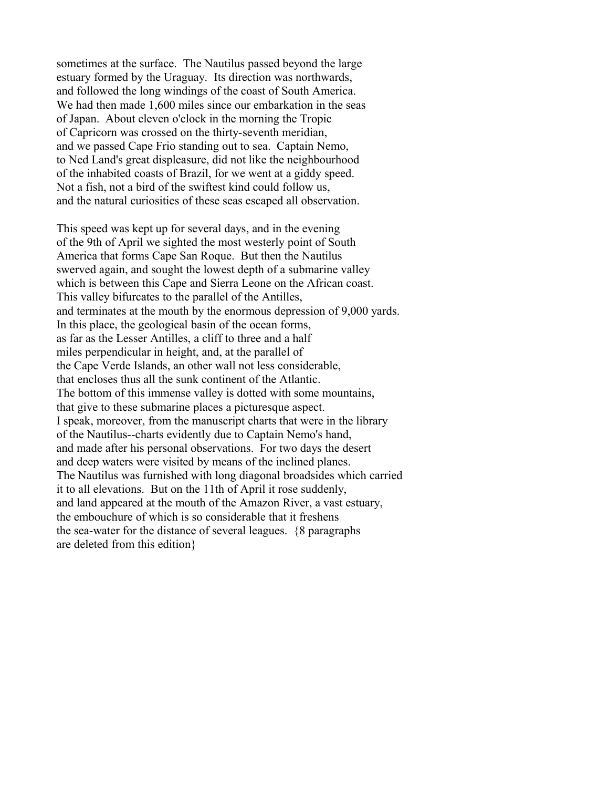sometimes at the surface. The Nautilus passed beyond the large estuary formed by the Uraguay. Its direction was northwards, and followed the long windings of the coast of South America. We had then made 1,600 miles since our embarkation in the seas of Japan. About eleven o'clock in the morning the Tropic of Capricorn was crossed on the thirty-seventh meridian, and we passed Cape Frio standing out to sea. Captain Nemo, to Ned Land's great displeasure, did not like the neighbourhood of the inhabited coasts of Brazil, for we went at a giddy speed. Not a fish, not a bird of the swiftest kind could follow us, and the natural curiosities of these seas escaped all observation.

This speed was kept up for several days, and in the evening of the 9th of April we sighted the most westerly point of South America that forms Cape San Roque. But then the Nautilus swerved again, and sought the lowest depth of a submarine valley which is between this Cape and Sierra Leone on the African coast. This valley bifurcates to the parallel of the Antilles, and terminates at the mouth by the enormous depression of 9,000 yards. In this place, the geological basin of the ocean forms, as far as the Lesser Antilles, a cliff to three and a half miles perpendicular in height, and, at the parallel of the Cape Verde Islands, an other wall not less considerable, that encloses thus all the sunk continent of the Atlantic. The bottom of this immense valley is dotted with some mountains, that give to these submarine places a picturesque aspect. I speak, moreover, from the manuscript charts that were in the library of the Nautilus--charts evidently due to Captain Nemo's hand, and made after his personal observations. For two days the desert and deep waters were visited by means of the inclined planes. The Nautilus was furnished with long diagonal broadsides which carried it to all elevations. But on the 11th of April it rose suddenly, and land appeared at the mouth of the Amazon River, a vast estuary, the embouchure of which is so considerable that it freshens the sea-water for the distance of several leagues. {8 paragraphs are deleted from this edition}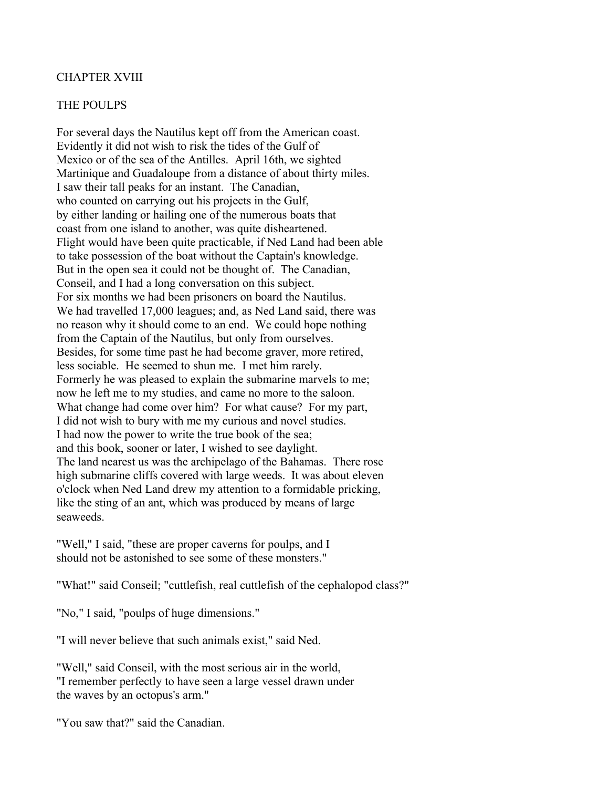# CHAPTER XVIII

### THE POULPS

For several days the Nautilus kept off from the American coast. Evidently it did not wish to risk the tides of the Gulf of Mexico or of the sea of the Antilles. April 16th, we sighted Martinique and Guadaloupe from a distance of about thirty miles. I saw their tall peaks for an instant. The Canadian, who counted on carrying out his projects in the Gulf, by either landing or hailing one of the numerous boats that coast from one island to another, was quite disheartened. Flight would have been quite practicable, if Ned Land had been able to take possession of the boat without the Captain's knowledge. But in the open sea it could not be thought of. The Canadian, Conseil, and I had a long conversation on this subject. For six months we had been prisoners on board the Nautilus. We had travelled 17,000 leagues; and, as Ned Land said, there was no reason why it should come to an end. We could hope nothing from the Captain of the Nautilus, but only from ourselves. Besides, for some time past he had become graver, more retired, less sociable. He seemed to shun me. I met him rarely. Formerly he was pleased to explain the submarine marvels to me; now he left me to my studies, and came no more to the saloon. What change had come over him? For what cause? For my part, I did not wish to bury with me my curious and novel studies. I had now the power to write the true book of the sea; and this book, sooner or later, I wished to see daylight. The land nearest us was the archipelago of the Bahamas. There rose high submarine cliffs covered with large weeds. It was about eleven o'clock when Ned Land drew my attention to a formidable pricking, like the sting of an ant, which was produced by means of large seaweeds.

"Well," I said, "these are proper caverns for poulps, and I should not be astonished to see some of these monsters."

"What!" said Conseil; "cuttlefish, real cuttlefish of the cephalopod class?"

"No," I said, "poulps of huge dimensions."

"I will never believe that such animals exist," said Ned.

"Well," said Conseil, with the most serious air in the world, "I remember perfectly to have seen a large vessel drawn under the waves by an octopus's arm."

"You saw that?" said the Canadian.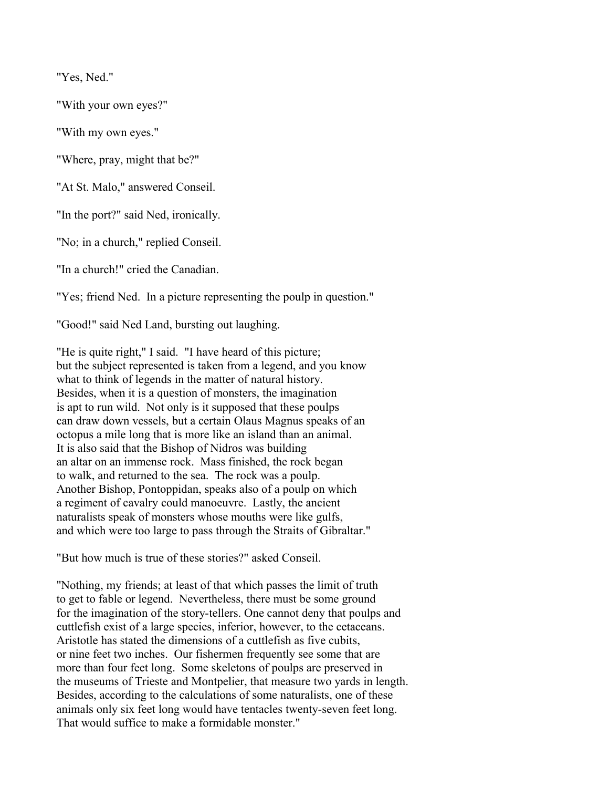"Yes, Ned."

"With your own eyes?"

"With my own eyes."

"Where, pray, might that be?"

"At St. Malo," answered Conseil.

"In the port?" said Ned, ironically.

"No; in a church," replied Conseil.

"In a church!" cried the Canadian.

"Yes; friend Ned. In a picture representing the poulp in question."

"Good!" said Ned Land, bursting out laughing.

"He is quite right," I said. "I have heard of this picture; but the subject represented is taken from a legend, and you know what to think of legends in the matter of natural history. Besides, when it is a question of monsters, the imagination is apt to run wild. Not only is it supposed that these poulps can draw down vessels, but a certain Olaus Magnus speaks of an octopus a mile long that is more like an island than an animal. It is also said that the Bishop of Nidros was building an altar on an immense rock. Mass finished, the rock began to walk, and returned to the sea. The rock was a poulp. Another Bishop, Pontoppidan, speaks also of a poulp on which a regiment of cavalry could manoeuvre. Lastly, the ancient naturalists speak of monsters whose mouths were like gulfs, and which were too large to pass through the Straits of Gibraltar."

"But how much is true of these stories?" asked Conseil.

"Nothing, my friends; at least of that which passes the limit of truth to get to fable or legend. Nevertheless, there must be some ground for the imagination of the story-tellers. One cannot deny that poulps and cuttlefish exist of a large species, inferior, however, to the cetaceans. Aristotle has stated the dimensions of a cuttlefish as five cubits, or nine feet two inches. Our fishermen frequently see some that are more than four feet long. Some skeletons of poulps are preserved in the museums of Trieste and Montpelier, that measure two yards in length. Besides, according to the calculations of some naturalists, one of these animals only six feet long would have tentacles twenty-seven feet long. That would suffice to make a formidable monster."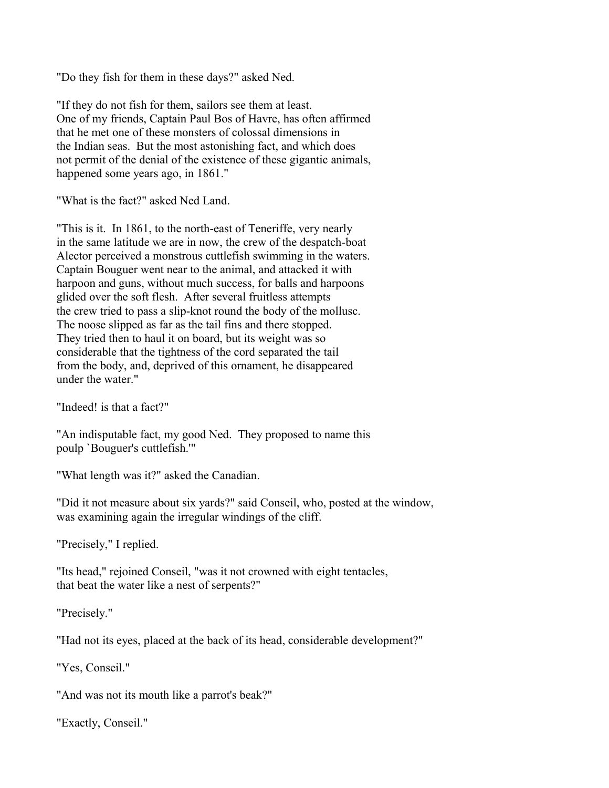"Do they fish for them in these days?" asked Ned.

"If they do not fish for them, sailors see them at least. One of my friends, Captain Paul Bos of Havre, has often affirmed that he met one of these monsters of colossal dimensions in the Indian seas. But the most astonishing fact, and which does not permit of the denial of the existence of these gigantic animals, happened some years ago, in 1861."

"What is the fact?" asked Ned Land.

"This is it. In 1861, to the north-east of Teneriffe, very nearly in the same latitude we are in now, the crew of the despatch-boat Alector perceived a monstrous cuttlefish swimming in the waters. Captain Bouguer went near to the animal, and attacked it with harpoon and guns, without much success, for balls and harpoons glided over the soft flesh. After several fruitless attempts the crew tried to pass a slip-knot round the body of the mollusc. The noose slipped as far as the tail fins and there stopped. They tried then to haul it on board, but its weight was so considerable that the tightness of the cord separated the tail from the body, and, deprived of this ornament, he disappeared under the water."

"Indeed! is that a fact?"

"An indisputable fact, my good Ned. They proposed to name this poulp `Bouguer's cuttlefish.'"

"What length was it?" asked the Canadian.

"Did it not measure about six yards?" said Conseil, who, posted at the window, was examining again the irregular windings of the cliff.

"Precisely," I replied.

"Its head," rejoined Conseil, "was it not crowned with eight tentacles, that beat the water like a nest of serpents?"

"Precisely."

"Had not its eyes, placed at the back of its head, considerable development?"

"Yes, Conseil."

"And was not its mouth like a parrot's beak?"

"Exactly, Conseil."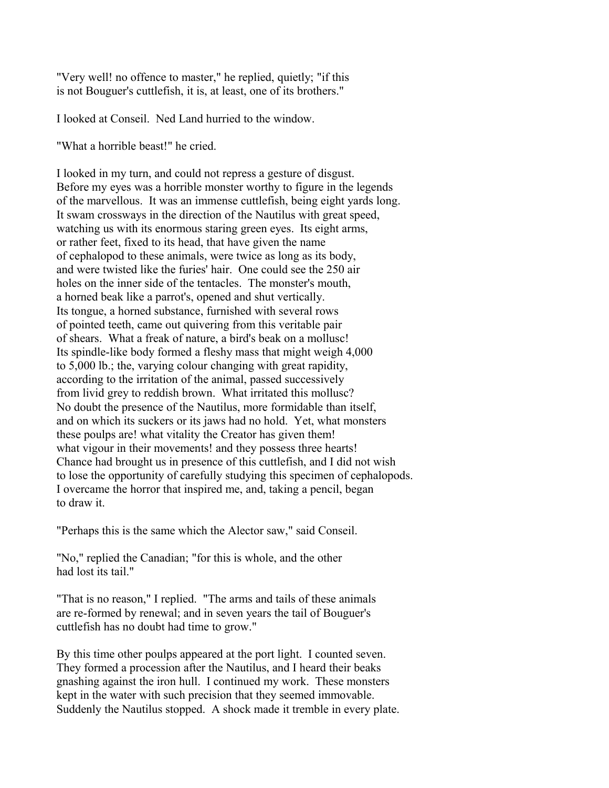"Very well! no offence to master," he replied, quietly; "if this is not Bouguer's cuttlefish, it is, at least, one of its brothers."

I looked at Conseil. Ned Land hurried to the window.

"What a horrible beast!" he cried.

I looked in my turn, and could not repress a gesture of disgust. Before my eyes was a horrible monster worthy to figure in the legends of the marvellous. It was an immense cuttlefish, being eight yards long. It swam crossways in the direction of the Nautilus with great speed, watching us with its enormous staring green eyes. Its eight arms, or rather feet, fixed to its head, that have given the name of cephalopod to these animals, were twice as long as its body, and were twisted like the furies' hair. One could see the 250 air holes on the inner side of the tentacles. The monster's mouth, a horned beak like a parrot's, opened and shut vertically. Its tongue, a horned substance, furnished with several rows of pointed teeth, came out quivering from this veritable pair of shears. What a freak of nature, a bird's beak on a mollusc! Its spindle-like body formed a fleshy mass that might weigh 4,000 to 5,000 lb.; the, varying colour changing with great rapidity, according to the irritation of the animal, passed successively from livid grey to reddish brown. What irritated this mollusc? No doubt the presence of the Nautilus, more formidable than itself, and on which its suckers or its jaws had no hold. Yet, what monsters these poulps are! what vitality the Creator has given them! what vigour in their movements! and they possess three hearts! Chance had brought us in presence of this cuttlefish, and I did not wish to lose the opportunity of carefully studying this specimen of cephalopods. I overcame the horror that inspired me, and, taking a pencil, began to draw it.

"Perhaps this is the same which the Alector saw," said Conseil.

"No," replied the Canadian; "for this is whole, and the other had lost its tail."

"That is no reason," I replied. "The arms and tails of these animals are re-formed by renewal; and in seven years the tail of Bouguer's cuttlefish has no doubt had time to grow."

By this time other poulps appeared at the port light. I counted seven. They formed a procession after the Nautilus, and I heard their beaks gnashing against the iron hull. I continued my work. These monsters kept in the water with such precision that they seemed immovable. Suddenly the Nautilus stopped. A shock made it tremble in every plate.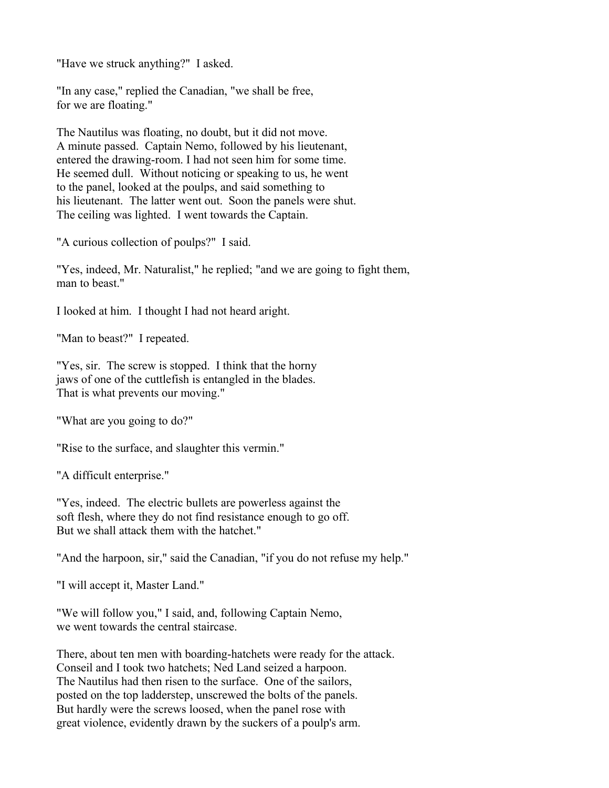"Have we struck anything?" I asked.

"In any case," replied the Canadian, "we shall be free, for we are floating."

The Nautilus was floating, no doubt, but it did not move. A minute passed. Captain Nemo, followed by his lieutenant, entered the drawing-room. I had not seen him for some time. He seemed dull. Without noticing or speaking to us, he went to the panel, looked at the poulps, and said something to his lieutenant. The latter went out. Soon the panels were shut. The ceiling was lighted. I went towards the Captain.

"A curious collection of poulps?" I said.

"Yes, indeed, Mr. Naturalist," he replied; "and we are going to fight them, man to beast."

I looked at him. I thought I had not heard aright.

"Man to beast?" I repeated.

"Yes, sir. The screw is stopped. I think that the horny jaws of one of the cuttlefish is entangled in the blades. That is what prevents our moving."

"What are you going to do?"

"Rise to the surface, and slaughter this vermin."

"A difficult enterprise."

"Yes, indeed. The electric bullets are powerless against the soft flesh, where they do not find resistance enough to go off. But we shall attack them with the hatchet."

"And the harpoon, sir," said the Canadian, "if you do not refuse my help."

"I will accept it, Master Land."

"We will follow you," I said, and, following Captain Nemo, we went towards the central staircase.

There, about ten men with boarding-hatchets were ready for the attack. Conseil and I took two hatchets; Ned Land seized a harpoon. The Nautilus had then risen to the surface. One of the sailors, posted on the top ladderstep, unscrewed the bolts of the panels. But hardly were the screws loosed, when the panel rose with great violence, evidently drawn by the suckers of a poulp's arm.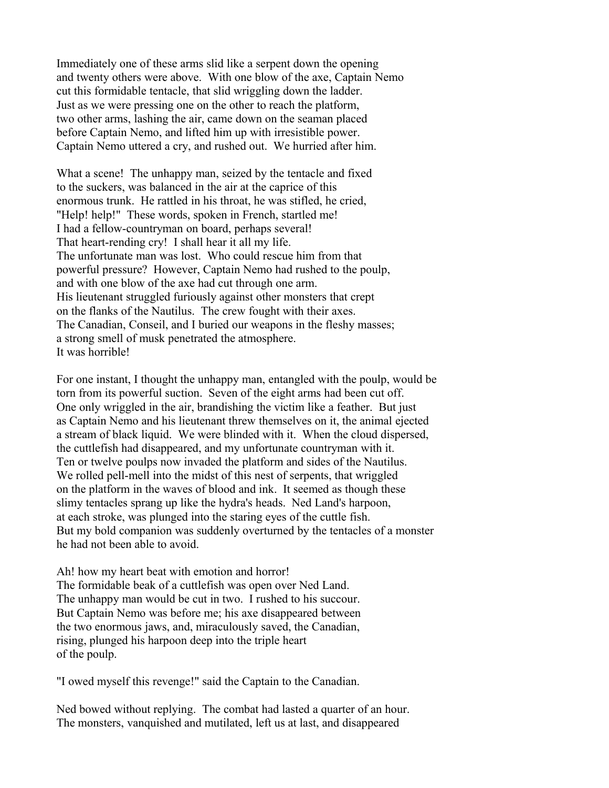Immediately one of these arms slid like a serpent down the opening and twenty others were above. With one blow of the axe, Captain Nemo cut this formidable tentacle, that slid wriggling down the ladder. Just as we were pressing one on the other to reach the platform, two other arms, lashing the air, came down on the seaman placed before Captain Nemo, and lifted him up with irresistible power. Captain Nemo uttered a cry, and rushed out. We hurried after him.

What a scene! The unhappy man, seized by the tentacle and fixed to the suckers, was balanced in the air at the caprice of this enormous trunk. He rattled in his throat, he was stifled, he cried, "Help! help!" These words, spoken in French, startled me! I had a fellow-countryman on board, perhaps several! That heart-rending cry! I shall hear it all my life. The unfortunate man was lost. Who could rescue him from that powerful pressure? However, Captain Nemo had rushed to the poulp, and with one blow of the axe had cut through one arm. His lieutenant struggled furiously against other monsters that crept on the flanks of the Nautilus. The crew fought with their axes. The Canadian, Conseil, and I buried our weapons in the fleshy masses; a strong smell of musk penetrated the atmosphere. It was horrible!

For one instant, I thought the unhappy man, entangled with the poulp, would be torn from its powerful suction. Seven of the eight arms had been cut off. One only wriggled in the air, brandishing the victim like a feather. But just as Captain Nemo and his lieutenant threw themselves on it, the animal ejected a stream of black liquid. We were blinded with it. When the cloud dispersed, the cuttlefish had disappeared, and my unfortunate countryman with it. Ten or twelve poulps now invaded the platform and sides of the Nautilus. We rolled pell-mell into the midst of this nest of serpents, that wriggled on the platform in the waves of blood and ink. It seemed as though these slimy tentacles sprang up like the hydra's heads. Ned Land's harpoon, at each stroke, was plunged into the staring eyes of the cuttle fish. But my bold companion was suddenly overturned by the tentacles of a monster he had not been able to avoid.

Ah! how my heart beat with emotion and horror! The formidable beak of a cuttlefish was open over Ned Land. The unhappy man would be cut in two. I rushed to his succour. But Captain Nemo was before me; his axe disappeared between the two enormous jaws, and, miraculously saved, the Canadian, rising, plunged his harpoon deep into the triple heart of the poulp.

"I owed myself this revenge!" said the Captain to the Canadian.

Ned bowed without replying. The combat had lasted a quarter of an hour. The monsters, vanquished and mutilated, left us at last, and disappeared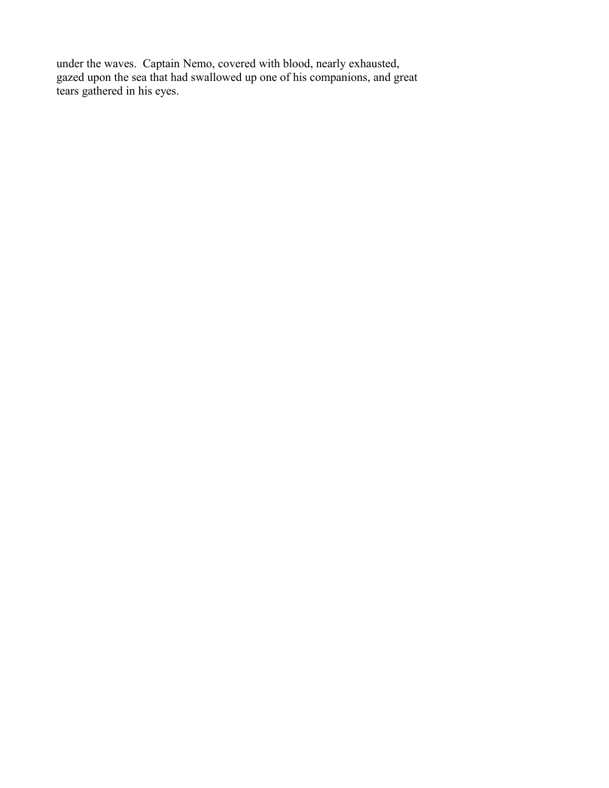under the waves. Captain Nemo, covered with blood, nearly exhausted, gazed upon the sea that had swallowed up one of his companions, and great tears gathered in his eyes.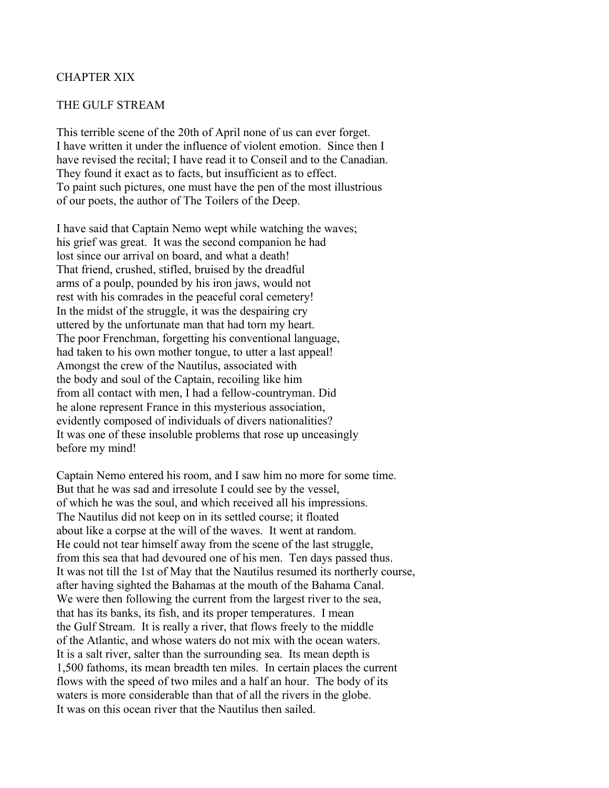# CHAPTER XIX

### THE GULF STREAM

This terrible scene of the 20th of April none of us can ever forget. I have written it under the influence of violent emotion. Since then I have revised the recital; I have read it to Conseil and to the Canadian. They found it exact as to facts, but insufficient as to effect. To paint such pictures, one must have the pen of the most illustrious of our poets, the author of The Toilers of the Deep.

I have said that Captain Nemo wept while watching the waves; his grief was great. It was the second companion he had lost since our arrival on board, and what a death! That friend, crushed, stifled, bruised by the dreadful arms of a poulp, pounded by his iron jaws, would not rest with his comrades in the peaceful coral cemetery! In the midst of the struggle, it was the despairing cry uttered by the unfortunate man that had torn my heart. The poor Frenchman, forgetting his conventional language, had taken to his own mother tongue, to utter a last appeal! Amongst the crew of the Nautilus, associated with the body and soul of the Captain, recoiling like him from all contact with men, I had a fellow-countryman. Did he alone represent France in this mysterious association, evidently composed of individuals of divers nationalities? It was one of these insoluble problems that rose up unceasingly before my mind!

Captain Nemo entered his room, and I saw him no more for some time. But that he was sad and irresolute I could see by the vessel, of which he was the soul, and which received all his impressions. The Nautilus did not keep on in its settled course; it floated about like a corpse at the will of the waves. It went at random. He could not tear himself away from the scene of the last struggle, from this sea that had devoured one of his men. Ten days passed thus. It was not till the 1st of May that the Nautilus resumed its northerly course, after having sighted the Bahamas at the mouth of the Bahama Canal. We were then following the current from the largest river to the sea, that has its banks, its fish, and its proper temperatures. I mean the Gulf Stream. It is really a river, that flows freely to the middle of the Atlantic, and whose waters do not mix with the ocean waters. It is a salt river, salter than the surrounding sea. Its mean depth is 1,500 fathoms, its mean breadth ten miles. In certain places the current flows with the speed of two miles and a half an hour. The body of its waters is more considerable than that of all the rivers in the globe. It was on this ocean river that the Nautilus then sailed.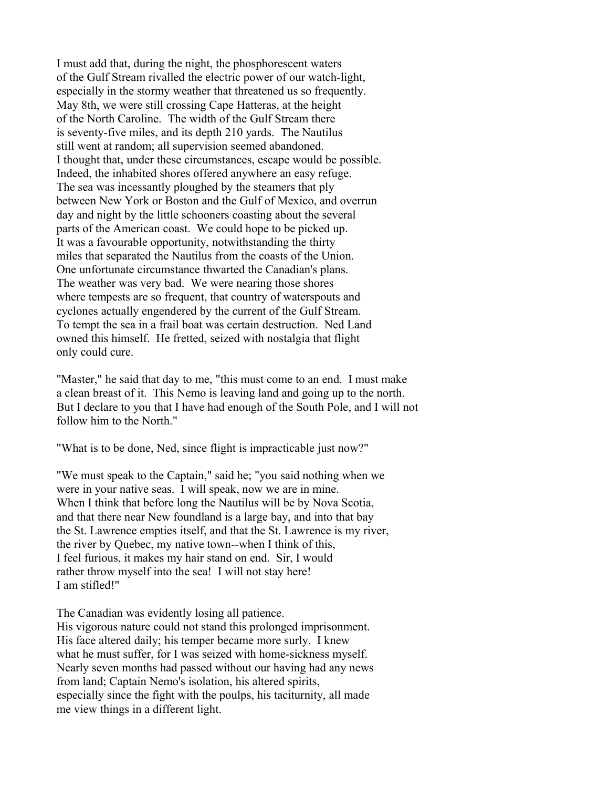I must add that, during the night, the phosphorescent waters of the Gulf Stream rivalled the electric power of our watch-light, especially in the stormy weather that threatened us so frequently. May 8th, we were still crossing Cape Hatteras, at the height of the North Caroline. The width of the Gulf Stream there is seventy-five miles, and its depth 210 yards. The Nautilus still went at random; all supervision seemed abandoned. I thought that, under these circumstances, escape would be possible. Indeed, the inhabited shores offered anywhere an easy refuge. The sea was incessantly ploughed by the steamers that ply between New York or Boston and the Gulf of Mexico, and overrun day and night by the little schooners coasting about the several parts of the American coast. We could hope to be picked up. It was a favourable opportunity, notwithstanding the thirty miles that separated the Nautilus from the coasts of the Union. One unfortunate circumstance thwarted the Canadian's plans. The weather was very bad. We were nearing those shores where tempests are so frequent, that country of waterspouts and cyclones actually engendered by the current of the Gulf Stream. To tempt the sea in a frail boat was certain destruction. Ned Land owned this himself. He fretted, seized with nostalgia that flight only could cure.

"Master," he said that day to me, "this must come to an end. I must make a clean breast of it. This Nemo is leaving land and going up to the north. But I declare to you that I have had enough of the South Pole, and I will not follow him to the North."

"What is to be done, Ned, since flight is impracticable just now?"

"We must speak to the Captain," said he; "you said nothing when we were in your native seas. I will speak, now we are in mine. When I think that before long the Nautilus will be by Nova Scotia, and that there near New foundland is a large bay, and into that bay the St. Lawrence empties itself, and that the St. Lawrence is my river, the river by Quebec, my native town--when I think of this, I feel furious, it makes my hair stand on end. Sir, I would rather throw myself into the sea! I will not stay here! I am stifled!"

The Canadian was evidently losing all patience.

His vigorous nature could not stand this prolonged imprisonment. His face altered daily; his temper became more surly. I knew what he must suffer, for I was seized with home-sickness myself. Nearly seven months had passed without our having had any news from land; Captain Nemo's isolation, his altered spirits, especially since the fight with the poulps, his taciturnity, all made me view things in a different light.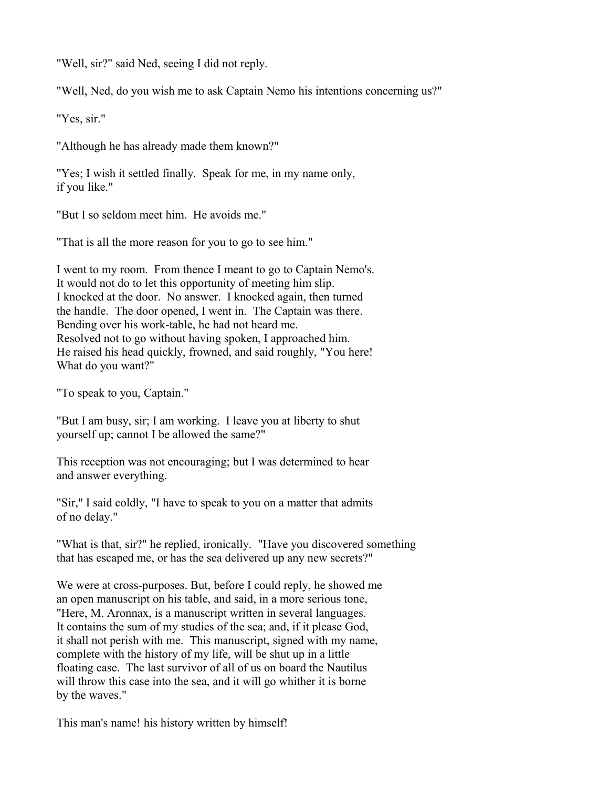"Well, sir?" said Ned, seeing I did not reply.

"Well, Ned, do you wish me to ask Captain Nemo his intentions concerning us?"

"Yes, sir."

"Although he has already made them known?"

"Yes; I wish it settled finally. Speak for me, in my name only, if you like."

"But I so seldom meet him. He avoids me."

"That is all the more reason for you to go to see him."

I went to my room. From thence I meant to go to Captain Nemo's. It would not do to let this opportunity of meeting him slip. I knocked at the door. No answer. I knocked again, then turned the handle. The door opened, I went in. The Captain was there. Bending over his work-table, he had not heard me. Resolved not to go without having spoken, I approached him. He raised his head quickly, frowned, and said roughly, "You here! What do you want?"

"To speak to you, Captain."

"But I am busy, sir; I am working. I leave you at liberty to shut yourself up; cannot I be allowed the same?"

This reception was not encouraging; but I was determined to hear and answer everything.

"Sir," I said coldly, "I have to speak to you on a matter that admits of no delay."

"What is that, sir?" he replied, ironically. "Have you discovered something that has escaped me, or has the sea delivered up any new secrets?"

We were at cross-purposes. But, before I could reply, he showed me an open manuscript on his table, and said, in a more serious tone, "Here, M. Aronnax, is a manuscript written in several languages. It contains the sum of my studies of the sea; and, if it please God, it shall not perish with me. This manuscript, signed with my name, complete with the history of my life, will be shut up in a little floating case. The last survivor of all of us on board the Nautilus will throw this case into the sea, and it will go whither it is borne by the waves."

This man's name! his history written by himself!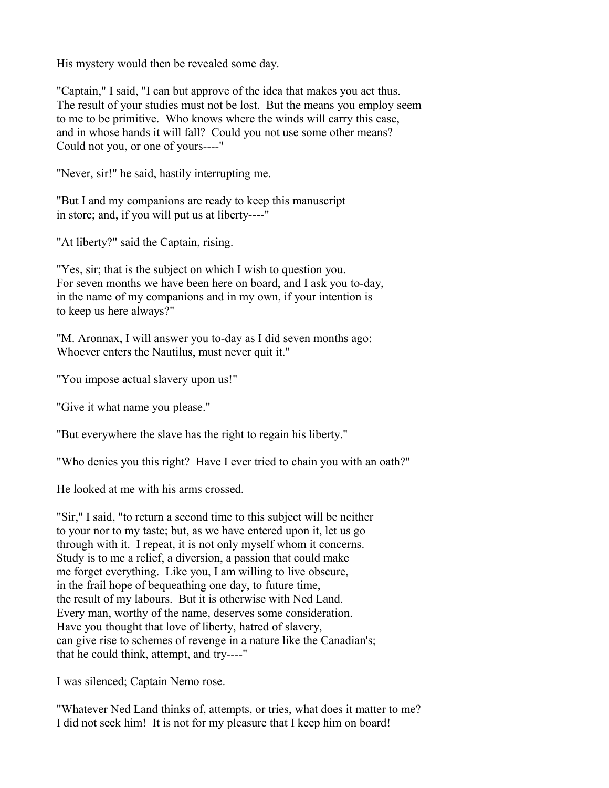His mystery would then be revealed some day.

"Captain," I said, "I can but approve of the idea that makes you act thus. The result of your studies must not be lost. But the means you employ seem to me to be primitive. Who knows where the winds will carry this case, and in whose hands it will fall? Could you not use some other means? Could not you, or one of yours----"

"Never, sir!" he said, hastily interrupting me.

"But I and my companions are ready to keep this manuscript in store; and, if you will put us at liberty----"

"At liberty?" said the Captain, rising.

"Yes, sir; that is the subject on which I wish to question you. For seven months we have been here on board, and I ask you to-day, in the name of my companions and in my own, if your intention is to keep us here always?"

"M. Aronnax, I will answer you to-day as I did seven months ago: Whoever enters the Nautilus, must never quit it."

"You impose actual slavery upon us!"

"Give it what name you please."

"But everywhere the slave has the right to regain his liberty."

"Who denies you this right? Have I ever tried to chain you with an oath?"

He looked at me with his arms crossed.

"Sir," I said, "to return a second time to this subject will be neither to your nor to my taste; but, as we have entered upon it, let us go through with it. I repeat, it is not only myself whom it concerns. Study is to me a relief, a diversion, a passion that could make me forget everything. Like you, I am willing to live obscure, in the frail hope of bequeathing one day, to future time, the result of my labours. But it is otherwise with Ned Land. Every man, worthy of the name, deserves some consideration. Have you thought that love of liberty, hatred of slavery, can give rise to schemes of revenge in a nature like the Canadian's; that he could think, attempt, and try----"

I was silenced; Captain Nemo rose.

"Whatever Ned Land thinks of, attempts, or tries, what does it matter to me? I did not seek him! It is not for my pleasure that I keep him on board!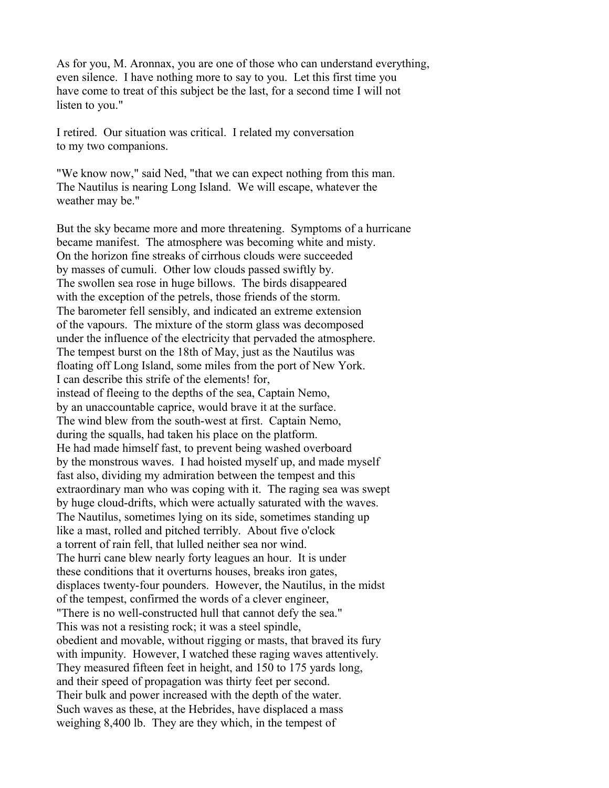As for you, M. Aronnax, you are one of those who can understand everything, even silence. I have nothing more to say to you. Let this first time you have come to treat of this subject be the last, for a second time I will not listen to you."

I retired. Our situation was critical. I related my conversation to my two companions.

"We know now," said Ned, "that we can expect nothing from this man. The Nautilus is nearing Long Island. We will escape, whatever the weather may be."

But the sky became more and more threatening. Symptoms of a hurricane became manifest. The atmosphere was becoming white and misty. On the horizon fine streaks of cirrhous clouds were succeeded by masses of cumuli. Other low clouds passed swiftly by. The swollen sea rose in huge billows. The birds disappeared with the exception of the petrels, those friends of the storm. The barometer fell sensibly, and indicated an extreme extension of the vapours. The mixture of the storm glass was decomposed under the influence of the electricity that pervaded the atmosphere. The tempest burst on the 18th of May, just as the Nautilus was floating off Long Island, some miles from the port of New York. I can describe this strife of the elements! for, instead of fleeing to the depths of the sea, Captain Nemo, by an unaccountable caprice, would brave it at the surface. The wind blew from the south-west at first. Captain Nemo, during the squalls, had taken his place on the platform. He had made himself fast, to prevent being washed overboard by the monstrous waves. I had hoisted myself up, and made myself fast also, dividing my admiration between the tempest and this extraordinary man who was coping with it. The raging sea was swept by huge cloud-drifts, which were actually saturated with the waves. The Nautilus, sometimes lying on its side, sometimes standing up like a mast, rolled and pitched terribly. About five o'clock a torrent of rain fell, that lulled neither sea nor wind. The hurri cane blew nearly forty leagues an hour. It is under these conditions that it overturns houses, breaks iron gates, displaces twenty-four pounders. However, the Nautilus, in the midst of the tempest, confirmed the words of a clever engineer, "There is no well-constructed hull that cannot defy the sea." This was not a resisting rock; it was a steel spindle, obedient and movable, without rigging or masts, that braved its fury with impunity. However, I watched these raging waves attentively. They measured fifteen feet in height, and 150 to 175 yards long, and their speed of propagation was thirty feet per second. Their bulk and power increased with the depth of the water. Such waves as these, at the Hebrides, have displaced a mass weighing 8,400 lb. They are they which, in the tempest of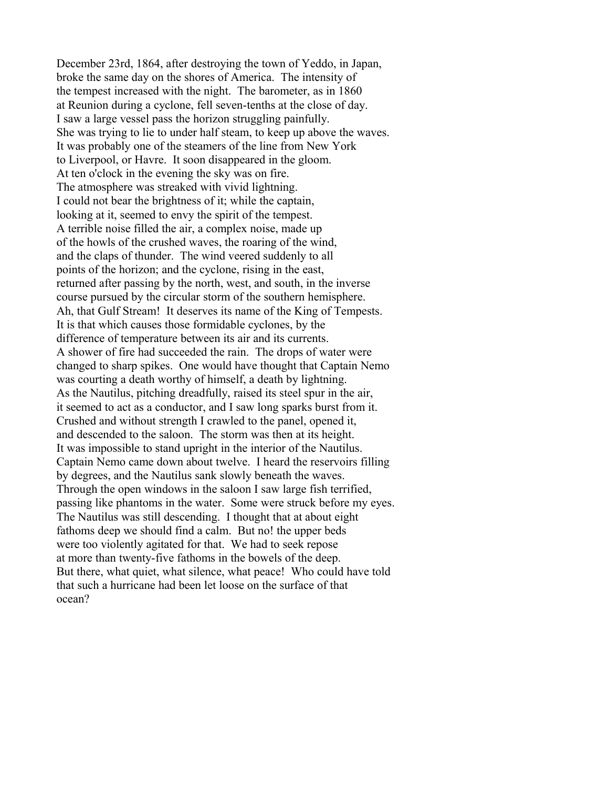December 23rd, 1864, after destroying the town of Yeddo, in Japan, broke the same day on the shores of America. The intensity of the tempest increased with the night. The barometer, as in 1860 at Reunion during a cyclone, fell seven-tenths at the close of day. I saw a large vessel pass the horizon struggling painfully. She was trying to lie to under half steam, to keep up above the waves. It was probably one of the steamers of the line from New York to Liverpool, or Havre. It soon disappeared in the gloom. At ten o'clock in the evening the sky was on fire. The atmosphere was streaked with vivid lightning. I could not bear the brightness of it; while the captain, looking at it, seemed to envy the spirit of the tempest. A terrible noise filled the air, a complex noise, made up of the howls of the crushed waves, the roaring of the wind, and the claps of thunder. The wind veered suddenly to all points of the horizon; and the cyclone, rising in the east, returned after passing by the north, west, and south, in the inverse course pursued by the circular storm of the southern hemisphere. Ah, that Gulf Stream! It deserves its name of the King of Tempests. It is that which causes those formidable cyclones, by the difference of temperature between its air and its currents. A shower of fire had succeeded the rain. The drops of water were changed to sharp spikes. One would have thought that Captain Nemo was courting a death worthy of himself, a death by lightning. As the Nautilus, pitching dreadfully, raised its steel spur in the air, it seemed to act as a conductor, and I saw long sparks burst from it. Crushed and without strength I crawled to the panel, opened it, and descended to the saloon. The storm was then at its height. It was impossible to stand upright in the interior of the Nautilus. Captain Nemo came down about twelve. I heard the reservoirs filling by degrees, and the Nautilus sank slowly beneath the waves. Through the open windows in the saloon I saw large fish terrified, passing like phantoms in the water. Some were struck before my eyes. The Nautilus was still descending. I thought that at about eight fathoms deep we should find a calm. But no! the upper beds were too violently agitated for that. We had to seek repose at more than twenty-five fathoms in the bowels of the deep. But there, what quiet, what silence, what peace! Who could have told that such a hurricane had been let loose on the surface of that ocean?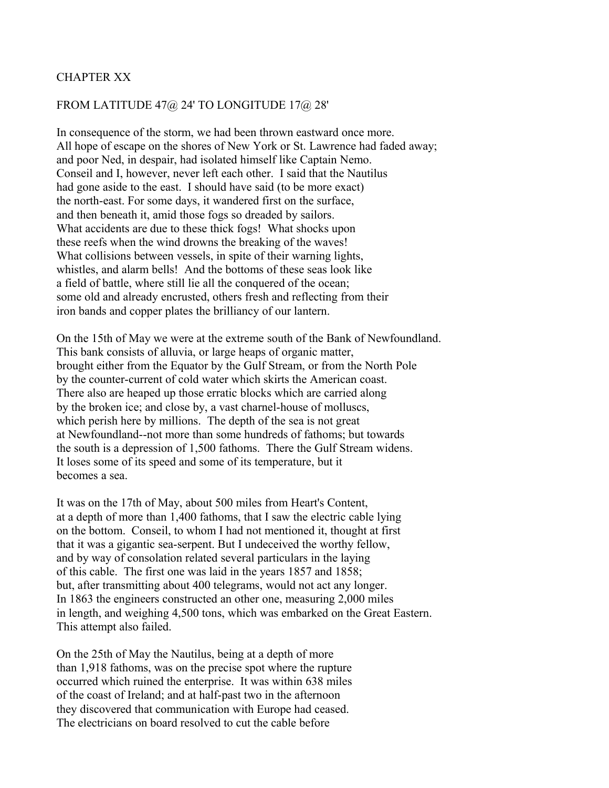# CHAPTER XX

### FROM LATITUDE 47@ 24' TO LONGITUDE 17@ 28'

In consequence of the storm, we had been thrown eastward once more. All hope of escape on the shores of New York or St. Lawrence had faded away; and poor Ned, in despair, had isolated himself like Captain Nemo. Conseil and I, however, never left each other. I said that the Nautilus had gone aside to the east. I should have said (to be more exact) the north-east. For some days, it wandered first on the surface, and then beneath it, amid those fogs so dreaded by sailors. What accidents are due to these thick fogs! What shocks upon these reefs when the wind drowns the breaking of the waves! What collisions between vessels, in spite of their warning lights, whistles, and alarm bells! And the bottoms of these seas look like a field of battle, where still lie all the conquered of the ocean; some old and already encrusted, others fresh and reflecting from their iron bands and copper plates the brilliancy of our lantern.

On the 15th of May we were at the extreme south of the Bank of Newfoundland. This bank consists of alluvia, or large heaps of organic matter, brought either from the Equator by the Gulf Stream, or from the North Pole by the counter-current of cold water which skirts the American coast. There also are heaped up those erratic blocks which are carried along by the broken ice; and close by, a vast charnel-house of molluscs, which perish here by millions. The depth of the sea is not great at Newfoundland--not more than some hundreds of fathoms; but towards the south is a depression of 1,500 fathoms. There the Gulf Stream widens. It loses some of its speed and some of its temperature, but it becomes a sea.

It was on the 17th of May, about 500 miles from Heart's Content, at a depth of more than 1,400 fathoms, that I saw the electric cable lying on the bottom. Conseil, to whom I had not mentioned it, thought at first that it was a gigantic sea-serpent. But I undeceived the worthy fellow, and by way of consolation related several particulars in the laying of this cable. The first one was laid in the years 1857 and 1858; but, after transmitting about 400 telegrams, would not act any longer. In 1863 the engineers constructed an other one, measuring 2,000 miles in length, and weighing 4,500 tons, which was embarked on the Great Eastern. This attempt also failed.

On the 25th of May the Nautilus, being at a depth of more than 1,918 fathoms, was on the precise spot where the rupture occurred which ruined the enterprise. It was within 638 miles of the coast of Ireland; and at half-past two in the afternoon they discovered that communication with Europe had ceased. The electricians on board resolved to cut the cable before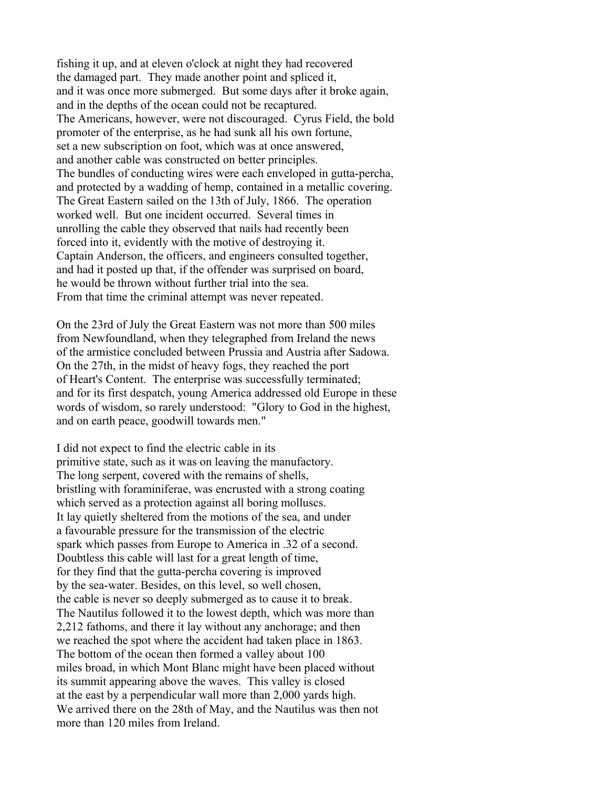fishing it up, and at eleven o'clock at night they had recovered the damaged part. They made another point and spliced it, and it was once more submerged. But some days after it broke again, and in the depths of the ocean could not be recaptured. The Americans, however, were not discouraged. Cyrus Field, the bold promoter of the enterprise, as he had sunk all his own fortune, set a new subscription on foot, which was at once answered, and another cable was constructed on better principles. The bundles of conducting wires were each enveloped in gutta-percha, and protected by a wadding of hemp, contained in a metallic covering. The Great Eastern sailed on the 13th of July, 1866. The operation worked well. But one incident occurred. Several times in unrolling the cable they observed that nails had recently been forced into it, evidently with the motive of destroying it. Captain Anderson, the officers, and engineers consulted together, and had it posted up that, if the offender was surprised on board, he would be thrown without further trial into the sea. From that time the criminal attempt was never repeated.

On the 23rd of July the Great Eastern was not more than 500 miles from Newfoundland, when they telegraphed from Ireland the news of the armistice concluded between Prussia and Austria after Sadowa. On the 27th, in the midst of heavy fogs, they reached the port of Heart's Content. The enterprise was successfully terminated; and for its first despatch, young America addressed old Europe in these words of wisdom, so rarely understood: "Glory to God in the highest, and on earth peace, goodwill towards men."

I did not expect to find the electric cable in its primitive state, such as it was on leaving the manufactory. The long serpent, covered with the remains of shells, bristling with foraminiferae, was encrusted with a strong coating which served as a protection against all boring molluscs. It lay quietly sheltered from the motions of the sea, and under a favourable pressure for the transmission of the electric spark which passes from Europe to America in .32 of a second. Doubtless this cable will last for a great length of time, for they find that the gutta-percha covering is improved by the sea-water. Besides, on this level, so well chosen, the cable is never so deeply submerged as to cause it to break. The Nautilus followed it to the lowest depth, which was more than 2,212 fathoms, and there it lay without any anchorage; and then we reached the spot where the accident had taken place in 1863. The bottom of the ocean then formed a valley about 100 miles broad, in which Mont Blanc might have been placed without its summit appearing above the waves. This valley is closed at the east by a perpendicular wall more than 2,000 yards high. We arrived there on the 28th of May, and the Nautilus was then not more than 120 miles from Ireland.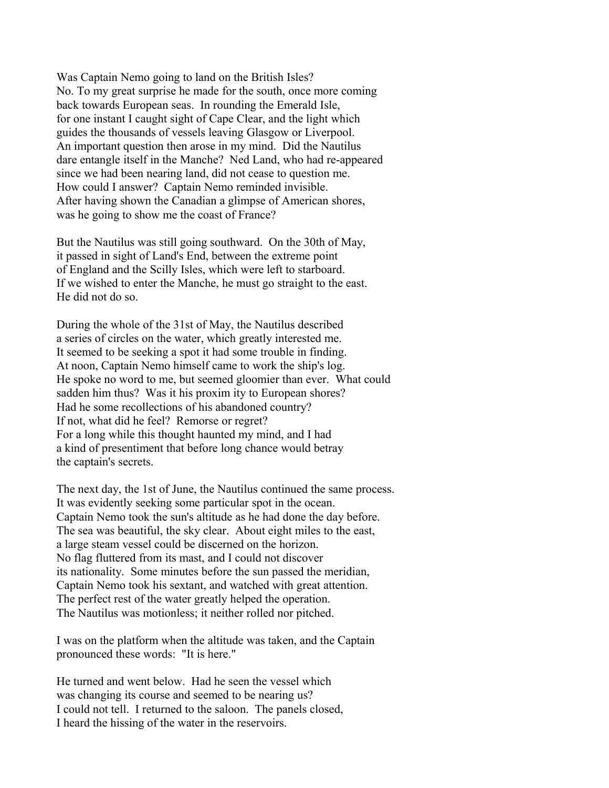Was Captain Nemo going to land on the British Isles? No. To my great surprise he made for the south, once more coming back towards European seas. In rounding the Emerald Isle, for one instant I caught sight of Cape Clear, and the light which guides the thousands of vessels leaving Glasgow or Liverpool. An important question then arose in my mind. Did the Nautilus dare entangle itself in the Manche? Ned Land, who had re-appeared since we had been nearing land, did not cease to question me. How could I answer? Captain Nemo reminded invisible. After having shown the Canadian a glimpse of American shores, was he going to show me the coast of France?

But the Nautilus was still going southward. On the 30th of May, it passed in sight of Land's End, between the extreme point of England and the Scilly Isles, which were left to starboard. If we wished to enter the Manche, he must go straight to the east. He did not do so.

During the whole of the 31st of May, the Nautilus described a series of circles on the water, which greatly interested me. It seemed to be seeking a spot it had some trouble in finding. At noon, Captain Nemo himself came to work the ship's log. He spoke no word to me, but seemed gloomier than ever. What could sadden him thus? Was it his proxim ity to European shores? Had he some recollections of his abandoned country? If not, what did he feel? Remorse or regret? For a long while this thought haunted my mind, and I had a kind of presentiment that before long chance would betray the captain's secrets.

The next day, the 1st of June, the Nautilus continued the same process. It was evidently seeking some particular spot in the ocean. Captain Nemo took the sun's altitude as he had done the day before. The sea was beautiful, the sky clear. About eight miles to the east, a large steam vessel could be discerned on the horizon. No flag fluttered from its mast, and I could not discover its nationality. Some minutes before the sun passed the meridian, Captain Nemo took his sextant, and watched with great attention. The perfect rest of the water greatly helped the operation. The Nautilus was motionless; it neither rolled nor pitched.

I was on the platform when the altitude was taken, and the Captain pronounced these words: "It is here."

He turned and went below. Had he seen the vessel which was changing its course and seemed to be nearing us? I could not tell. I returned to the saloon. The panels closed, I heard the hissing of the water in the reservoirs.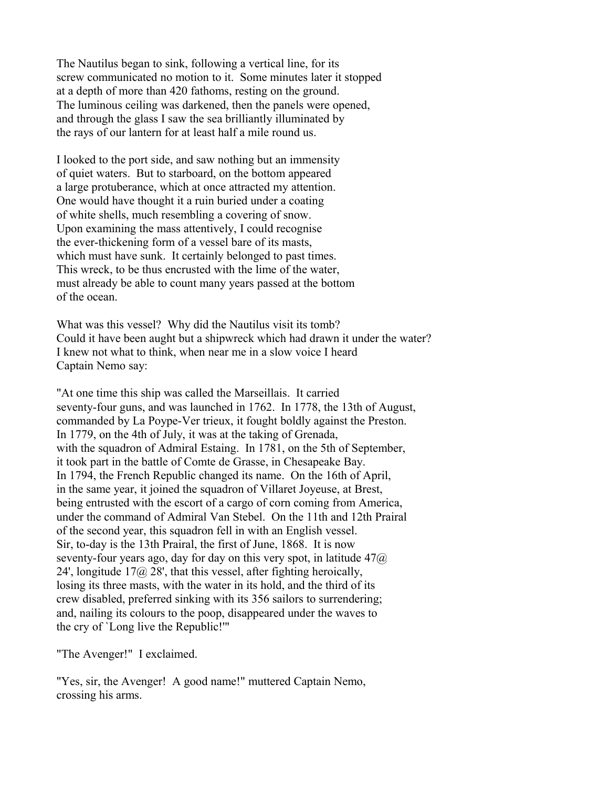The Nautilus began to sink, following a vertical line, for its screw communicated no motion to it. Some minutes later it stopped at a depth of more than 420 fathoms, resting on the ground. The luminous ceiling was darkened, then the panels were opened, and through the glass I saw the sea brilliantly illuminated by the rays of our lantern for at least half a mile round us.

I looked to the port side, and saw nothing but an immensity of quiet waters. But to starboard, on the bottom appeared a large protuberance, which at once attracted my attention. One would have thought it a ruin buried under a coating of white shells, much resembling a covering of snow. Upon examining the mass attentively, I could recognise the ever-thickening form of a vessel bare of its masts, which must have sunk. It certainly belonged to past times. This wreck, to be thus encrusted with the lime of the water, must already be able to count many years passed at the bottom of the ocean.

What was this vessel? Why did the Nautilus visit its tomb? Could it have been aught but a shipwreck which had drawn it under the water? I knew not what to think, when near me in a slow voice I heard Captain Nemo say:

"At one time this ship was called the Marseillais. It carried seventy-four guns, and was launched in 1762. In 1778, the 13th of August, commanded by La Poype-Ver trieux, it fought boldly against the Preston. In 1779, on the 4th of July, it was at the taking of Grenada, with the squadron of Admiral Estaing. In 1781, on the 5th of September, it took part in the battle of Comte de Grasse, in Chesapeake Bay. In 1794, the French Republic changed its name. On the 16th of April, in the same year, it joined the squadron of Villaret Joyeuse, at Brest, being entrusted with the escort of a cargo of corn coming from America, under the command of Admiral Van Stebel. On the 11th and 12th Prairal of the second year, this squadron fell in with an English vessel. Sir, to-day is the 13th Prairal, the first of June, 1868. It is now seventy-four years ago, day for day on this very spot, in latitude  $47\omega$ 24', longitude  $17\omega$  28', that this vessel, after fighting heroically, losing its three masts, with the water in its hold, and the third of its crew disabled, preferred sinking with its 356 sailors to surrendering; and, nailing its colours to the poop, disappeared under the waves to the cry of `Long live the Republic!'"

"The Avenger!" I exclaimed.

"Yes, sir, the Avenger! A good name!" muttered Captain Nemo, crossing his arms.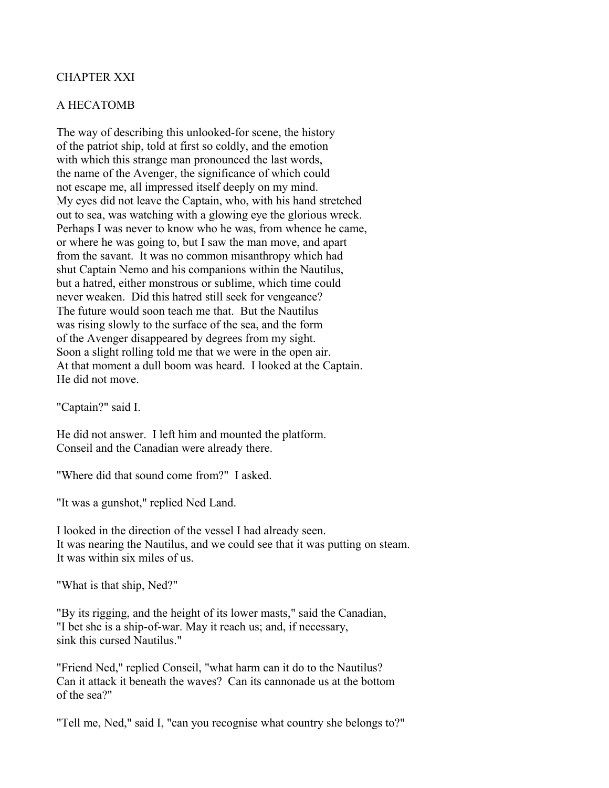# CHAPTER XXI

### A HECATOMB

The way of describing this unlooked-for scene, the history of the patriot ship, told at first so coldly, and the emotion with which this strange man pronounced the last words, the name of the Avenger, the significance of which could not escape me, all impressed itself deeply on my mind. My eyes did not leave the Captain, who, with his hand stretched out to sea, was watching with a glowing eye the glorious wreck. Perhaps I was never to know who he was, from whence he came, or where he was going to, but I saw the man move, and apart from the savant. It was no common misanthropy which had shut Captain Nemo and his companions within the Nautilus, but a hatred, either monstrous or sublime, which time could never weaken. Did this hatred still seek for vengeance? The future would soon teach me that. But the Nautilus was rising slowly to the surface of the sea, and the form of the Avenger disappeared by degrees from my sight. Soon a slight rolling told me that we were in the open air. At that moment a dull boom was heard. I looked at the Captain. He did not move.

"Captain?" said I.

He did not answer. I left him and mounted the platform. Conseil and the Canadian were already there.

"Where did that sound come from?" I asked.

"It was a gunshot," replied Ned Land.

I looked in the direction of the vessel I had already seen. It was nearing the Nautilus, and we could see that it was putting on steam. It was within six miles of us.

"What is that ship, Ned?"

"By its rigging, and the height of its lower masts," said the Canadian, "I bet she is a ship-of-war. May it reach us; and, if necessary, sink this cursed Nautilus."

"Friend Ned," replied Conseil, "what harm can it do to the Nautilus? Can it attack it beneath the waves? Can its cannonade us at the bottom of the sea?"

"Tell me, Ned," said I, "can you recognise what country she belongs to?"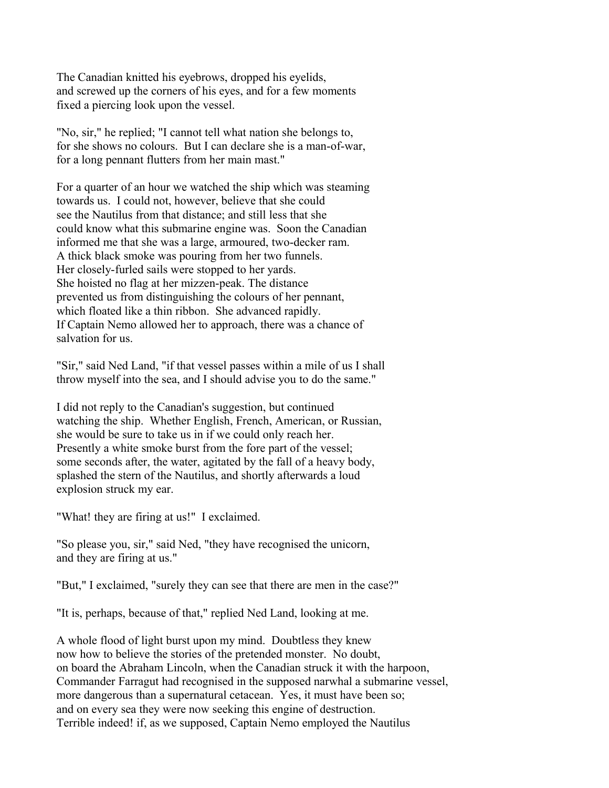The Canadian knitted his eyebrows, dropped his eyelids, and screwed up the corners of his eyes, and for a few moments fixed a piercing look upon the vessel.

"No, sir," he replied; "I cannot tell what nation she belongs to, for she shows no colours. But I can declare she is a man-of-war, for a long pennant flutters from her main mast."

For a quarter of an hour we watched the ship which was steaming towards us. I could not, however, believe that she could see the Nautilus from that distance; and still less that she could know what this submarine engine was. Soon the Canadian informed me that she was a large, armoured, two-decker ram. A thick black smoke was pouring from her two funnels. Her closely-furled sails were stopped to her yards. She hoisted no flag at her mizzen-peak. The distance prevented us from distinguishing the colours of her pennant, which floated like a thin ribbon. She advanced rapidly. If Captain Nemo allowed her to approach, there was a chance of salvation for us.

"Sir," said Ned Land, "if that vessel passes within a mile of us I shall throw myself into the sea, and I should advise you to do the same."

I did not reply to the Canadian's suggestion, but continued watching the ship. Whether English, French, American, or Russian, she would be sure to take us in if we could only reach her. Presently a white smoke burst from the fore part of the vessel; some seconds after, the water, agitated by the fall of a heavy body, splashed the stern of the Nautilus, and shortly afterwards a loud explosion struck my ear.

"What! they are firing at us!" I exclaimed.

"So please you, sir," said Ned, "they have recognised the unicorn, and they are firing at us."

"But," I exclaimed, "surely they can see that there are men in the case?"

"It is, perhaps, because of that," replied Ned Land, looking at me.

A whole flood of light burst upon my mind. Doubtless they knew now how to believe the stories of the pretended monster. No doubt, on board the Abraham Lincoln, when the Canadian struck it with the harpoon, Commander Farragut had recognised in the supposed narwhal a submarine vessel, more dangerous than a supernatural cetacean. Yes, it must have been so; and on every sea they were now seeking this engine of destruction. Terrible indeed! if, as we supposed, Captain Nemo employed the Nautilus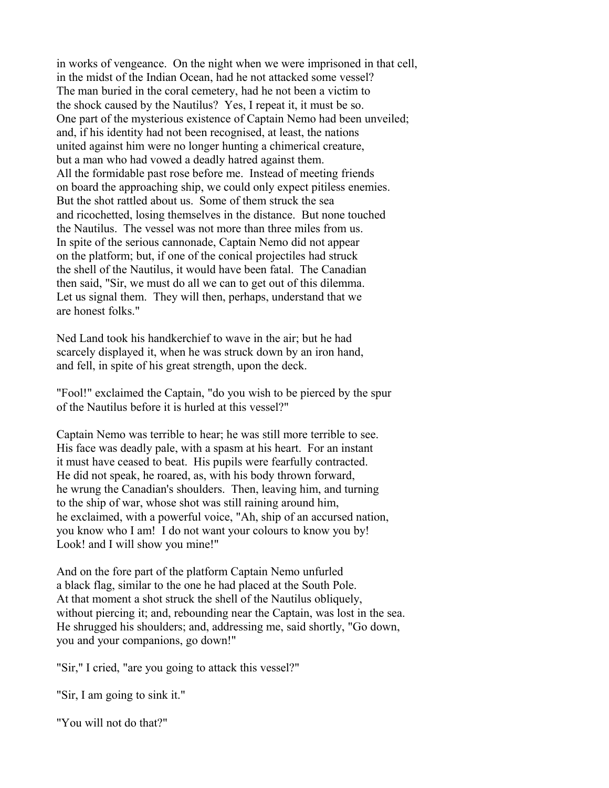in works of vengeance. On the night when we were imprisoned in that cell, in the midst of the Indian Ocean, had he not attacked some vessel? The man buried in the coral cemetery, had he not been a victim to the shock caused by the Nautilus? Yes, I repeat it, it must be so. One part of the mysterious existence of Captain Nemo had been unveiled; and, if his identity had not been recognised, at least, the nations united against him were no longer hunting a chimerical creature, but a man who had vowed a deadly hatred against them. All the formidable past rose before me. Instead of meeting friends on board the approaching ship, we could only expect pitiless enemies. But the shot rattled about us. Some of them struck the sea and ricochetted, losing themselves in the distance. But none touched the Nautilus. The vessel was not more than three miles from us. In spite of the serious cannonade, Captain Nemo did not appear on the platform; but, if one of the conical projectiles had struck the shell of the Nautilus, it would have been fatal. The Canadian then said, "Sir, we must do all we can to get out of this dilemma. Let us signal them. They will then, perhaps, understand that we are honest folks."

Ned Land took his handkerchief to wave in the air; but he had scarcely displayed it, when he was struck down by an iron hand, and fell, in spite of his great strength, upon the deck.

"Fool!" exclaimed the Captain, "do you wish to be pierced by the spur of the Nautilus before it is hurled at this vessel?"

Captain Nemo was terrible to hear; he was still more terrible to see. His face was deadly pale, with a spasm at his heart. For an instant it must have ceased to beat. His pupils were fearfully contracted. He did not speak, he roared, as, with his body thrown forward, he wrung the Canadian's shoulders. Then, leaving him, and turning to the ship of war, whose shot was still raining around him, he exclaimed, with a powerful voice, "Ah, ship of an accursed nation, you know who I am! I do not want your colours to know you by! Look! and I will show you mine!"

And on the fore part of the platform Captain Nemo unfurled a black flag, similar to the one he had placed at the South Pole. At that moment a shot struck the shell of the Nautilus obliquely, without piercing it; and, rebounding near the Captain, was lost in the sea. He shrugged his shoulders; and, addressing me, said shortly, "Go down, you and your companions, go down!"

"Sir," I cried, "are you going to attack this vessel?"

"Sir, I am going to sink it."

"You will not do that?"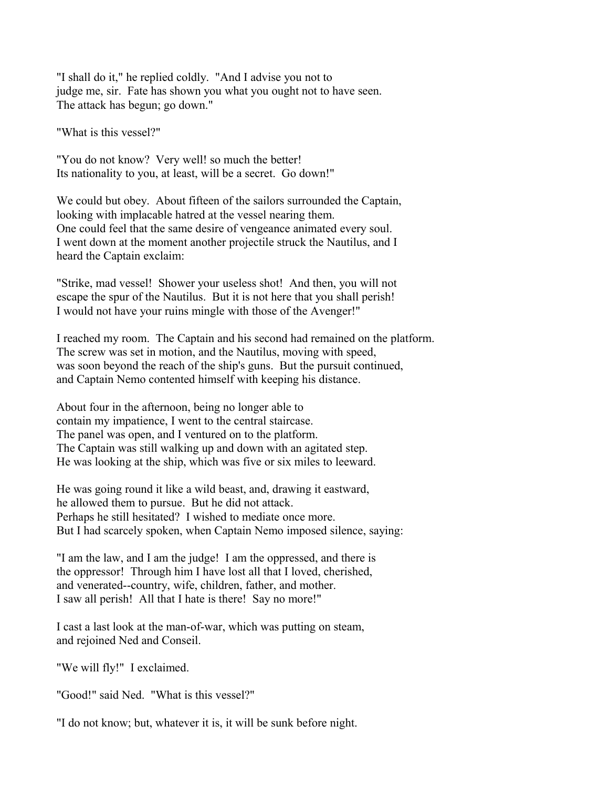"I shall do it," he replied coldly. "And I advise you not to judge me, sir. Fate has shown you what you ought not to have seen. The attack has begun; go down."

"What is this vessel?"

"You do not know? Very well! so much the better! Its nationality to you, at least, will be a secret. Go down!"

We could but obey. About fifteen of the sailors surrounded the Captain, looking with implacable hatred at the vessel nearing them. One could feel that the same desire of vengeance animated every soul. I went down at the moment another projectile struck the Nautilus, and I heard the Captain exclaim:

"Strike, mad vessel! Shower your useless shot! And then, you will not escape the spur of the Nautilus. But it is not here that you shall perish! I would not have your ruins mingle with those of the Avenger!"

I reached my room. The Captain and his second had remained on the platform. The screw was set in motion, and the Nautilus, moving with speed, was soon beyond the reach of the ship's guns. But the pursuit continued, and Captain Nemo contented himself with keeping his distance.

About four in the afternoon, being no longer able to contain my impatience, I went to the central staircase. The panel was open, and I ventured on to the platform. The Captain was still walking up and down with an agitated step. He was looking at the ship, which was five or six miles to leeward.

He was going round it like a wild beast, and, drawing it eastward, he allowed them to pursue. But he did not attack. Perhaps he still hesitated? I wished to mediate once more. But I had scarcely spoken, when Captain Nemo imposed silence, saying:

"I am the law, and I am the judge! I am the oppressed, and there is the oppressor! Through him I have lost all that I loved, cherished, and venerated--country, wife, children, father, and mother. I saw all perish! All that I hate is there! Say no more!"

I cast a last look at the man-of-war, which was putting on steam, and rejoined Ned and Conseil.

"We will fly!" I exclaimed.

"Good!" said Ned. "What is this vessel?"

"I do not know; but, whatever it is, it will be sunk before night.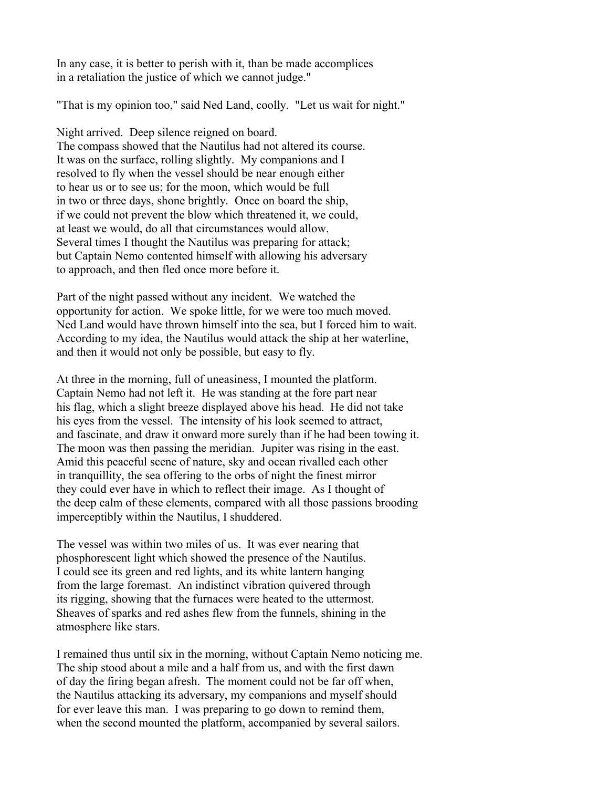In any case, it is better to perish with it, than be made accomplices in a retaliation the justice of which we cannot judge."

"That is my opinion too," said Ned Land, coolly. "Let us wait for night."

Night arrived. Deep silence reigned on board. The compass showed that the Nautilus had not altered its course. It was on the surface, rolling slightly. My companions and I resolved to fly when the vessel should be near enough either to hear us or to see us; for the moon, which would be full in two or three days, shone brightly. Once on board the ship, if we could not prevent the blow which threatened it, we could, at least we would, do all that circumstances would allow. Several times I thought the Nautilus was preparing for attack; but Captain Nemo contented himself with allowing his adversary to approach, and then fled once more before it.

Part of the night passed without any incident. We watched the opportunity for action. We spoke little, for we were too much moved. Ned Land would have thrown himself into the sea, but I forced him to wait. According to my idea, the Nautilus would attack the ship at her waterline, and then it would not only be possible, but easy to fly.

At three in the morning, full of uneasiness, I mounted the platform. Captain Nemo had not left it. He was standing at the fore part near his flag, which a slight breeze displayed above his head. He did not take his eyes from the vessel. The intensity of his look seemed to attract, and fascinate, and draw it onward more surely than if he had been towing it. The moon was then passing the meridian. Jupiter was rising in the east. Amid this peaceful scene of nature, sky and ocean rivalled each other in tranquillity, the sea offering to the orbs of night the finest mirror they could ever have in which to reflect their image. As I thought of the deep calm of these elements, compared with all those passions brooding imperceptibly within the Nautilus, I shuddered.

The vessel was within two miles of us. It was ever nearing that phosphorescent light which showed the presence of the Nautilus. I could see its green and red lights, and its white lantern hanging from the large foremast. An indistinct vibration quivered through its rigging, showing that the furnaces were heated to the uttermost. Sheaves of sparks and red ashes flew from the funnels, shining in the atmosphere like stars.

I remained thus until six in the morning, without Captain Nemo noticing me. The ship stood about a mile and a half from us, and with the first dawn of day the firing began afresh. The moment could not be far off when, the Nautilus attacking its adversary, my companions and myself should for ever leave this man. I was preparing to go down to remind them, when the second mounted the platform, accompanied by several sailors.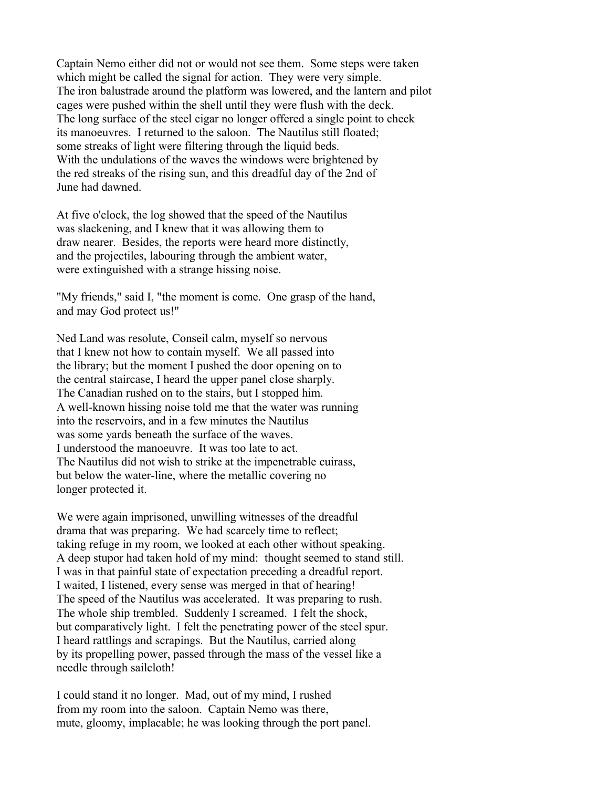Captain Nemo either did not or would not see them. Some steps were taken which might be called the signal for action. They were very simple. The iron balustrade around the platform was lowered, and the lantern and pilot cages were pushed within the shell until they were flush with the deck. The long surface of the steel cigar no longer offered a single point to check its manoeuvres. I returned to the saloon. The Nautilus still floated; some streaks of light were filtering through the liquid beds. With the undulations of the waves the windows were brightened by the red streaks of the rising sun, and this dreadful day of the 2nd of June had dawned.

At five o'clock, the log showed that the speed of the Nautilus was slackening, and I knew that it was allowing them to draw nearer. Besides, the reports were heard more distinctly, and the projectiles, labouring through the ambient water, were extinguished with a strange hissing noise.

"My friends," said I, "the moment is come. One grasp of the hand, and may God protect us!"

Ned Land was resolute, Conseil calm, myself so nervous that I knew not how to contain myself. We all passed into the library; but the moment I pushed the door opening on to the central staircase, I heard the upper panel close sharply. The Canadian rushed on to the stairs, but I stopped him. A well-known hissing noise told me that the water was running into the reservoirs, and in a few minutes the Nautilus was some yards beneath the surface of the waves. I understood the manoeuvre. It was too late to act. The Nautilus did not wish to strike at the impenetrable cuirass, but below the water-line, where the metallic covering no longer protected it.

We were again imprisoned, unwilling witnesses of the dreadful drama that was preparing. We had scarcely time to reflect; taking refuge in my room, we looked at each other without speaking. A deep stupor had taken hold of my mind: thought seemed to stand still. I was in that painful state of expectation preceding a dreadful report. I waited, I listened, every sense was merged in that of hearing! The speed of the Nautilus was accelerated. It was preparing to rush. The whole ship trembled. Suddenly I screamed. I felt the shock, but comparatively light. I felt the penetrating power of the steel spur. I heard rattlings and scrapings. But the Nautilus, carried along by its propelling power, passed through the mass of the vessel like a needle through sailcloth!

I could stand it no longer. Mad, out of my mind, I rushed from my room into the saloon. Captain Nemo was there, mute, gloomy, implacable; he was looking through the port panel.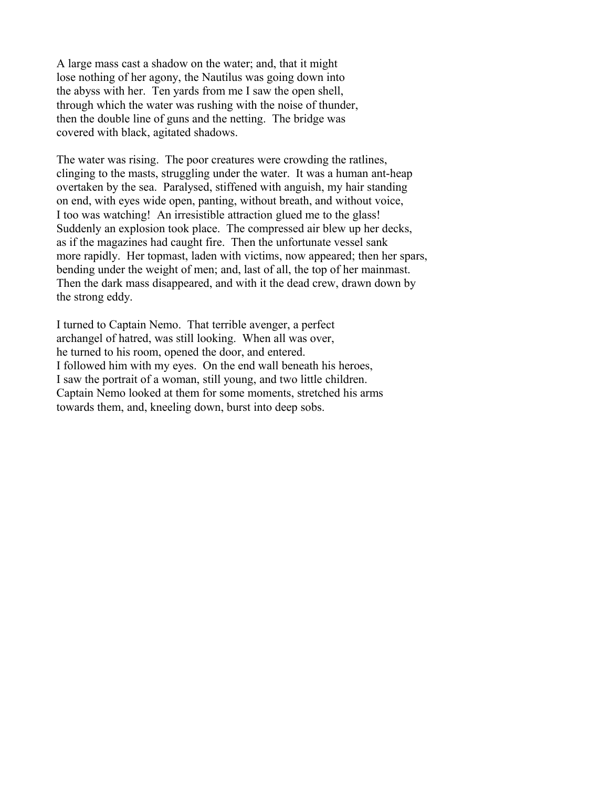A large mass cast a shadow on the water; and, that it might lose nothing of her agony, the Nautilus was going down into the abyss with her. Ten yards from me I saw the open shell, through which the water was rushing with the noise of thunder, then the double line of guns and the netting. The bridge was covered with black, agitated shadows.

The water was rising. The poor creatures were crowding the ratlines, clinging to the masts, struggling under the water. It was a human ant-heap overtaken by the sea. Paralysed, stiffened with anguish, my hair standing on end, with eyes wide open, panting, without breath, and without voice, I too was watching! An irresistible attraction glued me to the glass! Suddenly an explosion took place. The compressed air blew up her decks, as if the magazines had caught fire. Then the unfortunate vessel sank more rapidly. Her topmast, laden with victims, now appeared; then her spars, bending under the weight of men; and, last of all, the top of her mainmast. Then the dark mass disappeared, and with it the dead crew, drawn down by the strong eddy.

I turned to Captain Nemo. That terrible avenger, a perfect archangel of hatred, was still looking. When all was over, he turned to his room, opened the door, and entered. I followed him with my eyes. On the end wall beneath his heroes, I saw the portrait of a woman, still young, and two little children. Captain Nemo looked at them for some moments, stretched his arms towards them, and, kneeling down, burst into deep sobs.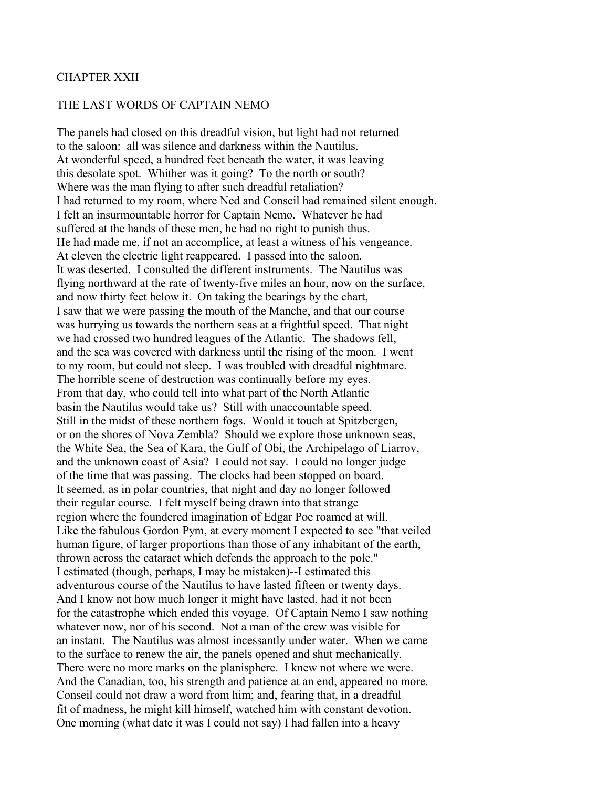## CHAPTER XXII

## THE LAST WORDS OF CAPTAIN NEMO

The panels had closed on this dreadful vision, but light had not returned to the saloon: all was silence and darkness within the Nautilus. At wonderful speed, a hundred feet beneath the water, it was leaving this desolate spot. Whither was it going? To the north or south? Where was the man flying to after such dreadful retaliation? I had returned to my room, where Ned and Conseil had remained silent enough. I felt an insurmountable horror for Captain Nemo. Whatever he had suffered at the hands of these men, he had no right to punish thus. He had made me, if not an accomplice, at least a witness of his vengeance. At eleven the electric light reappeared. I passed into the saloon. It was deserted. I consulted the different instruments. The Nautilus was flying northward at the rate of twenty-five miles an hour, now on the surface, and now thirty feet below it. On taking the bearings by the chart, I saw that we were passing the mouth of the Manche, and that our course was hurrying us towards the northern seas at a frightful speed. That night we had crossed two hundred leagues of the Atlantic. The shadows fell, and the sea was covered with darkness until the rising of the moon. I went to my room, but could not sleep. I was troubled with dreadful nightmare. The horrible scene of destruction was continually before my eyes. From that day, who could tell into what part of the North Atlantic basin the Nautilus would take us? Still with unaccountable speed. Still in the midst of these northern fogs. Would it touch at Spitzbergen, or on the shores of Nova Zembla? Should we explore those unknown seas, the White Sea, the Sea of Kara, the Gulf of Obi, the Archipelago of Liarrov, and the unknown coast of Asia? I could not say. I could no longer judge of the time that was passing. The clocks had been stopped on board. It seemed, as in polar countries, that night and day no longer followed their regular course. I felt myself being drawn into that strange region where the foundered imagination of Edgar Poe roamed at will. Like the fabulous Gordon Pym, at every moment I expected to see "that veiled human figure, of larger proportions than those of any inhabitant of the earth, thrown across the cataract which defends the approach to the pole." I estimated (though, perhaps, I may be mistaken)--I estimated this adventurous course of the Nautilus to have lasted fifteen or twenty days. And I know not how much longer it might have lasted, had it not been for the catastrophe which ended this voyage. Of Captain Nemo I saw nothing whatever now, nor of his second. Not a man of the crew was visible for an instant. The Nautilus was almost incessantly under water. When we came to the surface to renew the air, the panels opened and shut mechanically. There were no more marks on the planisphere. I knew not where we were. And the Canadian, too, his strength and patience at an end, appeared no more. Conseil could not draw a word from him; and, fearing that, in a dreadful fit of madness, he might kill himself, watched him with constant devotion. One morning (what date it was I could not say) I had fallen into a heavy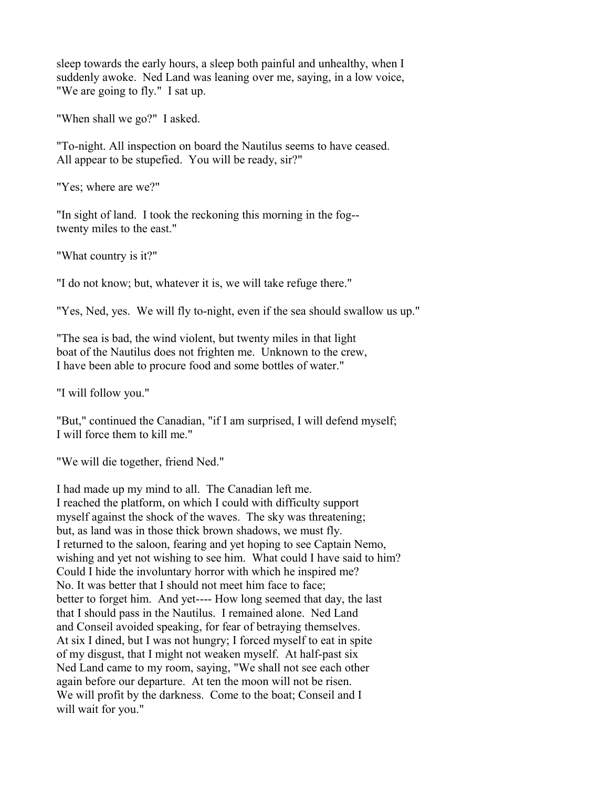sleep towards the early hours, a sleep both painful and unhealthy, when I suddenly awoke. Ned Land was leaning over me, saying, in a low voice, "We are going to fly." I sat up.

"When shall we go?" I asked.

"To-night. All inspection on board the Nautilus seems to have ceased. All appear to be stupefied. You will be ready, sir?"

"Yes; where are we?"

"In sight of land. I took the reckoning this morning in the fog- twenty miles to the east."

"What country is it?"

"I do not know; but, whatever it is, we will take refuge there."

"Yes, Ned, yes. We will fly to-night, even if the sea should swallow us up."

"The sea is bad, the wind violent, but twenty miles in that light boat of the Nautilus does not frighten me. Unknown to the crew, I have been able to procure food and some bottles of water."

"I will follow you."

"But," continued the Canadian, "if I am surprised, I will defend myself; I will force them to kill me."

"We will die together, friend Ned."

I had made up my mind to all. The Canadian left me. I reached the platform, on which I could with difficulty support myself against the shock of the waves. The sky was threatening; but, as land was in those thick brown shadows, we must fly. I returned to the saloon, fearing and yet hoping to see Captain Nemo, wishing and yet not wishing to see him. What could I have said to him? Could I hide the involuntary horror with which he inspired me? No. It was better that I should not meet him face to face; better to forget him. And yet---- How long seemed that day, the last that I should pass in the Nautilus. I remained alone. Ned Land and Conseil avoided speaking, for fear of betraying themselves. At six I dined, but I was not hungry; I forced myself to eat in spite of my disgust, that I might not weaken myself. At half-past six Ned Land came to my room, saying, "We shall not see each other again before our departure. At ten the moon will not be risen. We will profit by the darkness. Come to the boat; Conseil and I will wait for you."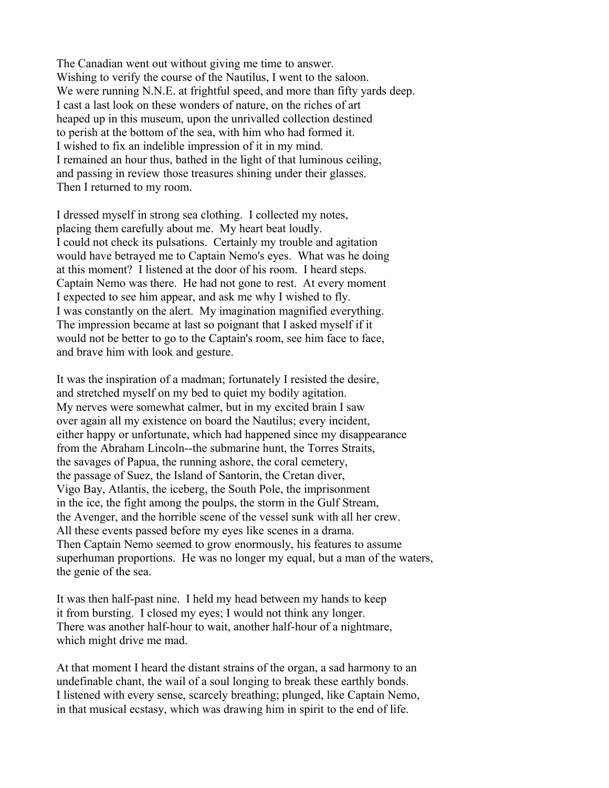The Canadian went out without giving me time to answer. Wishing to verify the course of the Nautilus, I went to the saloon. We were running N.N.E. at frightful speed, and more than fifty yards deep. I cast a last look on these wonders of nature, on the riches of art heaped up in this museum, upon the unrivalled collection destined to perish at the bottom of the sea, with him who had formed it. I wished to fix an indelible impression of it in my mind. I remained an hour thus, bathed in the light of that luminous ceiling, and passing in review those treasures shining under their glasses. Then I returned to my room.

I dressed myself in strong sea clothing. I collected my notes, placing them carefully about me. My heart beat loudly. I could not check its pulsations. Certainly my trouble and agitation would have betrayed me to Captain Nemo's eyes. What was he doing at this moment? I listened at the door of his room. I heard steps. Captain Nemo was there. He had not gone to rest. At every moment I expected to see him appear, and ask me why I wished to fly. I was constantly on the alert. My imagination magnified everything. The impression became at last so poignant that I asked myself if it would not be better to go to the Captain's room, see him face to face, and brave him with look and gesture.

It was the inspiration of a madman; fortunately I resisted the desire, and stretched myself on my bed to quiet my bodily agitation. My nerves were somewhat calmer, but in my excited brain I saw over again all my existence on board the Nautilus; every incident, either happy or unfortunate, which had happened since my disappearance from the Abraham Lincoln--the submarine hunt, the Torres Straits, the savages of Papua, the running ashore, the coral cemetery, the passage of Suez, the Island of Santorin, the Cretan diver, Vigo Bay, Atlantis, the iceberg, the South Pole, the imprisonment in the ice, the fight among the poulps, the storm in the Gulf Stream, the Avenger, and the horrible scene of the vessel sunk with all her crew. All these events passed before my eyes like scenes in a drama. Then Captain Nemo seemed to grow enormously, his features to assume superhuman proportions. He was no longer my equal, but a man of the waters, the genie of the sea.

It was then half-past nine. I held my head between my hands to keep it from bursting. I closed my eyes; I would not think any longer. There was another half-hour to wait, another half-hour of a nightmare, which might drive me mad.

At that moment I heard the distant strains of the organ, a sad harmony to an undefinable chant, the wail of a soul longing to break these earthly bonds. I listened with every sense, scarcely breathing; plunged, like Captain Nemo, in that musical ecstasy, which was drawing him in spirit to the end of life.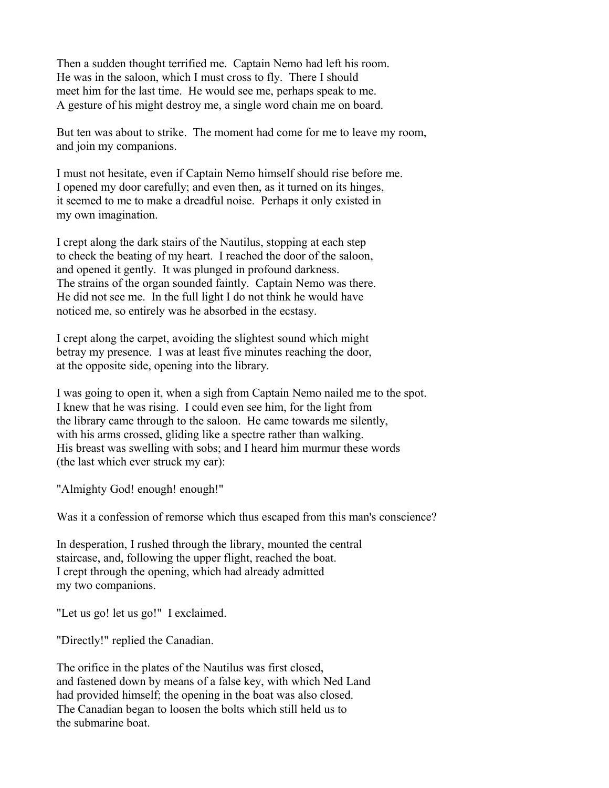Then a sudden thought terrified me. Captain Nemo had left his room. He was in the saloon, which I must cross to fly. There I should meet him for the last time. He would see me, perhaps speak to me. A gesture of his might destroy me, a single word chain me on board.

But ten was about to strike. The moment had come for me to leave my room, and join my companions.

I must not hesitate, even if Captain Nemo himself should rise before me. I opened my door carefully; and even then, as it turned on its hinges, it seemed to me to make a dreadful noise. Perhaps it only existed in my own imagination.

I crept along the dark stairs of the Nautilus, stopping at each step to check the beating of my heart. I reached the door of the saloon, and opened it gently. It was plunged in profound darkness. The strains of the organ sounded faintly. Captain Nemo was there. He did not see me. In the full light I do not think he would have noticed me, so entirely was he absorbed in the ecstasy.

I crept along the carpet, avoiding the slightest sound which might betray my presence. I was at least five minutes reaching the door, at the opposite side, opening into the library.

I was going to open it, when a sigh from Captain Nemo nailed me to the spot. I knew that he was rising. I could even see him, for the light from the library came through to the saloon. He came towards me silently, with his arms crossed, gliding like a spectre rather than walking. His breast was swelling with sobs; and I heard him murmur these words (the last which ever struck my ear):

"Almighty God! enough! enough!"

Was it a confession of remorse which thus escaped from this man's conscience?

In desperation, I rushed through the library, mounted the central staircase, and, following the upper flight, reached the boat. I crept through the opening, which had already admitted my two companions.

"Let us go! let us go!" I exclaimed.

"Directly!" replied the Canadian.

The orifice in the plates of the Nautilus was first closed, and fastened down by means of a false key, with which Ned Land had provided himself; the opening in the boat was also closed. The Canadian began to loosen the bolts which still held us to the submarine boat.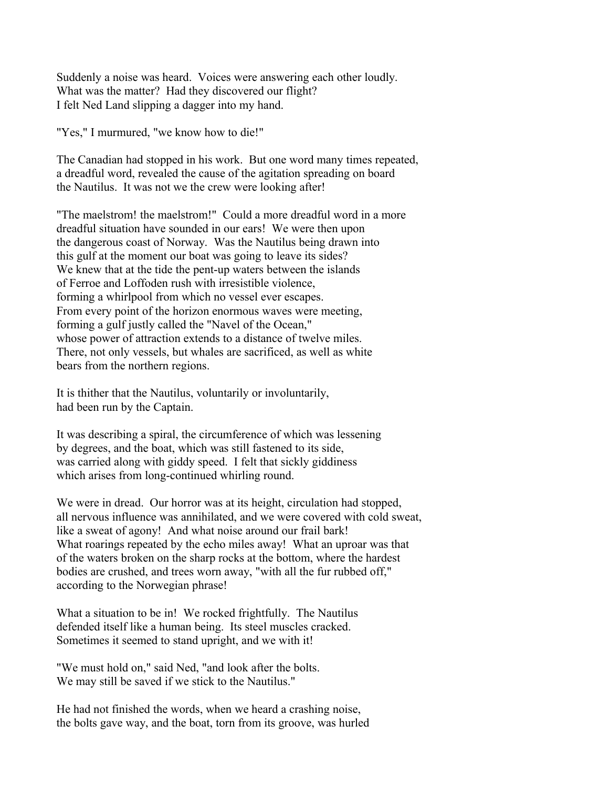Suddenly a noise was heard. Voices were answering each other loudly. What was the matter? Had they discovered our flight? I felt Ned Land slipping a dagger into my hand.

"Yes," I murmured, "we know how to die!"

The Canadian had stopped in his work. But one word many times repeated, a dreadful word, revealed the cause of the agitation spreading on board the Nautilus. It was not we the crew were looking after!

"The maelstrom! the maelstrom!" Could a more dreadful word in a more dreadful situation have sounded in our ears! We were then upon the dangerous coast of Norway. Was the Nautilus being drawn into this gulf at the moment our boat was going to leave its sides? We knew that at the tide the pent-up waters between the islands of Ferroe and Loffoden rush with irresistible violence, forming a whirlpool from which no vessel ever escapes. From every point of the horizon enormous waves were meeting, forming a gulf justly called the "Navel of the Ocean," whose power of attraction extends to a distance of twelve miles. There, not only vessels, but whales are sacrificed, as well as white bears from the northern regions.

It is thither that the Nautilus, voluntarily or involuntarily, had been run by the Captain.

It was describing a spiral, the circumference of which was lessening by degrees, and the boat, which was still fastened to its side, was carried along with giddy speed. I felt that sickly giddiness which arises from long-continued whirling round.

We were in dread. Our horror was at its height, circulation had stopped, all nervous influence was annihilated, and we were covered with cold sweat, like a sweat of agony! And what noise around our frail bark! What roarings repeated by the echo miles away! What an uproar was that of the waters broken on the sharp rocks at the bottom, where the hardest bodies are crushed, and trees worn away, "with all the fur rubbed off," according to the Norwegian phrase!

What a situation to be in! We rocked frightfully. The Nautilus defended itself like a human being. Its steel muscles cracked. Sometimes it seemed to stand upright, and we with it!

"We must hold on," said Ned, "and look after the bolts. We may still be saved if we stick to the Nautilus."

He had not finished the words, when we heard a crashing noise, the bolts gave way, and the boat, torn from its groove, was hurled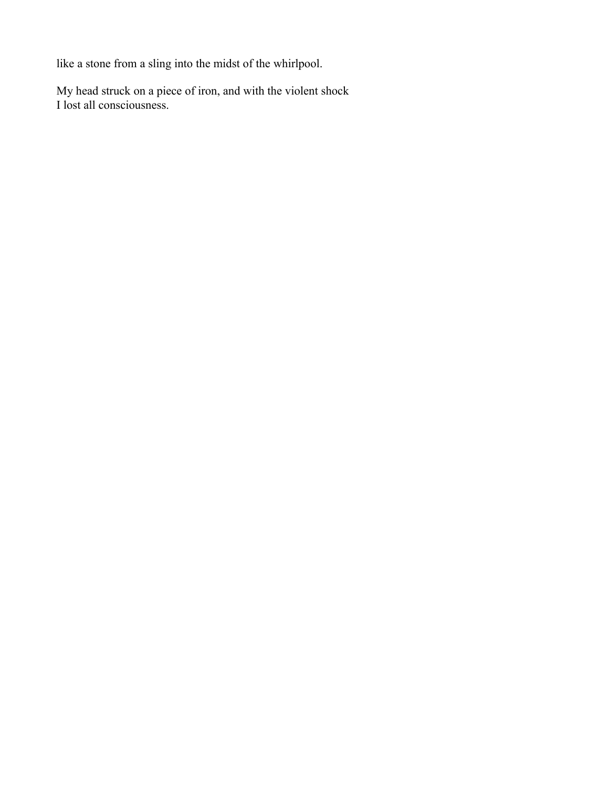like a stone from a sling into the midst of the whirlpool.

My head struck on a piece of iron, and with the violent shock I lost all consciousness.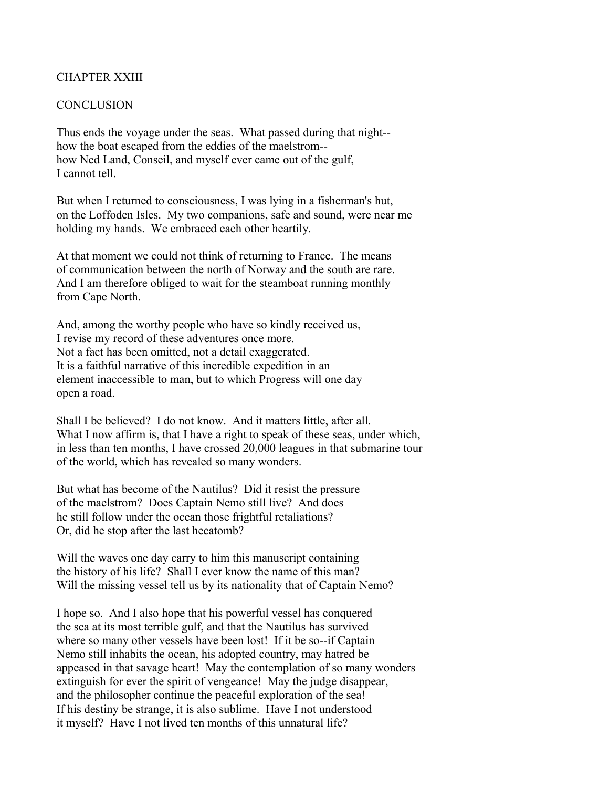## CHAPTER XXIII

## **CONCLUSION**

Thus ends the voyage under the seas. What passed during that night- how the boat escaped from the eddies of the maelstrom- how Ned Land, Conseil, and myself ever came out of the gulf, I cannot tell.

But when I returned to consciousness, I was lying in a fisherman's hut, on the Loffoden Isles. My two companions, safe and sound, were near me holding my hands. We embraced each other heartily.

At that moment we could not think of returning to France. The means of communication between the north of Norway and the south are rare. And I am therefore obliged to wait for the steamboat running monthly from Cape North.

And, among the worthy people who have so kindly received us, I revise my record of these adventures once more. Not a fact has been omitted, not a detail exaggerated. It is a faithful narrative of this incredible expedition in an element inaccessible to man, but to which Progress will one day open a road.

Shall I be believed? I do not know. And it matters little, after all. What I now affirm is, that I have a right to speak of these seas, under which, in less than ten months, I have crossed 20,000 leagues in that submarine tour of the world, which has revealed so many wonders.

But what has become of the Nautilus? Did it resist the pressure of the maelstrom? Does Captain Nemo still live? And does he still follow under the ocean those frightful retaliations? Or, did he stop after the last hecatomb?

Will the waves one day carry to him this manuscript containing the history of his life? Shall I ever know the name of this man? Will the missing vessel tell us by its nationality that of Captain Nemo?

I hope so. And I also hope that his powerful vessel has conquered the sea at its most terrible gulf, and that the Nautilus has survived where so many other vessels have been lost! If it be so--if Captain Nemo still inhabits the ocean, his adopted country, may hatred be appeased in that savage heart! May the contemplation of so many wonders extinguish for ever the spirit of vengeance! May the judge disappear, and the philosopher continue the peaceful exploration of the sea! If his destiny be strange, it is also sublime. Have I not understood it myself? Have I not lived ten months of this unnatural life?